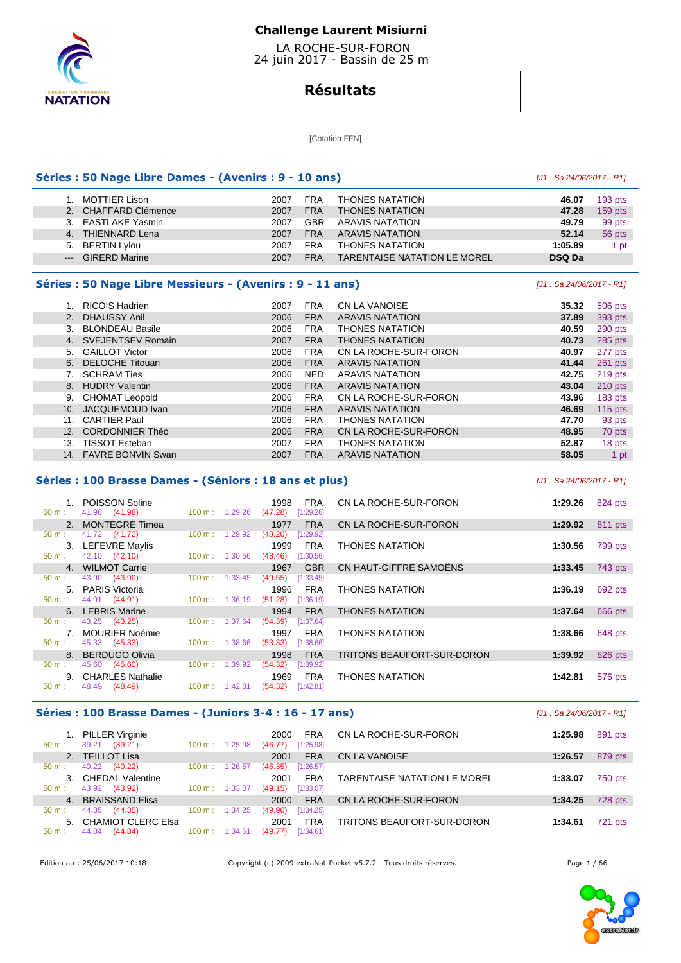

 LA ROCHE-SUR-FORON 24 juin 2017 - Bassin de 25 m

# **Résultats**

[Cotation FFN]

|                  | Séries : 50 Nage Libre Dames - (Avenirs : 9 - 10 ans)     |                           |                     |                         |                                     | [J1: Sa 24/06/2017 - R1] |                    |
|------------------|-----------------------------------------------------------|---------------------------|---------------------|-------------------------|-------------------------------------|--------------------------|--------------------|
|                  | 1. MOTTIER Lison                                          |                           | 2007                | <b>FRA</b>              | <b>THONES NATATION</b>              | 46.07                    | 193 pts            |
|                  | 2. CHAFFARD Clémence                                      |                           | 2007                | <b>FRA</b>              | <b>THONES NATATION</b>              | 47.28                    | 159 pts            |
|                  | 3. EASTLAKE Yasmin                                        |                           | 2007                | <b>GBR</b>              | <b>ARAVIS NATATION</b>              | 49.79                    | 99 pts             |
|                  | 4. THIENNARD Lena                                         |                           | 2007                | <b>FRA</b>              | <b>ARAVIS NATATION</b>              | 52.14                    | 56 pts             |
|                  | 5. BERTIN Lylou                                           |                           | 2007                | <b>FRA</b>              | <b>THONES NATATION</b>              | 1:05.89                  | 1 pt               |
|                  | --- GIRERD Marine                                         |                           | 2007                | <b>FRA</b>              | <b>TARENTAISE NATATION LE MOREL</b> | DSQ Da                   |                    |
|                  | Séries : 50 Nage Libre Messieurs - (Avenirs : 9 - 11 ans) |                           |                     |                         |                                     | [J1: Sa 24/06/2017 - R1] |                    |
|                  | 1. RICOIS Hadrien                                         |                           | 2007                | <b>FRA</b>              | <b>CN LA VANOISE</b>                | 35.32                    | 506 pts            |
|                  | 2. DHAUSSY Anil                                           |                           | 2006                | <b>FRA</b>              | <b>ARAVIS NATATION</b>              | 37.89                    | 393 pts            |
|                  | 3. BLONDEAU Basile                                        |                           | 2006                | <b>FRA</b>              | <b>THONES NATATION</b>              | 40.59                    | 290 pts            |
|                  | 4. SVEJENTSEV Romain                                      |                           | 2007                | <b>FRA</b>              | <b>THONES NATATION</b>              | 40.73                    | 285 pts            |
|                  | 5. GAILLOT Victor                                         |                           | 2006                | <b>FRA</b>              | CN LA ROCHE-SUR-FORON               | 40.97                    | 277 pts            |
|                  | 6. DELOCHE Titouan                                        |                           | 2006                | <b>FRA</b>              | <b>ARAVIS NATATION</b>              | 41.44                    | $261$ pts          |
|                  | 7. SCHRAM Ties                                            |                           | 2006                | <b>NED</b>              | <b>ARAVIS NATATION</b>              | 42.75                    | 219 pts            |
|                  | 8. HUDRY Valentin                                         |                           | 2006                | <b>FRA</b>              | <b>ARAVIS NATATION</b>              | 43.04                    | $210$ pts          |
|                  | 9. CHOMAT Leopold                                         |                           | 2006                | <b>FRA</b>              | CN LA ROCHE-SUR-FORON               | 43.96                    | 183 pts            |
|                  | 10. JACQUEMOUD Ivan                                       |                           | 2006                | <b>FRA</b>              | <b>ARAVIS NATATION</b>              | 46.69                    | $115$ pts          |
|                  | 11. CARTIER Paul                                          |                           | 2006                | <b>FRA</b>              | <b>THONES NATATION</b>              | 47.70                    | 93 pts             |
|                  | 12. CORDONNIER Théo                                       |                           | 2006                | <b>FRA</b>              | CN LA ROCHE-SUR-FORON               | 48.95                    | 70 pts             |
|                  | 13. TISSOT Esteban                                        |                           | 2007                | <b>FRA</b>              | <b>THONES NATATION</b>              | 52.87                    | 18 pts             |
|                  | 14. FAVRE BONVIN Swan                                     |                           | 2007                | <b>FRA</b>              | <b>ARAVIS NATATION</b>              | 58.05                    | 1 pt               |
|                  | Séries : 100 Brasse Dames - (Séniors : 18 ans et plus)    |                           |                     |                         |                                     | [J1: Sa 24/06/2017 - R1] |                    |
| 50 m:            | 1. POISSON Soline<br>41.98 (41.98)                        | 100 m: 1:29.26            | 1998<br>(47.28)     | <b>FRA</b><br>[1:29.26] | CN LA ROCHE-SUR-FORON               | 1:29.26                  | 824 pts            |
|                  | 2. MONTEGRE Timea                                         |                           | 1977                | <b>FRA</b>              | CN LA ROCHE-SUR-FORON               | 1:29.92                  | 811 pts            |
| 50 m:            | 41.72 (41.72)                                             | 100 m: 1:29.92            | (48.20)             | [1:29.92]               |                                     |                          |                    |
|                  | 3. LEFEVRE Maylis                                         |                           | 1999                | <b>FRA</b>              | <b>THONES NATATION</b>              | 1:30.56                  | 799 pts            |
| $50 m$ :         | 42.10 (42.10)                                             | $100 \text{ m}$ : 1:30.56 | $(48.46)$ [1:30.56] |                         |                                     |                          |                    |
|                  | 4. WILMOT Carrie                                          |                           | 1967                | <b>GBR</b>              | CN HAUT-GIFFRE SAMOËNS              | 1:33.45                  | 743 pts            |
| 50 m:            | 43.90 (43.90)                                             | 1:33.45<br>100 m:         | (49.55)             | [1:33.45]               |                                     |                          |                    |
|                  | 5. PARIS Victoria                                         |                           | 1996                | <b>FRA</b>              | <b>THONES NATATION</b>              | 1:36.19                  | 692 pts            |
| 50 m:            | 44.91 (44.91)                                             | $100 \text{ m}: 1:36.19$  | $(51.28)$ [1:36.19] |                         |                                     |                          |                    |
|                  | 6. LEBRIS Marine                                          |                           | 1994                | <b>FRA</b>              | <b>THONES NATATION</b>              | 1:37.64                  | 666 pts            |
| $50 \text{ m}$ : | 43.25 (43.25)                                             | $100 \text{ m}: 1:37.64$  | $(54.39)$ [1:37.64] |                         |                                     |                          |                    |
|                  | <b>7</b> MOLIDIED Noómio                                  |                           |                     | $1007$ CDA              | THOMES MATATION                     |                          | $1.2966$ $619$ nto |

 7. MOURIER Noémie 1997 FRA THONES NATATION **1:38.66** 648 pts 50 m : 45.33 (45.33) 100 m : 1:38.66 (53.33) [1:38.66] 8. BERDUGO Olivia 1998 FRA TRITONS BEAUFORT-SUR-DORON **1:39.92** 626 pts  $(54.32)$   $[1:39.92]$ 9. CHARLES Nathalie **1969** FRA THONES NATATION **1:42.81 1:42.81 1:42.81 1:42.81 1:46.49 1:46.49 1:42.81 1:42.81 1:42.81 1:46.49 1:46.49 1:46.49 1:46.49 1:46.49 1:46.49 1:46.49 1:46.49 1:46** 100 m : 1:42.81 (54.32) [1:42.81]

### **Séries : 100 Brasse Dames - (Juniors 3-4 : 16 - 17 ans)** [J1 : Sa 24/06/2017 - R1]

| $50 m$ : | <b>PILLER Virginie</b><br>(39.21)<br>39.21 | 100 m:            | 1:25.98 | <b>FRA</b><br>2000<br>[1:25.98]<br>(46.77) | CN LA ROCHE-SUR-FORON        | 1:25.98 | 891 pts |
|----------|--------------------------------------------|-------------------|---------|--------------------------------------------|------------------------------|---------|---------|
|          | 2. TEILLOT Lisa                            |                   |         | <b>FRA</b><br>2001                         | CN LA VANOISE                | 1:26.57 | 879 pts |
| $50 m$ : | 40.22<br>(40.22)                           | 100 m:            | 1:26.57 | [1:26.57]<br>(46.35)                       |                              |         |         |
|          | <b>CHEDAL Valentine</b>                    |                   | 1:33.07 | <b>FRA</b><br>2001                         | TARENTAISE NATATION LE MOREL | 1:33.07 | 750 pts |
| $50 m$ : | 43.92<br>(43.92)                           | 100 m:            |         | [1:33.07]<br>(49.15)                       |                              |         |         |
| 4.       | <b>BRAISSAND Elisa</b>                     |                   |         | <b>FRA</b><br>2000                         | CN LA ROCHE-SUR-FORON        | 1:34.25 | 728 pts |
| $50 m$ : | 44.35<br>(44.35)                           | $100 \text{ m}$ : | 1:34.25 | [1:34.25]<br>(49.90)                       |                              |         |         |
| 5.       | <b>CHAMIOT CLERC Elsa</b>                  |                   |         | <b>FRA</b><br>2001                         | TRITONS BEAUFORT-SUR-DORON   | 1:34.61 | 721 pts |
| 50 m:    | 44.84<br>(44.84)                           | 100 m :           | 1:34.61 | [1:34.61]<br>(49.77)                       |                              |         |         |
|          |                                            |                   |         |                                            |                              |         |         |

Edition au : 25/06/2017 10:18 Copyright (c) 2009 extraNat-Pocket v5.7.2 - Tous droits réservés. Page 1 / 66

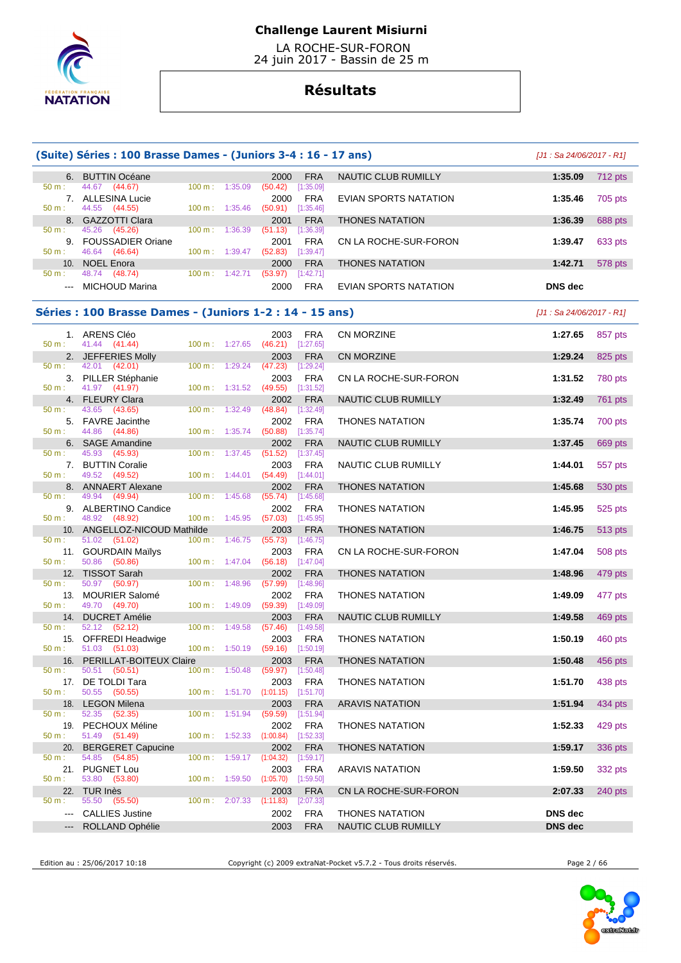

 LA ROCHE-SUR-FORON 24 juin 2017 - Bassin de 25 m

# **Résultats**

|                                                                                                         | (Suite) Séries : 100 Brasse Dames - (Juniors 3-4 : 16 - 17 ans) |                          |         |                                 |                         |                            | $[J1: Sa 24/06/2017 - R1]$ |                |
|---------------------------------------------------------------------------------------------------------|-----------------------------------------------------------------|--------------------------|---------|---------------------------------|-------------------------|----------------------------|----------------------------|----------------|
|                                                                                                         | 6. BUTTIN Océane                                                |                          |         | 2000                            | <b>FRA</b>              | <b>NAUTIC CLUB RUMILLY</b> | 1:35.09                    | 712 pts        |
| 50 m:                                                                                                   | 44.67 (44.67)<br>7. ALLESINA Lucie                              | 100 m: 1:35.09           |         | (50.42)<br>2000                 | [1:35.09]<br><b>FRA</b> | EVIAN SPORTS NATATION      | 1:35.46                    | 705 pts        |
| 50 m:                                                                                                   | 44.55<br>(44.55)<br>8. GAZZOTTI Clara                           | $100 \text{ m}: 1:35.46$ |         | $(50.91)$ $[1:35.46]$<br>2001   | <b>FRA</b>              | <b>THONES NATATION</b>     | 1:36.39                    | 688 pts        |
| 50 m:                                                                                                   | 45.26 (45.26)<br>9. FOUSSADIER Oriane                           | 100 m: 1:36.39           |         | $(51.13)$ [1:36.39]<br>2001     | <b>FRA</b>              | CN LA ROCHE-SUR-FORON      | 1:39.47                    | 633 pts        |
| 50 m:                                                                                                   | 46.64 (46.64)<br>10. NOEL Enora                                 | 100 m: 1:39.47           |         | (52.83)<br>2000                 | [1:39.47]<br><b>FRA</b> | <b>THONES NATATION</b>     | 1:42.71                    | 578 pts        |
| 50 m:<br>$\frac{1}{2} \left( \frac{1}{2} \right) \left( \frac{1}{2} \right) \left( \frac{1}{2} \right)$ | 48.74 (48.74)<br><b>MICHOUD Marina</b>                          | $100 \text{ m}: 1:42.71$ |         | (53.97)<br>2000                 | [1:42.71]<br><b>FRA</b> | EVIAN SPORTS NATATION      | DNS dec                    |                |
|                                                                                                         |                                                                 |                          |         |                                 |                         |                            |                            |                |
|                                                                                                         | Séries : 100 Brasse Dames - (Juniors 1-2 : 14 - 15 ans)         |                          |         |                                 |                         |                            | $[J1: Sa 24/06/2017 - R1]$ |                |
| 50 m:                                                                                                   | 1. ARENS Cléo<br>41.44 (41.44)                                  | 100 m: 1:27.65           |         | 2003<br>$(46.21)$ [1:27.65]     | FRA                     | CN MORZINE                 | 1:27.65                    | 857 pts        |
| 50 m:                                                                                                   | 2. JEFFERIES Molly<br>42.01 (42.01)                             | $100 m$ :                | 1:29.24 | 2003<br>(47.23)                 | <b>FRA</b><br>[1:29.24] | CN MORZINE                 | 1:29.24                    | 825 pts        |
| $50 m$ :                                                                                                | 3. PILLER Stéphanie<br>41.97 (41.97)                            | 100 m: 1:31.52           |         | 2003<br>$(49.55)$ $[1:31.52]$   | <b>FRA</b>              | CN LA ROCHE-SUR-FORON      | 1:31.52                    | 780 pts        |
| 50 m:                                                                                                   | 4. FLEURY Clara<br>43.65 (43.65)                                | 100 m:                   | 1:32.49 | 2002<br>(48.84)                 | <b>FRA</b><br>[1:32.49] | NAUTIC CLUB RUMILLY        | 1:32.49                    | <b>761 pts</b> |
|                                                                                                         | 5. FAVRE Jacinthe                                               |                          |         | 2002                            | <b>FRA</b>              | <b>THONES NATATION</b>     | 1:35.74                    | 700 pts        |
| 50 m:                                                                                                   | 44.86 (44.86)<br>6. SAGE Amandine                               | 100 m: 1:35.74           |         | (50.88)<br>2002                 | [1:35.74]<br><b>FRA</b> | <b>NAUTIC CLUB RUMILLY</b> | 1:37.45                    | 669 pts        |
| 50 m:                                                                                                   | 45.93<br>(45.93)<br>7. BUTTIN Coralie                           | 100 m: 1:37.45           |         | (51.52)<br>2003                 | [1:37.45]<br>FRA        | NAUTIC CLUB RUMILLY        | 1:44.01                    | 557 pts        |
| 50 m:                                                                                                   | 49.52 (49.52)<br>8. ANNAERT Alexane                             | $100 \text{ m}: 1:44.01$ |         | $(54.49)$ [1:44.01]<br>2002     | <b>FRA</b>              | <b>THONES NATATION</b>     | 1:45.68                    | 530 pts        |
| $50 m$ :                                                                                                | 49.94 (49.94)<br>9. ALBERTINO Candice                           | 100 m:                   | 1:45.68 | (55.74)<br>2002                 | [1:45.68]<br><b>FRA</b> | <b>THONES NATATION</b>     | 1:45.95                    | 525 pts        |
| 50 m:                                                                                                   | 48.92 (48.92)<br>10. ANGELLOZ-NICOUD Mathilde                   | 100 m: 1:45.95           |         | $(57.03)$ [1:45.95]<br>2003     | <b>FRA</b>              | <b>THONES NATATION</b>     | 1:46.75                    | 513 pts        |
| 50 m:                                                                                                   | 51.02 (51.02)                                                   | $100 \text{ m}$ :        | 1:46.75 | (55.73)                         | [1:46.75]               |                            |                            |                |
| 50 m:                                                                                                   | 11. GOURDAIN Mailys<br>50.86 (50.86)                            | $100 \text{ m}: 1:47.04$ |         | 2003<br>(56.18)                 | <b>FRA</b><br>[1:47.04] | CN LA ROCHE-SUR-FORON      | 1:47.04                    | 508 pts        |
| 50 m:                                                                                                   | 12. TISSOT Sarah<br>50.97<br>(50.97)                            | $100 \text{ m}: 1:48.96$ |         | 2002<br>(57.99)                 | <b>FRA</b><br>[1:48.96] | THONES NATATION            | 1:48.96                    | 479 pts        |
| 13.<br>50 m:                                                                                            | <b>MOURIER Salomé</b><br>49.70 (49.70)                          | 100 m:                   | 1:49.09 | 2002<br>(59.39)                 | <b>FRA</b><br>[1:49.09] | <b>THONES NATATION</b>     | 1:49.09                    | 477 pts        |
| 14.<br>50 m:                                                                                            | <b>DUCRET Amélie</b><br>52.12 (52.12)                           | $100 \text{ m}: 1:49.58$ |         | 2003<br>(57.46)                 | <b>FRA</b><br>[1:49.58] | NAUTIC CLUB RUMILLY        | 1:49.58                    | 469 pts        |
| 50 m:                                                                                                   | 15. OFFREDI Headwige<br>51.03 (51.03)                           | 100 m: 1:50.19           |         | 2003<br>$(59.16)$ [1:50.19]     | <b>FRA</b>              | <b>THONES NATATION</b>     | 1:50.19                    | 460 pts        |
| 16.<br>50 m:                                                                                            | PERILLAT-BOITEUX Claire<br>50.51 (50.51)                        | 100 m: 1:50.48           |         | 2003<br>(59.97)                 | <b>FRA</b><br>[1:50.48] | <b>THONES NATATION</b>     | 1:50.48                    | 456 pts        |
|                                                                                                         | 17. DE TOLDI Tara                                               |                          |         | 2003                            | <b>FRA</b>              | <b>THONES NATATION</b>     | 1:51.70                    | 438 pts        |
| 50 m:<br>18.                                                                                            | 50.55 (50.55)<br><b>LEGON Milena</b>                            | 100 m: 1:51.70           |         | $(1:01.15)$ $[1:51.70]$<br>2003 | <b>FRA</b>              | <b>ARAVIS NATATION</b>     | 1:51.94                    | 434 pts        |
| $50 m$ :                                                                                                | 52.35<br>(52.35)<br>19. PECHOUX Méline                          | 100 m: 1:51.94           |         | (59.59)<br>2002                 | [1:51.94]<br><b>FRA</b> | THONES NATATION            | 1:52.33                    | 429 pts        |
| 50 m:<br>20.                                                                                            | 51.49 (51.49)<br><b>BERGERET Capucine</b>                       | $100 \text{ m}: 1:52.33$ |         | $(1:00.84)$ [1:52.33]<br>2002   | <b>FRA</b>              | <b>THONES NATATION</b>     | 1:59.17                    | 336 pts        |
| 50 m:                                                                                                   | 54.85 (54.85)<br>21. PUGNET Lou                                 | 100 m:                   | 1:59.17 | (1:04.32)<br>2003               | [1:59.17]<br><b>FRA</b> | <b>ARAVIS NATATION</b>     | 1:59.50                    | 332 pts        |
| 50 m:                                                                                                   | 53.80 (53.80)                                                   | 100 m: 1:59.50           |         | (1:05.70)                       | [1:59.50]               |                            |                            |                |
| $50 m$ :                                                                                                | 22. TUR Inès<br>55.50 (55.50)                                   | $100 \text{ m}$ :        | 2:07.33 | 2003<br>(1:11.83)               | <b>FRA</b><br>[2:07.33] | CN LA ROCHE-SUR-FORON      | 2:07.33                    | 240 pts        |
| $\qquad \qquad - -$                                                                                     | <b>CALLIES Justine</b>                                          |                          |         | 2002                            | <b>FRA</b>              | <b>THONES NATATION</b>     | <b>DNS</b> dec             |                |
|                                                                                                         | ROLLAND Ophélie                                                 |                          |         | 2003                            | <b>FRA</b>              | NAUTIC CLUB RUMILLY        | <b>DNS</b> dec             |                |

Edition au : 25/06/2017 10:18 Copyright (c) 2009 extraNat-Pocket v5.7.2 - Tous droits réservés. Page 2 / 66

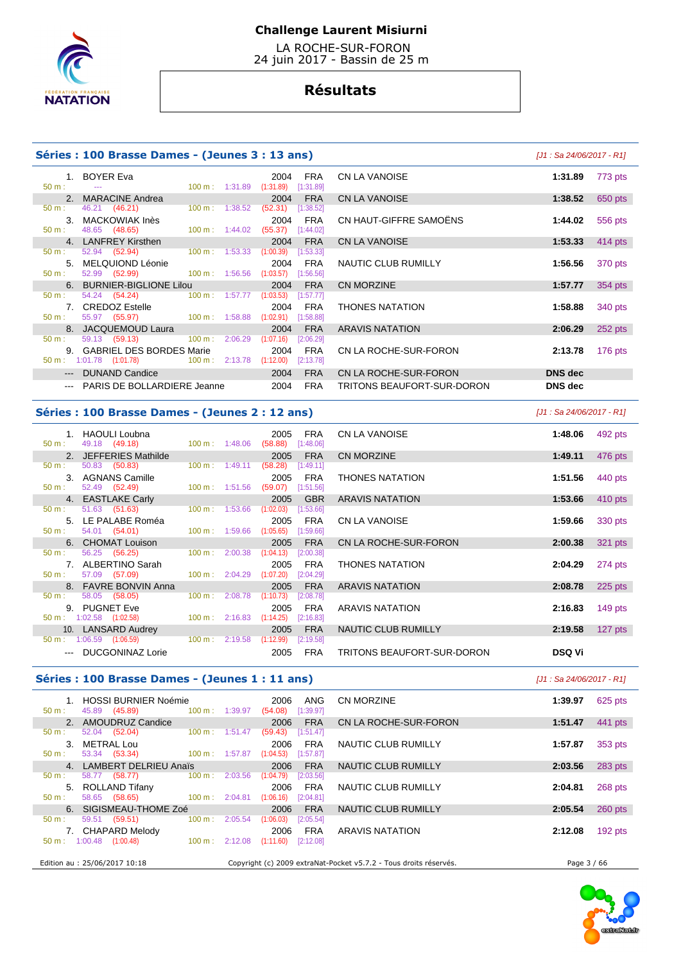

 LA ROCHE-SUR-FORON 24 juin 2017 - Bassin de 25 m

# **Résultats**

### **Séries : 100 Brasse Dames - (Jeunes 3 : 13 ans)** [J1 : Sa 24/06/2017 - R1]

|                      | 1. BOYER Eva                                                                                                                                                                                                                   |  | 2004                | FRA        | CN LA VANOISE              | 1:31.89        |
|----------------------|--------------------------------------------------------------------------------------------------------------------------------------------------------------------------------------------------------------------------------|--|---------------------|------------|----------------------------|----------------|
| $50 \text{ m}$ : $-$ | $100 \text{ m}: 1:31.89$ $(1:31.89)$ $[1:31.89]$                                                                                                                                                                               |  |                     |            |                            |                |
|                      | 2. MARACINE Andrea                                                                                                                                                                                                             |  | 2004                | FRA        | CN LA VANOISE              | 1:38.52        |
| $50 m$ :             | 46.21 (46.21) 100 m : 1:38.52                                                                                                                                                                                                  |  | $(52.31)$ [1:38.52] |            |                            |                |
|                      | 3. MACKOWIAK Inès                                                                                                                                                                                                              |  |                     | 2004 FRA   | CN HAUT-GIFFRE SAMOËNS     | 1:44.02        |
| $50 \text{ m}$ :     | 48.65 (48.65) 100 m : 1:44.02 (55.37) [1:44.02]                                                                                                                                                                                |  |                     |            |                            |                |
|                      | 4. LANFREY Kirsthen                                                                                                                                                                                                            |  | 2004                | <b>FRA</b> | CN LA VANOISE              | 1:53.33        |
| 50 m:                | 52.94 (52.94) 100 m : 1:53.33 (1:00.39) [1:53.33]                                                                                                                                                                              |  |                     |            |                            |                |
|                      | 5. MELQUIOND Léonie                                                                                                                                                                                                            |  |                     | 2004 FRA   | NAUTIC CLUB RUMILLY        | 1:56.56        |
|                      | 50 m : 52.99 (52.99) 100 m : 1:56.56 (1:03.57) [1:56.56]                                                                                                                                                                       |  |                     |            |                            |                |
|                      | 6. BURNIER-BIGLIONE Lilou                                                                                                                                                                                                      |  | 2004                | <b>FRA</b> | CN MORZINE                 | 1:57.77        |
| $50 \text{ m}$ :     | 54.24 (54.24) 100 m : 1:57.77                                                                                                                                                                                                  |  | (1:03.53)           | [1:57.77]  |                            |                |
|                      | 7. CREDOZ Estelle <b>Example 2018</b>                                                                                                                                                                                          |  | 2004                | FRA        | <b>THONES NATATION</b>     | 1:58.88        |
| 50 m:                | 55.97 (55.97) 100 m : 1:58.88 (1:02.91) [1:58.88]                                                                                                                                                                              |  |                     |            |                            |                |
|                      | 8. JACQUEMOUD Laura and the control of the control of the control of the control of the control of the control of the control of the control of the control of the control of the control of the control of the control of the |  | 2004                | <b>FRA</b> | <b>ARAVIS NATATION</b>     | 2:06.29        |
| $50 \text{ m}$ :     | 59.13 (59.13) 100 m : 2:06.29                                                                                                                                                                                                  |  | (1:07.16)           | [2:06.29]  |                            |                |
|                      | 9. GABRIEL DES BORDES Marie                                                                                                                                                                                                    |  | 2004                | FRA        | CN LA ROCHE-SUR-FORON      | 2:13.78        |
|                      | 50 m : 1:01.78 (1:01.78) 100 m : 2:13.78 (1:12.00)                                                                                                                                                                             |  |                     | [2:13.78]  |                            |                |
|                      | --- DUNAND Candice                                                                                                                                                                                                             |  | 2004                | <b>FRA</b> | CN LA ROCHE-SUR-FORON      | <b>DNS</b> dec |
|                      | --- PARIS DE BOLLARDIERE Jeanne                                                                                                                                                                                                |  | 2004                | FRA        | TRITONS BEAUFORT-SUR-DORON | <b>DNS</b> dec |

|     | 1. BOYER Eva                                                                                                   |                          | $100 \text{ m}: 1:31.89$ $(1:31.89)$ | 2004      | FRA<br>[1:31.89] | CN LA VANOISE              | 1:31.89        | 773 pts   |
|-----|----------------------------------------------------------------------------------------------------------------|--------------------------|--------------------------------------|-----------|------------------|----------------------------|----------------|-----------|
|     | 2. MARACINE Andrea                                                                                             |                          |                                      | 2004      | <b>FRA</b>       | CN LA VANOISE              | 1:38.52        | 650 pts   |
| b.  | 46.21 (46.21)                                                                                                  |                          | 100 m : 1:38.52                      | (52.31)   | [1:38.52]        |                            |                |           |
|     | 3. MACKOWIAK Inès                                                                                              |                          |                                      | 2004      | FRA              | CN HAUT-GIFFRE SAMOËNS     | 1:44.02        | 556 pts   |
| t - | 48.65 (48.65) 100 m : 1:44.02                                                                                  |                          |                                      | (55.37)   | [1:44.02]        |                            |                |           |
|     | 4. LANFREY Kirsthen                                                                                            |                          |                                      | 2004      | <b>FRA</b>       | <b>CN LA VANOISE</b>       | 1:53.33        | 414 pts   |
| р.  | 52.94 (52.94)                                                                                                  | $100 \text{ m}: 1:53.33$ |                                      | (1:00.39) | [1:53.33]        |                            |                |           |
|     | 5. MELQUIOND Léonie                                                                                            |                          |                                      | 2004      | <b>FRA</b>       | NAUTIC CLUB RUMILLY        | 1:56.56        | 370 pts   |
| b.  | 52.99 (52.99) 100 m : 1:56.56                                                                                  |                          |                                      | (1:03.57) | [1:56.56]        |                            |                |           |
|     | 6. BURNIER-BIGLIONE Lilou                                                                                      |                          |                                      | 2004      | <b>FRA</b>       | CN MORZINE                 | 1:57.77        | 354 pts   |
| t.  | 54.24 (54.24)                                                                                                  |                          | 100 m : 1:57.77 (1:03.53)            |           | [1:57.77]        |                            |                |           |
|     | 7. CREDOZ Estelle and the control of the control of the control of the control of the control of the control o |                          |                                      | 2004      | <b>FRA</b>       | <b>THONES NATATION</b>     | 1:58.88        | 340 pts   |
|     | $55.97$ (55.97) 100 m : 1:58.88                                                                                |                          |                                      | (1:02.91) | [1:58.88]        |                            |                |           |
|     | 8. JACQUEMOUD Laura                                                                                            |                          |                                      | 2004      | <b>FRA</b>       | <b>ARAVIS NATATION</b>     | 2:06.29        | 252 pts   |
| ۰.  | 59.13 (59.13) 100 m : 2:06.29                                                                                  |                          |                                      | (1:07.16) | [2:06.29]        |                            |                |           |
|     | 9. GABRIEL DES BORDES Marie                                                                                    |                          |                                      | 2004      | FRA              | CN LA ROCHE-SUR-FORON      | 2:13.78        | $176$ pts |
|     | $: 1:01.78$ (1:01.78) $100 \text{ m}: 2:13.78$ (1:12.00)                                                       |                          |                                      |           | [2:13.78]        |                            |                |           |
|     | --- DUNAND Candice                                                                                             |                          |                                      | 2004      | <b>FRA</b>       | CN LA ROCHE-SUR-FORON      | <b>DNS</b> dec |           |
|     | --- PARIS DE BOLLARDIERE Jeanne                                                                                |                          |                                      | 2004      | <b>FRA</b>       | TRITONS BEAUFORT-SUR-DORON | <b>DNS</b> dec |           |
|     |                                                                                                                |                          |                                      |           |                  |                            |                |           |

### **Séries : 100 Brasse Dames - (Jeunes 2 : 12 ans)** [J1 : Sa 24/06/2017 - R1]

| 1. HAOULI Loubna                         |                           |         | 2005                    | <b>FRA</b> |
|------------------------------------------|---------------------------|---------|-------------------------|------------|
| 49.18 (49.18)<br>50 m:                   | $100 \text{ m}$ : 1:48.06 |         | $(58.88)$ [1:48.06]     |            |
| <b>JEFFERIES Mathilde</b><br>$2^{\circ}$ |                           |         |                         | 2005 FRA   |
| 50.83 (50.83)<br>50 m:                   | 100 m:                    | 1:49.11 | $(58.28)$ [1:49.11]     |            |
| <b>AGNANS Camille</b><br>3 <sub>1</sub>  |                           |         | 2005                    | <b>FRA</b> |
| 52.49 (52.49)<br>50 m:                   | 100 m:                    | 1:51.56 | $(59.07)$ [1:51.56]     |            |
| <b>EASTLAKE Carly</b><br>4.              |                           |         | 2005                    | <b>GBR</b> |
| 51.63 (51.63)<br>$50 \text{ m}$ :        | 100 m:                    | 1:53.66 | (1:02.03)               | [1:53.66]  |
| 5. LE PALABE Roméa                       |                           |         | 2005                    | <b>FRA</b> |
| 54.01 (54.01)<br>50 m:                   | 100 m:                    | 1:59.66 | $(1:05.65)$ $[1:59.66]$ |            |
| <b>CHOMAT Louison</b><br>6.              |                           |         |                         | 2005 FRA   |
| 56.25 (56.25)<br>50 m:                   | 100 m:                    | 2:00.38 | (1:04.13)               | [2:00.38]  |
| 7. ALBERTINO Sarah                       |                           |         | 2005                    | <b>FRA</b> |
| 57.09 (57.09)<br>50 m:                   | 100 m:                    | 2:04.29 | (1:07.20)               | [2:04.29]  |
| <b>FAVRE BONVIN Anna</b><br>8.           |                           |         |                         | 2005 FRA   |
| 58.05 (58.05)<br>50 m:                   | 100 m:                    | 2:08.78 | (1:10.73)               | [2:08.78]  |
| 9.<br><b>PUGNET Eve</b>                  |                           |         | 2005                    | <b>FRA</b> |
| $50 \text{ m}: 1:02.58$ (1:02.58)        | 100 m:                    | 2:16.83 | (1:14.25)               | [2:16.83]  |
| 10. LANSARD Audrey                       |                           |         |                         | 2005 FRA   |
| $50 \text{ m}: 1:06.59$ $(1:06.59)$      | 100 m:                    | 2:19.58 | (1:12.99)               | [2:19.58]  |
| <b>DUCGONINAZ Lorie</b>                  |                           |         | 2005                    | <b>FRA</b> |

|    | 1. HAOULI Loubna        |                           |                | 2005                | <b>FRA</b>  | CN LA VANOISE              | 1:48.06       | 492 pts   |
|----|-------------------------|---------------------------|----------------|---------------------|-------------|----------------------------|---------------|-----------|
|    | 49.18 (49.18)           |                           | 100 m: 1:48.06 | $(58.88)$ [1:48.06] |             |                            |               |           |
|    | 2. JEFFERIES Mathilde   |                           |                | 2005                | <b>FRA</b>  | CN MORZINE                 | 1:49.11       | 476 pts   |
|    | 50.83 (50.83)           | $100 \text{ m}$ : 1:49.11 |                | (58.28)             | [1:49.11]   |                            |               |           |
|    | 3. AGNANS Camille       |                           |                | 2005                | FRA         | <b>THONES NATATION</b>     | 1:51.56       | 440 pts   |
|    | 52.49 (52.49)           | $100 \text{ m}: 1:51.56$  |                | $(59.07)$ [1:51.56] |             |                            |               |           |
|    | 4. EASTLAKE Carly       |                           |                | 2005                | <b>GBR</b>  | <b>ARAVIS NATATION</b>     | 1:53.66       | 410 pts   |
|    | 51.63 (51.63)           | $100 \text{ m}: 1:53.66$  |                | (1:02.03)           | [1:53.66]   |                            |               |           |
|    | 5. LE PALABE Roméa      |                           |                | 2005                | <b>FRA</b>  | CN LA VANOISE              | 1:59.66       | 330 pts   |
|    | 54.01 (54.01)           | $100 \text{ m}$ : 1:59.66 |                | (1:05.65)           | [1:59.66]   |                            |               |           |
|    | 6. CHOMAT Louison       |                           |                | 2005                | <b>FRA</b>  | CN LA ROCHE-SUR-FORON      | 2:00.38       | 321 pts   |
|    | 56.25 (56.25)           | $100 \text{ m}$ : 2:00.38 |                | (1:04.13)           | [2:00.38]   |                            |               |           |
|    | 7. ALBERTINO Sarah      |                           |                | 2005                | FRA         | <b>THONES NATATION</b>     | 2:04.29       | 274 pts   |
|    | 57.09 (57.09)           | $100 \text{ m}: 2:04.29$  |                | (1:07.20)           | [2:04.29]   |                            |               |           |
|    | 8. FAVRE BONVIN Anna    |                           |                | 2005                | <b>FRA</b>  | <b>ARAVIS NATATION</b>     | 2:08.78       | 225 pts   |
| D. | 58.05 (58.05)           |                           | 100 m: 2:08.78 | (1:10.73)           | $[2:08.78]$ |                            |               |           |
|    | 9. PUGNET Eve           |                           |                | 2005                | FRA         | ARAVIS NATATION            | 2:16.83       | $149$ pts |
|    | $: 1:02.58$ $(1:02.58)$ | $100 \text{ m}: 2:16.83$  |                | (1:14.25)           | [2:16.83]   |                            |               |           |
|    | 10. LANSARD Audrey      |                           |                | 2005                | <b>FRA</b>  | NAUTIC CLUB RUMILLY        | 2:19.58       | 127 pts   |
|    | $: 1:06.59$ $(1:06.59)$ | $100 \text{ m}: 2:19.58$  |                | (1:12.99)           | [2:19.58]   |                            |               |           |
|    | --- DUCGONINAZ Lorie    |                           |                | 2005                | FRA         | TRITONS BEAUFORT-SUR-DORON | <b>DSQ Vi</b> |           |

# **Séries : 100 Brasse Dames - (Jeunes 1 : 11 ans)** [J1 : Sa 24/06/2017 - R1]

| 1. HOSSI BURNIER Noémie<br>$100 \text{ m}$ :<br>45.89 (45.89)<br>$50 m$ : | 1:39.97 | 2006<br>(54.08) | ANG<br>[1:39.97] | CN MORZINE                                                        | 1:39.97     | 625 pts   |
|---------------------------------------------------------------------------|---------|-----------------|------------------|-------------------------------------------------------------------|-------------|-----------|
| 2. AMOUDRUZ Candice                                                       |         | 2006            | <b>FRA</b>       | CN LA ROCHE-SUR-FORON                                             | 1:51.47     | 441 pts   |
| $100 \text{ m}$ :<br>52.04 (52.04)<br>50 m:                               | 1:51.47 | (59.43)         | [1:51.47]        |                                                                   |             |           |
| METRAL Lou<br>3.                                                          |         | 2006            | <b>FRA</b>       | NAUTIC CLUB RUMILLY                                               | 1:57.87     | 353 pts   |
| 53.34 (53.34)<br>$100 \text{ m}$ :<br>$50 \text{ m}$ :                    | 1:57.87 | (1:04.53)       | [1:57.87]        |                                                                   |             |           |
| 4. LAMBERT DELRIEU Anais                                                  |         | 2006            | <b>FRA</b>       | NAUTIC CLUB RUMILLY                                               | 2:03.56     | 283 pts   |
| $100 \text{ m}$ :<br>58.77<br>(58.77)<br>$50 \text{ m}$ :                 | 2:03.56 | (1:04.79)       | [2:03.56]        |                                                                   |             |           |
| 5. ROLLAND Tifany                                                         |         | 2006            | <b>FRA</b>       | NAUTIC CLUB RUMILLY                                               | 2:04.81     | 268 pts   |
| 58.65 (58.65)<br>$100 \text{ m}$ :<br>$50 m$ :                            | 2:04.81 | (1:06.16)       | [2:04.81]        |                                                                   |             |           |
| 6. SIGISMEAU-THOME Zoé                                                    |         | 2006            | <b>FRA</b>       | NAUTIC CLUB RUMILLY                                               | 2:05.54     | 260 pts   |
| $100 \text{ m}$ :<br>59.51<br>(59.51)<br>$50 \text{ m}$ :                 | 2:05.54 | (1:06.03)       | [2:05.54]        |                                                                   |             |           |
| 7. CHAPARD Melody                                                         |         | 2006            | <b>FRA</b>       | <b>ARAVIS NATATION</b>                                            | 2:12.08     | $192$ pts |
| $50 \text{ m}: 1:00.48$ $(1:00.48)$<br>$100 \text{ m}$ :                  | 2:12.08 | (1:11.60)       | [2:12.08]        |                                                                   |             |           |
|                                                                           |         |                 |                  |                                                                   |             |           |
| Edition au : 25/06/2017 10:18                                             |         |                 |                  | Copyright (c) 2009 extraNat-Pocket v5.7.2 - Tous droits réservés. | Page 3 / 66 |           |

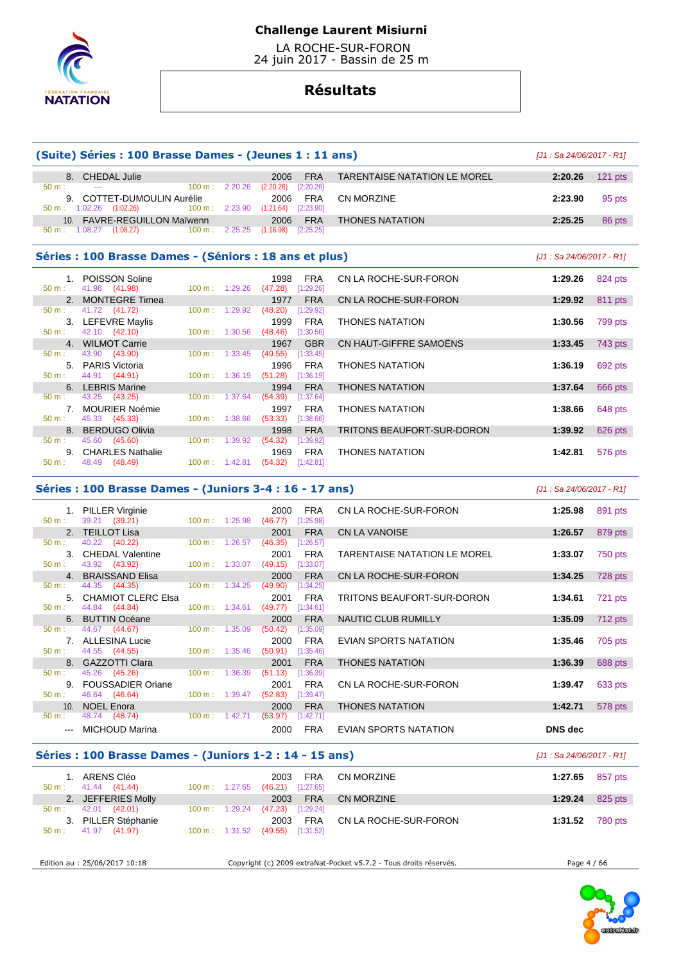

 LA ROCHE-SUR-FORON 24 juin 2017 - Bassin de 25 m

# **Résultats**

|                  | (Suite) Séries : 100 Brasse Dames - (Jeunes 1 : 11 ans)      |                                  |                                  |                     |                              | [J1 : Sa 24/06/2017 - R1] |           |
|------------------|--------------------------------------------------------------|----------------------------------|----------------------------------|---------------------|------------------------------|---------------------------|-----------|
|                  | 8. CHEDAL Julie                                              |                                  | 2006                             | <b>FRA</b>          | TARENTAISE NATATION LE MOREL | 2:20.26                   | $121$ pts |
| $50 \text{ m}$ : |                                                              | $100 \text{ m}: 2:20.26$         | (2:20.26)                        | [2:20.26]           |                              |                           |           |
|                  | 9. COTTET-DUMOULIN Aurélie                                   |                                  | 2006                             | <b>FRA</b>          | <b>CN MORZINE</b>            | 2:23.90                   | 95 pts    |
|                  | 50 m : 1:02.26 (1:02.26) 100 m : 2:23.90 (1:21.64) [2:23.90] |                                  |                                  |                     |                              |                           |           |
|                  | 10. FAVRE-REGUILLON Maïwenn                                  |                                  | 2006                             | <b>FRA</b>          | <b>THONES NATATION</b>       | 2:25.25                   | 86 pts    |
|                  | 50 m : 1:08.27 (1:08.27) 100 m : 2:25.25                     |                                  | (1:16.98)                        | [2:25.25]           |                              |                           |           |
|                  | Séries : 100 Brasse Dames - (Séniors : 18 ans et plus)       |                                  |                                  |                     |                              | [J1 : Sa 24/06/2017 - R1] |           |
|                  | 1. POISSON Soline                                            |                                  | 1998                             | <b>FRA</b>          | CN LA ROCHE-SUR-FORON        | 1:29.26                   | 824 pts   |
| $50 m$ :         | 41.98 (41.98)                                                | $100 \text{ m}: 1:29.26$         |                                  | $(47.28)$ [1:29.26] |                              |                           |           |
|                  | 2. MONTEGRE Timea                                            |                                  | 1977                             | <b>FRA</b>          | CN LA ROCHE-SUR-FORON        | 1:29.92                   | 811 pts   |
| $50 \text{ m}$ : | 41.72 (41.72)                                                | $100 \text{ m}: 1:29.92$         | (48.20)                          | [1:29.92]           |                              |                           |           |
|                  | 3. LEFEVRE Mavlis                                            |                                  | 1999                             | FRA                 | <b>THONES NATATION</b>       | 1:30.56                   | 799 pts   |
| $50 \text{ m}$ : | 42.10 (42.10)                                                | $100 \text{ m}$ : 1:30.56        |                                  | $(48.46)$ [1:30.56] |                              |                           |           |
|                  | 4. WILMOT Carrie                                             |                                  | 1967                             | <b>GBR</b>          | CN HAUT-GIFFRE SAMOËNS       | 1:33.45                   | 743 pts   |
| 50 m:            | 43.90 (43.90)                                                | $100 \text{ m}$ : 1:33.45        | (49.55)                          | [1:33.45]           |                              |                           |           |
|                  | 5. PARIS Victoria                                            |                                  | 1996                             | <b>FRA</b>          | <b>THONES NATATION</b>       | 1:36.19                   | 692 pts   |
| $50 m$ :         | 44.91 (44.91)                                                |                                  | 100 m: 1:36.19 (51.28) [1:36.19] |                     |                              |                           |           |
|                  | 6. LEBRIS Marine                                             |                                  | 1994                             | <b>FRA</b>          | <b>THONES NATATION</b>       | 1:37.64                   | 666 pts   |
| $50 m$ :         | 43.25 (43.25)                                                | 100 m: 1:37.64                   | (54.39)                          | [1:37.64]           |                              |                           |           |
|                  | 7. MOURIER Noémie                                            |                                  | 1997                             | <b>FRA</b>          | <b>THONES NATATION</b>       | 1:38.66                   | 648 pts   |
| 50 m:            | 45.33 (45.33)                                                | $100 \text{ m}$ : 1:38.66        | (53.33)                          | [1:38.66]           |                              |                           |           |
|                  | 8. BERDUGO Olivia                                            |                                  | 1998                             | <b>FRA</b>          | TRITONS BEAUFORT-SUR-DORON   | 1:39.92                   | 626 pts   |
| $50 \text{ m}$ : | 45.60 (45.60)                                                | 100 m: 1:39.92                   | (54.32)                          | [1:39.92]           |                              |                           |           |
|                  | 9. CHARLES Nathalie                                          |                                  | 1969                             | <b>FRA</b>          | <b>THONES NATATION</b>       | 1:42.81                   | 576 pts   |
| $50 m$ :         | 48.49 (48.49)                                                | 100 m: 1:42.81 (54.32) [1:42.81] |                                  |                     |                              |                           |           |
|                  |                                                              |                                  |                                  |                     |                              |                           |           |

# **Séries : 100 Brasse Dames - (Juniors 3-4 : 16 - 17 ans)** [J1 : Sa 24/06/2017 - R1]

|          | 1. PILLER Virginie    |                          |         | 2000    | <b>FRA</b> | CN LA ROCHE-SUR-FORON        | 1:25.98 | 891 pts   |
|----------|-----------------------|--------------------------|---------|---------|------------|------------------------------|---------|-----------|
| $50 m$ : | 39.21 (39.21)         | $100 \text{ m}: 1:25.98$ |         | (46.77) | [1:25.98]  |                              |         |           |
|          | 2. TEILLOT Lisa       |                          |         | 2001    | <b>FRA</b> | <b>CN LA VANOISE</b>         | 1:26.57 | 879 pts   |
| 50 m:    | 40.22 (40.22)         | $100 \text{ m}$ :        | 1:26.57 | (46.35) | [1:26.57]  |                              |         |           |
|          | 3. CHEDAL Valentine   |                          |         | 2001    | <b>FRA</b> | TARENTAISE NATATION LE MOREL | 1:33.07 | 750 pts   |
| $50 m$ : | 43.92 (43.92)         | $100 \text{ m}: 1:33.07$ |         | (49.15) | [1:33.07]  |                              |         |           |
|          | 4. BRAISSAND Elisa    |                          |         | 2000    | <b>FRA</b> | CN LA ROCHE-SUR-FORON        | 1:34.25 | 728 pts   |
| 50 m:    | 44.35 (44.35)         | $100 \text{ m}$ :        | 1:34.25 | (49.90) | [1:34.25]  |                              |         |           |
|          | 5. CHAMIOT CLERC Elsa |                          |         | 2001    | <b>FRA</b> | TRITONS BEAUFORT-SUR-DORON   | 1:34.61 | 721 pts   |
| $50 m$ : | 44.84 (44.84)         | $100 \text{ m}: 1:34.61$ |         | (49.77) | [1:34.61]  |                              |         |           |
|          | 6. BUTTIN Océane      |                          |         | 2000    | <b>FRA</b> | NAUTIC CLUB RUMILLY          | 1:35.09 | $712$ pts |
| 50 m:    | 44.67 (44.67)         | $100 \text{ m}$ :        | 1:35.09 | (50.42) | [1:35.09]  |                              |         |           |
|          | 7. ALLESINA Lucie     |                          |         | 2000    | <b>FRA</b> | EVIAN SPORTS NATATION        | 1:35.46 | 705 pts   |
| $50 m$ : | 44.55 (44.55)         | $100 \text{ m}: 1:35.46$ |         | (50.91) | [1:35.46]  |                              |         |           |
|          | 8. GAZZOTTI Clara     |                          |         | 2001    | <b>FRA</b> | THONES NATATION              | 1:36.39 | 688 pts   |
| 50 m:    | 45.26 (45.26)         | $100 \text{ m}$ :        | 1:36.39 | (51.13) | [1:36.39]  |                              |         |           |
|          | 9. FOUSSADIER Oriane  |                          |         | 2001    | <b>FRA</b> | CN LA ROCHE-SUR-FORON        | 1:39.47 | 633 pts   |
| 50 m:    | 46.64 (46.64)         | $100 m$ : 1:39.47        |         | (52.83) | [1:39.47]  |                              |         |           |
|          | 10. NOEL Enora        |                          |         | 2000    | <b>FRA</b> | <b>THONES NATATION</b>       | 1:42.71 | 578 pts   |
| $50 m$ : | 48.74 (48.74)         | $100 m$ : 1:42.71        |         | (53.97) | [1:42.71]  |                              |         |           |
|          | MICHOUD Marina        |                          |         | 2000    | <b>FRA</b> | EVIAN SPORTS NATATION        | DNS dec |           |

### **Séries : 100 Brasse Dames - (Juniors 1-2 : 14 - 15 ans)** [J1 : Sa 24/06/2017 - R1]

| 1. ARENS Cléo<br>$50 \text{ m}: 41.44 \text{ (41.44)}$ | $100 \text{ m}: 1:27.65$ | FRA<br>2003<br>$(46.21)$ [1:27.65] | CN MORZINE                | 1:27.65 $857 \text{ pts}$ |         |
|--------------------------------------------------------|--------------------------|------------------------------------|---------------------------|---------------------------|---------|
| 2. JEFFERIES Molly                                     |                          | FRA<br>2003                        | CN MORZINE                | 1:29.24                   | 825 pts |
| $50 \text{ m}: 42.01 (42.01)$                          | $100 \text{ m}: 1:29.24$ | $(47.23)$ [1:29.24]                |                           |                           |         |
| 3. PILLER Stéphanie                                    |                          | 2003                               | FRA CN LA ROCHE-SUR-FORON | 1:31.52 780 pts           |         |
| $50 \text{ m}: 41.97 (41.97)$                          | 100 m : 1:31.52          | (49.55)<br>[1:31.52]               |                           |                           |         |

Edition au : 25/06/2017 10:18 Copyright (c) 2009 extraNat-Pocket v5.7.2 - Tous droits réservés. Page 4 / 66

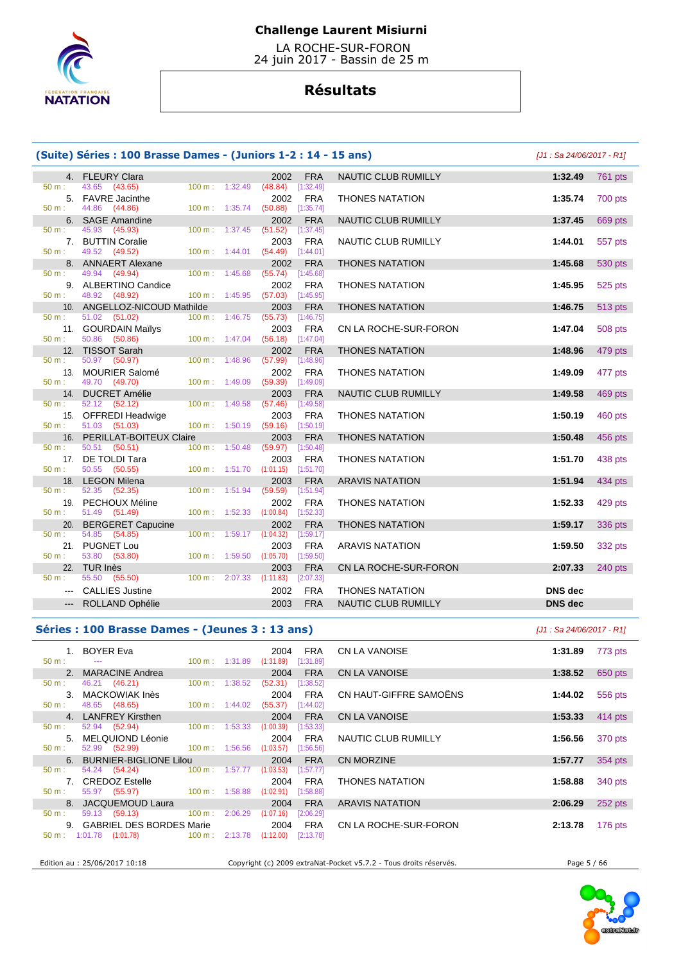

 LA ROCHE-SUR-FORON 24 juin 2017 - Bassin de 25 m

# **Résultats**

|          | (Suite) Séries : 100 Brasse Dames - (Juniors 1-2 : 14 - 15 ans) |                     |         |                             |                         |                            | $J1:$ Sa 24/06/2017 - R11 |         |
|----------|-----------------------------------------------------------------|---------------------|---------|-----------------------------|-------------------------|----------------------------|---------------------------|---------|
|          | 4. FLEURY Clara                                                 |                     |         | 2002                        | <b>FRA</b>              | NAUTIC CLUB RUMILLY        | 1:32.49                   | 761 pts |
| 50 m:    | 43.65 (43.65)                                                   | 100 m:              | 1:32.49 | (48.84)                     | [1:32.49]               |                            |                           |         |
|          | 5. FAVRE Jacinthe                                               |                     |         | 2002                        | <b>FRA</b>              | <b>THONES NATATION</b>     | 1:35.74                   | 700 pts |
| $50 m$ : | 44.86<br>(44.86)                                                | 100 m: 1:35.74      |         | (50.88)                     | [1:35.74]               |                            |                           |         |
|          | 6. SAGE Amandine                                                |                     |         | 2002                        | <b>FRA</b>              | NAUTIC CLUB RUMILLY        | 1:37.45                   | 669 pts |
| 50 m:    | 45.93 (45.93)                                                   | 100 m:              | 1:37.45 | (51.52)                     | [1:37.45]               |                            |                           |         |
|          | 7. BUTTIN Coralie                                               |                     |         | 2003                        | <b>FRA</b>              | <b>NAUTIC CLUB RUMILLY</b> | 1:44.01                   | 557 pts |
| $50 m$ : | 49.52 (49.52)                                                   | $100 m$ : 1:44.01   |         | $(54.49)$ [1:44.01]         |                         |                            |                           |         |
| $50 m$ : | 8. ANNAERT Alexane<br>49.94<br>(49.94)                          | $100 m$ :           | 1:45.68 | 2002<br>$(55.74)$ [1:45.68] | <b>FRA</b>              | <b>THONES NATATION</b>     | 1:45.68                   | 530 pts |
|          | 9. ALBERTINO Candice                                            |                     |         | 2002                        | <b>FRA</b>              | <b>THONES NATATION</b>     | 1:45.95                   | 525 pts |
| 50 m:    | 48.92 (48.92)                                                   | 100 m: 1:45.95      |         | $(57.03)$ [1:45.95]         |                         |                            |                           |         |
|          | 10. ANGELLOZ-NICOUD Mathilde                                    |                     |         | 2003                        | <b>FRA</b>              | <b>THONES NATATION</b>     | 1:46.75                   | 513 pts |
| $50 m$ : | 51.02 (51.02)                                                   | $100 m$ : 1:46.75   |         | (55.73)                     | [1:46.75]               |                            |                           |         |
|          | 11. GOURDAIN Maïlys                                             |                     |         | 2003                        | <b>FRA</b>              | CN LA ROCHE-SUR-FORON      | 1:47.04                   | 508 pts |
| 50 m:    | 50.86<br>(50.86)                                                | $100 m$ : $1:47.04$ |         | $(56.18)$ [1:47.04]         |                         |                            |                           |         |
|          | 12. TISSOT Sarah                                                |                     |         | 2002                        | <b>FRA</b>              | <b>THONES NATATION</b>     | 1:48.96                   | 479 pts |
| $50 m$ : | 50.97 (50.97)                                                   | $100 \text{ m}$ :   | 1:48.96 | (57.99)                     | [1:48.96]               |                            |                           |         |
|          | 13. MOURIER Salomé                                              |                     |         | 2002                        | <b>FRA</b>              | <b>THONES NATATION</b>     | 1:49.09                   | 477 pts |
| 50 m:    | 49.70 (49.70)                                                   | 100 m: 1:49.09      |         | $(59.39)$ [1:49.09]         |                         |                            |                           |         |
|          | 14. DUCRET Amélie                                               |                     |         | 2003                        | <b>FRA</b>              | NAUTIC CLUB RUMILLY        | 1:49.58                   | 469 pts |
| 50 m:    | 52.12 (52.12)                                                   | 100 m: 1:49.58      |         | (57.46)                     | [1:49.58]               |                            |                           |         |
| 15.      | <b>OFFREDI Headwige</b>                                         |                     |         | 2003                        | <b>FRA</b>              | <b>THONES NATATION</b>     | 1:50.19                   | 460 pts |
| $50 m$ : | 51.03 (51.03)                                                   | 100 m: 1:50.19      |         | (59.16)                     | [1:50.19]               |                            |                           |         |
| $50 m$ : | 16. PERILLAT-BOITEUX Claire<br>50.51 (50.51)                    | 100 m:              | 1:50.48 | 2003<br>(59.97)             | <b>FRA</b><br>[1:50.48] | <b>THONES NATATION</b>     | 1:50.48                   | 456 pts |
|          | 17. DE TOLDI Tara                                               |                     |         | 2003                        | <b>FRA</b>              | <b>THONES NATATION</b>     | 1:51.70                   | 438 pts |
| $50 m$ : | 50.55 (50.55)                                                   | 100 m: 1:51.70      |         | (1:01.15)                   | [1:51.70]               |                            |                           |         |
|          | 18. LEGON Milena                                                |                     |         | 2003                        | <b>FRA</b>              | <b>ARAVIS NATATION</b>     | 1:51.94                   | 434 pts |
| 50 m:    | 52.35<br>(52.35)                                                | 100 m:              | 1:51.94 | (59.59)                     | [1:51.94]               |                            |                           |         |
|          | 19. PECHOUX Méline                                              |                     |         | 2002                        | <b>FRA</b>              | <b>THONES NATATION</b>     | 1:52.33                   | 429 pts |
| 50 m:    | 51.49<br>(51.49)                                                | 100 m: 1:52.33      |         | (1:00.84)                   | [1:52.33]               |                            |                           |         |
|          | 20. BERGERET Capucine                                           |                     |         | 2002                        | <b>FRA</b>              | <b>THONES NATATION</b>     | 1:59.17                   | 336 pts |
| 50 m:    | 54.85 (54.85)                                                   | 100 m:              | 1:59.17 | (1:04.32)                   | [1:59.17]               |                            |                           |         |
|          | 21. PUGNET Lou                                                  |                     |         | 2003                        | <b>FRA</b>              | <b>ARAVIS NATATION</b>     | 1:59.50                   | 332 pts |
| $50 m$ : | 53.80<br>(53.80)                                                | 100 m: 1:59.50      |         | (1:05.70)                   | [1:59.50]               |                            |                           |         |
|          | 22. TUR Inès                                                    |                     |         | 2003                        | <b>FRA</b>              | CN LA ROCHE-SUR-FORON      | 2:07.33                   | 240 pts |
| $50 m$ : | 55.50 (55.50)                                                   | 100 m: 2:07.33      |         | (1:11.83)                   | [2:07.33]               |                            |                           |         |
|          | <b>CALLIES Justine</b>                                          |                     |         | 2002                        | <b>FRA</b>              | <b>THONES NATATION</b>     | <b>DNS</b> dec            |         |
|          | ROLLAND Ophélie                                                 |                     |         | 2003                        | <b>FRA</b>              | <b>NAUTIC CLUB RUMILLY</b> | <b>DNS</b> dec            |         |
|          |                                                                 |                     |         |                             |                         |                            |                           |         |

# **Séries : 100 Brasse Dames - (Jeunes 3 : 13 ans)** [J1 : Sa 24/06/2017 - R1]

|                  | 1. BOYER Eva<br>50 m : --- 100 m : 1:31.89 (1:31.89) [1:31.89]                                                                                                                                                                 |  |                       |             | 2004 FRA CN LA VANOISE          | 1:31.89 773 pts           |           |
|------------------|--------------------------------------------------------------------------------------------------------------------------------------------------------------------------------------------------------------------------------|--|-----------------------|-------------|---------------------------------|---------------------------|-----------|
|                  | 2. MARACINE Andrea                                                                                                                                                                                                             |  |                       |             | 2004 FRA CN LA VANOISE          | 1:38.52                   | 650 pts   |
|                  | 50 m : 46.21 (46.21) 100 m : 1:38.52                                                                                                                                                                                           |  | (52.31)               | [1:38.52]   |                                 |                           |           |
|                  | 3. MACKOWIAK Inès                                                                                                                                                                                                              |  |                       |             | 2004 FRA CN HAUT-GIFFRE SAMOËNS | 1:44.02                   | 556 pts   |
|                  | $50 \text{ m}:$ 48.65 (48.65) 100 m : 1:44.02                                                                                                                                                                                  |  | $(55.37)$ [1:44.02]   |             |                                 |                           |           |
|                  | 4. LANFREY Kirsthen                                                                                                                                                                                                            |  |                       |             | 2004 FRA CN LA VANOISE          | 1:53.33 $414 \text{ pts}$ |           |
|                  | 50 m : 52.94 (52.94) 100 m : 1:53.33                                                                                                                                                                                           |  | $(1:00.39)$ [1:53.33] |             |                                 |                           |           |
|                  | 5. MELQUIOND Léonie                                                                                                                                                                                                            |  |                       | 2004 FRA    | NAUTIC CLUB RUMILLY             | 1:56.56                   | 370 pts   |
|                  | 50 m : 52.99 (52.99) 100 m : 1:56.56                                                                                                                                                                                           |  | $(1:03.57)$ [1:56.56] |             |                                 |                           |           |
|                  | 6. BURNIER-BIGLIONE Lilou                                                                                                                                                                                                      |  | $2004$ FRA            |             | CN MORZINE                      | 1:57.77                   | 354 pts   |
|                  | 50 m : 54.24 (54.24) 100 m : 1:57.77 (1:03.53)                                                                                                                                                                                 |  |                       | [1:57.77]   |                                 |                           |           |
|                  | 7. CREDOZ Estelle and the control of the control of the control of the control of the control of the control o                                                                                                                 |  | 2004                  |             | FRA THONES NATATION             | 1:58.88                   | 340 pts   |
|                  | 50 m : 55.97 (55.97) 100 m : 1:58.88                                                                                                                                                                                           |  | (1:02.91)             | [1:58.88]   |                                 |                           |           |
|                  | 8. JACQUEMOUD Laura and the control of the control of the control of the control of the control of the control of the control of the control of the control of the control of the control of the control of the control of the |  | 2004                  | FRA         | ARAVIS NATATION                 | 2:06.29                   | 252 pts   |
| $50 \text{ m}$ : | 59.13 (59.13) 100 m : 2:06.29                                                                                                                                                                                                  |  | (1:07.16)             | $[2:06.29]$ |                                 |                           |           |
|                  |                                                                                                                                                                                                                                |  |                       |             |                                 | 2:13.78                   | 176 $pts$ |
|                  | 50 m : 1:01.78 (1:01.78) 100 m : 2:13.78                                                                                                                                                                                       |  | (1:12.00)             | [2:13.78]   |                                 |                           |           |
|                  |                                                                                                                                                                                                                                |  |                       |             |                                 |                           |           |

Edition au : 25/06/2017 10:18 Copyright (c) 2009 extraNat-Pocket v5.7.2 - Tous droits réservés. Page 5 / 66

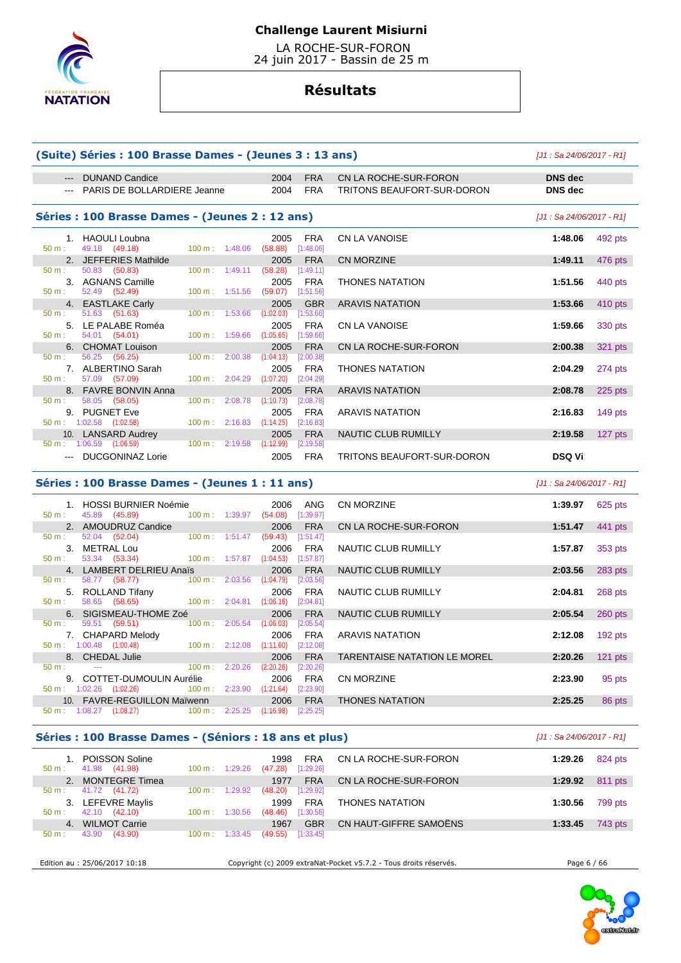

 LA ROCHE-SUR-FORON 24 juin 2017 - Bassin de 25 m

# **Résultats**

|                                                                                                                                                                                                                                                                                                                                                                                                                                                                            | (Suite) Séries : 100 Brasse Dames - (Jeunes 3 : 13 ans)       |                                    |                             |                         |                            | $J1:$ Sa 24/06/2017 - R11 |         |
|----------------------------------------------------------------------------------------------------------------------------------------------------------------------------------------------------------------------------------------------------------------------------------------------------------------------------------------------------------------------------------------------------------------------------------------------------------------------------|---------------------------------------------------------------|------------------------------------|-----------------------------|-------------------------|----------------------------|---------------------------|---------|
| $\qquad \qquad - -$                                                                                                                                                                                                                                                                                                                                                                                                                                                        | <b>DUNAND Candice</b>                                         |                                    | 2004                        | <b>FRA</b>              | CN LA ROCHE-SUR-FORON      | <b>DNS</b> dec            |         |
| $\frac{1}{2}$                                                                                                                                                                                                                                                                                                                                                                                                                                                              | PARIS DE BOLLARDIERE Jeanne                                   |                                    | 2004                        | <b>FRA</b>              | TRITONS BEAUFORT-SUR-DORON | <b>DNS</b> dec            |         |
|                                                                                                                                                                                                                                                                                                                                                                                                                                                                            | Séries : 100 Brasse Dames - (Jeunes 2 : 12 ans)               |                                    |                             |                         |                            | $J1:$ Sa 24/06/2017 - R11 |         |
| $50 m$ :                                                                                                                                                                                                                                                                                                                                                                                                                                                                   | 1. HAOULI Loubna<br>49.18 (49.18)                             | $100 \text{ m}$ : 1:48.06          | 2005<br>(58.88)             | <b>FRA</b><br>[1:48.06] | <b>CN LA VANOISE</b>       | 1:48.06                   | 492 pts |
|                                                                                                                                                                                                                                                                                                                                                                                                                                                                            | 2. JEFFERIES Mathilde                                         |                                    | 2005                        | <b>FRA</b>              | CN MORZINE                 | 1:49.11                   | 476 pts |
| $50 \text{ m}$ :                                                                                                                                                                                                                                                                                                                                                                                                                                                           | 50.83 (50.83)                                                 | 100 m: 1:49.11 (58.28) [1:49.11]   |                             |                         |                            |                           |         |
| 50 m:                                                                                                                                                                                                                                                                                                                                                                                                                                                                      | 3. AGNANS Camille<br>52.49 (52.49)                            | 100 m: 1:51.56                     | 2005<br>$(59.07)$ [1:51.56] | <b>FRA</b>              | <b>THONES NATATION</b>     | 1:51.56                   | 440 pts |
|                                                                                                                                                                                                                                                                                                                                                                                                                                                                            | 4. EASTLAKE Carly                                             |                                    | 2005                        | <b>GBR</b>              | <b>ARAVIS NATATION</b>     | 1:53.66                   | 410 pts |
| 50 m:                                                                                                                                                                                                                                                                                                                                                                                                                                                                      | 51.63 (51.63)                                                 | 100 m: 1:53.66 (1:02.03) [1:53.66] |                             |                         |                            |                           |         |
| $50 m$ :                                                                                                                                                                                                                                                                                                                                                                                                                                                                   | 5. LE PALABE Roméa<br>54.01 (54.01)                           | 100 m: 1:59.66 (1:05.65) [1:59.66] | 2005                        | <b>FRA</b>              | <b>CN LA VANOISE</b>       | 1:59.66                   | 330 pts |
|                                                                                                                                                                                                                                                                                                                                                                                                                                                                            | 6. CHOMAT Louison                                             |                                    | 2005                        | <b>FRA</b>              | CN LA ROCHE-SUR-FORON      | 2:00.38                   | 321 pts |
| 50 m:                                                                                                                                                                                                                                                                                                                                                                                                                                                                      | 56.25 (56.25)<br>7. ALBERTINO Sarah                           | $100 \text{ m}: 2:00.38$           | (1:04.13)<br>2005           | [2:00.38]<br><b>FRA</b> | <b>THONES NATATION</b>     | 2:04.29                   | 274 pts |
| 50 m:                                                                                                                                                                                                                                                                                                                                                                                                                                                                      | 57.09 (57.09)                                                 | 100 m: 2:04.29                     | $(1:07.20)$ $[2:04.29]$     |                         |                            |                           |         |
|                                                                                                                                                                                                                                                                                                                                                                                                                                                                            | 8. FAVRE BONVIN Anna                                          |                                    | 2005                        | <b>FRA</b>              | <b>ARAVIS NATATION</b>     | 2:08.78                   | 225 pts |
| $50 \text{ m}$ :                                                                                                                                                                                                                                                                                                                                                                                                                                                           | 58.05 (58.05)                                                 | 100 m: 2:08.78                     | (1:10.73)                   | [2:08.78]               |                            |                           |         |
|                                                                                                                                                                                                                                                                                                                                                                                                                                                                            | 9. PUGNET Eve                                                 |                                    | 2005                        | <b>FRA</b>              | <b>ARAVIS NATATION</b>     | 2:16.83                   | 149 pts |
|                                                                                                                                                                                                                                                                                                                                                                                                                                                                            | 50 m: 1:02.58 (1:02.58)                                       | 100 m: 2:16.83                     | (1:14.25)                   | [2:16.83]               |                            |                           |         |
|                                                                                                                                                                                                                                                                                                                                                                                                                                                                            | 10. LANSARD Audrey                                            |                                    | 2005                        | <b>FRA</b>              | NAUTIC CLUB RUMILLY        | 2:19.58                   | 127 pts |
| $\frac{1}{2} \left( \frac{1}{2} \right) \left( \frac{1}{2} \right) \left( \frac{1}{2} \right) \left( \frac{1}{2} \right) \left( \frac{1}{2} \right) \left( \frac{1}{2} \right) \left( \frac{1}{2} \right) \left( \frac{1}{2} \right) \left( \frac{1}{2} \right) \left( \frac{1}{2} \right) \left( \frac{1}{2} \right) \left( \frac{1}{2} \right) \left( \frac{1}{2} \right) \left( \frac{1}{2} \right) \left( \frac{1}{2} \right) \left( \frac{1}{2} \right) \left( \frac$ | $50 \text{ m}$ : 1:06.59 (1:06.59)<br><b>DUCGONINAZ Lorie</b> | 100 m: 2:19.58 (1:12.99) [2:19.58] | 2005                        | <b>FRA</b>              | TRITONS BEAUFORT-SUR-DORON | <b>DSQ Vi</b>             |         |
|                                                                                                                                                                                                                                                                                                                                                                                                                                                                            | Séries : 100 Brasse Dames - (Jeunes 1 : 11 ans)               |                                    |                             |                         |                            | [J1: Sa 24/06/2017 - R1]  |         |
| $50 \text{ m}$ :                                                                                                                                                                                                                                                                                                                                                                                                                                                           | 1. HOSSI BURNIER Noémie                                       |                                    | 2006                        | <b>ANG</b>              | CN MORZINE                 | 1:39.97                   | 625 pts |
|                                                                                                                                                                                                                                                                                                                                                                                                                                                                            | 45.89 (45.89)<br>2. AMOUDRUZ Candice                          | 100 m: 1:39.97 (54.08) [1:39.97]   | 2006                        | <b>FRA</b>              | CN LA ROCHE-SUR-FORON      | 1:51.47                   | 441 pts |
| $50 m$ :                                                                                                                                                                                                                                                                                                                                                                                                                                                                   | 52.04 (52.04)                                                 | 100 m: 1:51.47 (59.43) [1:51.47]   |                             |                         |                            |                           |         |
|                                                                                                                                                                                                                                                                                                                                                                                                                                                                            | 3. METRAL Lou                                                 |                                    | 2006                        | <b>FRA</b>              | NAUTIC CLUB RUMILLY        | 1:57.87                   | 353 pts |
| 50 m:                                                                                                                                                                                                                                                                                                                                                                                                                                                                      | 53.34 (53.34)                                                 | 100 m: 1:57.87 (1:04.53) [1:57.87] |                             |                         |                            |                           |         |
|                                                                                                                                                                                                                                                                                                                                                                                                                                                                            | 4. LAMBERT DELRIEU Anaïs                                      |                                    | 2006                        | <b>FRA</b>              | NAUTIC CLUB RUMILLY        | 2:03.56                   | 283 pts |
| 50 m:                                                                                                                                                                                                                                                                                                                                                                                                                                                                      | 58.77 (58.77)                                                 | $100 \text{ m}$ : 2:03.56          | (1:04.79)                   | [2:03.56]               |                            |                           |         |
|                                                                                                                                                                                                                                                                                                                                                                                                                                                                            | 5. ROLLAND Tifany                                             |                                    | 2006                        | <b>FRA</b>              | <b>NAUTIC CLUB RUMILLY</b> | 2:04.81                   | 268 pts |
| $F \cap \ldots$                                                                                                                                                                                                                                                                                                                                                                                                                                                            |                                                               | $400 - 0.0404 - 40040$             |                             | <b>CO-O 4 O 43</b>      |                            |                           |         |

|                          |                                     | 4. LAMBERT DELRIEU ANGS     |                          |         | zuuo      | <b>FRA</b>  | <b>INAUTIU ULUD RUIVIILLT</b> | 2.03.30 | 200 PIS   |
|--------------------------|-------------------------------------|-----------------------------|--------------------------|---------|-----------|-------------|-------------------------------|---------|-----------|
| 50 m:                    | 58.77                               | (58.77)                     | $100 \text{ m}$ :        | 2:03.56 | (1:04.79) | $[2:03.56]$ |                               |         |           |
|                          |                                     | 5. ROLLAND Tifany           |                          |         | 2006      | <b>FRA</b>  | NAUTIC CLUB RUMILLY           | 2:04.81 | 268 pts   |
| $50 \text{ m}$ :         | 58.65 (58.65)                       |                             | $100 \text{ m}$ :        | 2:04.81 | (1:06.16) | [2:04.81]   |                               |         |           |
|                          |                                     | 6. SIGISMEAU-THOME Zoé      |                          |         | 2006      | <b>FRA</b>  | NAUTIC CLUB RUMILLY           | 2:05.54 | $260$ pts |
| $50 \text{ m}$ :         | 59.51 (59.51)                       |                             | 100 m:                   | 2:05.54 | (1:06.03) | $[2:05.54]$ |                               |         |           |
|                          |                                     | 7. CHAPARD Melody           |                          |         | 2006      | <b>FRA</b>  | <b>ARAVIS NATATION</b>        | 2:12.08 | $192$ pts |
|                          | $50 \text{ m}: 1:00.48$ $(1:00.48)$ |                             | $100 \text{ m}$ :        | 2:12.08 | (1:11.60) | [2:12.08]   |                               |         |           |
|                          | 8. CHEDAL Julie                     |                             |                          |         | 2006      | <b>FRA</b>  | TARENTAISE NATATION LE MOREL  | 2:20.26 | $121$ pts |
| $50 m$ :                 | $- - -$                             |                             | $100 \text{ m}$ :        | 2:20.26 | (2:20.26) | [2:20.26]   |                               |         |           |
|                          |                                     | 9. COTTET-DUMOULIN Aurélie  |                          |         | 2006      | <b>FRA</b>  | CN MORZINE                    | 2:23.90 | 95 pts    |
|                          | 50 m: 1:02.26                       | (1:02.26)                   | $100 \text{ m}: 2:23.90$ |         | (1:21.64) | $[2:23.90]$ |                               |         |           |
|                          |                                     | 10. FAVRE-REGUILLON Maïwenn |                          |         | 2006      | <b>FRA</b>  | <b>THONES NATATION</b>        | 2:25.25 | 86 pts    |
| $50 \text{ m}$ : 1:08.27 |                                     | (1:08.27)                   | $100 m$ : 2:25.25        |         | (1:16.98) | [2:25.25]   |                               |         |           |

# **Séries : 100 Brasse Dames - (Séniors : 18 ans et plus)** [J1 : Sa 24/06/2017 - R1]

| $50 m$ : | <b>POISSON Soline</b><br>(41.98)<br>41.98 | $100 \text{ m}$ :<br>1:29.26 | 1998<br><b>FRA</b><br>[1:29.26]<br>(47.28) | CN LA ROCHE-SUR-FORON  | 1:29.26 | 824 pts |
|----------|-------------------------------------------|------------------------------|--------------------------------------------|------------------------|---------|---------|
|          | 2. MONTEGRE Timea                         |                              | <b>FRA</b><br>1977                         | CN LA ROCHE-SUR-FORON  | 1:29.92 | 811 pts |
| $50 m$ : | 41.72 (41.72)                             | 100 m:<br>1:29.92            | (48.20)<br>[1:29.92]                       |                        |         |         |
|          | 3. LEFEVRE Maylis                         |                              | 1999<br><b>FRA</b>                         | <b>THONES NATATION</b> | 1:30.56 | 799 pts |
| $50 m$ : | 42.10 (42.10)                             | 1:30.56<br>$100 \text{ m}$ : | [1:30.56]<br>(48.46)                       |                        |         |         |
| 4.       | <b>WILMOT Carrie</b>                      |                              | <b>GBR</b><br>1967                         | CN HAUT-GIFFRE SAMOËNS | 1:33.45 | 743 pts |
| 50 m:    | 43.90<br>(43.90)                          | 1:33.45<br>100 m:            | [1:33.45]<br>(49.55)                       |                        |         |         |

Edition au : 25/06/2017 10:18 Copyright (c) 2009 extraNat-Pocket v5.7.2 - Tous droits réservés. Page 6 / 66

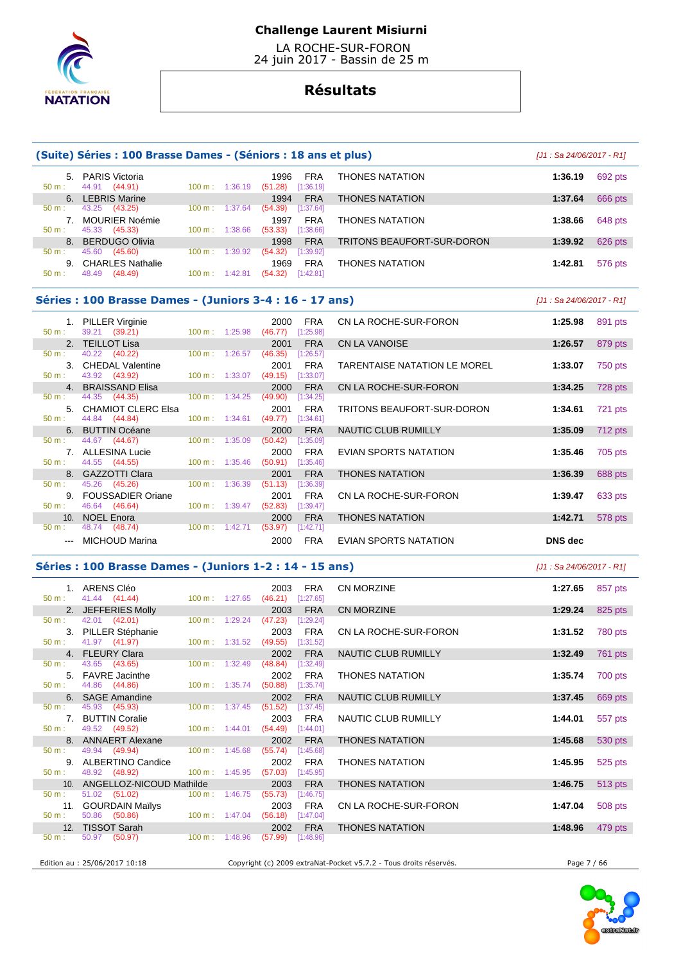

 LA ROCHE-SUR-FORON 24 juin 2017 - Bassin de 25 m

# **Résultats**

#### **(Suite) Séries : 100 Brasse Dames - (Séniors : 18 ans et plus)** [J1 : Sa 24/06/2017 - R1] 5. PARIS Victoria 1996 FRA THONES NATATION **1:36.19** 692 pts 50 m : 44.91 (44.91) 100 m : 1:36.19 (51.28) [1:36.19] 6. LEBRIS Marine 1994 FRA THONES NATATION **1:37.64** 666 pts 50 m : 43.25 (43.25) 100 m : 1:37.64 (54.39) [1:37.64] 7. MOURIER Noémie 1997 FRA THONES NATATION **1:38.66** 648 pts 45.33 (45.33) 100 m : 1:38.66 8. BERDUGO Olivia 1998 FRA TRITONS BEAUFORT-SUR-DORON **1:39.92** 626 pts 45.60 (45.60) 100 m : 1:39.92 (54.32) [1:39.92] 9. CHARLES Nathalie 1969 FRA THONES NATATION **1:42.81** 576 pts 50 m : 48.49 (48.49) 100 m : 1:42.81 (54.32) [1:42.81]

#### **Séries : 100 Brasse Dames - (Juniors 3-4 : 16 - 17 ans)** [J1 : Sa 24/06/2017 - R1]

| $50 m$ : | 1. PILLER Virginie<br>39.21 (39.21) | $100 \text{ m}: 1:25.98$  | 2000<br>(46.77) | FRA<br>[1:25.98] | CN LA ROCHE-SUR-FORON        | 1:25.98 | 891 pts   |
|----------|-------------------------------------|---------------------------|-----------------|------------------|------------------------------|---------|-----------|
|          | 2. TEILLOT Lisa                     |                           | 2001            | <b>FRA</b>       | <b>CN LA VANOISE</b>         | 1:26.57 | 879 pts   |
| $50 m$ : | 40.22 (40.22)                       | 100 m: 1:26.57            | (46.35)         | [1:26.57]        |                              |         |           |
|          | 3. CHEDAL Valentine                 |                           | 2001            | <b>FRA</b>       | TARENTAISE NATATION LE MOREL | 1:33.07 | 750 pts   |
| $50 m$ : | 43.92 (43.92)                       | $100 \text{ m}: 1:33.07$  | (49.15)         | [1:33.07]        |                              |         |           |
|          | 4. BRAISSAND Elisa                  |                           | 2000            | <b>FRA</b>       | CN LA ROCHE-SUR-FORON        | 1:34.25 | 728 pts   |
| $50 m$ : | 44.35 (44.35)                       | $100 \text{ m}: 1:34.25$  | (49.90)         | $[1:34.25]$      |                              |         |           |
|          | 5. CHAMIOT CLERC Elsa               |                           | 2001            | <b>FRA</b>       | TRITONS BEAUFORT-SUR-DORON   | 1:34.61 | 721 pts   |
| 50 m:    | 44.84 (44.84)                       | $100 \text{ m}: 1:34.61$  | (49.77)         | [1:34.61]        |                              |         |           |
|          | 6. BUTTIN Océane                    |                           | 2000            | <b>FRA</b>       | NAUTIC CLUB RUMILLY          | 1:35.09 | $712$ pts |
| 50 m:    | 44.67 (44.67)                       | $100 \text{ m}: 1:35.09$  | (50.42)         | [1:35.09]        |                              |         |           |
|          | 7. ALLESINA Lucie                   |                           | 2000            | <b>FRA</b>       | EVIAN SPORTS NATATION        | 1:35.46 | 705 pts   |
| $50 m$ : | 44.55 (44.55)                       | $100 \text{ m}$ : 1:35.46 | (50.91)         | [1:35.46]        |                              |         |           |
|          | 8. GAZZOTTI Clara                   |                           | 2001            | <b>FRA</b>       | <b>THONES NATATION</b>       | 1:36.39 | 688 pts   |
| $50 m$ : | 45.26 (45.26)                       | $100 \text{ m}: 1:36.39$  | (51.13)         | [1:36.39]        |                              |         |           |
| 9.       | <b>FOUSSADIER Oriane</b>            |                           | 2001            | <b>FRA</b>       | CN LA ROCHE-SUR-FORON        | 1:39.47 | 633 pts   |
| $50 m$ : | 46.64 (46.64)                       | 100 m: 1:39.47            | (52.83)         | [1:39.47]        |                              |         |           |
|          | 10. NOEL Enora                      |                           | 2000            | <b>FRA</b>       | <b>THONES NATATION</b>       | 1:42.71 | 578 pts   |
| $50 m$ : | 48.74 (48.74)                       | $100 m$ : 1:42.71         | (53.97)         | [1:42.71]        |                              |         |           |
|          | MICHOUD Marina                      |                           | 2000            | <b>FRA</b>       | EVIAN SPORTS NATATION        | DNS dec |           |

### **Séries : 100 Brasse Dames - (Juniors 1-2 : 14 - 15 ans)** [J1 : Sa 24/06/2017 - R1]

 1. ARENS Cléo 2003 FRA CN MORZINE **1:27.65** 857 pts  $41.44$   $(41.44)$   $100 \text{ m} \cdot 1:27.65$   $(46.21)$  2. JEFFERIES Molly 2003 FRA CN MORZINE **1:29.24** 825 pts  $50 \text{ m}$  :  $42.01$   $(42.01)$  3. PILLER Stéphanie 2003 FRA CN LA ROCHE-SUR-FORON **1:31.52** 780 pts  $(41.97)$  4. FLEURY Clara 2002 FRA NAUTIC CLUB RUMILLY **1:32.49** 761 pts 43.65 (43.65) 5. FAVRE Jacinthe 2002 FRA THONES NATATION **1:35.74** 700 pts<br> $\frac{50 \text{ m}}{44.86}$  (44.86) 100 m 1:35.74 (50.88) 11:35.74 1:35.74 **1:35.74 1:35.74 1:35.74 1:35.74 1:35.74 1:35.74 1:35.74 1:35.74 1:35.74 1:3**  50 m : 44.86 (44.86) 100 m : 1:35.74 (50.88) [1:35.74] 6. SAGE Amandine 2002 FRA NAUTIC CLUB RUMILLY **1:37.45** 669 pts 50 m : 45.93 (45.93) 100 m : 1:37.45 (51.52) [1:37.45] 7. BUTTIN Coralie 2003 FRA NAUTIC CLUB RUMILLY **1:44.01** 557 pts<br>
50 m : 49.52 (49.52) 100 m : 1:44.01 (54.49) [1:44.01] 49.52 (49.52) 8. ANNAERT Alexane 2002 FRA THONES NATATION **1:45.68** 530 pts 50 m : 49.94 (49.94) 100 m : 1:45.68 (55.74) 9. ALBERTINO Candice 2002 FRA THONES NATATION **1:45.95** 525 pts 50 m : 48.92 (48.92) 100 m : 1:45.95 (57.03) [1:45.95] 10. ANGELLOZ-NICOUD Mathilde 2003 FRA THONES NATATION **1:46.75** 513 pts 50 m : 51.02 (51.02) 100 m : 1:46.75 (55.73) [1:46.75] 11. GOURDAIN Maïlys 2003 FRA CN LA ROCHE-SUR-FORON **1:47.04** 508 pts 50 m : 50.86 (50.86) 100 m : 1:47.04 (56.18) [1:47.04] 12. TISSOT Sarah 2002 FRA THONES NATATION **1:48.96** 479 pts  $(57.99)$ 

Edition au : 25/06/2017 10:18 Copyright (c) 2009 extraNat-Pocket v5.7.2 - Tous droits réservés. Page 7 / 66

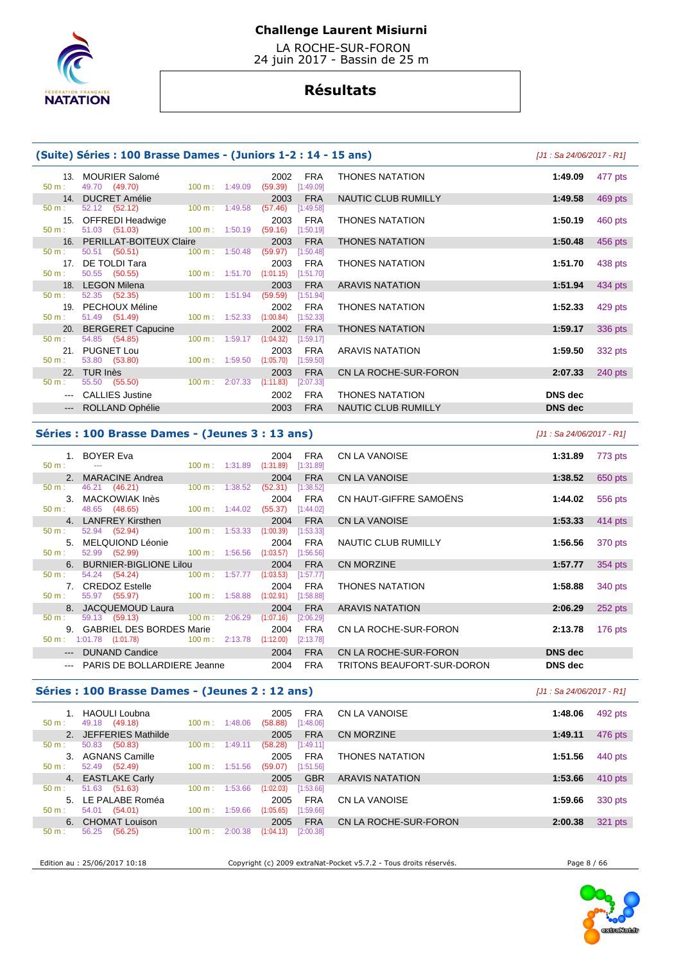

 LA ROCHE-SUR-FORON 24 juin 2017 - Bassin de 25 m

# **Résultats**

### **(Suite) Séries : 100 Brasse Dames - (Juniors 1-2 : 14 - 15 ans)** [J1 : Sa 24/06/2017 - R1]

| 13 <sub>1</sub> | MOURIER Salomé                                        |                           | 2002                             | FRA                     | <b>THONES NATATION</b> | 1:49.09        |
|-----------------|-------------------------------------------------------|---------------------------|----------------------------------|-------------------------|------------------------|----------------|
| $50 m$ :        | 49.70 (49.70)                                         | $100 \text{ m}: 1:49.09$  | $(59.39)$ [1:49.09]              |                         |                        |                |
| 14.<br>50 m:    | <b>DUCRET Amélie</b><br>52.12 (52.12) 100 m : 1:49.58 |                           | 2003<br>(57.46)                  | <b>FRA</b><br>[1:49.58] | NAUTIC CLUB RUMILLY    | 1:49.58        |
|                 |                                                       |                           |                                  |                         |                        |                |
| 15.<br>50 m:    | OFFREDI Headwige                                      |                           | 2003                             | FRA                     | <b>THONES NATATION</b> | 1:50.19        |
|                 | 51.03 (51.03) 100 m : 1:50.19                         |                           | (59.16)                          | [1:50.19]               |                        |                |
|                 | 16. PERILLAT-BOITEUX Claire                           |                           | 2003                             | <b>FRA</b>              | <b>THONES NATATION</b> | 1:50.48        |
| 50 m:           | 50.51 (50.51)                                         |                           | 100 m: 1:50.48 (59.97) [1:50.48] |                         |                        |                |
| 17.             | DE TOLDI Tara                                         |                           | 2003                             | FRA                     | <b>THONES NATATION</b> | 1:51.70        |
| $50 m$ :        | 50.55 (50.55)                                         | $100 \text{ m}$ : 1:51.70 | (1:01.15)                        | [1:51.70]               |                        |                |
|                 | 18. LEGON Milena                                      |                           | 2003                             | <b>FRA</b>              | <b>ARAVIS NATATION</b> | 1:51.94        |
| $50 m$ :        | 52.35 (52.35)                                         | $100 \text{ m}: 1:51.94$  | (59.59)                          | [1:51.94]               |                        |                |
| 19.             | PECHOUX Méline                                        |                           | 2002                             | FRA                     | <b>THONES NATATION</b> | 1:52.33        |
| $50 m$ :        | 51.49 (51.49)                                         | 100 m : 1:52.33           | (1:00.84)                        | [1:52.33]               |                        |                |
|                 | 20. BERGERET Capucine                                 |                           | 2002                             | <b>FRA</b>              | <b>THONES NATATION</b> | 1:59.17        |
| 50 m:           | 54.85 (54.85)                                         | 100 m: 1:59.17            | (1:04.32)                        | [1:59.17]               |                        |                |
| 21.             | <b>PUGNET Lou</b>                                     |                           | 2003                             | FRA                     | <b>ARAVIS NATATION</b> | 1:59.50        |
| 50 m:           | 53.80 (53.80)                                         | $100 \text{ m}: 1:59.50$  | (1:05.70)                        | $[1:59.50]$             |                        |                |
| 22.             | TUR Inès                                              |                           | 2003                             | <b>FRA</b>              | CN LA ROCHE-SUR-FORON  | 2:07.33        |
| 50 m:           | 55.50 (55.50)                                         | 100 m: 2:07.33            | (1:11.83)                        | [2:07.33]               |                        |                |
|                 | <b>CALLIES Justine</b>                                |                           | 2002                             | FRA                     | <b>THONES NATATION</b> | <b>DNS</b> dec |
|                 | --- ROLLAND Ophélie                                   |                           | 2003                             | <b>FRA</b>              | NAUTIC CLUB RUMILLY    | <b>DNS</b> dec |
|                 |                                                       |                           |                                  |                         |                        |                |

|                                                                                                                                                                                                                                                                                                                                                                                                                                                                            | <b>E</b> , Series . Too brasse Danies - (Juniors I-2 . I+ - IJ ans) |                   |                          |                 |                         |                            | $191.982 - 700/2011 - 111$ |         |
|----------------------------------------------------------------------------------------------------------------------------------------------------------------------------------------------------------------------------------------------------------------------------------------------------------------------------------------------------------------------------------------------------------------------------------------------------------------------------|---------------------------------------------------------------------|-------------------|--------------------------|-----------------|-------------------------|----------------------------|----------------------------|---------|
| 13.                                                                                                                                                                                                                                                                                                                                                                                                                                                                        | <b>MOURIER Salomé</b><br>49.70 (49.70)                              |                   | $100 \text{ m}: 1:49.09$ | 2002<br>(59.39) | <b>FRA</b><br>[1:49.09] | <b>THONES NATATION</b>     | 1:49.09                    | 477 pts |
| 14.                                                                                                                                                                                                                                                                                                                                                                                                                                                                        | <b>DUCRET Amélie</b>                                                |                   |                          | 2003            | <b>FRA</b>              | NAUTIC CLUB RUMILLY        | 1:49.58                    | 469 pts |
|                                                                                                                                                                                                                                                                                                                                                                                                                                                                            | 52.12 (52.12)                                                       |                   | $100 \text{ m}: 1:49.58$ | (57.46)         | [1:49.58]               |                            |                            |         |
| 15.                                                                                                                                                                                                                                                                                                                                                                                                                                                                        | <b>OFFREDI Headwige</b>                                             |                   |                          | 2003            | <b>FRA</b>              | <b>THONES NATATION</b>     | 1:50.19                    | 460 pts |
|                                                                                                                                                                                                                                                                                                                                                                                                                                                                            | 51.03 (51.03)                                                       |                   | $100 \text{ m}: 1:50.19$ | (59.16)         | [1:50.19]               |                            |                            |         |
| 16.                                                                                                                                                                                                                                                                                                                                                                                                                                                                        | <b>PERILLAT-BOITEUX Claire</b>                                      |                   |                          | 2003            | <b>FRA</b>              | <b>THONES NATATION</b>     | 1:50.48                    | 456 pts |
|                                                                                                                                                                                                                                                                                                                                                                                                                                                                            | 50.51 (50.51)                                                       |                   | 100 m: 1:50.48           | (59.97)         | [1:50.48]               |                            |                            |         |
| 17.                                                                                                                                                                                                                                                                                                                                                                                                                                                                        | DE TOLDI Tara                                                       |                   |                          | 2003            | <b>FRA</b>              | <b>THONES NATATION</b>     | 1:51.70                    | 438 pts |
|                                                                                                                                                                                                                                                                                                                                                                                                                                                                            | 50.55 (50.55)                                                       |                   | 100 m: 1:51.70           | (1:01.15)       | [1:51.70]               |                            |                            |         |
| 18.                                                                                                                                                                                                                                                                                                                                                                                                                                                                        | <b>LEGON Milena</b>                                                 |                   |                          | 2003            | <b>FRA</b>              | <b>ARAVIS NATATION</b>     | 1:51.94                    | 434 pts |
|                                                                                                                                                                                                                                                                                                                                                                                                                                                                            | $52.35$ $(52.35)$                                                   |                   | $100 m$ : 1:51.94        | (59.59)         | [1:51.94]               |                            |                            |         |
| 19.                                                                                                                                                                                                                                                                                                                                                                                                                                                                        | PECHOUX Méline                                                      |                   |                          | 2002            | <b>FRA</b>              | <b>THONES NATATION</b>     | 1:52.33                    | 429 pts |
| t.                                                                                                                                                                                                                                                                                                                                                                                                                                                                         | 51.49 (51.49)                                                       | $100 \text{ m}$ : | 1:52.33                  | (1:00.84)       | [1:52.33]               |                            |                            |         |
| 20.                                                                                                                                                                                                                                                                                                                                                                                                                                                                        | <b>BERGERET Capucine</b>                                            |                   |                          | 2002            | <b>FRA</b>              | <b>THONES NATATION</b>     | 1:59.17                    | 336 pts |
|                                                                                                                                                                                                                                                                                                                                                                                                                                                                            | 54.85 (54.85)                                                       | $100 \text{ m}$ : | 1:59.17                  | (1:04.32)       | [1:59.17]               |                            |                            |         |
| 21.                                                                                                                                                                                                                                                                                                                                                                                                                                                                        | <b>PUGNET Lou</b>                                                   |                   |                          | 2003            | <b>FRA</b>              | <b>ARAVIS NATATION</b>     | 1:59.50                    | 332 pts |
|                                                                                                                                                                                                                                                                                                                                                                                                                                                                            | 53.80 (53.80)                                                       |                   | $100 \text{ m}: 1:59.50$ | (1:05.70)       | [1:59.50]               |                            |                            |         |
| 22.                                                                                                                                                                                                                                                                                                                                                                                                                                                                        | TUR Inès                                                            |                   |                          | 2003            | <b>FRA</b>              | CN LA ROCHE-SUR-FORON      | 2:07.33                    | 240 pts |
|                                                                                                                                                                                                                                                                                                                                                                                                                                                                            | 55.50 (55.50)                                                       | $100 \text{ m}$ : | 2:07.33                  | (1:11.83)       | [2:07.33]               |                            |                            |         |
| $\frac{1}{2} \left( \frac{1}{2} \right) \left( \frac{1}{2} \right) \left( \frac{1}{2} \right) \left( \frac{1}{2} \right) \left( \frac{1}{2} \right) \left( \frac{1}{2} \right) \left( \frac{1}{2} \right) \left( \frac{1}{2} \right) \left( \frac{1}{2} \right) \left( \frac{1}{2} \right) \left( \frac{1}{2} \right) \left( \frac{1}{2} \right) \left( \frac{1}{2} \right) \left( \frac{1}{2} \right) \left( \frac{1}{2} \right) \left( \frac{1}{2} \right) \left( \frac$ | <b>CALLIES Justine</b>                                              |                   |                          | 2002            | <b>FRA</b>              | <b>THONES NATATION</b>     | <b>DNS</b> dec             |         |
|                                                                                                                                                                                                                                                                                                                                                                                                                                                                            | --- ROLLAND Ophélie                                                 |                   |                          | 2003            | <b>FRA</b>              | <b>NAUTIC CLUB RUMILLY</b> | <b>DNS</b> dec             |         |

#### **Séries : 100 Brasse Dames - (Jeunes 3 : 13 ans)** [J1 : Sa 24/06/2017 - R1]

| $50 \text{ m}$ : | 1. BOYER Eva<br>---                                |                   | $100 \text{ m}: 1:31.89$ | $(1:31.89)$ $[1:31.89]$ | 2004 FRA   |
|------------------|----------------------------------------------------|-------------------|--------------------------|-------------------------|------------|
|                  | 2. MARACINE Andrea                                 |                   |                          |                         | 2004 FRA   |
| 50 m:            | 46.21 (46.21)                                      | $100 \text{ m}$ : | 1:38.52                  | $(52.31)$ [1:38.52]     |            |
| 3.               | <b>MACKOWIAK Inès</b>                              |                   |                          | 2004                    | <b>FRA</b> |
| $50 m$ :         | 48.65 (48.65)                                      |                   | $100 \text{ m}: 1:44.02$ | (55.37)                 | [1:44.02]  |
| 4 <sup>1</sup>   | <b>LANFREY Kirsthen</b>                            |                   |                          |                         | 2004 FRA   |
| 50 m:            | 52.94 (52.94)                                      | $100 \text{ m}$ : | 1:53.33                  | $(1:00.39)$ $[1:53.33]$ |            |
| 5.               | MELQUIOND Léonie                                   |                   |                          | 2004                    | <b>FRA</b> |
| 50 m:            | 100 m: 1:56.56<br>52.99 (52.99)                    |                   |                          | (1:03.57)               | [1:56.56]  |
| 6.               | <b>BURNIER-BIGLIONE Lilou</b>                      |                   |                          | 2004                    | <b>FRA</b> |
| $50 \text{ m}$ : | 54.24 (54.24) 100 m : 1:57.77                      |                   |                          | $(1:03.53)$ [1:57.77]   |            |
| 7 <sub>1</sub>   | <b>CREDOZ Estelle</b>                              |                   |                          | 2004                    | <b>FRA</b> |
| $50 \text{ m}$ : | 55.97 (55.97) 100 m :                              |                   | 1:58.88                  | (1:02.91)               | [1:58.88]  |
| 8.               | JACQUEMOUD Laura                                   |                   |                          | 2004                    | <b>FRA</b> |
| $50 \text{ m}$ : | $100 \text{ m}$ :<br>59.13 (59.13)                 |                   | 2:06.29                  | (1:07.16)               | [2:06.29]  |
|                  | 9. GABRIEL DES BORDES Marie                        |                   |                          | 2004                    | <b>FRA</b> |
|                  | 50 m : 1:01.78 (1:01.78) 100 m : 2:13.78 (1:12.00) |                   |                          |                         | [2:13.78]  |
|                  | <b>DUNAND Candice</b>                              |                   |                          | 2004                    | <b>FRA</b> |
|                  | PARIS DE BOLLARDIERE Jeanne                        |                   |                          | 2004                    | FRA        |
|                  |                                                    |                   |                          |                         |            |

# 2. CN LA VANOISE **1:38.52** 650 pts CN HAUT-GIFFRE SAMOËNS **1:44.02** 556 pts 4. LANFREY Kirsthen 2004 FRA CN LA VANOISE **1:53.33** 414 pts **NAUTIC CLUB RUMILLY** 1:56.56 370 pts 6. BURNIER-BIGLIONE Lilou 2004 FRA CN MORZINE **1:57.77** 354 pts THONES NATATION **1:58.88** 340 pts ARAVIS NATATION **2:06.29 2:06.29 252 pts CN LA ROCHE-SUR-FORON 2:13.78 176 pts**

 $CN LA ROCHE-SUR-FORON$  DNS dec TRITONS BEAUFORT-SUR-DORON **DNS dec** 

1. BOYER Eva 2004 FRA CN LA VANOISE **1:31.89** 773 pts

# **Séries : 100 Brasse Dames - (Jeunes 2 : 12 ans)** [J1 : Sa 24/06/2017 - R1]

| $50 \text{ m}$ : | 1. HAOULI Loubna<br>49.18 (49.18) | $100 \text{ m}: 1:48.06$     | <b>FRA</b><br>2005<br>(58.88)<br>[1:48.06] | CN LA VANOISE          | 1:48.06 | 492 pts |
|------------------|-----------------------------------|------------------------------|--------------------------------------------|------------------------|---------|---------|
|                  | 2. JEFFERIES Mathilde             |                              | <b>FRA</b><br>2005                         | CN MORZINE             | 1:49.11 | 476 pts |
| $50 \text{ m}$ : | 50.83<br>(50.83)                  | 1:49.11<br>$100 \text{ m}$ : | (58.28)<br>[1:49.11]                       |                        |         |         |
| 3.               | AGNANS Camille                    |                              | <b>FRA</b><br>2005                         | <b>THONES NATATION</b> | 1:51.56 | 440 pts |
| $50 \text{ m}$ : | 52.49 (52.49)                     | $100 \text{ m}$ : 1:51.56    | [1:51.56]<br>(59.07)                       |                        |         |         |
|                  | 4. EASTLAKE Carly                 |                              | <b>GBR</b><br>2005                         | <b>ARAVIS NATATION</b> | 1:53.66 | 410 pts |
| 50 m :           | 51.63 (51.63)                     | 1:53.66<br>$100 \text{ m}$ : | (1:02.03)<br>[1:53.66]                     |                        |         |         |
| 5.               | LE PALABE Roméa                   |                              | <b>FRA</b><br>2005                         | CN LA VANOISE          | 1:59.66 | 330 pts |
| $50 \text{ m}$ : | 54.01<br>(54.01)                  | $100 \text{ m}$ :<br>1:59.66 | (1:05.65)<br>[1:59.66]                     |                        |         |         |
|                  | 6. CHOMAT Louison                 |                              | <b>FRA</b><br>2005                         | CN LA ROCHE-SUR-FORON  | 2:00.38 | 321 pts |
| $50 m$ :         | 56.25<br>(56.25)                  | 2:00.38<br>100 m:            | (1:04.13)<br>[2:00.38]                     |                        |         |         |

Edition au : 25/06/2017 10:18 Copyright (c) 2009 extraNat-Pocket v5.7.2 - Tous droits réservés. Page 8 / 66

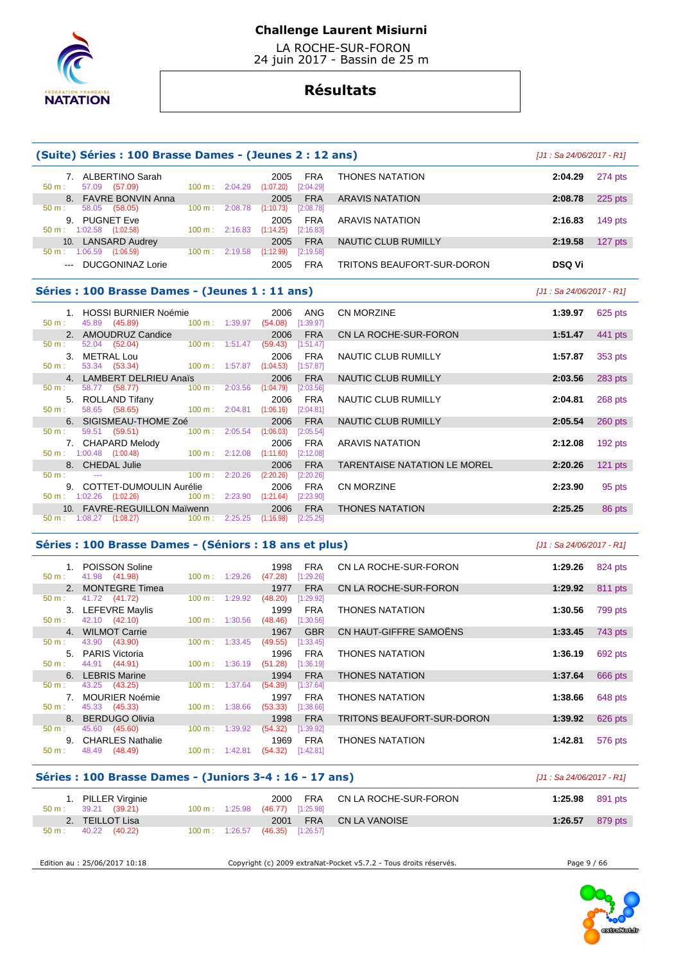

 LA ROCHE-SUR-FORON 24 juin 2017 - Bassin de 25 m

# **Résultats**

|                  | (Suite) Séries : 100 Brasse Dames - (Jeunes 2 : 12 ans)                          |                                      |                                      |                                            |                         |                                     | $[J1: Sa 24/06/2017 - R1]$ |           |
|------------------|----------------------------------------------------------------------------------|--------------------------------------|--------------------------------------|--------------------------------------------|-------------------------|-------------------------------------|----------------------------|-----------|
| 50 m:            | 7. ALBERTINO Sarah<br>57.09 (57.09)                                              |                                      |                                      | 2005<br>100 m: 2:04.29 (1:07.20) [2:04.29] | FRA                     | <b>THONES NATATION</b>              | 2:04.29                    | 274 pts   |
|                  | 8. FAVRE BONVIN Anna                                                             |                                      |                                      | 2005                                       | <b>FRA</b>              | <b>ARAVIS NATATION</b>              | 2:08.78                    | 225 pts   |
| 50 m:            | 58.05 (58.05)                                                                    |                                      |                                      | $100 \text{ m}: 2:08.78$ $(1:10.73)$       | [2:08.78]               |                                     |                            |           |
|                  | 9. PUGNET Eve                                                                    |                                      |                                      | 2005                                       | <b>FRA</b>              | <b>ARAVIS NATATION</b>              | 2:16.83                    | $149$ pts |
|                  | $50 \text{ m}$ : 1:02.58 (1:02.58)                                               |                                      |                                      | $100 \text{ m}: 2:16.83$ $(1:14.25)$       | [2:16.83]               |                                     |                            |           |
|                  | 10. LANSARD Audrey<br>$50 \text{ m}: 1:06.59$ $(1:06.59)$                        | 100 m: 2:19.58                       |                                      | 2005<br>(1:12.99)                          | <b>FRA</b><br>[2:19.58] | NAUTIC CLUB RUMILLY                 | 2:19.58                    | $127$ pts |
|                  | --- DUCGONINAZ Lorie                                                             |                                      |                                      | 2005                                       | <b>FRA</b>              | TRITONS BEAUFORT-SUR-DORON          | <b>DSQ Vi</b>              |           |
|                  | Séries : 100 Brasse Dames - (Jeunes 1 : 11 ans)                                  |                                      |                                      |                                            |                         |                                     | [J1 : Sa 24/06/2017 - R1]  |           |
|                  | 1. HOSSI BURNIER Noémie                                                          |                                      |                                      | 2006                                       | ANG                     | CN MORZINE                          | 1:39.97                    | 625 pts   |
| 50 m:            | 45.89 (45.89) 100 m : 1:39.97 (54.08) [1:39.97]                                  |                                      |                                      |                                            |                         |                                     |                            |           |
|                  | 2. AMOUDRUZ Candice                                                              |                                      |                                      | 2006                                       | <b>FRA</b>              | CN LA ROCHE-SUR-FORON               | 1:51.47                    | 441 pts   |
| $50 \text{ m}$ : | 52.04 (52.04)                                                                    | 100 m: 1:51.47                       |                                      | (59.43)                                    | [1:51.47]               |                                     |                            |           |
|                  | 3. METRAL Lou                                                                    |                                      |                                      | 2006                                       | <b>FRA</b>              | NAUTIC CLUB RUMILLY                 | 1:57.87                    | 353 pts   |
| $50 m$ :         | 53.34 (53.34)                                                                    | 100 m: 1:57.87 (1:04.53)             |                                      |                                            | [1:57.87]               |                                     |                            |           |
| $50 \text{ m}$ : | 4. LAMBERT DELRIEU Anaïs<br>58.77 (58.77)                                        |                                      | 100 m: 2:03.56 (1:04.79)             | 2006                                       | <b>FRA</b><br>[2:03.56] | NAUTIC CLUB RUMILLY                 | 2:03.56                    | 283 pts   |
|                  | 5. ROLLAND Tifany                                                                |                                      |                                      | 2006                                       | <b>FRA</b>              | NAUTIC CLUB RUMILLY                 | 2:04.81                    | 268 pts   |
| 50 m:            | 58.65 (58.65)                                                                    | $100 \text{ m}: 2:04.81$ $(1:06.16)$ |                                      |                                            | [2:04.81]               |                                     |                            |           |
|                  | 6. SIGISMEAU-THOME Zoé                                                           |                                      |                                      | 2006                                       | <b>FRA</b>              | NAUTIC CLUB RUMILLY                 | 2:05.54                    | 260 pts   |
| 50 m:            | 59.51 (59.51)                                                                    |                                      | $100 \text{ m}: 2:05.54$ $(1:06.03)$ |                                            | [2:05.54]               |                                     |                            |           |
|                  | 7. CHAPARD Melody                                                                |                                      |                                      | 2006                                       | <b>FRA</b>              | <b>ARAVIS NATATION</b>              | 2:12.08                    | 192 pts   |
|                  | $50 \text{ m}$ : 1:00.48 (1:00.48)                                               |                                      | $100 \text{ m}: 2:12.08$ $(1:11.60)$ |                                            | [2:12.08]               |                                     |                            |           |
|                  | 8. CHEDAL Julie                                                                  |                                      |                                      | 2006                                       | <b>FRA</b>              | <b>TARENTAISE NATATION LE MOREL</b> | 2:20.26                    | $121$ pts |
| $50 \text{ m}$ : | the company of the company of the                                                | 100 m: 2:20.26                       |                                      | (2:20.26)                                  | [2:20.26]               |                                     |                            |           |
|                  | 9. COTTET-DUMOULIN Aurélie<br>50 m : 1:02.26 (1:02.26) 100 m : 2:23.90 (1:21.64) |                                      |                                      | 2006                                       | <b>FRA</b>              | <b>CN MORZINE</b>                   | 2:23.90                    | 95 pts    |
|                  | 10. FAVRE-REGUILLON Maïwenn                                                      |                                      |                                      | 2006                                       | [2:23.90]<br><b>FRA</b> | <b>THONES NATATION</b>              | 2:25.25                    | 86 pts    |
|                  | $50 \text{ m}: 1:08.27 \quad (1:08.27)$ 100 m :                                  |                                      | 2:25.25                              | (1:16.98)                                  | [2:25.25]               |                                     |                            |           |
|                  |                                                                                  |                                      |                                      |                                            |                         |                                     |                            |           |

# **Séries : 100 Brasse Dames - (Séniors : 18 ans et plus)** [J1 : Sa 24/06/2017 - R1]

| 50 m:    | 1. POISSON Soline<br>41.98 (41.98) | $100 \text{ m}: 1:29.26$     | 1998<br>FRA<br>(47.28)<br>[1:29.26] | CN LA ROCHE-SUR-FORON      | 1:29.26 | 824 pts |
|----------|------------------------------------|------------------------------|-------------------------------------|----------------------------|---------|---------|
|          | 2. MONTEGRE Timea                  |                              | <b>FRA</b><br>1977                  | CN LA ROCHE-SUR-FORON      | 1:29.92 | 811 pts |
| 50 m:    | 41.72 (41.72)                      | 1:29.92<br>$100 \text{ m}$ : | (48.20)<br>[1:29.92]                |                            |         |         |
|          | 3. LEFEVRE Maylis                  |                              | <b>FRA</b><br>1999                  | <b>THONES NATATION</b>     | 1:30.56 | 799 pts |
| $50 m$ : | 42.10 (42.10)                      | $100 \text{ m}$ :<br>1:30.56 | (48.46)<br>[1:30.56]                |                            |         |         |
|          | 4. WILMOT Carrie                   |                              | <b>GBR</b><br>1967                  | CN HAUT-GIFFRE SAMOËNS     | 1:33.45 | 743 pts |
| 50 m:    | 43.90 (43.90)                      | $100 \text{ m}$ :<br>1:33.45 | (49.55)<br>[1:33.45]                |                            |         |         |
|          | 5. PARIS Victoria                  |                              | <b>FRA</b><br>1996                  | <b>THONES NATATION</b>     | 1:36.19 | 692 pts |
| 50 m:    | 44.91 (44.91)                      | $100 \text{ m}: 1:36.19$     | (51.28)<br>[1:36.19]                |                            |         |         |
|          | 6. LEBRIS Marine                   |                              | <b>FRA</b><br>1994                  | <b>THONES NATATION</b>     | 1:37.64 | 666 pts |
| $50 m$ : | 43.25 (43.25)                      | 100 m:<br>1:37.64            | (54.39)<br>[1:37.64]                |                            |         |         |
|          | 7. MOURIER Noémie                  |                              | <b>FRA</b><br>1997                  | <b>THONES NATATION</b>     | 1:38.66 | 648 pts |
| $50 m$ : | 45.33 (45.33)                      | $100 \text{ m}$ :<br>1:38.66 | (53.33)<br>[1:38.66]                |                            |         |         |
|          | 8. BERDUGO Olivia                  |                              | <b>FRA</b><br>1998                  | TRITONS BEAUFORT-SUR-DORON | 1:39.92 | 626 pts |
| 50 m:    | 45.60 (45.60)                      | 1:39.92<br>$100 \text{ m}$ : | (54.32)<br>[1:39.92]                |                            |         |         |
|          | 9. CHARLES Nathalie                |                              | 1969<br><b>FRA</b>                  | <b>THONES NATATION</b>     | 1:42.81 | 576 pts |
| $50 m$ : | 48.49 (48.49)                      | $100 m$ : 1:42.81            | (54.32)<br>[1:42.81]                |                            |         |         |
|          |                                    |                              |                                     |                            |         |         |

### **Séries : 100 Brasse Dames - (Juniors 3-4 : 16 - 17 ans)** [J1 : Sa 24/06/2017 - R1]

|          | 1. PILLER Virginie<br>$50 \text{ m}: 39.21 (39.21)$ |  | 2000<br>100 m: 1:25.98 (46.77) [1:25.98] | FRA CN LA ROCHE-SUR-FORON |         | <b>1:25.98</b> 891 pts |
|----------|-----------------------------------------------------|--|------------------------------------------|---------------------------|---------|------------------------|
|          | 2. TEILLOT Lisa                                     |  |                                          | 2001 FRA CN LA VANOISE    | 1:26.57 | 879 pts                |
| $50 m$ : | 40.22 (40.22)                                       |  | 100 m: 1:26.57 (46.35) [1:26.57]         |                           |         |                        |

Edition au : 25/06/2017 10:18 Copyright (c) 2009 extraNat-Pocket v5.7.2 - Tous droits réservés. Page 9 / 66

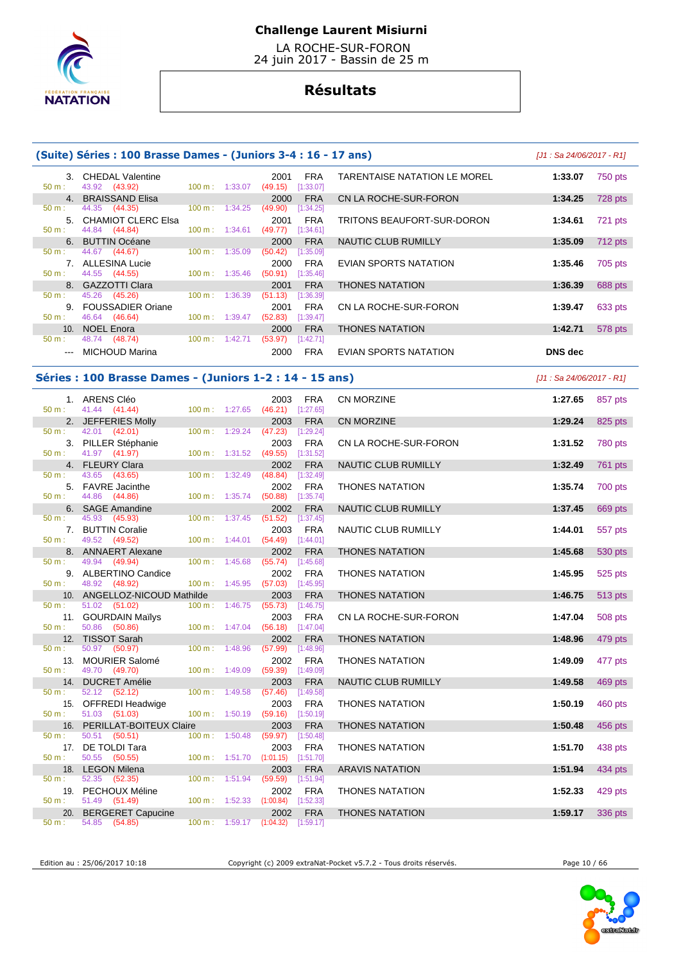

 LA ROCHE-SUR-FORON 24 juin 2017 - Bassin de 25 m

# **Résultats**

|                | (Suite) Séries : 100 Brasse Dames - (Juniors 3-4 : 16 - 17 ans) |                                               |         |                                                                    |                              | $[J1: Sa 24/06/2017 - R1]$ |         |
|----------------|-----------------------------------------------------------------|-----------------------------------------------|---------|--------------------------------------------------------------------|------------------------------|----------------------------|---------|
| 50 m:          | 3. CHEDAL Valentine<br>43.92 (43.92)                            | 100 m: 1:33.07                                |         | <b>FRA</b><br>2001<br>$(49.15)$ [1:33.07]                          | TARENTAISE NATATION LE MOREL | 1:33.07                    | 750 pts |
| 50 m:          | 4. BRAISSAND Elisa<br>44.35 (44.35)                             |                                               |         | <b>FRA</b><br>2000                                                 | CN LA ROCHE-SUR-FORON        | 1:34.25                    | 728 pts |
| 50 m:          | 5. CHAMIOT CLERC Elsa<br>44.84<br>(44.84)                       | $100 \text{ m}: 1:34.25$<br>$100 m$ : 1:34.61 |         | (49.90)<br>[1:34.25]<br><b>FRA</b><br>2001<br>(49.77)<br>[1:34.61] | TRITONS BEAUFORT-SUR-DORON   | 1:34.61                    | 721 pts |
| 6.             | <b>BUTTIN Océane</b>                                            |                                               |         | <b>FRA</b><br>2000                                                 | NAUTIC CLUB RUMILLY          | 1:35.09                    | 712 pts |
| 50 m:          | 44.67 (44.67)<br>7. ALLESINA Lucie                              | $100 \text{ m}$ :                             | 1:35.09 | (50.42)<br>[1:35.09]<br>2000<br><b>FRA</b>                         | EVIAN SPORTS NATATION        | 1:35.46                    | 705 pts |
| 50 m:          | 44.55 (44.55)<br>8. GAZZOTTI Clara                              | 100 m:                                        | 1:35.46 | (50.91)<br>[1:35.46]<br><b>FRA</b><br>2001                         | <b>THONES NATATION</b>       | 1:36.39                    | 688 pts |
| 50 m:          | 45.26 (45.26)                                                   | $100 \text{ m}: 1:36.39$                      |         | (51.13)<br>[1:36.39]                                               |                              |                            |         |
|                | 9. FOUSSADIER Oriane<br>46.64 (46.64)                           | 100 m:                                        | 1:39.47 | <b>FRA</b><br>2001<br>(52.83)<br>$[1:39.47]$                       | CN LA ROCHE-SUR-FORON        | 1:39.47                    | 633 pts |
|                | 10. NOEL Enora                                                  |                                               |         | 2000<br><b>FRA</b>                                                 | <b>THONES NATATION</b>       | 1:42.71                    | 578 pts |
| $---$          | 48.74 (48.74)<br>MICHOUD Marina                                 | 100 m: 1:42.71                                |         | (53.97)<br>[1:42.71]<br><b>FRA</b><br>2000                         | EVIAN SPORTS NATATION        | <b>DNS</b> dec             |         |
|                | Séries : 100 Brasse Dames - (Juniors 1-2 : 14 - 15 ans)         |                                               |         |                                                                    |                              | [J1 : Sa 24/06/2017 - R1]  |         |
| $50 m$ :       | 1. ARENS Cléo<br>41.44 (41.44)                                  | 100 m: 1:27.65                                |         | <b>FRA</b><br>2003<br>$(46.21)$ [1:27.65]                          | CN MORZINE                   | 1:27.65                    | 857 pts |
| 50 m:          | 2. JEFFERIES Molly                                              |                                               |         | 2003<br><b>FRA</b>                                                 | CN MORZINE                   | 1:29.24                    | 825 pts |
|                | 42.01 (42.01)<br>3. PILLER Stéphanie<br>41.97 (41.97)           | $100 \text{ m}: 1:29.24$<br>100 m:            | 1:31.52 | (47.23)<br>[1:29.24]<br>2003<br>FRA<br>(49.55)<br>[1:31.52]        | CN LA ROCHE-SUR-FORON        | 1:31.52                    | 780 pts |
|                | 4. FLEURY Clara                                                 |                                               |         | <b>FRA</b><br>2002                                                 | NAUTIC CLUB RUMILLY          | 1:32.49                    | 761 pts |
|                | 43.65 (43.65)<br>5. FAVRE Jacinthe                              | $100 \text{ m}$ :                             | 1:32.49 | [1:32.49]<br>(48.84)<br>2002<br>FRA                                | <b>THONES NATATION</b>       | 1:35.74                    | 700 pts |
|                | 44.86 (44.86)                                                   | 100 m: 1:35.74                                |         | [1:35.74]<br>(50.88)                                               |                              |                            |         |
|                | 6. SAGE Amandine<br>45.93<br>(45.93)                            | $100 \text{ m}: 1:37.45$                      |         | 2002<br><b>FRA</b><br>(51.52)<br>[1:37.45]                         | NAUTIC CLUB RUMILLY          | 1:37.45                    | 669 pts |
|                | 7. BUTTIN Coralie<br>49.52 (49.52)                              | $100 \text{ m}: 1:44.01$                      |         | <b>FRA</b><br>2003<br>(54.49)<br>[1:44.01]                         | NAUTIC CLUB RUMILLY          | 1:44.01                    | 557 pts |
|                | 8. ANNAERT Alexane<br>49.94<br>(49.94)                          | 100 m:                                        | 1:45.68 | 2002<br><b>FRA</b><br>(55.74)<br>[1:45.68]                         | <b>THONES NATATION</b>       | 1:45.68                    | 530 pts |
| 50 m:<br>50 m: | 9. ALBERTINO Candice<br>48.92<br>(48.92)                        | $100 \text{ m}: 1:45.95$                      |         | 2002<br>FRA<br>(57.03)<br>$[1:45.95]$                              | <b>THONES NATATION</b>       | 1:45.95                    | 525 pts |
| 50 m:          | 10. ANGELLOZ-NICOUD Mathilde                                    |                                               |         | <b>FRA</b><br>2003                                                 | <b>THONES NATATION</b>       | 1:46.75                    | 513 pts |
|                | 51.02<br>(51.02)<br>11. GOURDAIN Mailys                         | 100 m: 1:46.75                                |         | $(55.73)$ [1:46.75]<br>2003<br>FRA<br>(56.18)                      | CN LA ROCHE-SUR-FORON        | 1:47.04                    | 508 pts |
| 50 m:          | 50.86<br>(50.86)<br>12. TISSOT Sarah                            | $100 \text{ m}: 1:47.04$                      |         | [1:47.04]<br>2002<br><b>FRA</b>                                    | <b>THONES NATATION</b>       | 1:48.96                    | 479 pts |
| $50 m$ :       | 50.97 (50.97)<br>13. MOURIER Salomé                             |                                               |         | 100 m: 1:48.96 (57.99) [1:48.96]<br><b>FRA</b><br>2002             | <b>THONES NATATION</b>       | 1:49.09                    | 477 pts |
|                | 49.70 (49.70)<br>14. DUCRET Amélie                              | $100 \text{ m}: 1:49.09$                      |         | (59.39)<br>[1:49.09]<br>2003<br><b>FRA</b>                         | NAUTIC CLUB RUMILLY          | 1:49.58                    | 469 pts |
| 50 m:          | 52.12 (52.12)                                                   | 100 m: 1:49.58                                |         | (57.46)<br>[1:49.58]                                               |                              |                            |         |
|                | 15. OFFREDI Headwige<br>51.03 (51.03)                           | $100 \text{ m}: 1:50.19$                      |         | 2003<br><b>FRA</b><br>$(59.16)$ $[1:50.19]$                        | <b>THONES NATATION</b>       | 1:50.19                    | 460 pts |
| 16.            | PERILLAT-BOITEUX Claire                                         |                                               |         | 2003<br><b>FRA</b>                                                 | <b>THONES NATATION</b>       | 1:50.48                    | 456 pts |
| $50 m$ :       | 50.51 (50.51)<br>17. DE TOLDI Tara                              | 100 m:                                        | 1:50.48 | $(59.97)$ [1:50.48]<br>2003<br><b>FRA</b>                          | <b>THONES NATATION</b>       | 1:51.70                    | 438 pts |
| 50 m:<br>18.   | 50.55 (50.55)<br><b>LEGON Milena</b>                            |                                               |         | 100 m: 1:51.70 (1:01.15) [1:51.70]<br>2003<br><b>FRA</b>           | <b>ARAVIS NATATION</b>       | 1:51.94                    | 434 pts |
| 50 m:          | 52.35<br>(52.35)<br>19. PECHOUX Méline                          | 100 m: 1:51.94                                |         | (59.59)<br>[1:51.94]<br>2002<br><b>FRA</b>                         | <b>THONES NATATION</b>       | 1:52.33                    | 429 pts |
| 50 m:<br>20.   | 51.49 (51.49)<br><b>BERGERET Capucine</b>                       | 100 m:                                        |         | 1:52.33 (1:00.84)<br>[1:52.33]<br>2002<br><b>FRA</b>               | <b>THONES NATATION</b>       | 1:59.17                    | 336 pts |
| 50 m:          | 54.85 (54.85)                                                   |                                               |         | $100 \text{ m}: 1:59.17 (1:04.32)$<br>[1:59.17]                    |                              |                            |         |

Edition au : 25/06/2017 10:18 Copyright (c) 2009 extraNat-Pocket v5.7.2 - Tous droits réservés. Page 10 / 66

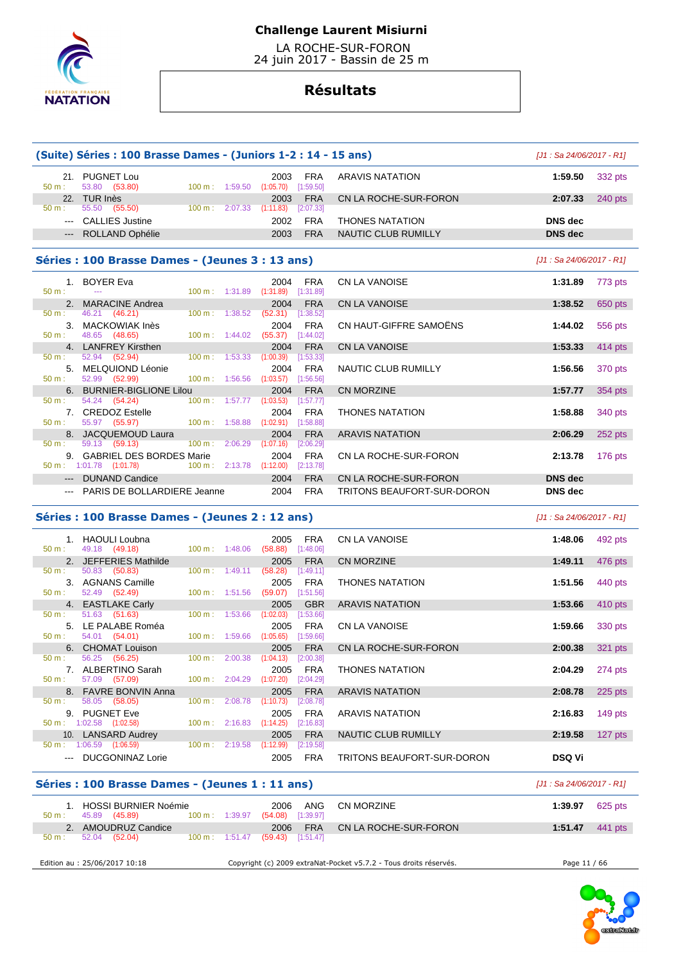

 LA ROCHE-SUR-FORON 24 juin 2017 - Bassin de 25 m

# **Résultats**

|                                                                                                                                                                                                                                                                                                                                                                                                                                                                            | (Suite) Séries : 100 Brasse Dames - (Juniors 1-2 : 14 - 15 ans)    |                |                                      |                                            |                         |                            | [J1 : Sa 24/06/2017 - R1] |           |
|----------------------------------------------------------------------------------------------------------------------------------------------------------------------------------------------------------------------------------------------------------------------------------------------------------------------------------------------------------------------------------------------------------------------------------------------------------------------------|--------------------------------------------------------------------|----------------|--------------------------------------|--------------------------------------------|-------------------------|----------------------------|---------------------------|-----------|
| 50 m:                                                                                                                                                                                                                                                                                                                                                                                                                                                                      | 21. PUGNET Lou<br>53.80 (53.80)                                    |                |                                      | 2003<br>100 m: 1:59.50 (1:05.70) [1:59.50] | <b>FRA</b>              | <b>ARAVIS NATATION</b>     | 1:59.50                   | 332 pts   |
|                                                                                                                                                                                                                                                                                                                                                                                                                                                                            | 22. TUR Inès                                                       |                |                                      | 2003                                       | <b>FRA</b>              | CN LA ROCHE-SUR-FORON      | 2:07.33                   | 240 pts   |
| $50 m$ :                                                                                                                                                                                                                                                                                                                                                                                                                                                                   | 55.50 (55.50)                                                      |                |                                      | 100 m: 2:07.33 (1:11.83) [2:07.33]         |                         |                            |                           |           |
|                                                                                                                                                                                                                                                                                                                                                                                                                                                                            | --- CALLIES Justine                                                |                |                                      | 2002                                       | <b>FRA</b>              | <b>THONES NATATION</b>     | <b>DNS</b> dec            |           |
|                                                                                                                                                                                                                                                                                                                                                                                                                                                                            | ROLLAND Ophélie                                                    |                |                                      | 2003                                       | <b>FRA</b>              | <b>NAUTIC CLUB RUMILLY</b> | <b>DNS</b> dec            |           |
|                                                                                                                                                                                                                                                                                                                                                                                                                                                                            | Séries : 100 Brasse Dames - (Jeunes 3 : 13 ans)                    |                |                                      |                                            |                         |                            | [J1 : Sa 24/06/2017 - R1] |           |
| $50 m$ :                                                                                                                                                                                                                                                                                                                                                                                                                                                                   | 1. BOYER Eva<br>$\mathbb{Z} \to \mathbb{Z}$                        |                | 100 m: 1:31.89                       | 2004<br>$(1:31.89)$ $[1:31.89]$            | <b>FRA</b>              | <b>CN LA VANOISE</b>       | 1:31.89                   | 773 pts   |
|                                                                                                                                                                                                                                                                                                                                                                                                                                                                            | 2. MARACINE Andrea                                                 |                |                                      | 2004                                       | <b>FRA</b>              | <b>CN LA VANOISE</b>       | 1:38.52                   | 650 pts   |
| 50 m:                                                                                                                                                                                                                                                                                                                                                                                                                                                                      | 46.21 (46.21)                                                      |                |                                      | 100 m: 1:38.52 (52.31) [1:38.52]           |                         |                            |                           |           |
|                                                                                                                                                                                                                                                                                                                                                                                                                                                                            | 3. MACKOWIAK Inès                                                  |                |                                      | 2004                                       | <b>FRA</b>              | CN HAUT-GIFFRE SAMOËNS     | 1:44.02                   | 556 pts   |
| 50 m:                                                                                                                                                                                                                                                                                                                                                                                                                                                                      | 48.65 (48.65)                                                      |                |                                      | 100 m: 1:44.02 (55.37) [1:44.02]           |                         |                            |                           |           |
|                                                                                                                                                                                                                                                                                                                                                                                                                                                                            | 4. LANFREY Kirsthen<br>52.94 (52.94)                               |                |                                      | 2004                                       | <b>FRA</b>              | CN LA VANOISE              | 1:53.33                   | 414 pts   |
| 50 m :                                                                                                                                                                                                                                                                                                                                                                                                                                                                     | 5. MELQUIOND Léonie                                                |                | 100 m: 1:53.33 (1:00.39)             | 2004                                       | [1:53.33]<br><b>FRA</b> | <b>NAUTIC CLUB RUMILLY</b> | 1:56.56                   |           |
| $50 m$ :                                                                                                                                                                                                                                                                                                                                                                                                                                                                   | 52.99 (52.99)                                                      |                | $100 \text{ m}: 1:56.56 (1:03.57)$   |                                            | [1:56.56]               |                            |                           | 370 pts   |
|                                                                                                                                                                                                                                                                                                                                                                                                                                                                            | 6. BURNIER-BIGLIONE Lilou                                          |                |                                      | 2004                                       | <b>FRA</b>              | <b>CN MORZINE</b>          | 1:57.77                   | 354 pts   |
| $50 \text{ m}$ :                                                                                                                                                                                                                                                                                                                                                                                                                                                           | 54.24 (54.24)                                                      |                | $100 \text{ m}: 1:57.77$ $(1:03.53)$ |                                            | [1:57.77]               |                            |                           |           |
|                                                                                                                                                                                                                                                                                                                                                                                                                                                                            | 7. CREDOZ Estelle                                                  |                |                                      | 2004                                       | <b>FRA</b>              | <b>THONES NATATION</b>     | 1:58.88                   | 340 pts   |
| $50 m$ :                                                                                                                                                                                                                                                                                                                                                                                                                                                                   | 55.97 (55.97)                                                      |                |                                      | 100 m: 1:58.88 (1:02.91) [1:58.88]         |                         |                            |                           |           |
|                                                                                                                                                                                                                                                                                                                                                                                                                                                                            | 8. JACQUEMOUD Laura                                                |                |                                      | 2004                                       | <b>FRA</b>              | <b>ARAVIS NATATION</b>     | 2:06.29                   | $252$ pts |
| 50 m:                                                                                                                                                                                                                                                                                                                                                                                                                                                                      | 59.13 (59.13)                                                      | 100 m: 2:06.29 |                                      | (1:07.16)                                  | [2:06.29]               |                            |                           |           |
|                                                                                                                                                                                                                                                                                                                                                                                                                                                                            | 9. GABRIEL DES BORDES Marie<br>$50 \text{ m}: 1:01.78$ $(1:01.78)$ |                |                                      | 2004<br>100 m: 2:13.78 (1:12.00) [2:13.78] | <b>FRA</b>              | CN LA ROCHE-SUR-FORON      | 2:13.78                   | 176 pts   |
|                                                                                                                                                                                                                                                                                                                                                                                                                                                                            |                                                                    |                |                                      |                                            | <b>FRA</b>              |                            |                           |           |
|                                                                                                                                                                                                                                                                                                                                                                                                                                                                            | --- DUNAND Candice                                                 |                |                                      | 2004                                       |                         | CN LA ROCHE-SUR-FORON      | <b>DNS</b> dec            |           |
| $\frac{1}{2} \left( \frac{1}{2} \right) \left( \frac{1}{2} \right) \left( \frac{1}{2} \right) \left( \frac{1}{2} \right) \left( \frac{1}{2} \right) \left( \frac{1}{2} \right) \left( \frac{1}{2} \right) \left( \frac{1}{2} \right) \left( \frac{1}{2} \right) \left( \frac{1}{2} \right) \left( \frac{1}{2} \right) \left( \frac{1}{2} \right) \left( \frac{1}{2} \right) \left( \frac{1}{2} \right) \left( \frac{1}{2} \right) \left( \frac{1}{2} \right) \left( \frac$ | PARIS DE BOLLARDIERE Jeanne                                        |                |                                      | 2004                                       | <b>FRA</b>              | TRITONS BEAUFORT-SUR-DORON | <b>DNS</b> dec            |           |
|                                                                                                                                                                                                                                                                                                                                                                                                                                                                            | Séries : 100 Brasse Dames - (Jeunes 2 : 12 ans)                    |                |                                      |                                            |                         |                            | [J1 : Sa 24/06/2017 - R1] |           |
| 50 m:                                                                                                                                                                                                                                                                                                                                                                                                                                                                      | 1. HAOULI Loubna<br>49.18 (49.18)                                  | 100 m: 1:48.06 |                                      | 2005<br>$(58.88)$ [1:48.06]                | <b>FRA</b>              | <b>CN LA VANOISE</b>       | 1:48.06                   | 492 pts   |
|                                                                                                                                                                                                                                                                                                                                                                                                                                                                            | 2. JEFFERIES Mathilde                                              |                |                                      | 2005                                       | <b>FRA</b>              | <b>CN MORZINE</b>          | 1:49.11                   | 476 pts   |
| 50 m :                                                                                                                                                                                                                                                                                                                                                                                                                                                                     | 50.83 (50.83)                                                      |                |                                      | 100 m: 1:49.11 (58.28) [1:49.11]           |                         |                            |                           |           |

|          | 2. JEFFERIES Mathilde                    |                          |                           | 2005      | <b>FRA</b>  | CN MORZINE                 | 1:49.11       | 476 pts   |
|----------|------------------------------------------|--------------------------|---------------------------|-----------|-------------|----------------------------|---------------|-----------|
| 50 m:    | 50.83 (50.83) 100 m : 1:49.11            |                          |                           | (58.28)   | [1:49.11]   |                            |               |           |
|          | 3. AGNANS Camille                        |                          |                           | 2005      | FRA         | <b>THONES NATATION</b>     | 1:51.56       | 440 pts   |
| $50 m$ : | 52.49 (52.49)                            | $100 \text{ m}: 1:51.56$ |                           | (59.07)   | [1:51.56]   |                            |               |           |
|          | 4. EASTLAKE Carly                        |                          |                           | 2005      | <b>GBR</b>  | <b>ARAVIS NATATION</b>     | 1:53.66       | $410$ pts |
| $50 m$ : | 51.63 (51.63)                            | 100 m : 1:53.66          |                           | (1:02.03) | [1:53.66]   |                            |               |           |
|          | 5. LE PALABE Roméa                       |                          |                           | 2005      | FRA         | CN LA VANOISE              | 1:59.66       | 330 pts   |
| 50 m:    | 54.01 (54.01)                            |                          | 100 m : 1:59.66 (1:05.65) |           | [1:59.66]   |                            |               |           |
|          | 6. CHOMAT Louison                        |                          |                           | 2005      | <b>FRA</b>  | CN LA ROCHE-SUR-FORON      | 2:00.38       | 321 pts   |
| 50 m:    | 56.25 (56.25) 100 m : 2:00.38 (1:04.13)  |                          |                           |           | [2:00.38]   |                            |               |           |
|          | 7. ALBERTINO Sarah                       |                          |                           | 2005      | FRA         | <b>THONES NATATION</b>     | 2:04.29       | 274 pts   |
| 50 m:    | 57.09 (57.09) 100 m : 2:04.29 (1:07.20)  |                          |                           |           | [2:04.29]   |                            |               |           |
|          | 8. FAVRE BONVIN Anna                     |                          |                           | 2005      | <b>FRA</b>  | <b>ARAVIS NATATION</b>     | 2:08.78       | $225$ pts |
| 50 m:    | 58.05 (58.05)                            | $100 \text{ m}: 2:08.78$ |                           | (1:10.73) | $[2:08.78]$ |                            |               |           |
|          | 9. PUGNET Eve                            |                          |                           | 2005      | <b>FRA</b>  | ARAVIS NATATION            | 2:16.83       | $149$ pts |
|          | $50 \text{ m}: 1:02.58$ $(1:02.58)$      |                          | 100 m : 2:16.83 (1:14.25) |           | [2:16.83]   |                            |               |           |
|          | 10. LANSARD Audrey                       |                          |                           | 2005      | <b>FRA</b>  | NAUTIC CLUB RUMILLY        | 2:19.58       | 127 pts   |
|          | 50 m : 1:06.59 (1:06.59) 100 m : 2:19.58 |                          |                           | (1:12.99) | [2:19.58]   |                            |               |           |
|          | --- DUCGONINAZ Lorie                     |                          |                           | 2005      | <b>FRA</b>  | TRITONS BEAUFORT-SUR-DORON | <b>DSQ Vi</b> |           |
|          |                                          |                          |                           |           |             |                            |               |           |

# **Séries : 100 Brasse Dames - (Jeunes 1 : 11 ans)** [J1 : Sa 24/06/2017 - R1]

|                        | 1. HOSSI BURNIER Noémie           |                          | 2006                        | ANG        | CN MORZINE            | 1:39.97 | 625 pts                   |
|------------------------|-----------------------------------|--------------------------|-----------------------------|------------|-----------------------|---------|---------------------------|
| $50 \text{ m}$ :<br>2. | 45.89 (45.89)<br>AMOUDRUZ Candice | $100 \text{ m}: 1:39.97$ | $(54.08)$ [1:39.97]<br>2006 | <b>FRA</b> | CN LA ROCHE-SUR-FORON |         | 1:51.47 $441 \text{ pts}$ |
| 50 m:                  | 52.04 (52.04)                     | $100 \text{ m}: 1:51.47$ | $(59.43)$ [1:51.47]         |            |                       |         |                           |

Edition au : 25/06/2017 10:18 Copyright (c) 2009 extraNat-Pocket v5.7.2 - Tous droits réservés. Page 11 / 66

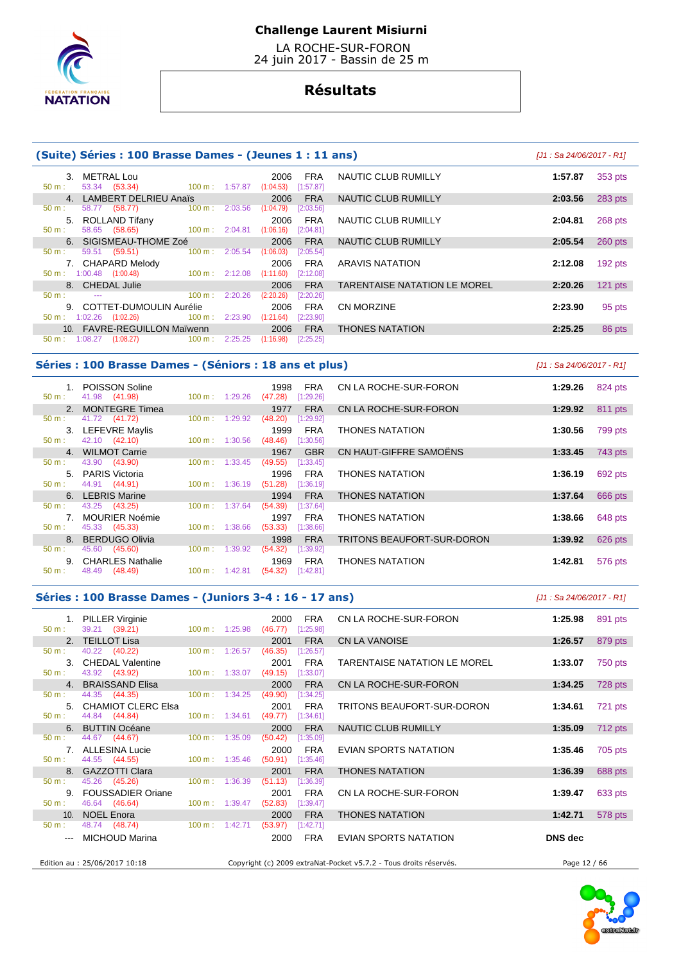

 LA ROCHE-SUR-FORON 24 juin 2017 - Bassin de 25 m

# **Résultats**

### **(Suite) Séries : 100 Brasse Dames - (Jeunes 1 : 11 ans)** [J1 : Sa 24/06/2017 - R1]

| METRAL Lou<br>3.<br>53.34 (53.34)<br>$50 \text{ m}$ :                         | 100 m: 1:57.87 | <b>FRA</b><br>2006<br>[1:57.87]<br>(1:04.53) | NAUTIC CLUB RUMILLY                 | 1:57.87 | 353 pts   |
|-------------------------------------------------------------------------------|----------------|----------------------------------------------|-------------------------------------|---------|-----------|
| 4. LAMBERT DELRIEU Anaïs                                                      |                | <b>FRA</b><br>2006                           | NAUTIC CLUB RUMILLY                 | 2:03.56 | 283 pts   |
| $100 m$ :<br>58.77 (58.77)<br>$50 m$ :                                        | 2:03.56        | (1:04.79)<br>[2:03.56]                       |                                     |         |           |
| 5. ROLLAND Tifany<br>58.65 (58.65)<br>$100 \text{ m}$ :<br>$50 m$ :           | 2:04.81        | <b>FRA</b><br>2006<br>(1:06.16)<br>[2:04.81] | NAUTIC CLUB RUMILLY                 | 2:04.81 | 268 pts   |
| 6. SIGISMEAU-THOME Zoé                                                        |                | 2006<br><b>FRA</b>                           | NAUTIC CLUB RUMILLY                 | 2:05.54 | 260 pts   |
| 100 m:<br>59.51<br>(59.51)<br>$50 m$ :                                        | 2:05.54        | (1:06.03)<br>[2:05.54]                       |                                     |         |           |
| 7. CHAPARD Melody<br>$50 \text{ m}: 1:00.48$ $(1:00.48)$<br>$100 \text{ m}$ : | 2:12.08        | <b>FRA</b><br>2006<br>(1:11.60)<br>[2:12.08] | <b>ARAVIS NATATION</b>              | 2:12.08 | $192$ pts |
|                                                                               |                |                                              |                                     |         |           |
| 8. CHEDAL Julie                                                               |                | <b>FRA</b><br>2006                           | <b>TARENTAISE NATATION LE MOREL</b> | 2:20.26 | $121$ pts |
| 100 m:<br>50 m:<br>$\cdots$                                                   | 2:20.26        | (2:20.26)<br>[2:20.26]                       |                                     |         |           |
| 9. COTTET-DUMOULIN Aurélie                                                    |                | <b>FRA</b><br>2006                           | CN MORZINE                          | 2:23.90 | 95 pts    |
| $1:02.26$ $(1:02.26)$<br>$100 \text{ m}$ :<br>50 m:                           | 2:23.90        | (1:21.64)<br>[2:23.90]                       |                                     |         |           |
| 10. FAVRE-REGUILLON Maïwenn                                                   |                | <b>FRA</b><br>2006                           | <b>THONES NATATION</b>              | 2:25.25 | 86 pts    |
| $100 \text{ m}$ :<br>1:08.27<br>(1:08.27)<br>$50 \text{ m}$ :                 | 2:25.25        | (1:16.98)<br>[2:25.25]                       |                                     |         |           |

#### **Séries : 100 Brasse Dames - (Séniors : 18 ans et plus)** [J1 : Sa 24/06/2017 - R1]

| $50 m$ : | 1. POISSON Soline<br>41.98 (41.98) | 1:29.26<br>$100 \text{ m}$ : | 1998<br><b>FRA</b><br>[1:29.26]<br>(47.28) | CN LA ROCHE-SUR-FORON      | 1:29.26 | 824 pts |
|----------|------------------------------------|------------------------------|--------------------------------------------|----------------------------|---------|---------|
|          | 2. MONTEGRE Timea                  |                              | <b>FRA</b><br>1977                         | CN LA ROCHE-SUR-FORON      | 1:29.92 | 811 pts |
| 50 m:    | 41.72 (41.72)                      | 1:29.92<br>$100 \text{ m}$ : | (48.20)<br>1:29.92]                        |                            |         |         |
|          | 3. LEFEVRE Maylis                  |                              | <b>FRA</b><br>1999                         | <b>THONES NATATION</b>     | 1:30.56 | 799 pts |
| $50 m$ : | 42.10 (42.10)                      | 1:30.56<br>$100 \text{ m}$ : | [1:30.56]<br>(48.46)                       |                            |         |         |
|          | 4. WILMOT Carrie                   |                              | <b>GBR</b><br>1967                         | CN HAUT-GIFFRE SAMOËNS     | 1:33.45 | 743 pts |
| 50 m:    | 43.90 (43.90)                      | 1:33.45<br>$100 \text{ m}$ : | (49.55)<br>[1:33.45]                       |                            |         |         |
| $5 -$    | PARIS Victoria                     |                              | 1996<br><b>FRA</b>                         | <b>THONES NATATION</b>     | 1:36.19 | 692 pts |
| $50 m$ : | 44.91 (44.91)                      | 1:36.19<br>$100 \text{ m}$ : | (51.28)<br>[1:36.19]                       |                            |         |         |
|          | 6. LEBRIS Marine                   |                              | <b>FRA</b><br>1994                         | <b>THONES NATATION</b>     | 1:37.64 | 666 pts |
| $50 m$ : | 43.25 (43.25)                      | 1:37.64<br>$100 \text{ m}$ : | (54.39)<br>[1:37.64]                       |                            |         |         |
|          | <b>MOURIER Noémie</b>              |                              | <b>FRA</b><br>1997                         | <b>THONES NATATION</b>     | 1:38.66 | 648 pts |
| $50 m$ : | 45.33 (45.33)                      | 1:38.66<br>$100 \text{ m}$ : | (53.33)<br>[1:38.66]                       |                            |         |         |
| 8.       | <b>BERDUGO Olivia</b>              |                              | <b>FRA</b><br>1998                         | TRITONS BEAUFORT-SUR-DORON | 1:39.92 | 626 pts |
| 50 m:    | 45.60 (45.60)                      | 1:39.92<br>$100 \text{ m}$ : | (54.32)<br>[1:39.92]                       |                            |         |         |
| 9.       | <b>CHARLES Nathalie</b>            |                              | <b>FRA</b><br>1969                         | <b>THONES NATATION</b>     | 1:42.81 | 576 pts |
| $50 m$ : | 48.49 (48.49)                      | $100 m$ : 1:42.81            | (54.32)<br>[1:42.81]                       |                            |         |         |
|          |                                    |                              |                                            |                            |         |         |

#### **Séries : 100 Brasse Dames - (Juniors 3-4 : 16 - 17 ans)** [J1 : Sa 24/06/2017 - R1]

 1. PILLER Virginie 2000 FRA CN LA ROCHE-SUR-FORON **1:25.98** 891 pts  $(39.21)$  2. TEILLOT Lisa 2001 FRA CN LA VANOISE **1:26.57** 879 pts 50 m : 40.22 (40.22) 100 m : 1:26.57 (46.35) [1:26.57] 3. CHEDAL Valentine 2001 FRA TARENTAISE NATATION LE MOREL **1:33.07** 750 pts 50 m : 43.92 (43.92) 100 m : 1:33.07 (49.15) [1:33.07] 4. BRAISSAND Elisa 2000 FRA CN LA ROCHE-SUR-FORON **1:34.25** 728 pts 44.35 (44.35) 100 m : 1:34.25 (49.90) [1:34.25] 5. CHAMIOT CLERC Elsa 2001 FRA TRITONS BEAUFORT-SUR-DORON **1:34.61** 721 pts<br>
50 m : 44.84 (44.84) 100 m : 1:34.61 (49.77) [1:34.61]  $[1:34.61]$  6. BUTTIN Océane 2000 FRA NAUTIC CLUB RUMILLY **1:35.09** 712 pts 44.67 (44.67) 100 m : 1:35.09 (50.42) 7. ALLESINA Lucie 2000 FRA EVIAN SPORTS NATATION **1:35.46** 705 pts 44.55 (44.55) 8. GAZZOTTI Clara 2001 FRA THONES NATATION **1:36.39** 688 pts 50 m : 45.26 (45.26) 100 m : 1:36.39 (51.13) [1:36.39] 9. FOUSSADIER Oriane 2001 FRA CN LA ROCHE-SUR-FORON **1:39.47** 633 pts<br>  $\frac{50 \text{ m}: 46.64}{46.64}$  (46.64) 100 m: 1:39.47 (52.83) [1:39.47] 46.64 (46.64) 10. NOEL Enora 2000 FRA THONES NATATION **1:42.71** 578 pts  $(53.97)$  [1:42.71] --- MICHOUD Marina 2000 FRA EVIAN SPORTS NATATION **DNS dec**  Edition au : 25/06/2017 10:18 Copyright (c) 2009 extraNat-Pocket v5.7.2 - Tous droits réservés. Page 12 / 66

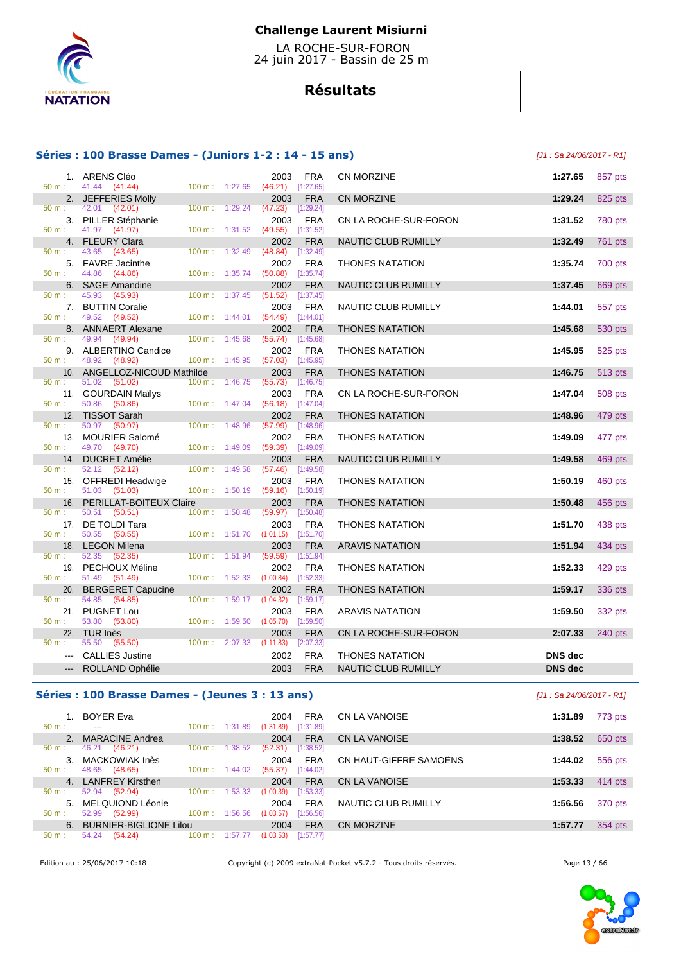

 LA ROCHE-SUR-FORON 24 juin 2017 - Bassin de 25 m

# **Résultats**

|              | Séries : 100 Brasse Dames - (Juniors 1-2 : 14 - 15 ans) |                          |                 |                           |                            | [J1 : Sa 24/06/2017 - R1] |         |
|--------------|---------------------------------------------------------|--------------------------|-----------------|---------------------------|----------------------------|---------------------------|---------|
|              | 1. ARENS Cléo                                           |                          | 2003            | <b>FRA</b>                | <b>CN MORZINE</b>          | 1:27.65                   | 857 pts |
| $50 m$ :     | 41.44 (41.44)                                           | 100 m: 1:27.65           | (46.21)         | [1:27.65]                 |                            |                           |         |
|              | 2. JEFFERIES Molly                                      |                          | 2003            | <b>FRA</b>                | <b>CN MORZINE</b>          | 1:29.24                   | 825 pts |
| $50 m$ :     | 42.01 (42.01)                                           | 1:29.24<br>100 m:        | (47.23)         | [1:29.24]                 |                            |                           |         |
|              | 3. PILLER Stéphanie                                     |                          | 2003            | <b>FRA</b>                | CN LA ROCHE-SUR-FORON      | 1:31.52                   | 780 pts |
| $50 m$ :     | 41.97 (41.97)                                           | $100 m$ :<br>1:31.52     | (49.55)         | [1:31.52]                 |                            |                           |         |
|              | 4. FLEURY Clara                                         |                          | 2002            | <b>FRA</b>                | <b>NAUTIC CLUB RUMILLY</b> | 1:32.49                   | 761 pts |
| 50 m:        | 43.65 (43.65)                                           | 1:32.49<br>100 m:        | (48.84)         | [1:32.49]                 |                            |                           |         |
|              | 5. FAVRE Jacinthe                                       |                          | 2002            | <b>FRA</b>                | <b>THONES NATATION</b>     | 1:35.74                   | 700 pts |
| $50 m$ :     | 44.86<br>(44.86)                                        | 100 m:<br>1:35.74        | (50.88)         | [1:35.74]                 |                            |                           |         |
| 50 m:        | 6. SAGE Amandine<br>45.93 (45.93)                       | 100 m:<br>1:37.45        | 2002<br>(51.52) | <b>FRA</b><br>$[1:37.45]$ | <b>NAUTIC CLUB RUMILLY</b> | 1:37.45                   | 669 pts |
|              | 7. BUTTIN Coralie                                       |                          | 2003            | <b>FRA</b>                | NAUTIC CLUB RUMILLY        | 1:44.01                   | 557 pts |
| $50 m$ :     | 49.52 (49.52)                                           | 1:44.01<br>100 m:        |                 | $(54.49)$ [1:44.01]       |                            |                           |         |
|              | 8. ANNAERT Alexane                                      |                          | 2002            | <b>FRA</b>                | <b>THONES NATATION</b>     | 1:45.68                   | 530 pts |
| 50 m:        | 49.94<br>(49.94)                                        | 1:45.68<br>100 m:        | (55.74)         | [1:45.68]                 |                            |                           |         |
|              | 9. ALBERTINO Candice                                    |                          | 2002            | <b>FRA</b>                | <b>THONES NATATION</b>     | 1:45.95                   | 525 pts |
| 50 m:        | 48.92<br>(48.92)                                        | 100 m: 1:45.95           |                 | $(57.03)$ [1:45.95]       |                            |                           |         |
|              | 10. ANGELLOZ-NICOUD Mathilde                            |                          | 2003            | <b>FRA</b>                | <b>THONES NATATION</b>     | 1:46.75                   | 513 pts |
| 50 m:        | 51.02<br>(51.02)                                        | $100 m$ : 1:46.75        | (55.73)         | [1:46.75]                 |                            |                           |         |
|              | 11. GOURDAIN Mailys                                     |                          | 2003            | <b>FRA</b>                | CN LA ROCHE-SUR-FORON      | 1:47.04                   | 508 pts |
| $50 m$ :     | 50.86<br>(50.86)                                        | $100 m$ : 1:47.04        | (56.18)         | [1:47.04]                 |                            |                           |         |
|              | 12. TISSOT Sarah                                        |                          | 2002            | <b>FRA</b>                | <b>THONES NATATION</b>     | 1:48.96                   | 479 pts |
| $50 m$ :     | 50.97 (50.97)                                           | 1:48.96<br>100 m :       | (57.99)         | [1:48.96]                 |                            |                           |         |
|              | 13. MOURIER Salomé                                      |                          | 2002            | <b>FRA</b>                | <b>THONES NATATION</b>     | 1:49.09                   | 477 pts |
| $50 m$ :     | 49.70 (49.70)                                           | $100 \text{ m}: 1:49.09$ | (59.39)         | [1:49.09]                 |                            |                           |         |
|              | 14. DUCRET Amélie                                       |                          | 2003            | <b>FRA</b>                | NAUTIC CLUB RUMILLY        | 1:49.58                   | 469 pts |
| 50 m:        | 52.12 (52.12)                                           | 100 m: 1:49.58           | (57.46)         | [1:49.58]                 |                            |                           |         |
|              | 15. OFFREDI Headwige                                    |                          | 2003            | <b>FRA</b>                | <b>THONES NATATION</b>     | 1:50.19                   | 460 pts |
| $50 m$ :     | 51.03 (51.03)                                           | 100 m: 1:50.19           | (59.16)         | [1:50.19]                 |                            |                           |         |
| 16.          | PERILLAT-BOITEUX Claire                                 |                          | 2003            | <b>FRA</b>                | <b>THONES NATATION</b>     | 1:50.48                   | 456 pts |
| $50 m$ :     | 50.51 (50.51)                                           | 100 m: 1:50.48           | (59.97)         | [1:50.48]                 |                            |                           |         |
| $50 m$ :     | 17. DE TOLDI Tara                                       |                          | 2003            | <b>FRA</b>                | <b>THONES NATATION</b>     | 1:51.70                   | 438 pts |
|              | 50.55<br>(50.55)                                        | $100 \text{ m}: 1:51.70$ | (1:01.15)       | [1:51.70]                 |                            |                           |         |
| 18.<br>50 m: | <b>LEGON Milena</b><br>52.35<br>(52.35)                 | 1:51.94<br>100 m:        | 2003<br>(59.59) | <b>FRA</b><br>[1:51.94]   | <b>ARAVIS NATATION</b>     | 1:51.94                   | 434 pts |
|              | 19. PECHOUX Méline                                      |                          | 2002            | <b>FRA</b>                |                            | 1:52.33                   | 429 pts |
| $50 m$ :     | 51.49 (51.49)                                           | 100 m: 1:52.33           | (1:00.84)       | [1:52.33]                 | <b>THONES NATATION</b>     |                           |         |
|              | 20. BERGERET Capucine                                   |                          | 2002            | <b>FRA</b>                | <b>THONES NATATION</b>     | 1:59.17                   | 336 pts |
| 50 m:        | 54.85<br>(54.85)                                        | 100 m: 1:59.17           | (1:04.32)       | [1:59.17]                 |                            |                           |         |
|              | 21. PUGNET Lou                                          |                          | 2003            | <b>FRA</b>                | <b>ARAVIS NATATION</b>     | 1:59.50                   | 332 pts |
| $50 m$ :     | 53.80<br>(53.80)                                        | 100 m: 1:59.50           | (1:05.70)       | [1:59.50]                 |                            |                           |         |
|              | 22. TUR Inès                                            |                          | 2003            | <b>FRA</b>                | CN LA ROCHE-SUR-FORON      | 2:07.33                   | 240 pts |
| $50 m$ :     | 55.50<br>(55.50)                                        | 100 m: 2:07.33           | (1:11.83)       | [2:07.33]                 |                            |                           |         |
| $- - -$      | <b>CALLIES Justine</b>                                  |                          | 2002            | <b>FRA</b>                | <b>THONES NATATION</b>     | <b>DNS</b> dec            |         |
|              | ROLLAND Ophélie                                         |                          | 2003            | <b>FRA</b>                | <b>NAUTIC CLUB RUMILLY</b> | <b>DNS</b> dec            |         |
|              |                                                         |                          |                 |                           |                            |                           |         |

# **Séries : 100 Brasse Dames - (Jeunes 3 : 13 ans)** [J1 : Sa 24/06/2017 - R1]

| 50 m:          | 1. BOYER Eva<br>---           | $100 \text{ m}$ : | 1:31.89 | 2004<br>(1:31.89) | <b>FRA</b><br>[1:31.89] | CN LA VANOISE          | 1:31.89 | 773 pts |
|----------------|-------------------------------|-------------------|---------|-------------------|-------------------------|------------------------|---------|---------|
| 2 <sub>1</sub> | <b>MARACINE Andrea</b>        |                   |         | 2004              | <b>FRA</b>              | CN LA VANOISE          | 1:38.52 | 650 pts |
| 50 m:          | 46.21<br>(46.21)              | 100 m:            | 1:38.52 | (52.31)           | [1:38.52]               |                        |         |         |
| 3.             | MACKOWIAK Inès                |                   |         | 2004              | <b>FRA</b>              | CN HAUT-GIFFRE SAMOËNS | 1:44.02 | 556 pts |
| $50 m$ :       | (48.65)<br>48.65              | 100 m:            | 1:44.02 | (55.37)           | [1:44.02]               |                        |         |         |
|                | 4. LANFREY Kirsthen           |                   |         | 2004              | <b>FRA</b>              | <b>CN LA VANOISE</b>   | 1:53.33 | 414 pts |
| 50 m:          | 52.94<br>(52.94)              | $100 \text{ m}$ : | 1:53.33 | (1:00.39)         | [1:53.33]               |                        |         |         |
| 5.             | MELQUIOND Léonie              |                   |         | 2004              | <b>FRA</b>              | NAUTIC CLUB RUMILLY    | 1:56.56 | 370 pts |
| $50 m$ :       | 52.99<br>(52.99)              | $100 \text{ m}$ : | 1:56.56 | (1:03.57)         | [1:56.56]               |                        |         |         |
| 6.             | <b>BURNIER-BIGLIONE Lilou</b> |                   |         | 2004              | <b>FRA</b>              | CN MORZINE             | 1:57.77 | 354 pts |
| $50 m$ :       | 54.24<br>(54.24)              | 100 m:            | 1:57.77 | (1:03.53)         | [1:57.77]               |                        |         |         |
|                |                               |                   |         |                   |                         |                        |         |         |

Edition au : 25/06/2017 10:18 Copyright (c) 2009 extraNat-Pocket v5.7.2 - Tous droits réservés. Page 13 / 66

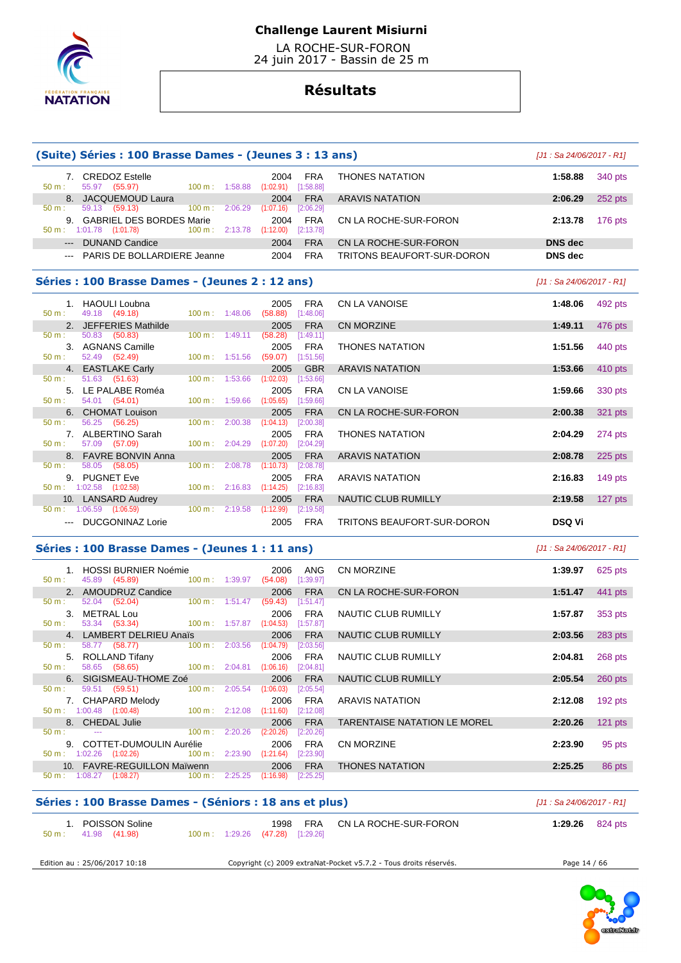

 LA ROCHE-SUR-FORON 24 juin 2017 - Bassin de 25 m

# **Résultats**

|                                                                | (Suite) Séries : 100 Brasse Dames - (Jeunes 3 : 13 ans)            |                          |         |                                              |                                     | $[J1: Sa 24/06/2017 - R1]$ |                                                                                                   |
|----------------------------------------------------------------|--------------------------------------------------------------------|--------------------------|---------|----------------------------------------------|-------------------------------------|----------------------------|---------------------------------------------------------------------------------------------------|
| 50 m:                                                          | 7. CREDOZ Estelle<br>55.97 (55.97)                                 | 100 m: 1:58.88           |         | <b>FRA</b><br>2004<br>[1:58.88]<br>(1:02.91) | <b>THONES NATATION</b>              | 1:58.88                    | 340 pts                                                                                           |
| 50 m:                                                          | 8. JACQUEMOUD Laura<br>59.13 (59.13)                               | $100 \text{ m}$ :        | 2:06.29 | <b>FRA</b><br>2004<br>(1:07.16)<br>[2:06.29] | <b>ARAVIS NATATION</b>              | 2:06.29                    | 252 pts                                                                                           |
|                                                                | 9. GABRIEL DES BORDES Marie<br>$50 \text{ m}: 1:01.78$ $(1:01.78)$ | 100 m: 2:13.78           |         | <b>FRA</b><br>2004<br>(1:12.00)<br>[2:13.78] | CN LA ROCHE-SUR-FORON               | 2:13.78                    | 176 pts                                                                                           |
|                                                                | --- DUNAND Candice                                                 |                          |         | <b>FRA</b><br>2004                           | CN LA ROCHE-SUR-FORON               | <b>DNS</b> dec             |                                                                                                   |
|                                                                | --- PARIS DE BOLLARDIERE Jeanne                                    |                          |         | 2004<br><b>FRA</b>                           | TRITONS BEAUFORT-SUR-DORON          | <b>DNS</b> dec             |                                                                                                   |
|                                                                | Séries : 100 Brasse Dames - (Jeunes 2 : 12 ans)                    |                          |         |                                              |                                     | $[J1: Sa 24/06/2017 - R1]$ |                                                                                                   |
| 50 m:                                                          | 1. HAOULI Loubna<br>49.18 (49.18)                                  | $100 \text{ m}: 1:48.06$ |         | 2005<br><b>FRA</b><br>(58.88)<br>[1:48.06]   | CN LA VANOISE                       | 1:48.06                    | 492 pts                                                                                           |
|                                                                | 2. JEFFERIES Mathilde                                              |                          |         | 2005<br><b>FRA</b>                           | CN MORZINE                          | 1:49.11                    | 476 pts                                                                                           |
| 50 m:                                                          | 50.83 (50.83)                                                      | $100 \text{ m}$ :        | 1:49.11 | (58.28)<br>[1:49.11]                         |                                     |                            |                                                                                                   |
| 50 m:                                                          | 3. AGNANS Camille<br>52.49 (52.49)                                 | $100 \text{ m}: 1:51.56$ |         | 2005<br><b>FRA</b><br>(59.07)<br>[1:51.56]   | <b>THONES NATATION</b>              | 1:51.56                    | 440 pts                                                                                           |
|                                                                | 4. EASTLAKE Carly                                                  |                          |         | 2005<br><b>GBR</b>                           | <b>ARAVIS NATATION</b>              | 1:53.66                    | 410 pts                                                                                           |
| 50 m :                                                         | 51.63 (51.63)                                                      | $100 \text{ m}: 1:53.66$ |         | (1:02.03)<br>[1:53.66]                       |                                     |                            |                                                                                                   |
| 50 m:                                                          | 5. LE PALABE Roméa<br>54.01 (54.01)                                | 100 m: 1:59.66           |         | <b>FRA</b><br>2005<br>(1:05.65)<br>[1:59.66] | CN LA VANOISE                       | 1:59.66                    | 330 pts                                                                                           |
|                                                                | 6. CHOMAT Louison                                                  |                          |         | <b>FRA</b><br>2005                           | CN LA ROCHE-SUR-FORON               | 2:00.38                    | 321 pts                                                                                           |
| 50 m:                                                          | 56.25 (56.25)                                                      | $100 \text{ m}$ :        | 2:00.38 | (1:04.13)<br>[2:00.38]                       |                                     |                            |                                                                                                   |
|                                                                | 7. ALBERTINO Sarah                                                 |                          |         | 2005<br><b>FRA</b>                           | <b>THONES NATATION</b>              | 2:04.29                    | 274 pts                                                                                           |
| 50 m:                                                          | 57.09 (57.09)                                                      | $100 \text{ m}$ :        | 2:04.29 | (1:07.20)<br>[2:04.29]                       |                                     |                            |                                                                                                   |
|                                                                | 8. FAVRE BONVIN Anna                                               |                          |         | <b>FRA</b><br>2005                           | <b>ARAVIS NATATION</b>              | 2:08.78                    | $225$ pts                                                                                         |
| $50 m$ :                                                       | 58.05 (58.05)<br>9. PUGNET Eve                                     | $100 \text{ m}$ :        | 2:08.78 | (1:10.73)<br>[2:08.78]<br><b>FRA</b><br>2005 | <b>ARAVIS NATATION</b>              | 2:16.83                    | $149$ pts                                                                                         |
|                                                                | $50 \text{ m}: 1:02.58$ $(1:02.58)$                                | $100 \text{ m}: 2:16.83$ |         | (1:14.25)<br>[2:16.83]                       |                                     |                            |                                                                                                   |
|                                                                | 10. LANSARD Audrey<br>$50 \text{ m}$ : 1:06.59 (1:06.59)           | $100 \text{ m}: 2:19.58$ |         | 2005<br><b>FRA</b><br>(1:12.99)<br>[2:19.58] | NAUTIC CLUB RUMILLY                 | 2:19.58                    | 127 pts                                                                                           |
|                                                                | --- DUCGONINAZ Lorie                                               |                          |         | 2005<br><b>FRA</b>                           | TRITONS BEAUFORT-SUR-DORON          | <b>DSQ Vi</b>              |                                                                                                   |
|                                                                | Séries : 100 Brasse Dames - (Jeunes 1 : 11 ans)                    |                          |         |                                              |                                     | $[J1: Sa 24/06/2017 - R1]$ |                                                                                                   |
|                                                                | 1. HOSSI BURNIER Noémie                                            |                          |         | 2006<br>ANG                                  | <b>CN MORZINE</b>                   | 1:39.97                    | 625 pts                                                                                           |
|                                                                | 45.89 (45.89)<br>2. AMOUDRUZ Candice                               | 100 m: 1:39.97           |         | (54.08)<br>[1:39.97]                         | CN LA ROCHE-SUR-FORON               |                            |                                                                                                   |
|                                                                |                                                                    |                          |         |                                              |                                     |                            |                                                                                                   |
|                                                                | 52.04<br>(52.04)                                                   | $100 m$ : 1:51.47        |         | 2006<br><b>FRA</b><br>[1:51.47]<br>(59.43)   |                                     | 1:51.47                    |                                                                                                   |
|                                                                | 3. METRAL Lou                                                      |                          |         | 2006<br>FRA                                  | <b>NAUTIC CLUB RUMILLY</b>          | 1:57.87                    |                                                                                                   |
|                                                                | 53.34 (53.34)                                                      | 100 m: 1:57.87           |         | (1:04.53)<br>[1:57.87]                       |                                     |                            |                                                                                                   |
|                                                                | 4. LAMBERT DELRIEU Anaïs<br>58.77 (58.77)                          | $100 \text{ m}: 2:03.56$ |         | <b>FRA</b><br>2006<br>(1:04.79)<br>[2:03.56] | NAUTIC CLUB RUMILLY                 | 2:03.56                    |                                                                                                   |
|                                                                | 5. ROLLAND Tifany                                                  |                          |         | 2006<br>FRA                                  | NAUTIC CLUB RUMILLY                 | 2:04.81                    |                                                                                                   |
|                                                                | 58.65 (58.65)                                                      | $100 \text{ m}: 2:04.81$ |         | (1:06.16)<br>[2:04.81]                       |                                     |                            |                                                                                                   |
|                                                                | 6. SIGISMEAU-THOME Zoé                                             |                          |         | <b>FRA</b><br>2006                           | NAUTIC CLUB RUMILLY                 | 2:05.54                    |                                                                                                   |
|                                                                | 59.51 (59.51)                                                      | 100 m: 2:05.54           |         | $(1:06.03)$ $[2:05.54]$                      |                                     |                            |                                                                                                   |
|                                                                | 7. CHAPARD Melody<br>$50 \text{ m}: 1:00.48$ $(1:00.48)$           | 100 m: 2:12.08           |         | <b>FRA</b><br>2006<br>[2:12.08]<br>(1:11.60) | <b>ARAVIS NATATION</b>              | 2:12.08                    |                                                                                                   |
|                                                                | 8. CHEDAL Julie                                                    |                          |         | 2006<br><b>FRA</b>                           | <b>TARENTAISE NATATION LE MOREL</b> | 2:20.26                    |                                                                                                   |
|                                                                |                                                                    | 100 m:                   | 2:20.26 | (2:20.26)<br>[2:20.26]                       |                                     |                            |                                                                                                   |
|                                                                | 9. COTTET-DUMOULIN Aurélie                                         |                          |         | 2006<br><b>FRA</b>                           | CN MORZINE                          | 2:23.90                    |                                                                                                   |
| 50 m:<br>50 m:<br>50 m:<br>50 m:<br>50 m:<br>50 m:<br>$50 m$ : | $50 \text{ m}: 1:02.26$ $(1:02.26)$<br>10. FAVRE-REGUILLON Maïwenn | 100 m: 2:23.90           |         | (1:21.64)<br>[2:23.90]<br>2006<br><b>FRA</b> | <b>THONES NATATION</b>              | 2:25.25                    | 441 pts<br>353 pts<br>283 pts<br>268 pts<br>$260$ pts<br>192 pts<br>$121$ pts<br>95 pts<br>86 pts |

| Séries : 100 Brasse Dames - (Séniors : 18 ans et plus) | [J1 : Sa 24/06/2017 - R1]                                                           |                   |
|--------------------------------------------------------|-------------------------------------------------------------------------------------|-------------------|
| 1. POISSON Soline.<br>41.98 (41.98)<br>50 m :          | FRA<br>CN LA ROCHE-SUR-FORON<br>1998<br>$100 \text{ m}$ : 1:29.26 (47.28) [1:29.26] | 1:29.26 $824$ pts |
| Edition au : 25/06/2017 10:18                          | Copyright (c) 2009 extraNat-Pocket v5.7.2 - Tous droits réservés.                   | Page 14 / 66      |

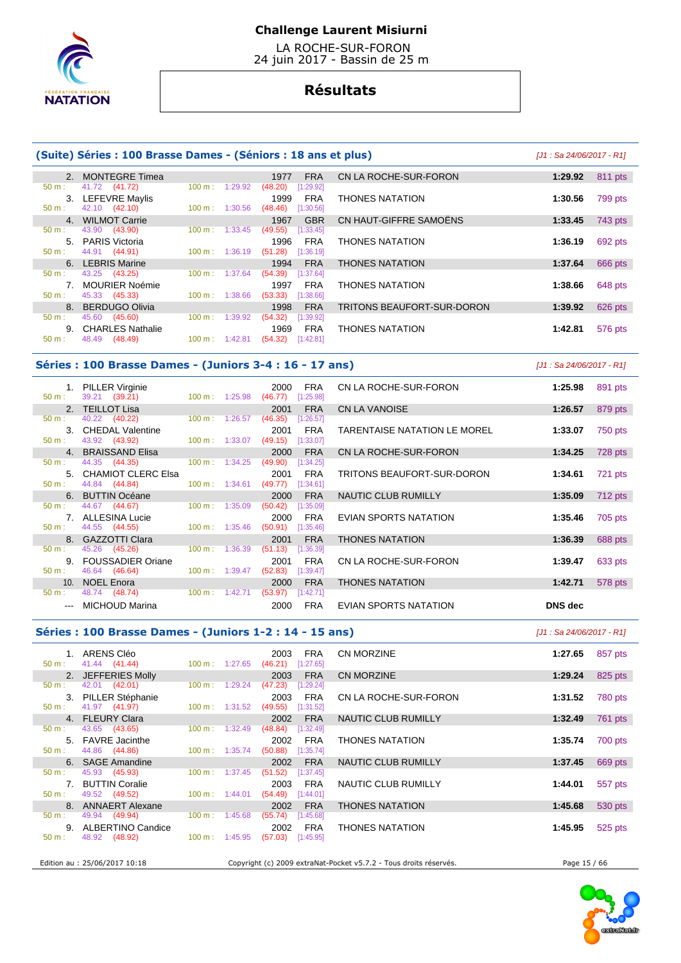

 LA ROCHE-SUR-FORON 24 juin 2017 - Bassin de 25 m

# **Résultats**

### **(Suite) Séries : 100 Brasse Dames - (Séniors : 18 ans et plus)** [J1 : Sa 24/06/2017 - R1]

| 41.72 (41.72)<br>1:29.92<br>[1:29.92]<br>100 m:<br>(48.20)<br>50 m:<br>LEFEVRE Maylis<br><b>FRA</b><br><b>THONES NATATION</b><br>3.<br>1999<br>1:30.56<br>42.10 (42.10)<br>1:30.56<br>(48.46)<br>[1:30.56]<br>$50 m$ :<br>$100 \text{ m}$ :<br>CN HAUT-GIFFRE SAMOËNS<br>4. WILMOT Carrie<br><b>GBR</b><br>1:33.45<br>1967<br>(43.90)<br>43.90<br>1:33.45<br>(49.55)<br>[1:33.45]<br>$100 m$ :<br>50 m:<br><b>PARIS Victoria</b><br>5.<br>1996<br><b>FRA</b><br><b>THONES NATATION</b><br>1:36.19<br>44.91 (44.91)<br>(51.28)<br>$50 m$ :<br>1:36.19<br>[1:36.19]<br>100 m :<br><b>LEBRIS Marine</b><br><b>FRA</b><br><b>THONES NATATION</b><br>1994<br>1:37.64<br>6<br>43.25<br>(43.25)<br>1:37.64<br>(54.39)<br>[1:37.64]<br>100 m:<br>50 m: | $\mathcal{P}$ | <b>MONTEGRE Timea</b> | 1977 | CN LA ROCHE-SUR-FORON<br><b>FRA</b> | 1:29.92 | 811 pts |
|------------------------------------------------------------------------------------------------------------------------------------------------------------------------------------------------------------------------------------------------------------------------------------------------------------------------------------------------------------------------------------------------------------------------------------------------------------------------------------------------------------------------------------------------------------------------------------------------------------------------------------------------------------------------------------------------------------------------------------------------|---------------|-----------------------|------|-------------------------------------|---------|---------|
|                                                                                                                                                                                                                                                                                                                                                                                                                                                                                                                                                                                                                                                                                                                                                |               |                       |      |                                     |         |         |
|                                                                                                                                                                                                                                                                                                                                                                                                                                                                                                                                                                                                                                                                                                                                                |               |                       |      |                                     |         | 799 pts |
|                                                                                                                                                                                                                                                                                                                                                                                                                                                                                                                                                                                                                                                                                                                                                |               |                       |      |                                     |         |         |
|                                                                                                                                                                                                                                                                                                                                                                                                                                                                                                                                                                                                                                                                                                                                                |               |                       |      |                                     |         | 743 pts |
|                                                                                                                                                                                                                                                                                                                                                                                                                                                                                                                                                                                                                                                                                                                                                |               |                       |      |                                     |         |         |
|                                                                                                                                                                                                                                                                                                                                                                                                                                                                                                                                                                                                                                                                                                                                                |               |                       |      |                                     |         | 692 pts |
|                                                                                                                                                                                                                                                                                                                                                                                                                                                                                                                                                                                                                                                                                                                                                |               |                       |      |                                     |         |         |
|                                                                                                                                                                                                                                                                                                                                                                                                                                                                                                                                                                                                                                                                                                                                                |               |                       |      |                                     |         | 666 pts |
|                                                                                                                                                                                                                                                                                                                                                                                                                                                                                                                                                                                                                                                                                                                                                |               |                       |      |                                     |         |         |
| <b>MOURIER Noémie</b><br><b>FRA</b><br><b>THONES NATATION</b><br>1997<br>1:38.66                                                                                                                                                                                                                                                                                                                                                                                                                                                                                                                                                                                                                                                               |               |                       |      |                                     |         | 648 pts |
| 45.33 (45.33)<br>(53.33)<br>$50 m$ :<br>1:38.66<br>[1:38.66]<br>$100 \text{ m}$ :                                                                                                                                                                                                                                                                                                                                                                                                                                                                                                                                                                                                                                                              |               |                       |      |                                     |         |         |
| <b>BERDUGO Olivia</b><br><b>FRA</b><br>1998<br>TRITONS BEAUFORT-SUR-DORON<br>$\mathsf{R}$<br>1:39.92                                                                                                                                                                                                                                                                                                                                                                                                                                                                                                                                                                                                                                           |               |                       |      |                                     |         | 626 pts |
| 45.60<br>1:39.92<br>(54.32)<br>100 m:<br>[1:39.92]<br>$50 m$ :<br>(45.60)                                                                                                                                                                                                                                                                                                                                                                                                                                                                                                                                                                                                                                                                      |               |                       |      |                                     |         |         |
| <b>CHARLES Nathalie</b><br><b>THONES NATATION</b><br>1969<br><b>FRA</b><br>1:42.81<br>9.                                                                                                                                                                                                                                                                                                                                                                                                                                                                                                                                                                                                                                                       |               |                       |      |                                     |         | 576 pts |
| 48.49<br>(48.49)<br>$50 m$ :<br>[1:42.81]<br>1:42.81<br>(54.32)<br>$100 \text{ m}$ :                                                                                                                                                                                                                                                                                                                                                                                                                                                                                                                                                                                                                                                           |               |                       |      |                                     |         |         |

#### Séries : 100 Brasse Dames - (Juniors 3-4 : 16 - 17 a

1. **PILLER Virginie** 2000 FRA<br>50 m <sup>2</sup> 39.21 (39.21) 100 m 1:25.98 (46.77) [1:25.98]  $(46.77)$  [1:25.98] 2. TEILLOT Lisa 2001 FRA<br>
50 m : 40.22 (40.22) 100 m : 1:26.57 (46.35) [1:26.57] 50 m : 40.22 (40.22) 100 m : 1:26.57 (46.35) [1:26.57] 3. CHEDAL Valentine 2001 FRA TARENTAISE NATATION LE MOREL **1:33.07** 750 pts 50 m : 43.92 (43.92) 100 m : 1:33.07 (49.15) [1:33.07] 4. BRAISSAND Elisa 2000 FRA CN LA ROCHE-SUR-FORON **1:34.25** 728 pts  $(49.90)$ 5. CHAMIOT CLERC Elsa 2001 FRA<br>
50 m : 44.84 (44.84) 100 m : 1:34.61 (49.77) [1:34.61]  $(49.77)$  [1:34.61] **6. BUTTIN Océane 2000 FRA**<br> **50 m**: 44.67 (44.67) 100 m: 1:35.09 (50.42) [1:35.09]  $(50.42)$  7. ALLESINA Lucie 2000 FRA EVIAN SPORTS NATATION **1:35.46** 705 pts  $100 m : 1:35.46$ 8. GAZZOTTI Clara 2001 FRA<br>  $\frac{50 \text{ m}}{2}$  100 m; 1:36.39 **(51.13)** [1:36.39] 45.26 (45.26) 100 m : 1:36.39 (51.13) 9. FOUSSADIER Oriane 2001 FRA 50 m : 46.64 (46.64) **100 m** : 1:39.47 **62.83** [1:39.47]  $(52.83)$   $[1:39.47]$ 10. NOEL Enora 2000 FRA<br>
100 m : 1:42.71 **(53.97)** [1:42.71]  $(53.97)$   $[1:42.71]$ --- MICHOUD Marina 2000 FRA EVIAN SPORTS NATATION **DNS dec** 

| ns)                          | [J1 : Sa 24/06/2017 - R1] |  |
|------------------------------|---------------------------|--|
| CN LA ROCHE-SUR-FORON        | 1:25.98<br>891 pts        |  |
| CN LA VANOISE                | 1:26.57<br>879 pts        |  |
| TARENTAISE NATATION LE MOREL | 1:33.07<br>750 pts        |  |
| CN LA ROCHE-SUR-FORON        | 1:34.25<br>728 pts        |  |
| TRITONS BEAUFORT-SUR-DORON   | 1:34.61<br>721 pts        |  |
| <b>NAUTIC CLUB RUMILLY</b>   | 1:35.09<br><b>712 pts</b> |  |
| <b>EVIAN SPORTS NATATION</b> | 1:35.46<br>705 pts        |  |
| <b>THONES NATATION</b>       | 1:36.39<br>688 pts        |  |
| CN LA ROCHE-SUR-FORON        | 1:39.47<br>633 pts        |  |
| <b>THONES NATATION</b>       | 1:42.71<br>578 pts        |  |

### **Séries : 100 Brasse Dames - (Juniors 1-2 : 14 - 15 ans)** [J1 : Sa 24/06/2017 - R1]

| 50 m:    | 1. ARENS Cléo<br>41.44 (41.44)       | $100 \text{ m}: 1:27.65$ | 2003<br>(46.21) | <b>FRA</b><br>$[1:27.65]$ | <b>CN MORZINE</b>                                                 | 1:27.65      | 857 pts |
|----------|--------------------------------------|--------------------------|-----------------|---------------------------|-------------------------------------------------------------------|--------------|---------|
|          | 2. JEFFERIES Molly                   |                          | 2003            | <b>FRA</b>                | <b>CN MORZINE</b>                                                 | 1:29.24      | 825 pts |
| 50 m:    | 42.01 (42.01)<br>3. PILLER Stéphanie | $100 \text{ m}: 1:29.24$ | (47.23)<br>2003 | [1:29.24]<br><b>FRA</b>   | CN LA ROCHE-SUR-FORON                                             | 1:31.52      | 780 pts |
| 50 m:    | 41.97 (41.97)                        | $100 \text{ m}: 1:31.52$ | (49.55)         | [1:31.52]                 |                                                                   |              |         |
|          | 4. FLEURY Clara                      |                          | 2002            | <b>FRA</b>                | NAUTIC CLUB RUMILLY                                               | 1:32.49      | 761 pts |
| 50 m:    | 43.65 (43.65)                        | $100 \text{ m}: 1:32.49$ | (48.84)         | [1:32.49]                 |                                                                   |              |         |
|          | 5. FAVRE Jacinthe                    |                          | 2002            | <b>FRA</b>                | <b>THONES NATATION</b>                                            | 1:35.74      | 700 pts |
| $50 m$ : | 44.86 (44.86)                        | 100 m: 1:35.74           | (50.88)         | [1:35.74]                 |                                                                   |              |         |
|          | 6. SAGE Amandine                     |                          | 2002            | <b>FRA</b>                | NAUTIC CLUB RUMILLY                                               | 1:37.45      | 669 pts |
| $50 m$ : | 45.93 (45.93)                        | $100 \text{ m}: 1:37.45$ | (51.52)         | [1:37.45]                 |                                                                   |              |         |
|          | 7. BUTTIN Coralie                    |                          | 2003            | <b>FRA</b>                | NAUTIC CLUB RUMILLY                                               | 1:44.01      | 557 pts |
| 50 m:    | 49.52 (49.52)                        | $100 \text{ m}: 1:44.01$ | (54.49)         | [1:44.01]                 |                                                                   |              |         |
|          | 8. ANNAERT Alexane                   |                          | 2002            | <b>FRA</b>                | <b>THONES NATATION</b>                                            | 1:45.68      | 530 pts |
| 50 m:    | 49.94 (49.94)                        | $100 \text{ m}: 1:45.68$ | (55.74)         | [1:45.68]                 |                                                                   |              |         |
|          | 9. ALBERTINO Candice                 |                          | 2002            | <b>FRA</b>                | <b>THONES NATATION</b>                                            | 1:45.95      | 525 pts |
| 50 m :   | 48.92 (48.92)                        | $100 \text{ m}: 1:45.95$ | (57.03)         | [1:45.95]                 |                                                                   |              |         |
|          | Edition au : 25/06/2017 10:18        |                          |                 |                           | Copyright (c) 2009 extraNat-Pocket v5.7.2 - Tous droits réservés. | Page 15 / 66 |         |
|          |                                      |                          |                 |                           |                                                                   |              |         |

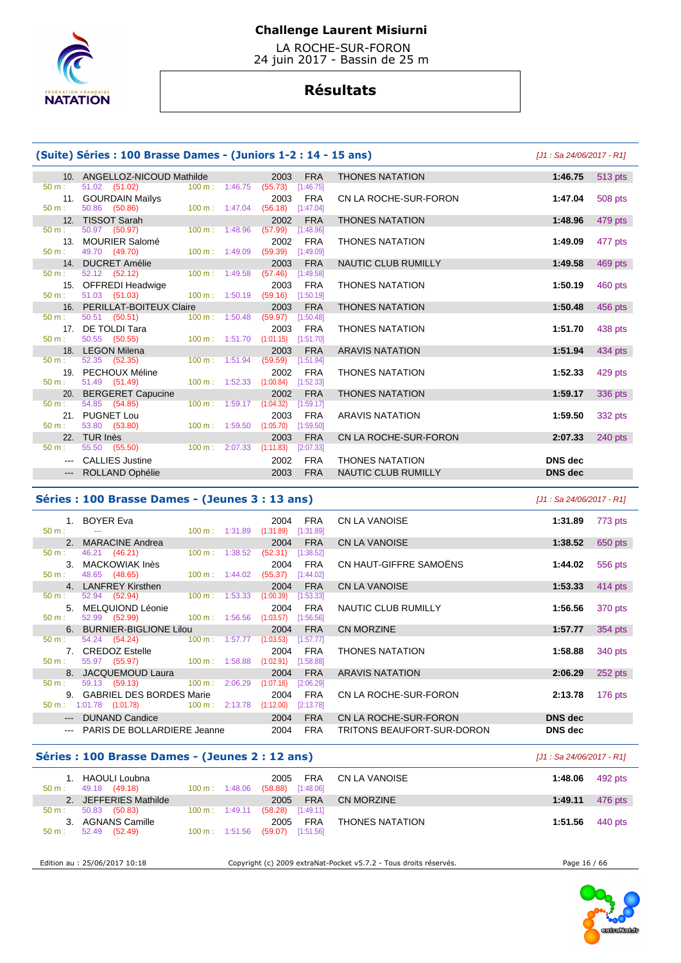

 LA ROCHE-SUR-FORON 24 juin 2017 - Bassin de 25 m

# **Résultats**

### **(Suite) Séries : 100 Brasse Dames - (Juniors 1-2 : 14 - 15 ans)** [J1 : Sa 24/06/2017 - R1]

|                  | 10. ANGELLOZ-NICOUD Mathilde 2003                     |                                      |                               |                     | <b>FRA</b> | <b>THONES NATATION</b>     | 1:46.75        |
|------------------|-------------------------------------------------------|--------------------------------------|-------------------------------|---------------------|------------|----------------------------|----------------|
| $50 \text{ m}$ : | 51.02 (51.02) 100 m : 1:46.75 (55.73) [1:46.75]       |                                      |                               |                     |            |                            |                |
|                  | 11. GOURDAIN Maïlys                                   |                                      |                               | 2003                | FRA        | CN LA ROCHE-SUR-FORON      | 1:47.04        |
| 50 m:            | 50.86 (50.86)    100 m : 1:47.04 (56.18)    [1:47.04] |                                      |                               |                     |            |                            |                |
|                  | 12. TISSOT Sarah <b>Management State State State</b>  |                                      |                               | 2002                | <b>FRA</b> | <b>THONES NATATION</b>     | 1:48.96        |
| 50 m:            | 50.97 (50.97)                                         | $100 \text{ m}$ : 1:48.96            |                               | $(57.99)$ [1:48.96] |            |                            |                |
|                  | 13. MOURIER Salomé                                    |                                      |                               | 2002                | FRA        | <b>THONES NATATION</b>     | 1:49.09        |
| $50 \text{ m}$ : | 49.70 (49.70)                                         | 100 m: 1:49.09 (59.39) [1:49.09]     |                               |                     |            |                            |                |
|                  | 14. DUCRET Amélie                                     |                                      |                               |                     | 2003 FRA   | NAUTIC CLUB RUMILLY        | 1:49.58        |
| $50 m$ :         | 52.12 (52.12) 100 m : 1:49.58 (57.46) [1:49.58]       |                                      |                               |                     |            |                            |                |
|                  | 15. OFFREDI Headwige                                  |                                      |                               | 2003                | FRA        | <b>THONES NATATION</b>     | 1:50.19        |
| $50 m$ :         | 51.03 (51.03) 100 m: 1:50.19 (59.16) [1:50.19]        |                                      |                               |                     |            |                            |                |
|                  | 16. PERILLAT-BOITEUX Claire                           |                                      | and the state of the state of |                     | 2003 FRA   | <b>THONES NATATION</b>     | 1:50.48        |
| $50 m$ :         | 50.51 (50.51) 100 m : 1:50.48 (59.97) [1:50.48]       |                                      |                               |                     |            |                            |                |
|                  | 17. DE TOLDI Tara                                     |                                      |                               |                     | 2003 FRA   | <b>THONES NATATION</b>     | 1:51.70        |
| $50 m$ :         | 50.55 (50.55) 100 m : 1:51.70 (1:01.15) [1:51.70]     |                                      |                               |                     |            |                            |                |
|                  | 18. LEGON Milena                                      |                                      |                               | 2003                | <b>FRA</b> | <b>ARAVIS NATATION</b>     | 1:51.94        |
| $50 \text{ m}$ : | 52.35 (52.35)                                         | 100 m: 1:51.94 (59.59) [1:51.94]     |                               |                     |            |                            |                |
|                  | 19. PECHOUX Méline                                    |                                      |                               | 2002                | FRA        | <b>THONES NATATION</b>     | 1:52.33        |
| 50 m:            | 51.49 (51.49) 100 m : 1:52.33 (1:00.84) [1:52.33]     |                                      |                               |                     |            |                            |                |
|                  | 20. BERGERET Capucine                                 |                                      |                               | 2002                | <b>FRA</b> | <b>THONES NATATION</b>     | 1:59.17        |
| $50 \text{ m}$ : | 54.85 (54.85)                                         | $100 \text{ m}: 1:59.17$ $(1:04.32)$ |                               |                     | [1:59.17]  |                            |                |
|                  | 21. PUGNET Lou                                        |                                      |                               | 2003                | FRA        | <b>ARAVIS NATATION</b>     | 1:59.50        |
| $50 m$ :         | 53.80 (53.80) 100 m : 1:59.50 (1:05.70) [1:59.50]     |                                      |                               |                     |            |                            |                |
|                  | 22. TUR Inès                                          |                                      |                               | 2003                | <b>FRA</b> | CN LA ROCHE-SUR-FORON      | 2:07.33        |
| 50 m:            | 55.50 (55.50) 100 m : 2:07.33 (1:11.83) [2:07.33]     |                                      |                               |                     |            |                            |                |
|                  | --- CALLIES Justine                                   |                                      |                               | 2002                | FRA        | <b>THONES NATATION</b>     | <b>DNS</b> dec |
|                  | --- ROLLAND Ophélie                                   |                                      |                               | 2003                | <b>FRA</b> | <b>NAUTIC CLUB RUMILLY</b> | <b>DNS</b> dec |

|                                                                                                                                                                                                                                                                                                                                                                                                                                                                            | $\sim$ , beings i low biasse bannes (sannois l'annois     |                                                           |                                                                        |                            |                    |
|----------------------------------------------------------------------------------------------------------------------------------------------------------------------------------------------------------------------------------------------------------------------------------------------------------------------------------------------------------------------------------------------------------------------------------------------------------------------------|-----------------------------------------------------------|-----------------------------------------------------------|------------------------------------------------------------------------|----------------------------|--------------------|
|                                                                                                                                                                                                                                                                                                                                                                                                                                                                            | 10. ANGELLOZ-NICOUD Mathilde                              |                                                           | <b>FRA</b><br>2003                                                     | <b>THONES NATATION</b>     | 1:46.75<br>513 pts |
| 11.                                                                                                                                                                                                                                                                                                                                                                                                                                                                        | 51.02 (51.02)<br><b>GOURDAIN Mailys</b><br>50.86 (50.86)  | $100 m$ : 1:46.75<br>$100 m$ : 1:47.04                    | (55.73)<br>[1:46.75]<br>2003<br><b>FRA</b><br>(56.18)<br>[1:47.04]     | CN LA ROCHE-SUR-FORON      | 508 pts<br>1:47.04 |
| 12.                                                                                                                                                                                                                                                                                                                                                                                                                                                                        | <b>TISSOT Sarah</b>                                       |                                                           | <b>FRA</b><br>2002                                                     | <b>THONES NATATION</b>     | 1:48.96<br>479 pts |
| 13.<br>÷                                                                                                                                                                                                                                                                                                                                                                                                                                                                   | 50.97 (50.97)<br><b>MOURIER Salomé</b><br>49.70 (49.70)   | 1:48.96<br>$100 \text{ m}$ :<br>$100 \text{ m}$ : 1:49.09 | (57.99)<br>[1:48.96]<br><b>FRA</b><br>2002<br>(59.39)<br>[1:49.09]     | <b>THONES NATATION</b>     | 1:49.09<br>477 pts |
| 14.                                                                                                                                                                                                                                                                                                                                                                                                                                                                        | <b>DUCRET Amélie</b>                                      |                                                           | <b>FRA</b><br>2003                                                     | NAUTIC CLUB RUMILLY        | 1:49.58<br>469 pts |
| 15.                                                                                                                                                                                                                                                                                                                                                                                                                                                                        | 52.12 (52.12)<br><b>OFFREDI Headwige</b><br>51.03 (51.03) | $100 \text{ m}: 1:49.58$<br>100 m: 1:50.19                | (57.46)<br>[1:49.58]<br><b>FRA</b><br>2003<br>(59.16)<br>[1:50.19]     | <b>THONES NATATION</b>     | 1:50.19<br>460 pts |
| 16.                                                                                                                                                                                                                                                                                                                                                                                                                                                                        | PERILLAT-BOITEUX Claire                                   |                                                           | <b>FRA</b><br>2003                                                     | <b>THONES NATATION</b>     | 1:50.48<br>456 pts |
| 17 <sub>1</sub>                                                                                                                                                                                                                                                                                                                                                                                                                                                            | 50.51 (50.51)<br>DE TOLDI Tara<br>50.55 (50.55)           | 100 m: 1:50.48<br>$100 \text{ m}$ : 1:51.70               | (59.97)<br>[1:50.48]<br><b>FRA</b><br>2003<br>(1:01.15)<br>[1:51.70]   | <b>THONES NATATION</b>     | 1:51.70<br>438 pts |
| 18.                                                                                                                                                                                                                                                                                                                                                                                                                                                                        | <b>LEGON Milena</b>                                       |                                                           | <b>FRA</b><br>2003                                                     | <b>ARAVIS NATATION</b>     | 1:51.94<br>434 pts |
| 19.                                                                                                                                                                                                                                                                                                                                                                                                                                                                        | 52.35 (52.35)<br>PECHOUX Méline<br>51.49 (51.49)          | 100 m: 1:51.94<br>100 m: 1:52.33                          | (59.59)<br>[1:51.94]<br><b>FRA</b><br>2002<br>(1:00.84)<br>[1:52.33]   | <b>THONES NATATION</b>     | 1:52.33<br>429 pts |
| 20.                                                                                                                                                                                                                                                                                                                                                                                                                                                                        | <b>BERGERET Capucine</b>                                  |                                                           | <b>FRA</b><br>2002                                                     | <b>THONES NATATION</b>     | 1:59.17<br>336 pts |
| 21.                                                                                                                                                                                                                                                                                                                                                                                                                                                                        | 54.85 (54.85)<br><b>PUGNET Lou</b><br>53.80 (53.80)       | 100 m: 1:59.17<br>100 m: 1:59.50                          | (1:04.32)<br>[1:59.17]<br><b>FRA</b><br>2003<br>(1:05.70)<br>[1:59.50] | <b>ARAVIS NATATION</b>     | 1:59.50<br>332 pts |
| 22.                                                                                                                                                                                                                                                                                                                                                                                                                                                                        | TUR Inès                                                  |                                                           | 2003<br><b>FRA</b>                                                     | CN LA ROCHE-SUR-FORON      | 2:07.33<br>240 pts |
|                                                                                                                                                                                                                                                                                                                                                                                                                                                                            | 55.50 (55.50)                                             | $100 \text{ m}$ : $2:07.33$                               | (1:11.83)<br>[2:07.33]                                                 |                            |                    |
| $\cdots$                                                                                                                                                                                                                                                                                                                                                                                                                                                                   | <b>CALLIES Justine</b>                                    |                                                           | <b>FRA</b><br>2002                                                     | <b>THONES NATATION</b>     | <b>DNS</b> dec     |
| $\frac{1}{2} \left( \frac{1}{2} \right) \left( \frac{1}{2} \right) \left( \frac{1}{2} \right) \left( \frac{1}{2} \right) \left( \frac{1}{2} \right) \left( \frac{1}{2} \right) \left( \frac{1}{2} \right) \left( \frac{1}{2} \right) \left( \frac{1}{2} \right) \left( \frac{1}{2} \right) \left( \frac{1}{2} \right) \left( \frac{1}{2} \right) \left( \frac{1}{2} \right) \left( \frac{1}{2} \right) \left( \frac{1}{2} \right) \left( \frac{1}{2} \right) \left( \frac$ | ROLLAND Ophélie                                           |                                                           | 2003<br><b>FRA</b>                                                     | <b>NAUTIC CLUB RUMILLY</b> | <b>DNS</b> dec     |

# **Séries : 100 Brasse Dames - (Jeunes 3 : 13 ans)** [J1 : Sa 24/06/2017 - R1]

| 1. BOYER Eva<br>FRA<br>CN LA VANOISE<br>2004<br>1:31.89<br>100 m: 1:31.89 (1:31.89) [1:31.89]<br>2. MARACINE Andrea<br>2004<br>FRA CN LA VANOISE<br>1:38.52<br>46.21 (46.21) 100 m : 1:38.52<br>$(52.31)$ [1:38.52]<br>50 m:<br>2004 FRA CN HAUT-GIFFRE SAMOËNS<br>3. MACKOWIAK Inès<br>1:44.02<br>50 m : 48.65 (48.65) 100 m : 1:44.02 (55.37) [1:44.02]<br>4. LANFREY Kirsthen<br>2004<br>FRA<br>CN LA VANOISE<br>1:53.33<br>52.94 (52.94) 100 m : 1:53.33 (1:00.39) [1:53.33]<br>$50 \text{ m}$ :<br>5. MELQUIOND Léonie<br>2004<br>FRA<br>NAUTIC CLUB RUMILLY<br>1:56.56<br>52.99 (52.99) 100 m : 1:56.56 (1:03.57) [1:56.56]<br>50 m:<br>2004<br>6. BURNIER-BIGLIONE Lilou<br>FRA<br>CN MORZINE<br>1:57.77<br>54.24 (54.24) 100 m : 1:57.77 (1:03.53) [1:57.77]<br>50 m:<br>7. CREDOZ Estelle<br>2004<br>FRA THONES NATATION<br>1:58.88<br>55.97 (55.97) 100 m : 1:58.88 (1:02.91) [1:58.88]<br>$50 \text{ m}$ :<br>8. JACQUEMOUD Laura<br>2004<br><b>FRA</b><br>ARAVIS NATATION<br>2:06.29<br>59.13 (59.13) 100 m : 2:06.29<br>$50 \text{ m}$ :<br>(1:07.16)<br>[2:06.29]<br>9. GABRIEL DES BORDES Marie<br>2004<br>FRA<br>CN LA ROCHE-SUR-FORON<br>2:13.78<br>50 m : 1:01.78 (1:01.78) 100 m : 2:13.78 (1:12.00)<br>[2:13.78]<br>--- DUNAND Candice<br>2004<br><b>DNS</b> dec<br><b>FRA</b><br>CN LA ROCHE-SUR-FORON |  |  |  |  |         |
|-----------------------------------------------------------------------------------------------------------------------------------------------------------------------------------------------------------------------------------------------------------------------------------------------------------------------------------------------------------------------------------------------------------------------------------------------------------------------------------------------------------------------------------------------------------------------------------------------------------------------------------------------------------------------------------------------------------------------------------------------------------------------------------------------------------------------------------------------------------------------------------------------------------------------------------------------------------------------------------------------------------------------------------------------------------------------------------------------------------------------------------------------------------------------------------------------------------------------------------------------------------------------------------------------------------------------------|--|--|--|--|---------|
|                                                                                                                                                                                                                                                                                                                                                                                                                                                                                                                                                                                                                                                                                                                                                                                                                                                                                                                                                                                                                                                                                                                                                                                                                                                                                                                             |  |  |  |  | 773 pts |
|                                                                                                                                                                                                                                                                                                                                                                                                                                                                                                                                                                                                                                                                                                                                                                                                                                                                                                                                                                                                                                                                                                                                                                                                                                                                                                                             |  |  |  |  | 650 pts |
|                                                                                                                                                                                                                                                                                                                                                                                                                                                                                                                                                                                                                                                                                                                                                                                                                                                                                                                                                                                                                                                                                                                                                                                                                                                                                                                             |  |  |  |  |         |
|                                                                                                                                                                                                                                                                                                                                                                                                                                                                                                                                                                                                                                                                                                                                                                                                                                                                                                                                                                                                                                                                                                                                                                                                                                                                                                                             |  |  |  |  | 556 pts |
|                                                                                                                                                                                                                                                                                                                                                                                                                                                                                                                                                                                                                                                                                                                                                                                                                                                                                                                                                                                                                                                                                                                                                                                                                                                                                                                             |  |  |  |  |         |
|                                                                                                                                                                                                                                                                                                                                                                                                                                                                                                                                                                                                                                                                                                                                                                                                                                                                                                                                                                                                                                                                                                                                                                                                                                                                                                                             |  |  |  |  | 414 pts |
|                                                                                                                                                                                                                                                                                                                                                                                                                                                                                                                                                                                                                                                                                                                                                                                                                                                                                                                                                                                                                                                                                                                                                                                                                                                                                                                             |  |  |  |  |         |
|                                                                                                                                                                                                                                                                                                                                                                                                                                                                                                                                                                                                                                                                                                                                                                                                                                                                                                                                                                                                                                                                                                                                                                                                                                                                                                                             |  |  |  |  | 370 pts |
|                                                                                                                                                                                                                                                                                                                                                                                                                                                                                                                                                                                                                                                                                                                                                                                                                                                                                                                                                                                                                                                                                                                                                                                                                                                                                                                             |  |  |  |  |         |
|                                                                                                                                                                                                                                                                                                                                                                                                                                                                                                                                                                                                                                                                                                                                                                                                                                                                                                                                                                                                                                                                                                                                                                                                                                                                                                                             |  |  |  |  | 354 pts |
|                                                                                                                                                                                                                                                                                                                                                                                                                                                                                                                                                                                                                                                                                                                                                                                                                                                                                                                                                                                                                                                                                                                                                                                                                                                                                                                             |  |  |  |  |         |
|                                                                                                                                                                                                                                                                                                                                                                                                                                                                                                                                                                                                                                                                                                                                                                                                                                                                                                                                                                                                                                                                                                                                                                                                                                                                                                                             |  |  |  |  | 340 pts |
|                                                                                                                                                                                                                                                                                                                                                                                                                                                                                                                                                                                                                                                                                                                                                                                                                                                                                                                                                                                                                                                                                                                                                                                                                                                                                                                             |  |  |  |  |         |
|                                                                                                                                                                                                                                                                                                                                                                                                                                                                                                                                                                                                                                                                                                                                                                                                                                                                                                                                                                                                                                                                                                                                                                                                                                                                                                                             |  |  |  |  | 252 pts |
|                                                                                                                                                                                                                                                                                                                                                                                                                                                                                                                                                                                                                                                                                                                                                                                                                                                                                                                                                                                                                                                                                                                                                                                                                                                                                                                             |  |  |  |  |         |
|                                                                                                                                                                                                                                                                                                                                                                                                                                                                                                                                                                                                                                                                                                                                                                                                                                                                                                                                                                                                                                                                                                                                                                                                                                                                                                                             |  |  |  |  | 176 pts |
|                                                                                                                                                                                                                                                                                                                                                                                                                                                                                                                                                                                                                                                                                                                                                                                                                                                                                                                                                                                                                                                                                                                                                                                                                                                                                                                             |  |  |  |  |         |
|                                                                                                                                                                                                                                                                                                                                                                                                                                                                                                                                                                                                                                                                                                                                                                                                                                                                                                                                                                                                                                                                                                                                                                                                                                                                                                                             |  |  |  |  |         |
| 2004<br><b>FRA</b><br>DNS dec<br>--- PARIS DE BOLLARDIERE Jeanne<br>TRITONS BEAUFORT-SUR-DORON                                                                                                                                                                                                                                                                                                                                                                                                                                                                                                                                                                                                                                                                                                                                                                                                                                                                                                                                                                                                                                                                                                                                                                                                                              |  |  |  |  |         |

|                            | JJ1 : Sa 24/06/2017 - R1J |  |
|----------------------------|---------------------------|--|
| CN LA VANOISE              | 1:31.89<br>773 pts        |  |
| CN LA VANOISE              | 1:38.52<br>650 pts        |  |
| CN HAUT-GIFFRE SAMOËNS     | 1:44.02<br>556 pts        |  |
| CN LA VANOISE              | 1:53.33<br>414 pts        |  |
| NAUTIC CLUB RUMILLY        | 1:56.56<br>370 pts        |  |
| CN MORZINE                 | 1:57.77<br>354 pts        |  |
| THONES NATATION            | 1:58.88<br>340 pts        |  |
| <b>ARAVIS NATATION</b>     | 2:06.29<br>252 pts        |  |
| CN LA ROCHE-SUR-FORON      | 2:13.78<br>176 pts        |  |
| CN LA ROCHE-SUR-FORON      | <b>DNS</b> dec            |  |
| TRITONS BEAUFORT-SUR-DORON | DNS dec                   |  |

### **Séries : 100 Brasse Dames - (Jeunes 2 : 12 ans)** [J1 : Sa 24/06/2017 - R1]

| 2. JEFFERIES Mathilde<br><b>FRA</b><br>1:49.11<br>476 pts<br>CN MORZINE<br>2005<br>$100 \text{ m}: 1:49.11$<br>(58.28)<br>[1:49.11]<br>50.83 (50.83)<br>$50 \text{ m}$ : |  |
|--------------------------------------------------------------------------------------------------------------------------------------------------------------------------|--|
|                                                                                                                                                                          |  |
|                                                                                                                                                                          |  |
| <b>AGNANS Camille</b><br>FRA<br><b>THONES NATATION</b><br>1:51.56<br>440 pts<br>2005<br>100 m: 1:51.56<br>(59.07)<br>[1:51.56]<br>52.49 (52.49)<br>$50 m$ :              |  |

Edition au : 25/06/2017 10:18 Copyright (c) 2009 extraNat-Pocket v5.7.2 - Tous droits réservés. Page 16 / 66

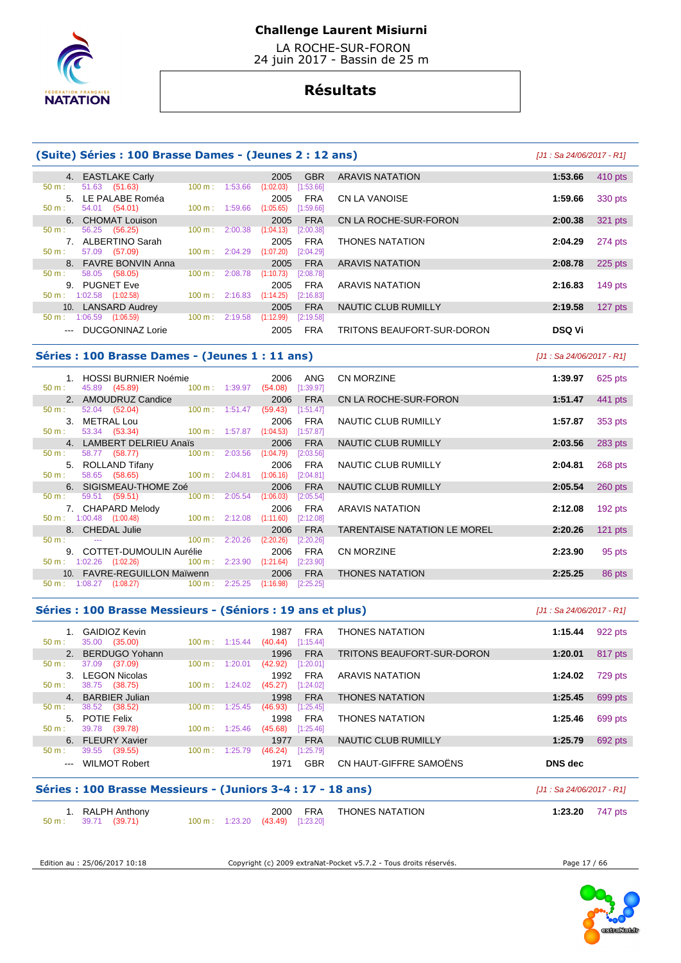

 LA ROCHE-SUR-FORON 24 juin 2017 - Bassin de 25 m

# **Résultats**

### **(Suite) Séries : 100 Brasse Dames - (Jeunes 2 : 12 ans)** [J1 : Sa 24/06/2017 - R1]

|                   | 4. EASTLAKE Carly     |                          | 2005                 | <b>GBR</b> | <b>ARAVIS NATATION</b>     | 1:53.66       | 410 pts |
|-------------------|-----------------------|--------------------------|----------------------|------------|----------------------------|---------------|---------|
| $50 m$ :          | 51.63 (51.63)         | $100 \text{ m}$ :        | 1:53.66<br>(1:02.03) | [1:53.66]  |                            |               |         |
|                   | 5. LE PALABE Roméa    |                          | 2005                 | <b>FRA</b> | CN LA VANOISE              | 1:59.66       | 330 pts |
| $50 m$ :          | 54.01 (54.01)         | $100 \text{ m}: 1:59.66$ | (1:05.65)            | [1:59.66]  |                            |               |         |
|                   | 6. CHOMAT Louison     |                          | 2005                 | <b>FRA</b> | CN LA ROCHE-SUR-FORON      | 2:00.38       | 321 pts |
| $50 m$ :          | (56.25)<br>56.25      | $100 \text{ m}$ :        | 2:00.38<br>(1:04.13) | [2:00.38]  |                            |               |         |
|                   | ALBERTINO Sarah       |                          | 2005                 | <b>FRA</b> | <b>THONES NATATION</b>     | 2:04.29       | 274 pts |
| $50 m$ :          | 57.09 (57.09)         | $100 \text{ m}$ :        | (1:07.20)<br>2:04.29 | [2:04.29]  |                            |               |         |
|                   | 8. FAVRE BONVIN Anna  |                          | 2005                 | <b>FRA</b> | <b>ARAVIS NATATION</b>     | 2:08.78       | 225 pts |
| $50 m$ :          | 58.05<br>(58.05)      | 100 m:                   | 2:08.78<br>(1:10.73) | [2:08.78]  |                            |               |         |
| 9.                | <b>PUGNET Eve</b>     |                          | 2005                 | <b>FRA</b> | ARAVIS NATATION            | 2:16.83       | 149 pts |
| 50 m:             | 1:02.58<br>(1:02.58)  | $100 \text{ m}$ :        | 2:16.83<br>(1:14.25) | [2:16.83]  |                            |               |         |
| 10.               | <b>LANSARD Audrey</b> |                          | 2005                 | <b>FRA</b> | NAUTIC CLUB RUMILLY        | 2:19.58       | 127 pts |
| $50 m$ :          | 1:06.59<br>(1:06.59)  | $100 \text{ m}$ :        | 2:19.58<br>(1:12.99) | [2:19.58]  |                            |               |         |
| $\qquad \qquad -$ | DUCGONINAZ Lorie      |                          | 2005                 | <b>FRA</b> | TRITONS BEAUFORT-SUR-DORON | <b>DSQ Vi</b> |         |

### **Séries : 100 Brasse Dames - (Jeunes 1 : 11 ans)** [J1 : Sa 24/06/2017 - R1]

 1. HOSSI BURNIER Noémie 2006 ANG CN MORZINE **1:39.97** 625 pts 45.89 (45.89) 100 m : 1:39.97 2. AMOUDRUZ Candice 2006 FRA CN LA ROCHE-SUR-FORON **1:51.47** 441 pts 50 m : 52.04 (52.04) 100 m : 1:51.47 (59.43) [1:51.47] 50 m : 52.04 (52.04) 100 m : 1:51.47 (59.43) [1:51.47] 3. METRAL Lou 2006 FRA NAUTIC CLUB RUMILLY **1:57.87** 353 pts  $\frac{1}{200}$  : 53.34 (53.34) 100 m : 1:57.87 (1:04.53) 4. LAMBERT DELRIEU Anaïs 2006 FRA NAUTIC CLUB RUMILLY **2:03.56** 283 pts 50 m : 58.77 (58.77) 100 m : 2:03.56 (1:04.79) [2:03.5 5. ROLLAND Tifany 2006 FRA NAUTIC CLUB RUMILLY **2:04.81** 268 pts  $100 m : 2:04.81$  6. SIGISMEAU-THOME Zoé 2006 FRA NAUTIC CLUB RUMILLY **2:05.54** 260 pts 50 m : 59.51 (59.51) 100 m : 2:05.54 (1:06.03) [2:05.54] 7. CHAPARD Melody 2006 FRA ARAVIS NATATION **2:12.08** 192 pts 50 m : 1:00.48 (1:00.48) 100 m : 2:12.08 (1:11.60) [2:12.08] 8. CHEDAL Julie 2006 FRA TARENTAISE NATATION LE MOREL **2:20.26** 121 pts 50 m : --- 100 m : 2:20.26 (2:20.26) [2:20.26] 9. COTTET-DUMOULIN Aurélie 2006 FRA CN MORZINE **2:23.90** 95 pts  $50 m : 1:02.26 (1:02.26)$  10. FAVRE-REGUILLON Maïwenn 2006 FRA THONES NATATION **2:25.25** 86 pts 50 m : 1:08.27 (1:08.27) 100 m : 2:25.25 (1:16.98) [2:25.25]

### **Séries : 100 Brasse Messieurs - (Séniors : 19 ans et plus)** [J1 : Sa 24/06/2017 - R1]

| $50 m$ :         | GAIDIOZ Kevin<br>(35.00)<br>35.00 | $100 \text{ m}$ :        | 1:15.44 | 1987<br>(40.44) | FRA<br>[1:15.44] | <b>THONES NATATION</b>     | 1:15.44 | 922 pts |
|------------------|-----------------------------------|--------------------------|---------|-----------------|------------------|----------------------------|---------|---------|
|                  | BERDUGO Yohann                    |                          |         | 1996            | <b>FRA</b>       | TRITONS BEAUFORT-SUR-DORON | 1:20.01 | 817 pts |
| 50 m:            | 37.09<br>(37.09)                  | $100 \text{ m}$ :        | 1:20.01 | (42.92)         | [1:20.01]        |                            |         |         |
| 3.               | <b>LEGON Nicolas</b>              |                          |         | 1992            | <b>FRA</b>       | ARAVIS NATATION            | 1:24.02 | 729 pts |
| $50 \text{ m}$ : | 38.75<br>(38.75)                  | $100 \text{ m}: 1:24.02$ |         | (45.27)         | [1:24.02]        |                            |         |         |
| 4 <sup>1</sup>   | <b>BARBIER Julian</b>             |                          |         | 1998            | <b>FRA</b>       | <b>THONES NATATION</b>     | 1:25.45 | 699 pts |
| $50 m$ :         | 38.52<br>(38.52)                  | $100 \text{ m}$ :        | 1:25.45 | (46.93)         | [1:25.45]        |                            |         |         |
| $5 -$            | <b>POTIE Felix</b>                |                          |         | 1998            | <b>FRA</b>       | <b>THONES NATATION</b>     | 1:25.46 | 699 pts |
| $50 m$ :         | 39.78<br>(39.78)                  | $100 \text{ m}$ :        | 1:25.46 | (45.68)         | [1:25.46]        |                            |         |         |
|                  | 6. FLEURY Xavier                  |                          |         | 1977            | <b>FRA</b>       | <b>NAUTIC CLUB RUMILLY</b> | 1:25.79 | 692 pts |
| $50 m$ :         | (39.55)<br>39.55                  | 100 m:                   | 1:25.79 | (46.24)         | [1:25.79]        |                            |         |         |
| $---$            | <b>WILMOT Robert</b>              |                          |         | 1971            | GBR              | CN HAUT-GIFFRE SAMOËNS     | DNS dec |         |

### **Séries : 100 Brasse Messieurs - (Juniors 3-4 : 17 - 18 ans)** [J1 : Sa 24/06/2017 - R1]

| 1. RALPH Anthony     |  |                                  | 2000 FRA THONES NATATION | 1:23.20 $747 \text{ pts}$ |  |
|----------------------|--|----------------------------------|--------------------------|---------------------------|--|
| 50 m : 39.71 (39.71) |  | 100 m: 1:23.20 (43.49) [1:23.20] |                          |                           |  |

Edition au : 25/06/2017 10:18 Copyright (c) 2009 extraNat-Pocket v5.7.2 - Tous droits réservés. Page 17 / 66

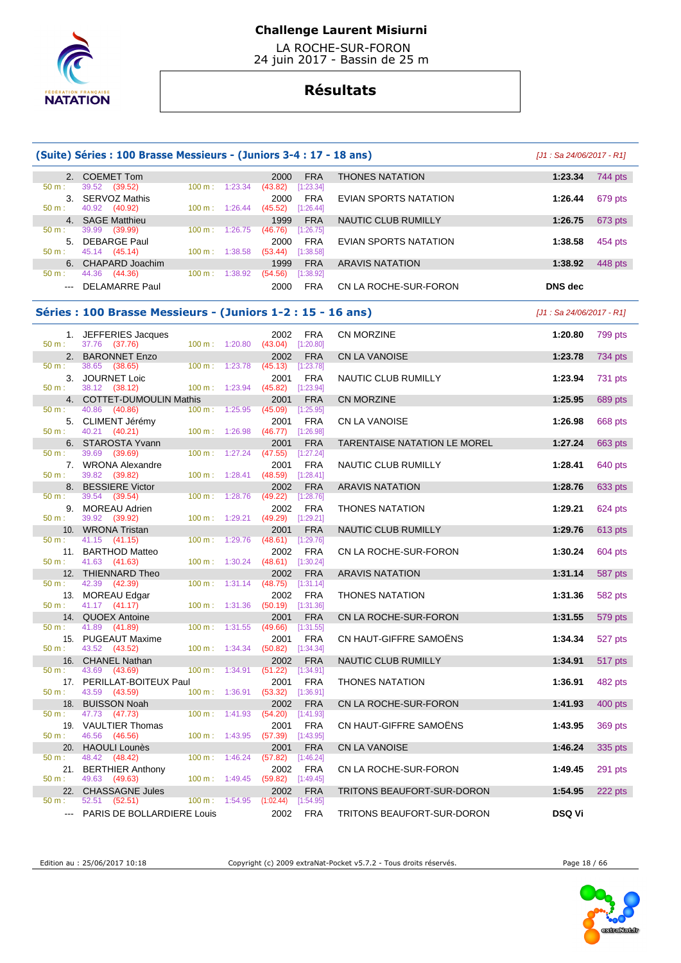

 LA ROCHE-SUR-FORON 24 juin 2017 - Bassin de 25 m

# **Résultats**

|                                                                                                                                                                                                                                                                                                                                                                                                                                                                            | (Suite) Séries : 100 Brasse Messieurs - (Juniors 3-4 : 17 - 18 ans) |                                  |                          |                                        |                           |                                     |               |         |  |  |
|----------------------------------------------------------------------------------------------------------------------------------------------------------------------------------------------------------------------------------------------------------------------------------------------------------------------------------------------------------------------------------------------------------------------------------------------------------------------------|---------------------------------------------------------------------|----------------------------------|--------------------------|----------------------------------------|---------------------------|-------------------------------------|---------------|---------|--|--|
|                                                                                                                                                                                                                                                                                                                                                                                                                                                                            | 2. COEMET Tom                                                       |                                  |                          | 2000                                   | <b>FRA</b>                | <b>THONES NATATION</b>              | 1:23.34       | 744 pts |  |  |
| 50 m:<br>50 m:                                                                                                                                                                                                                                                                                                                                                                                                                                                             | 39.52 (39.52)<br>3. SERVOZ Mathis<br>40.92 (40.92)                  | 100 m: 1:23.34<br>100 m: 1:26.44 |                          | (43.82)<br>2000<br>$(45.52)$ [1:26.44] | [1:23.34]<br><b>FRA</b>   | EVIAN SPORTS NATATION               | 1:26.44       | 679 pts |  |  |
|                                                                                                                                                                                                                                                                                                                                                                                                                                                                            | 4. SAGE Matthieu                                                    |                                  |                          | 1999                                   | <b>FRA</b>                | <b>NAUTIC CLUB RUMILLY</b>          | 1:26.75       | 673 pts |  |  |
| 50 m:                                                                                                                                                                                                                                                                                                                                                                                                                                                                      | 39.99 (39.99)<br>5. DEBARGE Paul                                    | $100 \text{ m}: 1:26.75$         |                          | (46.76)<br>2000                        | $[1:26.75]$<br><b>FRA</b> | EVIAN SPORTS NATATION               | 1:38.58       | 454 pts |  |  |
| 50 m:                                                                                                                                                                                                                                                                                                                                                                                                                                                                      | 45.14 (45.14)<br>6. CHAPARD Joachim                                 | 100 m: 1:38.58                   |                          | (53.44)<br>1999                        | [1:38.58]<br><b>FRA</b>   | <b>ARAVIS NATATION</b>              | 1:38.92       | 448 pts |  |  |
| 50 m:                                                                                                                                                                                                                                                                                                                                                                                                                                                                      | 44.36 (44.36)                                                       | 100 m: 1:38.92                   |                          | (54.56)                                | [1:38.92]                 |                                     |               |         |  |  |
| $\frac{1}{2} \left( \frac{1}{2} \right) \left( \frac{1}{2} \right) \left( \frac{1}{2} \right) \left( \frac{1}{2} \right) \left( \frac{1}{2} \right) \left( \frac{1}{2} \right) \left( \frac{1}{2} \right) \left( \frac{1}{2} \right) \left( \frac{1}{2} \right) \left( \frac{1}{2} \right) \left( \frac{1}{2} \right) \left( \frac{1}{2} \right) \left( \frac{1}{2} \right) \left( \frac{1}{2} \right) \left( \frac{1}{2} \right) \left( \frac{1}{2} \right) \left( \frac$ | <b>DELAMARRE Paul</b>                                               |                                  |                          | 2000                                   | <b>FRA</b>                | CN LA ROCHE-SUR-FORON               | DNS dec       |         |  |  |
| Séries : 100 Brasse Messieurs - (Juniors 1-2 : 15 - 16 ans)                                                                                                                                                                                                                                                                                                                                                                                                                | $[J1: Sa 24/06/2017 - R1]$                                          |                                  |                          |                                        |                           |                                     |               |         |  |  |
| 50 m:                                                                                                                                                                                                                                                                                                                                                                                                                                                                      | 1. JEFFERIES Jacques<br>37.76 (37.76)                               | $100 m$ : 1:20.80                |                          | 2002<br>$(43.04)$ [1:20.80]            | FRA                       | CN MORZINE                          | 1:20.80       | 799 pts |  |  |
|                                                                                                                                                                                                                                                                                                                                                                                                                                                                            | 2. BARONNET Enzo                                                    |                                  |                          | 2002                                   | <b>FRA</b>                | <b>CN LA VANOISE</b>                | 1:23.78       | 734 pts |  |  |
| 50 m:                                                                                                                                                                                                                                                                                                                                                                                                                                                                      | 38.65 (38.65)<br>3. JOURNET Loic                                    | 100 m: 1:23.78                   |                          | $(45.13)$ [1:23.78]<br>2001            | <b>FRA</b>                | NAUTIC CLUB RUMILLY                 | 1:23.94       | 731 pts |  |  |
| 50 m:                                                                                                                                                                                                                                                                                                                                                                                                                                                                      | 38.12 (38.12)                                                       | $100 \text{ m}: 1:23.94$         |                          | $(45.82)$ [1:23.94]                    |                           |                                     |               |         |  |  |
| 4.<br>$50 m$ :                                                                                                                                                                                                                                                                                                                                                                                                                                                             | <b>COTTET-DUMOULIN Mathis</b>                                       |                                  |                          | 2001                                   | <b>FRA</b>                | <b>CN MORZINE</b>                   | 1:25.95       | 689 pts |  |  |
|                                                                                                                                                                                                                                                                                                                                                                                                                                                                            | 40.86 (40.86)<br>5. CLIMENT Jérémy                                  | 100 m: 1:25.95                   |                          | (45.09)<br>2001                        | [1:25.95]<br><b>FRA</b>   | CN LA VANOISE                       | 1:26.98       | 668 pts |  |  |
| 50 m:                                                                                                                                                                                                                                                                                                                                                                                                                                                                      | 40.21 (40.21)                                                       | 100 m: 1:26.98                   |                          | (46.77)                                | [1:26.98]                 |                                     |               |         |  |  |
| 50 m:                                                                                                                                                                                                                                                                                                                                                                                                                                                                      | 6. STAROSTA Yvann<br>39.69<br>(39.69)                               | 100 m: 1:27.24                   |                          | 2001<br>(47.55)                        | <b>FRA</b><br>$[1:27.24]$ | <b>TARENTAISE NATATION LE MOREL</b> | 1:27.24       | 663 pts |  |  |
|                                                                                                                                                                                                                                                                                                                                                                                                                                                                            | 7. WRONA Alexandre                                                  |                                  |                          | 2001                                   | <b>FRA</b>                | NAUTIC CLUB RUMILLY                 | 1:28.41       | 640 pts |  |  |
| 50 m:                                                                                                                                                                                                                                                                                                                                                                                                                                                                      | 39.82 (39.82)<br>8. BESSIERE Victor                                 |                                  | $100 \text{ m}: 1:28.41$ | (48.59)<br>2002                        | $[1:28.41]$<br><b>FRA</b> | <b>ARAVIS NATATION</b>              | 1:28.76       | 633 pts |  |  |
| 50 m:                                                                                                                                                                                                                                                                                                                                                                                                                                                                      | 39.54 (39.54)                                                       | 100 m:                           | 1:28.76                  | (49.22)                                | [1:28.76]                 |                                     |               |         |  |  |
| 50 m:                                                                                                                                                                                                                                                                                                                                                                                                                                                                      | 9. MOREAU Adrien<br>39.92 (39.92)                                   | $100 \text{ m}: 1:29.21$         |                          | 2002<br>$(49.29)$ [1:29.21]            | <b>FRA</b>                | <b>THONES NATATION</b>              | 1:29.21       | 624 pts |  |  |
|                                                                                                                                                                                                                                                                                                                                                                                                                                                                            | 10. WRONA Tristan                                                   |                                  |                          | 2001                                   | <b>FRA</b>                | NAUTIC CLUB RUMILLY                 | 1:29.76       | 613 pts |  |  |
| 50 m:                                                                                                                                                                                                                                                                                                                                                                                                                                                                      | 41.15 (41.15)                                                       | 100 m:                           | 1:29.76                  | (48.61)                                | [1:29.76]                 |                                     |               |         |  |  |
| 50 m:                                                                                                                                                                                                                                                                                                                                                                                                                                                                      | 11. BARTHOD Matteo<br>41.63 (41.63)                                 | 100 m: 1:30.24                   |                          | 2002<br>(48.61)                        | <b>FRA</b><br>[1:30.24]   | CN LA ROCHE-SUR-FORON               | 1:30.24       | 604 pts |  |  |
|                                                                                                                                                                                                                                                                                                                                                                                                                                                                            | 12. THIENNARD Theo                                                  |                                  |                          | 2002                                   | <b>FRA</b>                | <b>ARAVIS NATATION</b>              | 1:31.14       | 587 pts |  |  |
| 50 m:                                                                                                                                                                                                                                                                                                                                                                                                                                                                      | 42.39<br>(42.39)<br>13. MOREAU Edgar                                | $100 \text{ m}: 1:31.14$         |                          | (48.75)<br>2002                        | [1:31.14]<br><b>FRA</b>   | <b>THONES NATATION</b>              | 1:31.36       | 582 pts |  |  |
| 50 m:                                                                                                                                                                                                                                                                                                                                                                                                                                                                      | 41.17 (41.17)                                                       | 100 m:                           | 1:31.36                  | (50.19)                                | [1:31.36]                 |                                     |               |         |  |  |
| 14.                                                                                                                                                                                                                                                                                                                                                                                                                                                                        | <b>QUOEX Antoine</b><br>41.89 (41.89)                               |                                  |                          | 2001                                   | <b>FRA</b>                | CN LA ROCHE-SUR-FORON               | 1:31.55       | 579 pts |  |  |
| 50 m:                                                                                                                                                                                                                                                                                                                                                                                                                                                                      | 15. PUGEAUT Maxime                                                  | 100 m: 1:31.55                   |                          | (49.66)<br>2001                        | $[1:31.55]$<br><b>FRA</b> | CN HAUT-GIFFRE SAMOENS              | 1:34.34       | 527 pts |  |  |
| 50 m:                                                                                                                                                                                                                                                                                                                                                                                                                                                                      | 43.52 (43.52)                                                       | 100 m: 1:34.34                   |                          | $(50.82)$ [1:34.34]                    |                           |                                     |               |         |  |  |
| 50 m:                                                                                                                                                                                                                                                                                                                                                                                                                                                                      | 16. CHANEL Nathan<br>43.69<br>(43.69)                               | $100 \text{ m}: 1:34.91$         |                          | 2002<br>(51.22)                        | <b>FRA</b><br>[1:34.91]   | NAUTIC CLUB RUMILLY                 | 1:34.91       | 517 pts |  |  |
|                                                                                                                                                                                                                                                                                                                                                                                                                                                                            | 17. PERILLAT-BOITEUX Paul                                           |                                  |                          | 2001                                   | <b>FRA</b>                | <b>THONES NATATION</b>              | 1:36.91       | 482 pts |  |  |
| 50 m:                                                                                                                                                                                                                                                                                                                                                                                                                                                                      | 43.59<br>(43.59)                                                    | 100 m: 1:36.91                   |                          | $(53.32)$ [1:36.91]                    |                           | CN LA ROCHE-SUR-FORON               |               | 400 pts |  |  |
| 18.<br>$50 m$ :                                                                                                                                                                                                                                                                                                                                                                                                                                                            | <b>BUISSON Noah</b><br>47.73 (47.73)                                | $100 m$ : 1:41.93                |                          | 2002<br>(54.20)                        | <b>FRA</b><br>[1:41.93]   |                                     | 1:41.93       |         |  |  |
|                                                                                                                                                                                                                                                                                                                                                                                                                                                                            | 19. VAULTIER Thomas                                                 |                                  |                          | 2001                                   | <b>FRA</b>                | CN HAUT-GIFFRE SAMOËNS              | 1:43.95       | 369 pts |  |  |
| 50 m:                                                                                                                                                                                                                                                                                                                                                                                                                                                                      | (46.56)<br>46.56<br>20. HAOULI Lounès                               | $100 \text{ m}: 1:43.95$         |                          | $(57.39)$ [1:43.95]<br>2001            | <b>FRA</b>                | CN LA VANOISE                       | 1:46.24       | 335 pts |  |  |
| 50 m:                                                                                                                                                                                                                                                                                                                                                                                                                                                                      | 48.42 (48.42)                                                       | $100 \text{ m}$ :                | 1:46.24                  | $(57.82)$ [1:46.24]                    |                           |                                     |               |         |  |  |
| 50 m:                                                                                                                                                                                                                                                                                                                                                                                                                                                                      | 21. BERTHIER Anthony<br>49.63 (49.63)                               | $100 \text{ m}$ :                | 1:49.45                  | 2002<br>$(59.82)$ [1:49.45]            | <b>FRA</b>                | CN LA ROCHE-SUR-FORON               | 1:49.45       | 291 pts |  |  |
| 22.                                                                                                                                                                                                                                                                                                                                                                                                                                                                        | <b>CHASSAGNE Jules</b>                                              |                                  |                          | 2002                                   | <b>FRA</b>                | TRITONS BEAUFORT-SUR-DORON          | 1:54.95       | 222 pts |  |  |
| $50 m$ :                                                                                                                                                                                                                                                                                                                                                                                                                                                                   | 52.51 (52.51)                                                       | 100 m: 1:54.95                   |                          | (1:02.44)                              | [1:54.95]                 |                                     |               |         |  |  |
| $\frac{1}{2} \left( \frac{1}{2} \right) \left( \frac{1}{2} \right) \left( \frac{1}{2} \right) \left( \frac{1}{2} \right) \left( \frac{1}{2} \right) \left( \frac{1}{2} \right) \left( \frac{1}{2} \right) \left( \frac{1}{2} \right) \left( \frac{1}{2} \right) \left( \frac{1}{2} \right) \left( \frac{1}{2} \right) \left( \frac{1}{2} \right) \left( \frac{1}{2} \right) \left( \frac{1}{2} \right) \left( \frac{1}{2} \right) \left( \frac{1}{2} \right) \left( \frac$ | PARIS DE BOLLARDIERE Louis                                          |                                  |                          | 2002                                   | FRA                       | TRITONS BEAUFORT-SUR-DORON          | <b>DSQ Vi</b> |         |  |  |

Edition au : 25/06/2017 10:18 Copyright (c) 2009 extraNat-Pocket v5.7.2 - Tous droits réservés. Page 18 / 66

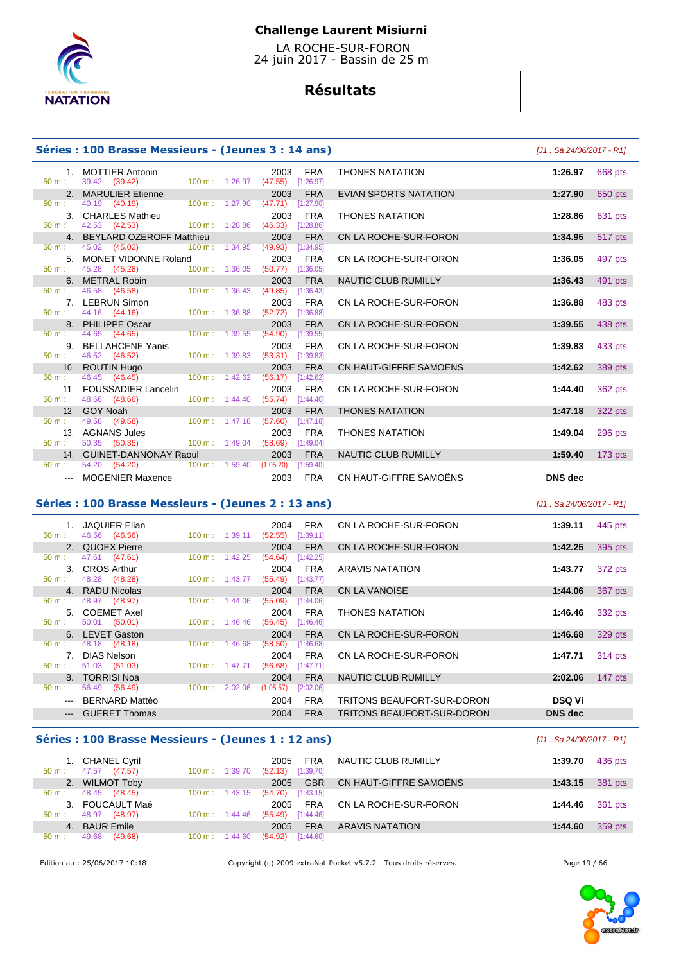

50 m : 39.42 (39.42)<br> **2. MARULIER Etienne** 

42.53 (42.53)

45.28 (45.28)

### **Challenge Laurent Misiurni**

 LA ROCHE-SUR-FORON 24 juin 2017 - Bassin de 25 m

# **Résultats**

### **Séries : 100 Brasse Messieurs - (Jeunes 3 : 14 ans)** [J1 : Sa 24/06/2017 - R1]

50 m : 40.19 (40.19) 100 m : 1:27.90 (47.71) [1:27.90]

50 m : 45.02 (45.02) 100 m : 1:34.95 (49.93) [1:34.95]

50 m : 44.16 (44.16) 100 m : 1:36.88 (52.72) [1:36.88]

50 m : 44.65 (44.65) 100 m : 1:39.55 (54.90) [1:39.55]

50 m : 46.45 (46.45) 100 m : 1:42.62 (56.17) [1:42.62]

50 m : 48.66 (48.66) 100 m : 1:44.40 (55.74) [1:44.40]

46.58 (46.58) 100 m : 1:36.43 (49.85) [1:36.43]

# 1. MOTTIER Antonin 2003 FRA THONES NATATION **1:26.97** 668 pts 2. MARULIER Etienne 2003 FRA EVIAN SPORTS NATATION **1:27.90** 650 pts 3. CHARLES Mathieu 2003 FRA THONES NATATION **1:28.86** 631 pts 4. BEYLARD OZEROFF Matthieu 2003 FRA CN LA ROCHE-SUR-FORON **1:34.95** 517 pts 5. MONET VIDONNE Roland 2003 FRA CN LA ROCHE-SUR-FORON **1:36.05** 497 pts 6. METRAL Robin 2003 FRA NAUTIC CLUB RUMILLY **1:36.43** 491 pts 7. LEBRUN Simon 2003 FRA CN LA ROCHE-SUR-FORON **1:36.88** 483 pts 8. PHILIPPE Oscar 2003 FRA CN LA ROCHE-SUR-FORON **1:39.55** 438 pts 9. BELLAHCENE Yanis 2003 FRA CN LA ROCHE-SUR-FORON **1:39.83** 433 pts 10. ROUTIN Hugo 2003 FRA CN HAUT-GIFFRE SAMOËNS **1:42.62** 389 pts 11. FOUSSADIER Lancelin 2003 FRA CN LA ROCHE-SUR-FORON 1:44.40 362 pts<br>50 m 48.66 (48.66) 100 m 1:44.40 (55.74) [1:44.40] 12. GOY Noah 2003 FRA THONES NATATION **1:47.18** 322 pts 13. AGNANS Jules 2003 FRA THONES NATATION **1:49.04** 296 pts 14. GUINET-DANNONAY Raoul 2003 FRA NAUTIC CLUB RUMILLY **1:59.40** 173 pts --- MOGENIER Maxence 2003 FRA CN HAUT-GIFFRE SAMOËNS **DNS dec**

### **Séries : 100 Brasse Messieurs - (Jeunes 2 : 13 ans)** [J1 : Sa 24/06/2017 - R1]

|                     | <b>JAQUIER Elian</b> |                           |         | 2004      | <b>FRA</b> | CN LA ROCHE-SUR-FORON      | 1:39.11        | 445 pts |
|---------------------|----------------------|---------------------------|---------|-----------|------------|----------------------------|----------------|---------|
| 50 m:               | 46.56 (46.56)        | $100 \text{ m}: 1:39.11$  |         | (52.55)   | [1:39.11]  |                            |                |         |
|                     | 2. QUOEX Pierre      |                           |         | 2004      | <b>FRA</b> | CN LA ROCHE-SUR-FORON      | 1:42.25        | 395 pts |
| $50 m$ :            | 47.61 (47.61)        | 100 m:                    | 1:42.25 | (54.64)   | [1:42.25]  |                            |                |         |
|                     | 3. CROS Arthur       |                           |         | 2004      | <b>FRA</b> | ARAVIS NATATION            | 1:43.77        | 372 pts |
| $50 m$ :            | 48.28 (48.28)        | $100 \text{ m}$ : 1:43.77 |         | (55.49)   | [1:43.77]  |                            |                |         |
|                     | 4. RADU Nicolas      |                           |         | 2004      | <b>FRA</b> | CN LA VANOISE              | 1:44.06        | 367 pts |
| $50 m$ :            | 48.97 (48.97)        | $100 \text{ m}$ :         | 1:44.06 | (55.09)   | [1:44.06]  |                            |                |         |
|                     | 5. COEMET Axel       |                           |         | 2004      | FRA        | THONES NATATION            | 1:46.46        | 332 pts |
| 50 m:               | 50.01 (50.01)        | $100 \text{ m}: 1:46.46$  |         | (56.45)   | [1:46.46]  |                            |                |         |
|                     | 6. LEVET Gaston      |                           |         | 2004      | <b>FRA</b> | CN LA ROCHE-SUR-FORON      | 1:46.68        | 329 pts |
| 50 m:               | 48.18 (48.18)        | 100 m:                    | 1:46.68 | (58.50)   | [1:46.68]  |                            |                |         |
| 7 <sup>1</sup>      | <b>DIAS Nelson</b>   |                           |         | 2004      | <b>FRA</b> | CN LA ROCHE-SUR-FORON      | 1:47.71        | 314 pts |
| 50 m:               | 51.03 (51.03)        | $100 \text{ m}$ :         | 1:47.71 | (56.68)   | [1:47.71]  |                            |                |         |
|                     | 8. TORRISI Noa       |                           |         | 2004      | <b>FRA</b> | NAUTIC CLUB RUMILLY        | 2:02.06        | 147 pts |
| $50 m$ :            | 56.49 (56.49)        | $100 \text{ m}$ :         | 2:02.06 | (1:05.57) | [2:02.06]  |                            |                |         |
|                     | --- BERNARD Mattéo   |                           |         | 2004      | <b>FRA</b> | TRITONS BEAUFORT-SUR-DORON | <b>DSQ Vi</b>  |         |
| $\qquad \qquad - -$ | <b>GUERET Thomas</b> |                           |         | 2004      | <b>FRA</b> | TRITONS BEAUFORT-SUR-DORON | <b>DNS</b> dec |         |
|                     |                      |                           |         |           |            |                            |                |         |

 $(53.31)$   $[1:39.83]$ 

 $(57.60)$   $[1:47.18]$ 

 $(58.69)$  [1:49.04]

 $(1:05.20)$   $[1:59.40]$ 

#### **Séries : 100 Brasse Messieurs - (Jeunes 1 : 12 ans) Canada Care (Series 1 : 12 ans)** [J1 : Sa 24/06/2017 - R1]

| 1. CHANEL Cyril<br>47.57<br>(47.57)<br>$50 m$ : | 1:39.70<br>$100 \text{ m}$ : | <b>FRA</b><br>2005<br>[1:39.70]<br>(52.13) | NAUTIC CLUB RUMILLY                                               | 436 pts<br>1:39.70 |  |
|-------------------------------------------------|------------------------------|--------------------------------------------|-------------------------------------------------------------------|--------------------|--|
| 2. WILMOT Toby                                  |                              | <b>GBR</b><br>2005                         | CN HAUT-GIFFRE SAMOËNS                                            | 381 pts<br>1:43.15 |  |
| 48.45<br>(48.45)<br>50 m:                       | $100 \text{ m}$ :<br>1:43.15 | [1:43.15]<br>(54.70)                       |                                                                   |                    |  |
| FOUCAULT Maé<br>$\mathbf{3}$                    |                              | <b>FRA</b><br>2005                         | CN LA ROCHE-SUR-FORON                                             | 361 pts<br>1:44.46 |  |
| 48.97<br>(48.97)<br>$50 m$ :                    | $100 \text{ m}$ :<br>1:44.46 | (55.49)<br>[1:44.46]                       |                                                                   |                    |  |
| <b>BAUR Emile</b><br>4.                         |                              | <b>FRA</b><br>2005                         | <b>ARAVIS NATATION</b>                                            | 359 pts<br>1:44.60 |  |
| (49.68)<br>49.68<br>$50 m$ :                    | $100 \text{ m}$ :<br>1:44.60 | (54.92)<br>[1:44.60]                       |                                                                   |                    |  |
|                                                 |                              |                                            |                                                                   |                    |  |
| Edition au : 25/06/2017 10:18                   |                              |                                            | Copyright (c) 2009 extraNat-Pocket v5.7.2 - Tous droits réservés. | Page 19 / 66       |  |

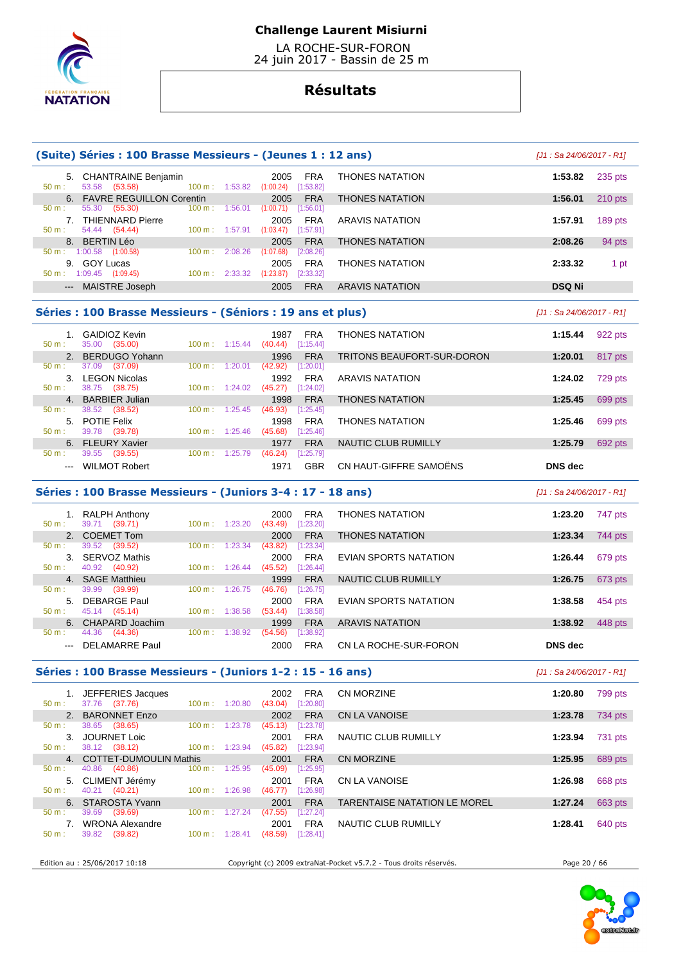

 LA ROCHE-SUR-FORON 24 juin 2017 - Bassin de 25 m

# **Résultats**

|                                                                                         | (Suite) Séries : 100 Brasse Messieurs - (Jeunes 1 : 12 ans) |                          |  |                                              |                  |                            | [J1 : Sa 24/06/2017 - R1]  |           |
|-----------------------------------------------------------------------------------------|-------------------------------------------------------------|--------------------------|--|----------------------------------------------|------------------|----------------------------|----------------------------|-----------|
| $50 m$ :                                                                                | 5. CHANTRAINE Benjamin<br>53.58 (53.58)                     |                          |  | 2005<br>$100 \text{ m}: 1:53.82$ $(1:00.24)$ | FRA<br>[1:53.82] | <b>THONES NATATION</b>     | 1:53.82                    | $235$ pts |
|                                                                                         | 6. FAVRE REGUILLON Corentin                                 |                          |  | 2005                                         | <b>FRA</b>       | <b>THONES NATATION</b>     | 1:56.01                    | $210$ pts |
| 50 m:                                                                                   | 55.30 (55.30)                                               |                          |  | $100 \text{ m}: 1:56.01 (1:00.71)$           | [1:56.01]        |                            |                            |           |
|                                                                                         | 7. THIENNARD Pierre                                         |                          |  | 2005                                         | <b>FRA</b>       | <b>ARAVIS NATATION</b>     | 1:57.91                    | 189 pts   |
| $50 m$ :                                                                                | 54.44 (54.44)                                               | 100 m: 1:57.91           |  | $(1:03.47)$ [1:57.91]                        |                  |                            |                            |           |
|                                                                                         | 8. BERTIN Léo                                               |                          |  | 2005                                         | <b>FRA</b>       | <b>THONES NATATION</b>     | 2:08.26                    | 94 pts    |
|                                                                                         | 50 m: 1:00.58 (1:00.58)                                     | 100 m: 2:08.26           |  | (1:07.68)                                    | [2:08.26]        |                            |                            |           |
|                                                                                         | 9. GOY Lucas                                                |                          |  | 2005                                         | <b>FRA</b>       | <b>THONES NATATION</b>     | 2:33.32                    | 1 pt      |
|                                                                                         | $50 \text{ m}: 1:09.45$ (1:09.45)                           | 100 m: 2:33.32           |  | (1:23.87)                                    | [2:33.32]        |                            |                            |           |
|                                                                                         | --- MAISTRE Joseph                                          |                          |  | 2005                                         | <b>FRA</b>       | ARAVIS NATATION            | <b>DSQ Ni</b>              |           |
| Séries : 100 Brasse Messieurs - (Séniors : 19 ans et plus)<br>[J1 : Sa 24/06/2017 - R1] |                                                             |                          |  |                                              |                  |                            |                            |           |
|                                                                                         | 1. GAIDIOZ Kevin                                            |                          |  | 1987                                         | <b>FRA</b>       | <b>THONES NATATION</b>     | 1:15.44                    | 922 pts   |
| 50 m:                                                                                   | 35.00 (35.00)                                               | $100 \text{ m}: 1:15.44$ |  | $(40.44)$ [1:15.44]                          |                  |                            |                            |           |
|                                                                                         | 2. BERDUGO Yohann                                           |                          |  | 1996                                         | <b>FRA</b>       | TRITONS BEAUFORT-SUR-DORON | 1:20.01                    | 817 pts   |
| 50 m:                                                                                   | 37.09 (37.09)                                               | $100 \text{ m}: 1:20.01$ |  | $(42.92)$ [1:20.01]                          |                  |                            |                            |           |
|                                                                                         | 3. LEGON Nicolas                                            |                          |  | 1992                                         | <b>FRA</b>       | <b>ARAVIS NATATION</b>     | 1:24.02                    | 729 pts   |
| 50 m:                                                                                   | 38.75 (38.75)                                               | $100 m$ : 1:24.02        |  | $(45.27)$ [1:24.02]                          |                  |                            |                            |           |
|                                                                                         | 4. BARBIER Julian                                           |                          |  | 1998                                         | <b>FRA</b>       | <b>THONES NATATION</b>     | 1:25.45                    | 699 pts   |
| 50 m:                                                                                   | 38.52 (38.52)                                               | $100 m$ : 1:25.45        |  | (46.93)                                      | [1:25.45]        |                            |                            |           |
|                                                                                         | 5. POTIE Felix                                              |                          |  | 1998                                         | <b>FRA</b>       | <b>THONES NATATION</b>     | 1:25.46                    | 699 pts   |
| $50 m$ :                                                                                | 39.78 (39.78)                                               | $100 \text{ m}: 1:25.46$ |  | (45.68)                                      | [1:25.46]        |                            |                            |           |
|                                                                                         | 6. FLEURY Xavier                                            |                          |  | 1977                                         | <b>FRA</b>       | NAUTIC CLUB RUMILLY        | 1:25.79                    | 692 pts   |
| 50 m:                                                                                   | 39.55 (39.55)                                               | 100 m: 1:25.79           |  | (46.24)                                      | [1:25.79]        |                            |                            |           |
|                                                                                         | --- WILMOT Robert                                           |                          |  | 1971                                         | <b>GBR</b>       | CN HAUT-GIFFRE SAMOËNS     | <b>DNS</b> dec             |           |
|                                                                                         | Séries : 100 Brasse Messieurs - (Juniors 3-4 : 17 - 18 ans) |                          |  |                                              |                  |                            | $[J1: Sa 24/06/2017 - R1]$ |           |
|                                                                                         | 1. RALPH Anthony                                            |                          |  | 2000                                         | <b>FRA</b>       | <b>THONES NATATION</b>     | 1:23.20                    | 747 pts   |
| 50 m:                                                                                   | 39.71 (39.71)                                               | $100 m$ : 1:23.20        |  | $(43.49)$ [1:23.20]                          |                  |                            |                            |           |
|                                                                                         | 2. COEMET Tom                                               |                          |  | 2000                                         | <b>FRA</b>       | <b>THONES NATATION</b>     | 1:23.34                    | 744 pts   |
| 50 m:                                                                                   | 39.52 (39.52)                                               | 100 m: 1:23.34           |  | (43.82)                                      | [1:23.34]        |                            |                            |           |
|                                                                                         | 3. SERVOZ Mathis                                            |                          |  | 2000                                         | <b>FRA</b>       | EVIAN SPORTS NATATION      | 1:26.44                    | 679 pts   |
| 50 m:                                                                                   | 40.92 (40.92)                                               | $100 \text{ m}: 1:26.44$ |  | (45.52)                                      | [1:26.44]        |                            |                            |           |
|                                                                                         | 4. SAGE Matthieu                                            |                          |  | 1999                                         | <b>FRA</b>       | NAUTIC CLUB RUMILLY        | 1:26.75                    | 673 pts   |
| 50 m:                                                                                   | 39.99 (39.99)                                               | 100 m: 1:26.75           |  | (46.76)                                      | [1:26.75]        |                            |                            |           |
|                                                                                         | 5. DEBARGE Paul                                             |                          |  | 2000                                         | <b>FRA</b>       | EVIAN SPORTS NATATION      | 1:38.58                    | 454 pts   |
| 50 m:                                                                                   | 45.14 (45.14)                                               | 100 m: 1:38.58           |  | $(53.44)$ [1:38.58]                          |                  |                            |                            |           |
|                                                                                         | 6. CHAPARD Joachim                                          |                          |  | 1999                                         | <b>FRA</b>       | <b>ARAVIS NATATION</b>     | 1:38.92                    | 448 pts   |
| 50 m:                                                                                   | 44.36 (44.36)                                               | 100 m: 1:38.92           |  | (54.56)                                      | [1:38.92]        |                            |                            |           |
|                                                                                         | --- DELAMARRE Paul                                          |                          |  | 2000                                         | <b>FRA</b>       | CN LA ROCHE-SUR-FORON      | <b>DNS</b> dec             |           |

### **Séries : 100 Brasse Messieurs - (Juniors 1-2 : 15 - 16 ans)** [J1 : Sa 24/06/2017 - R1]

 1. JEFFERIES Jacques 2002 FRA CN MORZINE **1:20.80** 799 pts 50 m : 37.76 (37.76) 100 m : 1:20.80 (43.04) [1:20.80] 2. BARONNET Enzo 2002 FRA CN LA VANOISE **1:23.78 1:23.78** 734 pts **1:23.78 1:23.78 1:23.78 1:23.78 1:23.78 1:23.78 1:23.78 1:23.78 1:23.78 1:23.78 1:23.78 1:23.78 1:23.78 1:23.78 1:23.78 1:2**  $(45.13)$   $[1:23.78]$  3. JOURNET Loic 2001 FRA NAUTIC CLUB RUMILLY **1:23.94** 731 pts 100 m : 1:23.94 (45.82) [1:23.94]<br>this 2001 FRA 4. COTTET-DUMOULIN Mathis 2001 FRA CN MORZINE **1:25.95** 689 pts 50:12 (12)<br>COTTET-DUMOULIN Mathis 2001 FRA<br>40.86 (40.86) 100 m : 1:25.95 (45.09) [1:25.95 5. CLIMENT Jérémy 2001 FRA CN LA VANOISE **1:26.98** 668 pts  $40.21$   $(40.21)$  6. STAROSTA Yvann 2001 FRA TARENTAISE NATATION LE MOREL **1:27.24** 663 pts 50 m : 39.69 (39.69) 100 m : 1:27.24 (47.55) [1:27.24] 7. WRONA Alexandre 2001 FRA NAUTIC CLUB RUMILLY **1:28.41** 640 pts  $(48.59)$   $[1:28.41]$ 

Edition au : 25/06/2017 10:18 Copyright (c) 2009 extraNat-Pocket v5.7.2 - Tous droits réservés. Page 20 / 66

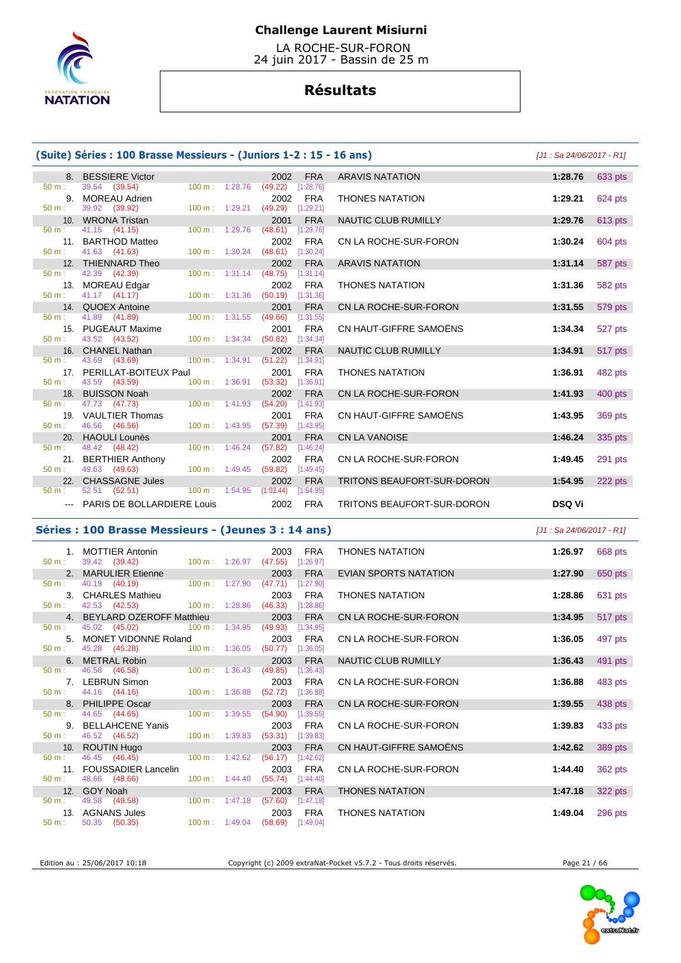

 LA ROCHE-SUR-FORON 24 juin 2017 - Bassin de 25 m

# **Résultats**

| (Suite) Séries : 100 Brasse Messieurs - (Juniors 1-2 : 15 - 16 ans) |                                    | [J1 : Sa 24/06/2017 - R1]    |                                            |                                   |               |         |
|---------------------------------------------------------------------|------------------------------------|------------------------------|--------------------------------------------|-----------------------------------|---------------|---------|
|                                                                     | 8. BESSIERE Victor                 |                              | <b>FRA</b><br>2002                         | <b>ARAVIS NATATION</b>            | 1:28.76       | 633 pts |
| 50 m:                                                               | 39.54 (39.54)                      | 100 m: 1:28.76               | (49.22)<br>[1:28.76]                       |                                   |               |         |
| 9.                                                                  | <b>MOREAU Adrien</b>               |                              | <b>FRA</b><br>2002                         | <b>THONES NATATION</b>            | 1:29.21       | 624 pts |
| 50 m:                                                               | 39.92 (39.92)                      | $100 m$ : 1:29.21            | (49.29)<br>[1:29.21]                       |                                   |               |         |
|                                                                     | 10. WRONA Tristan                  |                              | <b>FRA</b><br>2001                         | <b>NAUTIC CLUB RUMILLY</b>        | 1:29.76       | 613 pts |
| $50 \text{ m}$ :                                                    | $41.15$ $(41.15)$                  | 100 m: 1:29.76               | (48.61)<br>[1:29.76]                       |                                   |               |         |
|                                                                     | 11. BARTHOD Matteo                 |                              | <b>FRA</b><br>2002                         | CN LA ROCHE-SUR-FORON             | 1:30.24       | 604 pts |
| $50 m$ :                                                            | 41.63 (41.63)                      | $100 m$ : 1:30.24            | (48.61)<br>[1:30.24]                       |                                   |               |         |
|                                                                     | 12. THIENNARD Theo                 |                              | 2002<br><b>FRA</b>                         | <b>ARAVIS NATATION</b>            | 1:31.14       | 587 pts |
| $50 m$ :                                                            | 42.39 (42.39)                      | $100 m$ : 1:31.14            | (48.75)<br>[1:31.14]                       |                                   |               |         |
| 13.<br>$50 m$ :                                                     | <b>MOREAU Edgar</b>                | 100 m: 1:31.36               | <b>FRA</b><br>2002<br>(50.19)              | <b>THONES NATATION</b>            | 1:31.36       | 582 pts |
|                                                                     | 41.17 (41.17)                      |                              | [1:31.36]                                  |                                   |               |         |
| $50 m$ :                                                            | 14. QUOEX Antoine<br>41.89 (41.89) | $100 m$ : 1:31.55            | <b>FRA</b><br>2001<br>(49.66)<br>[1:31.55] | CN LA ROCHE-SUR-FORON             | 1:31.55       | 579 pts |
|                                                                     | 15. PUGEAUT Maxime                 |                              | <b>FRA</b><br>2001                         | CN HAUT-GIFFRE SAMOËNS            | 1:34.34       | 527 pts |
| $50 m$ :                                                            | 43.52 (43.52)                      | $100 \text{ m}: 1:34.34$     | (50.82)<br>[1:34.34]                       |                                   |               |         |
|                                                                     | 16. CHANEL Nathan                  |                              | <b>FRA</b><br>2002                         | <b>NAUTIC CLUB RUMILLY</b>        | 1:34.91       | 517 pts |
| $50 m$ :                                                            | 43.69 (43.69)                      | 100 m: 1:34.91               | (51.22)<br>[1:34.91]                       |                                   |               |         |
|                                                                     | 17. PERILLAT-BOITEUX Paul          |                              | <b>FRA</b><br>2001                         | <b>THONES NATATION</b>            | 1:36.91       | 482 pts |
| $50 m$ :                                                            | 43.59 (43.59)                      | $100 m$ : 1:36.91            | (53.32)<br>[1:36.91]                       |                                   |               |         |
|                                                                     | 18. BUISSON Noah                   |                              | 2002<br><b>FRA</b>                         | CN LA ROCHE-SUR-FORON             | 1:41.93       | 400 pts |
| $50 m$ :                                                            | 47.73 (47.73)                      | 1:41.93<br>$100 \text{ m}$ : | (54.20)<br>[1:41.93]                       |                                   |               |         |
|                                                                     | 19. VAULTIER Thomas                |                              | <b>FRA</b><br>2001                         | CN HAUT-GIFFRE SAMOËNS            | 1:43.95       | 369 pts |
| $50 m$ :                                                            | 46.56 (46.56)                      | 100 m: 1:43.95               | (57.39)<br>[1:43.95]                       |                                   |               |         |
|                                                                     | 20. HAOULI Lounès                  |                              | <b>FRA</b><br>2001                         | <b>CN LA VANOISE</b>              | 1:46.24       | 335 pts |
| $50 m$ :                                                            | 48.42 (48.42)                      | $100 m$ : 1:46.24            | (57.82)<br>[1:46.24]                       |                                   |               |         |
| 21.                                                                 | <b>BERTHIER Anthony</b>            |                              | <b>FRA</b><br>2002                         | CN LA ROCHE-SUR-FORON             | 1:49.45       | 291 pts |
| 50 m:                                                               | 49.63 (49.63)                      | $100 \text{ m}$ : 1:49.45    | (59.82)<br>[1:49.45]                       |                                   |               |         |
|                                                                     | 22. CHASSAGNE Jules                |                              | 2002<br><b>FRA</b>                         | <b>TRITONS BEAUFORT-SUR-DORON</b> | 1:54.95       | 222 pts |
| $50 m$ :                                                            | 52.51 (52.51)                      | $100 \text{ m}: 1:54.95$     | (1:02.44)<br>[1:54.95]                     |                                   |               |         |
|                                                                     | <b>PARIS DE BOLLARDIERE Louis</b>  |                              | <b>FRA</b><br>2002                         | TRITONS BEAUFORT-SUR-DORON        | <b>DSQ Vi</b> |         |

50 m : 40.19 (40.19)

**Séries : 100 Brasse Messieurs - (Jeunes 3 : 14 ans)** [J1 : Sa 24/06/2017 - R1] 1. MOTTIER Antonin 2003 FRA THONES NATATION **1:26.97** 668 pts  $(47.55)$   $[1:26.97]$  2. MARULIER Etienne 2003 FRA EVIAN SPORTS NATATION **1:27.90** 650 pts 3. CHARLES Mathieu 2003 FRA THONES NATATION **1:28.86** 631 pts  $(46.33)$   $[1:28.86]$  4. BEYLARD OZEROFF Matthieu 2003 FRA CN LA ROCHE-SUR-FORON **1:34.95** 517 pts 50 m : 45.02 (45.02) 100 m : 1:34.95 (49.93) [1:34.95] 5. MONET VIDONNE Roland 2003 FRA CN LA ROCHE-SUR-FORON **1:36.05** 497 pts  $(50.77)$  [1:36.05] 6. METRAL Robin 2003 FRA NAUTIC CLUB RUMILLY **1:36.43** 491 pts  $(49.85)$   $[1:36.43]$  7. LEBRUN Simon 2003 FRA CN LA ROCHE-SUR-FORON **1:36.88** 483 pts 8. PHILA ROCHE-SUR-FORON **1:39.55** 438 pts 9. BELLAHCENE Yanis 2003 FRA CN LA ROCHE-SUR-FORON **1:39.83** 433 pts

| $50 m$ :         | 44.16<br>(44.16)           | 1:36.88<br>100 m: | (52.72)<br>[1:36.88] |                        |                    |
|------------------|----------------------------|-------------------|----------------------|------------------------|--------------------|
| 8.               | <b>PHILIPPE Oscar</b>      |                   | <b>FRA</b><br>2003   | CN LA ROCHE-SUR-FORON  | 1:39.55<br>438 pts |
| $50 \text{ m}$ : | 44.65<br>(44.65)           | 100 m:<br>1:39.55 | [1:39.55]<br>(54.90) |                        |                    |
| 9.               | <b>BELLAHCENE Yanis</b>    |                   | <b>FRA</b><br>2003   | CN LA ROCHE-SUR-FORON  | 433 pts<br>1:39.83 |
| $50 m$ :         | 46.52 (46.52)              | 100 m:<br>1:39.83 | (53.31)<br>[1:39.83] |                        |                    |
| 10.              | <b>ROUTIN Hugo</b>         |                   | <b>FRA</b><br>2003   | CN HAUT-GIFFRE SAMOËNS | 1:42.62<br>389 pts |
| $50 m$ :         | 46.45 (46.45)              | 100 m:<br>1:42.62 | (56.17)<br>[1:42.62] |                        |                    |
| 11.              | <b>FOUSSADIER Lancelin</b> |                   | <b>FRA</b><br>2003   | CN LA ROCHE-SUR-FORON  | 362 pts<br>1:44.40 |
| $50 m$ :         | 48.66<br>(48.66)           | 100 m:<br>1:44.40 | (55.74)<br>[1:44.40] |                        |                    |
|                  | 12. GOY Noah               |                   | <b>FRA</b><br>2003   | <b>THONES NATATION</b> | 322 pts<br>1:47.18 |
| $50 m$ :         | 49.58<br>(49.58)           | 100 m:<br>1:47.18 | (57.60)<br>[1:47.18] |                        |                    |
| 13.              | <b>AGNANS Jules</b>        |                   | <b>FRA</b><br>2003   | <b>THONES NATATION</b> | 1:49.04<br>296 pts |
| $50 m$ :         | 50.35<br>(50.35)           | 100 m:<br>1:49.04 | (58.69)<br>[1:49.04] |                        |                    |



Edition au : 25/06/2017 10:18 Copyright (c) 2009 extraNat-Pocket v5.7.2 - Tous droits réservés. Page 21 / 66

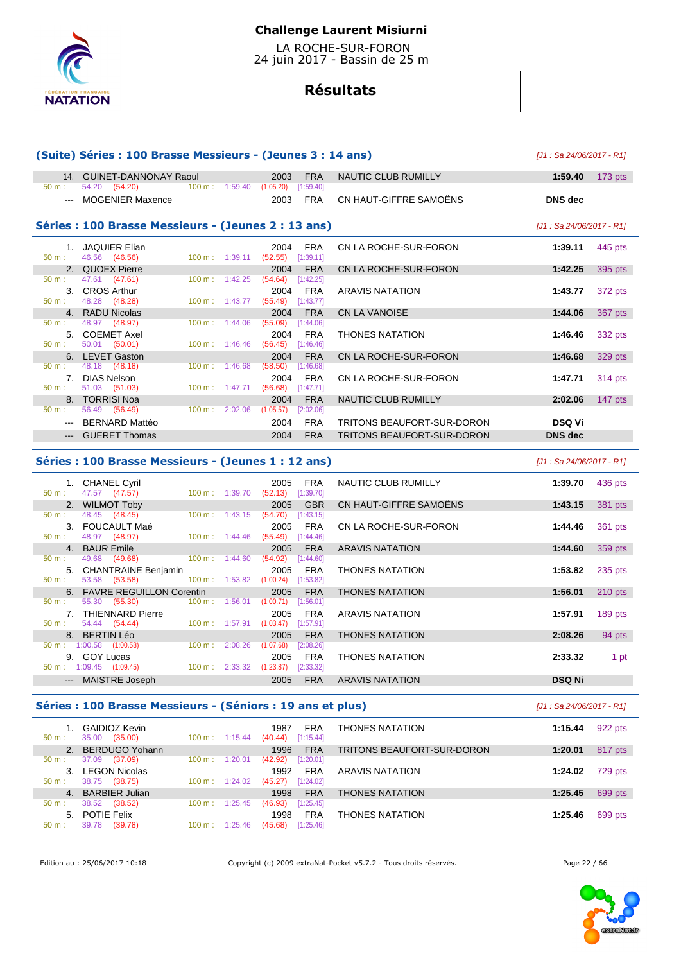

 LA ROCHE-SUR-FORON 24 juin 2017 - Bassin de 25 m

# **Résultats**

| (Suite) Séries : 100 Brasse Messieurs - (Jeunes 3 : 14 ans) |                                                     |                   |                                      |                         |            | $[J1: Sa 24/06/2017 - R1]$ |                           |           |
|-------------------------------------------------------------|-----------------------------------------------------|-------------------|--------------------------------------|-------------------------|------------|----------------------------|---------------------------|-----------|
|                                                             | 14. GUINET-DANNONAY Raoul                           |                   |                                      | 2003                    | <b>FRA</b> | <b>NAUTIC CLUB RUMILLY</b> | 1:59.40                   | $173$ pts |
| $50 m$ :                                                    | 54.20 (54.20)                                       |                   | $100 \text{ m}: 1:59.40 (1:05.20)$   |                         | [1:59.40]  |                            |                           |           |
| $---$                                                       | <b>MOGENIER Maxence</b>                             |                   |                                      | 2003                    | <b>FRA</b> | CN HAUT-GIFFRE SAMOËNS     | <b>DNS</b> dec            |           |
|                                                             | Séries : 100 Brasse Messieurs - (Jeunes 2 : 13 ans) |                   |                                      |                         |            |                            | [J1 : Sa 24/06/2017 - R1] |           |
|                                                             | 1. JAQUIER Elian                                    |                   |                                      | 2004                    | <b>FRA</b> | CN LA ROCHE-SUR-FORON      | 1:39.11                   | 445 pts   |
| $50 m$ :                                                    | 46.56 (46.56)                                       |                   | 100 m: 1:39.11                       | (52.55)                 | [1:39.11]  |                            |                           |           |
|                                                             | 2. QUOEX Pierre                                     |                   |                                      | 2004                    | <b>FRA</b> | CN LA ROCHE-SUR-FORON      | 1:42.25                   | 395 pts   |
| 50 m:                                                       | 47.61 (47.61)                                       | $100 \text{ m}$ : | 1:42.25                              | (54.64)                 | [1:42.25]  |                            |                           |           |
|                                                             | 3. CROS Arthur                                      |                   |                                      | 2004                    | <b>FRA</b> | <b>ARAVIS NATATION</b>     | 1:43.77                   | 372 pts   |
| 50 m:                                                       | 48.28<br>(48.28)                                    |                   | $100 m$ : 1:43.77                    | (55.49)                 | [1:43.77]  |                            |                           |           |
|                                                             | 4. RADU Nicolas                                     |                   |                                      | 2004                    | <b>FRA</b> | CN LA VANOISE              | 1:44.06                   | 367 pts   |
| $50 m$ :                                                    | 48.97 (48.97)                                       | 100 m:            | 1:44.06                              | (55.09)                 | [1:44.06]  |                            |                           |           |
|                                                             | 5. COEMET Axel                                      |                   |                                      | 2004                    | <b>FRA</b> | <b>THONES NATATION</b>     | 1:46.46                   | 332 pts   |
| $50 m$ :                                                    | 50.01 (50.01)                                       | $100 m$ :         | 1:46.46                              | (56.45)                 | [1:46.46]  |                            |                           |           |
|                                                             | 6. LEVET Gaston                                     |                   |                                      | 2004                    | <b>FRA</b> | CN LA ROCHE-SUR-FORON      | 1:46.68                   | 329 pts   |
| 50 m:                                                       | 48.18<br>(48.18)                                    | 100 m:            | 1:46.68                              | (58.50)                 | [1:46.68]  |                            |                           |           |
|                                                             | 7. DIAS Nelson                                      |                   |                                      | 2004                    | <b>FRA</b> | CN LA ROCHE-SUR-FORON      | 1:47.71                   | 314 pts   |
| 50 m:                                                       | 51.03 (51.03)                                       | 100 m:            | 1:47.71                              | (56.68)                 | [1:47.71]  |                            |                           |           |
|                                                             | 8. TORRISI Noa                                      |                   |                                      | 2004                    | <b>FRA</b> | <b>NAUTIC CLUB RUMILLY</b> | 2:02.06                   | 147 pts   |
| 50 m:                                                       | 56.49 (56.49)                                       | $100 \text{ m}$ : | 2:02.06                              | (1:05.57)               | [2:02.06]  |                            |                           |           |
|                                                             | --- BERNARD Mattéo                                  |                   |                                      | 2004                    | <b>FRA</b> | TRITONS BEAUFORT-SUR-DORON | <b>DSQ Vi</b>             |           |
|                                                             | <b>GUERET Thomas</b>                                |                   |                                      | 2004                    | <b>FRA</b> | TRITONS BEAUFORT-SUR-DORON | <b>DNS</b> dec            |           |
|                                                             | Séries : 100 Brasse Messieurs - (Jeunes 1 : 12 ans) |                   |                                      |                         |            |                            | [J1 : Sa 24/06/2017 - R1] |           |
|                                                             |                                                     |                   |                                      |                         |            |                            |                           |           |
|                                                             | 1. CHANEL Cyril                                     |                   |                                      | 2005                    | <b>FRA</b> | NAUTIC CLUB RUMILLY        | 1:39.70                   | 436 pts   |
| 50 m:                                                       | 47.57 (47.57)                                       |                   | 100 m: 1:39.70                       | $(52.13)$ [1:39.70]     |            |                            |                           |           |
|                                                             | 2. WILMOT Toby                                      |                   |                                      | 2005                    | <b>GBR</b> | CN HAUT-GIFFRE SAMOËNS     | 1:43.15                   | 381 pts   |
| $50 m$ :                                                    | 48.45 (48.45)                                       | $100 \text{ m}$ : | 1:43.15                              | (54.70)                 | [1:43.15]  |                            |                           |           |
|                                                             | 3. FOUCAULT Maé                                     |                   |                                      | 2005                    | <b>FRA</b> | CN LA ROCHE-SUR-FORON      | 1:44.46                   | 361 pts   |
| $50 m$ :                                                    | 48.97 (48.97)                                       |                   | $100 \text{ m}: 1:44.46$             | $(55.49)$ [1:44.46]     |            |                            |                           |           |
|                                                             | 4. BAUR Emile                                       |                   |                                      | 2005                    | <b>FRA</b> | <b>ARAVIS NATATION</b>     | 1:44.60                   | 359 pts   |
| 50 m:                                                       | 49.68<br>(49.68)                                    | 100 m:            | 1:44.60                              | (54.92)                 | [1:44.60]  |                            |                           |           |
|                                                             | 5. CHANTRAINE Benjamin                              |                   |                                      | 2005                    | FRA        | <b>THONES NATATION</b>     | 1:53.82                   | $235$ pts |
| 50 m:                                                       | 53.58 (53.58)                                       |                   | 100 m: 1:53.82                       | (1:00.24)               | [1:53.82]  |                            |                           |           |
|                                                             | 6. FAVRE REGUILLON Corentin                         |                   |                                      | 2005                    | <b>FRA</b> | <b>THONES NATATION</b>     | 1:56.01                   | $210$ pts |
| $50 m$ :                                                    | 55.30<br>(55.30)                                    |                   | $100 \text{ m}: 1:56.01$ $(1:00.71)$ |                         | [1:56.01]  |                            |                           |           |
|                                                             | 7. THIENNARD Pierre                                 |                   |                                      | 2005                    | <b>FRA</b> | <b>ARAVIS NATATION</b>     | 1:57.91                   | 189 pts   |
| $50 m$ :                                                    | 54.44 (54.44)                                       |                   | 100 m: 1:57.91                       | $(1:03.47)$ [1:57.91]   |            |                            |                           |           |
| 8.                                                          | <b>BERTIN Léo</b>                                   |                   |                                      | 2005                    | <b>FRA</b> | <b>THONES NATATION</b>     | 2:08.26                   | 94 pts    |
|                                                             | $50 \text{ m}: 1:00.58$ $(1:00.58)$                 | $100 \text{ m}$ : | 2:08.26                              | (1:07.68)               | [2:08.26]  |                            |                           |           |
|                                                             | 9. GOY Lucas                                        |                   |                                      | 2005                    | <b>FRA</b> | <b>THONES NATATION</b>     | 2:33.32                   | 1 pt      |
|                                                             | $50 \text{ m}: 1:09.45$ (1:09.45)                   |                   | 100 m: 2:33.32                       | $(1:23.87)$ $[2:33.32]$ |            |                            |                           |           |
|                                                             | --- MAISTRE Joseph                                  |                   |                                      | 2005                    | <b>FRA</b> | <b>ARAVIS NATATION</b>     | <b>DSQ Ni</b>             |           |

## **Séries : 100 Brasse Messieurs - (Séniors : 19 ans et plus)** [J1 : Sa 24/06/2017 - R1]

| 50 m:        | <b>GAIDIOZ Kevin</b><br>(35.00)<br>35.00 | 100 m: | 1:15.44 | <b>FRA</b><br>1987<br>[1:15.44]<br>(40.44) | <b>THONES NATATION</b>     | 1:15.44 | 922 pts |
|--------------|------------------------------------------|--------|---------|--------------------------------------------|----------------------------|---------|---------|
|              | BERDUGO Yohann                           |        |         | <b>FRA</b><br>1996                         | TRITONS BEAUFORT-SUR-DORON | 1:20.01 | 817 pts |
| $50 m$ :     | 37.09<br>(37.09)                         | 100 m: | 1:20.01 | (42.92)<br>[1:20.01]                       |                            |         |         |
|              | LEGON Nicolas                            |        |         | <b>FRA</b><br>1992                         | <b>ARAVIS NATATION</b>     | 1:24.02 | 729 pts |
| $50 m$ :     | 38.75<br>(38.75)                         | 100 m: | 1:24.02 | (45.27)<br>[1:24.02]                       |                            |         |         |
| $\mathbf{4}$ | <b>BARBIER Julian</b>                    |        |         | <b>FRA</b><br>1998                         | <b>THONES NATATION</b>     | 1:25.45 | 699 pts |
| 50 m:        | 38.52<br>(38.52)                         | 100 m: | 1:25.45 | [1:25.45]<br>(46.93)                       |                            |         |         |
| 5.           | <b>POTIE Felix</b>                       |        |         | <b>FRA</b><br>1998                         | <b>THONES NATATION</b>     | 1:25.46 | 699 pts |
| 50 m:        | 39.78<br>(39.78)                         | 100 m: | 1:25.46 | (45.68)<br>[1:25.46]                       |                            |         |         |

Edition au : 25/06/2017 10:18 Copyright (c) 2009 extraNat-Pocket v5.7.2 - Tous droits réservés. Page 22 / 66

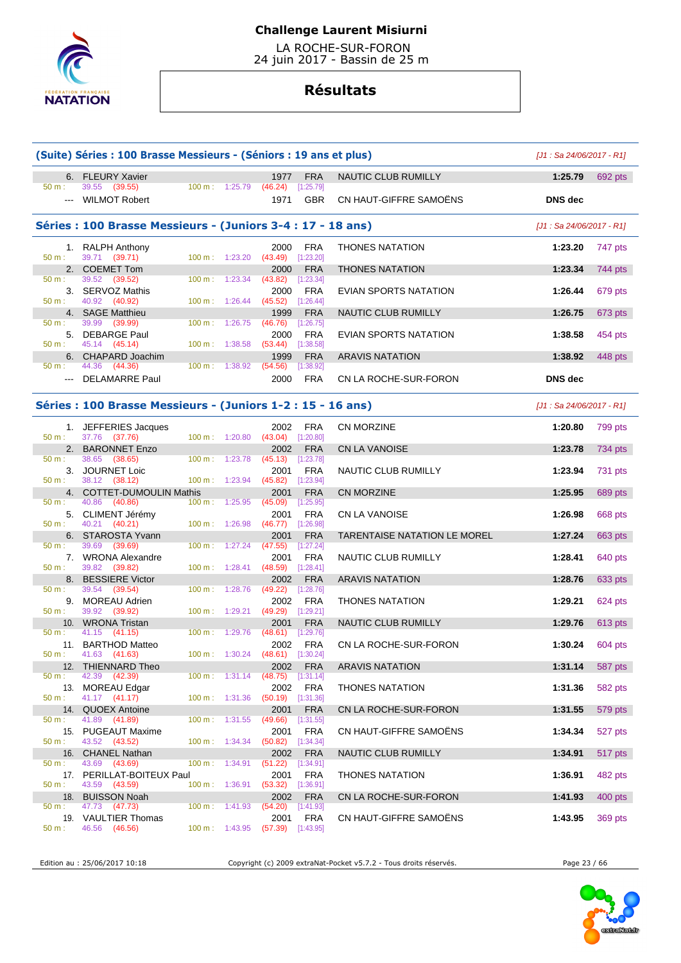

 LA ROCHE-SUR-FORON 24 juin 2017 - Bassin de 25 m

# **Résultats**

|          | (Suite) Séries : 100 Brasse Messieurs - (Séniors : 19 ans et plus) |                                  |                               |                           |                                     | $[J1: Sa 24/06/2017 - R1]$ |                |
|----------|--------------------------------------------------------------------|----------------------------------|-------------------------------|---------------------------|-------------------------------------|----------------------------|----------------|
|          | 6. FLEURY Xavier                                                   |                                  | 1977                          | <b>FRA</b>                | NAUTIC CLUB RUMILLY                 | 1:25.79                    | 692 pts        |
| 50 m:    | 39.55 (39.55)                                                      | 100 m: 1:25.79                   | (46.24)                       | [1:25.79]                 |                                     |                            |                |
|          | --- WILMOT Robert                                                  |                                  | 1971                          | <b>GBR</b>                | CN HAUT-GIFFRE SAMOËNS              | <b>DNS</b> dec             |                |
|          | Séries : 100 Brasse Messieurs - (Juniors 3-4 : 17 - 18 ans)        |                                  |                               |                           |                                     | [J1 : Sa 24/06/2017 - R1]  |                |
|          | 1. RALPH Anthony                                                   |                                  | 2000                          | FRA                       | <b>THONES NATATION</b>              | 1:23.20                    | 747 pts        |
| 50 m:    | 39.71 (39.71)<br>2. COEMET Tom                                     | 100 m: 1:23.20                   | (43.49)<br>2000               | [1:23.20]<br><b>FRA</b>   | <b>THONES NATATION</b>              | 1:23.34                    | 744 pts        |
| 50 m:    | 39.52<br>(39.52)                                                   | $100 \text{ m}: 1:23.34$         | $(43.82)$ [1:23.34]           |                           |                                     |                            |                |
| 50 m:    | 3. SERVOZ Mathis<br>40.92 (40.92)                                  | 100 m: 1:26.44                   | 2000<br>$(45.52)$ [1:26.44]   | <b>FRA</b>                | EVIAN SPORTS NATATION               | 1:26.44                    | 679 pts        |
|          | 4. SAGE Matthieu                                                   |                                  | 1999                          | <b>FRA</b>                | NAUTIC CLUB RUMILLY                 | 1:26.75                    | 673 pts        |
| 50 m:    | 39.99<br>(39.99)                                                   | 100 m: 1:26.75                   | (46.76)                       | [1:26.75]                 |                                     |                            |                |
| 50 m:    | 5. DEBARGE Paul<br>45.14 (45.14)                                   | $100 \text{ m}: 1:38.58$         | 2000<br>(53.44)               | FRA<br>[1:38.58]          | EVIAN SPORTS NATATION               | 1:38.58                    | 454 pts        |
|          | 6. CHAPARD Joachim                                                 |                                  | 1999                          | <b>FRA</b>                | <b>ARAVIS NATATION</b>              | 1:38.92                    | 448 pts        |
| 50 m:    | 44.36 (44.36)<br>--- DELAMARRE Paul                                | 100 m: 1:38.92                   | (54.56)<br>2000               | [1:38.92]<br><b>FRA</b>   | CN LA ROCHE-SUR-FORON               | <b>DNS</b> dec             |                |
|          |                                                                    |                                  |                               |                           |                                     |                            |                |
|          | Séries : 100 Brasse Messieurs - (Juniors 1-2 : 15 - 16 ans)        |                                  |                               |                           |                                     | $[J1: Sa 24/06/2017 - R1]$ |                |
|          | 1. JEFFERIES Jacques                                               |                                  | 2002                          | FRA                       | <b>CN MORZINE</b>                   | 1:20.80                    | 799 pts        |
| $50 m$ : | 37.76 (37.76)<br>2. BARONNET Enzo                                  | 100 m: 1:20.80 (43.04) [1:20.80] | 2002                          | <b>FRA</b>                | <b>CN LA VANOISE</b>                | 1:23.78                    | <b>734 pts</b> |
| 50 m:    | 38.65<br>(38.65)                                                   | $100 \text{ m}$ :<br>1:23.78     | $(45.13)$ [1:23.78]           |                           |                                     |                            |                |
| 50 m:    | 3. JOURNET Loic<br>38.12 (38.12)                                   | 100 m: 1:23.94                   | 2001<br>$(45.82)$ [1:23.94]   | <b>FRA</b>                | <b>NAUTIC CLUB RUMILLY</b>          | 1:23.94                    | 731 pts        |
|          | 4. COTTET-DUMOULIN Mathis                                          |                                  | 2001                          | <b>FRA</b>                | CN MORZINE                          | 1:25.95                    | 689 pts        |
| 50 m:    | 40.86 (40.86)                                                      | 100 m: 1:25.95                   | (45.09)                       | [1:25.95]                 |                                     |                            |                |
| 50 m:    | 5. CLIMENT Jérémy<br>40.21<br>(40.21)                              | 100 m: 1:26.98                   | 2001<br>(46.77)               | <b>FRA</b><br>[1:26.98]   | <b>CN LA VANOISE</b>                | 1:26.98                    | 668 pts        |
|          | 6. STAROSTA Yvann                                                  |                                  | 2001                          | <b>FRA</b>                | <b>TARENTAISE NATATION LE MOREL</b> | 1:27.24                    | 663 pts        |
| 50 m:    | 39.69<br>(39.69)<br>7. WRONA Alexandre                             | $100 \text{ m}: 1:27.24$         | (47.55)<br>2001               | $[1:27.24]$<br><b>FRA</b> | NAUTIC CLUB RUMILLY                 | 1:28.41                    | 640 pts        |
| $50 m$ : | 39.82 (39.82)                                                      | 100 m: 1:28.41                   | (48.59)                       | [1:28.41]                 |                                     |                            |                |
| 50 m:    | 8. BESSIERE Victor<br>39.54<br>(39.54)                             | $100 \text{ m}: 1:28.76$         | 2002<br>$(49.22)$ [1:28.76]   | <b>FRA</b>                | <b>ARAVIS NATATION</b>              | 1:28.76                    | 633 pts        |
|          | 9. MOREAU Adrien                                                   |                                  | 2002                          | <b>FRA</b>                | <b>THONES NATATION</b>              | 1:29.21                    | 624 pts        |
| 50 m:    | 39.92<br>(39.92)                                                   | $100 m$ : 1:29.21                | $(49.29)$ [1:29.21]           |                           |                                     |                            |                |
| 50 m:    | 10. WRONA Tristan<br>41.15 (41.15)                                 | 100 m: 1:29.76                   | 2001<br>(48.61)               | <b>FRA</b><br>[1:29.76]   | NAUTIC CLUB RUMILLY                 | 1:29.76                    | 613 pts        |
|          | 11. BARTHOD Matteo                                                 |                                  | 2002                          | <b>FRA</b>                | CN LA ROCHE-SUR-FORON               | 1:30.24                    | 604 pts        |
|          | $50 \text{ m}: 41.63 (41.63)$<br>12. THIENNARD Theo                | 100 m: 1:30.24 (48.61) [1:30.24] | 2002                          | <b>FRA</b>                | <b>ARAVIS NATATION</b>              | 1:31.14                    | 587 pts        |
| $50 m$ : | 42.39<br>(42.39)                                                   | $100 \text{ m}: 1:31.14$         | (48.75)                       | $[1:31.14] \label{eq:4}$  |                                     |                            |                |
| 50 m:    | 13. MOREAU Edgar<br>41.17 (41.17)                                  | $100 \text{ m}: 1:31.36$         | 2002                          | FRA                       | <b>THONES NATATION</b>              | 1:31.36                    | 582 pts        |
|          | 14. QUOEX Antoine                                                  |                                  | $(50.19)$ $[1:31.36]$<br>2001 | <b>FRA</b>                | CN LA ROCHE-SUR-FORON               | 1:31.55                    | 579 pts        |
| 50 m:    | 41.89 (41.89)                                                      | 100 m: 1:31.55                   | (49.66)                       | $[1:31.55]$               |                                     |                            |                |
| 50 m:    | 15. PUGEAUT Maxime<br>43.52 (43.52)                                | 100 m: 1:34.34                   | 2001<br>$(50.82)$ [1:34.34]   | <b>FRA</b>                | CN HAUT-GIFFRE SAMOËNS              | 1:34.34                    | 527 pts        |
|          | 16. CHANEL Nathan                                                  |                                  | 2002                          | <b>FRA</b>                | <b>NAUTIC CLUB RUMILLY</b>          | 1:34.91                    | 517 pts        |
| 50 m:    | 43.69 (43.69)                                                      | 100 m: 1:34.91                   | (51.22)                       | [1:34.91]                 |                                     |                            |                |
| 50 m:    | 17. PERILLAT-BOITEUX Paul<br>43.59<br>(43.59)                      | 100 m: 1:36.91                   | 2001<br>(53.32)               | FRA<br>[1:36.91]          | <b>THONES NATATION</b>              | 1:36.91                    | 482 pts        |
| 18.      | <b>BUISSON Noah</b>                                                |                                  | 2002                          | <b>FRA</b>                | CN LA ROCHE-SUR-FORON               | 1:41.93                    | 400 pts        |
| 50 m:    | 47.73 (47.73)<br>19. VAULTIER Thomas                               | $100 \text{ m}: 1:41.93$         | (54.20)<br>2001               | [1:41.93]<br>FRA          | CN HAUT-GIFFRE SAMOENS              | 1:43.95                    | 369 pts        |
| 50 m:    | 46.56 (46.56)                                                      | $100 \text{ m}: 1:43.95$         | $(57.39)$ [1:43.95]           |                           |                                     |                            |                |

Edition au : 25/06/2017 10:18 Copyright (c) 2009 extraNat-Pocket v5.7.2 - Tous droits réservés. Page 23 / 66

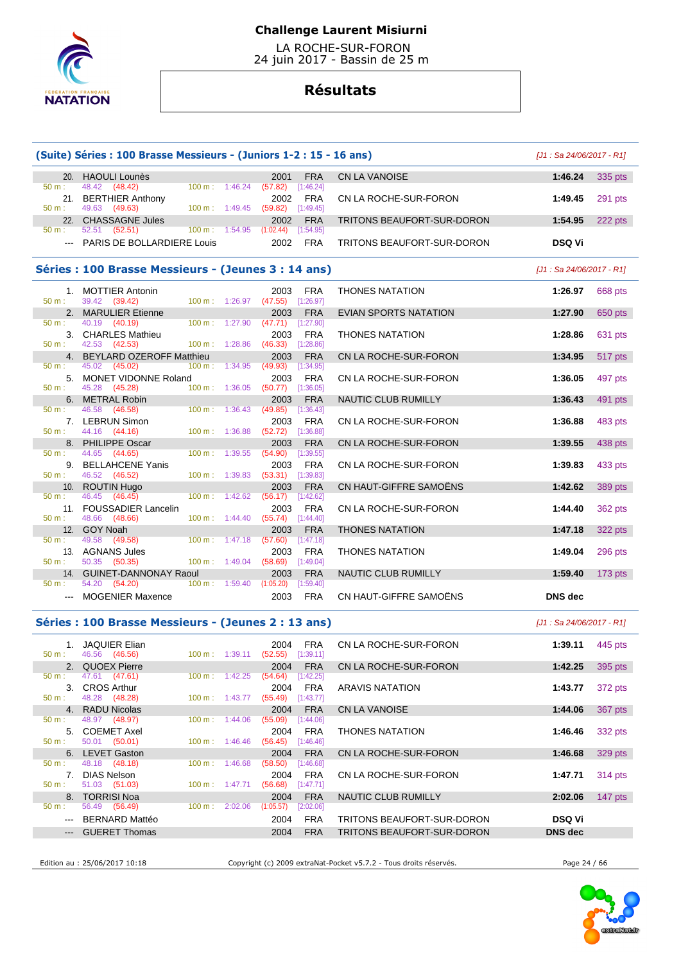

 LA ROCHE-SUR-FORON 24 juin 2017 - Bassin de 25 m

# **Résultats**

|               |                                                     |                          |         | (Suite) Séries : 100 Brasse Messieurs - (Juniors 1-2 : 15 - 16 ans) |                         |                              |                | [J1 : Sa 24/06/2017 - R1] |
|---------------|-----------------------------------------------------|--------------------------|---------|---------------------------------------------------------------------|-------------------------|------------------------------|----------------|---------------------------|
|               | 20. HAOULI Lounès                                   |                          |         | 2001                                                                | <b>FRA</b>              | <b>CN LA VANOISE</b>         | 1:46.24        | 335 pts                   |
| 50 m:         | 48.42 (48.42)                                       | 100 m: 1:46.24           |         | (57.82)                                                             | [1:46.24]               |                              |                |                           |
|               | 21. BERTHIER Anthony                                |                          |         | 2002                                                                | <b>FRA</b>              | CN LA ROCHE-SUR-FORON        | 1:49.45        | 291 pts                   |
| $50 m$ :      | 49.63 (49.63)                                       | 100 m: 1:49.45           |         | $(59.82)$ [1:49.45]                                                 |                         |                              |                |                           |
|               | 22. CHASSAGNE Jules                                 |                          |         | 2002                                                                | <b>FRA</b>              | TRITONS BEAUFORT-SUR-DORON   | 1:54.95        | 222 pts                   |
| 50 m:         | 52.51 (52.51)                                       |                          |         | 100 m: 1:54.95 (1:02.44) [1:54.95]                                  |                         |                              |                |                           |
|               | --- PARIS DE BOLLARDIERE Louis                      |                          |         | 2002                                                                | <b>FRA</b>              | TRITONS BEAUFORT-SUR-DORON   | <b>DSQ Vi</b>  |                           |
|               | Séries : 100 Brasse Messieurs - (Jeunes 3 : 14 ans) |                          |         |                                                                     |                         |                              |                | [J1 : Sa 24/06/2017 - R1] |
|               | 1. MOTTIER Antonin                                  |                          |         | 2003                                                                | <b>FRA</b>              | <b>THONES NATATION</b>       | 1:26.97        | 668 pts                   |
| 50 m:         | 39.42 (39.42)                                       | 100 m: 1:26.97           |         | (47.55)                                                             | [1:26.97]               |                              |                |                           |
|               | 2. MARULIER Etienne                                 |                          |         | 2003                                                                | <b>FRA</b>              | <b>EVIAN SPORTS NATATION</b> | 1:27.90        | 650 pts                   |
| $50 m$ :      | 40.19 (40.19)                                       | $100 m$ :                | 1:27.90 | $(47.71)$ [1:27.90]                                                 |                         |                              |                |                           |
|               | 3. CHARLES Mathieu                                  |                          |         | 2003                                                                | <b>FRA</b>              | THONES NATATION              | 1:28.86        | 631 pts                   |
| 50 m:         | 42.53 (42.53)                                       | 100 m: 1:28.86           |         | $(46.33)$ [1:28.86]                                                 |                         |                              |                |                           |
|               | 4. BEYLARD OZEROFF Matthieu                         |                          |         | 2003                                                                | <b>FRA</b>              | CN LA ROCHE-SUR-FORON        | 1:34.95        | 517 pts                   |
| 50 m:         | 45.02 (45.02)                                       | 100 m: 1:34.95           |         | (49.93)                                                             | [1:34.95]               |                              |                |                           |
|               | 5. MONET VIDONNE Roland                             |                          |         | 2003                                                                | <b>FRA</b>              | CN LA ROCHE-SUR-FORON        | 1:36.05        | 497 pts                   |
| 50 m:         | 45.28 (45.28)                                       | $100 m$ : 1:36.05        |         | $(50.77)$ [1:36.05]                                                 |                         |                              |                |                           |
|               | 6. METRAL Robin                                     |                          |         | 2003                                                                | <b>FRA</b>              | NAUTIC CLUB RUMILLY          | 1:36.43        | 491 pts                   |
| $50 m$ :      | 46.58<br>(46.58)                                    | $100 \text{ m}$ :        | 1:36.43 | (49.85)                                                             | [1:36.43]               |                              |                |                           |
|               | 7. LEBRUN Simon                                     |                          |         | 2003                                                                | <b>FRA</b>              | CN LA ROCHE-SUR-FORON        | 1:36.88        | 483 pts                   |
| 50 m:         | 44.16 (44.16)                                       | 100 m: 1:36.88           |         | (52.72)                                                             | [1:36.88]               |                              |                |                           |
|               | 8. PHILIPPE Oscar                                   |                          |         | 2003                                                                | <b>FRA</b>              | CN LA ROCHE-SUR-FORON        | 1:39.55        | 438 pts                   |
| 50 m:         | 44.65 (44.65)                                       | 100 m:                   | 1:39.55 | (54.90)                                                             | [1:39.55]               |                              |                |                           |
| $50 m$ :      | 9. BELLAHCENE Yanis<br>46.52 (46.52)                |                          |         | 2003                                                                | <b>FRA</b>              | CN LA ROCHE-SUR-FORON        | 1:39.83        | 433 pts                   |
|               |                                                     | 100 m: 1:39.83           |         | $(53.31)$ [1:39.83]                                                 |                         |                              |                |                           |
| 50 m:         | 10. ROUTIN Hugo<br>46.45<br>(46.45)                 | $100 \text{ m}: 1:42.62$ |         | 2003                                                                | <b>FRA</b><br>[1:42.62] | CN HAUT-GIFFRE SAMOËNS       | 1:42.62        | 389 pts                   |
|               |                                                     |                          |         | (56.17)                                                             |                         |                              |                |                           |
| 50 m:         | 11. FOUSSADIER Lancelin<br>48.66 (48.66)            | $100 \text{ m}$ :        | 1:44.40 | 2003<br>$(55.74)$ [1:44.40]                                         | <b>FRA</b>              | CN LA ROCHE-SUR-FORON        | 1:44.40        | 362 pts                   |
|               |                                                     |                          |         |                                                                     |                         |                              |                |                           |
| $50 m$ :      | 12. GOY Noah<br>49.58 (49.58)                       | 100 m: 1:47.18           |         | 2003<br>(57.60)                                                     | <b>FRA</b><br>[1:47.18] | <b>THONES NATATION</b>       | 1:47.18        | 322 pts                   |
|               |                                                     |                          |         |                                                                     |                         |                              |                |                           |
| $50 m$ :      | 13. AGNANS Jules<br>50.35 (50.35)                   | 100 m: 1:49.04           |         | 2003<br>(58.69)                                                     | <b>FRA</b><br>[1:49.04] | <b>THONES NATATION</b>       | 1:49.04        | 296 pts                   |
|               | 14. GUINET-DANNONAY Raoul                           |                          |         |                                                                     | <b>FRA</b>              |                              |                |                           |
| 50 m:         | 54.20 (54.20)                                       | 100 m: 1:59.40           |         | 2003<br>(1:05.20)                                                   | [1:59.40]               | NAUTIC CLUB RUMILLY          | 1:59.40        | 173 pts                   |
|               |                                                     |                          |         |                                                                     |                         |                              |                |                           |
| $\frac{1}{2}$ | <b>MOGENIER Maxence</b>                             |                          |         | 2003                                                                | <b>FRA</b>              | CN HAUT-GIFFRE SAMOËNS       | <b>DNS</b> dec |                           |

| 445 pts   |
|-----------|
|           |
| 395 pts   |
|           |
| 372 pts   |
|           |
| 367 pts   |
|           |
| 332 pts   |
|           |
| 329 pts   |
|           |
| 314 pts   |
|           |
| $147$ pts |
|           |
|           |
|           |
|           |

Edition au : 25/06/2017 10:18 Copyright (c) 2009 extraNat-Pocket v5.7.2 - Tous droits réservés. Page 24 / 66

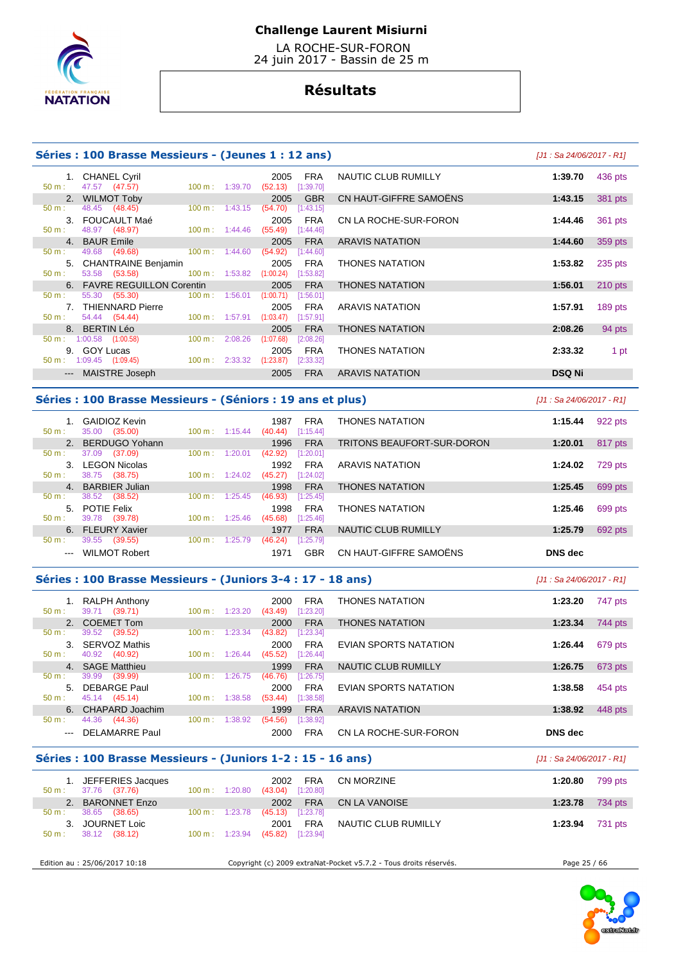

 LA ROCHE-SUR-FORON 24 juin 2017 - Bassin de 25 m

# **Résultats**

| Séries: 100 Brasse Messieurs - (Jeunes 1 : 12 ans) | $[J1: Sa 24/06/2017 - R1]$ |
|----------------------------------------------------|----------------------------|
|                                                    |                            |

| 1. CHANEL Cyril                       |                              | <b>FRA</b><br>2005     | NAUTIC CLUB RUMILLY    | 436 pts<br>1:39.70   |        |
|---------------------------------------|------------------------------|------------------------|------------------------|----------------------|--------|
| 47.57 (47.57)<br>$50 m$ :             | 100 m: 1:39.70               | (52.13)<br>[1:39.70]   |                        |                      |        |
| 2. WILMOT Toby                        |                              | <b>GBR</b><br>2005     | CN HAUT-GIFFRE SAMOËNS | 381 pts<br>1:43.15   |        |
| 48.45 (48.45)<br>$50 m$ :             | $100 \text{ m}: 1:43.15$     | (54.70)<br>[1:43.15]   |                        |                      |        |
| 3. FOUCAULT Maé                       |                              | <b>FRA</b><br>2005     | CN LA ROCHE-SUR-FORON  | 1:44.46<br>361 pts   |        |
| 48.97 (48.97)<br>$50 m$ :             | $100 \text{ m}: 1:44.46$     | (55.49)<br>[1:44.46]   |                        |                      |        |
| 4. BAUR Emile                         |                              | <b>FRA</b><br>2005     | <b>ARAVIS NATATION</b> | 359 pts<br>1:44.60   |        |
| 49.68<br>(49.68)<br>$50 m$ :          | 1:44.60<br>$100 \text{ m}$ : | (54.92)<br>[1:44.60]   |                        |                      |        |
| 5. CHANTRAINE Benjamin                |                              | <b>FRA</b><br>2005     | <b>THONES NATATION</b> | 1:53.82<br>235 pts   |        |
| 53.58 (53.58)<br>$50 m$ :             | 100 m: 1:53.82               | (1:00.24)<br>[1:53.82] |                        |                      |        |
| 6. FAVRE REGUILLON Corentin           |                              | 2005<br><b>FRA</b>     | <b>THONES NATATION</b> | $210$ pts<br>1:56.01 |        |
| 55.30 (55.30)<br>$50 m$ :             | $100 \text{ m}$ :<br>1:56.01 | (1:00.71)<br>[1:56.01] |                        |                      |        |
| 7. THIENNARD Pierre                   |                              | <b>FRA</b><br>2005     | <b>ARAVIS NATATION</b> | 1:57.91<br>189 pts   |        |
| 54.44 (54.44)<br>$50 m$ :             | $100 \text{ m}$ :<br>1:57.91 | (1:03.47)<br>[1:57.91] |                        |                      |        |
| 8. BERTIN Léo                         |                              | <b>FRA</b><br>2005     | <b>THONES NATATION</b> | 2:08.26              | 94 pts |
| $1:00.58$ $(1:00.58)$<br>$50 m$ :     | 2:08.26<br>$100 \text{ m}$ : | (1:07.68)<br>[2:08.26] |                        |                      |        |
| <b>GOY Lucas</b><br>9.                |                              | <b>FRA</b><br>2005     | <b>THONES NATATION</b> | 2:33.32              | 1 pt   |
| $1:09.45$ $(1:09.45)$<br>50 m:        | $100 \text{ m}: 2:33.32$     | (1:23.87)<br>[2:33.32] |                        |                      |        |
| MAISTRE Joseph<br>$\qquad \qquad - -$ |                              | <b>FRA</b><br>2005     | <b>ARAVIS NATATION</b> | <b>DSQ Ni</b>        |        |

### **Séries : 100 Brasse Messieurs - (Séniors : 19 ans et plus)** [J1 : Sa 24/06/2017 - R1]

| $50 m$ :                                                                                       | <b>GAIDIOZ Kevin</b><br>(35.00)<br>35.00 | $100 \text{ m}$ :<br>1:15.44 | 1987<br><b>FRA</b><br>[1:15.44]<br>(40.44) | <b>THONES NATATION</b>     | 1:15.44        | 922 pts |
|------------------------------------------------------------------------------------------------|------------------------------------------|------------------------------|--------------------------------------------|----------------------------|----------------|---------|
| $\mathcal{P}_{\cdot}$                                                                          | <b>BERDUGO Yohann</b>                    |                              | <b>FRA</b><br>1996                         | TRITONS BEAUFORT-SUR-DORON | 1:20.01        | 817 pts |
| 50 m:                                                                                          | 37.09<br>(37.09)                         | 100 m:<br>1:20.01            | [1:20.01]<br>(42.92)                       |                            |                |         |
| З.                                                                                             | <b>LEGON Nicolas</b>                     |                              | <b>FRA</b><br>1992                         | <b>ARAVIS NATATION</b>     | 1:24.02        | 729 pts |
| $50 m$ :                                                                                       | (38.75)<br>38.75                         | 100 m:<br>1:24.02            | [1:24.02]<br>(45.27)                       |                            |                |         |
| $\mathbf{4}$ .                                                                                 | <b>BARBIER Julian</b>                    |                              | <b>FRA</b><br>1998                         | <b>THONES NATATION</b>     | 1:25.45        | 699 pts |
| $50 m$ :                                                                                       | 38.52<br>(38.52)                         | $100 \text{ m}$ :<br>1:25.45 | (46.93)<br>[1:25.45]                       |                            |                |         |
| 5.                                                                                             | <b>POTIE Felix</b>                       |                              | <b>FRA</b><br>1998                         | <b>THONES NATATION</b>     | 1:25.46        | 699 pts |
| $50 m$ :                                                                                       | 39.78<br>(39.78)                         | $100 \text{ m}$ :<br>1:25.46 | [1:25.46]<br>(45.68)                       |                            |                |         |
| 6.                                                                                             | <b>FLEURY Xavier</b>                     |                              | <b>FRA</b><br>1977                         | NAUTIC CLUB RUMILLY        | 1:25.79        | 692 pts |
| $50 m$ :                                                                                       | 39.55<br>(39.55)                         | $100 \text{ m}$ :<br>1:25.79 | [1:25.79]<br>(46.24)                       |                            |                |         |
| $\frac{1}{2} \left( \frac{1}{2} \right) \left( \frac{1}{2} \right) \left( \frac{1}{2} \right)$ | <b>WILMOT Robert</b>                     |                              | GBR<br>1971                                | CN HAUT-GIFFRE SAMOENS     | <b>DNS</b> dec |         |

### **Séries : 100 Brasse Messieurs - (Juniors 3-4 : 17 - 18 ans)** [J1 : Sa 24/06/2017 - R1]

| $50 m$ :             | <b>RALPH Anthony</b><br>39.71<br>(39.71) | 100 m:            | 1:23.20 | <b>FRA</b><br>2000<br>[1:23.20]<br>(43.49) | <b>THONES NATATION</b> | 1:23.20 | 747 pts |
|----------------------|------------------------------------------|-------------------|---------|--------------------------------------------|------------------------|---------|---------|
|                      | 2. COEMET Tom                            |                   |         | <b>FRA</b><br>2000                         | <b>THONES NATATION</b> | 1:23.34 | 744 pts |
| $50 \text{ m}$ :     | (39.52)<br>39.52                         | 100 m:            | 1:23.34 | [1:23.34]<br>(43.82)                       |                        |         |         |
|                      | <b>SERVOZ Mathis</b>                     |                   |         | <b>FRA</b><br>2000                         | EVIAN SPORTS NATATION  | 1:26.44 | 679 pts |
| $50 m$ :             | (40.92)<br>40.92                         | $100 \text{ m}$ : | 1:26.44 | [1:26.44]<br>(45.52)                       |                        |         |         |
|                      | 4. SAGE Matthieu                         |                   |         | <b>FRA</b><br>1999                         | NAUTIC CLUB RUMILLY    | 1:26.75 | 673 pts |
| $50 m$ :             | (39.99)<br>39.99                         | 100 m:            | 1:26.75 | (46.76)<br>[1:26.75]                       |                        |         |         |
| $5 -$                | <b>DEBARGE Paul</b>                      |                   |         | <b>FRA</b><br>2000                         | EVIAN SPORTS NATATION  | 1:38.58 | 454 pts |
| $50 m$ :             | 45.14 (45.14)                            | 100 m:            | 1:38.58 | [1:38.58]<br>(53.44)                       |                        |         |         |
|                      | 6. CHAPARD Joachim                       |                   |         | <b>FRA</b><br>1999                         | <b>ARAVIS NATATION</b> | 1:38.92 | 448 pts |
| $50 m$ :             | 44.36<br>(44.36)                         | 100 m:            | 1:38.92 | [1:38.92]<br>(54.56)                       |                        |         |         |
| $\sim$ $\sim$ $\sim$ | <b>DELAMARRE Paul</b>                    |                   |         | <b>FRA</b><br>2000                         | CN LA ROCHE-SUR-FORON  | DNS dec |         |

# **Séries : 100 Brasse Messieurs - (Juniors 1-2 : 15 - 16 ans)** [J1 : Sa 24/06/2017 - R1]

| 1. JEFFERIES Jacques<br>37.76 (37.76)<br>$50 \text{ m}$ : | $100 \text{ m}: 1:20.80$ | 2002 FRA<br>$(43.04)$ [1:20.80] | CN MORZINE          | 1:20.80                | 799 pts |
|-----------------------------------------------------------|--------------------------|---------------------------------|---------------------|------------------------|---------|
| 2. BARONNET Enzo                                          |                          | 2002 FRA                        | CN LA VANOISE       | 1:23.78 734 pts        |         |
| 38.65 (38.65)<br>$50 \text{ m}$ :                         | $100 \text{ m}: 1:23.78$ | $(45.13)$ [1:23.78]             |                     |                        |         |
| 3. JOURNET Loic                                           |                          | <b>FRA</b><br>2001              | NAUTIC CLUB RUMILLY | <b>1:23.94</b> 731 pts |         |
| 38.12 (38.12)<br>$50 m$ :                                 | $100 \text{ m}: 1:23.94$ | $(45.82)$ [1:23.94]             |                     |                        |         |
|                                                           |                          |                                 |                     |                        |         |

Edition au : 25/06/2017 10:18 Copyright (c) 2009 extraNat-Pocket v5.7.2 - Tous droits réservés. Page 25 / 66

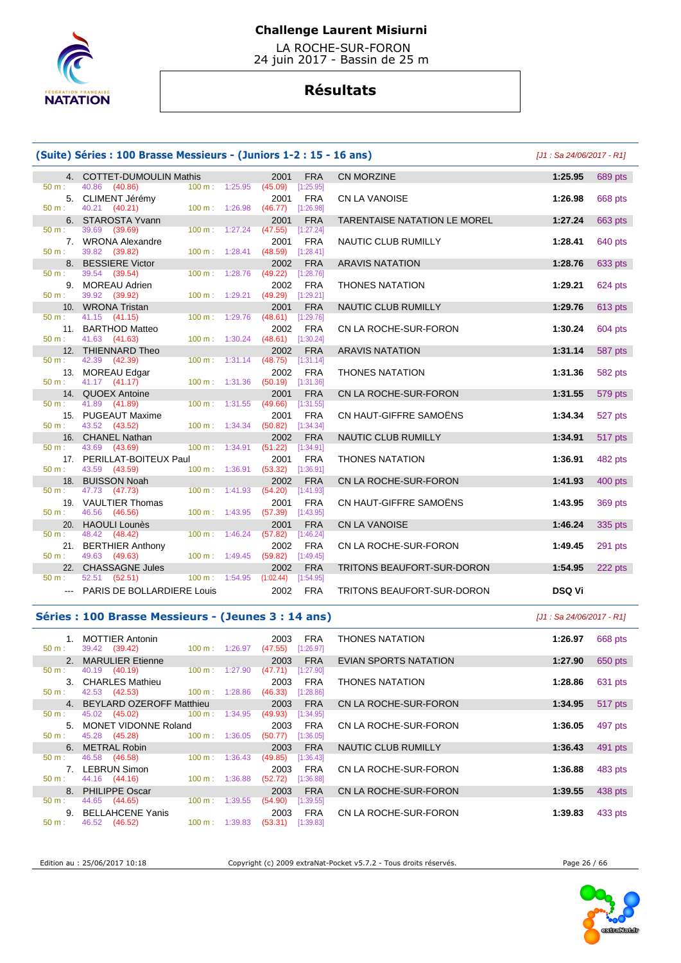

 LA ROCHE-SUR-FORON 24 juin 2017 - Bassin de 25 m

# **Résultats**

# **(Suite) Séries : 100 Brasse Messieurs - (Juniors 1-2 : 15 - 16 ans)** [J1 : Sa 24/06/2017 - R1]

|                  | 4. COTTET-DUMOULIN Mathis             |                   |                           | 2001                               | <b>FRA</b>              | <b>CN MORZINE</b>                   | 1:25.95       |
|------------------|---------------------------------------|-------------------|---------------------------|------------------------------------|-------------------------|-------------------------------------|---------------|
| 50 m :           | 40.86 (40.86)                         |                   | $100 m$ : 1:25.95         | (45.09)                            | [1:25.95]               |                                     |               |
|                  | 5. CLIMENT Jérémy                     |                   |                           | 2001                               | <b>FRA</b>              | <b>CN LA VANOISE</b>                | 1:26.98       |
| 50 m :           | 40.21 (40.21)                         |                   | $100 \text{ m}$ : 1:26.98 | $(46.77)$ [1:26.98]                |                         |                                     |               |
| $50 \text{ m}$ : | 6. STAROSTA Yvann<br>39.69 (39.69)    |                   | $100 m$ : 1:27.24         | 2001<br>(47.55)                    | <b>FRA</b><br>[1:27.24] | <b>TARENTAISE NATATION LE MOREL</b> | 1:27.24       |
|                  | 7. WRONA Alexandre                    |                   |                           | 2001                               | <b>FRA</b>              | NAUTIC CLUB RUMILLY                 | 1:28.41       |
| 50 m :           | 39.82 (39.82)                         |                   | 100 m: 1:28.41            | $(48.59)$ [1:28.41]                |                         |                                     |               |
|                  | 8. BESSIERE Victor                    |                   |                           | 2002                               | <b>FRA</b>              | <b>ARAVIS NATATION</b>              | 1:28.76       |
| $50 \text{ m}$ : | 39.54 (39.54)                         |                   | 100 m: 1:28.76            | $(49.22)$ [1:28.76]                |                         |                                     |               |
|                  | 9. MOREAU Adrien                      |                   |                           | 2002                               | <b>FRA</b>              | <b>THONES NATATION</b>              | 1:29.21       |
| 50 m:            | 39.92 (39.92)                         |                   | 100 m: 1:29.21            | $(49.29)$ [1:29.21]                |                         |                                     |               |
|                  | 10. WRONA Tristan                     |                   |                           | 2001                               | <b>FRA</b>              | NAUTIC CLUB RUMILLY                 | 1:29.76       |
|                  | $50 m$ : $41.15 (41.15)$              |                   | 100 m: 1:29.76            | $(48.61)$ [1:29.76]                |                         |                                     |               |
|                  | 11. BARTHOD Matteo                    |                   |                           | 2002                               | <b>FRA</b>              | CN LA ROCHE-SUR-FORON               | 1:30.24       |
| 50 m:            | 41.63 (41.63)                         |                   |                           | 100 m: 1:30.24 (48.61) [1:30.24]   |                         |                                     |               |
|                  | 12. THIENNARD Theo                    |                   |                           | 2002                               | <b>FRA</b>              | <b>ARAVIS NATATION</b>              | 1:31.14       |
| 50 m:            | 42.39 (42.39)                         |                   | $100 \text{ m}: 1:31.14$  | $(48.75)$ [1:31.14]                |                         |                                     |               |
| 50 m :           | 13. MOREAU Edgar<br>41.17 (41.17)     |                   | $100 \text{ m}: 1:31.36$  | 2002<br>$(50.19)$ [1:31.36]        | <b>FRA</b>              | <b>THONES NATATION</b>              | 1:31.36       |
|                  | 14. QUOEX Antoine                     |                   |                           | 2001                               | <b>FRA</b>              | CN LA ROCHE-SUR-FORON               | 1:31.55       |
| 50 m :           | 41.89 (41.89)                         |                   | 100 m: 1:31.55            | (49.66)                            | [1:31.55]               |                                     |               |
|                  | 15. PUGEAUT Maxime                    |                   |                           | 2001                               | <b>FRA</b>              | CN HAUT-GIFFRE SAMOËNS              | 1:34.34       |
| $50 \text{ m}$ : | 43.52 (43.52)                         |                   | 100 m: 1:34.34            | $(50.82)$ [1:34.34]                |                         |                                     |               |
|                  | 16. CHANEL Nathan                     |                   |                           | 2002                               | <b>FRA</b>              | <b>NAUTIC CLUB RUMILLY</b>          | 1:34.91       |
| 50 m:            | 43.69 (43.69)                         |                   | $100 \text{ m}: 1:34.91$  | $(51.22)$ [1:34.91]                |                         |                                     |               |
|                  | 17. PERILLAT-BOITEUX Paul             |                   |                           | 2001                               | <b>FRA</b>              | <b>THONES NATATION</b>              | 1:36.91       |
| $50 \text{ m}$ : | 43.59 (43.59)                         |                   | $100 \text{ m}$ : 1:36.91 | $(53.32)$ [1:36.91]                |                         |                                     |               |
|                  | 18. BUISSON Noah                      |                   |                           | 2002                               | <b>FRA</b>              | CN LA ROCHE-SUR-FORON               | 1:41.93       |
| 50 m :           | 47.73 (47.73)                         |                   | $100 m$ : 1:41.93         | (54.20)                            | [1:41.93]               |                                     |               |
|                  | 19. VAULTIER Thomas                   |                   |                           | 2001                               | <b>FRA</b>              | CN HAUT-GIFFRE SAMOËNS              | 1:43.95       |
| 50 m:            | 46.56 (46.56)                         |                   | $100 m$ : 1:43.95         | $(57.39)$ [1:43.95]                |                         |                                     |               |
|                  | 20. HAOULI Lounès                     |                   |                           | 2001                               | <b>FRA</b>              | <b>CN LA VANOISE</b>                | 1:46.24       |
| 50 m:            | 48.42 (48.42)                         | $100 \text{ m}$ : | 1:46.24                   | (57.82)                            | [1:46.24]               |                                     |               |
| $50 \text{ m}$ : | 21. BERTHIER Anthony<br>49.63 (49.63) |                   | $100 \text{ m}$ : 1:49.45 | 2002<br>$(59.82)$ [1:49.45]        | <b>FRA</b>              | CN LA ROCHE-SUR-FORON               | 1:49.45       |
|                  | 22. CHASSAGNE Jules                   |                   |                           | 2002                               | <b>FRA</b>              | TRITONS BEAUFORT-SUR-DORON          | 1:54.95       |
| 50 m:            | 52.51 (52.51)                         |                   |                           | 100 m: 1:54.95 (1:02.44) [1:54.95] |                         |                                     |               |
|                  | --- PARIS DE BOLLARDIERE Louis        |                   |                           | 2002                               | <b>FRA</b>              | TRITONS BEAUFORT-SUR-DORON          | <b>DSQ Vi</b> |
|                  |                                       |                   |                           |                                    |                         |                                     |               |

|       | 4. COTTET-DUMOULIN Mathis          |                          | 2001                               | <b>FRA</b> | CN MORZINE                   | 1:25.95       | 689 pts |
|-------|------------------------------------|--------------------------|------------------------------------|------------|------------------------------|---------------|---------|
| t in  | 40.86 (40.86)                      | $100 \text{ m}: 1:25.95$ | $(45.09)$ [1:25.95]                |            |                              |               |         |
|       | 5. CLIMENT Jérémy<br>40.21 (40.21) | $100 \text{ m}: 1:26.98$ | 2001<br>$(46.77)$ [1:26.98]        | <b>FRA</b> | <b>CN LA VANOISE</b>         | 1:26.98       | 668 pts |
|       | 6. STAROSTA Yvann                  |                          | 2001                               | <b>FRA</b> | TARENTAISE NATATION LE MOREL | 1:27.24       | 663 pts |
|       | 39.69 (39.69)                      | 100 m: 1:27.24           | $(47.55)$ [1:27.24]                |            |                              |               |         |
|       | 7. WRONA Alexandre                 |                          | 2001                               | <b>FRA</b> | NAUTIC CLUB RUMILLY          | 1:28.41       | 640 pts |
| t.    | 39.82 (39.82)                      |                          | 100 m: 1:28.41 (48.59) [1:28.41]   |            |                              |               |         |
|       | 8. BESSIERE Victor                 |                          |                                    | 2002 FRA   | <b>ARAVIS NATATION</b>       | 1:28.76       | 633 pts |
|       | 39.54 (39.54)                      | 100 m: 1:28.76           | $(49.22)$ [1:28.76]                |            |                              |               |         |
|       | 9. MOREAU Adrien                   |                          | 2002                               | <b>FRA</b> | <b>THONES NATATION</b>       | 1:29.21       | 624 pts |
|       | 39.92 (39.92)                      |                          | 100 m: 1:29.21 (49.29) [1:29.21]   |            |                              |               |         |
|       |                                    |                          |                                    |            |                              |               |         |
|       | 10. WRONA Tristan                  |                          | 2001                               | <b>FRA</b> | NAUTIC CLUB RUMILLY          | 1:29.76       | 613 pts |
|       | 41.15 (41.15)                      | 100 m: 1:29.76           | $(48.61)$ [1:29.76]                |            |                              |               |         |
|       | 11. BARTHOD Matteo                 |                          | 2002                               | <b>FRA</b> | CN LA ROCHE-SUR-FORON        | 1:30.24       | 604 pts |
| ÷     | 41.63 (41.63)                      | 100 m: 1:30.24           | $(48.61)$ [1:30.24]                |            |                              |               |         |
|       | 12. THIENNARD Theo                 |                          |                                    | 2002 FRA   | <b>ARAVIS NATATION</b>       | 1:31.14       | 587 pts |
| t.    | 42.39 (42.39)                      | $100 m$ : 1:31.14        | $(48.75)$ [1:31.14]                |            |                              |               |         |
|       | 13. MOREAU Edgar                   |                          | 2002                               | <b>FRA</b> | <b>THONES NATATION</b>       | 1:31.36       | 582 pts |
|       | 41.17 (41.17)                      |                          | 100 m: 1:31.36 (50.19) [1:31.36]   |            |                              |               |         |
|       | 14. QUOEX Antoine                  |                          | 2001                               | <b>FRA</b> | CN LA ROCHE-SUR-FORON        | 1:31.55       | 579 pts |
| ÷.    | 41.89 (41.89)                      | 100 m: 1:31.55           | $(49.66)$ [1:31.55]                |            |                              |               |         |
|       | 15. PUGEAUT Maxime                 |                          | 2001                               | <b>FRA</b> | CN HAUT-GIFFRE SAMOËNS       | 1:34.34       | 527 pts |
|       | 43.52 (43.52)                      |                          | 100 m: 1:34.34 (50.82) [1:34.34]   |            |                              |               |         |
| 16.   | <b>CHANEL Nathan</b>               |                          | 2002                               | <b>FRA</b> | NAUTIC CLUB RUMILLY          | 1:34.91       | 517 pts |
| ÷     | 43.69 (43.69)                      |                          | 100 m: 1:34.91 (51.22) [1:34.91]   |            |                              |               |         |
|       | 17. PERILLAT-BOITEUX Paul          |                          | 2001                               | <b>FRA</b> | <b>THONES NATATION</b>       | 1:36.91       | 482 pts |
| ÷.    | 43.59 (43.59)                      | 100 m: 1:36.91           | $(53.32)$ [1:36.91]                |            |                              |               |         |
|       | 18. BUISSON Noah                   |                          | 2002                               | <b>FRA</b> | CN LA ROCHE-SUR-FORON        | 1:41.93       | 400 pts |
| ÷.    | 47.73 (47.73)                      | 100 m: 1:41.93           | $(54.20)$ [1:41.93]                |            |                              |               |         |
|       | 19. VAULTIER Thomas                |                          | 2001                               | <b>FRA</b> | CN HAUT-GIFFRE SAMOËNS       | 1:43.95       | 369 pts |
|       | 46.56 (46.56)                      | $100 \text{ m}: 1:43.95$ | $(57.39)$ [1:43.95]                |            |                              |               |         |
| ÷.    |                                    |                          |                                    |            |                              |               |         |
|       | 20. HAOULI Lounès                  |                          | 2001                               | <b>FRA</b> | CN LA VANOISE                | 1:46.24       | 335 pts |
| diam. | 48.42 (48.42)                      | 100 m: 1:46.24           | $(57.82)$ [1:46.24]                |            |                              |               |         |
|       | 21. BERTHIER Anthony               |                          | 2002                               | <b>FRA</b> | CN LA ROCHE-SUR-FORON        | 1:49.45       | 291 pts |
| ÷     | 49.63 (49.63)                      |                          | 100 m: 1:49.45 (59.82) [1:49.45]   |            |                              |               |         |
|       | 22. CHASSAGNE Jules                |                          | 2002                               | <b>FRA</b> | TRITONS BEAUFORT-SUR-DORON   | 1:54.95       | 222 pts |
| ÷.    | 52.51 (52.51)                      |                          | 100 m: 1:54.95 (1:02.44) [1:54.95] |            |                              |               |         |
|       | --- PARIS DE BOLLARDIERE Louis     |                          | 2002                               | <b>FRA</b> | TRITONS BEAUFORT-SUR-DORON   | <b>DSQ Vi</b> |         |

# **Séries : 100 Brasse Messieurs - (Jeunes 3 : 14 ans)** [J1 : Sa 24/06/2017 - R1]

| $50 m$ :         | <b>MOTTIER Antonin</b><br>39.42 (39.42) | 100 m :<br>1:26.97           | <b>FRA</b><br>2003<br>(47.55)<br>[1:26.97] | <b>THONES NATATION</b> | 1:26.97 | 668 pts |
|------------------|-----------------------------------------|------------------------------|--------------------------------------------|------------------------|---------|---------|
|                  | 2. MARULIER Etienne                     |                              | <b>FRA</b><br>2003                         | EVIAN SPORTS NATATION  | 1:27.90 | 650 pts |
| 50 m:            | 40.19 (40.19)                           | 1:27.90<br>100 m :           | (47.71)<br>[1:27.90]                       |                        |         |         |
|                  | 3. CHARLES Mathieu                      |                              | <b>FRA</b><br>2003                         | <b>THONES NATATION</b> | 1:28.86 | 631 pts |
| $50 \text{ m}$ : | 42.53 (42.53)                           | $100 \text{ m}$ :<br>1:28.86 | (46.33)<br>[1:28.86]                       |                        |         |         |
|                  | 4. BEYLARD OZEROFF Matthieu             |                              | <b>FRA</b><br>2003                         | CN LA ROCHE-SUR-FORON  | 1:34.95 | 517 pts |
| $50 \text{ m}$ : | $100 \text{ m}$ :<br>45.02 (45.02)      | 1:34.95                      | (49.93)<br>[1:34.95]                       |                        |         |         |
| 5.               | MONET VIDONNE Roland                    |                              | <b>FRA</b><br>2003                         | CN LA ROCHE-SUR-FORON  | 1:36.05 | 497 pts |
| 50 m:            | 45.28 (45.28)                           | 100 m :<br>1:36.05           | (50.77)<br>[1:36.05]                       |                        |         |         |
|                  | 6. METRAL Robin                         |                              | <b>FRA</b><br>2003                         | NAUTIC CLUB RUMILLY    | 1:36.43 | 491 pts |
| 50 m:            | 46.58 (46.58)                           | $100 \text{ m}$ :<br>1:36.43 | (49.85)<br>[1:36.43]                       |                        |         |         |
|                  | 7. LEBRUN Simon                         |                              | <b>FRA</b><br>2003                         | CN LA ROCHE-SUR-FORON  | 1:36.88 | 483 pts |
| $50 \text{ m}$ : | 44.16 (44.16)                           | 100 m :<br>1:36.88           | (52.72)<br>[1:36.88]                       |                        |         |         |
|                  | 8. PHILIPPE Oscar                       |                              | <b>FRA</b><br>2003                         | CN LA ROCHE-SUR-FORON  | 1:39.55 | 438 pts |
| $50 \text{ m}$ : | 44.65 (44.65)                           | 100 m :<br>1:39.55           | (54.90)<br>[1:39.55]                       |                        |         |         |
|                  | 9. BELLAHCENE Yanis                     |                              | <b>FRA</b><br>2003                         | CN LA ROCHE-SUR-FORON  | 1:39.83 | 433 pts |
| $50 \text{ m}$ : | 46.52 (46.52)                           | $100 \text{ m}: 1:39.83$     | (53.31)<br>[1:39.83]                       |                        |         |         |

Edition au : 25/06/2017 10:18 Copyright (c) 2009 extraNat-Pocket v5.7.2 - Tous droits réservés. Page 26 / 66

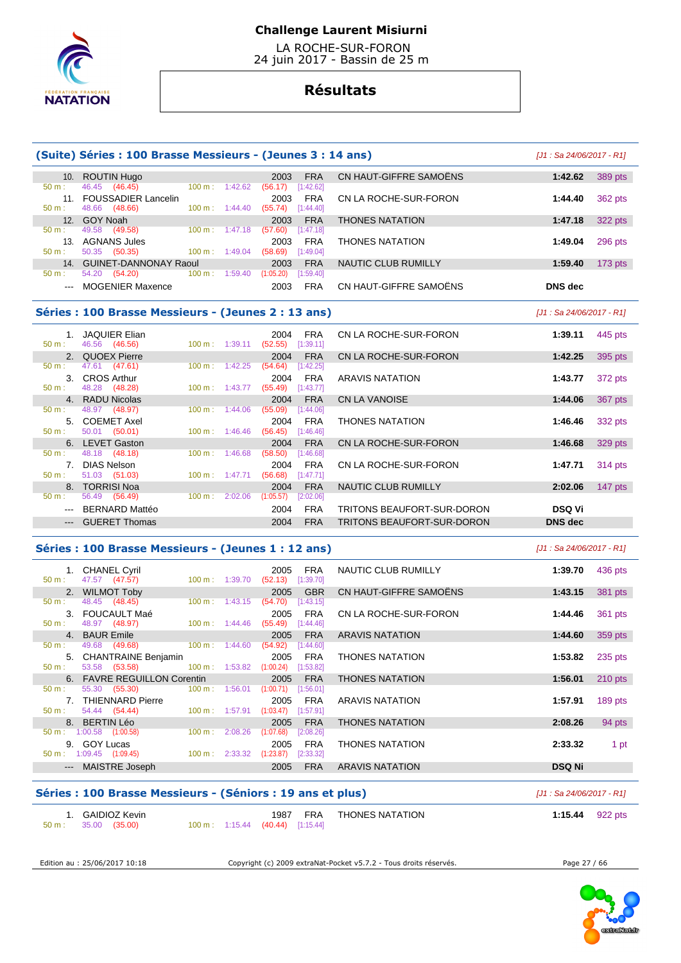

 LA ROCHE-SUR-FORON 24 juin 2017 - Bassin de 25 m

# **Résultats**

|                                                                                                                                                                                                                                                                                                                                                                                                                                                                            | (Suite) Séries : 100 Brasse Messieurs - (Jeunes 3 : 14 ans) |        |                           |                                                   |                            | [J1 : Sa 24/06/2017 - R1] |           |
|----------------------------------------------------------------------------------------------------------------------------------------------------------------------------------------------------------------------------------------------------------------------------------------------------------------------------------------------------------------------------------------------------------------------------------------------------------------------------|-------------------------------------------------------------|--------|---------------------------|---------------------------------------------------|----------------------------|---------------------------|-----------|
|                                                                                                                                                                                                                                                                                                                                                                                                                                                                            | 10. ROUTIN Hugo                                             |        |                           | <b>FRA</b><br>2003                                | CN HAUT-GIFFRE SAMOËNS     | 1:42.62                   | 389 pts   |
| 50 m:                                                                                                                                                                                                                                                                                                                                                                                                                                                                      | 46.45 (46.45)                                               |        | $100 \text{ m}: 1:42.62$  | (56.17)<br>[1:42.62]                              |                            |                           |           |
| $50 m$ :                                                                                                                                                                                                                                                                                                                                                                                                                                                                   | 11. FOUSSADIER Lancelin<br>48.66<br>(48.66)                 |        | $100 m$ : $1:44.40$       | <b>FRA</b><br>2003<br>[1:44.40]<br>(55.74)        | CN LA ROCHE-SUR-FORON      | 1:44.40                   | 362 pts   |
| 12.                                                                                                                                                                                                                                                                                                                                                                                                                                                                        | <b>GOY Noah</b>                                             |        |                           | 2003<br><b>FRA</b>                                | <b>THONES NATATION</b>     | 1:47.18                   | 322 pts   |
| $50 m$ :                                                                                                                                                                                                                                                                                                                                                                                                                                                                   | 49.58 (49.58)                                               |        | $100 m$ : 1:47.18         | (57.60)<br>[1:47.18]                              |                            |                           |           |
| 13.                                                                                                                                                                                                                                                                                                                                                                                                                                                                        | <b>AGNANS Jules</b>                                         |        |                           | <b>FRA</b><br>2003                                | <b>THONES NATATION</b>     | 1:49.04                   | 296 pts   |
| $50 m$ :                                                                                                                                                                                                                                                                                                                                                                                                                                                                   | 50.35 (50.35)                                               |        | $100 \text{ m}: 1:49.04$  | (58.69)<br>[1:49.04]                              |                            |                           |           |
|                                                                                                                                                                                                                                                                                                                                                                                                                                                                            | 14. GUINET-DANNONAY Raoul                                   |        |                           | <b>FRA</b><br>2003                                | NAUTIC CLUB RUMILLY        | 1:59.40                   | $173$ pts |
| 50 m:                                                                                                                                                                                                                                                                                                                                                                                                                                                                      | 54.20 (54.20)                                               |        | $100 \text{ m}: 1:59.40$  | [1:59.40]<br>(1:05.20)                            |                            |                           |           |
| $\frac{1}{2} \left( \frac{1}{2} \right) \left( \frac{1}{2} \right) \left( \frac{1}{2} \right) \left( \frac{1}{2} \right) \left( \frac{1}{2} \right) \left( \frac{1}{2} \right) \left( \frac{1}{2} \right) \left( \frac{1}{2} \right) \left( \frac{1}{2} \right) \left( \frac{1}{2} \right) \left( \frac{1}{2} \right) \left( \frac{1}{2} \right) \left( \frac{1}{2} \right) \left( \frac{1}{2} \right) \left( \frac{1}{2} \right) \left( \frac{1}{2} \right) \left( \frac$ | <b>MOGENIER Maxence</b>                                     |        |                           | <b>FRA</b><br>2003                                | CN HAUT-GIFFRE SAMOËNS     | <b>DNS</b> dec            |           |
|                                                                                                                                                                                                                                                                                                                                                                                                                                                                            | Séries : 100 Brasse Messieurs - (Jeunes 2 : 13 ans)         |        |                           |                                                   |                            | [J1 : Sa 24/06/2017 - R1] |           |
|                                                                                                                                                                                                                                                                                                                                                                                                                                                                            | 1. JAQUIER Elian                                            |        |                           | 2004<br><b>FRA</b>                                | CN LA ROCHE-SUR-FORON      | 1:39.11                   | 445 pts   |
| 50 m:                                                                                                                                                                                                                                                                                                                                                                                                                                                                      | 46.56 (46.56)                                               |        | $100 \text{ m}: 1:39.11$  | (52.55)<br>[1:39.11]                              |                            |                           |           |
|                                                                                                                                                                                                                                                                                                                                                                                                                                                                            | 2. QUOEX Pierre                                             |        |                           | <b>FRA</b><br>2004                                | CN LA ROCHE-SUR-FORON      | 1:42.25                   | 395 pts   |
| $50 m$ :                                                                                                                                                                                                                                                                                                                                                                                                                                                                   | 47.61 (47.61)                                               |        | $100 \text{ m}: 1:42.25$  | (54.64)<br>[1:42.25]                              |                            |                           |           |
|                                                                                                                                                                                                                                                                                                                                                                                                                                                                            | 3. CROS Arthur                                              |        |                           | <b>FRA</b><br>2004                                | <b>ARAVIS NATATION</b>     | 1:43.77                   | 372 pts   |
| 50 m:                                                                                                                                                                                                                                                                                                                                                                                                                                                                      | 48.28 (48.28)                                               |        | $100 m$ : 1:43.77         | (55.49)<br>[1:43.77]                              |                            |                           |           |
|                                                                                                                                                                                                                                                                                                                                                                                                                                                                            | 4. RADU Nicolas                                             |        |                           | <b>FRA</b><br>2004                                | <b>CN LA VANOISE</b>       | 1:44.06                   | 367 pts   |
| 50 m:                                                                                                                                                                                                                                                                                                                                                                                                                                                                      | 48.97 (48.97)                                               | 100 m: | 1:44.06                   | (55.09)<br>[1:44.06]                              |                            |                           |           |
| 5.<br>$50 m$ :                                                                                                                                                                                                                                                                                                                                                                                                                                                             | <b>COEMET Axel</b><br>50.01 (50.01)                         |        | $100 \text{ m}$ : 1:46.46 | 2004<br><b>FRA</b><br>(56.45)<br>[1:46.46]        | <b>THONES NATATION</b>     | 1:46.46                   | 332 pts   |
| 6.                                                                                                                                                                                                                                                                                                                                                                                                                                                                         | <b>LEVET Gaston</b>                                         |        |                           | 2004<br><b>FRA</b>                                | CN LA ROCHE-SUR-FORON      | 1:46.68                   |           |
| $50 m$ :                                                                                                                                                                                                                                                                                                                                                                                                                                                                   | 48.18 (48.18)                                               | 100 m: | 1:46.68                   | (58.50)<br>[1:46.68]                              |                            |                           | 329 pts   |
| 7.                                                                                                                                                                                                                                                                                                                                                                                                                                                                         | <b>DIAS Nelson</b>                                          |        |                           | 2004<br><b>FRA</b>                                | CN LA ROCHE-SUR-FORON      | 1:47.71                   | 314 pts   |
| 50 m:                                                                                                                                                                                                                                                                                                                                                                                                                                                                      | 51.03 (51.03)                                               |        | $100 m$ : 1:47.71         | (56.68)<br>[1:47.71]                              |                            |                           |           |
|                                                                                                                                                                                                                                                                                                                                                                                                                                                                            | 8. TORRISI Noa                                              |        |                           | <b>FRA</b><br>2004                                | NAUTIC CLUB RUMILLY        | 2:02.06                   | 147 $pts$ |
| 50 m:                                                                                                                                                                                                                                                                                                                                                                                                                                                                      | 56.49 (56.49)                                               |        | 100 m: 2:02.06            | (1:05.57)<br>[2:02.06]                            |                            |                           |           |
| $\frac{1}{2} \left( \frac{1}{2} \right) \left( \frac{1}{2} \right) \left( \frac{1}{2} \right) \left( \frac{1}{2} \right) \left( \frac{1}{2} \right) \left( \frac{1}{2} \right) \left( \frac{1}{2} \right) \left( \frac{1}{2} \right) \left( \frac{1}{2} \right) \left( \frac{1}{2} \right) \left( \frac{1}{2} \right) \left( \frac{1}{2} \right) \left( \frac{1}{2} \right) \left( \frac{1}{2} \right) \left( \frac{1}{2} \right) \left( \frac{1}{2} \right) \left( \frac$ | <b>BERNARD Mattéo</b>                                       |        |                           | <b>FRA</b><br>2004                                | TRITONS BEAUFORT-SUR-DORON | <b>DSQ Vi</b>             |           |
|                                                                                                                                                                                                                                                                                                                                                                                                                                                                            | <b>GUERET Thomas</b>                                        |        |                           | <b>FRA</b><br>2004                                | TRITONS BEAUFORT-SUR-DORON | <b>DNS</b> dec            |           |
|                                                                                                                                                                                                                                                                                                                                                                                                                                                                            | Séries : 100 Brasse Messieurs - (Jeunes 1 : 12 ans)         |        |                           |                                                   |                            | [J1 : Sa 24/06/2017 - R1] |           |
|                                                                                                                                                                                                                                                                                                                                                                                                                                                                            | 1. CHANEL Cyril                                             |        |                           | 2005 FRA                                          | NAUTIC CLUB RUMILLY        | 1:39.70                   | 436 pts   |
| $E \cap \mathbb{R}$                                                                                                                                                                                                                                                                                                                                                                                                                                                        | $17.77$ $117.77$                                            |        |                           | $(100 \text{ m} + 4.20770)$ $(50.42)$ $(4.20720)$ |                            |                           |           |

|                           | <b>CHANEL Cyril</b>         |                          | 2005                 | <b>FRA</b> | NAUTIC CLUB RUMILLY    | 1:39.70       | 436 pts   |
|---------------------------|-----------------------------|--------------------------|----------------------|------------|------------------------|---------------|-----------|
| 50 m:                     | 47.57 (47.57)               | $100 \text{ m}: 1:39.70$ | (52.13)              | [1:39.70]  |                        |               |           |
|                           | 2. WILMOT Toby              |                          | 2005                 | <b>GBR</b> | CN HAUT-GIFFRE SAMOËNS | 1:43.15       | 381 pts   |
| 50 m:                     | 48.45 (48.45)               | 100 m:                   | 1:43.15<br>(54.70)   | [1:43.15]  |                        |               |           |
|                           | 3. FOUCAULT Maé             |                          | 2005                 | <b>FRA</b> | CN LA ROCHE-SUR-FORON  | 1:44.46       | 361 pts   |
| 50 m:                     | 48.97 (48.97)               | $100 \text{ m}$ :        | (55.49)<br>1:44.46   | [1:44.46]  |                        |               |           |
|                           | 4. BAUR Emile               |                          | 2005                 | <b>FRA</b> | <b>ARAVIS NATATION</b> | 1:44.60       | 359 pts   |
| $50 m$ :                  | 49.68<br>(49.68)            | $100 \text{ m}$ :        | 1:44.60<br>(54.92)   | [1:44.60]  |                        |               |           |
|                           | 5. CHANTRAINE Benjamin      |                          | 2005                 | <b>FRA</b> | <b>THONES NATATION</b> | 1:53.82       | 235 pts   |
| $50 m$ :                  | 53.58 (53.58)               | $100 \text{ m}$ :        | 1:53.82<br>(1:00.24) | [1:53.82]  |                        |               |           |
|                           | 6. FAVRE REGUILLON Corentin |                          | 2005                 | <b>FRA</b> | <b>THONES NATATION</b> | 1:56.01       | $210$ pts |
| 50 m:                     | 55.30 (55.30)               | $100 \text{ m}$ :        | 1:56.01<br>(1:00.71) | [1:56.01]  |                        |               |           |
| 7.                        | <b>THIENNARD Pierre</b>     |                          | 2005                 | <b>FRA</b> | ARAVIS NATATION        | 1:57.91       | 189 pts   |
| 50 m:                     | 54.44 (54.44)               | $100 \text{ m}$ :        | 1:57.91<br>(1:03.47) | [1:57.91]  |                        |               |           |
|                           | 8. BERTIN Léo               |                          | 2005                 | <b>FRA</b> | <b>THONES NATATION</b> | 2:08.26       | 94 pts    |
| $50 m$ :                  | $1:00.58$ $(1:00.58)$       | 100 m:                   | 2:08.26<br>(1:07.68) | [2:08.26]  |                        |               |           |
|                           | 9. GOY Lucas                |                          | 2005                 | <b>FRA</b> | <b>THONES NATATION</b> | 2:33.32       | 1 pt      |
| $50 m$ :                  | $1:09.45$ $(1:09.45)$       | $100 \text{ m}$ :        | 2:33.32<br>(1:23.87) | [2:33.32]  |                        |               |           |
| $\qquad \qquad -\qquad -$ | <b>MAISTRE Joseph</b>       |                          | 2005                 | <b>FRA</b> | <b>ARAVIS NATATION</b> | <b>DSQ Ni</b> |           |
|                           |                             |                          |                      |            |                        |               |           |

### **Séries : 100 Brasse Messieurs - (Séniors : 19 ans et plus)** [J1 : Sa 24/06/2017 - R1]

| 50 m : 35.00 (35.00)<br>100 m : 1:15.44 (40.44) [1:15.44] |  | ' GAIDIOZ Kevin |  | 1987 | <b>FRA</b> | <b>THONES NATATION</b> | 1:15.44 | 922 pts |
|-----------------------------------------------------------|--|-----------------|--|------|------------|------------------------|---------|---------|
|-----------------------------------------------------------|--|-----------------|--|------|------------|------------------------|---------|---------|

Edition au : 25/06/2017 10:18 Copyright (c) 2009 extraNat-Pocket v5.7.2 - Tous droits réservés. Page 27 / 66

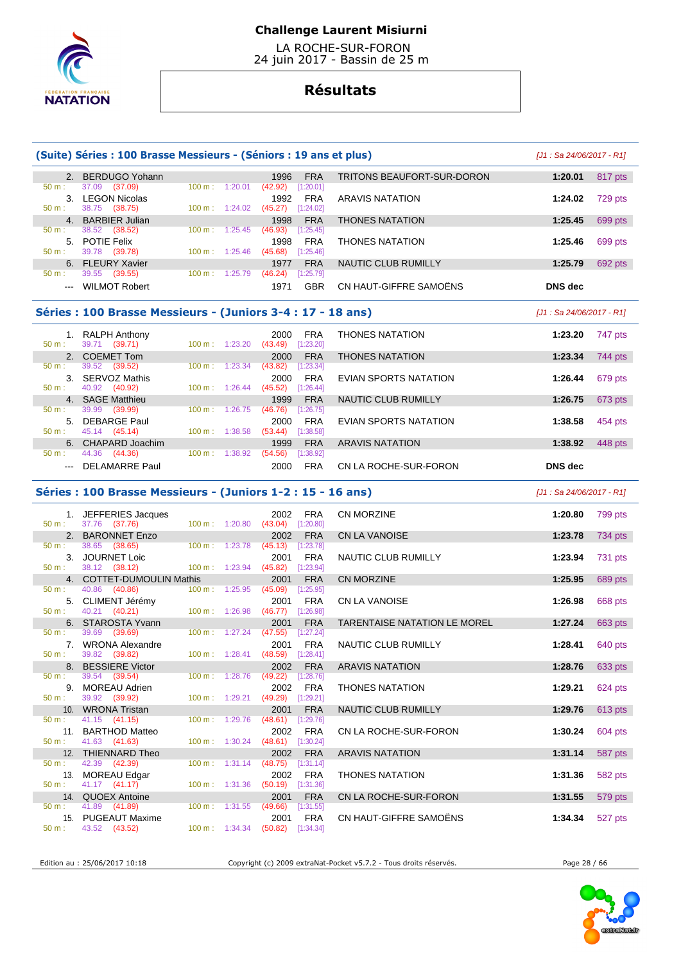

 LA ROCHE-SUR-FORON 24 juin 2017 - Bassin de 25 m

# **Résultats**

|                                                                                                         | (Suite) Séries : 100 Brasse Messieurs - (Séniors : 19 ans et plus) |                          |         |                             |                           |                                     | [J1 : Sa 24/06/2017 - R1]  |                                                     |
|---------------------------------------------------------------------------------------------------------|--------------------------------------------------------------------|--------------------------|---------|-----------------------------|---------------------------|-------------------------------------|----------------------------|-----------------------------------------------------|
|                                                                                                         | 2. BERDUGO Yohann                                                  |                          |         | 1996                        | <b>FRA</b>                | <b>TRITONS BEAUFORT-SUR-DORON</b>   | 1:20.01                    | 817 pts                                             |
| 50 m:                                                                                                   | 37.09 (37.09)<br>3. LEGON Nicolas                                  | 100 m:                   | 1:20.01 | (42.92)<br>1992             | [1:20.01]<br><b>FRA</b>   | ARAVIS NATATION                     | 1:24.02                    | 729 pts                                             |
| 50 m:                                                                                                   | 38.75 (38.75)                                                      | $100 m$ : 1:24.02        |         | $(45.27)$ [1:24.02]         |                           |                                     | 1:25.45                    |                                                     |
| 50 m :                                                                                                  | 4. BARBIER Julian<br>38.52<br>(38.52)                              | $100 \text{ m}$ :        | 1:25.45 | 1998<br>(46.93)             | <b>FRA</b><br>[1:25.45]   | <b>THONES NATATION</b>              |                            | 699 pts                                             |
| 50 m:                                                                                                   | 5. POTIE Felix<br>39.78 (39.78)                                    | $100 \text{ m}: 1:25.46$ |         | 1998<br>(45.68)             | <b>FRA</b><br>[1:25.46]   | <b>THONES NATATION</b>              | 1:25.46                    | 699 pts                                             |
|                                                                                                         | 6. FLEURY Xavier                                                   |                          |         | 1977                        | <b>FRA</b>                | NAUTIC CLUB RUMILLY                 | 1:25.79                    | 692 pts                                             |
| $50 m$ :<br>$\qquad \qquad \text{---}$                                                                  | 39.55 (39.55)<br><b>WILMOT Robert</b>                              | 100 m:                   | 1:25.79 | (46.24)<br>1971             | [1:25.79]<br><b>GBR</b>   | CN HAUT-GIFFRE SAMOENS              | <b>DNS</b> dec             |                                                     |
|                                                                                                         |                                                                    |                          |         |                             |                           |                                     |                            |                                                     |
|                                                                                                         | Séries : 100 Brasse Messieurs - (Juniors 3-4 : 17 - 18 ans)        |                          |         |                             |                           |                                     | $[J1: Sa 24/06/2017 - R1]$ |                                                     |
| 50 m:                                                                                                   | 1. RALPH Anthony<br>39.71 (39.71)                                  | $100 m$ : 1:23.20        |         | 2000<br>$(43.49)$ [1:23.20] | <b>FRA</b>                | <b>THONES NATATION</b>              | 1:23.20                    | 747 pts                                             |
|                                                                                                         | 2. COEMET Tom                                                      |                          |         | 2000                        | <b>FRA</b>                | <b>THONES NATATION</b>              | 1:23.34                    | 744 pts                                             |
| $50 m$ :                                                                                                | 39.52 (39.52)<br>3. SERVOZ Mathis                                  | 100 m:                   | 1:23.34 | (43.82)<br>2000             | [1:23.34]<br><b>FRA</b>   | EVIAN SPORTS NATATION               | 1:26.44                    | 679 pts                                             |
| 50 m:                                                                                                   | 40.92 (40.92)                                                      | $100 \text{ m}: 1:26.44$ |         | (45.52)                     | [1:26.44]                 |                                     |                            |                                                     |
| 50 m:                                                                                                   | 4. SAGE Matthieu<br>39.99 (39.99)                                  | 100 m:                   | 1:26.75 | 1999<br>(46.76)             | <b>FRA</b><br>[1:26.75]   | <b>NAUTIC CLUB RUMILLY</b>          | 1:26.75                    | 673 pts                                             |
| 50 m:                                                                                                   | 5. DEBARGE Paul<br>45.14 (45.14)                                   | 100 m: 1:38.58           |         | 2000<br>$(53.44)$ [1:38.58] | FRA                       | EVIAN SPORTS NATATION               | 1:38.58                    | 454 pts                                             |
|                                                                                                         | 6. CHAPARD Joachim                                                 |                          |         | 1999                        | <b>FRA</b>                | <b>ARAVIS NATATION</b>              | 1:38.92                    | 448 pts                                             |
| 50 m:<br>$\frac{1}{2} \left( \frac{1}{2} \right) \left( \frac{1}{2} \right) \left( \frac{1}{2} \right)$ | 44.36 (44.36)<br><b>DELAMARRE Paul</b>                             | $100 \text{ m}$ :        | 1:38.92 | (54.56)<br>2000             | [1:38.92]<br><b>FRA</b>   | CN LA ROCHE-SUR-FORON               | <b>DNS</b> dec             |                                                     |
|                                                                                                         | Séries : 100 Brasse Messieurs - (Juniors 1-2 : 15 - 16 ans)        |                          |         |                             |                           |                                     | $[J1: Sa 24/06/2017 - R1]$ |                                                     |
|                                                                                                         | 1. JEFFERIES Jacques                                               |                          |         |                             |                           |                                     |                            |                                                     |
| 50 m:                                                                                                   |                                                                    |                          |         |                             |                           |                                     |                            |                                                     |
|                                                                                                         | 37.76 (37.76)                                                      | 100 m: 1:20.80           |         | 2002<br>$(43.04)$ [1:20.80] | FRA                       | <b>CN MORZINE</b>                   | 1:20.80                    | 799 pts                                             |
| 50 m:                                                                                                   | 2. BARONNET Enzo<br>38.65<br>(38.65)                               | 100 m:                   | 1:23.78 | 2002<br>(45.13)             | <b>FRA</b><br>[1:23.78]   | <b>CN LA VANOISE</b>                | 1:23.78                    | 734 pts                                             |
|                                                                                                         | 3. JOURNET Loic                                                    |                          |         | 2001                        | <b>FRA</b>                | NAUTIC CLUB RUMILLY                 | 1:23.94                    | 731 pts                                             |
| 50 m:                                                                                                   | 38.12 (38.12)<br>4. COTTET-DUMOULIN Mathis                         | $100 \text{ m}: 1:23.94$ |         | (45.82)<br>2001             | [1:23.94]<br><b>FRA</b>   | <b>CN MORZINE</b>                   | 1:25.95                    | 689 pts                                             |
| 50 m:                                                                                                   | 40.86 (40.86)                                                      | 100 m:                   | 1:25.95 | (45.09)                     | [1:25.95]                 |                                     |                            |                                                     |
| 50 m:                                                                                                   | 5. CLIMENT Jérémy<br>40.21 (40.21)                                 | 100 m: 1:26.98           |         | 2001<br>$(46.77)$ [1:26.98] | <b>FRA</b>                | CN LA VANOISE                       | 1:26.98                    | 668 pts                                             |
| 50 m:                                                                                                   | 6. STAROSTA Yvann<br>39.69 (39.69)                                 | $100 \text{ m}: 1:27.24$ |         | 2001<br>(47.55)             | <b>FRA</b><br>$[1:27.24]$ | <b>TARENTAISE NATATION LE MOREL</b> | 1:27.24                    | 663 pts                                             |
|                                                                                                         | 7. WRONA Alexandre                                                 |                          |         | 2001                        | <b>FRA</b>                | NAUTIC CLUB RUMILLY                 | 1:28.41                    | 640 pts                                             |
| 50 m:<br>8.                                                                                             | 39.82 (39.82)<br><b>BESSIERE Victor</b>                            | $100 \text{ m}: 1:28.41$ |         | $(48.59)$ [1:28.41]<br>2002 | <b>FRA</b>                | <b>ARAVIS NATATION</b>              | 1:28.76                    |                                                     |
| $50 m$ :                                                                                                | 39.54<br>(39.54)                                                   | 100 m: 1:28.76           |         | (49.22)                     | [1:28.76]                 |                                     |                            |                                                     |
| 9.<br>50 m:                                                                                             | MOREAU Adrien<br>39.92 (39.92)                                     | 100 m: 1:29.21           |         | 2002<br>(49.29)             | <b>FRA</b><br>[1:29.21]   | THONES NATATION                     | 1:29.21                    | 624 pts                                             |
| 10.                                                                                                     | <b>WRONA Tristan</b>                                               |                          |         | 2001                        | <b>FRA</b>                | NAUTIC CLUB RUMILLY                 | 1:29.76                    |                                                     |
| 50 m:<br>11.                                                                                            | 41.15 (41.15)<br><b>BARTHOD Matteo</b>                             | 100 m:                   | 1:29.76 | (48.61)<br>2002             | [1:29.76]<br>FRA          | CN LA ROCHE-SUR-FORON               | 1:30.24                    | 604 pts                                             |
| 50 m:                                                                                                   | 41.63 (41.63)                                                      | 100 m: 1:30.24           |         | $(48.61)$ [1:30.24]         |                           |                                     |                            |                                                     |
| 50 m:                                                                                                   | 12. THIENNARD Theo<br>42.39 (42.39)                                | 100 m:                   | 1:31.14 | 2002<br>$(48.75)$ [1:31.14] | <b>FRA</b>                | <b>ARAVIS NATATION</b>              | 1:31.14                    |                                                     |
| 50 m:                                                                                                   | 13. MOREAU Edgar<br>41.17 (41.17)                                  | $100 \text{ m}: 1:31.36$ |         | 2002<br>$(50.19)$ [1:31.36] | FRA                       | <b>THONES NATATION</b>              | 1:31.36                    | 582 pts                                             |
|                                                                                                         | 14. QUOEX Antoine                                                  |                          |         | 2001                        | <b>FRA</b>                | CN LA ROCHE-SUR-FORON               | 1:31.55                    |                                                     |
| 50 m:<br>15.                                                                                            | 41.89 (41.89)<br><b>PUGEAUT Maxime</b>                             | $100 \text{ m}: 1:31.55$ |         | (49.66)<br>2001             | [1:31.55]<br><b>FRA</b>   | CN HAUT-GIFFRE SAMOËNS              | 1:34.34                    | 633 pts<br>613 pts<br>587 pts<br>579 pts<br>527 pts |

Edition au : 25/06/2017 10:18 Copyright (c) 2009 extraNat-Pocket v5.7.2 - Tous droits réservés. Page 28 / 66

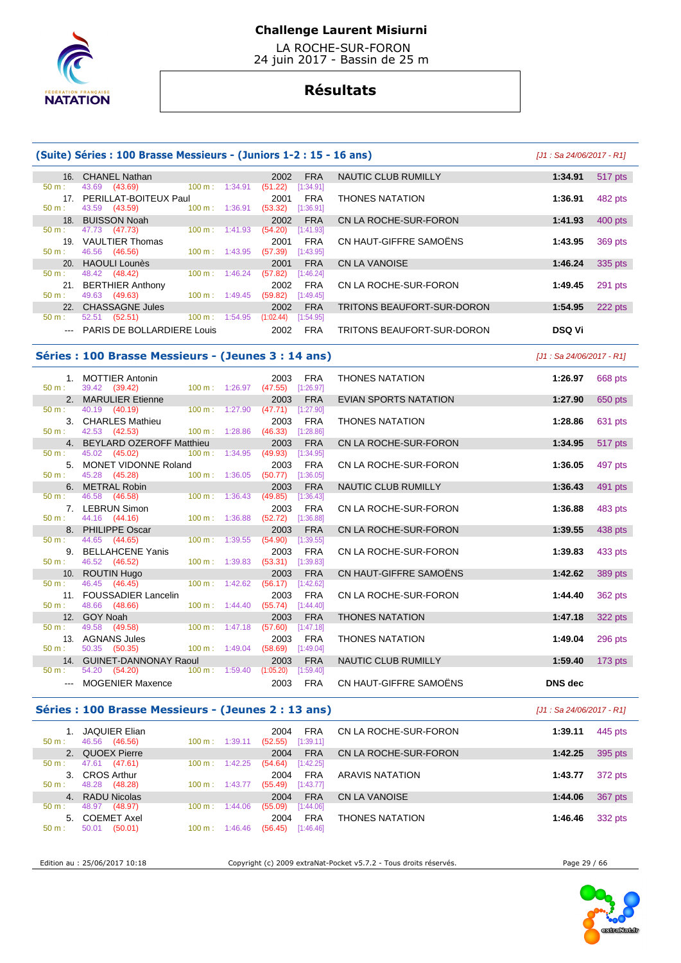

 LA ROCHE-SUR-FORON 24 juin 2017 - Bassin de 25 m

# **Résultats**

| 16.             | <b>CHANEL Nathan</b>                       |         | <b>FRA</b><br>2002     | NAUTIC CLUB RUMILLY        | 1:34.91       | 517 pts |
|-----------------|--------------------------------------------|---------|------------------------|----------------------------|---------------|---------|
| $50 m$ :        | (43.69)<br>100 m:<br>43.69                 | 1:34.91 | (51.22)<br>[1:34.91]   |                            |               |         |
| 17 <sub>1</sub> | PERILLAT-BOITEUX Paul                      |         | <b>FRA</b><br>2001     | <b>THONES NATATION</b>     | 1:36.91       | 482 pts |
| $50 m$ :        | 43.59 (43.59)<br>100 m:                    | 1:36.91 | (53.32)<br>[1:36.91]   |                            |               |         |
| 18 <sub>1</sub> | <b>BUISSON Noah</b>                        |         | <b>FRA</b><br>2002     | CN LA ROCHE-SUR-FORON      | 1:41.93       | 400 pts |
| $50 m$ :        | 47.73<br>100 m:<br>(47.73)                 | 1:41.93 | (54.20)<br>[1:41.93]   |                            |               |         |
| 19              | <b>VAULTIER Thomas</b>                     |         | <b>FRA</b><br>2001     | CN HAUT-GIFFRE SAMOËNS     | 1:43.95       | 369 pts |
| $50 m$ :        | 46.56 (46.56)<br>$100 \text{ m}$ :         | 1:43.95 | (57.39)<br>[1:43.95]   |                            |               |         |
|                 | 20. HAOULI Lounès                          |         | <b>FRA</b><br>2001     | CN LA VANOISE              | 1:46.24       | 335 pts |
| $50 m$ :        | 48.42 (48.42)<br>100 m:                    | 1:46.24 | (57.82)<br>[1:46.24]   |                            |               |         |
| 21.             | <b>BERTHIER Anthony</b>                    |         | <b>FRA</b><br>2002     | CN LA ROCHE-SUR-FORON      | 1:49.45       | 291 pts |
| $50 m$ :        | 49.63 (49.63)<br>$100 \text{ m}$ : 1:49.45 |         | (59.82)<br>[1:49.45]   |                            |               |         |
| 22 <sub>1</sub> | <b>CHASSAGNE Jules</b>                     |         | <b>FRA</b><br>2002     | TRITONS BEAUFORT-SUR-DORON | 1:54.95       | 222 pts |
| $50 m$ :        | (52.51)<br>$100 \text{ m}$ :<br>52.51      | 1:54.95 | (1:02.44)<br>[1:54.95] |                            |               |         |
|                 | PARIS DE BOLLARDIERE Louis                 |         | <b>FRA</b><br>2002     | TRITONS BEAUFORT-SUR-DORON | <b>DSQ Vi</b> |         |

### **Séries : 100 Brasse Messieurs - (Jeunes 3 : 14 ans)** [J1 : Sa 24/06/2017 - R1]

 1. MOTTIER Antonin 2003 FRA THONES NATATION **1:26.97** 668 pts 50 m : 39.42 (39.42) 100 m : 1:26.97 (47.55) [1:26.97] 2. MARULIER Etienne 2003 FRA EVIAN SPORTS NATATION **1:27.90** 650 pts 50 m : 40.19 (40.19) 100 m : 1:27.90 (47.71) [1:27.90] 3. CHARLES Mathieu 2003 FRA THONES NATATION **1:28.86** 631 pts  $42.53$   $(42.53)$  4. BEYLARD OZEROFF Matthieu 2003 FRA CN LA ROCHE-SUR-FORON **1:34.95** 517 pts 50 m : 45.02 (45.02) 100 m : 1:34.95 (49.93) [1:34.95] 5. MONET VIDONNE Roland 2003 FRA CN LA ROCHE-SUR-FORON **1:36.05** 497 pts  $(45.28)$  6. METRAL Robin 2003 FRA NAUTIC CLUB RUMILLY **1:36.43** 491 pts 50 m : 46.58 (46.58) 100 m : 1:36.43 (49.85) [1:36.43] 7. LEBRUN Simon 2003 FRA CN LA ROCHE-SUR-FORON **1:36.88** 483 pts 50 m : 44.16 (44.16) 100 m : 1:36.88 (52.72) [1:36.88] 8. PHILIPPE Oscar 2003 FRA CN LA ROCHE-SUR-FORON **1:39.55** 438 pts 50 m : 44.65 (44.65) 100 m : 1:39.55 (54.90) [1:39.55] 9. BELLAHCENE Yanis 2003 FRA CN LA ROCHE-SUR-FORON **1:39.83** 433 pts 46.52 (46.52) 10. ROUTIN Hugo 2003 FRA CN HAUT-GIFFRE SAMOËNS **1:42.62** 389 pts 46.45 (46.45) 100 m : 1:42.62 (56.17) [1:42.62] 11. FOUSSADIER Lancelin 2003 FRA CN LA ROCHE-SUR-FORON **1:44.40** 362 pts  $(55.74)$  12. GOY Noah 2003 FRA THONES NATATION **1:47.18** 322 pts 50 m : 49.58 (49.58) 100 m : 1:47.18 (57.60) [1:47.18] 13. AGNANS Jules 2003 FRA THONES NATATION **1:49.04** 296 pts 50 m : 50.35 (50.35) 100 m : 1:49.04 (58.69) [1:49.04] 14. GUINET-DANNONAY Raoul 2003 FRA NAUTIC CLUB RUMILLY **1:59.40** 173 pts  $(1:05.20)$  [1:59.40] --- MOGENIER Maxence 2003 FRA CN HAUT-GIFFRE SAMOËNS **DNS dec** 

### **Séries : 100 Brasse Messieurs - (Jeunes 2 : 13 ans)** [J1 : Sa 24/06/2017 - R1]

| <b>FRA</b><br>CN LA ROCHE-SUR-FORON<br><b>JAQUIER Elian</b><br>445 pts<br>2004<br>1:39.11<br>46.56<br>(46.56)<br>[1:39.11]<br>1:39.11<br>(52.55)<br>$100 \text{ m}$ :<br>$50 m$ :<br>2. QUOEX Pierre<br><b>FRA</b><br>CN LA ROCHE-SUR-FORON<br>2004<br>395 pts<br>1:42.25<br>(47.61)<br>47.61<br>(54.64)<br>100 m:<br>[1:42.25]<br>1:42.25<br>$50 \text{ m}$ :<br><b>CROS Arthur</b><br><b>FRA</b><br>2004<br>ARAVIS NATATION<br>3.<br>372 pts<br>1:43.77<br>48.28<br>(48.28)<br>(55.49)<br>[1:43.77]<br>$50 m$ :<br>100 m:<br>1:43.77<br><b>RADU Nicolas</b><br><b>FRA</b><br>CN LA VANOISE<br>367 pts<br>2004<br>1:44.06<br>4.<br>48.97<br>(48.97)<br>(55.09)<br>[1:44.06]<br>1:44.06<br>$50 m$ :<br>$100 \text{ m}$ :<br><b>FRA</b><br><b>COEMET Axel</b><br><b>THONES NATATION</b><br>332 pts<br>2004<br>5.<br>1:46.46<br>50.01<br>(50.01)<br>$50 m$ :<br>(56.45)<br>[1:46.46]<br>100 m:<br>1:46.46 |  |  |  |  |
|---------------------------------------------------------------------------------------------------------------------------------------------------------------------------------------------------------------------------------------------------------------------------------------------------------------------------------------------------------------------------------------------------------------------------------------------------------------------------------------------------------------------------------------------------------------------------------------------------------------------------------------------------------------------------------------------------------------------------------------------------------------------------------------------------------------------------------------------------------------------------------------------------------|--|--|--|--|
|                                                                                                                                                                                                                                                                                                                                                                                                                                                                                                                                                                                                                                                                                                                                                                                                                                                                                                         |  |  |  |  |
|                                                                                                                                                                                                                                                                                                                                                                                                                                                                                                                                                                                                                                                                                                                                                                                                                                                                                                         |  |  |  |  |
|                                                                                                                                                                                                                                                                                                                                                                                                                                                                                                                                                                                                                                                                                                                                                                                                                                                                                                         |  |  |  |  |
|                                                                                                                                                                                                                                                                                                                                                                                                                                                                                                                                                                                                                                                                                                                                                                                                                                                                                                         |  |  |  |  |
|                                                                                                                                                                                                                                                                                                                                                                                                                                                                                                                                                                                                                                                                                                                                                                                                                                                                                                         |  |  |  |  |
|                                                                                                                                                                                                                                                                                                                                                                                                                                                                                                                                                                                                                                                                                                                                                                                                                                                                                                         |  |  |  |  |
|                                                                                                                                                                                                                                                                                                                                                                                                                                                                                                                                                                                                                                                                                                                                                                                                                                                                                                         |  |  |  |  |
|                                                                                                                                                                                                                                                                                                                                                                                                                                                                                                                                                                                                                                                                                                                                                                                                                                                                                                         |  |  |  |  |
|                                                                                                                                                                                                                                                                                                                                                                                                                                                                                                                                                                                                                                                                                                                                                                                                                                                                                                         |  |  |  |  |

Edition au : 25/06/2017 10:18 Copyright (c) 2009 extraNat-Pocket v5.7.2 - Tous droits réservés. Page 29 / 66

**(Suite) Séries : 100 Brasse Messieurs - (Juniors 1-2 : 15 - 16 ans)** [J1 : Sa 24/06/2017 - R1]

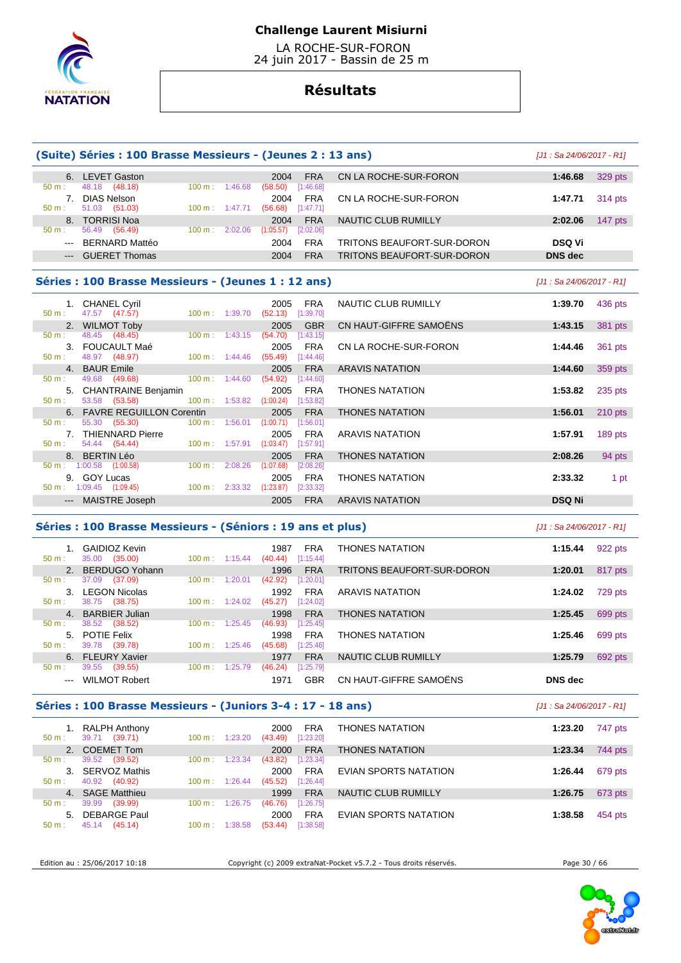

 LA ROCHE-SUR-FORON 24 juin 2017 - Bassin de 25 m

# **Résultats**

|                                                                                                                                                                                                                                                                                                                                                                                                                                                                                     | (Suite) Séries : 100 Brasse Messieurs - (Jeunes 2 : 13 ans) |                   |                          |                                          |                           |                                                                   | $[J1: Sa 24/06/2017 - R1]$ |                                                                                                 |
|-------------------------------------------------------------------------------------------------------------------------------------------------------------------------------------------------------------------------------------------------------------------------------------------------------------------------------------------------------------------------------------------------------------------------------------------------------------------------------------|-------------------------------------------------------------|-------------------|--------------------------|------------------------------------------|---------------------------|-------------------------------------------------------------------|----------------------------|-------------------------------------------------------------------------------------------------|
|                                                                                                                                                                                                                                                                                                                                                                                                                                                                                     | 6. LEVET Gaston                                             |                   |                          | 2004                                     | <b>FRA</b>                | CN LA ROCHE-SUR-FORON                                             | 1:46.68                    | 329 pts                                                                                         |
| 50 m:                                                                                                                                                                                                                                                                                                                                                                                                                                                                               | 48.18<br>(48.18)<br>7. DIAS Nelson                          |                   | 100 m: 1:46.68           | (58.50)<br>2004                          | [1:46.68]<br><b>FRA</b>   | CN LA ROCHE-SUR-FORON                                             | 1:47.71                    | 314 pts                                                                                         |
| $50 m$ :<br>8.                                                                                                                                                                                                                                                                                                                                                                                                                                                                      | 51.03<br>(51.03)<br><b>TORRISI Noa</b>                      |                   | 100 m: 1:47.71           | (56.68)<br>2004                          | [1:47.71]<br><b>FRA</b>   | NAUTIC CLUB RUMILLY                                               | 2:02.06                    | 147 pts                                                                                         |
| 50 m:<br>---                                                                                                                                                                                                                                                                                                                                                                                                                                                                        | 56.49 (56.49)<br><b>BERNARD Mattéo</b>                      |                   | 100 m: 2:02.06           | (1:05.57)<br>2004                        | [2:02.06]<br><b>FRA</b>   | TRITONS BEAUFORT-SUR-DORON                                        | <b>DSQ Vi</b>              |                                                                                                 |
| $\cdots$                                                                                                                                                                                                                                                                                                                                                                                                                                                                            | <b>GUERET Thomas</b>                                        |                   |                          | 2004                                     | <b>FRA</b>                | <b>TRITONS BEAUFORT-SUR-DORON</b>                                 | <b>DNS</b> dec             |                                                                                                 |
|                                                                                                                                                                                                                                                                                                                                                                                                                                                                                     | Séries : 100 Brasse Messieurs - (Jeunes 1 : 12 ans)         |                   |                          |                                          |                           |                                                                   | $[J1: Sa 24/06/2017 - R1]$ |                                                                                                 |
| 50 m:                                                                                                                                                                                                                                                                                                                                                                                                                                                                               | 1. CHANEL Cyril<br>47.57 (47.57)                            |                   | 100 m: 1:39.70           | 2005<br>$(52.13)$ [1:39.70]              | <b>FRA</b>                | NAUTIC CLUB RUMILLY                                               | 1:39.70                    | 436 pts                                                                                         |
|                                                                                                                                                                                                                                                                                                                                                                                                                                                                                     | 2. WILMOT Toby                                              |                   |                          | 2005                                     | <b>GBR</b>                | CN HAUT-GIFFRE SAMOENS                                            | 1:43.15                    | 381 pts                                                                                         |
| 50 m:                                                                                                                                                                                                                                                                                                                                                                                                                                                                               | 48.45 (48.45)<br>3. FOUCAULT Maé                            |                   | $100 \text{ m}: 1:43.15$ | (54.70)<br>2005                          | [1:43.15]<br><b>FRA</b>   | CN LA ROCHE-SUR-FORON                                             | 1:44.46                    | 361 pts                                                                                         |
| 50 m:                                                                                                                                                                                                                                                                                                                                                                                                                                                                               | 48.97 (48.97)<br>4. BAUR Emile                              |                   | $100 \text{ m}: 1:44.46$ | (55.49)<br>2005                          | $[1:44.46]$<br><b>FRA</b> | <b>ARAVIS NATATION</b>                                            | 1:44.60                    | 359 pts                                                                                         |
| 50 m:                                                                                                                                                                                                                                                                                                                                                                                                                                                                               | 49.68 (49.68)                                               |                   | $100 m$ : 1:44.60        | (54.92)                                  | [1:44.60]                 |                                                                   |                            |                                                                                                 |
| $50 m$ :                                                                                                                                                                                                                                                                                                                                                                                                                                                                            | 5. CHANTRAINE Benjamin<br>53.58 (53.58)                     |                   | 100 m: 1:53.82           | 2005<br>(1:00.24)                        | <b>FRA</b><br>[1:53.82]   | <b>THONES NATATION</b>                                            | 1:53.82                    | $235$ pts                                                                                       |
| 50 m:                                                                                                                                                                                                                                                                                                                                                                                                                                                                               | 6. FAVRE REGUILLON Corentin<br>55.30<br>(55.30)             | 100 m:            | 1:56.01                  | 2005<br>(1:00.71)                        | <b>FRA</b><br>[1:56.01]   | <b>THONES NATATION</b>                                            | 1:56.01                    | $210$ pts                                                                                       |
|                                                                                                                                                                                                                                                                                                                                                                                                                                                                                     | 7. THIENNARD Pierre                                         |                   |                          | 2005                                     | FRA                       | <b>ARAVIS NATATION</b>                                            | 1:57.91                    | 189 pts                                                                                         |
| 50 m:                                                                                                                                                                                                                                                                                                                                                                                                                                                                               | 54.44 (54.44)<br>8. BERTIN Léo                              |                   | 100 m: 1:57.91           | (1:03.47)<br>2005                        | $[1:57.91]$<br><b>FRA</b> | <b>THONES NATATION</b>                                            | 2:08.26                    | 94 pts                                                                                          |
|                                                                                                                                                                                                                                                                                                                                                                                                                                                                                     | $50 \text{ m}: 1:00.58$ $(1:00.58)$<br>9. GOY Lucas         | $100 \text{ m}$ : | 2:08.26                  | (1:07.68)<br>2005                        | [2:08.26]<br><b>FRA</b>   | <b>THONES NATATION</b>                                            | 2:33.32                    | 1 pt                                                                                            |
|                                                                                                                                                                                                                                                                                                                                                                                                                                                                                     | $50 \text{ m}: 1:09.45$ (1:09.45)                           |                   | $100 \text{ m}: 2:33.32$ | $(1:23.87)$ $[2:33.32]$                  |                           |                                                                   |                            |                                                                                                 |
|                                                                                                                                                                                                                                                                                                                                                                                                                                                                                     | --- MAISTRE Joseph                                          |                   |                          | 2005                                     |                           |                                                                   | <b>DSQ Ni</b>              |                                                                                                 |
|                                                                                                                                                                                                                                                                                                                                                                                                                                                                                     |                                                             |                   |                          |                                          | <b>FRA</b>                | <b>ARAVIS NATATION</b>                                            |                            |                                                                                                 |
|                                                                                                                                                                                                                                                                                                                                                                                                                                                                                     | Séries : 100 Brasse Messieurs - (Séniors : 19 ans et plus)  |                   |                          |                                          |                           |                                                                   | $[J1: Sa 24/06/2017 - R1]$ |                                                                                                 |
|                                                                                                                                                                                                                                                                                                                                                                                                                                                                                     | 1. GAIDIOZ Kevin                                            |                   |                          | 1987                                     | <b>FRA</b>                | <b>THONES NATATION</b>                                            | 1:15.44                    |                                                                                                 |
| 50 m:<br>2.                                                                                                                                                                                                                                                                                                                                                                                                                                                                         | 35.00 (35.00)<br><b>BERDUGO Yohann</b>                      |                   | 100 m: 1:15.44           | (40.44)<br>1996                          | [1:15.44]<br><b>FRA</b>   | TRITONS BEAUFORT-SUR-DORON                                        | 1:20.01                    |                                                                                                 |
| $50 m$ :                                                                                                                                                                                                                                                                                                                                                                                                                                                                            | 37.09<br>(37.09)<br>3. LEGON Nicolas                        | $100 \text{ m}$ : | 1:20.01                  | (42.92)<br>1992                          | [1:20.01]<br><b>FRA</b>   | <b>ARAVIS NATATION</b>                                            | 1:24.02                    |                                                                                                 |
| 50 m:                                                                                                                                                                                                                                                                                                                                                                                                                                                                               | 38.75 (38.75)                                               | 100 m:            | 1:24.02                  | (45.27)                                  | [1:24.02]                 |                                                                   |                            |                                                                                                 |
| $50 m$ :                                                                                                                                                                                                                                                                                                                                                                                                                                                                            | 4. BARBIER Julian<br>38.52 (38.52)                          |                   | 100 m: 1:25.45           | 1998<br>(46.93)                          | <b>FRA</b><br>$[1:25.45]$ | <b>THONES NATATION</b>                                            | 1:25.45                    |                                                                                                 |
|                                                                                                                                                                                                                                                                                                                                                                                                                                                                                     | 5. POTIE Felix                                              |                   |                          | 1998                                     | <b>FRA</b>                | <b>THONES NATATION</b>                                            | 1:25.46                    |                                                                                                 |
| $50 m$ :                                                                                                                                                                                                                                                                                                                                                                                                                                                                            | 39.78 (39.78)<br>6. FLEURY Xavier                           |                   |                          | 100 m: 1:25.46 (45.68) [1:25.46]<br>1977 | <b>FRA</b>                | NAUTIC CLUB RUMILLY                                               | 1:25.79                    |                                                                                                 |
| 50 m:<br>$\frac{1}{2} \left( \frac{1}{2} \right) \left( \frac{1}{2} \right) \left( \frac{1}{2} \right) \left( \frac{1}{2} \right) \left( \frac{1}{2} \right) \left( \frac{1}{2} \right) \left( \frac{1}{2} \right) \left( \frac{1}{2} \right) \left( \frac{1}{2} \right) \left( \frac{1}{2} \right) \left( \frac{1}{2} \right) \left( \frac{1}{2} \right) \left( \frac{1}{2} \right) \left( \frac{1}{2} \right) \left( \frac{1}{2} \right) \left( \frac{1}{2} \right) \left( \frac$ | 39.55 (39.55)<br><b>WILMOT Robert</b>                       |                   | 100 m: 1:25.79           | (46.24)<br>1971                          | [1:25.79]<br><b>GBR</b>   | CN HAUT-GIFFRE SAMOËNS                                            | <b>DNS</b> dec             |                                                                                                 |
|                                                                                                                                                                                                                                                                                                                                                                                                                                                                                     | Séries: 100 Brasse Messieurs - (Juniors 3-4 : 17 - 18 ans)  |                   |                          |                                          |                           |                                                                   | [J1 : Sa 24/06/2017 - R1]  |                                                                                                 |
|                                                                                                                                                                                                                                                                                                                                                                                                                                                                                     | 1. RALPH Anthony                                            |                   |                          | 2000                                     | <b>FRA</b>                | <b>THONES NATATION</b>                                            | 1:23.20                    |                                                                                                 |
| 50 m:                                                                                                                                                                                                                                                                                                                                                                                                                                                                               | 39.71 (39.71)<br>2. COEMET Tom                              |                   | 100 m: 1:23.20           | $(43.49)$ $[1:23.20]$<br>2000            | <b>FRA</b>                | <b>THONES NATATION</b>                                            | 1:23.34                    |                                                                                                 |
| $50 m$ :                                                                                                                                                                                                                                                                                                                                                                                                                                                                            | 39.52 (39.52)<br>3. SERVOZ Mathis                           | 100 m:            | 1:23.34                  | $(43.82)$ [1:23.34]<br>2000              | FRA                       |                                                                   | 1:26.44                    | 922 pts<br>817 pts<br>729 pts<br>699 pts<br>699 pts<br>692 pts<br>747 pts<br>744 pts<br>679 pts |
| $50 m$ :                                                                                                                                                                                                                                                                                                                                                                                                                                                                            | 40.92 (40.92)                                               |                   | $100 \text{ m}: 1:26.44$ | $(45.52)$ [1:26.44]                      |                           | EVIAN SPORTS NATATION                                             |                            |                                                                                                 |
| 50 m:                                                                                                                                                                                                                                                                                                                                                                                                                                                                               | 4. SAGE Matthieu<br>39.99 (39.99)                           |                   | $100 \text{ m}: 1:26.75$ | 1999<br>$(46.76)$ [1:26.75]              | <b>FRA</b>                | NAUTIC CLUB RUMILLY                                               | 1:26.75                    |                                                                                                 |
| 50 m:                                                                                                                                                                                                                                                                                                                                                                                                                                                                               | 5. DEBARGE Paul<br>45.14 (45.14)                            |                   | $100 \text{ m}: 1:38.58$ | 2000<br>$(53.44)$ [1:38.58]              | <b>FRA</b>                | EVIAN SPORTS NATATION                                             | 1:38.58                    | 673 pts<br>454 pts                                                                              |
|                                                                                                                                                                                                                                                                                                                                                                                                                                                                                     | Edition au : 25/06/2017 10:18                               |                   |                          |                                          |                           | Copyright (c) 2009 extraNat-Pocket v5.7.2 - Tous droits réservés. | Page 30 / 66               |                                                                                                 |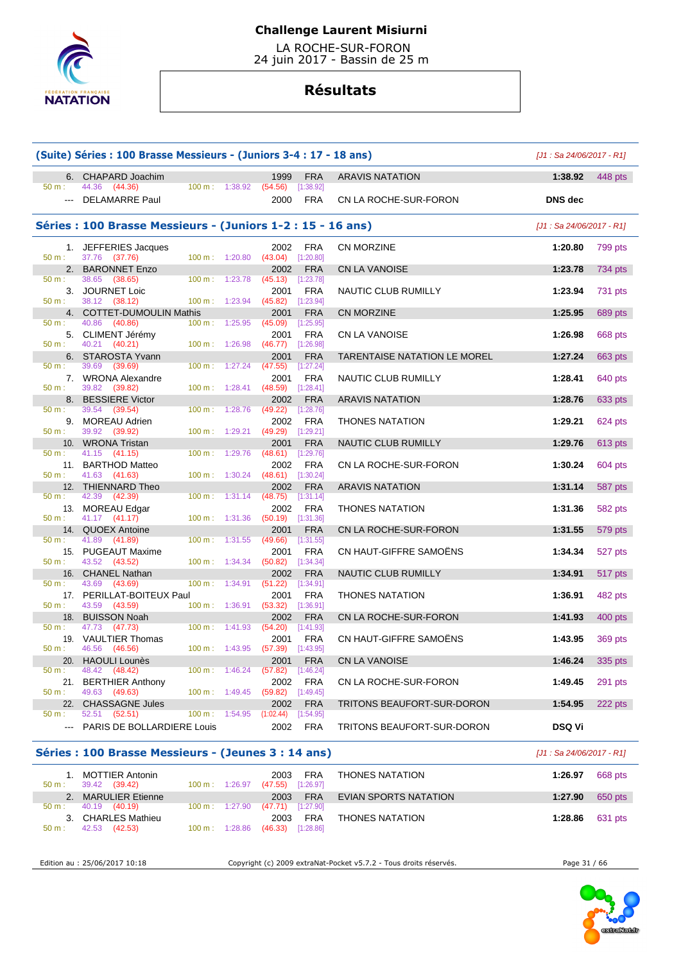

 LA ROCHE-SUR-FORON 24 juin 2017 - Bassin de 25 m

# **Résultats**

|                          | (Suite) Séries: 100 Brasse Messieurs - (Juniors 3-4: 17 - 18 ans) |                                     |                    |                            |                                      |                                     | $[J1: Sa 24/06/2017 - R1]$ |           |  |
|--------------------------|-------------------------------------------------------------------|-------------------------------------|--------------------|----------------------------|--------------------------------------|-------------------------------------|----------------------------|-----------|--|
| 6.                       | CHAPARD Joachim                                                   |                                     |                    | 1999                       | <b>FRA</b>                           | <b>ARAVIS NATATION</b>              | 1:38.92                    | 448 pts   |  |
| 50 m:<br>$---$           | 44.36 (44.36)<br>DELAMARRE Paul                                   | $100 \text{ m}$ :                   | 1:38.92            | (54.56)<br>2000            | [1:38.92]<br><b>FRA</b>              | CN LA ROCHE-SUR-FORON               | <b>DNS</b> dec             |           |  |
|                          | Séries: 100 Brasse Messieurs - (Juniors 1-2 : 15 - 16 ans)        |                                     |                    |                            |                                      |                                     | [J1 : Sa 24/06/2017 - R1]  |           |  |
| 50 m:                    | 1. JEFFERIES Jacques<br>37.76<br>(37.76)                          | 100 m:                              | 1:20.80            | 2002<br>(43.04)            | <b>FRA</b><br>[1:20.80]              | CN MORZINE                          | 1:20.80                    | 799 pts   |  |
| 2.                       | <b>BARONNET Enzo</b>                                              |                                     |                    | 2002                       | <b>FRA</b>                           | <b>CN LA VANOISE</b>                | 1:23.78                    | 734 pts   |  |
| 50 m:<br>3.<br>50 m:     | 38.65<br>(38.65)<br>JOURNET Loic<br>38.12<br>(38.12)              | 100 m:<br>100 m: 1:23.94            | 1:23.78            | (45.13)<br>2001<br>(45.82) | [1:23.78]<br><b>FRA</b><br>[1:23.94] | NAUTIC CLUB RUMILLY                 | 1:23.94                    | 731 pts   |  |
| 4.                       | <b>COTTET-DUMOULIN Mathis</b>                                     |                                     |                    | 2001                       | <b>FRA</b>                           | <b>CN MORZINE</b>                   | 1:25.95                    | 689 pts   |  |
| 50 m:<br>5.<br>50 m:     | 40.86<br>(40.86)<br>CLIMENT Jérémy<br>40.21<br>(40.21)            | 100 m:<br>100 m: 1:26.98            | 1:25.95            | (45.09)<br>2001<br>(46.77) | [1:25.95]<br><b>FRA</b><br>[1:26.98] | CN LA VANOISE                       | 1:26.98                    | 668 pts   |  |
|                          | 6. STAROSTA Yvann                                                 |                                     |                    | 2001                       | <b>FRA</b>                           | <b>TARENTAISE NATATION LE MOREL</b> | 1:27.24                    | 663 pts   |  |
| 50 m:<br>7.<br>50 m:     | 39.69<br>(39.69)<br><b>WRONA Alexandre</b><br>39.82<br>(39.82)    | 100 m:<br>100 m: 1:28.41            | 1:27.24            | (47.55)<br>2001<br>(48.59) | [1:27.24]<br><b>FRA</b><br>[1:28.41] | NAUTIC CLUB RUMILLY                 | 1:28.41                    | 640 pts   |  |
| 8.                       | <b>BESSIERE Victor</b>                                            |                                     |                    | 2002                       | <b>FRA</b>                           | <b>ARAVIS NATATION</b>              | 1:28.76                    | 633 pts   |  |
| 50 m:<br>9.<br>50 m:     | 39.54<br>(39.54)<br><b>MOREAU Adrien</b><br>39.92                 | 100 m:                              | 1:28.76<br>1:29.21 | (49.22)<br>2002<br>(49.29) | [1:28.76]<br><b>FRA</b>              | <b>THONES NATATION</b>              | 1:29.21                    | 624 pts   |  |
| 10 <sub>1</sub>          | (39.92)<br><b>WRONA Tristan</b>                                   | 100 m:                              |                    | 2001                       | [1:29.21]<br><b>FRA</b>              | NAUTIC CLUB RUMILLY                 | 1:29.76                    | 613 pts   |  |
| 50 m:<br>11.<br>$50 m$ : | 41.15<br>(41.15)<br><b>BARTHOD Matteo</b><br>41.63<br>(41.63)     | 100 m:<br>100 m: 1:30.24            | 1:29.76            | (48.61)<br>2002<br>(48.61) | [1:29.76]<br><b>FRA</b><br>[1:30.24] | CN LA ROCHE-SUR-FORON               | 1:30.24                    | 604 pts   |  |
| 12.                      | THIENNARD Theo                                                    |                                     |                    | 2002                       | <b>FRA</b>                           | <b>ARAVIS NATATION</b>              | 1:31.14                    | 587 pts   |  |
| 50 m:<br>13.<br>$50 m$ : | 42.39<br>(42.39)<br><b>MOREAU Edgar</b>                           | 100 m:                              | 1:31.14            | (48.75)<br>2002            | [1:31.14]<br><b>FRA</b>              | <b>THONES NATATION</b>              | 1:31.36                    | 582 pts   |  |
| 14.                      | 41.17 (41.17)<br><b>QUOEX Antoine</b>                             | 100 m: 1:31.36                      |                    | (50.19)<br>2001            | [1:31.36]<br><b>FRA</b>              | CN LA ROCHE-SUR-FORON               | 1:31.55                    | 579 pts   |  |
| 50 m:                    | 41.89<br>(41.89)<br>15. PUGEAUT Maxime                            | $100 \text{ m}$ :                   | 1:31.55            | (49.66)<br>2001            | [1:31.55]<br><b>FRA</b>              | CN HAUT-GIFFRE SAMOËNS              | 1:34.34                    | 527 pts   |  |
| $50 m$ :<br>16.          | 43.52<br>(43.52)<br><b>CHANEL Nathan</b>                          | 100 m: 1:34.34                      |                    | (50.82)<br>2002            | [1:34.34]<br><b>FRA</b>              | NAUTIC CLUB RUMILLY                 | 1:34.91                    | 517 pts   |  |
| $50 m$ :<br>17.          | 43.69<br>(43.69)<br>PERILLAT-BOITEUX Paul                         | $100 \text{ m}$ :                   | 1:34.91            | (51.22)<br>2001            | [1:34.91]<br><b>FRA</b>              | <b>THONES NATATION</b>              | 1:36.91                    | 482 pts   |  |
| $50 m$ :<br>18.          | 43.59<br>(43.59)<br><b>BUISSON Noah</b>                           | 100 m:                              | 1:36.91            | (53.32)<br>2002            | [1:36.91]<br><b>FRA</b>              | CN LA ROCHE-SUR-FORON               | 1:41.93                    | $400$ pts |  |
| $50 m$ :                 | 47.73<br>(47.73)                                                  | $100 \text{ m}$ :                   | 1:41.93            | (54.20)                    | [1:41.93]                            |                                     |                            |           |  |
| 19.<br>$50 m$ :          | <b>VAULTIER Thomas</b><br>46.56<br>(46.56)                        | 100 m: 1:43.95                      |                    | 2001<br>(57.39)            | <b>FRA</b><br>[1:43.95]              | CN HAUT-GIFFRE SAMOENS              | 1:43.95                    | 369 pts   |  |
| 20.                      | <b>HAOULI Lounès</b>                                              |                                     |                    | 2001                       | <b>FRA</b>                           | <b>CN LA VANOISE</b>                | 1:46.24                    | 335 pts   |  |
| 50 m:<br>21.<br>$50 m$ : | 48.42<br>(48.42)<br><b>BERTHIER Anthony</b><br>49.63<br>(49.63)   | 100 m:<br>$100 \text{ m}$ : 1:49.45 | 1:46.24            | (57.82)<br>2002<br>(59.82) | [1:46.24]<br><b>FRA</b><br>[1:49.45] | CN LA ROCHE-SUR-FORON               | 1:49.45                    | 291 pts   |  |
| 22.                      | <b>CHASSAGNE Jules</b>                                            |                                     |                    | 2002                       | <b>FRA</b>                           | TRITONS BEAUFORT-SUR-DORON          | 1:54.95                    | 222 pts   |  |
| $50 m$ :                 | 52.51<br>(52.51)<br>PARIS DE BOLLARDIERE Louis                    | $100 m$ :                           | 1:54.95            | (1:02.44)<br>2002          | [1:54.95]<br><b>FRA</b>              | TRITONS BEAUFORT-SUR-DORON          | <b>DSQ Vi</b>              |           |  |

### **Séries : 100 Brasse Messieurs - (Jeunes 3 : 14 ans)** [J1 : Sa 24/06/2017 - R1]

| 50 m: | MOTTIER Antonin<br>39.42 (39.42) | 100 m: 1:26.97           | <b>FRA</b><br>2003<br>(47.55)<br>[1:26.97] | THONES NATATION        | 1:26.97 | 668 pts |
|-------|----------------------------------|--------------------------|--------------------------------------------|------------------------|---------|---------|
|       | <b>MARULIER Etienne</b>          |                          | <b>FRA</b><br>2003                         | EVIAN SPORTS NATATION  | 1:27.90 | 650 pts |
| 50 m: | 40.19 (40.19)                    | $100 \text{ m}: 1:27.90$ | $(47.71)$ [1:27.90]                        |                        |         |         |
| 3.    | CHARLES Mathieu                  |                          | <b>FRA</b><br>2003                         | <b>THONES NATATION</b> | 1:28.86 | 631 pts |
| 50 m: | (42.53)<br>42.53                 | $100 \text{ m}: 1:28.86$ | (46.33)<br>[1:28.86]                       |                        |         |         |

Edition au : 25/06/2017 10:18 Copyright (c) 2009 extraNat-Pocket v5.7.2 - Tous droits réservés. Page 31 / 66

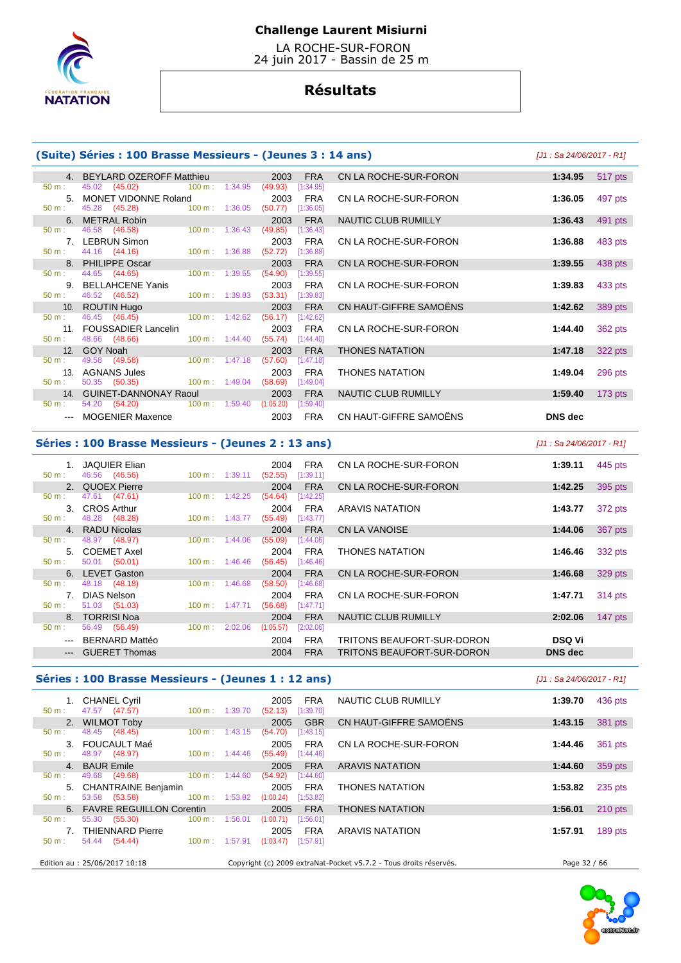

 LA ROCHE-SUR-FORON 24 juin 2017 - Bassin de 25 m

# **Résultats**

### **(Suite) Séries : 100 Brasse Messieurs - (Jeunes 3 : 14 ans)** [J1 : Sa 24/06/2017 - R1]

|                  | 4. BEYLARD OZEROFF Matthieu                                                                                                                                                                                                    | 2003<br><b>FRA</b>     | CN LA ROCHE-SUR-FORON  | 1:34.95 517 pts      |
|------------------|--------------------------------------------------------------------------------------------------------------------------------------------------------------------------------------------------------------------------------|------------------------|------------------------|----------------------|
| $50 \text{ m}$ : | 45.02 (45.02) 100 m : 1:34.95                                                                                                                                                                                                  | (49.93)<br>[1:34.95]   |                        |                      |
| $5 -$            | MONET VIDONNE Roland                                                                                                                                                                                                           | FRA<br>2003            | CN LA ROCHE-SUR-FORON  | 1:36.05<br>497 pts   |
| $50 \text{ m}$ : | 45.28 (45.28) 100 m : 1:36.05                                                                                                                                                                                                  | (50.77)<br>[1:36.05]   |                        |                      |
|                  | 6. METRAL Robin                                                                                                                                                                                                                | <b>FRA</b><br>2003     | NAUTIC CLUB RUMILLY    | 1:36.43<br>491 pts   |
| $50 \text{ m}$ : | 46.58 (46.58) 100 m : 1:36.43                                                                                                                                                                                                  | (49.85)<br>[1:36.43]   |                        |                      |
|                  | 7. LEBRUN Simon                                                                                                                                                                                                                | FRA<br>2003            | CN LA ROCHE-SUR-FORON  | 483 pts<br>1:36.88   |
| 50 m:            | 44.16 (44.16) 100 m : 1:36.88                                                                                                                                                                                                  | (52.72)<br>[1:36.88]   |                        |                      |
|                  | 8. PHILIPPE Oscar                                                                                                                                                                                                              | <b>FRA</b><br>2003     | CN LA ROCHE-SUR-FORON  | 1:39.55<br>438 pts   |
| 50 m:            | 44.65 (44.65) 100 m : 1:39.55                                                                                                                                                                                                  | (54.90)<br>[1:39.55]   |                        |                      |
|                  | 9. BELLAHCENE Yanis                                                                                                                                                                                                            | FRA<br>2003            | CN LA ROCHE-SUR-FORON  | 433 pts<br>1:39.83   |
| $50 \text{ m}$ : | 46.52 (46.52) 100 m : 1:39.83                                                                                                                                                                                                  | (53.31)<br>[1:39.83]   |                        |                      |
|                  | 10. ROUTIN Hugo and the control of the control of the control of the control of the control of the control of the control of the control of the control of the control of the control of the control of the control of the con | <b>FRA</b><br>2003     | CN HAUT-GIFFRE SAMOËNS | 1:42.62<br>389 pts   |
| $50 \text{ m}$ : | 46.45 (46.45) 100 m : 1:42.62                                                                                                                                                                                                  | (56.17)<br>[1:42.62]   |                        |                      |
|                  | 11. FOUSSADIER Lancelin                                                                                                                                                                                                        | 2003<br>FRA            | CN LA ROCHE-SUR-FORON  | 1:44.40<br>362 pts   |
| 50 m:            | 48.66 (48.66)<br>$100 \text{ m}: 1:44.40$                                                                                                                                                                                      | (55.74)<br>[1:44.40]   |                        |                      |
|                  | 12. GOY Noah                                                                                                                                                                                                                   | <b>FRA</b><br>2003     | <b>THONES NATATION</b> | 322 pts<br>1:47.18   |
| 50 m:            | 49.58 (49.58) 100 m : 1:47.18                                                                                                                                                                                                  | (57.60)<br>[1:47.18]   |                        |                      |
|                  | 13. AGNANS Jules                                                                                                                                                                                                               | FRA<br>2003            | <b>THONES NATATION</b> | 1:49.04<br>296 pts   |
| $50 \text{ m}$ : | 50.35 (50.35) 100 m : 1:49.04                                                                                                                                                                                                  | (58.69)<br>[1:49.04]   |                        |                      |
|                  | 14. GUINET-DANNONAY Raoul                                                                                                                                                                                                      | 2003<br><b>FRA</b>     | NAUTIC CLUB RUMILLY    | $173$ pts<br>1:59.40 |
| $50 m$ :         | 54.20 (54.20) 100 m : 1:59.40                                                                                                                                                                                                  | (1:05.20)<br>[1:59.40] |                        |                      |
|                  | --- MOGENIER Maxence <b>Maxement</b>                                                                                                                                                                                           | FRA<br>2003            | CN HAUT-GIFFRE SAMOËNS | DNS dec              |

### **Séries : 100 Brasse Messieurs - (Jeunes 2 : 13 ans)** [J1 : Sa 24/06/2017 - R1]

| $50 m$ : | 1. JAQUIER Elian<br>46.56 (46.56) | $100 \text{ m}: 1:39.11$  |         | 2004<br>(52.55) | <b>FRA</b><br>[1:39.11] | CN LA ROCHE-SUR-FORON      | 1:39.11        | 445 pts   |
|----------|-----------------------------------|---------------------------|---------|-----------------|-------------------------|----------------------------|----------------|-----------|
|          | 2. QUOEX Pierre                   |                           |         | 2004            | <b>FRA</b>              | CN LA ROCHE-SUR-FORON      | 1:42.25        | 395 pts   |
| 50 m:    | 47.61 (47.61)<br>3. CROS Arthur   | $100 \text{ m}$ :         | 1:42.25 | (54.64)<br>2004 | [1:42.25]<br><b>FRA</b> | <b>ARAVIS NATATION</b>     | 1:43.77        | 372 pts   |
| $50 m$ : | 48.28 (48.28)                     | $100 \text{ m}$ : 1:43.77 |         | (55.49)         | [1:43.77]               |                            |                |           |
| $50 m$ : | 4. RADU Nicolas<br>48.97 (48.97)  | $100 \text{ m}$ :         | 1:44.06 | 2004<br>(55.09) | <b>FRA</b><br>[1:44.06] | CN LA VANOISE              | 1:44.06        | 367 pts   |
| $50 m$ : | 5. COEMET Axel<br>50.01 (50.01)   | $100 \text{ m}: 1:46.46$  |         | 2004<br>(56.45) | <b>FRA</b><br>[1:46.46] | <b>THONES NATATION</b>     | 1:46.46        | 332 pts   |
|          | 6. LEVET Gaston                   |                           |         | 2004            | <b>FRA</b>              | CN LA ROCHE-SUR-FORON      | 1:46.68        | 329 pts   |
| $50 m$ : | 48.18 (48.18)<br>7. DIAS Nelson   | $100 \text{ m}$ :         | 1:46.68 | (58.50)<br>2004 | [1:46.68]<br><b>FRA</b> | CN LA ROCHE-SUR-FORON      | 1:47.71        | 314 pts   |
| $50 m$ : | 51.03 (51.03)                     | $100 \text{ m}: 1:47.71$  |         | (56.68)         | [1:47.71]               |                            |                |           |
|          | 8. TORRISI Noa                    |                           |         | 2004            | <b>FRA</b>              | NAUTIC CLUB RUMILLY        | 2:02.06        | 147 $pts$ |
| $50 m$ : | 56.49 (56.49)                     | $100 \text{ m}$ :         | 2:02.06 | (1:05.57)       | [2:02.06]               |                            |                |           |
|          | --- BERNARD Mattéo                |                           |         | 2004            | <b>FRA</b>              | TRITONS BEAUFORT-SUR-DORON | <b>DSQ Vi</b>  |           |
| $---$    | <b>GUERET Thomas</b>              |                           |         | 2004            | <b>FRA</b>              | TRITONS BEAUFORT-SUR-DORON | <b>DNS</b> dec |           |
|          |                                   |                           |         |                 |                         |                            |                |           |

### **Séries : 100 Brasse Messieurs - (Jeunes 1 : 12 ans)** [J1 : Sa 24/06/2017 - R1]

| $50 m$ : | <b>CHANEL Cyril</b><br>47.57 (47.57) | $100 \text{ m}$ : | 1:39.70 | 2005<br>(52.13) | <b>FRA</b><br>[1:39.70] | NAUTIC CLUB RUMILLY                                               | 1:39.70      | 436 pts   |
|----------|--------------------------------------|-------------------|---------|-----------------|-------------------------|-------------------------------------------------------------------|--------------|-----------|
|          | 2. WILMOT Toby                       |                   |         | 2005            | <b>GBR</b>              | CN HAUT-GIFFRE SAMOËNS                                            | 1:43.15      | 381 pts   |
| $50 m$ : | 48.45 (48.45)                        | $100 \text{ m}$ : | 1:43.15 | (54.70)         | [1:43.15]               |                                                                   |              |           |
|          | 3. FOUCAULT Maé                      |                   |         | 2005            | <b>FRA</b>              | CN LA ROCHE-SUR-FORON                                             | 1:44.46      | 361 pts   |
| $50 m$ : | (48.97)<br>48.97                     | $100 \text{ m}$ : | 1:44.46 | (55.49)         | [1:44.46]               |                                                                   |              |           |
|          | 4. BAUR Emile                        |                   |         | 2005            | <b>FRA</b>              | <b>ARAVIS NATATION</b>                                            | 1:44.60      | 359 pts   |
| 50 m:    | 49.68<br>(49.68)                     | $100 \text{ m}$ : | 1:44.60 | (54.92)         | [1:44.60]               |                                                                   |              |           |
| 5.       | <b>CHANTRAINE Benjamin</b>           |                   |         | 2005            | <b>FRA</b>              | <b>THONES NATATION</b>                                            | 1:53.82      | 235 pts   |
| $50 m$ : | (53.58)<br>53.58                     | 100 m:            | 1:53.82 | (1:00.24)       | [1:53.82]               |                                                                   |              |           |
| 6.       | <b>FAVRE REGUILLON Corentin</b>      |                   |         | 2005            | <b>FRA</b>              | <b>THONES NATATION</b>                                            | 1:56.01      | $210$ pts |
| 50 m:    | 55.30<br>(55.30)                     | 100 m:            | 1:56.01 | (1:00.71)       | [1:56.01]               |                                                                   |              |           |
|          | <b>THIENNARD Pierre</b>              |                   |         | 2005            | <b>FRA</b>              | ARAVIS NATATION                                                   | 1:57.91      | 189 pts   |
| $50 m$ : | 54.44 (54.44)                        | $100 \text{ m}$ : | 1:57.91 | (1:03.47)       | [1:57.91]               |                                                                   |              |           |
|          |                                      |                   |         |                 |                         |                                                                   |              |           |
|          | Edition au: 25/06/2017 10:18         |                   |         |                 |                         | Copyright (c) 2009 extraNat-Pocket v5.7.2 - Tous droits réservés. | Page 32 / 66 |           |

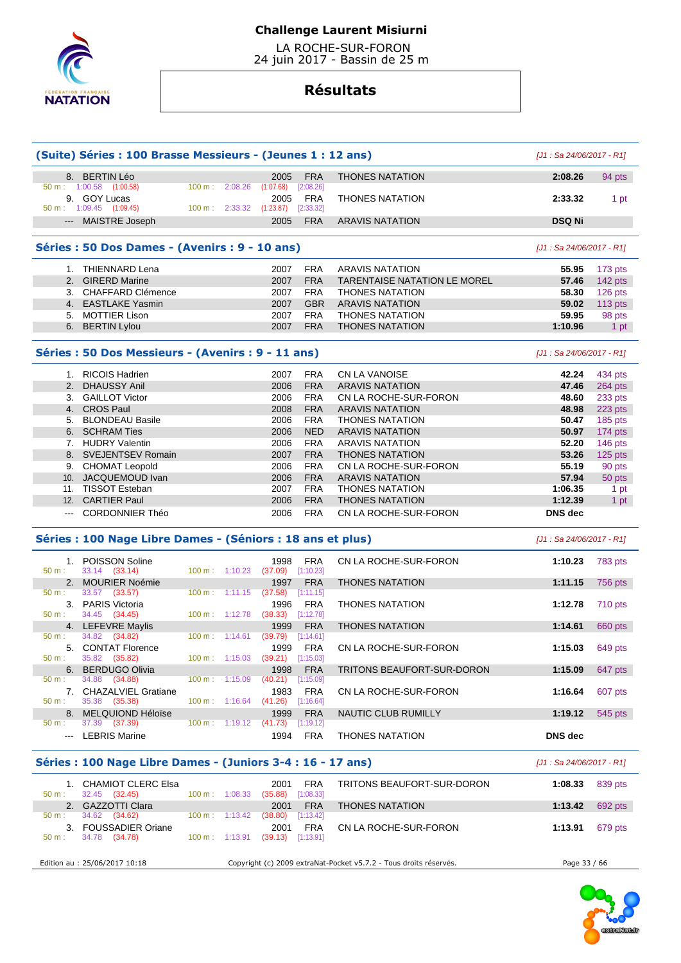

 LA ROCHE-SUR-FORON 24 juin 2017 - Bassin de 25 m

# **Résultats**

| (Suite) Séries : 100 Brasse Messieurs - (Jeunes 1 : 12 ans)                                                                                                                                                                                                                                                                                                                                                                                                                |                                                                                          |                          |                          |                                                     |                         | $[J1: Sa 24/06/2017 - R1]$          |                            |         |
|----------------------------------------------------------------------------------------------------------------------------------------------------------------------------------------------------------------------------------------------------------------------------------------------------------------------------------------------------------------------------------------------------------------------------------------------------------------------------|------------------------------------------------------------------------------------------|--------------------------|--------------------------|-----------------------------------------------------|-------------------------|-------------------------------------|----------------------------|---------|
|                                                                                                                                                                                                                                                                                                                                                                                                                                                                            | 8. BERTIN Léo                                                                            | 100 m:                   |                          | 2005                                                | <b>FRA</b><br>[2:08.26] | <b>THONES NATATION</b>              | 2:08.26                    | 94 pts  |
|                                                                                                                                                                                                                                                                                                                                                                                                                                                                            | $50 \text{ m}: 1:00.58$ $(1:00.58)$<br>9. GOY Lucas<br>$50 \text{ m}: 1:09.45$ (1:09.45) | $100 \text{ m}: 2:33.32$ | 2:08.26                  | (1:07.68)<br>2005<br>(1:23.87)                      | <b>FRA</b><br>[2:33.32] | <b>THONES NATATION</b>              | 2:33.32                    | 1 pt    |
|                                                                                                                                                                                                                                                                                                                                                                                                                                                                            | --- MAISTRE Joseph                                                                       |                          |                          | 2005                                                | <b>FRA</b>              | <b>ARAVIS NATATION</b>              | <b>DSQ Ni</b>              |         |
|                                                                                                                                                                                                                                                                                                                                                                                                                                                                            | Séries : 50 Dos Dames - (Avenirs : 9 - 10 ans)                                           |                          |                          |                                                     |                         |                                     | [J1 : Sa 24/06/2017 - R1]  |         |
|                                                                                                                                                                                                                                                                                                                                                                                                                                                                            | 1. THIENNARD Lena                                                                        |                          |                          | 2007                                                | <b>FRA</b>              | <b>ARAVIS NATATION</b>              | 55.95                      | 173 pts |
|                                                                                                                                                                                                                                                                                                                                                                                                                                                                            | 2. GIRERD Marine                                                                         |                          |                          | 2007                                                | <b>FRA</b>              | <b>TARENTAISE NATATION LE MOREL</b> | 57.46                      | 142 pts |
|                                                                                                                                                                                                                                                                                                                                                                                                                                                                            | 3. CHAFFARD Clémence                                                                     |                          |                          | 2007                                                | <b>FRA</b>              | <b>THONES NATATION</b>              | 58.30                      | 126 pts |
|                                                                                                                                                                                                                                                                                                                                                                                                                                                                            | 4. EASTLAKE Yasmin                                                                       |                          |                          | 2007                                                | <b>GBR</b>              | <b>ARAVIS NATATION</b>              | 59.02                      | 113 pts |
|                                                                                                                                                                                                                                                                                                                                                                                                                                                                            | 5. MOTTIER Lison                                                                         |                          |                          | 2007                                                | <b>FRA</b>              | <b>THONES NATATION</b>              | 59.95                      | 98 pts  |
|                                                                                                                                                                                                                                                                                                                                                                                                                                                                            | 6. BERTIN Lylou                                                                          |                          |                          | 2007                                                | <b>FRA</b>              | <b>THONES NATATION</b>              | 1:10.96                    | 1 pt    |
|                                                                                                                                                                                                                                                                                                                                                                                                                                                                            | Séries : 50 Dos Messieurs - (Avenirs : 9 - 11 ans)                                       |                          |                          |                                                     |                         |                                     | [J1 : Sa 24/06/2017 - R1]  |         |
|                                                                                                                                                                                                                                                                                                                                                                                                                                                                            | 1. RICOIS Hadrien                                                                        |                          |                          | 2007                                                | <b>FRA</b>              | CN LA VANOISE                       | 42.24                      | 434 pts |
| 2.                                                                                                                                                                                                                                                                                                                                                                                                                                                                         | <b>DHAUSSY Anil</b>                                                                      |                          |                          | 2006                                                | <b>FRA</b>              | <b>ARAVIS NATATION</b>              | 47.46                      | 264 pts |
|                                                                                                                                                                                                                                                                                                                                                                                                                                                                            | 3. GAILLOT Victor                                                                        |                          |                          | 2006                                                | <b>FRA</b>              | CN LA ROCHE-SUR-FORON               | 48.60                      | 233 pts |
|                                                                                                                                                                                                                                                                                                                                                                                                                                                                            | 4. CROS Paul                                                                             |                          |                          | 2008                                                | <b>FRA</b>              | <b>ARAVIS NATATION</b>              | 48.98                      | 223 pts |
|                                                                                                                                                                                                                                                                                                                                                                                                                                                                            | 5. BLONDEAU Basile                                                                       |                          |                          | 2006                                                | <b>FRA</b>              | <b>THONES NATATION</b>              | 50.47                      | 185 pts |
|                                                                                                                                                                                                                                                                                                                                                                                                                                                                            | 6. SCHRAM Ties                                                                           |                          |                          | 2006                                                | <b>NED</b>              | <b>ARAVIS NATATION</b>              | 50.97                      | 174 pts |
|                                                                                                                                                                                                                                                                                                                                                                                                                                                                            | 7. HUDRY Valentin                                                                        |                          |                          | 2006                                                | <b>FRA</b>              | <b>ARAVIS NATATION</b>              | 52.20                      | 146 pts |
|                                                                                                                                                                                                                                                                                                                                                                                                                                                                            | 8. SVEJENTSEV Romain                                                                     |                          |                          | 2007                                                | <b>FRA</b>              | <b>THONES NATATION</b>              | 53.26                      | 125 pts |
|                                                                                                                                                                                                                                                                                                                                                                                                                                                                            | 9. CHOMAT Leopold                                                                        |                          |                          | 2006                                                | <b>FRA</b>              | CN LA ROCHE-SUR-FORON               | 55.19                      | 90 pts  |
|                                                                                                                                                                                                                                                                                                                                                                                                                                                                            | 10. JACQUEMOUD Ivan                                                                      |                          |                          | 2006                                                | <b>FRA</b>              | <b>ARAVIS NATATION</b>              | 57.94                      | 50 pts  |
|                                                                                                                                                                                                                                                                                                                                                                                                                                                                            | 11. TISSOT Esteban                                                                       |                          |                          | 2007                                                | <b>FRA</b>              | <b>THONES NATATION</b>              | 1:06.35                    | 1 pt    |
|                                                                                                                                                                                                                                                                                                                                                                                                                                                                            | 12. CARTIER Paul                                                                         |                          |                          | 2006                                                | <b>FRA</b>              | <b>THONES NATATION</b>              | 1:12.39                    | 1 pt    |
| $\frac{1}{2} \left( \frac{1}{2} \right) \left( \frac{1}{2} \right) \left( \frac{1}{2} \right) \left( \frac{1}{2} \right) \left( \frac{1}{2} \right) \left( \frac{1}{2} \right) \left( \frac{1}{2} \right) \left( \frac{1}{2} \right) \left( \frac{1}{2} \right) \left( \frac{1}{2} \right) \left( \frac{1}{2} \right) \left( \frac{1}{2} \right) \left( \frac{1}{2} \right) \left( \frac{1}{2} \right) \left( \frac{1}{2} \right) \left( \frac{1}{2} \right) \left( \frac$ | <b>CORDONNIER Théo</b>                                                                   |                          |                          | 2006                                                | <b>FRA</b>              | CN LA ROCHE-SUR-FORON               | DNS dec                    |         |
|                                                                                                                                                                                                                                                                                                                                                                                                                                                                            | Séries : 100 Nage Libre Dames - (Séniors : 18 ans et plus)                               |                          |                          |                                                     |                         |                                     | $[J1: Sa 24/06/2017 - R1]$ |         |
| 50 m:                                                                                                                                                                                                                                                                                                                                                                                                                                                                      | 1. POISSON Soline                                                                        |                          |                          | 1998                                                | <b>FRA</b>              | CN LA ROCHE-SUR-FORON               | 1:10.23                    | 783 pts |
|                                                                                                                                                                                                                                                                                                                                                                                                                                                                            | 33.14 (33.14)<br>2. MOURIER Noémie                                                       | $100 m$ : 1:10.23        |                          | $(37.09)$ [1:10.23]<br>1997                         | <b>FRA</b>              | <b>THONES NATATION</b>              | 1:11.15                    | 756 pts |
| $50 m$ :                                                                                                                                                                                                                                                                                                                                                                                                                                                                   | 33.57 (33.57)                                                                            | $100 \text{ m}: 1:11.15$ |                          | (37.58)                                             | [1:11.15]               |                                     |                            |         |
| 50 m:                                                                                                                                                                                                                                                                                                                                                                                                                                                                      | 3. PARIS Victoria<br>34.45 (34.45)                                                       | 100 m: 1:12.78           |                          | 1996<br>(38.33)                                     | <b>FRA</b><br>[1:12.78] | THONES NATATION                     | 1:12.78                    | 710 pts |
|                                                                                                                                                                                                                                                                                                                                                                                                                                                                            | 4. LEFEVRE Maylis                                                                        |                          |                          | 1999                                                | <b>FRA</b>              | <b>THONES NATATION</b>              | 1:14.61                    | 660 pts |
| 50 m:                                                                                                                                                                                                                                                                                                                                                                                                                                                                      | 34.82 (34.82)<br>5. CONTAT Florence                                                      | 100 m: 1:14.61           |                          | (39.79)<br>1999                                     | [1:14.61]<br><b>FRA</b> | CN LA ROCHE-SUR-FORON               | 1:15.03                    | 649 pts |
| $50 m$ :                                                                                                                                                                                                                                                                                                                                                                                                                                                                   | 35.82 (35.82)                                                                            |                          |                          | 100 m: 1:15.03 (39.21) [1:15.03]                    |                         |                                     |                            |         |
|                                                                                                                                                                                                                                                                                                                                                                                                                                                                            | 6. BERDUGO Olivia                                                                        |                          | $100 \text{ m}: 1:15.09$ | 1998                                                | <b>FRA</b>              | TRITONS BEAUFORT-SUR-DORON          | 1:15.09                    | 647 pts |
| 50 m :                                                                                                                                                                                                                                                                                                                                                                                                                                                                     | 34.88<br>(34.88)<br>7. CHAZALVIEL Gratiane                                               |                          |                          | $(40.21)$ $[1:15.09]$<br>1983                       | <b>FRA</b>              | CN LA ROCHE-SUR-FORON               | 1:16.64                    | 607 pts |
| 50 m:                                                                                                                                                                                                                                                                                                                                                                                                                                                                      | 35.38 (35.38)                                                                            |                          |                          | 100 m: 1:16.64 (41.26) [1:16.64]                    |                         |                                     |                            |         |
| $50 m$ :                                                                                                                                                                                                                                                                                                                                                                                                                                                                   | 8. MELQUIOND Héloïse<br>37.39 (37.39)                                                    |                          | $100 \text{ m}: 1:19.12$ | 1999<br>(41.73)                                     | <b>FRA</b><br>[1:19.12] | NAUTIC CLUB RUMILLY                 | 1:19.12                    | 545 pts |
|                                                                                                                                                                                                                                                                                                                                                                                                                                                                            | --- LEBRIS Marine                                                                        |                          |                          | 1994                                                | <b>FRA</b>              | <b>THONES NATATION</b>              | DNS dec                    |         |
|                                                                                                                                                                                                                                                                                                                                                                                                                                                                            | Séries : 100 Nage Libre Dames - (Juniors 3-4 : 16 - 17 ans)                              |                          |                          |                                                     |                         |                                     | $[J1: Sa 24/06/2017 - R1]$ |         |
|                                                                                                                                                                                                                                                                                                                                                                                                                                                                            |                                                                                          |                          |                          |                                                     |                         |                                     |                            |         |
| 50 m:                                                                                                                                                                                                                                                                                                                                                                                                                                                                      | 1. CHAMIOT CLERC Elsa<br>32.45 (32.45)                                                   |                          | $100 \text{ m}: 1:08.33$ | 2001<br>$(35.88)$ [1:08.33]                         | <b>FRA</b>              | TRITONS BEAUFORT-SUR-DORON          | 1:08.33                    | 839 pts |
|                                                                                                                                                                                                                                                                                                                                                                                                                                                                            | 2. GAZZOTTI Clara                                                                        |                          |                          | 2001                                                | <b>FRA</b>              | <b>THONES NATATION</b>              | 1:13.42                    | 692 pts |
| 50 m:                                                                                                                                                                                                                                                                                                                                                                                                                                                                      | 34.62 (34.62)                                                                            | $100 \text{ m}: 1:13.42$ |                          | (38.80)                                             | [1:13.42]               |                                     |                            |         |
| 50 m:                                                                                                                                                                                                                                                                                                                                                                                                                                                                      | 3. FOUSSADIER Oriane<br>34.78 (34.78)                                                    |                          |                          | 2001<br>$100 \text{ m}$ : 1:13.91 (39.13) [1:13.91] | FRA                     | CN LA ROCHE-SUR-FORON               | 1:13.91                    | 679 pts |
|                                                                                                                                                                                                                                                                                                                                                                                                                                                                            |                                                                                          |                          |                          |                                                     |                         |                                     |                            |         |

Edition au : 25/06/2017 10:18 Copyright (c) 2009 extraNat-Pocket v5.7.2 - Tous droits réservés. Page 33 / 66

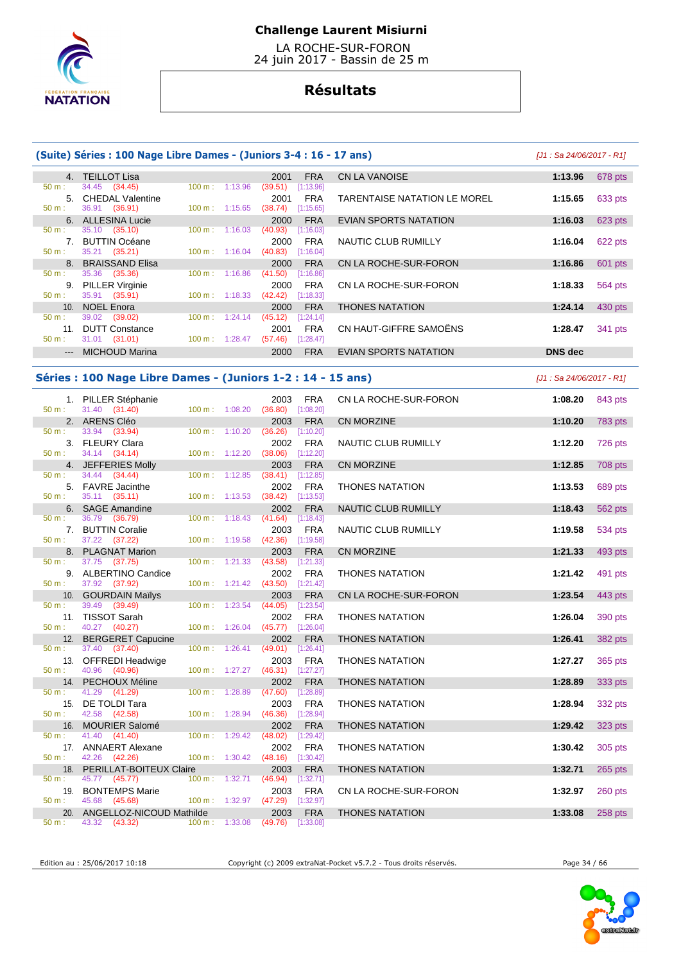

 LA ROCHE-SUR-FORON 24 juin 2017 - Bassin de 25 m

# **Résultats**

|  |  | (Suite) Séries : 100 Nage Libre Dames - (Juniors 3-4 : 16 - 17 ans) |
|--|--|---------------------------------------------------------------------|
|  |  |                                                                     |

|                 | 4. TEILLOT Lisa                      |                              | <b>FRA</b><br>2001                         | <b>CN LA VANOISE</b>                | 1:13.96        | 678 pts |
|-----------------|--------------------------------------|------------------------------|--------------------------------------------|-------------------------------------|----------------|---------|
| $50 m$ :        | 34.45 (34.45)                        | 1:13.96<br>100 m:            | (39.51)<br>[1:13.96]                       |                                     |                |         |
| $50 m$ :        | 5. CHEDAL Valentine<br>36.91 (36.91) | $100 \text{ m}$ :<br>1:15.65 | <b>FRA</b><br>2001<br>(38.74)<br>[1:15.65] | <b>TARENTAISE NATATION LE MOREL</b> | 1:15.65        | 633 pts |
|                 | 6. ALLESINA Lucie                    |                              | <b>FRA</b>                                 |                                     |                |         |
|                 |                                      |                              | 2000                                       | EVIAN SPORTS NATATION               | 1:16.03        | 623 pts |
| $50 m$ :        | 35.10 (35.10)                        | 100 m:<br>1:16.03            | (40.93)<br>[1:16.03]                       |                                     |                |         |
|                 | <b>BUTTIN Océane</b>                 |                              | <b>FRA</b><br>2000                         | NAUTIC CLUB RUMILLY                 | 1:16.04        | 622 pts |
| $50 m$ :        | 35.21 (35.21)                        | 1:16.04<br>$100 \text{ m}$ : | (40.83)<br>[1:16.04]                       |                                     |                |         |
|                 | 8. BRAISSAND Elisa                   |                              | <b>FRA</b><br>2000                         | CN LA ROCHE-SUR-FORON               | 1:16.86        | 601 pts |
| $50 m$ :        | 35.36<br>(35.36)                     | 1:16.86<br>100 m:            | (41.50)<br>[1:16.86]                       |                                     |                |         |
| 9.              | <b>PILLER Virginie</b>               |                              | <b>FRA</b><br>2000                         | CN LA ROCHE-SUR-FORON               | 1:18.33        | 564 pts |
| 50 m:           | 35.91 (35.91)                        | $100 \text{ m}: 1:18.33$     | (42.42)<br>[1:18.33]                       |                                     |                |         |
| 10 <sub>1</sub> | <b>NOEL Enora</b>                    |                              | <b>FRA</b><br>2000                         | <b>THONES NATATION</b>              | 1:24.14        | 430 pts |
| $50 m$ :        | 39.02<br>(39.02)                     | 1:24.14<br>100 m:            | (45.12)<br>[1:24.14]                       |                                     |                |         |
| 11.             | <b>DUTT Constance</b>                |                              | <b>FRA</b><br>2001                         | CN HAUT-GIFFRE SAMOËNS              | 1:28.47        | 341 pts |
| $50 m$ :        | $31.01$ (31.01)                      | $100 \text{ m}$ :<br>1:28.47 | [1:28.47]<br>(57.46)                       |                                     |                |         |
|                 | --- MICHOUD Marina                   |                              | <b>FRA</b><br>2000                         | <b>EVIAN SPORTS NATATION</b>        | <b>DNS</b> dec |         |

### **Séries : 100 Nage Libre Dames - (Juniors 1-2 : 14 - 15 ans)** [J1 : Sa 24/06/2017 - R1]

| 50 m:            | 1. PILLER Stéphanie<br>31.40 (31.40)          | $100 m$ : $1:08.20$         | 2003<br><b>FRA</b><br>(36.80)<br>[1:08.20] | CN LA ROCHE-SUR-FORON      | 1:08.20 | 843 pts |
|------------------|-----------------------------------------------|-----------------------------|--------------------------------------------|----------------------------|---------|---------|
|                  | 2. ARENS Cléo                                 |                             | 2003<br><b>FRA</b>                         | <b>CN MORZINE</b>          | 1:10.20 | 783 pts |
| 50 m:            | 33.94 (33.94)                                 | $100 m$ : 1:10.20           | (36.26)<br>[1:10.20]                       |                            |         |         |
|                  | 3. FLEURY Clara                               |                             | <b>FRA</b><br>2002                         | NAUTIC CLUB RUMILLY        | 1:12.20 | 726 pts |
| 50 m:            | 34.14 (34.14)                                 | 100 m: 1:12.20              | (38.06)<br>[1:12.20]                       |                            |         |         |
|                  | 4. JEFFERIES Molly                            |                             | 2003<br><b>FRA</b>                         | <b>CN MORZINE</b>          | 1:12.85 | 708 pts |
| $50 \text{ m}$ : | 34.44 (34.44)                                 | 100 m: 1:12.85              | (38.41)<br>[1:12.85]                       |                            |         |         |
| $50 m$ :         | 5. FAVRE Jacinthe<br>35.11 (35.11)            | $100 m$ : 1:13.53           | <b>FRA</b><br>2002<br>(38.42)<br>[1:13.53] | <b>THONES NATATION</b>     | 1:13.53 | 689 pts |
|                  | 6. SAGE Amandine                              |                             | <b>FRA</b><br>2002                         | <b>NAUTIC CLUB RUMILLY</b> | 1:18.43 | 562 pts |
| 50 m :           | 36.79 (36.79)                                 | 100 m: 1:18.43              | (41.64)<br>[1:18.43]                       |                            |         |         |
|                  | 7. BUTTIN Coralie                             |                             | 2003<br><b>FRA</b>                         | NAUTIC CLUB RUMILLY        | 1:19.58 | 534 pts |
| 50 m:            | 37.22 (37.22)                                 |                             | 100 m: 1:19.58 (42.36) [1:19.58]           |                            |         |         |
|                  | 8. PLAGNAT Marion                             |                             | 2003<br><b>FRA</b>                         | <b>CN MORZINE</b>          | 1:21.33 | 493 pts |
| 50 m:            | 37.75 (37.75)                                 | $100 m$ : 1:21.33           | (43.58)<br>[1:21.33]                       |                            |         |         |
|                  | 9. ALBERTINO Candice                          |                             | <b>FRA</b><br>2002                         | <b>THONES NATATION</b>     | 1:21.42 | 491 pts |
| 50 m:            | 37.92 (37.92)                                 | 100 m: 1:21.42              | (43.50)<br>[1:21.42]                       |                            |         |         |
|                  | 10. GOURDAIN Maïlys                           |                             | 2003<br><b>FRA</b>                         | CN LA ROCHE-SUR-FORON      | 1:23.54 | 443 pts |
| 50 m:            | 39.49 (39.49)                                 | 100 m: 1:23.54              | (44.05)<br>[1:23.54]                       |                            |         |         |
|                  | 11. TISSOT Sarah                              |                             | 2002<br><b>FRA</b>                         | <b>THONES NATATION</b>     | 1:26.04 | 390 pts |
| 50 m:            | 40.27 (40.27)                                 | $100 m$ : 1:26.04           | (45.77)<br>[1:26.04]                       |                            |         |         |
|                  | 12. BERGERET Capucine<br>37.40 (37.40)        | 100 m: 1:26.41              | <b>FRA</b><br>2002<br>(49.01)<br>[1:26.41] | <b>THONES NATATION</b>     | 1:26.41 | 382 pts |
| 50 m:            | 13. OFFREDI Headwige                          |                             | 2003<br><b>FRA</b>                         | <b>THONES NATATION</b>     | 1:27.27 |         |
| 50 m:            | 40.96 (40.96)                                 | $100 m$ : 1:27.27           | $(46.31)$ [1:27.27]                        |                            |         | 365 pts |
|                  | 14. PECHOUX Méline                            |                             | 2002<br><b>FRA</b>                         | <b>THONES NATATION</b>     | 1:28.89 | 333 pts |
| 50 m:            | 41.29 (41.29)                                 | 100 m: 1:28.89              | (47.60)<br>[1:28.89]                       |                            |         |         |
|                  | 15. DE TOLDI Tara                             |                             | <b>FRA</b><br>2003                         | <b>THONES NATATION</b>     | 1:28.94 | 332 pts |
| $50 \text{ m}$ : | 42.58 (42.58)                                 | 100 m: 1:28.94              | (46.36)<br>[1:28.94]                       |                            |         |         |
|                  | 16. MOURIER Salomé                            |                             | 2002<br><b>FRA</b>                         | <b>THONES NATATION</b>     | 1:29.42 | 323 pts |
| $50 m$ :         | 41.40 (41.40)                                 | 100 m: 1:29.42              | (48.02)<br>[1:29.42]                       |                            |         |         |
|                  | 17. ANNAERT Alexane                           |                             | 2002<br><b>FRA</b>                         | <b>THONES NATATION</b>     | 1:30.42 | 305 pts |
| $50 m$ :         | 42.26 (42.26)                                 | 100 m: 1:30.42              | (48.16)<br>[1:30.42]                       |                            |         |         |
|                  | 18. PERILLAT-BOITEUX Claire                   |                             | 2003<br><b>FRA</b>                         | <b>THONES NATATION</b>     | 1:32.71 | 265 pts |
| 50 m:            | 45.77 (45.77)                                 | 100 m: 1:32.71              | (46.94)<br>[1:32.71]                       |                            |         |         |
|                  | 19. BONTEMPS Marie                            |                             | <b>FRA</b><br>2003                         | CN LA ROCHE-SUR-FORON      | 1:32.97 | 260 pts |
| 50 m:            | 45.68 (45.68)                                 | 100 m: 1:32.97              | $(47.29)$ [1:32.97]                        |                            |         |         |
| 50 m:            | 20. ANGELLOZ-NICOUD Mathilde<br>43.32 (43.32) | $100 \text{ m}$ : $1:33.08$ | <b>FRA</b><br>2003<br>$(49.76)$ [1:33.08]  | <b>THONES NATATION</b>     | 1:33.08 | 258 pts |
|                  |                                               |                             |                                            |                            |         |         |

Edition au : 25/06/2017 10:18 Copyright (c) 2009 extraNat-Pocket v5.7.2 - Tous droits réservés. Page 34 / 66

**(J1: Sa 24/06/2017 - R1]** 

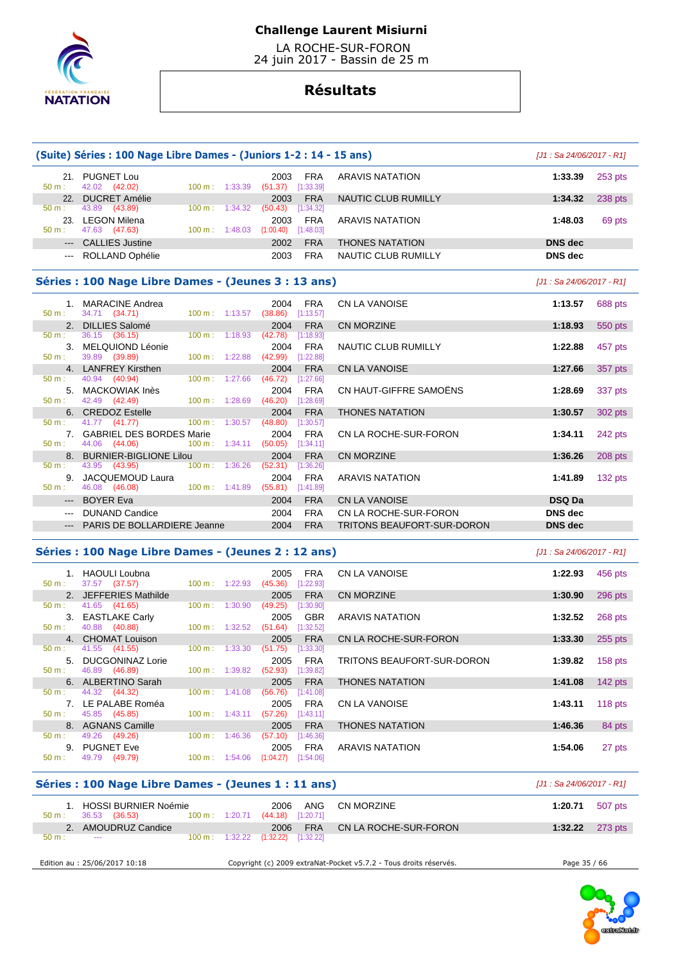

 LA ROCHE-SUR-FORON 24 juin 2017 - Bassin de 25 m

# **Résultats**

|                                                                                                                                                                                                                                                                                                                                                                                              | (Suite) Séries : 100 Nage Libre Dames - (Juniors 1-2 : 14 - 15 ans) | [J1 : Sa 24/06/2017 - R1]                  |                                   |                |         |  |  |  |
|----------------------------------------------------------------------------------------------------------------------------------------------------------------------------------------------------------------------------------------------------------------------------------------------------------------------------------------------------------------------------------------------|---------------------------------------------------------------------|--------------------------------------------|-----------------------------------|----------------|---------|--|--|--|
| $50 m$ :                                                                                                                                                                                                                                                                                                                                                                                     | 21. PUGNET Lou<br>42.02 (42.02)<br>100 m: 1:33.39                   | 2003<br><b>FRA</b><br>(51.37)<br>[1:33.39] | <b>ARAVIS NATATION</b>            | 1:33.39        | 253 pts |  |  |  |
|                                                                                                                                                                                                                                                                                                                                                                                              | 22. DUCRET Amélie                                                   | <b>FRA</b><br>2003                         | <b>NAUTIC CLUB RUMILLY</b>        | 1:34.32        | 238 pts |  |  |  |
| $50 m$ :                                                                                                                                                                                                                                                                                                                                                                                     | 43.89 (43.89)<br>$100 \text{ m}: 1:34.32$                           | (50.43)<br>[1:34.32]                       |                                   |                |         |  |  |  |
|                                                                                                                                                                                                                                                                                                                                                                                              | 23. LEGON Milena                                                    | <b>FRA</b><br>2003                         | <b>ARAVIS NATATION</b>            | 1:48.03        | 69 pts  |  |  |  |
| 50 m:                                                                                                                                                                                                                                                                                                                                                                                        | $100 \text{ m}$ : 1:48.03<br>47.63 (47.63)                          | (1:00.40)<br>[1:48.03]                     |                                   |                |         |  |  |  |
|                                                                                                                                                                                                                                                                                                                                                                                              | --- CALLIES Justine                                                 | 2002<br><b>FRA</b>                         | <b>THONES NATATION</b>            | <b>DNS</b> dec |         |  |  |  |
| $\frac{1}{2} \frac{1}{2} \frac{1}{2} \frac{1}{2} \frac{1}{2} \frac{1}{2} \frac{1}{2} \frac{1}{2} \frac{1}{2} \frac{1}{2} \frac{1}{2} \frac{1}{2} \frac{1}{2} \frac{1}{2} \frac{1}{2} \frac{1}{2} \frac{1}{2} \frac{1}{2} \frac{1}{2} \frac{1}{2} \frac{1}{2} \frac{1}{2} \frac{1}{2} \frac{1}{2} \frac{1}{2} \frac{1}{2} \frac{1}{2} \frac{1}{2} \frac{1}{2} \frac{1}{2} \frac{1}{2} \frac{$ | ROLLAND Ophélie                                                     | 2003<br><b>FRA</b>                         | <b>NAUTIC CLUB RUMILLY</b>        | <b>DNS</b> dec |         |  |  |  |
| Séries : 100 Nage Libre Dames - (Jeunes 3 : 13 ans)<br>$J1:$ Sa 24/06/2017 - R11                                                                                                                                                                                                                                                                                                             |                                                                     |                                            |                                   |                |         |  |  |  |
|                                                                                                                                                                                                                                                                                                                                                                                              | 1. MARACINE Andrea                                                  | 2004<br><b>FRA</b>                         | <b>CN LA VANOISE</b>              | 1:13.57        | 688 pts |  |  |  |
| 50 m:                                                                                                                                                                                                                                                                                                                                                                                        | 34.71 (34.71)<br>$100 \text{ m}: 1:13.57$ (38.86)                   | [1:13.57]                                  |                                   |                |         |  |  |  |
|                                                                                                                                                                                                                                                                                                                                                                                              | 2. DILLIES Salomé                                                   | 2004<br><b>FRA</b>                         | <b>CN MORZINE</b>                 | 1:18.93        | 550 pts |  |  |  |
| 50 m:                                                                                                                                                                                                                                                                                                                                                                                        | 36.15 (36.15)<br>$100 m$ : 1:18.93                                  | (42.78)<br>[1:18.93]                       |                                   |                |         |  |  |  |
|                                                                                                                                                                                                                                                                                                                                                                                              | 3. MELQUIOND Léonie                                                 | 2004<br><b>FRA</b>                         | NAUTIC CLUB RUMILLY               | 1:22.88        | 457 pts |  |  |  |
| 50 m:                                                                                                                                                                                                                                                                                                                                                                                        | 39.89 (39.89)<br>100 m: 1:22.88                                     | (42.99)<br>[1:22.88]                       |                                   |                |         |  |  |  |
|                                                                                                                                                                                                                                                                                                                                                                                              | 4. LANFREY Kirsthen                                                 | 2004<br><b>FRA</b>                         | <b>CN LA VANOISE</b>              | 1:27.66        | 357 pts |  |  |  |
| 50 m:                                                                                                                                                                                                                                                                                                                                                                                        | 40.94 (40.94)<br>100 m: 1:27.66                                     | (46.72)<br>[1:27.66]                       |                                   |                |         |  |  |  |
|                                                                                                                                                                                                                                                                                                                                                                                              | 5. MACKOWIAK Inès                                                   | <b>FRA</b><br>2004                         | CN HAUT-GIFFRE SAMOËNS            | 1:28.69        | 337 pts |  |  |  |
| 50 m:                                                                                                                                                                                                                                                                                                                                                                                        | 42.49 (42.49)<br>$100 \text{ m}: 1:28.69$                           | $(46.20)$ [1:28.69]                        |                                   |                |         |  |  |  |
|                                                                                                                                                                                                                                                                                                                                                                                              | 6. CREDOZ Estelle                                                   | <b>FRA</b><br>2004                         | <b>THONES NATATION</b>            | 1:30.57        | 302 pts |  |  |  |
| 50 m:                                                                                                                                                                                                                                                                                                                                                                                        | 41.77 (41.77)<br>100 m: 1:30.57                                     | (48.80)<br>[1:30.57]                       |                                   |                |         |  |  |  |
|                                                                                                                                                                                                                                                                                                                                                                                              | 7. GABRIEL DES BORDES Marie                                         | <b>FRA</b><br>2004                         | CN LA ROCHE-SUR-FORON             | 1:34.11        | 242 pts |  |  |  |
| 50 m:                                                                                                                                                                                                                                                                                                                                                                                        | 44.06 (44.06)<br>$100 \text{ m}: 1:34.11$                           | (50.05)<br>[1:34.11]                       |                                   |                |         |  |  |  |
| 50 m:                                                                                                                                                                                                                                                                                                                                                                                        | 8. BURNIER-BIGLIONE Lilou<br>100 m: 1:36.26<br>43.95 (43.95)        | <b>FRA</b><br>2004<br>(52.31)<br>[1:36.26] | <b>CN MORZINE</b>                 | 1:36.26        | 208 pts |  |  |  |
| 9.                                                                                                                                                                                                                                                                                                                                                                                           | JACQUEMOUD Laura                                                    | <b>FRA</b><br>2004                         | <b>ARAVIS NATATION</b>            | 1:41.89        |         |  |  |  |
| $50 m$ :                                                                                                                                                                                                                                                                                                                                                                                     | 46.08 (46.08)<br>$100 \text{ m}: 1:41.89$                           | (55.81)<br>[1:41.89]                       |                                   |                | 132 pts |  |  |  |
| $\qquad \qquad - -$                                                                                                                                                                                                                                                                                                                                                                          | <b>BOYER Eva</b>                                                    | <b>FRA</b><br>2004                         | <b>CN LA VANOISE</b>              | <b>DSQ Da</b>  |         |  |  |  |
| $\sim$ $\sim$                                                                                                                                                                                                                                                                                                                                                                                | <b>DUNAND Candice</b>                                               | 2004<br><b>FRA</b>                         | CN LA ROCHE-SUR-FORON             | <b>DNS</b> dec |         |  |  |  |
|                                                                                                                                                                                                                                                                                                                                                                                              | --- PARIS DE BOLLARDIERE Jeanne                                     | 2004<br><b>FRA</b>                         | <b>TRITONS BEAUFORT-SUR-DORON</b> | <b>DNS</b> dec |         |  |  |  |

### **Séries : 100 Nage Libre Dames - (Jeunes 2 : 12 ans)** [J1 : Sa 24/06/2017 - R1]

| $50 m$ :         | 1. HAOULI Loubna<br>37.57 (37.57) | $100 \text{ m}: 1:22.93$     | FRA<br>2005<br>[1:22.93]<br>(45.36) | CN LA VANOISE              | 1:22.93 | 456 pts   |
|------------------|-----------------------------------|------------------------------|-------------------------------------|----------------------------|---------|-----------|
|                  | 2. JEFFERIES Mathilde             |                              | <b>FRA</b><br>2005                  | CN MORZINE                 | 1:30.90 | 296 pts   |
| $50 m$ :         | 41.65 (41.65)                     | $100 \text{ m}$ :<br>1:30.90 | (49.25)<br>[1:30.90]                |                            |         |           |
|                  | 3. EASTLAKE Carly                 |                              | <b>GBR</b><br>2005                  | ARAVIS NATATION            | 1:32.52 | 268 pts   |
| $50 \text{ m}$ : | 40.88 (40.88)                     | $100 \text{ m}: 1:32.52$     | (51.64)<br>[1:32.52]                |                            |         |           |
|                  | 4. CHOMAT Louison                 |                              | <b>FRA</b><br>2005                  | CN LA ROCHE-SUR-FORON      | 1:33.30 | 255 pts   |
| $50 m$ :         | 41.55 (41.55)                     | $100 \text{ m}$ : 1:33.30    | (51.75)<br>[1:33.30]                |                            |         |           |
|                  | 5. DUCGONINAZ Lorie               |                              | FRA<br>2005                         | TRITONS BEAUFORT-SUR-DORON | 1:39.82 | $158$ pts |
| $50 \text{ m}$ : | 46.89 (46.89)                     | $100 \text{ m}: 1:39.82$     | (52.93)<br>[1:39.82]                |                            |         |           |
|                  | 6. ALBERTINO Sarah                |                              | <b>FRA</b><br>2005                  | <b>THONES NATATION</b>     | 1:41.08 | $142$ pts |
| 50 m:            | 44.32 (44.32)                     | $100 \text{ m}: 1:41.08$     | (56.76)<br>[1:41.08]                |                            |         |           |
|                  | 7. LE PALABE Roméa                |                              | <b>FRA</b><br>2005                  | CN LA VANOISE              | 1:43.11 | 118 $pts$ |
| $50 \text{ m}$ : | 45.85 (45.85)                     | $100 \text{ m}: 1:43.11$     | (57.26)<br>[1:43.11]                |                            |         |           |
|                  | 8. AGNANS Camille                 |                              | <b>FRA</b><br>2005                  | <b>THONES NATATION</b>     | 1:46.36 | 84 pts    |
| 50 m:            | 49.26 (49.26)                     | $100 \text{ m}: 1:46.36$     | (57.10)<br>[1:46.36]                |                            |         |           |
|                  | 9. PUGNET Eve                     |                              | FRA<br>2005                         | ARAVIS NATATION            | 1:54.06 | 27 pts    |
| $50 m$ :         | 49.79 (49.79)                     | $100 \text{ m}: 1:54.06$     | (1:04.27)<br>[1:54.06]              |                            |         |           |
|                  |                                   |                              |                                     |                            |         |           |

# **Séries : 100 Nage Libre Dames - (Jeunes 1 : 11 ans)** [J1 : Sa 24/06/2017 - R1]

| 1. HOSSI BURNIER Noémie |                  |                           |                 | 2006                | ANG       | CN MORZINE                | 1:20.71 | 507 pts                   |
|-------------------------|------------------|---------------------------|-----------------|---------------------|-----------|---------------------------|---------|---------------------------|
| $50 \text{ m}$ :        | 36.53 (36.53)    |                           | 100 m : 1:20.71 | $(44.18)$ [1:20.71] |           |                           |         |                           |
| 2.                      | AMOUDRUZ Candice |                           |                 | 2006                |           | FRA CN LA ROCHE-SUR-FORON |         | 1:32.22 $273 \text{ pts}$ |
| 50 m:                   | $\sim$ $\sim$    | $100 \text{ m}$ : 1:32.22 |                 | (1:32.22)           | [1:32.22] |                           |         |                           |
|                         |                  |                           |                 |                     |           |                           |         |                           |

Edition au : 25/06/2017 10:18 Copyright (c) 2009 extraNat-Pocket v5.7.2 - Tous droits réservés. Page 35 / 66

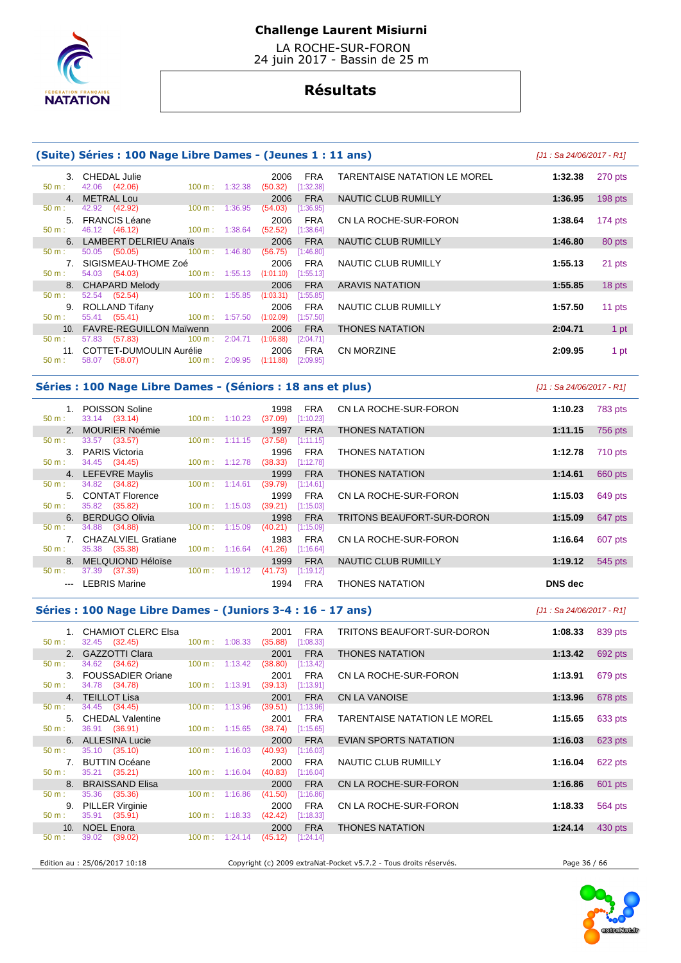

 LA ROCHE-SUR-FORON 24 juin 2017 - Bassin de 25 m

# **Résultats**

|                  | (Suite) Séries : 100 Nage Libre Dames - (Jeunes 1 : 11 ans) |                          |                                            |                              | $J1:$ Sa 24/06/2017 - R11 |           |
|------------------|-------------------------------------------------------------|--------------------------|--------------------------------------------|------------------------------|---------------------------|-----------|
| $50 \text{ m}$ : | 3. CHEDAL Julie<br>42.06 (42.06)                            | $100 \text{ m}: 1:32.38$ | 2006<br>FRA<br>[1:32.38]<br>(50.32)        | TARENTAISE NATATION LE MOREL | 1:32.38                   | 270 pts   |
| $50 \text{ m}$ : | 4. METRAL Lou<br>42.92 (42.92)                              | $100 \text{ m}: 1:36.95$ | <b>FRA</b><br>2006<br>(54.03)<br>[1:36.95] | NAUTIC CLUB RUMILLY          | 1:36.95                   | 198 pts   |
| $50 \text{ m}$ : | 5. FRANCIS Léane<br>46.12 (46.12) 100 m : 1:38.64           |                          | FRA<br>2006<br>[1:38.64]<br>(52.52)        | CN LA ROCHE-SUR-FORON        | 1:38.64                   | 174 $pts$ |
|                  | 6. LAMBERT DELRIEU Anaïs                                    |                          | <b>FRA</b><br>2006                         | NAUTIC CLUB RUMILLY          | 1:46.80                   | 80 pts    |
| $50 \text{ m}$ : | 50.05 (50.05)                                               | $100 \text{ m}: 1:46.80$ | (56.75)<br>[1:46.80]                       |                              |                           |           |
| 50 m:            | 7. SIGISMEAU-THOME Zoé<br>54.03 (54.03) 100 m : 1:55.13     |                          | 2006<br>FRA<br>$(1:01.10)$ [1:55.13]       | NAUTIC CLUB RUMILLY          | 1:55.13                   | 21 pts    |
|                  | 8. CHAPARD Melody                                           |                          | <b>FRA</b><br>2006                         | <b>ARAVIS NATATION</b>       | 1:55.85                   | 18 pts    |
| $50 \text{ m}$ : | 52.54 (52.54) 100 m : 1:55.85                               |                          | (1:03.31)<br>[1:55.85]                     |                              |                           |           |
| 9.<br>$50 m$ :   | ROLLAND Tifany<br>55.41 (55.41) 100 m : 1:57.50             |                          | FRA<br>2006<br>(1:02.09)<br>[1:57.50]      | NAUTIC CLUB RUMILLY          | 1:57.50                   | 11 pts    |
|                  | 10. FAVRE-REGUILLON Maïwenn                                 |                          | <b>FRA</b><br>2006                         | <b>THONES NATATION</b>       | 2:04.71                   | 1 pt      |
| $50 \text{ m}$ : | $100 \text{ m}$ : 2:04.71<br>57.83 (57.83)                  |                          | (1:06.88)<br>[2:04.71]                     |                              |                           |           |
|                  | 11. COTTET-DUMOULIN Aurélie 2006                            |                          | FRA                                        | <b>CN MORZINE</b>            | 2:09.95                   | 1 pt      |
| $50 \text{ m}$ : | $100 \text{ m}$ : 2:09.95<br>58.07 (58.07)                  |                          | (1:11.88)<br>[2:09.95]                     |                              |                           |           |

### **Séries : 100 Nage Libre Dames - (Séniors : 18 ans et plus)** [J1 : Sa 24/06/2017 - R1]

 1. POISSON Soline 1998 FRA CN LA ROCHE-SUR-FORON **1:10.23** 783 pts 50 m : 33.14 (33.14) 100 m : 1:10.23 (37.09) [1:10.23] 2. MOURIER Noémie 1997 FRA THONES NATATION **1:11.15** 756 pts 50 m : 33.57 (33.57) 100 m : 1:11.15 (37.58) [1:11.15] 3. PARIS Victoria 1996 FRA THONES NATATION **1:12.78** 710 pts 34.45 (34.45) 4. LEFEVRE Maylis 1999 FRA THONES NATATION **1:14.61** 660 pts 50 m : 34.82 (34.82) 100 m : 1:14.61 (39.79) [1:14.61] 5. CONTAT Florence 1999 FRA CN LA ROCHE-SUR-FORON **1:15.03** 649 pts 35.82 (35.82) 6. BERDUGO Olivia 1998 FRA TRITONS BEAUFORT-SUR-DORON **1:15.09** 647 pts 34.88 (34.88) 100 m : 1:15.09 (40.21) [1:15.09 7. CHAZALVIEL Gratiane 1983 FRA CN LA ROCHE-SUR-FORON **1:16.64** 607 pts 50 m : 35.38 (35.38) 100 m : 1:16.64 (41.26) [1:16.64] 8. MELQUIOND Héloïse 1999 FRA NAUTIC CLUB RUMILLY **1:19.12** 545 pts 37.39 (37.39) --- LEBRIS Marine 1994 FRA THONES NATATION **DNS dec** 

### **Séries : 100 Nage Libre Dames - (Juniors 3-4 : 16 - 17 ans)** [J1 : Sa 24/06/2017 - R1]

 1. CHAMIOT CLERC Elsa 2001 FRA TRITONS BEAUFORT-SUR-DORON **1:08.33** 839 pts 32.45 (32.45) 2. GAZZOTTI Clara **2001 FRA THONES NATATION 1:13.42** 692 pts **1:13.42** 692 pts **1:13.42 1:13.42 1:13.42 1:13.42 1:13.42 1:13.42 1:13.42 1:13.42 1:13.42 1:13.42 1:13.42 1:13.42 1:13.42 1:13.42** 50 m : 34.62 (34.62) 100 m : 1:13.42 (38.80) [1:13.42] 3. FOUSSADIER Oriane 2001 FRA CN LA ROCHE-SUR-FORON **1:13.91** 679 pts 34.78 (34.78) 4. TEILLOT Lisa 2001 FRA CN LA VANOISE **1:13.96** 678 pts 50 m : 34.45 (34.45) 100 m : 1:13.96 (39.51) [1:13.96] 5. CHEDAL Valentine 2001 FRA TARENTAISE NATATION LE MOREL **1:15.65** 633 pts 50 m : 36.91 (36.91) 100 m : 1:15.65 (38.74) [1:15.65] 6. ALLESINA Lucie 2000 FRA EVIAN SPORTS NATATION **1:16.03** 623 pts 50 m : 35.10 (35.10) 100 m : 1:16.03 (40.93) [1:16.03] 7. BUTTIN Océane 2000 FRA NAUTIC CLUB RUMILLY **1:16.04** 622 pts 50 m : 35.21 (35.21) 100 m : 1:16.04 (40.83) [1:16.04] 8. BRAISSAND Elisa 2000 FRA CN LA ROCHE-SUR-FORON **1:16.86** 601 pts 50 m : 35.36 (35.36) 100 m : 1:16.86 (41.50) [1:16.86] 9. PILLER Virginie 2000 FRA CN LA ROCHE-SUR-FORON **1:18.33** 564 pts 50 m : 35.91 (35.91) 100 m : 1:18.33 (42.42) [1:18.33] 10. NOEL Enora 2000 FRA THONES NATATION **1:24.14** 430 pts  $[1:24.14]$ 

Edition au : 25/06/2017 10:18 Copyright (c) 2009 extraNat-Pocket v5.7.2 - Tous droits réservés. Page 36 / 66

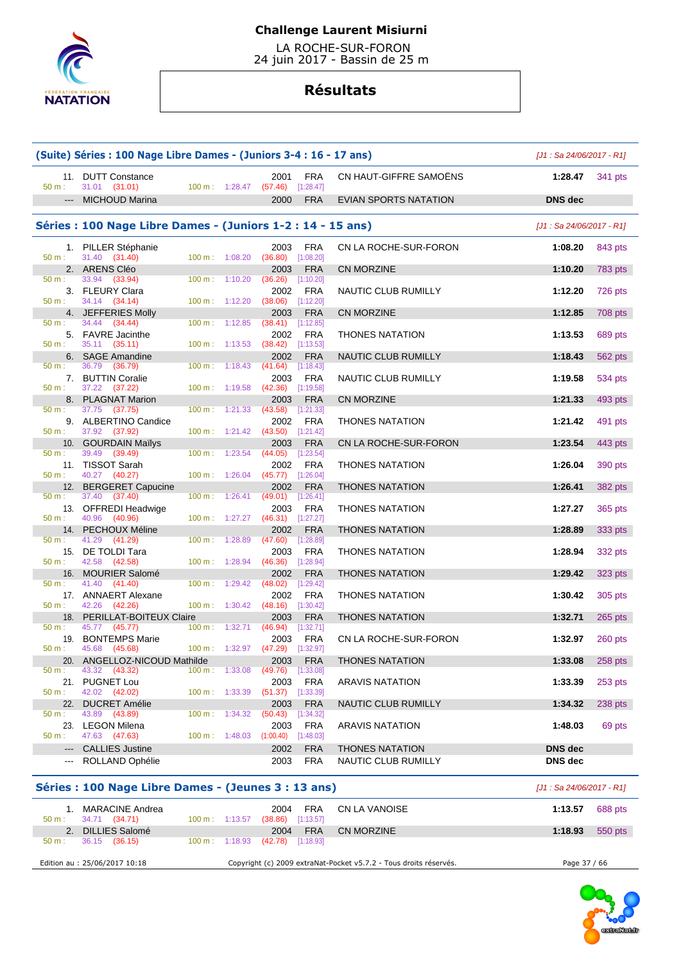

 LA ROCHE-SUR-FORON 24 juin 2017 - Bassin de 25 m

# **Résultats**

|                        | (Suite) Séries : 100 Nage Libre Dames - (Juniors 3-4 : 16 - 17 ans) |                             |                          |                             |                           |                        | $[J1: Sa 24/06/2017 - R1]$ |                |
|------------------------|---------------------------------------------------------------------|-----------------------------|--------------------------|-----------------------------|---------------------------|------------------------|----------------------------|----------------|
| 50 m:                  | 11. DUTT Constance<br>31.01 (31.01)                                 | 100 m: 1:28.47              |                          | 2001<br>$(57.46)$ [1:28.47] | <b>FRA</b>                | CN HAUT-GIFFRE SAMOËNS | 1:28.47                    | 341 pts        |
|                        | --- MICHOUD Marina                                                  |                             |                          | 2000                        | <b>FRA</b>                | EVIAN SPORTS NATATION  | <b>DNS</b> dec             |                |
|                        | Séries : 100 Nage Libre Dames - (Juniors 1-2 : 14 - 15 ans)         |                             |                          |                             |                           |                        | [J1 : Sa 24/06/2017 - R1]  |                |
| 50 m:                  | 1. PILLER Stéphanie<br>31.40 (31.40)                                | $100 \text{ m}$ : $1:08.20$ |                          | 2003<br>(36.80)             | <b>FRA</b><br>[1:08.20]   | CN LA ROCHE-SUR-FORON  | 1:08.20                    | 843 pts        |
|                        | 2. ARENS Cléo                                                       |                             |                          | 2003                        | <b>FRA</b>                | <b>CN MORZINE</b>      | 1:10.20                    | <b>783 pts</b> |
| $50 m$ :<br>50 m:      | 33.94<br>(33.94)<br>3. FLEURY Clara<br>34.14 (34.14)                | 100 m: 1:10.20              |                          | (36.26)<br>2002<br>(38.06)  | [1:10.20]<br><b>FRA</b>   | NAUTIC CLUB RUMILLY    | 1:12.20                    | 726 pts        |
|                        | 4. JEFFERIES Molly                                                  | 100 m: 1:12.20              |                          | 2003                        | [1:12.20]<br><b>FRA</b>   | <b>CN MORZINE</b>      | 1:12.85                    | 708 pts        |
| 50 m:                  | 34.44<br>(34.44)                                                    | 100 m:                      | 1:12.85                  | (38.41)                     | [1:12.85]                 |                        |                            |                |
| 50 m:                  | 5. FAVRE Jacinthe<br>35.11 (35.11)                                  | 100 m: 1:13.53              |                          | 2002<br>$(38.42)$ [1:13.53] | <b>FRA</b>                | <b>THONES NATATION</b> | 1:13.53                    | 689 pts        |
| 50 m:                  | 6. SAGE Amandine<br>36.79<br>(36.79)                                | $100 \text{ m}: 1:18.43$    |                          | 2002<br>(41.64)             | <b>FRA</b><br>[1:18.43]   | NAUTIC CLUB RUMILLY    | 1:18.43                    | 562 pts        |
| 50 m:                  | 7. BUTTIN Coralie<br>37.22 (37.22)                                  | 100 m: 1:19.58              |                          | 2003<br>(42.36)             | <b>FRA</b><br>[1:19.58]   | NAUTIC CLUB RUMILLY    | 1:19.58                    | 534 pts        |
|                        | 8. PLAGNAT Marion                                                   |                             |                          | 2003                        | <b>FRA</b>                | <b>CN MORZINE</b>      | 1:21.33                    | 493 pts        |
| 50 m:                  | 37.75 (37.75)<br>9. ALBERTINO Candice                               | $100 \text{ m}: 1:21.33$    |                          | (43.58)<br>2002             | [1:21.33]<br><b>FRA</b>   | <b>THONES NATATION</b> | 1:21.42                    | 491 pts        |
| 50 m:                  | 37.92 (37.92)                                                       | $100 m$ : $1:21.42$         |                          | (43.50)                     | [1:21.42]                 |                        |                            |                |
| 50 m:                  | 10. GOURDAIN Maïlys<br>39.49<br>(39.49)                             | $100 \text{ m}$ :           | 1:23.54                  | 2003<br>(44.05)             | <b>FRA</b><br>[1:23.54]   | CN LA ROCHE-SUR-FORON  | 1:23.54                    | 443 pts        |
| $50 m$ :               | 11. TISSOT Sarah<br>40.27 (40.27)                                   | $100 \text{ m}: 1:26.04$    |                          | 2002<br>$(45.77)$ [1:26.04] | <b>FRA</b>                | <b>THONES NATATION</b> | 1:26.04                    | 390 pts        |
|                        | 12. BERGERET Capucine                                               |                             |                          | 2002                        | <b>FRA</b>                | <b>THONES NATATION</b> | 1:26.41                    | <b>382 pts</b> |
| 50 m:                  | 37.40<br>(37.40)<br>13. OFFREDI Headwige                            | 100 m: 1:26.41              |                          | (49.01)<br>2003             | [1:26.41]<br><b>FRA</b>   | <b>THONES NATATION</b> | 1:27.27                    | 365 pts        |
| 50 m:                  | 40.96<br>(40.96)                                                    | 100 m: 1:27.27              |                          | $(46.31)$ [1:27.27]         |                           |                        |                            |                |
| 50 m:                  | 14. PECHOUX Méline<br>41.29 (41.29)                                 | $100 \text{ m}$ :           | 1:28.89                  | 2002<br>(47.60)             | <b>FRA</b><br>[1:28.89]   | <b>THONES NATATION</b> | 1:28.89                    | 333 pts        |
| 50 m:                  | 15. DE TOLDI Tara<br>42.58 (42.58)                                  | $100 m$ : 1:28.94           |                          | 2003<br>(46.36)             | <b>FRA</b><br>[1:28.94]   | <b>THONES NATATION</b> | 1:28.94                    | 332 pts        |
|                        | 16. MOURIER Salomé                                                  |                             |                          | 2002                        | <b>FRA</b>                | <b>THONES NATATION</b> | 1:29.42                    | $323$ pts      |
| 50 m:                  | 41.40<br>(41.40)<br>17. ANNAERT Alexane                             | $100 \text{ m}$ :           | 1:29.42                  | (48.02)<br>2002             | $[1:29.42]$<br><b>FRA</b> | <b>THONES NATATION</b> | 1:30.42                    | 305 pts        |
| 50 m:                  | 42.26 (42.26)                                                       | 100 m: 1:30.42              |                          | $(48.16)$ [1:30.42]         |                           |                        |                            |                |
| 50 m:                  | 18. PERILLAT-BOITEUX Claire<br>45.77 (45.77)                        | $100 m$ : 1:32.71           |                          | 2003<br>(46.94)             | <b>FRA</b><br>[1:32.71]   | <b>THONES NATATION</b> | 1:32.71                    | $265$ pts      |
| 19.                    | <b>BONTEMPS Marie</b>                                               |                             |                          | 2003                        | <b>FRA</b>                | CN LA ROCHE-SUR-FORON  | 1:32.97                    | 260 pts        |
| 50 m:<br>20.           | 45.68<br>(45.68)<br>ANGELLOZ-NICOUD Mathilde                        |                             | $100 \text{ m}: 1:32.97$ | (47.29)<br>2003             | [1:32.97]<br><b>FRA</b>   | <b>THONES NATATION</b> | 1:33.08                    |                |
| 50 m:                  | 43.32<br>(43.32)                                                    | 100 m: 1:33.08              |                          | (49.76)                     | [1:33.08]                 |                        |                            | 258 pts        |
| 21.<br>50 m:           | PUGNET Lou<br>42.02 (42.02)                                         | 100 m: 1:33.39              |                          | 2003<br>(51.37)             | <b>FRA</b><br>[1:33.39]   | <b>ARAVIS NATATION</b> | 1:33.39                    | 253 pts        |
| 22.                    | <b>DUCRET Amélie</b>                                                |                             |                          | 2003                        | <b>FRA</b>                | NAUTIC CLUB RUMILLY    | 1:34.32                    | 238 pts        |
| 50 m:                  | 43.89 (43.89)<br><b>LEGON Milena</b>                                | 100 m:                      | 1:34.32                  | (50.43)                     | [1:34.32]<br><b>FRA</b>   |                        | 1:48.03                    | 69 pts         |
| 23.<br>50 m:           | 47.63 (47.63)                                                       | 100 m: 1:48.03              |                          | 2003<br>(1:00.40)           | [1:48.03]                 | <b>ARAVIS NATATION</b> |                            |                |
| $\qquad \qquad \cdots$ | <b>CALLIES Justine</b>                                              |                             |                          | 2002                        | <b>FRA</b>                | <b>THONES NATATION</b> | <b>DNS</b> dec             |                |
| $---$                  | ROLLAND Ophélie                                                     |                             |                          | 2003                        | <b>FRA</b>                | NAUTIC CLUB RUMILLY    | <b>DNS</b> dec             |                |
|                        |                                                                     |                             |                          |                             |                           |                        |                            |                |

# **Séries : 100 Nage Libre Dames - (Jeunes 3 : 13 ans)** [J1 : Sa 24/06/2017 - R1]

| MARACINE Andrea<br>34.71 (34.71)<br>$50 m$ : | <b>FRA</b><br>CN LA VANOISE<br>2004<br>[1:13.57]<br>(38.86)<br>100 m: 1:13.57 | 1:13.57<br>688 pts |
|----------------------------------------------|-------------------------------------------------------------------------------|--------------------|
| DILLIES Salomé<br>2.                         | <b>FRA</b><br>CN MORZINE<br>2004                                              | 1:18.93<br>550 pts |
| 36.15 (36.15)<br>50 m:                       | $100 \text{ m}: 1:18.93$<br>[1:18.93]<br>(42.78)                              |                    |
| Edition au : 25/06/2017 10:18                | Copyright (c) 2009 extraNat-Pocket v5.7.2 - Tous droits réservés.             | Page 37 / 66       |

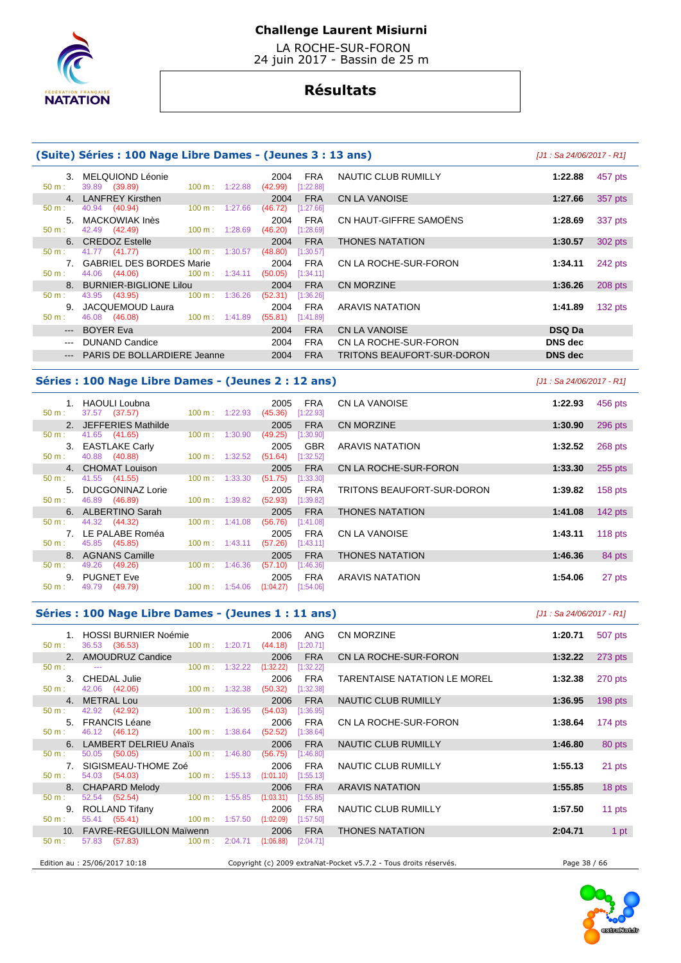

 LA ROCHE-SUR-FORON 24 juin 2017 - Bassin de 25 m

# **Résultats**

### **(Suite) Séries : 100 Nage Libre Dames - (Jeunes 3 : 13 ans)** [J1 : Sa 24/06/2017 - R1]

| 39.89 (39.89)<br>50 m:<br>(42.99)<br>[1:22.88]<br>1:22.88<br>$100 \text{ m}$ :<br>4. LANFREY Kirsthen<br><b>FRA</b><br>CN LA VANOISE<br>2004<br>1:27.66<br>357 pts<br>40.94 (40.94)<br>(46.72)<br>[1:27.66]<br>$50 m$ :<br>1:27.66<br>$100 \text{ m}$ : | 457 pts |
|---------------------------------------------------------------------------------------------------------------------------------------------------------------------------------------------------------------------------------------------------------|---------|
|                                                                                                                                                                                                                                                         |         |
|                                                                                                                                                                                                                                                         |         |
| CN HAUT-GIFFRE SAMOËNS<br>5. MACKOWIAK Inès<br><b>FRA</b><br>2004<br>1:28.69                                                                                                                                                                            | 337 pts |
| 42.49 (42.49)<br>$50 m$ :<br>100 m:<br>1:28.69<br>(46.20)<br>[1:28.69]                                                                                                                                                                                  |         |
| 6. CREDOZ Estelle<br><b>FRA</b><br><b>THONES NATATION</b><br>2004<br>302 pts<br>1:30.57                                                                                                                                                                 |         |
| 41.77 (41.77)<br>100 m:<br>$50 m$ :<br>1:30.57<br>(48.80)<br>[1:30.57]                                                                                                                                                                                  |         |
| 7. GABRIEL DES BORDES Marie<br>2004<br>CN LA ROCHE-SUR-FORON<br>FRA<br>1:34.11<br>242 pts                                                                                                                                                               |         |
| 44.06 (44.06)<br>$100 \text{ m}$ :<br>1:34.11<br>$50 m$ :<br>(50.05)<br>[1:34.11]                                                                                                                                                                       |         |
| 8. BURNIER-BIGLIONE Lilou<br>CN MORZINE<br><b>FRA</b><br>1:36.26<br>208 pts<br>2004                                                                                                                                                                     |         |
| $100 \text{ m}$ :<br>1:36.26<br>$50 m$ :<br>43.95 (43.95)<br>(52.31)<br>[1:36.26]                                                                                                                                                                       |         |
| 9. JACQUEMOUD Laura<br><b>FRA</b><br>ARAVIS NATATION<br>1:41.89<br>132 pts<br>2004                                                                                                                                                                      |         |
| 46.08 (46.08)<br>$50 m$ :<br>$100 \text{ m}: 1:41.89$<br>(55.81)<br>[1:41.89]                                                                                                                                                                           |         |
| --- BOYER Eva<br><b>FRA</b><br>CN LA VANOISE<br><b>DSQ Da</b><br>2004                                                                                                                                                                                   |         |
| DUNAND Candice<br><b>FRA</b><br><b>DNS</b> dec<br>CN LA ROCHE-SUR-FORON<br>2004<br>$  -$                                                                                                                                                                |         |
| <b>DNS</b> dec<br><b>PARIS DE BOLLARDIERE Jeanne</b><br>2004<br><b>FRA</b><br>TRITONS BEAUFORT-SUR-DORON<br>$\cdots$                                                                                                                                    |         |

#### **Séries : 100 Nage Libre Dames - (Jeunes 2 : 12 ans)** [J1 : Sa 24/06/2017 - R1]

 1. HAOULI Loubna 2005 FRA CN LA VANOISE **1:22.93** 456 pts  $(37.57)$  2. JEFFERIES Mathilde 2005 FRA CN MORZINE **1:30.90** 296 pts 50 m : 41.65 (41.65) 100 m : 1:30.90 (49.25) [1:30.90] 3. EASTLAKE Carly 2005 GBR ARAVIS NATATION **1:32.52** 268 pts 50 m : 40.88 (40.88) 100 m : 1:32.52 (51.64) [1:32.52] 4. CHOMAT Louison 2005 FRA CN LA ROCHE-SUR-FORON **1:33.30** 255 pts 50 m : 41.55 (41.55) 100 m : 1:33.30 (51.75) [1:33.30] 5. DUCGONINAZ Lorie 2005 FRA TRITONS BEAUFORT-SUR-DORON **1:39.82** 158 pts 46.89 (46.89) 6. ALBERTINO Sarah 2005 FRA THONES NATATION **1:41.08** 142 pts 50 m : 44.32 (44.32) 100 m : 1:41.08 (56.76) [1:41.08] 7. LE PALABE Roméa 2005 FRA CN LA VANOISE **1:43.11** 118 pts 45.85 (45.85) 8. AGNANS Camille 2005 FRA THONES NATATION **1:46.36** 84 pts 50 m : 49.26 (49.26) 100 m : 1:46.36 (57.10) [1:46.36] 9. PUGNET Eve 2005 FRA ARAVIS NATATION **1:54.06** 27 pts 50 m : 49.79 (49.79) 100 m : 1:54.06 (1:04.27) [1:54.06]

### **Séries : 100 Nage Libre Dames - (Jeunes 1 : 11 ans)** [J1 : Sa 24/06/2017 - R1]

1. HOSSI BURNIER Noémie 2006 ANG CN MORZINE **1:20.71** 507 pts<br>
50 m : 36.53 (36.53) 100 m : 1:20.71 (44.18) [1:20.71] 36.53 (36.53) 2. AMOUDRUZ Candice 2006 FRA CN LA ROCHE-SUR-FORON 1:32.22 273 pts 50 m :  $\frac{1}{2}$  50 m : --- 100 m : 1:32.22 (1:32.22) [1:32.22] 3. CHEDAL Julie 2006 FRA TARENTAISE NATATION LE MOREL **1:32.38** 270 pts  $42.06$   $(42.06)$  4. METRAL Lou 2006 FRA NAUTIC CLUB RUMILLY **1:36.95** 198 pts 50 m : 42.92 (42.92) 100 m : 1:36.95 (54.03) [1:36.95] 5. FRANCIS Léane 2006 FRA CN LA ROCHE-SUR-FORON **1:38.64** 174 pts 46.12 (46.12) 6. LAMBERT DELRIEU Anaïs 2006 FRA NAUTIC CLUB RUMILLY **1:46.80** 80 pts 50 m : 50.05 (50.05) 100 m : 1:46.80 (56.75) [1:46.80] 7. SIGISMEAU-THOME Zoé 2006 FRA NAUTIC CLUB RUMILLY **1:55.13** 21 pts 50 m : 54.03 (54.03) 100 m : 1:55.13 (1:01.10) [1:55.13] 8. CHAPARD Melody 2006 FRA ARAVIS NATATION **1:55.85** 18 pts 50 m : 52.54 (52.54) 100 m : 1:55.85 (1:03.31) [1:55.85] 9. ROLLAND Tifany 2006 FRA NAUTIC CLUB RUMILLY **1:57.50** 11 pts 50 m : 55.41 (55.41) 100 m : 1:57.50 (1:02.09) [1:57.50] 10. FAVRE-REGUILLON Maïwenn 2006 FRA THONES NATATION **2:04.71** 1 pt 50 m : 57.83 (57.83) 100 m : 2:04.71 (1:06.88) [2:04.71] Edition au : 25/06/2017 10:18 Copyright (c) 2009 extraNat-Pocket v5.7.2 - Tous droits réservés. Page 38 / 66

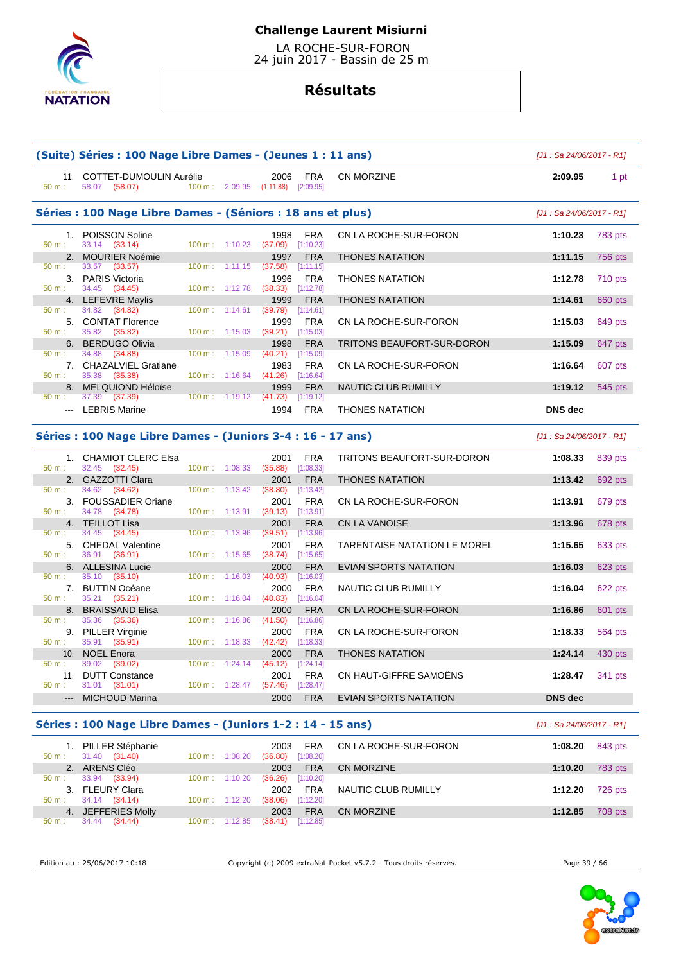

 LA ROCHE-SUR-FORON 24 juin 2017 - Bassin de 25 m

# **Résultats**

| 50 m:  | 58.07 (58.07)                                                                                                                                                                                                                                                                                                                                                                                                                                                                                                                                                                                                                                                                                                                                                                                                                                                                                                                                                                                                                                                                                                                                                                                                                                                                                                                                                                                                                                                                                                                                                                                                                                                                                                                                                                                                                                                                                                                                                                                                                                                                                                                                                                                                                                                                                                                                                                                                                                                                                                                                                                                                                                                                                                                                                                                                                                                                                                                                                                                                 |  |  | 2006<br>FRA                               | CN MORZINE                   | 2:09.95        | 1 pt    |
|--------|---------------------------------------------------------------------------------------------------------------------------------------------------------------------------------------------------------------------------------------------------------------------------------------------------------------------------------------------------------------------------------------------------------------------------------------------------------------------------------------------------------------------------------------------------------------------------------------------------------------------------------------------------------------------------------------------------------------------------------------------------------------------------------------------------------------------------------------------------------------------------------------------------------------------------------------------------------------------------------------------------------------------------------------------------------------------------------------------------------------------------------------------------------------------------------------------------------------------------------------------------------------------------------------------------------------------------------------------------------------------------------------------------------------------------------------------------------------------------------------------------------------------------------------------------------------------------------------------------------------------------------------------------------------------------------------------------------------------------------------------------------------------------------------------------------------------------------------------------------------------------------------------------------------------------------------------------------------------------------------------------------------------------------------------------------------------------------------------------------------------------------------------------------------------------------------------------------------------------------------------------------------------------------------------------------------------------------------------------------------------------------------------------------------------------------------------------------------------------------------------------------------------------------------------------------------------------------------------------------------------------------------------------------------------------------------------------------------------------------------------------------------------------------------------------------------------------------------------------------------------------------------------------------------------------------------------------------------------------------------------------------------|--|--|-------------------------------------------|------------------------------|----------------|---------|
|        |                                                                                                                                                                                                                                                                                                                                                                                                                                                                                                                                                                                                                                                                                                                                                                                                                                                                                                                                                                                                                                                                                                                                                                                                                                                                                                                                                                                                                                                                                                                                                                                                                                                                                                                                                                                                                                                                                                                                                                                                                                                                                                                                                                                                                                                                                                                                                                                                                                                                                                                                                                                                                                                                                                                                                                                                                                                                                                                                                                                                               |  |  |                                           |                              |                |         |
| 50 m:  | 33.14 (33.14)                                                                                                                                                                                                                                                                                                                                                                                                                                                                                                                                                                                                                                                                                                                                                                                                                                                                                                                                                                                                                                                                                                                                                                                                                                                                                                                                                                                                                                                                                                                                                                                                                                                                                                                                                                                                                                                                                                                                                                                                                                                                                                                                                                                                                                                                                                                                                                                                                                                                                                                                                                                                                                                                                                                                                                                                                                                                                                                                                                                                 |  |  | <b>FRA</b><br>1998<br>$(37.09)$ [1:10.23] | CN LA ROCHE-SUR-FORON        | 1:10.23        | 783 pts |
|        |                                                                                                                                                                                                                                                                                                                                                                                                                                                                                                                                                                                                                                                                                                                                                                                                                                                                                                                                                                                                                                                                                                                                                                                                                                                                                                                                                                                                                                                                                                                                                                                                                                                                                                                                                                                                                                                                                                                                                                                                                                                                                                                                                                                                                                                                                                                                                                                                                                                                                                                                                                                                                                                                                                                                                                                                                                                                                                                                                                                                               |  |  | <b>FRA</b><br>1997                        | <b>THONES NATATION</b>       | 1:11.15        | 756 pts |
|        |                                                                                                                                                                                                                                                                                                                                                                                                                                                                                                                                                                                                                                                                                                                                                                                                                                                                                                                                                                                                                                                                                                                                                                                                                                                                                                                                                                                                                                                                                                                                                                                                                                                                                                                                                                                                                                                                                                                                                                                                                                                                                                                                                                                                                                                                                                                                                                                                                                                                                                                                                                                                                                                                                                                                                                                                                                                                                                                                                                                                               |  |  | <b>FRA</b><br>1996                        | <b>THONES NATATION</b>       | 1:12.78        | 710 pts |
|        |                                                                                                                                                                                                                                                                                                                                                                                                                                                                                                                                                                                                                                                                                                                                                                                                                                                                                                                                                                                                                                                                                                                                                                                                                                                                                                                                                                                                                                                                                                                                                                                                                                                                                                                                                                                                                                                                                                                                                                                                                                                                                                                                                                                                                                                                                                                                                                                                                                                                                                                                                                                                                                                                                                                                                                                                                                                                                                                                                                                                               |  |  |                                           |                              |                |         |
| 50 m:  | 34.82<br>(34.82)                                                                                                                                                                                                                                                                                                                                                                                                                                                                                                                                                                                                                                                                                                                                                                                                                                                                                                                                                                                                                                                                                                                                                                                                                                                                                                                                                                                                                                                                                                                                                                                                                                                                                                                                                                                                                                                                                                                                                                                                                                                                                                                                                                                                                                                                                                                                                                                                                                                                                                                                                                                                                                                                                                                                                                                                                                                                                                                                                                                              |  |  | (39.79)<br>[1:14.61]                      |                              |                |         |
|        |                                                                                                                                                                                                                                                                                                                                                                                                                                                                                                                                                                                                                                                                                                                                                                                                                                                                                                                                                                                                                                                                                                                                                                                                                                                                                                                                                                                                                                                                                                                                                                                                                                                                                                                                                                                                                                                                                                                                                                                                                                                                                                                                                                                                                                                                                                                                                                                                                                                                                                                                                                                                                                                                                                                                                                                                                                                                                                                                                                                                               |  |  | <b>FRA</b><br>1999                        | CN LA ROCHE-SUR-FORON        | 1:15.03        | 649 pts |
|        |                                                                                                                                                                                                                                                                                                                                                                                                                                                                                                                                                                                                                                                                                                                                                                                                                                                                                                                                                                                                                                                                                                                                                                                                                                                                                                                                                                                                                                                                                                                                                                                                                                                                                                                                                                                                                                                                                                                                                                                                                                                                                                                                                                                                                                                                                                                                                                                                                                                                                                                                                                                                                                                                                                                                                                                                                                                                                                                                                                                                               |  |  | 1998<br><b>FRA</b>                        | TRITONS BEAUFORT-SUR-DORON   | 1:15.09        | 647 pts |
| 50 m:  | 34.88 (34.88)                                                                                                                                                                                                                                                                                                                                                                                                                                                                                                                                                                                                                                                                                                                                                                                                                                                                                                                                                                                                                                                                                                                                                                                                                                                                                                                                                                                                                                                                                                                                                                                                                                                                                                                                                                                                                                                                                                                                                                                                                                                                                                                                                                                                                                                                                                                                                                                                                                                                                                                                                                                                                                                                                                                                                                                                                                                                                                                                                                                                 |  |  | (40.21)<br>[1:15.09]                      |                              |                |         |
| 50 m:  | 35.38 (35.38)                                                                                                                                                                                                                                                                                                                                                                                                                                                                                                                                                                                                                                                                                                                                                                                                                                                                                                                                                                                                                                                                                                                                                                                                                                                                                                                                                                                                                                                                                                                                                                                                                                                                                                                                                                                                                                                                                                                                                                                                                                                                                                                                                                                                                                                                                                                                                                                                                                                                                                                                                                                                                                                                                                                                                                                                                                                                                                                                                                                                 |  |  | $(41.26)$ [1:16.64]                       |                              |                |         |
|        |                                                                                                                                                                                                                                                                                                                                                                                                                                                                                                                                                                                                                                                                                                                                                                                                                                                                                                                                                                                                                                                                                                                                                                                                                                                                                                                                                                                                                                                                                                                                                                                                                                                                                                                                                                                                                                                                                                                                                                                                                                                                                                                                                                                                                                                                                                                                                                                                                                                                                                                                                                                                                                                                                                                                                                                                                                                                                                                                                                                                               |  |  | <b>FRA</b><br>1999                        | NAUTIC CLUB RUMILLY          | 1:19.12        | 545 pts |
|        |                                                                                                                                                                                                                                                                                                                                                                                                                                                                                                                                                                                                                                                                                                                                                                                                                                                                                                                                                                                                                                                                                                                                                                                                                                                                                                                                                                                                                                                                                                                                                                                                                                                                                                                                                                                                                                                                                                                                                                                                                                                                                                                                                                                                                                                                                                                                                                                                                                                                                                                                                                                                                                                                                                                                                                                                                                                                                                                                                                                                               |  |  | 1994<br>FRA                               | <b>THONES NATATION</b>       | <b>DNS</b> dec |         |
|        |                                                                                                                                                                                                                                                                                                                                                                                                                                                                                                                                                                                                                                                                                                                                                                                                                                                                                                                                                                                                                                                                                                                                                                                                                                                                                                                                                                                                                                                                                                                                                                                                                                                                                                                                                                                                                                                                                                                                                                                                                                                                                                                                                                                                                                                                                                                                                                                                                                                                                                                                                                                                                                                                                                                                                                                                                                                                                                                                                                                                               |  |  |                                           |                              |                |         |
|        |                                                                                                                                                                                                                                                                                                                                                                                                                                                                                                                                                                                                                                                                                                                                                                                                                                                                                                                                                                                                                                                                                                                                                                                                                                                                                                                                                                                                                                                                                                                                                                                                                                                                                                                                                                                                                                                                                                                                                                                                                                                                                                                                                                                                                                                                                                                                                                                                                                                                                                                                                                                                                                                                                                                                                                                                                                                                                                                                                                                                               |  |  |                                           |                              |                |         |
|        |                                                                                                                                                                                                                                                                                                                                                                                                                                                                                                                                                                                                                                                                                                                                                                                                                                                                                                                                                                                                                                                                                                                                                                                                                                                                                                                                                                                                                                                                                                                                                                                                                                                                                                                                                                                                                                                                                                                                                                                                                                                                                                                                                                                                                                                                                                                                                                                                                                                                                                                                                                                                                                                                                                                                                                                                                                                                                                                                                                                                               |  |  |                                           |                              |                |         |
|        |                                                                                                                                                                                                                                                                                                                                                                                                                                                                                                                                                                                                                                                                                                                                                                                                                                                                                                                                                                                                                                                                                                                                                                                                                                                                                                                                                                                                                                                                                                                                                                                                                                                                                                                                                                                                                                                                                                                                                                                                                                                                                                                                                                                                                                                                                                                                                                                                                                                                                                                                                                                                                                                                                                                                                                                                                                                                                                                                                                                                               |  |  | 2001<br><b>FRA</b>                        | <b>THONES NATATION</b>       | 1:13.42        | 692 pts |
|        |                                                                                                                                                                                                                                                                                                                                                                                                                                                                                                                                                                                                                                                                                                                                                                                                                                                                                                                                                                                                                                                                                                                                                                                                                                                                                                                                                                                                                                                                                                                                                                                                                                                                                                                                                                                                                                                                                                                                                                                                                                                                                                                                                                                                                                                                                                                                                                                                                                                                                                                                                                                                                                                                                                                                                                                                                                                                                                                                                                                                               |  |  | 2001<br><b>FRA</b>                        | CN LA ROCHE-SUR-FORON        | 1:13.91        | 679 pts |
|        |                                                                                                                                                                                                                                                                                                                                                                                                                                                                                                                                                                                                                                                                                                                                                                                                                                                                                                                                                                                                                                                                                                                                                                                                                                                                                                                                                                                                                                                                                                                                                                                                                                                                                                                                                                                                                                                                                                                                                                                                                                                                                                                                                                                                                                                                                                                                                                                                                                                                                                                                                                                                                                                                                                                                                                                                                                                                                                                                                                                                               |  |  |                                           |                              |                |         |
| 50 m : | 34.45 (34.45)                                                                                                                                                                                                                                                                                                                                                                                                                                                                                                                                                                                                                                                                                                                                                                                                                                                                                                                                                                                                                                                                                                                                                                                                                                                                                                                                                                                                                                                                                                                                                                                                                                                                                                                                                                                                                                                                                                                                                                                                                                                                                                                                                                                                                                                                                                                                                                                                                                                                                                                                                                                                                                                                                                                                                                                                                                                                                                                                                                                                 |  |  | $(39.51)$ [1:13.96]                       |                              |                |         |
| 50 m:  | 36.91 (36.91)                                                                                                                                                                                                                                                                                                                                                                                                                                                                                                                                                                                                                                                                                                                                                                                                                                                                                                                                                                                                                                                                                                                                                                                                                                                                                                                                                                                                                                                                                                                                                                                                                                                                                                                                                                                                                                                                                                                                                                                                                                                                                                                                                                                                                                                                                                                                                                                                                                                                                                                                                                                                                                                                                                                                                                                                                                                                                                                                                                                                 |  |  | 2001<br>FRA<br>$(38.74)$ [1:15.65]        | TARENTAISE NATATION LE MOREL | 1:15.65        | 633 pts |
|        |                                                                                                                                                                                                                                                                                                                                                                                                                                                                                                                                                                                                                                                                                                                                                                                                                                                                                                                                                                                                                                                                                                                                                                                                                                                                                                                                                                                                                                                                                                                                                                                                                                                                                                                                                                                                                                                                                                                                                                                                                                                                                                                                                                                                                                                                                                                                                                                                                                                                                                                                                                                                                                                                                                                                                                                                                                                                                                                                                                                                               |  |  | <b>FRA</b><br>2000                        | EVIAN SPORTS NATATION        | 1:16.03        | 623 pts |
|        |                                                                                                                                                                                                                                                                                                                                                                                                                                                                                                                                                                                                                                                                                                                                                                                                                                                                                                                                                                                                                                                                                                                                                                                                                                                                                                                                                                                                                                                                                                                                                                                                                                                                                                                                                                                                                                                                                                                                                                                                                                                                                                                                                                                                                                                                                                                                                                                                                                                                                                                                                                                                                                                                                                                                                                                                                                                                                                                                                                                                               |  |  |                                           |                              |                |         |
| 50 m:  | 35.21 (35.21)                                                                                                                                                                                                                                                                                                                                                                                                                                                                                                                                                                                                                                                                                                                                                                                                                                                                                                                                                                                                                                                                                                                                                                                                                                                                                                                                                                                                                                                                                                                                                                                                                                                                                                                                                                                                                                                                                                                                                                                                                                                                                                                                                                                                                                                                                                                                                                                                                                                                                                                                                                                                                                                                                                                                                                                                                                                                                                                                                                                                 |  |  | $(40.83)$ [1:16.04]                       |                              |                |         |
|        |                                                                                                                                                                                                                                                                                                                                                                                                                                                                                                                                                                                                                                                                                                                                                                                                                                                                                                                                                                                                                                                                                                                                                                                                                                                                                                                                                                                                                                                                                                                                                                                                                                                                                                                                                                                                                                                                                                                                                                                                                                                                                                                                                                                                                                                                                                                                                                                                                                                                                                                                                                                                                                                                                                                                                                                                                                                                                                                                                                                                               |  |  |                                           |                              |                |         |
|        |                                                                                                                                                                                                                                                                                                                                                                                                                                                                                                                                                                                                                                                                                                                                                                                                                                                                                                                                                                                                                                                                                                                                                                                                                                                                                                                                                                                                                                                                                                                                                                                                                                                                                                                                                                                                                                                                                                                                                                                                                                                                                                                                                                                                                                                                                                                                                                                                                                                                                                                                                                                                                                                                                                                                                                                                                                                                                                                                                                                                               |  |  | 2000<br><b>FRA</b>                        | CN LA ROCHE-SUR-FORON        | 1:18.33        | 564 pts |
|        |                                                                                                                                                                                                                                                                                                                                                                                                                                                                                                                                                                                                                                                                                                                                                                                                                                                                                                                                                                                                                                                                                                                                                                                                                                                                                                                                                                                                                                                                                                                                                                                                                                                                                                                                                                                                                                                                                                                                                                                                                                                                                                                                                                                                                                                                                                                                                                                                                                                                                                                                                                                                                                                                                                                                                                                                                                                                                                                                                                                                               |  |  |                                           |                              |                |         |
| 50 m:  | 39.02 (39.02)                                                                                                                                                                                                                                                                                                                                                                                                                                                                                                                                                                                                                                                                                                                                                                                                                                                                                                                                                                                                                                                                                                                                                                                                                                                                                                                                                                                                                                                                                                                                                                                                                                                                                                                                                                                                                                                                                                                                                                                                                                                                                                                                                                                                                                                                                                                                                                                                                                                                                                                                                                                                                                                                                                                                                                                                                                                                                                                                                                                                 |  |  |                                           |                              |                |         |
|        |                                                                                                                                                                                                                                                                                                                                                                                                                                                                                                                                                                                                                                                                                                                                                                                                                                                                                                                                                                                                                                                                                                                                                                                                                                                                                                                                                                                                                                                                                                                                                                                                                                                                                                                                                                                                                                                                                                                                                                                                                                                                                                                                                                                                                                                                                                                                                                                                                                                                                                                                                                                                                                                                                                                                                                                                                                                                                                                                                                                                               |  |  | <b>FRA</b><br>2001                        |                              | 1:28.47        | 341 pts |
|        |                                                                                                                                                                                                                                                                                                                                                                                                                                                                                                                                                                                                                                                                                                                                                                                                                                                                                                                                                                                                                                                                                                                                                                                                                                                                                                                                                                                                                                                                                                                                                                                                                                                                                                                                                                                                                                                                                                                                                                                                                                                                                                                                                                                                                                                                                                                                                                                                                                                                                                                                                                                                                                                                                                                                                                                                                                                                                                                                                                                                               |  |  | <b>FRA</b><br>2000                        | <b>EVIAN SPORTS NATATION</b> | DNS dec        |         |
|        |                                                                                                                                                                                                                                                                                                                                                                                                                                                                                                                                                                                                                                                                                                                                                                                                                                                                                                                                                                                                                                                                                                                                                                                                                                                                                                                                                                                                                                                                                                                                                                                                                                                                                                                                                                                                                                                                                                                                                                                                                                                                                                                                                                                                                                                                                                                                                                                                                                                                                                                                                                                                                                                                                                                                                                                                                                                                                                                                                                                                               |  |  |                                           |                              |                |         |
|        |                                                                                                                                                                                                                                                                                                                                                                                                                                                                                                                                                                                                                                                                                                                                                                                                                                                                                                                                                                                                                                                                                                                                                                                                                                                                                                                                                                                                                                                                                                                                                                                                                                                                                                                                                                                                                                                                                                                                                                                                                                                                                                                                                                                                                                                                                                                                                                                                                                                                                                                                                                                                                                                                                                                                                                                                                                                                                                                                                                                                               |  |  |                                           |                              |                |         |
| 50 m:  | (Suite) Séries : 100 Nage Libre Dames - (Jeunes 1 : 11 ans)<br>$[J1: Sa 24/06/2017 - R1]$<br>11. COTTET-DUMOULIN Aurélie<br>100 m: 2:09.95 (1:11.88) [2:09.95]<br>Séries : 100 Nage Libre Dames - (Séniors : 18 ans et plus)<br>$[J1: Sa 24/06/2017 - R1]$<br>1. POISSON Soline<br>$100 \text{ m}: 1:10.23$<br>2. MOURIER Noémie<br>33.57 (33.57)<br>50 m:<br>$100 \text{ m}: 1:11.15$<br>(37.58)<br>[1:11.15]<br>3. PARIS Victoria<br>34.45 (34.45)<br>$(38.33)$ [1:12.78]<br>$50 \text{ m}$ :<br>100 m: 1:12.78<br><b>FRA</b><br>1:14.61<br>660 pts<br>4. LEFEVRE Maylis<br>1999<br><b>THONES NATATION</b><br>$100 \text{ m}: 1:14.61$<br>5. CONTAT Florence<br>35.82 (35.82)<br>50 m:<br>$100 \text{ m}: 1:15.03$<br>$(39.21)$ [1:15.03]<br>6. BERDUGO Olivia<br>100 m: 1:15.09<br>7. CHAZALVIEL Gratiane<br><b>FRA</b><br>607 pts<br>1983<br>CN LA ROCHE-SUR-FORON<br>1:16.64<br>$100 \text{ m}: 1:16.64$<br>8. MELQUIOND Héloïse<br>37.39 (37.39)<br>$100 \text{ m}: 1:19.12$<br>50 m:<br>$(41.73)$ [1:19.12]<br>--- LEBRIS Marine<br>Séries : 100 Nage Libre Dames - (Juniors 3-4 : 16 - 17 ans)<br>[J1 : Sa 24/06/2017 - R1]<br><b>FRA</b><br>TRITONS BEAUFORT-SUR-DORON<br>1. CHAMIOT CLERC Elsa<br>2001<br>1:08.33<br>839 pts<br>32.45 (32.45)<br>$100 \text{ m}: 1:08.33$<br>50 m:<br>(35.88)<br>[1:08.33]<br>2. GAZZOTTI Clara<br>34.62 (34.62)<br>$100 \text{ m}: 1:13.42$<br>(38.80)<br>$[1:13.42]$<br>50 m :<br>3. FOUSSADIER Oriane<br>34.78 (34.78)<br>50 m:<br>$100 \text{ m}: 1:13.91$<br>$(39.13)$ [1:13.91]<br>4. TEILLOT Lisa<br><b>FRA</b><br>CN LA VANOISE<br>1:13.96<br>2001<br>678 pts<br>$100 \text{ m}: 1:13.96$<br>5. CHEDAL Valentine<br>100 m: 1:15.65<br>6. ALLESINA Lucie<br>35.10 (35.10)<br>[1:16.03]<br>50 m:<br>$100 \text{ m}: 1:16.03$<br>(40.93)<br><b>FRA</b><br>622 pts<br>7. BUTTIN Océane<br>2000<br>NAUTIC CLUB RUMILLY<br>1:16.04<br>$100 \text{ m}: 1:16.04$<br>8. BRAISSAND Elisa<br>2000<br><b>FRA</b><br>CN LA ROCHE-SUR-FORON<br>1:16.86<br>601 pts<br>35.36 (35.36)<br>$100 \text{ m}: 1:16.86$<br>$(41.50)$ [1:16.86]<br>$50 m$ :<br>9. PILLER Virginie<br>35.91 (35.91)<br>$(42.42)$ [1:18.33]<br>50 m:<br>$100 \text{ m}: 1:18.33$<br>10. NOEL Enora<br>2000 FRA<br>THONES NATATION<br>1:24.14 430 pts<br>$100 \text{ m}: 1:24.14 (45.12) [1:24.14]$<br>CN HAUT-GIFFRE SAMOËNS<br>11. DUTT Constance<br>31.01 (31.01)<br>100 m: 1:28.47 (57.46) [1:28.47]<br>50 m:<br>--- MICHOUD Marina<br>Séries : 100 Nage Libre Dames - (Juniors 1-2 : 14 - 15 ans)<br>$[J1: Sa 24/06/2017 - R1]$<br>1. PILLER Stéphanie<br><b>FRA</b><br>CN LA ROCHE-SUR-FORON<br>1:08.20<br>843 pts<br>2003<br>31.40 (31.40)<br>100 m: 1:08.20<br>(36.80)<br>[1:08.20]<br>2. ARENS Cléo<br>CN MORZINE<br>1:10.20<br>2003<br><b>FRA</b><br><b>783 pts</b><br>33.94 (33.94)<br>100 m: 1:10.20<br>$(36.26)$ [1:10.20]<br>50 m :<br>3. FLEURY Clara<br>NAUTIC CLUB RUMILLY<br>1:12.20<br>726 pts<br>2002<br><b>FRA</b><br>34.14 (34.14)<br>100 m: 1:12.20 (38.06) [1:12.20]<br>50 m : |  |  |                                           |                              |                |         |
|        |                                                                                                                                                                                                                                                                                                                                                                                                                                                                                                                                                                                                                                                                                                                                                                                                                                                                                                                                                                                                                                                                                                                                                                                                                                                                                                                                                                                                                                                                                                                                                                                                                                                                                                                                                                                                                                                                                                                                                                                                                                                                                                                                                                                                                                                                                                                                                                                                                                                                                                                                                                                                                                                                                                                                                                                                                                                                                                                                                                                                               |  |  |                                           |                              |                |         |
|        |                                                                                                                                                                                                                                                                                                                                                                                                                                                                                                                                                                                                                                                                                                                                                                                                                                                                                                                                                                                                                                                                                                                                                                                                                                                                                                                                                                                                                                                                                                                                                                                                                                                                                                                                                                                                                                                                                                                                                                                                                                                                                                                                                                                                                                                                                                                                                                                                                                                                                                                                                                                                                                                                                                                                                                                                                                                                                                                                                                                                               |  |  |                                           |                              |                |         |
|        |                                                                                                                                                                                                                                                                                                                                                                                                                                                                                                                                                                                                                                                                                                                                                                                                                                                                                                                                                                                                                                                                                                                                                                                                                                                                                                                                                                                                                                                                                                                                                                                                                                                                                                                                                                                                                                                                                                                                                                                                                                                                                                                                                                                                                                                                                                                                                                                                                                                                                                                                                                                                                                                                                                                                                                                                                                                                                                                                                                                                               |  |  |                                           |                              |                |         |

 $\frac{34.14}{4} \cdot \frac{(34.14)}{(34.44)}$ <br>50 m : 34.44 (34.44)

Edition au : 25/06/2017 10:18 Copyright (c) 2009 extraNat-Pocket v5.7.2 - Tous droits réservés. Page 39 / 66

2003 FRA CN MORZINE **1.12.26 1.12.26** (38.41) [1.12.265]<br>100 m: 1:12.85 (38.41) [1:12.85]

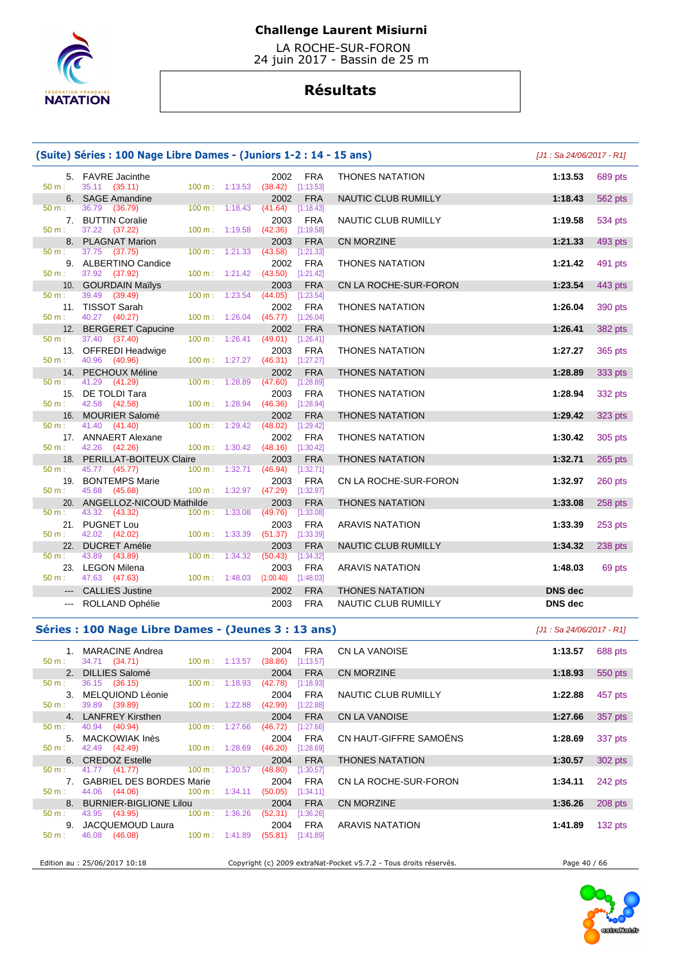

 LA ROCHE-SUR-FORON 24 juin 2017 - Bassin de 25 m

# **Résultats**

|               | (Suite) Séries : 100 Nage Libre Dames - (Juniors 1-2 : 14 - 15 ans) |                          |         |                                    |                            | [J1 : Sa 24/06/2017 - R1] |         |
|---------------|---------------------------------------------------------------------|--------------------------|---------|------------------------------------|----------------------------|---------------------------|---------|
|               | 5. FAVRE Jacinthe                                                   |                          |         | 2002<br><b>FRA</b>                 | <b>THONES NATATION</b>     | 1:13.53                   | 689 pts |
| 50 m:         | 35.11 (35.11)                                                       | $100 \text{ m}: 1:13.53$ |         | $(38.42)$ [1:13.53]                |                            |                           |         |
|               | 6. SAGE Amandine                                                    |                          |         | <b>FRA</b><br>2002                 | NAUTIC CLUB RUMILLY        | 1:18.43                   | 562 pts |
| 50 m:         | 36.79<br>(36.79)                                                    | 100 m: 1:18.43           |         | (41.64)<br>[1:18.43]               |                            |                           |         |
|               | 7. BUTTIN Coralie                                                   |                          |         | <b>FRA</b><br>2003                 | <b>NAUTIC CLUB RUMILLY</b> | 1:19.58                   | 534 pts |
| 50 m:         | 37.22 (37.22)                                                       | 100 m: 1:19.58           |         | $(42.36)$ [1:19.58]                |                            |                           |         |
|               | 8. PLAGNAT Marion                                                   |                          |         | <b>FRA</b><br>2003                 | <b>CN MORZINE</b>          | 1:21.33                   | 493 pts |
| $50 m$ :      | 37.75 (37.75)                                                       | $100 m$ :                | 1:21.33 | $(43.58)$ [1:21.33]                |                            |                           |         |
|               | 9. ALBERTINO Candice                                                |                          |         | 2002<br><b>FRA</b>                 | <b>THONES NATATION</b>     | 1:21.42                   | 491 pts |
| 50 m:         | 37.92 (37.92)                                                       | 100 m: 1:21.42           |         | (43.50)<br>[1:21.42]               |                            |                           |         |
|               | 10. GOURDAIN Mailys                                                 |                          |         | 2003<br><b>FRA</b>                 | CN LA ROCHE-SUR-FORON      | 1:23.54                   | 443 pts |
| 50 m:         | 39.49 (39.49)                                                       | 100 m:                   | 1:23.54 | (44.05)<br>$[1:23.54]$             |                            |                           |         |
|               | 11. TISSOT Sarah                                                    |                          |         | <b>FRA</b><br>2002                 | <b>THONES NATATION</b>     | 1:26.04                   | 390 pts |
| $50 m$ :      | 40.27 (40.27)                                                       | 100 m:                   | 1:26.04 | $(45.77)$ [1:26.04]                |                            |                           |         |
|               | 12. BERGERET Capucine                                               |                          |         | 2002<br><b>FRA</b>                 | <b>THONES NATATION</b>     | 1:26.41                   | 382 pts |
| 50 m:         | 37.40 (37.40)                                                       | $100 \text{ m}$ :        | 1:26.41 | $(49.01)$ [1:26.41]                |                            |                           |         |
|               | 13. OFFREDI Headwige                                                |                          |         | <b>FRA</b><br>2003                 | <b>THONES NATATION</b>     | 1:27.27                   | 365 pts |
| 50 m:         | 40.96 (40.96)                                                       | $100 m$ : 1:27.27        |         | $(46.31)$ [1:27.27]                |                            |                           |         |
|               | 14. PECHOUX Méline                                                  |                          |         | <b>FRA</b><br>2002                 | <b>THONES NATATION</b>     | 1:28.89                   | 333 pts |
| 50 m:         | 41.29 (41.29)                                                       | 100 m:                   | 1:28.89 | (47.60)<br>[1:28.89]               |                            |                           |         |
|               | 15. DE TOLDI Tara                                                   |                          |         | 2003<br><b>FRA</b>                 | <b>THONES NATATION</b>     | 1:28.94                   | 332 pts |
| $50 m$ :      | 42.58 (42.58)                                                       | 100 m: 1:28.94           |         | $(46.36)$ [1:28.94]                |                            |                           |         |
| 16.           | MOURIER Salomé                                                      |                          |         | <b>FRA</b><br>2002                 | <b>THONES NATATION</b>     | 1:29.42                   | 323 pts |
| 50 m:         | 41.40 (41.40)                                                       | 100 m: 1:29.42           |         | (48.02)<br>[1:29.42]               |                            |                           |         |
|               | 17. ANNAERT Alexane                                                 |                          |         | 2002<br><b>FRA</b>                 | <b>THONES NATATION</b>     | 1:30.42                   | 305 pts |
| $50 m$ :      | 42.26 (42.26)                                                       | 100 m: 1:30.42           |         | $(48.16)$ [1:30.42]                |                            |                           |         |
|               | 18. PERILLAT-BOITEUX Claire                                         |                          |         | 2003<br><b>FRA</b>                 | <b>THONES NATATION</b>     | 1:32.71                   | 265 pts |
| 50 m:         | 45.77 (45.77)                                                       | 100 m:                   | 1:32.71 | (46.94)<br>[1:32.71]               |                            |                           |         |
| 19.           | <b>BONTEMPS Marie</b>                                               |                          |         | 2003<br><b>FRA</b>                 | CN LA ROCHE-SUR-FORON      | 1:32.97                   | 260 pts |
| 50 m:         | 45.68 (45.68)                                                       | 100 m: 1:32.97           |         | $(47.29)$ [1:32.97]                |                            |                           |         |
|               | 20. ANGELLOZ-NICOUD Mathilde                                        |                          |         | 2003<br><b>FRA</b>                 | <b>THONES NATATION</b>     | 1:33.08                   | 258 pts |
| $50 m$ :      | 43.32 (43.32)                                                       | 100 m: 1:33.08           |         | (49.76)<br>[1:33.08]               |                            |                           |         |
|               | 21. PUGNET Lou                                                      |                          |         | <b>FRA</b><br>2003                 | <b>ARAVIS NATATION</b>     | 1:33.39                   | 253 pts |
| 50 m:         | 42.02 (42.02)                                                       | 100 m:                   | 1:33.39 | (51.37)<br>[1:33.39]               |                            |                           |         |
|               | 22. DUCRET Amélie                                                   |                          |         | <b>FRA</b><br>2003                 | <b>NAUTIC CLUB RUMILLY</b> | 1:34.32                   | 238 pts |
| 50 m:         | 43.89 (43.89)                                                       | 100 m:                   | 1:34.32 | (50.43)<br>[1:34.32]               |                            |                           |         |
|               | 23. LEGON Milena                                                    |                          |         | <b>FRA</b><br>2003                 | <b>ARAVIS NATATION</b>     | 1:48.03                   | 69 pts  |
| 50 m:         | 47.63 (47.63)                                                       |                          |         | 100 m: 1:48.03 (1:00.40) [1:48.03] |                            |                           |         |
| $---$         | <b>CALLIES Justine</b>                                              |                          |         | <b>FRA</b><br>2002                 | <b>THONES NATATION</b>     | <b>DNS</b> dec            |         |
|               |                                                                     |                          |         |                                    |                            |                           |         |
| $\sim$ $\sim$ | ROLLAND Ophélie                                                     |                          |         | <b>FRA</b><br>2003                 | <b>NAUTIC CLUB RUMILLY</b> | <b>DNS</b> dec            |         |

### **Séries : 100 Nage Libre Dames - (Jeunes 3 : 13 ans)** [J1 : Sa 24/06/2017 - R1]

| 50 m:            | 1. MARACINE Andrea<br>34.71 (34.71)           | $100 \text{ m}: 1:13.57$  | FRA<br>2004<br>(38.86)<br>[1:13.57] | CN LA VANOISE          | 1:13.57 | 688 pts   |
|------------------|-----------------------------------------------|---------------------------|-------------------------------------|------------------------|---------|-----------|
|                  | 2. DILLIES Salomé                             |                           | <b>FRA</b><br>2004                  | CN MORZINE             | 1:18.93 | 550 pts   |
| $50 \text{ m}$ : | 36.15 (36.15)                                 | 100 m : 1:18.93           | (42.78)<br>[1:18.93]                |                        |         |           |
|                  | 3. MELQUIOND Léonie                           |                           | <b>FRA</b><br>2004                  | NAUTIC CLUB RUMILLY    | 1:22.88 | 457 pts   |
| 50 m:            | 39.89 ( <b>39.89</b> )                        | $100 \text{ m}: 1:22.88$  | (42.99)<br>[1:22.88]                |                        |         |           |
|                  | 4. LANFREY Kirsthen                           |                           | <b>FRA</b><br>2004                  | <b>CN LA VANOISE</b>   | 1:27.66 | 357 pts   |
| 50 m:            | 40.94 (40.94)                                 | 100 m : 1:27.66           | (46.72)<br>[1:27.66]                |                        |         |           |
|                  | 5. MACKOWIAK Inès                             |                           | <b>FRA</b><br>2004                  | CN HAUT-GIFFRE SAMOËNS | 1:28.69 | 337 pts   |
| $50 \text{ m}$ : | 42.49 (42.49) 100 m : 1:28.69                 |                           | [1:28.69]<br>(46.20)                |                        |         |           |
|                  | 6. CREDOZ Estelle                             |                           | 2004<br><b>FRA</b>                  | <b>THONES NATATION</b> | 1:30.57 | 302 pts   |
|                  | $50 \text{ m}:$ 41.77 (41.77) 100 m : 1:30.57 |                           | (48.80)<br>[1:30.57]                |                        |         |           |
|                  | 7. GABRIEL DES BORDES Marie                   |                           | 2004<br><b>FRA</b>                  | CN LA ROCHE-SUR-FORON  | 1:34.11 | 242 pts   |
| $50 \text{ m}$ : | 44.06 (44.06)                                 | $100 \text{ m}$ : 1:34.11 | (50.05)<br>[1:34.11]                |                        |         |           |
|                  | 8. BURNIER-BIGLIONE Lilou                     |                           | <b>FRA</b><br>2004                  | CN MORZINE             | 1:36.26 | 208 pts   |
| 50 m:            | 43.95 (43.95) 100 m : 1:36.26                 |                           | [1:36.26]<br>(52.31)                |                        |         |           |
|                  | 9. JACQUEMOUD Laura                           |                           | 2004<br>FRA                         | <b>ARAVIS NATATION</b> | 1:41.89 | $132$ pts |
| $50 \text{ m}$ : | (46.08)<br>46.08                              | $100 \text{ m}$ : 1:41.89 | (55.81)<br>[1:41.89]                |                        |         |           |
|                  |                                               |                           |                                     |                        |         |           |

Edition au : 25/06/2017 10:18 Copyright (c) 2009 extraNat-Pocket v5.7.2 - Tous droits réservés. Page 40 / 66

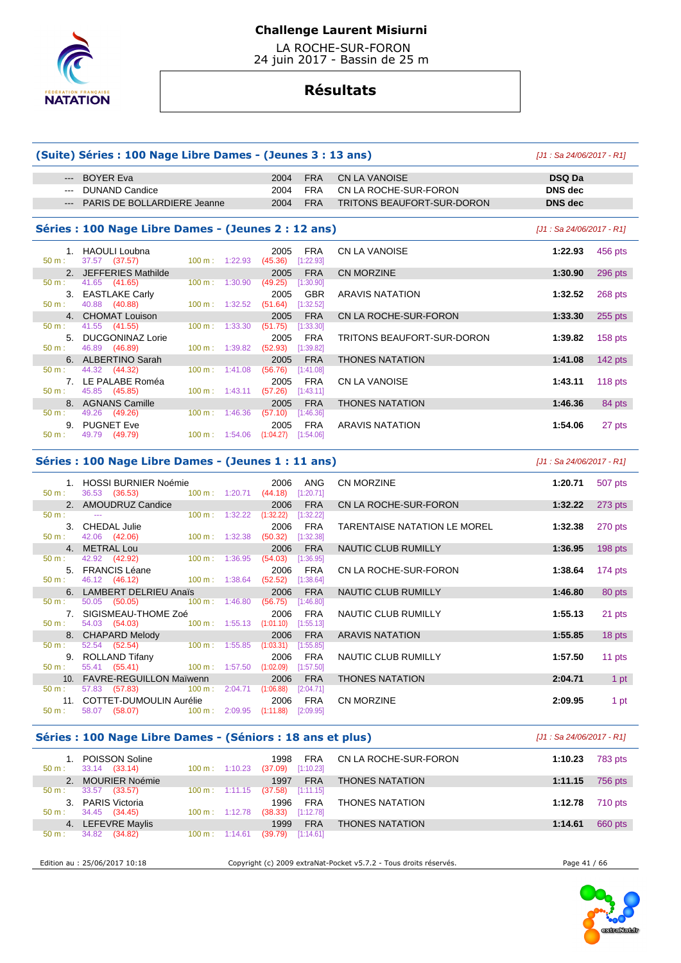

 LA ROCHE-SUR-FORON 24 juin 2017 - Bassin de 25 m

# **Résultats**

### **(Suite) Séries : 100 Nage Libre Dames - (Jeunes 3 : 13 ans)** [J1 : Sa 24/06/2017 - R1]

# --- BOYER Eva 2004 FRA CN LA VANOISE **DSQ Da**  --- DUNAND Candice 2004 FRA CN LA ROCHE-SUR-FORON **DNS dec**  --- PARIS DE BOLLARDIERE Jeanne 2004 FRA TRITONS BEAUFORT-SUR-DORON **DNS dec**

### Séries : 100 Nage Libre Dames - (Jeunes 2 : 12 ans)

|                  | 1. HAOULI Loubna        |                           |         | 2005      | <b>FRA</b> |  |
|------------------|-------------------------|---------------------------|---------|-----------|------------|--|
| 50 m:            | 37.57 (37.57)           | $100 \text{ m}$ : 1:22.93 |         | (45.36)   | [1:22.93]  |  |
| 2.               | JEFFERIES Mathilde      |                           |         | 2005      | <b>FRA</b> |  |
| $50 \text{ m}$ : | 41.65 (41.65)           | 100 m:                    | 1:30.90 | (49.25)   | [1:30.90]  |  |
| 3.               | <b>EASTLAKE Carly</b>   |                           |         | 2005      | <b>GBR</b> |  |
| $50 m$ :         | 40.88 (40.88)           | 100 m:                    | 1:32.52 | (51.64)   | [1:32.52]  |  |
| 4.               | <b>CHOMAT Louison</b>   |                           |         | 2005      | <b>FRA</b> |  |
| $50 \text{ m}$ : | 41.55 (41.55)           | 100 m:                    | 1:33.30 | (51.75)   | [1:33.30]  |  |
| 5.               | <b>DUCGONINAZ Lorie</b> |                           |         | 2005      | <b>FRA</b> |  |
| $50 \text{ m}$ : | 46.89 (46.89)           | 100 m:                    | 1:39.82 | (52.93)   | [1:39.82]  |  |
| 6.               | <b>ALBERTINO Sarah</b>  |                           |         | 2005      | <b>FRA</b> |  |
| $50 \text{ m}$ : | 44.32 (44.32)           | 100 m:                    | 1:41.08 | (56.76)   | [1:41.08]  |  |
| 7 <sub>1</sub>   | LE PALABE Roméa         |                           |         | 2005      | <b>FRA</b> |  |
| 50 m:            | 45.85 (45.85)           | 100 m:                    | 1:43.11 | (57.26)   | [1:43.11]  |  |
| 8.               | <b>AGNANS Camille</b>   |                           |         | 2005      | <b>FRA</b> |  |
| $50 \text{ m}$ : | 49.26 (49.26)           | 100 m:                    | 1:46.36 | (57.10)   | [1:46.36]  |  |
| 9.               | <b>PUGNET Eve</b>       |                           |         | 2005      | <b>FRA</b> |  |
| 50 m:            | 49.79 (49.79)           | 100 m:                    | 1:54.06 | (1:04.27) | [1:54.06]  |  |

| s : 100 Nage Libre Dames - (Jeunes 2 : 12 ans) |                                  |                                            |                            | [J1 : Sa 24/06/2017 - R1] |           |
|------------------------------------------------|----------------------------------|--------------------------------------------|----------------------------|---------------------------|-----------|
| 1. HAOULI Loubna<br>37.57 (37.57)              | 1:22.93<br>$100 \text{ m}$ :     | <b>FRA</b><br>2005<br>(45.36)<br>[1:22.93] | CN LA VANOISE              | 1:22.93                   | 456 pts   |
| 2. JEFFERIES Mathilde                          |                                  | <b>FRA</b><br>2005                         | <b>CN MORZINE</b>          | 1:30.90                   | $296$ pts |
| 41.65 (41.65)                                  | 1:30.90<br>$100 \text{ m}$ :     | (49.25)<br>[1:30.90]                       |                            |                           |           |
| 3. EASTLAKE Carly                              |                                  | <b>GBR</b><br>2005                         | ARAVIS NATATION            | 1:32.52                   | 268 pts   |
| 40.88 (40.88)                                  | 1:32.52<br>$100 \text{ m}$ :     | [1:32.52]<br>(51.64)                       |                            |                           |           |
| 4. CHOMAT Louison                              |                                  | <b>FRA</b><br>2005                         | CN LA ROCHE-SUR-FORON      | 1:33.30                   | $255$ pts |
| 41.55 (41.55)                                  | 1:33.30<br>100 m:                | (51.75)<br>[1:33.30]                       |                            |                           |           |
| 5. DUCGONINAZ Lorie                            |                                  | <b>FRA</b><br>2005                         | TRITONS BEAUFORT-SUR-DORON | 1:39.82                   | $158$ pts |
| 46.89 (46.89)                                  | 1:39.82<br>$100 \text{ m}$ :     | (52.93)<br>[1:39.82]                       |                            |                           |           |
| 6. ALBERTINO Sarah                             |                                  | <b>FRA</b><br>2005                         | <b>THONES NATATION</b>     | 1:41.08                   | 142 $pts$ |
| 44.32 (44.32)                                  | 1:41.08<br>100 m:                | (56.76)<br>$[1:41.08]$                     |                            |                           |           |
| 7. LE PALABE Roméa                             |                                  | <b>FRA</b><br>2005                         | <b>CN LA VANOISE</b>       | 1:43.11                   | $118$ pts |
| 45.85 (45.85)                                  | $100 \text{ m}: 1:43.11$         | (57.26)<br>[1:43.11]                       |                            |                           |           |
| 8. AGNANS Camille                              |                                  | <b>FRA</b><br>2005                         | <b>THONES NATATION</b>     | 1:46.36                   | 84 pts    |
| 49.26 (49.26)                                  | 1:46.36<br>$100 \text{ m}$ :     | (57.10)<br>[1:46.36]                       |                            |                           |           |
| 9. PUGNET Eve                                  |                                  | FRA<br>2005                                | <b>ARAVIS NATATION</b>     | 1:54.06                   | 27 pts    |
|                                                | $\sim$ $\sim$ $\sim$<br>$\cdots$ |                                            |                            |                           |           |

# **Séries : 100 Nage Libre Dames - (Jeunes 1 : 11 ans)** [J1 : Sa 24/06/2017 - R1]

| 1. HOSSI BURNIER Noémie<br>36.53 (36.53) 100 m : 1:20.71 (44.18) [1:20.71]<br>50 m:                                                                                                                                            | 2006<br><b>ANG</b>     | <b>CN MORZINE</b>                                   | 1:20.71 | 507 pts   |
|--------------------------------------------------------------------------------------------------------------------------------------------------------------------------------------------------------------------------------|------------------------|-----------------------------------------------------|---------|-----------|
| 2. AMOUDRUZ Candice                                                                                                                                                                                                            | <b>FRA</b><br>2006     | CN LA ROCHE-SUR-FORON DELLETION CONTROL DELL'UNIONE | 1:32.22 | 273 pts   |
| $100 \text{ m}: 1:32.22$<br>$50 \text{ m}$ :<br>see the contract of the contract of the                                                                                                                                        | (1:32.22)<br>[1:32.22] |                                                     |         |           |
| 3. CHEDAL Julie                                                                                                                                                                                                                | 2006<br>FRA            | TARENTAISE NATATION LE MOREL                        | 1:32.38 | 270 pts   |
| 50 m : 42.06 (42.06) 100 m : 1:32.38                                                                                                                                                                                           | (50.32)<br>[1:32.38]   |                                                     |         |           |
| 4. METRAL Lou                                                                                                                                                                                                                  | <b>FRA</b><br>2006     | NAUTIC CLUB RUMILLY                                 | 1:36.95 | $198$ pts |
| 50 m : 42.92 (42.92) 100 m : 1:36.95                                                                                                                                                                                           | $(54.03)$ [1:36.95]    |                                                     |         |           |
| 5. FRANCIS Léane                                                                                                                                                                                                               | FRA<br>2006            | CN LA ROCHE-SUR-FORON                               | 1:38.64 | 174 $pts$ |
| 46.12 (46.12) 100 m : 1:38.64<br>50 m:                                                                                                                                                                                         | $(52.52)$ [1:38.64]    |                                                     |         |           |
| 6. LAMBERT DELRIEU Anaïs                                                                                                                                                                                                       | 2006<br><b>FRA</b>     | NAUTIC CLUB RUMILLY                                 | 1:46.80 | 80 pts    |
| 50.05 (50.05) 100 m : 1:46.80<br>50 m:                                                                                                                                                                                         | (56.75)<br>[1:46.80]   |                                                     |         |           |
| 7. SIGISMEAU-THOME Zoé                                                                                                                                                                                                         | <b>FRA</b><br>2006     | NAUTIC CLUB RUMILLY                                 | 1:55.13 | 21 pts    |
| 50 m : 54.03 (54.03) 100 m : 1:55.13 (1:01.10) [1:55.13]                                                                                                                                                                       |                        |                                                     |         |           |
| 8. CHAPARD Melody and the control of the control of the control of the control of the control of the control of the control of the control of the control of the control of the control of the control of the control of the c | <b>FRA</b><br>2006     | ARAVIS NATATION                                     | 1:55.85 | 18 pts    |
| $52.54$ $(52.54)$ $100 \text{ m}$ : 1:55.85<br>50 m:                                                                                                                                                                           | (1:03.31)<br>[1:55.85] |                                                     |         |           |
| 9. ROLLAND Tifany                                                                                                                                                                                                              | 2006<br>FRA            | NAUTIC CLUB RUMILLY                                 | 1:57.50 | 11 pts    |
| 55.41 (55.41) 100 m : 1:57.50 (1:02.09)<br>50 m:                                                                                                                                                                               | [1:57.50]              |                                                     |         |           |
| 10. FAVRE-REGUILLON Maïwenn                                                                                                                                                                                                    | <b>FRA</b><br>2006     | <b>THONES NATATION</b>                              | 2:04.71 | 1 pt      |
| 57.83 (57.83) 100 m : 2:04.71<br>50 m:                                                                                                                                                                                         | (1:06.88)<br>[2:04.71] |                                                     |         |           |
| 11. COTTET-DUMOULIN Aurélie                                                                                                                                                                                                    | 2006<br><b>FRA</b>     | <b>CN MORZINE</b>                                   | 2:09.95 | 1 pt      |
| 58.07 (58.07) 100 m : 2:09.95 (1:11.88)<br>50 m:                                                                                                                                                                               | [2:09.95]              |                                                     |         |           |

### **Séries : 100 Nage Libre Dames - (Séniors : 18 ans et plus)** [J1 : Sa 24/06/2017 - R1]

| $50 m$ :    | POISSON Soline<br>33.14 (33.14) | $100 \text{ m}$ : 1:10.23    | <b>FRA</b><br>1998<br>[1:10.23]<br>(37.09) | CN LA ROCHE-SUR-FORON  | 1:10.23<br><b>783 pts</b> |
|-------------|---------------------------------|------------------------------|--------------------------------------------|------------------------|---------------------------|
|             | <b>MOURIER Noémie</b>           |                              | <b>FRA</b><br>1997                         | <b>THONES NATATION</b> | 1:11.15<br>756 pts        |
| $50 m$ :    | 33.57<br>(33.57)                | $100 \text{ m}: 1:11.15$     | [1:11.15]<br>(37.58)                       |                        |                           |
| $3^{\circ}$ | PARIS Victoria                  |                              | <b>FRA</b><br>1996                         | <b>THONES NATATION</b> | 710 pts<br>1:12.78        |
| $50 m$ :    | 34.45 (34.45)                   | $100 \text{ m}: 1:12.78$     | [1:12.78]<br>(38.33)                       |                        |                           |
|             | 4. LEFEVRE Maylis               |                              | <b>FRA</b><br>1999                         | <b>THONES NATATION</b> | 660 pts<br>1:14.61        |
| $50 m$ :    | 34.82<br>(34.82)                | $100 \text{ m}$ :<br>1:14.61 | [1:14.61]<br>(39.79)                       |                        |                           |

Edition au : 25/06/2017 10:18 Copyright (c) 2009 extraNat-Pocket v5.7.2 - Tous droits réservés. Page 41 / 66

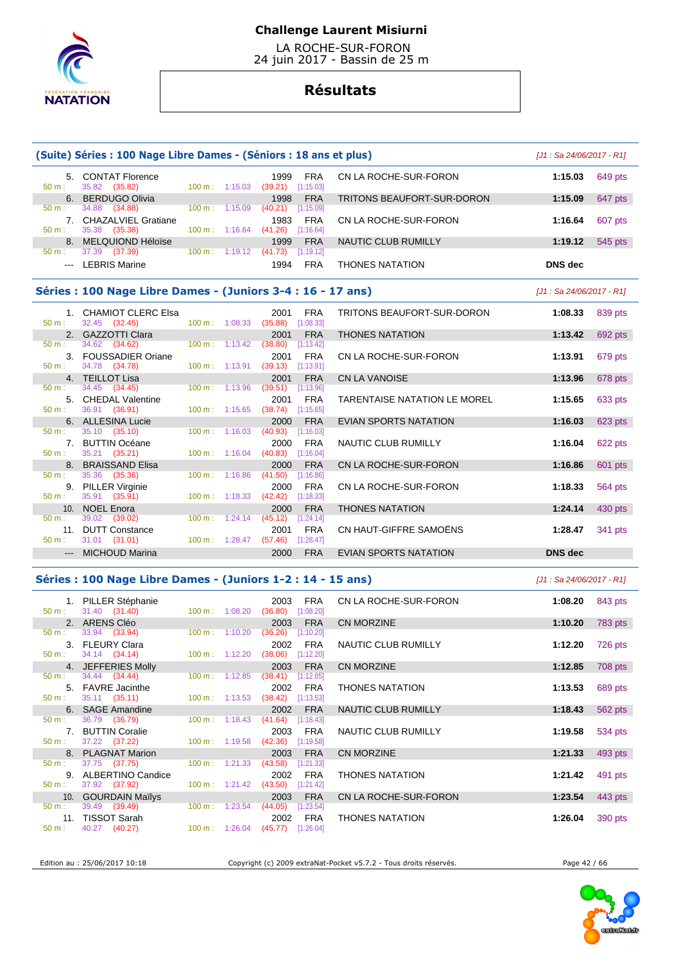

 LA ROCHE-SUR-FORON 24 juin 2017 - Bassin de 25 m

# **Résultats**

|                                                                                                                                                                                                                                                                                                                                                                                                                                                                            | (Suite) Séries : 100 Nage Libre Dames - (Séniors : 18 ans et plus) |                   |                           |                                             |                         |                                     | $[J1: Sa 24/06/2017 - R1]$ |                |
|----------------------------------------------------------------------------------------------------------------------------------------------------------------------------------------------------------------------------------------------------------------------------------------------------------------------------------------------------------------------------------------------------------------------------------------------------------------------------|--------------------------------------------------------------------|-------------------|---------------------------|---------------------------------------------|-------------------------|-------------------------------------|----------------------------|----------------|
| 50 m:                                                                                                                                                                                                                                                                                                                                                                                                                                                                      | 5. CONTAT Florence<br>35.82 (35.82)                                |                   | 100 m: 1:15.03            | 1999<br>$(39.21)$ [1:15.03]                 | <b>FRA</b>              | CN LA ROCHE-SUR-FORON               | 1:15.03                    | 649 pts        |
| 6.                                                                                                                                                                                                                                                                                                                                                                                                                                                                         | <b>BERDUGO Olivia</b>                                              |                   |                           | 1998                                        | <b>FRA</b>              | TRITONS BEAUFORT-SUR-DORON          | 1:15.09                    | 647 pts        |
| 50 m:                                                                                                                                                                                                                                                                                                                                                                                                                                                                      | 34.88<br>(34.88)                                                   |                   | $100 \text{ m}: 1:15.09$  | $(40.21)$ [1:15.09]                         |                         |                                     |                            |                |
| $50 m$ :                                                                                                                                                                                                                                                                                                                                                                                                                                                                   | 7. CHAZALVIEL Gratiane<br>35.38 (35.38)                            |                   |                           | 1983                                        | FRA                     | CN LA ROCHE-SUR-FORON               | 1:16.64                    | 607 pts        |
|                                                                                                                                                                                                                                                                                                                                                                                                                                                                            | 8. MELQUIOND Héloïse                                               |                   | $100 \text{ m}: 1:16.64$  | (41.26)<br>1999                             | [1:16.64]<br><b>FRA</b> | NAUTIC CLUB RUMILLY                 | 1:19.12                    | 545 pts        |
| 50 m:                                                                                                                                                                                                                                                                                                                                                                                                                                                                      | 37.39 (37.39)                                                      |                   | $100 \text{ m}: 1:19.12$  | (41.73)                                     | [1:19.12]               |                                     |                            |                |
| $\frac{1}{2} \left( \frac{1}{2} \right) \left( \frac{1}{2} \right) \left( \frac{1}{2} \right) \left( \frac{1}{2} \right) \left( \frac{1}{2} \right) \left( \frac{1}{2} \right) \left( \frac{1}{2} \right) \left( \frac{1}{2} \right) \left( \frac{1}{2} \right) \left( \frac{1}{2} \right) \left( \frac{1}{2} \right) \left( \frac{1}{2} \right) \left( \frac{1}{2} \right) \left( \frac{1}{2} \right) \left( \frac{1}{2} \right) \left( \frac{1}{2} \right) \left( \frac$ | <b>LEBRIS Marine</b>                                               |                   |                           | 1994                                        | <b>FRA</b>              | <b>THONES NATATION</b>              | <b>DNS</b> dec             |                |
|                                                                                                                                                                                                                                                                                                                                                                                                                                                                            | Séries : 100 Nage Libre Dames - (Juniors 3-4 : 16 - 17 ans)        |                   |                           |                                             |                         |                                     | $[J1: Sa 24/06/2017 - R1]$ |                |
| 50 m:                                                                                                                                                                                                                                                                                                                                                                                                                                                                      | 1. CHAMIOT CLERC Elsa<br>32.45 (32.45)                             |                   | $100 \text{ m}: 1:08.33$  | 2001<br>(35.88)                             | FRA<br>[1:08.33]        | TRITONS BEAUFORT-SUR-DORON          | 1:08.33                    | 839 pts        |
|                                                                                                                                                                                                                                                                                                                                                                                                                                                                            | 2. GAZZOTTI Clara                                                  |                   |                           | 2001                                        | <b>FRA</b>              | <b>THONES NATATION</b>              | 1:13.42                    | 692 pts        |
| 50 m:                                                                                                                                                                                                                                                                                                                                                                                                                                                                      | 34.62 (34.62)                                                      |                   | $100 \text{ m}: 1:13.42$  | (38.80)                                     | [1:13.42]               |                                     |                            |                |
| 50 m:                                                                                                                                                                                                                                                                                                                                                                                                                                                                      | 3. FOUSSADIER Oriane<br>34.78 (34.78)                              |                   | $100 \text{ m}: 1:13.91$  | 2001<br>(39.13)                             | <b>FRA</b><br>[1:13.91] | CN LA ROCHE-SUR-FORON               | 1:13.91                    | 679 pts        |
|                                                                                                                                                                                                                                                                                                                                                                                                                                                                            | 4. TEILLOT Lisa                                                    |                   |                           | 2001                                        | <b>FRA</b>              | CN LA VANOISE                       | 1:13.96                    | 678 pts        |
| 50 m:                                                                                                                                                                                                                                                                                                                                                                                                                                                                      | 34.45 (34.45)<br>5. CHEDAL Valentine                               |                   | $100 \text{ m}: 1:13.96$  | (39.51)<br>2001                             | [1:13.96]<br><b>FRA</b> | <b>TARENTAISE NATATION LE MOREL</b> | 1:15.65                    | 633 pts        |
| 50 m:                                                                                                                                                                                                                                                                                                                                                                                                                                                                      | 36.91 (36.91)                                                      |                   | $100 \text{ m}: 1:15.65$  | (38.74)                                     | [1:15.65]               |                                     |                            |                |
|                                                                                                                                                                                                                                                                                                                                                                                                                                                                            | 6. ALLESINA Lucie                                                  |                   | $100 \text{ m}$ : 1:16.03 | 2000                                        | <b>FRA</b>              | EVIAN SPORTS NATATION               | 1:16.03                    | 623 pts        |
| 50 m:                                                                                                                                                                                                                                                                                                                                                                                                                                                                      | 35.10 (35.10)<br>7. BUTTIN Océane                                  |                   |                           | (40.93)<br>2000                             | [1:16.03]<br><b>FRA</b> | NAUTIC CLUB RUMILLY                 | 1:16.04                    | 622 pts        |
| 50 m:                                                                                                                                                                                                                                                                                                                                                                                                                                                                      | 35.21 (35.21)                                                      |                   | $100 \text{ m}: 1:16.04$  | $(40.83)$ [1:16.04]                         |                         |                                     |                            |                |
| 50 m:                                                                                                                                                                                                                                                                                                                                                                                                                                                                      | 8. BRAISSAND Elisa<br>35.36<br>(35.36)                             | $100 \text{ m}$ : | 1:16.86                   | 2000<br>(41.50)                             | <b>FRA</b><br>[1:16.86] | CN LA ROCHE-SUR-FORON               | 1:16.86                    | 601 pts        |
| 50 m:                                                                                                                                                                                                                                                                                                                                                                                                                                                                      | 9. PILLER Virginie<br>35.91 (35.91)                                |                   | $100 \text{ m}: 1:18.33$  | 2000<br>(42.42)                             | <b>FRA</b><br>[1:18.33] | CN LA ROCHE-SUR-FORON               | 1:18.33                    | 564 pts        |
|                                                                                                                                                                                                                                                                                                                                                                                                                                                                            | 10. NOEL Enora                                                     |                   |                           | 2000                                        | <b>FRA</b>              | <b>THONES NATATION</b>              | 1:24.14                    | 430 pts        |
| 50 m:                                                                                                                                                                                                                                                                                                                                                                                                                                                                      | 39.02 (39.02)<br>11. DUTT Constance                                |                   | $100 \text{ m}: 1:24.14$  | (45.12)<br>2001                             | [1:24.14]<br><b>FRA</b> | CN HAUT-GIFFRE SAMOENS              | 1:28.47                    | 341 pts        |
| 50 m:                                                                                                                                                                                                                                                                                                                                                                                                                                                                      | 31.01 (31.01)                                                      |                   | 100 m: 1:28.47            | (57.46)                                     | [1:28.47]               |                                     |                            |                |
| $\frac{1}{2} \left( \frac{1}{2} \right) \left( \frac{1}{2} \right) \left( \frac{1}{2} \right) \left( \frac{1}{2} \right) \left( \frac{1}{2} \right) \left( \frac{1}{2} \right) \left( \frac{1}{2} \right) \left( \frac{1}{2} \right) \left( \frac{1}{2} \right) \left( \frac{1}{2} \right) \left( \frac{1}{2} \right) \left( \frac{1}{2} \right) \left( \frac{1}{2} \right) \left( \frac{1}{2} \right) \left( \frac{1}{2} \right) \left( \frac{1}{2} \right) \left( \frac$ | <b>MICHOUD Marina</b>                                              |                   |                           | 2000                                        | <b>FRA</b>              | EVIAN SPORTS NATATION               | <b>DNS</b> dec             |                |
|                                                                                                                                                                                                                                                                                                                                                                                                                                                                            | Séries : 100 Nage Libre Dames - (Juniors 1-2 : 14 - 15 ans)        |                   |                           |                                             |                         |                                     | $[J1: Sa 24/06/2017 - R1]$ |                |
| 50 m:                                                                                                                                                                                                                                                                                                                                                                                                                                                                      | 1. PILLER Stéphanie<br>31.40 (31.40)                               |                   | 100 m: 1:08.20            | 2003<br>$(36.80)$ [1:08.20]                 | FRA                     | CN LA ROCHE-SUR-FORON               | 1:08.20                    | 843 pts        |
|                                                                                                                                                                                                                                                                                                                                                                                                                                                                            | 2. ARENS Cléo                                                      |                   |                           | 2003                                        | <b>FRA</b>              | <b>CN MORZINE</b>                   | 1:10.20                    | <b>783 pts</b> |
| 50 m:                                                                                                                                                                                                                                                                                                                                                                                                                                                                      | 33.94 (33.94)<br>3. FLEURY Clara                                   |                   | $100 \text{ m}$ : 1:10.20 | $(36.26)$ [1:10.20]                         | 2002 FRA                | NAUTIC CLUB RUMILLY                 | 1:12.20 726 pts            |                |
| 50 m:                                                                                                                                                                                                                                                                                                                                                                                                                                                                      | 34.14 (34.14)                                                      |                   |                           | $100 \text{ m}$ : 1:12.20 (38.06) [1:12.20] |                         |                                     |                            |                |
|                                                                                                                                                                                                                                                                                                                                                                                                                                                                            | 4. JEFFERIES Molly                                                 |                   |                           | 2003                                        | <b>FRA</b>              | CN MORZINE                          | 1:12.85                    | 708 pts        |
| 50 m:                                                                                                                                                                                                                                                                                                                                                                                                                                                                      | 34.44 (34.44)<br>5. FAVRE Jacinthe                                 |                   | $100 \text{ m}: 1:12.85$  | $(38.41)$ [1:12.85]<br>2002                 | <b>FRA</b>              | <b>THONES NATATION</b>              | 1:13.53                    | 689 pts        |
| 50 m:                                                                                                                                                                                                                                                                                                                                                                                                                                                                      | 35.11 (35.11)                                                      |                   | $100 \text{ m}: 1:13.53$  | $(38.42)$ [1:13.53]                         |                         |                                     |                            |                |
| 6.<br>50 m:                                                                                                                                                                                                                                                                                                                                                                                                                                                                | <b>SAGE Amandine</b><br>36.79 (36.79)                              |                   | $100 \text{ m}: 1:18.43$  | 2002                                        | <b>FRA</b>              | NAUTIC CLUB RUMILLY                 | 1:18.43                    | 562 pts        |
|                                                                                                                                                                                                                                                                                                                                                                                                                                                                            | 7. BUTTIN Coralie                                                  |                   |                           | (41.64)<br>2003                             | [1:18.43]<br><b>FRA</b> | NAUTIC CLUB RUMILLY                 | 1:19.58                    | 534 pts        |
| $50 m$ :                                                                                                                                                                                                                                                                                                                                                                                                                                                                   | 37.22 (37.22)                                                      |                   |                           | 100 m: 1:19.58 (42.36) [1:19.58]            |                         |                                     |                            |                |
|                                                                                                                                                                                                                                                                                                                                                                                                                                                                            | 8. PLAGNAT Marion                                                  |                   | $100 \text{ m}: 1:21.33$  | 2003<br>$(43.58)$ [1:21.33]                 | <b>FRA</b>              | CN MORZINE                          | 1:21.33                    | 493 pts        |
|                                                                                                                                                                                                                                                                                                                                                                                                                                                                            |                                                                    |                   |                           | 2002                                        | <b>FRA</b>              | <b>THONES NATATION</b>              | 1:21.42                    | 491 pts        |
| 50 m:                                                                                                                                                                                                                                                                                                                                                                                                                                                                      | 37.75 (37.75)<br>9. ALBERTINO Candice                              |                   |                           |                                             |                         |                                     |                            |                |
| 50 m:                                                                                                                                                                                                                                                                                                                                                                                                                                                                      | 37.92 (37.92)                                                      |                   |                           | 100 m : 1:21.42 (43.50) [1:21.42]           |                         |                                     |                            |                |
|                                                                                                                                                                                                                                                                                                                                                                                                                                                                            | 10. GOURDAIN Mailys                                                |                   |                           | 2003                                        | <b>FRA</b>              | CN LA ROCHE-SUR-FORON               | 1:23.54                    | 443 pts        |
| $50 m$ :                                                                                                                                                                                                                                                                                                                                                                                                                                                                   | 39.49 (39.49)<br>11. TISSOT Sarah                                  |                   | $100 \text{ m}: 1:23.54$  | $(44.05)$ [1:23.54]<br>2002                 | <b>FRA</b>              | <b>THONES NATATION</b>              | 1:26.04                    | 390 pts        |

Edition au : 25/06/2017 10:18 Copyright (c) 2009 extraNat-Pocket v5.7.2 - Tous droits réservés. Page 42 / 66

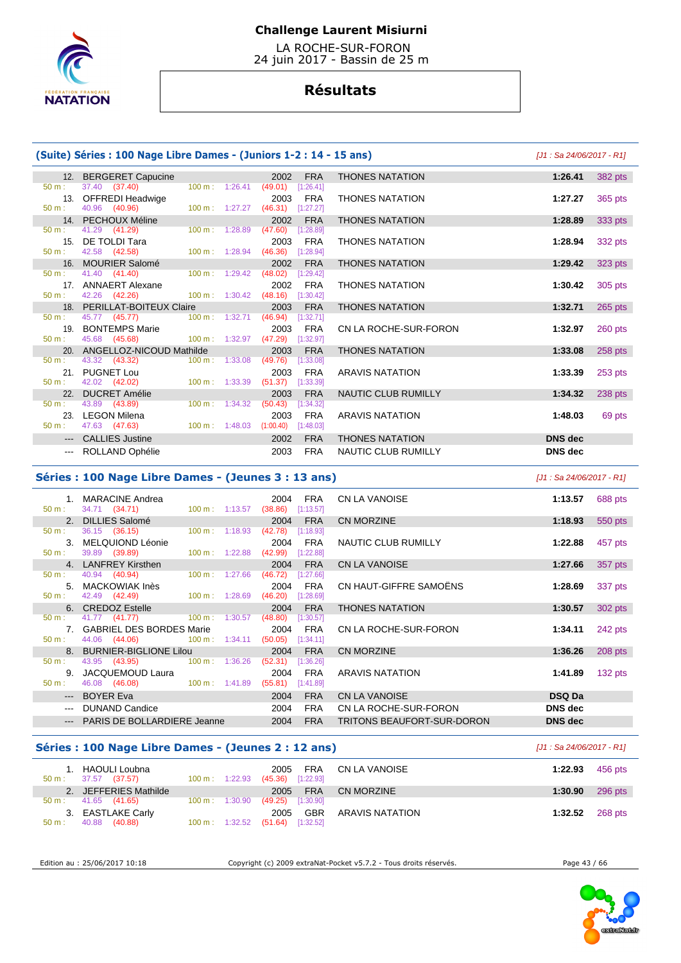

 LA ROCHE-SUR-FORON 24 juin 2017 - Bassin de 25 m

# **Résultats**

### **(Suite) Séries : 100 Nage Libre Dames - (Juniors 1-2 : 14 - 15 ans)** [J1 : Sa 24/06/2017 - R1]

|                  | 12. BERGERET Capucine                           |                                  | 2002                             | <b>FRA</b>          | <b>THONES NATATION</b>     | 1:26.41        | 382 pts |
|------------------|-------------------------------------------------|----------------------------------|----------------------------------|---------------------|----------------------------|----------------|---------|
| $50 \text{ m}$ : | 37.40 (37.40)                                   |                                  | 100 m: 1:26.41 (49.01) [1:26.41] |                     |                            |                |         |
|                  | 13. OFFREDI Headwige                            |                                  | 2003                             | <b>FRA</b>          | <b>THONES NATATION</b>     | 1:27.27        | 365 pts |
| $50 m$ :         | 40.96 (40.96) 100 m : 1:27.27                   |                                  |                                  | $(46.31)$ [1:27.27] |                            |                |         |
|                  | 14. PECHOUX Méline                              |                                  | 2002                             | <b>FRA</b>          | <b>THONES NATATION</b>     | 1:28.89        | 333 pts |
| $50 \text{ m}$ : | 41.29 (41.29)                                   | $100 \text{ m}$ : 1:28.89        | (47.60)                          | [1:28.89]           |                            |                |         |
|                  | 15. DE TOLDI Tara                               |                                  | 2003                             | FRA                 | <b>THONES NATATION</b>     | 1:28.94        | 332 pts |
| $50 \text{ m}$ : | 42.58 (42.58) 100 m : 1:28.94                   |                                  | (46.36)                          | [1:28.94]           |                            |                |         |
|                  | 16. MOURIER Salomé                              |                                  | 2002                             | <b>FRA</b>          | <b>THONES NATATION</b>     | 1:29.42        | 323 pts |
| $50 m$ :         | 41.40 (41.40)                                   | $100 \text{ m}: 1:29.42$ (48.02) |                                  | [1:29.42]           |                            |                |         |
|                  | 17. ANNAERT Alexane                             |                                  | 2002                             | FRA                 | <b>THONES NATATION</b>     | 1:30.42        | 305 pts |
| $50 m$ :         | 42.26 (42.26) 100 m : 1:30.42 (48.16) [1:30.42] |                                  |                                  |                     |                            |                |         |
|                  | 18. PERILLAT-BOITEUX Claire                     |                                  | 2003                             | <b>FRA</b>          | <b>THONES NATATION</b>     | 1:32.71        | 265 pts |
| $50 \text{ m}$ : | 45.77 (45.77) 100 m : 1:32.71                   |                                  | (46.94)                          | [1:32.71]           |                            |                |         |
|                  | 19. BONTEMPS Marie                              |                                  | 2003                             | FRA                 | CN LA ROCHE-SUR-FORON      | 1:32.97        | 260 pts |
| $50 \text{ m}$ : | 45.68 (45.68) 100 m : 1:32.97 (47.29)           |                                  |                                  | [1:32.97]           |                            |                |         |
|                  | 20. ANGELLOZ-NICOUD Mathilde                    |                                  | 2003                             | <b>FRA</b>          | <b>THONES NATATION</b>     | 1:33.08        | 258 pts |
| $50 m$ :         | 43.32 (43.32)                                   | 100 m: 1:33.08                   | (49.76)                          | [1:33.08]           |                            |                |         |
|                  | 21. PUGNET Lou                                  |                                  | 2003                             | FRA                 | <b>ARAVIS NATATION</b>     | 1:33.39        | 253 pts |
| 50 m:            | 42.02 (42.02) 100 m : 1:33.39 (51.37)           |                                  |                                  | [1:33.39]           |                            |                |         |
| 22.              | <b>DUCRET Amélie</b>                            |                                  | 2003                             | <b>FRA</b>          | NAUTIC CLUB RUMILLY        | 1:34.32        | 238 pts |
| 50 m:            | 43.89 (43.89)                                   | $100 \text{ m}: 1:34.32$         | (50.43)                          | [1:34.32]           |                            |                |         |
|                  | 23. LEGON Milena                                |                                  | 2003                             | FRA                 | <b>ARAVIS NATATION</b>     | 1:48.03        | 69 pts  |
| $50 m$ :         | 47.63 (47.63) 100 m : 1:48.03 (1:00.40)         |                                  |                                  | [1:48.03]           |                            |                |         |
|                  | --- CALLIES Justine                             |                                  | 2002                             | <b>FRA</b>          | <b>THONES NATATION</b>     | <b>DNS</b> dec |         |
|                  | --- ROLLAND Ophélie                             |                                  | 2003                             | <b>FRA</b>          | <b>NAUTIC CLUB RUMILLY</b> | DNS dec        |         |

#### **Séries : 100 Nage Libre Dames - (Jeunes 3 : 13 ans)** [J1 : Sa 24/06/2017 - R1]

| 50 m:            | 1. MARACINE Andrea<br>34.71 (34.71) | 100 m : 1:13.57 (38.86)  | 2004                | <b>FRA</b><br>[1:13.57] | <b>CN LA VANOISE</b>       | 1:13.57        | 688 pts   |
|------------------|-------------------------------------|--------------------------|---------------------|-------------------------|----------------------------|----------------|-----------|
|                  | 2. DILLIES Salomé                   |                          | 2004                | <b>FRA</b>              | <b>CN MORZINE</b>          | 1:18.93        | 550 pts   |
| 50 m:            | 36.15 (36.15)                       | $100 \text{ m}: 1:18.93$ | (42.78)             | [1:18.93]               |                            |                |           |
|                  | 3. MELQUIOND Léonie                 |                          | 2004                | FRA                     | NAUTIC CLUB RUMILLY        | 1:22.88        | 457 pts   |
| 50 m:            | 39.89 (39.89) 100 m : 1:22.88       |                          | (42.99)             | [1:22.88]               |                            |                |           |
|                  | 4. LANFREY Kirsthen                 |                          | 2004                | <b>FRA</b>              | <b>CN LA VANOISE</b>       | 1:27.66        | 357 pts   |
| 50 m:            | 40.94 (40.94)                       | $100 \text{ m}: 1:27.66$ | (46.72)             | [1:27.66]               |                            |                |           |
|                  | 5. MACKOWIAK Inès                   |                          | 2004                | <b>FRA</b>              | CN HAUT-GIFFRE SAMOËNS     | 1:28.69        | 337 pts   |
| $50 \text{ m}$ : | 42.49 (42.49) 100 m : 1:28.69       |                          | (46.20)             | [1:28.69]               |                            |                |           |
|                  | 6. CREDOZ Estelle                   |                          | 2004                | <b>FRA</b>              | <b>THONES NATATION</b>     | 1:30.57        | 302 pts   |
| 50 m:            | 41.77 (41.77) 100 m : 1:30.57       |                          | (48.80)             | [1:30.57]               |                            |                |           |
|                  | 7. GABRIEL DES BORDES Marie         |                          | 2004                | <b>FRA</b>              | CN LA ROCHE-SUR-FORON      | 1:34.11        | 242 pts   |
| 50 m:            | 44.06 (44.06) 100 m : 1:34.11       |                          | $(50.05)$ [1:34.11] |                         |                            |                |           |
|                  | 8. BURNIER-BIGLIONE Lilou           |                          | 2004                | <b>FRA</b>              | <b>CN MORZINE</b>          | 1:36.26        | $208$ pts |
| 50 m:            | 43.95 (43.95) 100 m : 1:36.26       |                          | (52.31)             | [1:36.26]               |                            |                |           |
|                  | 9. JACQUEMOUD Laura                 |                          | 2004                | <b>FRA</b>              | ARAVIS NATATION            | 1:41.89        | $132$ pts |
| 50 m:            | 46.08 (46.08) 100 m : 1:41.89       |                          | $(55.81)$ [1:41.89] |                         |                            |                |           |
|                  | --- BOYER Eva                       |                          | 2004                | <b>FRA</b>              | <b>CN LA VANOISE</b>       | <b>DSQ Da</b>  |           |
|                  | DUNAND Candice                      |                          | 2004                | <b>FRA</b>              | CN LA ROCHE-SUR-FORON      | <b>DNS</b> dec |           |
|                  | <b>PARIS DE BOLLARDIERE Jeanne</b>  |                          | 2004                | <b>FRA</b>              | TRITONS BEAUFORT-SUR-DORON | <b>DNS</b> dec |           |
|                  |                                     |                          |                     |                         |                            |                |           |

### **Séries : 100 Nage Libre Dames - (Jeunes 2 : 12 ans)** [J1 : Sa 24/06/2017 - R1]

| HAOULI Loubna<br>37.57 (37.57)<br>50 m: | $100 \text{ m}: 1:22.93$  | 2005<br>$(45.36)$ [1:22.93] | FRA CN LA VANOISE | 1:22.93 | 456 pts |
|-----------------------------------------|---------------------------|-----------------------------|-------------------|---------|---------|
| 2. JEFFERIES Mathilde                   |                           | <b>FRA</b><br>2005          | CN MORZINE        | 1:30.90 | 296 pts |
| $50 \text{ m}: 41.65 (41.65)$           | $100 \text{ m}$ : 1:30.90 | $(49.25)$ [1:30.90]         |                   |         |         |
| 3. EASTLAKE Carly                       |                           | GBR<br>2005                 | ARAVIS NATATION   | 1:32.52 | 268 pts |
| 40.88<br>(40.88)<br>50 m:               | $100 \text{ m}: 1:32.52$  | (51.64)<br>[1:32.52]        |                   |         |         |

Edition au : 25/06/2017 10:18 Copyright (c) 2009 extraNat-Pocket v5.7.2 - Tous droits réservés. Page 43 / 66

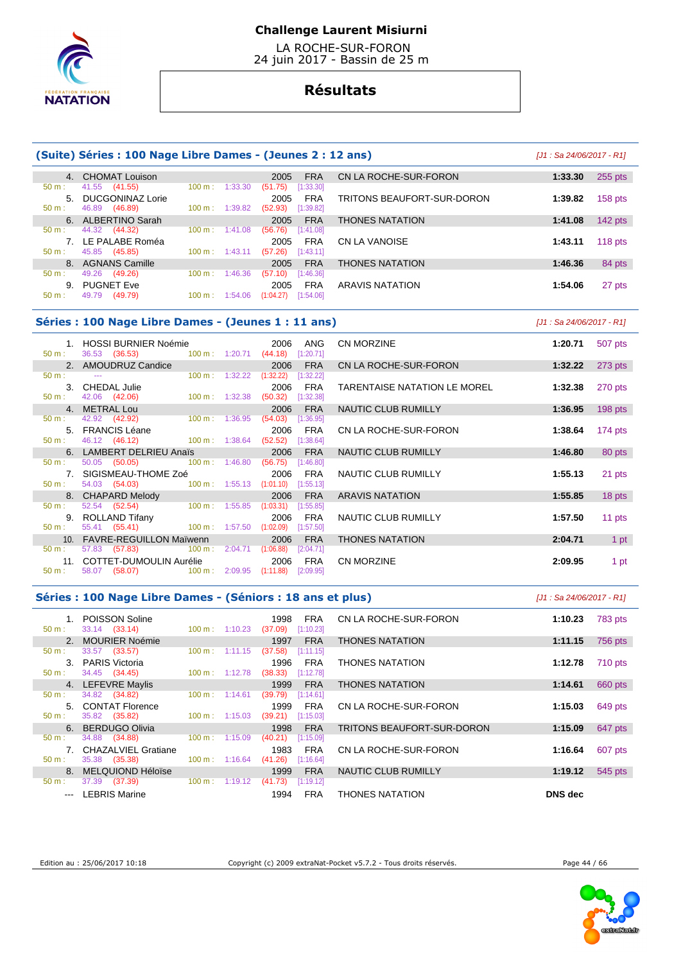

 LA ROCHE-SUR-FORON 24 juin 2017 - Bassin de 25 m

# **Résultats**

### **(Suite) Séries : 100 Nage Libre Dames - (Jeunes 2 : 12 ans)** [J1 : Sa 24/06/2017 - R1]

|                  | 4. CHOMAT Louison   |        |         | FRA<br>2005            |  |
|------------------|---------------------|--------|---------|------------------------|--|
| 50 m:            | 41.55 (41.55)       | 100 m: | 1:33.30 | (51.75)<br>[1:33.30]   |  |
|                  | 5. DUCGONINAZ Lorie |        |         | <b>FRA</b><br>2005     |  |
| $50 \text{ m}$ : | 46.89 (46.89)       | 100 m: | 1:39.82 | $(52.93)$ [1:39.82]    |  |
|                  | 6. ALBERTINO Sarah  |        |         | <b>FRA</b><br>2005     |  |
| $50 m$ :         | 44.32 (44.32)       | 100 m: | 1:41.08 | $(56.76)$ [1:41.08]    |  |
|                  |                     |        |         |                        |  |
|                  | 7. LE PALABE Roméa  |        |         | <b>FRA</b><br>2005     |  |
| 50 m:            | 45.85 (45.85)       | 100 m: | 1:43.11 | $(57.26)$ [1:43.11]    |  |
|                  | 8. AGNANS Camille   |        |         | <b>FRA</b><br>2005     |  |
| $50 m$ :         | 49.26 (49.26)       | 100 m: | 1:46.36 | (57.10)<br>[1:46.36]   |  |
| 9.               | <b>PUGNET Eve</b>   |        |         | <b>FRA</b><br>2005     |  |
| 50 m :           | 49.79 (49.79)       | 100 m: | 1:54.06 | (1:04.27)<br>[1:54.06] |  |

| 4. CHOMAT Louison                                        |                                                          | <b>FRA</b><br>2005                                                 | CN LA ROCHE-SUR-FORON      | 1:33.30 | 255 pts   |
|----------------------------------------------------------|----------------------------------------------------------|--------------------------------------------------------------------|----------------------------|---------|-----------|
| 41.55 (41.55)<br>5. DUCGONINAZ Lorie<br>46.89<br>(46.89) | 1:33.30<br>$100 \text{ m}$ :<br>$100 \text{ m}: 1:39.82$ | (51.75)<br>[1:33.30]<br><b>FRA</b><br>2005<br>(52.93)<br>[1:39.82] | TRITONS BEAUFORT-SUR-DORON | 1:39.82 | $158$ pts |
| 6. ALBERTINO Sarah                                       |                                                          | <b>FRA</b><br>2005                                                 | <b>THONES NATATION</b>     | 1:41.08 | $142$ pts |
| 44.32 (44.32)<br>7. LE PALABE Roméa<br>45.85 (45.85)     | 1:41.08<br>$100 \text{ m}$ :<br>$100 \text{ m}: 1:43.11$ | (56.76)<br>[1:41.08]<br><b>FRA</b><br>2005<br>(57.26)<br>[1:43.11] | CN LA VANOISE              | 1:43.11 | 118 $pts$ |
| 8. AGNANS Camille                                        |                                                          | <b>FRA</b><br>2005                                                 | <b>THONES NATATION</b>     | 1:46.36 | 84 pts    |
| 49.26<br>(49.26)<br>9. PUGNET Eve                        | $100 \text{ m}$ :<br>1:46.36                             | (57.10)<br>[1:46.36]<br><b>FRA</b><br>2005                         | <b>ARAVIS NATATION</b>     | 1:54.06 | 27 pts    |

### **Séries : 100 Nage Libre Dames - (Jeunes 1 : 11 ans)** [J1 : Sa 24/06/2017 - R1]

|          | 1. HOSSI BURNIER Noémie                                                                                        | 2006                     | ANG                    | <b>CN MORZINE</b>            | 1:20.71 | 507 pts   |
|----------|----------------------------------------------------------------------------------------------------------------|--------------------------|------------------------|------------------------------|---------|-----------|
| $50 m$ : | $100 \text{ m}$ : 1:20.71<br>36.53 (36.53)                                                                     |                          | (44.18)<br>[1:20.71]   |                              |         |           |
|          | 2. AMOUDRUZ Candice                                                                                            |                          | <b>FRA</b><br>2006     | CN LA ROCHE-SUR-FORON        | 1:32.22 | 273 pts   |
| $50 m$ : | $\sim$ $\sim$                                                                                                  | $100 \text{ m}: 1:32.22$ | (1:32.22)<br>[1:32.22] |                              |         |           |
|          | 3. CHEDAL Julie                                                                                                |                          | 2006<br><b>FRA</b>     | TARENTAISE NATATION LE MOREL | 1:32.38 | 270 pts   |
| 50 m:    | 42.06 (42.06)                                                                                                  | $100 \text{ m}: 1:32.38$ | (50.32)<br>[1:32.38]   |                              |         |           |
|          | 4. METRAL Lou                                                                                                  |                          | <b>FRA</b><br>2006     | NAUTIC CLUB RUMILLY          | 1:36.95 | $198$ pts |
| $50 m$ : | 42.92 (42.92) 100 m : 1:36.95                                                                                  |                          | $(54.03)$ [1:36.95]    |                              |         |           |
|          | 5. FRANCIS Léane                                                                                               |                          | FRA<br>2006            | CN LA ROCHE-SUR-FORON        | 1:38.64 | $174$ pts |
| 50 m:    | 46.12 (46.12) 100 m : 1:38.64                                                                                  |                          | (52.52)<br>[1:38.64]   |                              |         |           |
|          | 6. LAMBERT DELRIEU Anaïs                                                                                       |                          | 2006<br><b>FRA</b>     | NAUTIC CLUB RUMILLY          | 1:46.80 | 80 pts    |
| 50 m:    | 50.05 (50.05) 100 m : 1:46.80                                                                                  |                          | $(56.75)$ [1:46.80]    |                              |         |           |
|          | 7. SIGISMEAU-THOME Zoé                                                                                         |                          | 2006<br><b>FRA</b>     | NAUTIC CLUB RUMILLY          | 1:55.13 | 21 pts    |
| $50 m$ : | 54.03 (54.03) 100 m : 1:55.13 (1:01.10) [1:55.13]                                                              |                          |                        |                              |         |           |
|          | 8. CHAPARD Melody and the control of the control of the control of the control of the control of the control o |                          | <b>FRA</b><br>2006     | <b>ARAVIS NATATION</b>       | 1:55.85 | 18 pts    |
| 50 m:    | 52.54 (52.54) 100 m : 1:55.85                                                                                  |                          | (1:03.31)<br>[1:55.85] |                              |         |           |
|          | 9. ROLLAND Tifany                                                                                              |                          | 2006<br>FRA            | NAUTIC CLUB RUMILLY          | 1:57.50 | 11 pts    |
| 50 m:    | 55.41 (55.41) 100 m : 1:57.50                                                                                  |                          | (1:02.09)<br>[1:57.50] |                              |         |           |
|          | 10. FAVRE-REGUILLON Maïwenn                                                                                    |                          | <b>FRA</b><br>2006     | <b>THONES NATATION</b>       | 2:04.71 | 1 pt      |
| $50 m$ : | 57.83 (57.83) 100 m : 2:04.71 (1:06.88)                                                                        |                          | [2:04.71]              |                              |         |           |
|          | 11. COTTET-DUMOULIN Aurélie                                                                                    |                          | FRA<br>2006            | <b>CN MORZINE</b>            | 2:09.95 | 1 pt      |
| $50 m$ : | 58.07 (58.07) 100 m : 2:09.95 (1:11.88)                                                                        |                          | [2:09.95]              |                              |         |           |

### **Séries : 100 Nage Libre Dames - (Séniors : 18 ans et plus)** [J1 : Sa 24/06/2017 - R1]

| $50 m$ :         | 1. POISSON Soline<br>33.14 (33.14) | $100 \text{ m}: 1:10.23$     | <b>FRA</b><br>1998<br>(37.09)<br>[1:10.23] | CN LA ROCHE-SUR-FORON      | 1:10.23<br>783 pts |
|------------------|------------------------------------|------------------------------|--------------------------------------------|----------------------------|--------------------|
|                  | 2. MOURIER Noémie                  |                              | <b>FRA</b><br>1997                         | <b>THONES NATATION</b>     | 756 pts<br>1:11.15 |
| 50 m:            | 33.57 (33.57)                      | $100 \text{ m}$ :<br>1:11.15 | (37.58)<br>[1:11.15]                       |                            |                    |
|                  | PARIS Victoria<br>$3_{-}$          |                              | <b>FRA</b><br>1996                         | <b>THONES NATATION</b>     | 710 pts<br>1:12.78 |
| $50 \text{ m}$ : | 34.45 (34.45)                      | $100 \text{ m}$ : 1:12.78    | (38.33)<br>[1:12.78]                       |                            |                    |
|                  | 4. LEFEVRE Maylis                  |                              | <b>FRA</b><br>1999                         | <b>THONES NATATION</b>     | 660 pts<br>1:14.61 |
| $50 m$ :         | 34.82 (34.82)                      | $100 \text{ m}$ :<br>1:14.61 | (39.79)<br>[1:14.61]                       |                            |                    |
|                  | 5. CONTAT Florence                 |                              | <b>FRA</b><br>1999                         | CN LA ROCHE-SUR-FORON      | 1:15.03<br>649 pts |
| $50 m$ :         | 35.82 (35.82)                      | 1:15.03<br>$100 \text{ m}$ : | (39.21)<br>[1:15.03]                       |                            |                    |
|                  | 6. BERDUGO Olivia                  |                              | <b>FRA</b><br>1998                         | TRITONS BEAUFORT-SUR-DORON | 1:15.09<br>647 pts |
| 50 m:            | 34.88 (34.88)                      | $100 \text{ m}$ :<br>1:15.09 | (40.21)<br>[1:15.09]                       |                            |                    |
|                  | 7. CHAZALVIEL Gratiane             |                              | <b>FRA</b><br>1983                         | CN LA ROCHE-SUR-FORON      | 1:16.64<br>607 pts |
| 50 m:            | 35.38 (35.38)                      | 1:16.64<br>$100 \text{ m}$ : | (41.26)<br>[1:16.64]                       |                            |                    |
|                  | 8. MELQUIOND Héloïse               |                              | <b>FRA</b><br>1999                         | NAUTIC CLUB RUMILLY        | 1:19.12<br>545 pts |
| $50 m$ :         | 37.39<br>(37.39)                   | $100 \text{ m}$ :<br>1:19.12 | (41.73)<br>[1:19.12]                       |                            |                    |
|                  | LEBRIS Marine<br>$\sim$ $\sim$     |                              | <b>FRA</b><br>1994                         | <b>THONES NATATION</b>     | <b>DNS</b> dec     |

Edition au : 25/06/2017 10:18 Copyright (c) 2009 extraNat-Pocket v5.7.2 - Tous droits réservés. Page 44 / 66

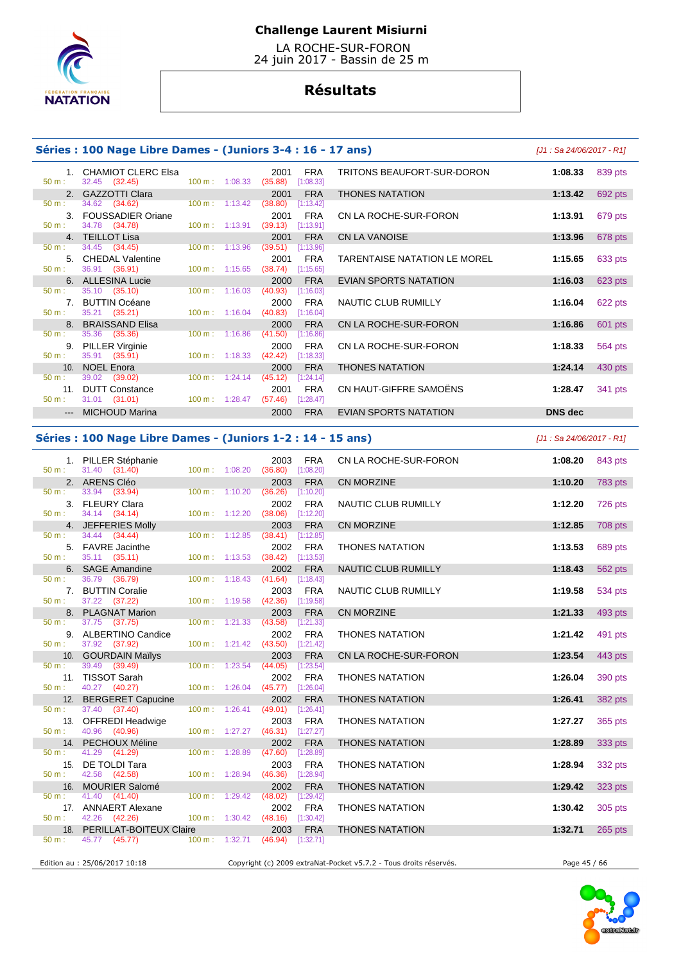

 LA ROCHE-SUR-FORON 24 juin 2017 - Bassin de 25 m

# **Résultats**

### **Séries : 100 Nage Libre Dames - (Juniors 3-4 : 16 - 17 ans)** [J1 : Sa 24/06/2017 - R1]

1. CHAMIOT CLERC Elsa 2001 FRA **50 m**: 32.45 (32.45) **1:08.33 1:08.33 1:08.33**  50 m : 32.45 (32.45) 100 m : 1:08.33 (35.88) [1:08.33] 2. GAZZOTTI Clara 2001 FRA<br>  $\frac{2001}{50 \text{ m}}$ : 34.62 (34.62) pts 100 m; 1:13.42 (38.80) [1:13.42] 50 m : 34.62 (34.62) 100 m : 1:13.42 (38.80) [1:13.42] **3. FOUSSADIER Oriane** 2001 FRA **50 m**: 34.78 **(34.78) 1:00 m:** 1:13.91 **(39.13) 1:13.91** 34.78 (34.78) 50 m : 34.45 (34.45) 100 m : 1:13.96 (39.51) [1:13.96] 5. CHEDAL Valentine 2001 FRA<br>  $\frac{50 \text{ m}}{2001}$  36.91 (36.91) 100 m: 1:15.65 (38.74) [1:15.65] 50 m : 36.91 (36.91) 100 m : 1:15.65 (38.74) [1:15.65] **6. ALLESINA Lucie 2000 FRA**<br>2000 **FRA EVIAN SPORTS 100 m**: 1:16.03 (40.93) pt:16.031 50 m : 35.10 (35.10) 100 m : 1:16.03 (40.93) 7. BUTTIN Océane 2000 FRA 50 m : 35.21 (35.21) 100 m : 1:16.04 (40.83) [1:16.04] 8. BRAISSAND Elisa 2000 FRA CN LA ROCHE-SUR-FORON **1:16.86** 601 pts 50 m : 35.36 (35.36) 100 m : 1:16.86 (41.50) [1:16.86] 9. PILLER Virginie 2000 FRA CN LA ROCHE-SUR-FORON **1:18.33** 564 pts 35.91 (35.91) 50 m : 39.02 (39.02) 100 m : 1:24.14 (45.12) [1:24.14] 11. **DUTT Constance** 2001 FRA 50 m : 31.01 (31.01) 100 m : 1:28.47 (57.46) [1:28.47] 31.01 (31.01) --- MICHOUD Marina 2000 FRA EVIAN SPORTS NATATION **DNS dec** 

|                 | <b>CHAMIOT CLERC Elsa</b><br>32.45 (32.45) | $100 \text{ m}$ : $1:08.33$ | 2001<br>(35.88) | <b>FRA</b><br>[1:08.33] | TRITONS BEAUFORT-SUR-DORON          | 1:08.33 | 839 pts |
|-----------------|--------------------------------------------|-----------------------------|-----------------|-------------------------|-------------------------------------|---------|---------|
| 2.              | <b>GAZZOTTI Clara</b>                      |                             | 2001            | <b>FRA</b>              | <b>THONES NATATION</b>              | 1:13.42 | 692 pts |
|                 | 34.62 (34.62)                              | $100 m$ : 1:13.42           | (38.80)         | [1:13.42]               |                                     |         |         |
| 3.              | <b>FOUSSADIER Oriane</b>                   |                             | 2001            | <b>FRA</b>              | CN LA ROCHE-SUR-FORON               | 1:13.91 | 679 pts |
|                 | 34.78 (34.78)                              | $100 m$ : 1:13.91           | (39.13)         | [1:13.91]               |                                     |         |         |
| 4 <sup>1</sup>  | <b>TEILLOT Lisa</b>                        |                             | 2001            | <b>FRA</b>              | <b>CN LA VANOISE</b>                | 1:13.96 | 678 pts |
|                 | 34.45 (34.45)                              | 100 m: 1:13.96              | (39.51)         | [1:13.96]               |                                     |         |         |
| 5.              | <b>CHEDAL Valentine</b>                    |                             | 2001            | <b>FRA</b>              | <b>TARENTAISE NATATION LE MOREL</b> | 1:15.65 | 633 pts |
|                 | 36.91 (36.91)                              | $100 \text{ m}: 1:15.65$    | (38.74)         | [1:15.65]               |                                     |         |         |
| 6.              | <b>ALLESINA Lucie</b>                      |                             | 2000            | <b>FRA</b>              | EVIAN SPORTS NATATION               | 1:16.03 | 623 pts |
|                 | 35.10 (35.10)                              | $100 \text{ m}: 1:16.03$    | (40.93)         | [1:16.03]               |                                     |         |         |
| 7.              | <b>BUTTIN Océane</b>                       |                             | 2000            | <b>FRA</b>              | NAUTIC CLUB RUMILLY                 | 1:16.04 | 622 pts |
|                 | 35.21 (35.21)                              | 100 m: 1:16.04              | (40.83)         | [1:16.04]               |                                     |         |         |
| 8.              | <b>BRAISSAND Elisa</b>                     |                             | 2000            | <b>FRA</b>              | CN LA ROCHE-SUR-FORON               | 1:16.86 | 601 pts |
|                 | 35.36 (35.36)                              | 100 m: 1:16.86              | (41.50)         | [1:16.86]               |                                     |         |         |
| 9.              | <b>PILLER Virginie</b>                     |                             | 2000            | <b>FRA</b>              | CN LA ROCHE-SUR-FORON               | 1:18.33 | 564 pts |
|                 | 35.91 (35.91)                              | $100 \text{ m}: 1:18.33$    | (42.42)         | [1:18.33]               |                                     |         |         |
| 10 <sub>1</sub> | <b>NOEL Enora</b>                          |                             | 2000            | <b>FRA</b>              | <b>THONES NATATION</b>              | 1:24.14 | 430 pts |
|                 | 39.02 (39.02)                              | $100 \text{ m}: 1:24.14$    | (45.12)         | [1:24.14]               |                                     |         |         |
| 11.             | <b>DUTT Constance</b>                      |                             | 2001            | <b>FRA</b>              | CN HAUT-GIFFRE SAMOËNS              | 1:28.47 | 341 pts |
|                 | $31.01$ (31.01)                            | 100 m: 1:28.47              | (57.46)         | [1:28.47]               |                                     |         |         |
|                 | --- MICHOLID Marina                        |                             | 2000.           | $FR \Delta$             | EVIAN SPORTS NATATION               | DNS dec |         |

### **Séries : 100 Nage Libre Dames - (Juniors 1-2 : 14 - 15 ans)** [J1 : Sa 24/06/2017 - R1]

 1. PILLER Stéphanie 2003 FRA CN LA ROCHE-SUR-FORON **1:08.20** 843 pts 50 m : 31.40 (31.40) 100 m : 1:08.20 (36.80) [1:08.20] 2. ARENS Cléo 2003 FRA CN MORZINE **1:10.20** 783 pts 50 m : 33.94 (33.94) 100 m : 1:10.20 (36.26) [1:10.20] 3. FLEURY Clara 2002 FRA NAUTIC CLUB RUMILLY **1:12.20** 726 pts 34.14 (34.14) 4. JEFFERIES Molly 2003 FRA CN MORZINE **1:12.85** 708 pts 50 m : 34.44 (34.44) 100 m : 1:12.85 (38.41) [1:12.85] 5. FAVRE Jacinthe 2002 FRA THONES NATATION **1:13.53** 689 pts 50 m : 35.11 (35.11) 100 m : 1:13.53 (38.42) [1:13.53] 6. SAGE Amandine 2002 FRA NAUTIC CLUB RUMILLY **1:18.43** 562 pts 50 m : 36.79 (36.79) 100 m : 1:18.43 (41.64) [1:18.43] 7. BUTTIN Coralie 2003 FRA NAUTIC CLUB RUMILLY **1:19.58** 534 pts 50 m : 37.22 (37.22) 100 m : 1:19.58 (42.36) [1:19.58] 8. PLAGNAT Marion 2003 FRA CN MORZINE **1:21.33** 493 pts 50 m : 37.75 (37.75) 9. ALBERTINO Candice 2002 FRA THONES NATATION **1:21.42** 491 pts 37.92 (37.92) 10. GOURDAIN Maïlys 2003 FRA CN LA ROCHE-SUR-FORON **1:23.54** 443 pts 50 m : 39.49 (39.49) 100 m : 1:23.54 (44.05) [1:23.54] 11. TISSOT Sarah 2002 FRA THONES NATATION **1:26.04** 390 pts 50 m : 40.27 (40.27) 100 m : 1:26.04 (45.77) [1:26.04] 12. BERGERET Capucine 2002 FRA THONES NATATION **1:26.41** 382 pts 50 m : 37.40 (37.40) 100 m : 1:26.41 (49.01) [1:26.41] 13. OFFREDI Headwige 2003 FRA THONES NATATION **1:27.27** 365 pts 40.96 (40.96) 14. PECHOUX Méline 2002 FRA THONES NATATION **1:28.89** 333 pts 50 m : 41.29 (41.29) 100 m : 1:28.89 (47.60) 15. DE TOLDI Tara 2003 FRA THONES NATATION **1:28.94** 332 pts 50 m : 42.58 (42.58) 100 m : 1:28.94 (46.36) [1:28.94] 16. MOURIER Salomé 2002 FRA THONES NATATION **1:29.42** 323 pts 50 m : 41.40 (41.40) 100 m : 1:29.42 (48.02) [1:29.42] 17. ANNAERT Alexane 2002 FRA THONES NATATION **1:30.42** 305 pts 42.26 (42.26) 18. PERILLAT-BOITEUX Claire 2003 FRA THONES NATATION **1:32.71** 265 pts 50 m : 45.77 (45.77) 100 m : 1:32.71 (46.94) [1:32.71] Edition au : 25/06/2017 10:18 Copyright (c) 2009 extraNat-Pocket v5.7.2 - Tous droits réservés. Page 45 / 66

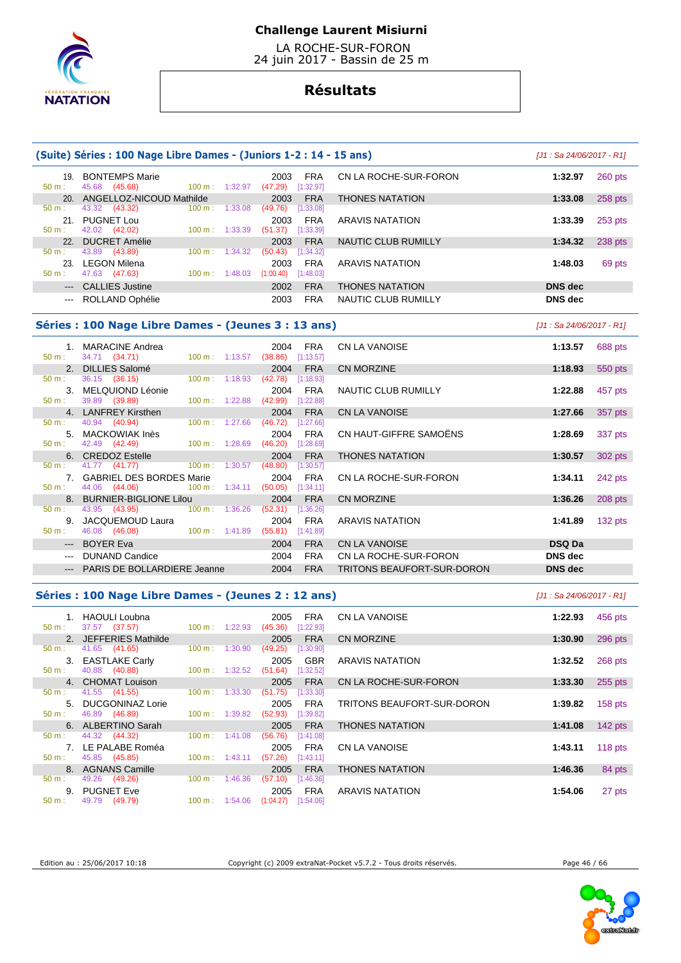

 LA ROCHE-SUR-FORON 24 juin 2017 - Bassin de 25 m

# **Résultats**

### **(Suite) Séries : 100 Nage Libre Dames - (Juniors 1-2 : 14 - 15 ans)** [J1 : Sa 24/06/2017 - R1] 19. BONTEMPS Marie 2003 FRA CN LA ROCHE-SUR-FORON **1:32.97** 260 pts  $100 m : 1:32.97$  20. ANGELLOZ-NICOUD Mathilde 2003 FRA THONES NATATION **1:33.08** 258 pts  $(49.76)$   $[1:33.08]$  21. PUGNET Lou 2003 FRA ARAVIS NATATION **1:33.39** 253 pts 100 m : 1:33.39 22. DUCRET Amélie 2003 FRA NAUTIC CLUB RUMILLY **1:34.32** 238 pts 50 m : 43.89 (43.89) 100 m : 1:34.32 (50.43) [1:34.32] 23. LEGON Milena 2003 FRA ARAVIS NATATION **1:48.03** 69 pts 50 m : 47.63 (47.63) 100 m : 1:48.03 (1:00.40) [1:48.03] --- CALLIES Justine 2002 FRA THONES NATATION **DNS dec**  --- ROLLAND Ophélie 2003 FRA NAUTIC CLUB RUMILLY **DNS dec**

### **Séries : 100 Nage Libre Dames - (Jeunes 3 : 13 ans)** [J1 : Sa 24/06/2017 - R1]

|                  | 1. MARACINE Andrea                                                     |                 |                     | 2004 FRA                | CN LA VANOISE              | 1:13.57        | 688 pts   |
|------------------|------------------------------------------------------------------------|-----------------|---------------------|-------------------------|----------------------------|----------------|-----------|
| 50 m:            | 34.71 (34.71)<br>$100 \text{ m}: 1:13.57$ (38.86)<br>2. DILLIES Salomé |                 | 2004                | [1:13.57]<br><b>FRA</b> | <b>CN MORZINE</b>          | 1:18.93        | 550 pts   |
| $50 m$ :         | 36.15 (36.15) 100 m : 1:18.93                                          |                 | (42.78)             | [1:18.93]               |                            |                |           |
|                  | 3. MELQUIOND Léonie                                                    |                 | 2004                | FRA                     | NAUTIC CLUB RUMILLY        | 1:22.88        | 457 pts   |
| 50 m:            | 39.89 (39.89)                                                          | 100 m : 1:22.88 | $(42.99)$ [1:22.88] |                         |                            |                |           |
|                  | 4. LANFREY Kirsthen                                                    |                 | 2004                | <b>FRA</b>              | CN LA VANOISE              | 1:27.66        | 357 pts   |
| 50 m:            | 40.94 (40.94) 100 m : 1:27.66                                          |                 | (46.72)             | [1:27.66]               |                            |                |           |
|                  | 5. MACKOWIAK Inès                                                      |                 | 2004                | FRA                     | CN HAUT-GIFFRE SAMOËNS     | 1:28.69        | 337 pts   |
|                  | 50 m : 42.49 (42.49) 100 m : 1:28.69 (46.20) [1:28.69]                 |                 |                     |                         |                            |                |           |
|                  | 6. CREDOZ Estelle                                                      |                 | 2004                | <b>FRA</b>              | <b>THONES NATATION</b>     | 1:30.57        | 302 pts   |
|                  | 50 m : 41.77 (41.77) 100 m : 1:30.57                                   |                 | (48.80)             | [1:30.57]               |                            |                |           |
|                  | 7. GABRIEL DES BORDES Marie                                            |                 |                     | 2004 FRA                | CN LA ROCHE-SUR-FORON      | 1:34.11        | 242 pts   |
| $50 \text{ m}$ : | 44.06 (44.06) 100 m : 1:34.11 (50.05) [1:34.11]                        |                 |                     |                         |                            |                |           |
|                  | 8. BURNIER-BIGLIONE Lilou                                              |                 | 2004                | <b>FRA</b>              | CN MORZINE                 | 1:36.26        | 208 pts   |
| $50 m$ :         | 43.95 (43.95) 100 m : 1:36.26                                          |                 | (52.31)             | [1:36.26]               |                            |                |           |
|                  | 9. JACQUEMOUD Laura                                                    |                 | 2004                | FRA                     | ARAVIS NATATION            | 1:41.89        | 132 $pts$ |
| $50 \text{ m}$ : | 46.08 (46.08) 100 m: 1:41.89 (55.81) [1:41.89]                         |                 |                     |                         |                            |                |           |
|                  | --- BOYER Eva                                                          |                 | 2004                | <b>FRA</b>              | <b>CN LA VANOISE</b>       | <b>DSQ Da</b>  |           |
|                  | --- DUNAND Candice                                                     |                 | 2004                | <b>FRA</b>              | CN LA ROCHE-SUR-FORON      | <b>DNS</b> dec |           |
|                  | --- PARIS DE BOLLARDIERE Jeanne                                        |                 | 2004                | <b>FRA</b>              | TRITONS BEAUFORT-SUR-DORON | <b>DNS</b> dec |           |
|                  |                                                                        |                 |                     |                         |                            |                |           |

|     | 34.71 (34.71)                   | 100 m: 1:13.57           | (38.86)             | [1:13.57]  |                            |                | $\sim$  |
|-----|---------------------------------|--------------------------|---------------------|------------|----------------------------|----------------|---------|
|     | 2. DILLIES Salomé               |                          | 2004                | <b>FRA</b> | CN MORZINE                 | 1:18.93        | 550 pts |
| Ε.  | 36.15 (36.15)                   | $100 \text{ m}: 1:18.93$ | (42.78)             | [1:18.93]  |                            |                |         |
|     | 3. MELQUIOND Léonie             |                          | 2004                | FRA        | NAUTIC CLUB RUMILLY        | 1:22.88        | 457 pts |
|     | 39.89 (39.89)                   | $100 \text{ m}: 1:22.88$ | $(42.99)$ [1:22.88] |            |                            |                |         |
|     | 4. LANFREY Kirsthen             |                          | 2004                | <b>FRA</b> | <b>CN LA VANOISE</b>       | 1:27.66        | 357 pts |
|     | 40.94 (40.94)                   | $100 \text{ m}: 1:27.66$ | (46.72)             | [1:27.66]  |                            |                |         |
|     | 5. MACKOWIAK Inès               |                          | 2004                | <b>FRA</b> | CN HAUT-GIFFRE SAMOËNS     | 1:28.69        | 337 pts |
|     | : 42.49 <b>(42.49)</b>          | $100 \text{ m}: 1:28.69$ | $(46.20)$ [1:28.69] |            |                            |                |         |
|     | 6. CREDOZ Estelle               |                          | 2004                | <b>FRA</b> | <b>THONES NATATION</b>     | 1:30.57        | 302 pts |
| t - | 41.77 (41.77) 100 m : 1:30.57   |                          | $(48.80)$ [1:30.57] |            |                            |                |         |
|     | 7. GABRIEL DES BORDES Marie     |                          | 2004                | <b>FRA</b> | CN LA ROCHE-SUR-FORON      | 1:34.11        | 242 pts |
| t - | 44.06 (44.06)                   | $100 \text{ m}: 1:34.11$ | (50.05)             | [1:34.11]  |                            |                |         |
|     | 8. BURNIER-BIGLIONE Lilou       |                          | 2004                | <b>FRA</b> | <b>CN MORZINE</b>          | 1:36.26        | 208 pts |
| t.  | 43.95 (43.95) 100 m : 1:36.26   |                          | (52.31)             | [1:36.26]  |                            |                |         |
|     | 9. JACQUEMOUD Laura             |                          | 2004                | <b>FRA</b> | ARAVIS NATATION            | 1:41.89        | 132 pts |
| Ε.  | 46.08 (46.08)                   | 100 m : 1:41.89          | $(55.81)$ [1:41.89] |            |                            |                |         |
|     | --- BOYER Eva                   |                          | 2004                | <b>FRA</b> | <b>CN LA VANOISE</b>       | <b>DSQ Da</b>  |         |
|     | --- DUNAND Candice              |                          | 2004                | <b>FRA</b> | CN LA ROCHE-SUR-FORON      | <b>DNS</b> dec |         |
|     | --- PARIS DE BOLLARDIERE Jeanne |                          | 2004                | <b>FRA</b> | TRITONS BEAUFORT-SUR-DORON | <b>DNS</b> dec |         |

### **Séries : 100 Nage Libre Dames - (Jeunes 2 : 12 ans)** [J1 : Sa 24/06/2017 - R1]

|                  | 1. HAOULI Loubna      |                              | FRA<br>2005            | CN LA VANOISE              | 1:22.93 | 456 pts   |
|------------------|-----------------------|------------------------------|------------------------|----------------------------|---------|-----------|
| $50 m$ :         | 37.57 (37.57)         | $100 \text{ m}: 1:22.93$     | (45.36)<br>[1:22.93]   |                            |         |           |
|                  | 2. JEFFERIES Mathilde |                              | <b>FRA</b><br>2005     | CN MORZINE                 | 1:30.90 | 296 pts   |
| $50 \text{ m}$ : | 41.65 (41.65)         | $100 \text{ m}$ :<br>1:30.90 | (49.25)<br>[1:30.90]   |                            |         |           |
|                  | 3. EASTLAKE Carly     |                              | <b>GBR</b><br>2005     | ARAVIS NATATION            | 1:32.52 | 268 pts   |
| $50 m$ :         | 40.88 (40.88)         | $100 \text{ m}: 1:32.52$     | (51.64)<br>[1:32.52]   |                            |         |           |
|                  | 4. CHOMAT Louison     |                              | <b>FRA</b><br>2005     | CN LA ROCHE-SUR-FORON      | 1:33.30 | 255 pts   |
| $50 m$ :         | 41.55 (41.55)         | 1:33.30<br>$100 \text{ m}$ : | (51.75)<br>[1:33.30]   |                            |         |           |
| 5 <sub>1</sub>   | DUCGONINAZ Lorie      |                              | <b>FRA</b><br>2005     | TRITONS BEAUFORT-SUR-DORON | 1:39.82 | $158$ pts |
| $50 m$ :         | 46.89 (46.89)         | $100 \text{ m}: 1:39.82$     | (52.93)<br>[1:39.82]   |                            |         |           |
|                  | 6. ALBERTINO Sarah    |                              | <b>FRA</b><br>2005     | <b>THONES NATATION</b>     | 1:41.08 | $142$ pts |
| $50 m$ :         | 44.32 (44.32)         | $100 \text{ m}: 1:41.08$     | (56.76)<br>[1:41.08]   |                            |         |           |
|                  | 7. LE PALABE Roméa    |                              | <b>FRA</b><br>2005     | CN LA VANOISE              | 1:43.11 | 118 $pts$ |
| $50 m$ :         | 45.85 (45.85)         | $100 \text{ m}: 1:43.11$     | (57.26)<br>[1:43.11]   |                            |         |           |
|                  | 8. AGNANS Camille     |                              | <b>FRA</b><br>2005     | <b>THONES NATATION</b>     | 1:46.36 | 84 pts    |
| $50 m$ :         | 49.26<br>(49.26)      | $100 \text{ m}$ :<br>1:46.36 | (57.10)<br>[1:46.36]   |                            |         |           |
|                  | 9. PUGNET Eve         |                              | <b>FRA</b><br>2005     | ARAVIS NATATION            | 1:54.06 | 27 pts    |
| $50 m$ :         | 49.79<br>(49.79)      | $100 \text{ m}: 1:54.06$     | (1:04.27)<br>[1:54.06] |                            |         |           |

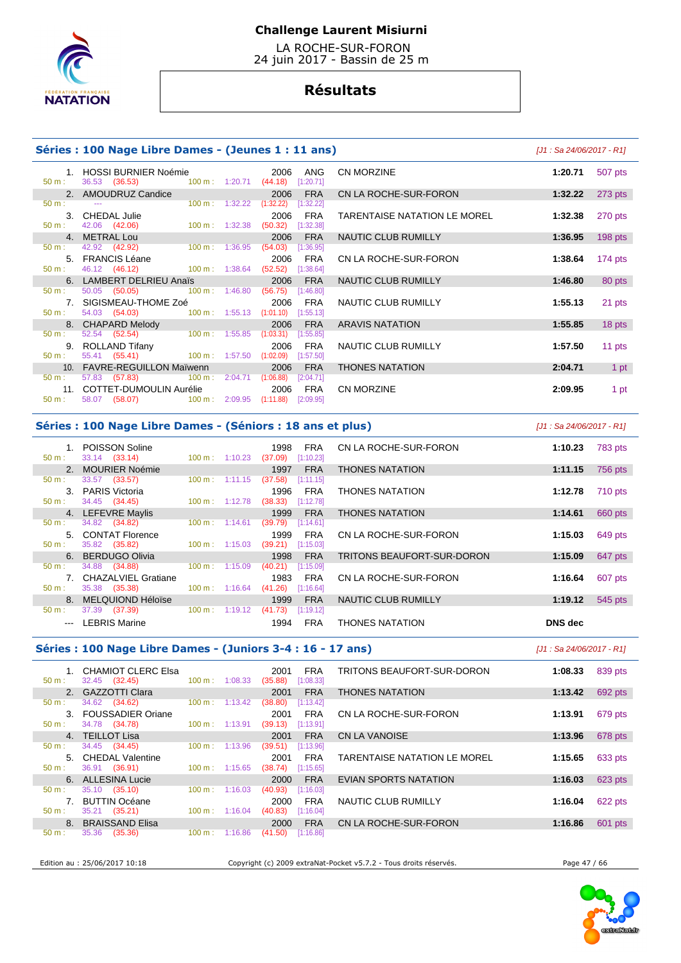

 LA ROCHE-SUR-FORON 24 juin 2017 - Bassin de 25 m

# **Résultats**

### **Séries : 100 Nage Libre Dames - (Jeunes 1 : 11 ans)** [J1 : Sa 24/06/2017 - R1]

| 1.               | HOSSI BURNIER Noémie                                                              |                          | 2006                    | ANG        |  |
|------------------|-----------------------------------------------------------------------------------|--------------------------|-------------------------|------------|--|
| 50 m:            | 36.53 (36.53) 100 m : 1:20.71 (44.18) [1:20.71]                                   |                          |                         |            |  |
|                  | 2. AMOUDRUZ Candice                                                               |                          |                         | 2006 FRA   |  |
| 50 m:            |                                                                                   | $100 \text{ m}: 1:32.22$ | $(1:32.22)$ [1:32.22]   |            |  |
|                  | 3. CHEDAL Julie                                                                   |                          | 2006                    | <b>FRA</b> |  |
| 50 m:            | 42.06 (42.06)<br>$100 \text{ m}$ : 1:32.38                                        |                          | $(50.32)$ [1:32.38]     |            |  |
|                  | 4. METRAL Lou                                                                     |                          |                         | 2006 FRA   |  |
|                  | 50 m : 42.92 (42.92) 100 m : 1:36.95                                              |                          | $(54.03)$ [1:36.95]     |            |  |
|                  | 5. FRANCIS Léane                                                                  |                          |                         | 2006 FRA   |  |
| $50 \text{ m}$ : | 46.12 (46.12) 100 m : 1:38.64                                                     |                          | $(52.52)$ [1:38.64]     |            |  |
|                  | 6. LAMBERT DELRIEU Anaïs 2006 FRA                                                 |                          |                         |            |  |
| $50 \text{ m}$ : | 50.05 (50.05) 100 m : 1:46.80 (56.75)                                             |                          |                         | [1:46.80]  |  |
|                  | 7. SIGISMEAU-THOME Zoé                                                            |                          |                         | 2006 FRA   |  |
| 50 m:            | 54.03 (54.03) 100 m : 1:55.13 (1:01.10) [1:55.13]                                 |                          |                         |            |  |
|                  | 8. CHAPARD Melody<br>: 52.54 (52.54) 100 m : 1:55.85                              |                          |                         | 2006 FRA   |  |
| 50 m:            |                                                                                   |                          | $(1:03.31)$ $[1:55.85]$ |            |  |
|                  |                                                                                   |                          |                         |            |  |
| 50 m:            | 9. ROLLAND Tifany 2006 FRA<br>: 55.41 (55.41) 100 m : 1:57.50 (1:02.09) [1:57.50] |                          |                         |            |  |
|                  | 10. FAVRE-REGUILLON Maïwenn 2006 FRA                                              |                          |                         |            |  |
| 50 m:            | 57.83 (57.83) 100 m : 2:04.71 (1:06.88) [2:04.71]                                 |                          |                         |            |  |
|                  | 11. COTTET-DUMOULIN Aurélie 2006 FRA                                              |                          |                         |            |  |
| 50 m:            | 58.07 (58.07) 100 m : 2:09.95 (1:11.88)                                           |                          |                         | [2:09.95]  |  |
|                  |                                                                                   |                          |                         |            |  |

| 1. HOSSI BURNIER Noémie<br>36.53 (36.53)                        | 100 m: 1:20.71            | 2006<br>(44.18) | ANG<br>[1:20.71] | <b>CN MORZINE</b>            | 1:20.71 | 507 pts   |
|-----------------------------------------------------------------|---------------------------|-----------------|------------------|------------------------------|---------|-----------|
| 2. AMOUDRUZ Candice                                             |                           | 2006            | <b>FRA</b>       | CN LA ROCHE-SUR-FORON        | 1:32.22 | 273 pts   |
| $\sim$ $\sim$                                                   | 100 m: 1:32.22            | (1:32.22)       | [1:32.22]        |                              |         |           |
| 3. CHEDAL Julie                                                 |                           | 2006            | <b>FRA</b>       | TARENTAISE NATATION LE MOREL | 1:32.38 | 270 pts   |
| 42.06 (42.06)                                                   | $100 \text{ m}: 1:32.38$  | (50.32)         | [1:32.38]        |                              |         |           |
| 4. METRAL Lou                                                   |                           | 2006            | <b>FRA</b>       | NAUTIC CLUB RUMILLY          | 1:36.95 | 198 pts   |
| 42.92 (42.92)                                                   | $100 \text{ m}: 1:36.95$  | (54.03)         | [1:36.95]        |                              |         |           |
| 5. FRANCIS Léane                                                |                           | 2006            | FRA              | CN LA ROCHE-SUR-FORON        | 1:38.64 | $174$ pts |
| 46.12 (46.12)                                                   | 100 m : 1:38.64           | (52.52)         | [1:38.64]        |                              |         |           |
| 6. LAMBERT DELRIEU Anaïs                                        |                           | 2006            | <b>FRA</b>       | NAUTIC CLUB RUMILLY          | 1:46.80 | 80 pts    |
| 50.05 (50.05)                                                   | $100 \text{ m}$ : 1:46.80 | (56.75)         | [1:46.80]        |                              |         |           |
| 7. SIGISMEAU-THOME Zoé                                          |                           | 2006            | <b>FRA</b>       | NAUTIC CLUB RUMILLY          | 1:55.13 | 21 pts    |
| 54.03 (54.03) 100 m : 1:55.13                                   |                           | (1:01.10)       | [1:55.13]        |                              |         |           |
| 8. CHAPARD Melody                                               |                           | 2006            | <b>FRA</b>       | <b>ARAVIS NATATION</b>       | 1:55.85 | 18 pts    |
| 52.54 (52.54) 100 m : 1:55.85                                   |                           | (1:03.31)       | [1:55.85]        |                              |         |           |
| 9. ROLLAND Tifany                                               |                           | 2006            | <b>FRA</b>       | NAUTIC CLUB RUMILLY          | 1:57.50 | 11 pts    |
| 55.41 (55.41) 100 m : 1:57.50                                   |                           | (1:02.09)       | [1:57.50]        |                              |         |           |
| 10. FAVRE-REGUILLON Maïwenn                                     |                           | 2006            | <b>FRA</b>       | <b>THONES NATATION</b>       | 2:04.71 | 1 pt      |
| 57.83 (57.83)<br>$100 \text{ m}: 2:04.71$                       |                           | (1:06.88)       | [2:04.71]        |                              |         |           |
| 11. COTTET-DUMOULIN Aurélie 2006                                |                           |                 | FRA              | <b>CN MORZINE</b>            | 2:09.95 | 1 pt      |
| $58.07$ (58.07) $100 \text{ m}$ $2.09.95$ (1.11.88) $[2.09.95]$ |                           |                 |                  |                              |         |           |

### **Séries : 100 Nage Libre Dames - (Séniors : 18 ans et plus)** [J1 : Sa 24/06/2017 - R1]

 1. POISSON Soline 1998 FRA CN LA ROCHE-SUR-FORON **1:10.23** 783 pts 33.14 (33.14) 2. MOURIER Noémie 1997 FRA THONES NATATION **1:11.15** 756 pts 50 m : 33.57 (33.57) 100 m : 1:11.15 (37.58) [1:11.15] 3. PARIS Victoria 1996 FRA THONES NATATION **1:12.78** 710 pts 50 m : 34.45 (34.45) 100 m : 1:12.78 (38.33) [1:12.78] 4. LEFEVRE Maylis 1999 FRA THONES NATATION **1:14.61** 660 pts  $[1:14.61]$  5. CONTAT Florence 1999 FRA CN LA ROCHE-SUR-FORON **1:15.03** 649 pts  $(39.21)$   $[1:15.03]$  6. BERDUGO Olivia 1998 FRA TRITONS BEAUFORT-SUR-DORON **1:15.09** 647 pts 34.88 (34.88) 100 m : 1:15.09 (40.21) [1:15.09 7. CHAZALVIEL Gratiane **1983** FRA CN LA ROCHE-SUR-FORON **1:16.64** 607 pts<br>
50 m : 35.38 (35.38) 100 m : 1:16.64 (41.26) [1:16.64]  $(41.26)$   $[1:16.64]$  8. MELQUIOND Héloïse 1999 FRA NAUTIC CLUB RUMILLY **1:19.12** 545 pts 37.39 (37.39) --- LEBRIS Marine 1994 FRA THONES NATATION **DNS dec** 

# **Séries : 100 Nage Libre Dames - (Juniors 3-4 : 16 - 17 ans)** [J1 : Sa 24/06/2017 - R1]

| $50 m$ :         | 1. CHAMIOT CLERC Elsa<br>32.45 (32.45) | $100 \text{ m}$ :        | 1:08.33 | 2001<br>(35.88) | <b>FRA</b><br>[1:08.33] | TRITONS BEAUFORT-SUR-DORON   | 1:08.33 | 839 pts |
|------------------|----------------------------------------|--------------------------|---------|-----------------|-------------------------|------------------------------|---------|---------|
|                  | 2. GAZZOTTI Clara                      |                          |         | 2001            | <b>FRA</b>              | <b>THONES NATATION</b>       | 1:13.42 | 692 pts |
| $50 \text{ m}$ : | 34.62 (34.62)                          | $100 \text{ m}: 1:13.42$ |         | (38.80)         | [1:13.42]               |                              |         |         |
|                  | 3. FOUSSADIER Oriane                   |                          |         | 2001            | <b>FRA</b>              | CN LA ROCHE-SUR-FORON        | 1:13.91 | 679 pts |
| $50 \text{ m}$ : | 34.78 (34.78)                          | $100 \text{ m}$ :        | 1:13.91 | (39.13)         | [1:13.91]               |                              |         |         |
|                  | 4. TEILLOT Lisa                        |                          |         | 2001            | <b>FRA</b>              | CN LA VANOISE                | 1:13.96 | 678 pts |
| $50 \text{ m}$ : | 34.45 (34.45)                          | $100 \text{ m}$ :        | 1:13.96 | (39.51)         | [1:13.96]               |                              |         |         |
|                  | 5. CHEDAL Valentine                    |                          |         | 2001            | <b>FRA</b>              | TARENTAISE NATATION LE MOREL | 1:15.65 | 633 pts |
| $50 \text{ m}$ : | 36.91 (36.91)                          | $100 \text{ m}$ :        | 1:15.65 | (38.74)         | [1:15.65]               |                              |         |         |
|                  | 6. ALLESINA Lucie                      |                          |         | 2000            | <b>FRA</b>              | EVIAN SPORTS NATATION        | 1:16.03 | 623 pts |
| $50 \text{ m}$ : | 35.10 (35.10)                          | $100 \text{ m}$ :        | 1:16.03 | (40.93)         | [1:16.03]               |                              |         |         |
|                  | 7. BUTTIN Océane                       |                          |         | 2000            | <b>FRA</b>              | NAUTIC CLUB RUMILLY          | 1:16.04 | 622 pts |
| 50 m:            | 35.21<br>(35.21)                       | $100 \text{ m}$ :        | 1:16.04 | (40.83)         | [1:16.04]               |                              |         |         |
|                  | 8. BRAISSAND Elisa                     |                          |         | 2000            | <b>FRA</b>              | CN LA ROCHE-SUR-FORON        | 1:16.86 | 601 pts |
| $50 \text{ m}$ : | 35.36<br>(35.36)                       | $100 \text{ m}$ :        | 1:16.86 | (41.50)         | [1:16.86]               |                              |         |         |
|                  |                                        |                          |         |                 |                         |                              |         |         |

Edition au : 25/06/2017 10:18 Copyright (c) 2009 extraNat-Pocket v5.7.2 - Tous droits réservés. Page 47 / 66

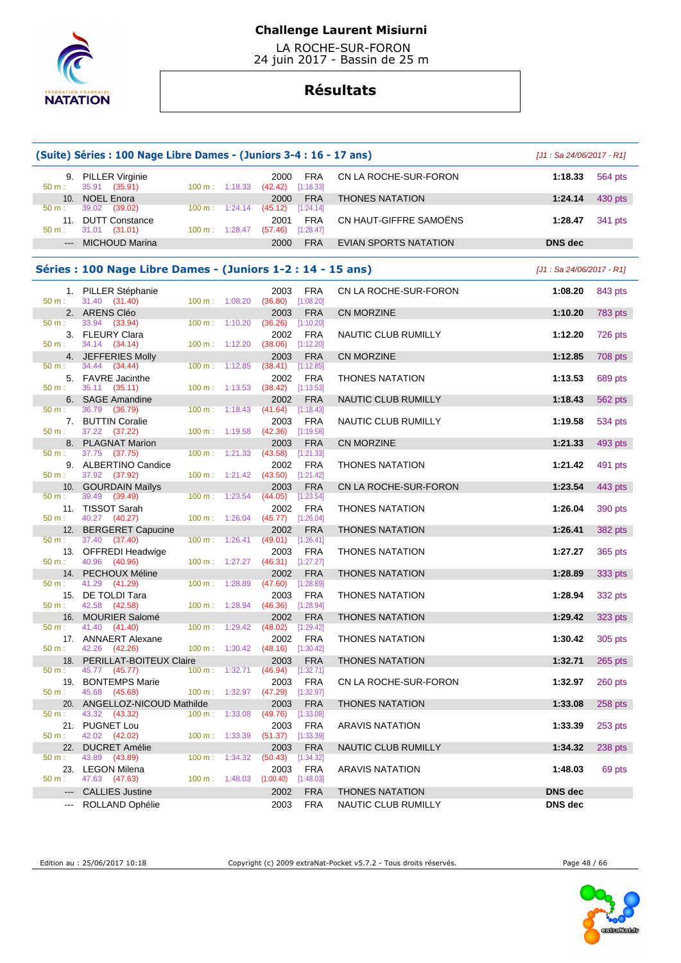

 LA ROCHE-SUR-FORON 24 juin 2017 - Bassin de 25 m

# **Résultats**

| (Suite) Séries : 100 Nage Libre Dames - (Juniors 3-4 : 16 - 17 ans)<br>$[J1: Sa 24/06/2017 - R1]$ |                                                             |                                     |         |                             |                                      |                        |                            |                |  |  |
|---------------------------------------------------------------------------------------------------|-------------------------------------------------------------|-------------------------------------|---------|-----------------------------|--------------------------------------|------------------------|----------------------------|----------------|--|--|
| 50 m:                                                                                             | 9. PILLER Virginie<br>35.91 (35.91)                         | 100 m: 1:18.33                      |         | 2000<br>(42.42)             | <b>FRA</b><br>[1:18.33]              | CN LA ROCHE-SUR-FORON  | 1:18.33                    | 564 pts        |  |  |
| 10.                                                                                               | <b>NOEL Enora</b>                                           |                                     |         | 2000                        | <b>FRA</b>                           | <b>THONES NATATION</b> | 1:24.14                    | 430 pts        |  |  |
| $50 m$ :<br>50 m:                                                                                 | 39.02<br>(39.02)<br>11. DUTT Constance<br>31.01 (31.01)     | 100 m: 1:24.14<br>$100 m$ : 1:28.47 |         | (45.12)<br>2001<br>(57.46)  | [1:24.14]<br><b>FRA</b><br>[1:28.47] | CN HAUT-GIFFRE SAMOËNS | 1:28.47                    | 341 pts        |  |  |
| $\cdots$                                                                                          | <b>MICHOUD Marina</b>                                       |                                     |         | 2000                        | <b>FRA</b>                           | EVIAN SPORTS NATATION  | <b>DNS</b> dec             |                |  |  |
|                                                                                                   | Séries : 100 Nage Libre Dames - (Juniors 1-2 : 14 - 15 ans) |                                     |         |                             |                                      |                        | $[J1: Sa 24/06/2017 - R1]$ |                |  |  |
| 50 m:                                                                                             | 1. PILLER Stéphanie<br>31.40 (31.40)                        | 100 m: 1:08.20                      |         | 2003<br>(36.80)             | <b>FRA</b><br>[1:08.20]              | CN LA ROCHE-SUR-FORON  | 1:08.20                    | 843 pts        |  |  |
|                                                                                                   | 2. ARENS Cléo                                               |                                     |         | 2003                        | <b>FRA</b>                           | CN MORZINE             | 1:10.20                    | <b>783 pts</b> |  |  |
| 50 m:<br>50 m:                                                                                    | 33.94 (33.94)<br>3. FLEURY Clara<br>34.14 (34.14)           | 100 m:<br>$100 m$ : 1:12.20         | 1:10.20 | (36.26)<br>2002<br>(38.06)  | [1:10.20]<br><b>FRA</b><br>[1:12.20] | NAUTIC CLUB RUMILLY    | 1:12.20                    | 726 pts        |  |  |
|                                                                                                   | 4. JEFFERIES Molly                                          |                                     |         | 2003                        | <b>FRA</b>                           | <b>CN MORZINE</b>      | 1:12.85                    | 708 pts        |  |  |
| 50 m:<br>50 m:                                                                                    | 34.44<br>(34.44)<br>5. FAVRE Jacinthe                       | $100 m$ :<br>100 m:                 | 1:12.85 | (38.41)<br>2002             | $[1:12.85]$<br><b>FRA</b>            | <b>THONES NATATION</b> | 1:13.53                    | 689 pts        |  |  |
|                                                                                                   | 35.11 (35.11)<br>6. SAGE Amandine                           |                                     | 1:13.53 | (38.42)<br>2002             | [1:13.53]<br><b>FRA</b>              | NAUTIC CLUB RUMILLY    | 1:18.43                    | 562 pts        |  |  |
| 50 m:                                                                                             | 36.79 (36.79)<br>7. BUTTIN Coralie                          | 100 m:                              | 1:18.43 | (41.64)<br>2003             | [1:18.43]<br><b>FRA</b>              | NAUTIC CLUB RUMILLY    | 1:19.58                    | 534 pts        |  |  |
| 50 m:<br>8.                                                                                       | 37.22 (37.22)<br><b>PLAGNAT Marion</b>                      | 100 m:                              | 1:19.58 | (42.36)<br>2003             | $[1:19.58]$<br><b>FRA</b>            | CN MORZINE             | 1:21.33                    | 493 pts        |  |  |
| 50 m:                                                                                             | 37.75 (37.75)                                               | 100 m:                              | 1:21.33 | (43.58)                     | [1:21.33]                            |                        |                            |                |  |  |
| 50 m:                                                                                             | 9. ALBERTINO Candice<br>37.92 (37.92)                       | $100 m$ : $1:21.42$                 |         | 2002<br>(43.50)             | <b>FRA</b><br>[1:21.42]              | <b>THONES NATATION</b> | 1:21.42                    | 491 pts        |  |  |
| 50 m:                                                                                             | 10. GOURDAIN Maïlys<br>39.49<br>(39.49)                     | 100 m:                              | 1:23.54 | 2003<br>(44.05)             | <b>FRA</b><br>[1:23.54]              | CN LA ROCHE-SUR-FORON  | 1:23.54                    | 443 pts        |  |  |
| 50 m:                                                                                             | 11. TISSOT Sarah<br>40.27 (40.27)                           | $100 \text{ m}: 1:26.04$            |         | 2002<br>(45.77)             | <b>FRA</b><br>[1:26.04]              | <b>THONES NATATION</b> | 1:26.04                    | 390 pts        |  |  |
|                                                                                                   | 12. BERGERET Capucine                                       |                                     |         | 2002                        | <b>FRA</b>                           | <b>THONES NATATION</b> | 1:26.41                    | 382 pts        |  |  |
| $50 m$ :                                                                                          | 37.40 (37.40)<br>13. OFFREDI Headwige                       | 100 m:                              | 1:26.41 | (49.01)<br>2003             | [1:26.41]<br><b>FRA</b>              | <b>THONES NATATION</b> | 1:27.27                    | 365 pts        |  |  |
| 50 m:                                                                                             | 40.96 (40.96)                                               | 100 m:                              | 1:27.27 | $(46.31)$ [1:27.27]         |                                      |                        |                            |                |  |  |
| 14.<br>50 m:                                                                                      | PECHOUX Méline<br>41.29<br>(41.29)                          | 100 m:                              | 1:28.89 | 2002<br>(47.60)             | <b>FRA</b><br>[1:28.89]              | <b>THONES NATATION</b> | 1:28.89                    | 333 pts        |  |  |
| 50 m:                                                                                             | 15. DE TOLDI Tara<br>42.58 (42.58)                          | 100 m:                              | 1:28.94 | 2003<br>(46.36)             | <b>FRA</b><br>[1:28.94]              | <b>THONES NATATION</b> | 1:28.94                    | 332 pts        |  |  |
| 16.                                                                                               | <b>MOURIER Salomé</b>                                       |                                     |         | 2002                        | <b>FRA</b>                           | <b>THONES NATATION</b> | 1:29.42                    | 323 pts        |  |  |
| $50 m$ :                                                                                          | 41.40<br>(41.40)<br>17. ANNAERT Alexane                     | 100 m:                              | 1:29.42 | (48.02)<br>2002             | [1:29.42]<br><b>FRA</b>              | <b>THONES NATATION</b> | 1:30.42                    | 305 pts        |  |  |
| 50 m:                                                                                             | 42.26 (42.26)<br>18. PERILLAT-BOITEUX Claire                | 100 m: 1:30.42                      |         | $(48.16)$ [1:30.42]<br>2003 | <b>FRA</b>                           | <b>THONES NATATION</b> | 1:32.71                    | 265 pts        |  |  |
| 50 m:                                                                                             | 45.77 (45.77)                                               | $100 m$ :                           | 1:32.71 | (46.94)                     | [1:32.71]                            |                        |                            |                |  |  |
| 19.<br>50 m:                                                                                      | <b>BONTEMPS Marie</b><br>45.68 (45.68)                      | 100 m: 1:32.97                      |         | 2003<br>$(47.29)$ [1:32.97] | <b>FRA</b>                           | CN LA ROCHE-SUR-FORON  | 1:32.97                    | 260 pts        |  |  |
| 20.                                                                                               | ANGELLOZ-NICOUD Mathilde                                    |                                     |         | 2003                        | <b>FRA</b>                           | <b>THONES NATATION</b> | 1:33.08                    | 258 pts        |  |  |
| 50 m:<br>50 m:                                                                                    | 43.32 (43.32)<br>21. PUGNET Lou<br>42.02 (42.02)            | 100 m:<br>100 m: 1:33.39            | 1:33.08 | (49.76)<br>2003<br>(51.37)  | [1:33.08]<br><b>FRA</b><br>[1:33.39] | <b>ARAVIS NATATION</b> | 1:33.39                    | 253 pts        |  |  |
| 22.                                                                                               | <b>DUCRET Amélie</b>                                        |                                     |         | 2003                        | <b>FRA</b>                           | NAUTIC CLUB RUMILLY    | 1:34.32                    | 238 pts        |  |  |
| 50 m:<br>23.                                                                                      | 43.89<br>(43.89)<br><b>LEGON Milena</b>                     | $100 m$ :                           | 1:34.32 | (50.43)<br>2003             | [1:34.32]<br><b>FRA</b>              |                        | 1:48.03                    | 69 pts         |  |  |
| 50 m:                                                                                             | 47.63 (47.63)                                               | 100 m: 1:48.03                      |         | $(1:00.40)$ [1:48.03]       |                                      | <b>ARAVIS NATATION</b> |                            |                |  |  |
| $\qquad \qquad \cdots$                                                                            | <b>CALLIES Justine</b>                                      |                                     |         | 2002                        | <b>FRA</b>                           | <b>THONES NATATION</b> | <b>DNS</b> dec             |                |  |  |
| $\sim$ $\sim$                                                                                     | ROLLAND Ophélie                                             |                                     |         | 2003                        | <b>FRA</b>                           | NAUTIC CLUB RUMILLY    | DNS dec                    |                |  |  |

Edition au : 25/06/2017 10:18 Copyright (c) 2009 extraNat-Pocket v5.7.2 - Tous droits réservés. Page 48 / 66

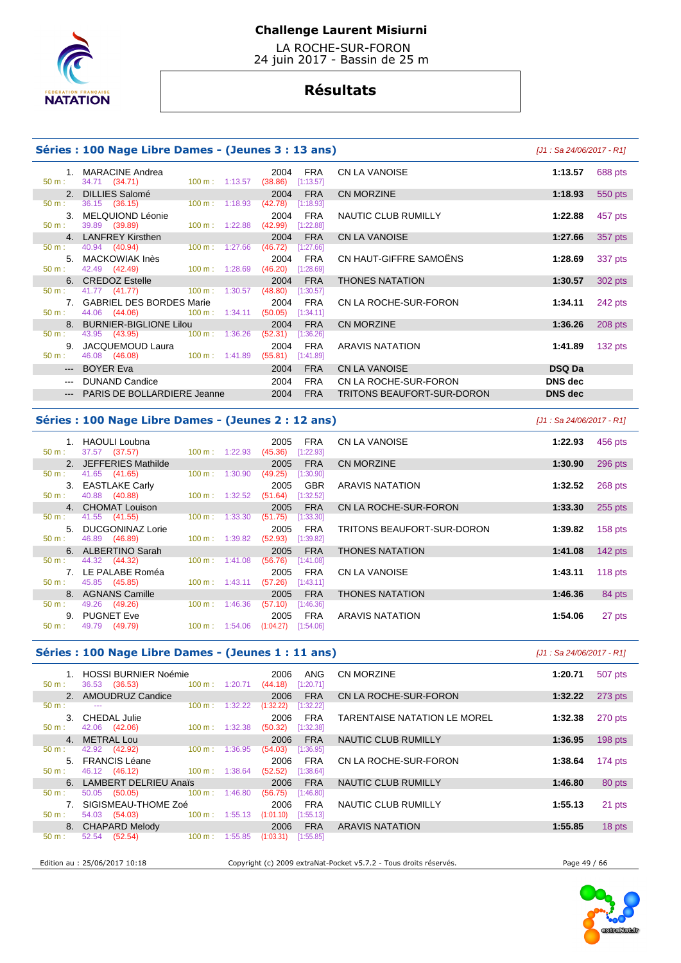

 LA ROCHE-SUR-FORON 24 juin 2017 - Bassin de 25 m

# **Résultats**

### **Séries : 100 Nage Libre Dames - (Jeunes 3 : 13 ans)** [J1 : Sa 24/06/2017 - R1]

#### 1. MARACINE Andrea 2004 FRA 2004 **FRA**<br>50 m : 34.71 **(34.71)** 100 m : 1:13.57 **(38.86)** [1:13.57] 34.71 (34.71) 2. DILLIES Salomé 2004 FRA<br>  $\frac{2004}{50 \text{ m}}$ : 36.15 (36.15) **100 m**: 1:18.93 (42.78) [1:18.93] 50 m : 36.15 (36.15) 100 m : 1:18.93 (42.78) [1:18.93] 3. MELQUIOND Léonie 2004 FRA<br>  $50 \text{ m}: 39.89 (39.89)$   $(39.89) (132.88)$  pt:22.88  $(42.99)$   $[1:22.88]$ 39.89 (39.89) 4. LANFREY Kirsthen 2004 FRA<br>
50 m : 40.94 (40.94) 100 m : 1:27.66 (46.72) [1:27.66] 50 m : 40.94 (40.94) 100 m : 1:27.66 (46.72) [1:27.66] 5. MACKOWIAK Inès 2004 FRA CN HAUT-GIFFRE SAMOËNS **1:28.69** 337 pts 42.49 (42.49) **6. CREDOZ Estelle 2004 FRA**<br> **50 m**: 41.77 (41.77) 100 m: 1:30.57 (48.80) [1:30.57] 50 m : 41.77 (41.77) 100 m : 1:30.57 (48.80) [1:30.57] 7. GABRIEL DES BORDES Marie 2004 FRA<br>2004 **FRA CN LA ROCHE-SUR-FORON 1:34.11 2004** FRA 50 m : 44.06 (44.06) 100 m : 1:34.11 8. BURNIER-BIGLIONE Lilou 2004 FRA<br>
50 m : 43.95 (43.95) 100 m : 1:36.26 (52.31) [1:36.26] 50 m : 43.95 (43.95) 100 m : 1:36.26 (52.31) [1:36.26] 9. JACQUEMOUD Laura 2004 FRA<br>
50 m : 46.08 (46.08) 100 m : 1:41.89 (55.81) [1:41.89]  $(55.81)$   $[1:41.89]$ --- BOYER Eva 2004 FRA --- DUNAND Candice 2004 FRA --- PARIS DE BOLLARDIERE Jeanne 2004 FRA

| CN LA VANOISE              | 1:13.57        | 688 pts   |
|----------------------------|----------------|-----------|
| CN MORZINE                 | 1:18.93        | 550 pts   |
| NAUTIC CLUB RUMILLY        | 1:22.88        | 457 pts   |
| <b>CN LA VANOISE</b>       | 1:27.66        | 357 pts   |
| CN HAUT-GIFFRE SAMOËNS     | 1:28.69        | 337 pts   |
| THONES NATATION            | 1:30.57        | 302 pts   |
| CN LA ROCHE-SUR-FORON      | 1:34.11        | 242 pts   |
| <b>CN MORZINE</b>          | 1:36.26        | $208$ pts |
| <b>ARAVIS NATATION</b>     | 1:41.89        | 132 pts   |
| <b>CN LA VANOISE</b>       | <b>DSQ Da</b>  |           |
| CN LA ROCHE-SUR-FORON      | <b>DNS</b> dec |           |
| TRITONS BEAUFORT-SUR-DORON | <b>DNS</b> dec |           |

### **Séries : 100 Nage Libre Dames - (Jeunes 2 : 12 ans)** [J1 : Sa 24/06/2017 - R1]

| $50 m$ : | <b>HAOULI Loubna</b><br>37.57 (37.57) | $100 \text{ m}$ :<br>1:22.93 | 2005<br><b>FRA</b><br>[1:22.93]<br>(45.36) | CN LA VANOISE              | 1:22.93 | 456 pts   |
|----------|---------------------------------------|------------------------------|--------------------------------------------|----------------------------|---------|-----------|
|          | 2. JEFFERIES Mathilde                 |                              | <b>FRA</b><br>2005                         | <b>CN MORZINE</b>          | 1:30.90 | 296 pts   |
| 50 m:    | 41.65 (41.65)                         | 1:30.90<br>$100 \text{ m}$ : | (49.25)<br>[1:30.90]                       |                            |         |           |
|          | 3. EASTLAKE Carly                     |                              | <b>GBR</b><br>2005                         | <b>ARAVIS NATATION</b>     | 1:32.52 | 268 pts   |
| $50 m$ : | 40.88 (40.88)                         | 100 m: 1:32.52               | (51.64)<br>[1:32.52]                       |                            |         |           |
|          | 4. CHOMAT Louison                     |                              | <b>FRA</b><br>2005                         | CN LA ROCHE-SUR-FORON      | 1:33.30 | 255 pts   |
| $50 m$ : | 41.55 (41.55)                         | 1:33.30<br>$100 \text{ m}$ : | (51.75)<br>[1:33.30]                       |                            |         |           |
| $5 -$    | DUCGONINAZ Lorie                      |                              | <b>FRA</b><br>2005                         | TRITONS BEAUFORT-SUR-DORON | 1:39.82 | $158$ pts |
| $50 m$ : | 46.89 (46.89)                         | $100 \text{ m}: 1:39.82$     | (52.93)<br>[1:39.82]                       |                            |         |           |
|          | 6. ALBERTINO Sarah                    |                              | <b>FRA</b><br>2005                         | <b>THONES NATATION</b>     | 1:41.08 | $142$ pts |
| $50 m$ : | 44.32 (44.32)                         | $100 m$ : 1:41.08            | (56.76)<br>[1:41.08]                       |                            |         |           |
|          | 7. LE PALABE Roméa                    |                              | <b>FRA</b><br>2005                         | CN LA VANOISE              | 1:43.11 | $118$ pts |
| $50 m$ : | 45.85 (45.85)                         | $100 \text{ m}: 1:43.11$     | (57.26)<br>[1:43.11]                       |                            |         |           |
|          | 8. AGNANS Camille                     |                              | <b>FRA</b><br>2005                         | <b>THONES NATATION</b>     | 1:46.36 | 84 pts    |
| $50 m$ : | 49.26 (49.26)                         | 1:46.36<br>$100 \text{ m}$ : | (57.10)<br>[1:46.36]                       |                            |         |           |
| 9.       | <b>PUGNET Eve</b>                     |                              | <b>FRA</b><br>2005                         | <b>ARAVIS NATATION</b>     | 1:54.06 | 27 pts    |
| $50 m$ : | 49.79 (49.79)                         | $100 \text{ m}: 1:54.06$     | (1:04.27)<br>[1:54.06]                     |                            |         |           |

#### **Séries : 100 Nage Libre Dames - (Jeunes 1 : 11 ans)** [J1 : Sa 24/06/2017 - R1]

| $50 m$ :         | <b>HOSSI BURNIER Noémie</b><br>36.53 (36.53)                                                   | $100 \text{ m}$ :<br>1:20.71 | <b>ANG</b><br>2006<br>(44.18)<br>[1:20.71] | CN MORZINE                                                        | 1:20.71      | 507 pts   |
|------------------|------------------------------------------------------------------------------------------------|------------------------------|--------------------------------------------|-------------------------------------------------------------------|--------------|-----------|
|                  | 2. AMOUDRUZ Candice                                                                            |                              | <b>FRA</b><br>2006                         | CN LA ROCHE-SUR-FORON                                             | 1:32.22      | $273$ pts |
| $50 m$ :         | $\frac{1}{2} \left( \frac{1}{2} \right) \left( \frac{1}{2} \right) \left( \frac{1}{2} \right)$ | 100 m:<br>1:32.22            | (1:32.22)<br>[1:32.22]                     |                                                                   |              |           |
|                  | 3. CHEDAL Julie                                                                                |                              | <b>FRA</b><br>2006                         | TARENTAISE NATATION LE MOREL                                      | 1:32.38      | 270 pts   |
| $50 m$ :         | 42.06 (42.06)                                                                                  | 1:32.38<br>$100 \text{ m}$ : | (50.32)<br>[1:32.38]                       |                                                                   |              |           |
| 4 <sup>1</sup>   | <b>METRAL Lou</b>                                                                              |                              | <b>FRA</b><br>2006                         | NAUTIC CLUB RUMILLY                                               | 1:36.95      | 198 pts   |
| $50 m$ :         | 42.92 (42.92)                                                                                  | 1:36.95<br>$100 \text{ m}$ : | (54.03)<br>[1:36.95]                       |                                                                   |              |           |
|                  | 5. FRANCIS Léane                                                                               |                              | <b>FRA</b><br>2006                         | CN LA ROCHE-SUR-FORON                                             | 1:38.64      | 174 pts   |
| $50 m$ :         | 46.12 (46.12)                                                                                  | $100 \text{ m}: 1:38.64$     | (52.52)<br>[1:38.64]                       |                                                                   |              |           |
|                  | 6. LAMBERT DELRIEU Anaïs                                                                       |                              | 2006<br><b>FRA</b>                         | NAUTIC CLUB RUMILLY                                               | 1:46.80      | 80 pts    |
| $50 m$ :         | 50.05<br>(50.05)                                                                               | $100 \text{ m}$ :<br>1:46.80 | (56.75)<br>[1:46.80]                       |                                                                   |              |           |
|                  | 7. SIGISMEAU-THOME Zoé                                                                         |                              | <b>FRA</b><br>2006                         | NAUTIC CLUB RUMILLY                                               | 1:55.13      | 21 pts    |
| $50 \text{ m}$ : | 54.03 (54.03)                                                                                  | $100 \text{ m}$ :<br>1:55.13 | (1:01.10)<br>[1:55.13]                     |                                                                   |              |           |
|                  | 8. CHAPARD Melody                                                                              |                              | <b>FRA</b><br>2006                         | <b>ARAVIS NATATION</b>                                            | 1:55.85      | 18 pts    |
| 50 m:            | (52.54)<br>52.54                                                                               | $100 \text{ m}$ :<br>1:55.85 | (1:03.31)<br>[1:55.85]                     |                                                                   |              |           |
|                  |                                                                                                |                              |                                            |                                                                   |              |           |
|                  | Edition au : 25/06/2017 10:18                                                                  |                              |                                            | Copyright (c) 2009 extraNat-Pocket v5.7.2 - Tous droits réservés. | Page 49 / 66 |           |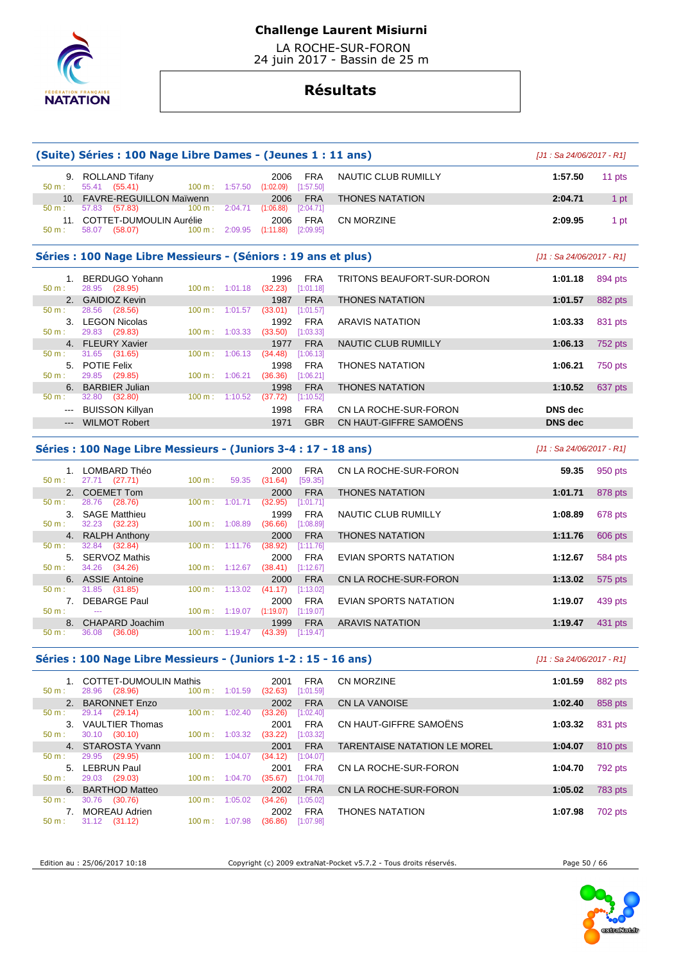

 LA ROCHE-SUR-FORON 24 juin 2017 - Bassin de 25 m

# **Résultats**

|                     | (Suite) Séries : 100 Nage Libre Dames - (Jeunes 1 : 11 ans)     |                                     |                                          |                                        |                              | $[J1: Sa 24/06/2017 - R1]$ |                |
|---------------------|-----------------------------------------------------------------|-------------------------------------|------------------------------------------|----------------------------------------|------------------------------|----------------------------|----------------|
| 50 m:               | 9. ROLLAND Tifany<br>55.41 (55.41)                              | 100 m: 1:57.50                      | 2006<br>(1:02.09)                        | <b>FRA</b><br>[1:57.50]                | NAUTIC CLUB RUMILLY          | 1:57.50                    | 11 pts         |
|                     | 10. FAVRE-REGUILLON Maïwenn                                     |                                     | 2006                                     | <b>FRA</b>                             | <b>THONES NATATION</b>       | 2:04.71                    | 1 pt           |
| 50 m:               | 57.83 (57.83)                                                   | $100 m$ : 2:04.71                   | (1:06.88)                                | [2:04.71]                              |                              |                            |                |
| 50 m:               | 11. COTTET-DUMOULIN Aurélie<br>58.07 (58.07)                    | $100 \text{ m}: 2:09.95$            | 2006<br>(1:11.88)                        | <b>FRA</b><br>[2:09.95]                | <b>CN MORZINE</b>            | 2:09.95                    | 1 pt           |
|                     | Séries : 100 Nage Libre Messieurs - (Séniors : 19 ans et plus)  |                                     |                                          |                                        |                              | [J1 : Sa 24/06/2017 - R1]  |                |
| 50 m:               | 1. BERDUGO Yohann<br>28.95 (28.95)                              | 100 m: 1:01.18                      | 1996<br>(32.23)                          | <b>FRA</b><br>[1:01.18]                | TRITONS BEAUFORT-SUR-DORON   | 1:01.18                    | 894 pts        |
|                     | 2. GAIDIOZ Kevin                                                |                                     | 1987                                     | <b>FRA</b>                             | <b>THONES NATATION</b>       | 1:01.57                    | 882 pts        |
| 50 m:               | 28.56 (28.56)                                                   | 100 m: 1:01.57                      | (33.01)                                  | [1:01.57]                              |                              |                            |                |
| $50 m$ :            | 3. LEGON Nicolas<br>29.83 (29.83)                               | 100 m: 1:03.33                      | 1992<br>(33.50)                          | <b>FRA</b><br>[1:03.33]                | <b>ARAVIS NATATION</b>       | 1:03.33                    | 831 pts        |
|                     | 4. FLEURY Xavier                                                |                                     | 1977                                     | <b>FRA</b>                             | <b>NAUTIC CLUB RUMILLY</b>   | 1:06.13                    | 752 pts        |
| 50 m:               | 31.65<br>(31.65)                                                | $100 \text{ m}$ :                   | (34.48)<br>1:06.13                       | [1:06.13]                              |                              |                            |                |
|                     | 5. POTIE Felix                                                  |                                     | 1998                                     | <b>FRA</b>                             | <b>THONES NATATION</b>       | 1:06.21                    | 750 pts        |
| $50 m$ :            | 29.85<br>(29.85)<br>6. BARBIER Julian                           | 100 m: 1:06.21                      | (36.36)<br>1998                          | [1:06.21]<br><b>FRA</b>                | <b>THONES NATATION</b>       | 1:10.52                    | 637 pts        |
| 50 m:               | 32.80 (32.80)                                                   | $100 m$ : 1:10.52                   | (37.72)                                  | [1:10.52]                              |                              |                            |                |
|                     | --- BUISSON Killyan                                             |                                     | 1998                                     | <b>FRA</b>                             | CN LA ROCHE-SUR-FORON        | <b>DNS</b> dec             |                |
| $\qquad \qquad - -$ | <b>WILMOT Robert</b>                                            |                                     | 1971                                     | <b>GBR</b>                             | CN HAUT-GIFFRE SAMOENS       | <b>DNS</b> dec             |                |
|                     | Séries : 100 Nage Libre Messieurs - (Juniors 3-4 : 17 - 18 ans) |                                     |                                          |                                        |                              | $[J1: Sa 24/06/2017 - R1]$ |                |
| 50 m:               | 1. LOMBARD Théo<br>27.71 (27.71)                                | 100 m:                              | 2000<br>59.35<br>(31.64)                 | <b>FRA</b><br>[59.35]                  | CN LA ROCHE-SUR-FORON        | 59.35                      | 950 pts        |
| 50 m:               | 2. COEMET Tom<br>28.76<br>(28.76)                               | $100 \text{ m}$ :                   | 2000<br>1:01.71<br>(32.95)               | <b>FRA</b><br>[1:01.71]                | <b>THONES NATATION</b>       | 1:01.71                    | 878 pts        |
| $50 m$ :            | 3. SAGE Matthieu<br>32.23 (32.23)                               | 100 m: 1:08.89                      | 1999<br>(36.66)                          | <b>FRA</b><br>[1:08.89]                | NAUTIC CLUB RUMILLY          | 1:08.89                    | 678 pts        |
|                     | 4. RALPH Anthony                                                |                                     | 2000                                     | <b>FRA</b>                             | <b>THONES NATATION</b>       | 1:11.76                    | 606 pts        |
| 50 m:<br>$50 m$ :   | 32.84<br>(32.84)<br>5. SERVOZ Mathis<br>34.26<br>(34.26)        | $100 \text{ m}$ :<br>100 m: 1:12.67 | 1:11.76<br>(38.92)<br>2000<br>(38.41)    | [1:11.76]<br><b>FRA</b><br>[1:12.67]   | EVIAN SPORTS NATATION        | 1:12.67                    | 584 pts        |
| $50 m$ :            | 6. ASSIE Antoine<br>31.85 (31.85)                               | 100 m:                              | 2000<br>1:13.02<br>(41.17)               | <b>FRA</b><br>[1:13.02]                | CN LA ROCHE-SUR-FORON        | 1:13.02                    | 575 pts        |
| 50 m:               | 7. DEBARGE Paul<br>$\sim$                                       | 100 m: 1:19.07                      | 2000<br>(1:19.07)                        | <b>FRA</b><br>[1:19.07]                | EVIAN SPORTS NATATION        | 1:19.07                    | 439 pts        |
| 8.<br>50 m:         | <b>CHAPARD Joachim</b><br>36.08<br>(36.08)                      |                                     | 1999<br>$100 \text{ m}: 1:19.47$ (43.39) | <b>FRA</b><br>[1:19.47]                | <b>ARAVIS NATATION</b>       | 1:19.47                    | 431 pts        |
|                     | Séries : 100 Nage Libre Messieurs - (Juniors 1-2 : 15 - 16 ans) |                                     |                                          |                                        |                              | $[J1: Sa 24/06/2017 - R1]$ |                |
| 50 m:               | 1. COTTET-DUMOULIN Mathis<br>28.96 (28.96)                      | 100 m: 1:01.59                      | 2001<br>(32.63)                          | <b>FRA</b><br>[1:01.59]                | CN MORZINE                   | 1:01.59                    | 882 pts        |
|                     | 2. BARONNET Enzo                                                |                                     | 2002                                     | <b>FRA</b>                             | CN LA VANOISE                | 1:02.40                    | 858 pts        |
| 50 m:               | 29.14 (29.14)                                                   | 100 m:                              | 1:02.40<br>(33.26)                       | [1:02.40]                              |                              |                            |                |
| 50 m:               | 3. VAULTIER Thomas<br>30.10 (30.10)                             | $100 \text{ m}: 1:03.32$            | 2001<br>(33.22)                          | <b>FRA</b><br>[1:03.32]                | CN HAUT-GIFFRE SAMOËNS       | 1:03.32                    | 831 pts        |
| 4.                  | STAROSTA Yvann                                                  |                                     | 2001                                     | <b>FRA</b>                             | TARENTAISE NATATION LE MOREL | 1:04.07                    | 810 pts        |
| 50 m:<br>50 m:      | 29.95 (29.95)<br>5. LEBRUN Paul<br>29.03 (29.03)                | 100 m: 1:04.07<br>100 m: 1:04.70    | (34.12)<br>2001<br>(35.67)               | [1:04.07]<br><b>FRA</b><br>$[1:04.70]$ | CN LA ROCHE-SUR-FORON        | 1:04.70                    | 792 pts        |
|                     | 6. BARTHOD Matteo                                               |                                     | 2002                                     | <b>FRA</b>                             | CN LA ROCHE-SUR-FORON        | 1:05.02                    | <b>783 pts</b> |
| 50 m:               | 30.76<br>(30.76)                                                | 100 m: 1:05.02                      | (34.26)                                  | [1:05.02]                              |                              |                            |                |
| 7.<br>50 m:         | <b>MOREAU Adrien</b><br>31.12 (31.12)                           | 100 m: 1:07.98                      | 2002<br>(36.86)                          | <b>FRA</b><br>[1:07.98]                | <b>THONES NATATION</b>       | 1:07.98                    | 702 pts        |

Edition au : 25/06/2017 10:18 Copyright (c) 2009 extraNat-Pocket v5.7.2 - Tous droits réservés. Page 50 / 66



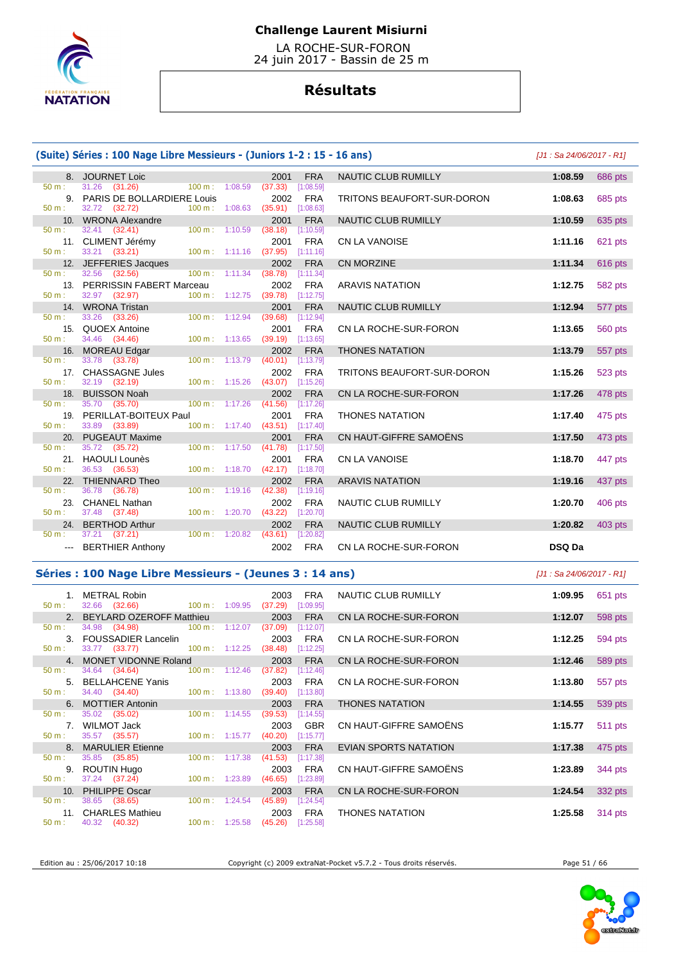

 LA ROCHE-SUR-FORON 24 juin 2017 - Bassin de 25 m

# **Résultats**

# **(Suite) Séries : 100 Nage Libre Messieurs - (Juniors 1-2 : 15 - 16 ans)** [J1 : Sa 24/06/2017 - R1]

|                  | 8. JOURNET Loic                                 |                                             |                          | 2001                                       | <b>FRA</b> | NAUTIC CLUB RUMILLY        | 1:08.59       |
|------------------|-------------------------------------------------|---------------------------------------------|--------------------------|--------------------------------------------|------------|----------------------------|---------------|
| 50 m:            | 31.26 (31.26) 100 m : 1:08.59                   |                                             |                          | (37.33)                                    | [1:08.59]  |                            |               |
|                  | 9. PARIS DE BOLLARDIERE Louis                   |                                             |                          | 2002                                       | <b>FRA</b> | TRITONS BEAUFORT-SUR-DORON | 1:08.63       |
| $50 m$ :         | 32.72 (32.72)                                   |                                             |                          | 100 m: 1:08.63 (35.91) [1:08.63]           |            |                            |               |
|                  | 10. WRONA Alexandre                             |                                             |                          | 2001                                       | <b>FRA</b> | NAUTIC CLUB RUMILLY        | 1:10.59       |
| $50 \text{ m}$ : | $32.41$ $(32.41)$                               | $100 \text{ m}$ : 1:10.59                   |                          | (38.18)                                    | [1:10.59]  |                            |               |
|                  | 11. CLIMENT Jérémy                              |                                             |                          | 2001                                       | <b>FRA</b> | <b>CN LA VANOISE</b>       | 1:11.16       |
| 50 m:            | 33.21 (33.21)                                   |                                             |                          | $100 \text{ m}: 1:11.16$ (37.95) [1:11.16] |            |                            |               |
|                  | 12. JEFFERIES Jacques                           |                                             |                          | 2002                                       | <b>FRA</b> | <b>CN MORZINE</b>          | 1:11.34       |
| 50 m:            | 32.56 (32.56) 100 m : 1:11.34 (38.78) [1:11.34] |                                             |                          |                                            |            |                            |               |
|                  | 13. PERRISSIN FABERT Marceau                    |                                             |                          | 2002                                       | <b>FRA</b> | <b>ARAVIS NATATION</b>     | 1:12.75       |
| $50 m$ :         | 32.97 (32.97)                                   |                                             |                          | 100 m: 1:12.75 (39.78) [1:12.75]           |            |                            |               |
|                  | 14. WRONA Tristan                               |                                             |                          | 2001                                       | <b>FRA</b> | NAUTIC CLUB RUMILLY        | 1:12.94       |
| 50 m:            | 33.26 (33.26)                                   | $100 \text{ m}: 1:12.94$                    |                          | (39.68)                                    | [1:12.94]  |                            |               |
|                  | 15. QUOEX Antoine                               |                                             |                          | 2001                                       | <b>FRA</b> | CN LA ROCHE-SUR-FORON      | 1:13.65       |
| 50 m:            | 34.46 (34.46)                                   | 100 m: 1:13.65                              |                          | $(39.19)$ [1:13.65]                        |            |                            |               |
|                  | 16. MOREAU Edgar                                |                                             |                          | 2002                                       | <b>FRA</b> | <b>THONES NATATION</b>     | 1:13.79       |
| 50 m:            | 33.78 (33.78)                                   | $100 \text{ m}: 1:13.79$                    |                          | (40.01)                                    | [1:13.79]  |                            |               |
|                  | 17. CHASSAGNE Jules                             |                                             |                          | 2002                                       | <b>FRA</b> | TRITONS BEAUFORT-SUR-DORON | 1:15.26       |
| $50 \text{ m}$ : | 32.19 (32.19)                                   | $100 \text{ m}$ : 1:15.26                   |                          | $(43.07)$ [1:15.26]                        |            |                            |               |
|                  | 18. BUISSON Noah                                |                                             |                          | 2002                                       | <b>FRA</b> | CN LA ROCHE-SUR-FORON      | 1:17.26       |
| 50 m:            | 35.70 (35.70)                                   |                                             |                          | 100 m: 1:17.26 (41.56) [1:17.26]           |            |                            |               |
|                  | 19. PERILLAT-BOITEUX Paul                       |                                             |                          | 2001                                       | <b>FRA</b> | <b>THONES NATATION</b>     | 1:17.40       |
| 50 m:            | 33.89 (33.89)                                   |                                             |                          | 100 m: 1:17.40 (43.51) [1:17.40]           |            |                            |               |
|                  | 20. PUGEAUT Maxime                              | <u> 1999 - Johann Barnett, fransk konge</u> |                          | 2001                                       | <b>FRA</b> | CN HAUT-GIFFRE SAMOËNS     | 1:17.50       |
| $50 m$ :         | 35.72 (35.72)                                   | 100 m: 1:17.50                              |                          | (41.78)                                    | [1:17.50]  |                            |               |
|                  | 21. HAOULI Lounès                               |                                             |                          | 2001                                       | <b>FRA</b> | <b>CN LA VANOISE</b>       | 1:18.70       |
| $50 m$ :         | 36.53 (36.53)                                   |                                             | $100 \text{ m}: 1:18.70$ | (42.17)                                    | [1:18.70]  |                            |               |
|                  | 22. THIENNARD Theo                              |                                             |                          | 2002                                       | <b>FRA</b> | <b>ARAVIS NATATION</b>     | 1:19.16       |
| 50 m:            | 36.78 (36.78)                                   |                                             |                          | $100 \text{ m}: 1:19.16$ (42.38)           | [1:19.16]  |                            |               |
|                  | 23. CHANEL Nathan                               |                                             |                          | 2002                                       | <b>FRA</b> | <b>NAUTIC CLUB RUMILLY</b> | 1:20.70       |
| 50 m:            | 37.48 (37.48)                                   |                                             |                          | 100 m: 1:20.70 (43.22) [1:20.70]           |            |                            |               |
|                  | 24. BERTHOD Arthur                              |                                             |                          | 2002                                       | <b>FRA</b> | <b>NAUTIC CLUB RUMILLY</b> | 1:20.82       |
| 50 m:            | 37.21 (37.21)<br>$100 \text{ m}$ : 1:20.82      |                                             |                          | (43.61)                                    | [1:20.82]  |                            |               |
|                  | --- BERTHIER Anthony                            |                                             |                          | 2002                                       | <b>FRA</b> | CN LA ROCHE-SUR-FORON      | <b>DSQ Da</b> |

|     | e) Series : 100 nage Libre messieurs - (Juniors 1-2 : 15 - 16 ans) |                           |                                            |                                   | <u> 191 : Sa 24/06/2017 - R11</u> |         |
|-----|--------------------------------------------------------------------|---------------------------|--------------------------------------------|-----------------------------------|-----------------------------------|---------|
|     | 8. JOURNET Loic                                                    |                           | <b>FRA</b><br>2001                         | NAUTIC CLUB RUMILLY               | 1:08.59                           | 686 pts |
|     | 31.26 (31.26)                                                      | 100 m: 1:08.59            | $(37.33)$ [1:08.59]                        |                                   |                                   |         |
|     | 9. PARIS DE BOLLARDIERE Louis                                      |                           | 2002<br><b>FRA</b>                         | <b>TRITONS BEAUFORT-SUR-DORON</b> | 1:08.63                           | 685 pts |
|     | 32.72 (32.72)                                                      | 100 m: 1:08.63            | $(35.91)$ [1:08.63]                        |                                   |                                   |         |
|     | 10. WRONA Alexandre                                                |                           | <b>FRA</b><br>2001                         | <b>NAUTIC CLUB RUMILLY</b>        | 1:10.59                           | 635 pts |
| ÷.  | 32.41 (32.41)                                                      | $100 \text{ m}$ : 1:10.59 | (38.18)<br>[1:10.59]                       |                                   |                                   |         |
|     | 11. CLIMENT Jérémy                                                 |                           | 2001<br><b>FRA</b>                         | <b>CN LA VANOISE</b>              | 1:11.16                           | 621 pts |
| ÷   | 33.21 (33.21)                                                      | $100 m$ : 1:11.16         | $(37.95)$ $[1:11.16]$                      |                                   |                                   |         |
|     | 12. JEFFERIES Jacques                                              |                           | <b>FRA</b><br>2002                         | <b>CN MORZINE</b>                 | 1:11.34                           | 616 pts |
| ÷.  | 32.56 (32.56)                                                      | $100 m$ : 1:11.34         | (38.78)<br>[1:11.34]                       |                                   |                                   |         |
|     | 13. PERRISSIN FABERT Marceau                                       |                           | <b>FRA</b><br>2002                         | <b>ARAVIS NATATION</b>            | 1:12.75                           | 582 pts |
| ÷   | 32.97 (32.97)                                                      | 100 m: 1:12.75            | $(39.78)$ [1:12.75]                        |                                   |                                   |         |
|     | 14. WRONA Tristan                                                  |                           | <b>FRA</b><br>2001                         | NAUTIC CLUB RUMILLY               | 1:12.94                           | 577 pts |
| ÷.  | 33.26 (33.26)                                                      | 100 m: 1:12.94            | $(39.68)$ [1:12.94]                        |                                   |                                   |         |
|     | 15. QUOEX Antoine                                                  |                           | 2001<br><b>FRA</b>                         | CN LA ROCHE-SUR-FORON             | 1:13.65                           | 560 pts |
|     | 34.46 (34.46)                                                      | $100 \text{ m}: 1:13.65$  | $(39.19)$ [1:13.65]                        |                                   |                                   |         |
|     | 16. MOREAU Edgar                                                   | 100 m: 1:13.79            | <b>FRA</b><br>2002                         | <b>THONES NATATION</b>            | 1:13.79                           | 557 pts |
| ÷.  | 33.78 (33.78)                                                      |                           | $(40.01)$ [1:13.79]                        |                                   |                                   |         |
| 17. | <b>CHASSAGNE Jules</b>                                             | 100 m: 1:15.26            | 2002<br><b>FRA</b><br>$(43.07)$ [1:15.26]  | TRITONS BEAUFORT-SUR-DORON        | 1:15.26                           | 523 pts |
|     | 32.19 (32.19)                                                      |                           |                                            |                                   |                                   |         |
| 18. | <b>BUISSON Noah</b><br>35.70 (35.70)                               | 100 m: 1:17.26            | 2002<br><b>FRA</b><br>(41.56)<br>[1:17.26] | CN LA ROCHE-SUR-FORON             | 1:17.26                           | 478 pts |
|     | 19. PERILLAT-BOITEUX Paul                                          |                           | 2001<br><b>FRA</b>                         | <b>THONES NATATION</b>            | 1:17.40                           | 475 pts |
|     | 33.89 (33.89)                                                      | $100 \text{ m}: 1:17.40$  | $(43.51)$ [1:17.40]                        |                                   |                                   |         |
| 20. | <b>PUGEAUT Maxime</b>                                              |                           | <b>FRA</b><br>2001                         | CN HAUT-GIFFRE SAMOËNS            | 1:17.50                           | 473 pts |
|     | 35.72 (35.72)                                                      | 100 m: 1:17.50            | (41.78)<br>[1:17.50]                       |                                   |                                   |         |
|     | 21. HAOULI Lounès                                                  |                           | <b>FRA</b><br>2001                         | <b>CN LA VANOISE</b>              | 1:18.70                           | 447 pts |
|     | 36.53 (36.53)                                                      | 100 m: 1:18.70            | $(42.17)$ [1:18.70]                        |                                   |                                   |         |
|     | 22. THIENNARD Theo                                                 |                           | 2002<br><b>FRA</b>                         | <b>ARAVIS NATATION</b>            | 1:19.16                           | 437 pts |
| ÷.  | 36.78 (36.78)                                                      | $100 m$ : 1:19.16         | $(42.38)$ [1:19.16]                        |                                   |                                   |         |
|     | 23. CHANEL Nathan                                                  |                           | <b>FRA</b><br>2002                         | NAUTIC CLUB RUMILLY               | 1:20.70                           | 406 pts |
| ÷   | 37.48 (37.48)                                                      | $100 m$ : 1:20.70         | $(43.22)$ [1:20.70]                        |                                   |                                   |         |
|     | 24. BERTHOD Arthur                                                 |                           | 2002<br><b>FRA</b>                         | NAUTIC CLUB RUMILLY               | 1:20.82                           | 403 pts |
| ÷.  | $37.21$ $(37.21)$                                                  | 100 m: 1:20.82            | $(43.61)$ [1:20.82]                        |                                   |                                   |         |
|     | --- BERTHIER Anthony                                               |                           | <b>FRA</b><br>2002                         | CN LA ROCHE-SUR-FORON             | <b>DSQ Da</b>                     |         |
|     |                                                                    |                           |                                            |                                   |                                   |         |

### **Séries : 100 Nage Libre Messieurs - (Jeunes 3 : 14 ans)** [J1 : Sa 24/06/2017 - R1]

 1. METRAL Robin 2003 FRA NAUTIC CLUB RUMILLY **1:09.95** 651 pts 32.66 (32.66) 2. BEYLARD OZEROFF Matthieu 2003 FRA CN LA ROCHE-SUR-FORON **1:12.07** 598 pts 50 m : 34.98 (34.98) 100 m : 1:12.07 (37.09) [1:12.07] 3. FOUSSADIER Lancelin 2003 FRA CN LA ROCHE-SUR-FORON **1:12.25** 594 pts 50 m : 33.77 (33.77) 100 m : 1:12.25 (38.48) [1:12.25] 4. MONET VIDONNE Roland 2003 FRA CN LA ROCHE-SUR-FORON **1:12.46** 589 pts  $50 \text{ m}$  :  $34.64 \text{ (34.64)}$  5. BELLAHCENE Yanis 2003 FRA CN LA ROCHE-SUR-FORON **1:13.80** 557 pts  $(39.40)$  [1:13.80] 6. MOTTIER Antonin 2003 FRA THONES NATATION **1:14.55** 539 pts 35.02 (35.02) 100 m : 1:14.55 (39.53) [1:14.5 7. WILMOT Jack 2003 GBR CN HAUT-GIFFRE SAMOËNS **1:15.77** 511 pts  $(40.20)$  [1:15.77] 8. MARULIER Etienne 2003 FRA EVIAN SPORTS NATATION **1:17.38** 475 pts 50 m : 35.85 (35.85) 100 m : 1:17.38 (41.53) [1:17.38] 9. ROUTIN Hugo 2003 FRA CN HAUT-GIFFRE SAMOËNS **1:23.89** 344 pts 50 m : 37.24 (37.24) 100 m : 1:23.89 (46.65) [1:23.89] 10. PHILIPPE Oscar 2003 FRA CN LA ROCHE-SUR-FORON **1:24.54** 332 pts 50 m : 38.65 (38.65) 100 m : 1:24.54 (45.89) [1:24.54] 11. CHARLES Mathieu 2003 FRA THONES NATATION **1:25.58** 314 pts 40.32 (40.32) 100 m : 1:25.58 (45.26) [1:25.58]

Edition au : 25/06/2017 10:18 Copyright (c) 2009 extraNat-Pocket v5.7.2 - Tous droits réservés. Page 51 / 66

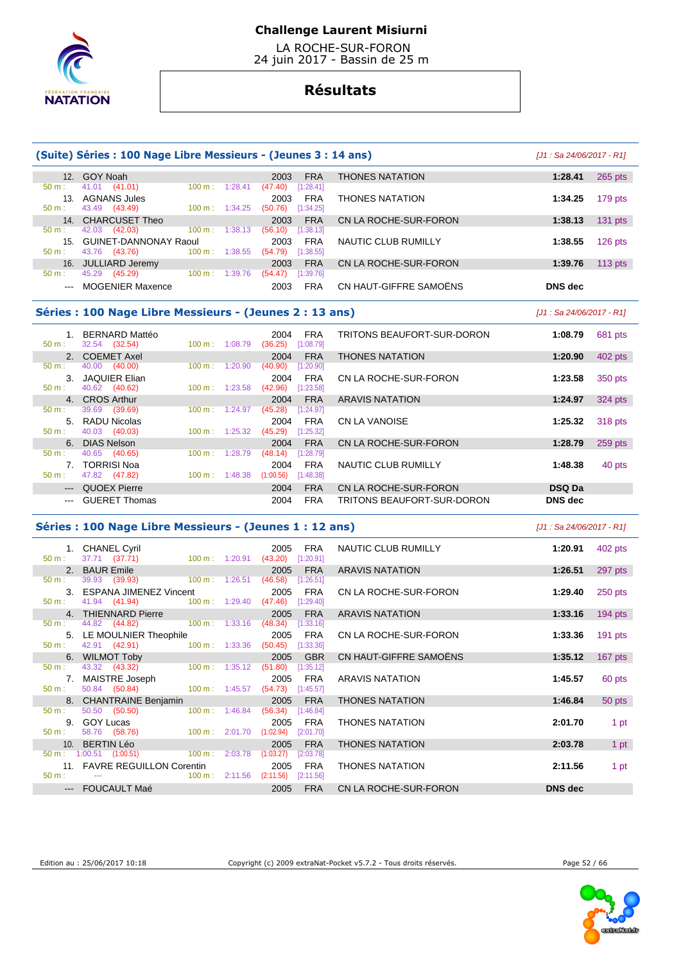

 LA ROCHE-SUR-FORON 24 juin 2017 - Bassin de 25 m

# **Résultats**

|                                                                                                                                                                                                                                                                                                                                                                                                                                                                            | (Suite) Séries : 100 Nage Libre Messieurs - (Jeunes 3 : 14 ans) |                           |                                            |                                   | [J1: Sa 24/06/2017 - R1]   |           |  |  |  |  |
|----------------------------------------------------------------------------------------------------------------------------------------------------------------------------------------------------------------------------------------------------------------------------------------------------------------------------------------------------------------------------------------------------------------------------------------------------------------------------|-----------------------------------------------------------------|---------------------------|--------------------------------------------|-----------------------------------|----------------------------|-----------|--|--|--|--|
|                                                                                                                                                                                                                                                                                                                                                                                                                                                                            | 12. GOY Noah                                                    |                           | <b>FRA</b><br>2003                         | <b>THONES NATATION</b>            | 1:28.41                    | 265 pts   |  |  |  |  |
| $50 m$ :                                                                                                                                                                                                                                                                                                                                                                                                                                                                   | 41.01 (41.01)<br>$100 m$ : 1:28.41                              |                           | (47.40)<br>[1:28.41]                       |                                   |                            |           |  |  |  |  |
| 50 m:                                                                                                                                                                                                                                                                                                                                                                                                                                                                      | 13. AGNANS Jules<br>43.49 (43.49)<br>$100 m$ : 1:34.25          |                           | <b>FRA</b><br>2003<br>(50.76)<br>[1:34.25] | <b>THONES NATATION</b>            | 1:34.25                    | 179 pts   |  |  |  |  |
|                                                                                                                                                                                                                                                                                                                                                                                                                                                                            | 14. CHARCUSET Theo                                              |                           | <b>FRA</b><br>2003                         | CN LA ROCHE-SUR-FORON             | 1:38.13                    | $131$ pts |  |  |  |  |
| $50 \text{ m}$ :                                                                                                                                                                                                                                                                                                                                                                                                                                                           | 42.03 (42.03)                                                   | $100 \text{ m}: 1:38.13$  | (56.10)<br>[1:38.13]                       |                                   |                            |           |  |  |  |  |
|                                                                                                                                                                                                                                                                                                                                                                                                                                                                            | 15. GUINET-DANNONAY Raoul                                       |                           | 2003<br><b>FRA</b>                         | NAUTIC CLUB RUMILLY               | 1:38.55                    | 126 pts   |  |  |  |  |
| 50 m:                                                                                                                                                                                                                                                                                                                                                                                                                                                                      | 43.76 (43.76)<br>100 m: 1:38.55                                 |                           | (54.79)<br>[1:38.55]                       |                                   |                            |           |  |  |  |  |
|                                                                                                                                                                                                                                                                                                                                                                                                                                                                            | 16. JULLIARD Jeremy                                             |                           | <b>FRA</b><br>2003                         | CN LA ROCHE-SUR-FORON             | 1:39.76                    | 113 $pts$ |  |  |  |  |
| $50 m$ :                                                                                                                                                                                                                                                                                                                                                                                                                                                                   | 45.29 (45.29)<br>100 m: 1:39.76                                 |                           | (54.47)<br>$[1:39.76]$                     |                                   |                            |           |  |  |  |  |
| $\frac{1}{2} \left( \frac{1}{2} \right) \left( \frac{1}{2} \right) \left( \frac{1}{2} \right) \left( \frac{1}{2} \right) \left( \frac{1}{2} \right) \left( \frac{1}{2} \right) \left( \frac{1}{2} \right) \left( \frac{1}{2} \right) \left( \frac{1}{2} \right) \left( \frac{1}{2} \right) \left( \frac{1}{2} \right) \left( \frac{1}{2} \right) \left( \frac{1}{2} \right) \left( \frac{1}{2} \right) \left( \frac{1}{2} \right) \left( \frac{1}{2} \right) \left( \frac$ | <b>MOGENIER Maxence</b>                                         |                           | 2003<br><b>FRA</b>                         | CN HAUT-GIFFRE SAMOËNS            | <b>DNS</b> dec             |           |  |  |  |  |
| Séries : 100 Nage Libre Messieurs - (Jeunes 2 : 13 ans)<br>$J1:$ Sa 24/06/2017 - R11                                                                                                                                                                                                                                                                                                                                                                                       |                                                                 |                           |                                            |                                   |                            |           |  |  |  |  |
| 1.                                                                                                                                                                                                                                                                                                                                                                                                                                                                         | <b>BERNARD Mattéo</b>                                           |                           | <b>FRA</b><br>2004                         | <b>TRITONS BEAUFORT-SUR-DORON</b> | 1:08.79                    | 681 pts   |  |  |  |  |
| $50 m$ :                                                                                                                                                                                                                                                                                                                                                                                                                                                                   | 32.54 (32.54)<br>100 m: 1:08.79                                 |                           | (36.25)<br>[1:08.79]                       |                                   |                            |           |  |  |  |  |
| 2.                                                                                                                                                                                                                                                                                                                                                                                                                                                                         | <b>COEMET Axel</b>                                              |                           | 2004<br><b>FRA</b>                         | <b>THONES NATATION</b>            | 1:20.90                    | 402 pts   |  |  |  |  |
| $50 m$ :                                                                                                                                                                                                                                                                                                                                                                                                                                                                   | 40.00 (40.00)<br>$100 \text{ m}$ :                              | 1:20.90                   | (40.90)<br>[1:20.90]                       |                                   |                            |           |  |  |  |  |
|                                                                                                                                                                                                                                                                                                                                                                                                                                                                            | 3. JAQUIER Elian                                                |                           | <b>FRA</b><br>2004                         | CN LA ROCHE-SUR-FORON             | 1:23.58                    | 350 pts   |  |  |  |  |
| $50 m$ :                                                                                                                                                                                                                                                                                                                                                                                                                                                                   | 40.62 (40.62)<br>100 m: 1:23.58                                 |                           | (42.96)<br>[1:23.58]                       |                                   |                            |           |  |  |  |  |
|                                                                                                                                                                                                                                                                                                                                                                                                                                                                            | 4. CROS Arthur                                                  |                           | <b>FRA</b><br>2004                         | <b>ARAVIS NATATION</b>            | 1:24.97                    | 324 pts   |  |  |  |  |
| 50 m:                                                                                                                                                                                                                                                                                                                                                                                                                                                                      | 39.69 (39.69)<br>$100 m$ :                                      | 1:24.97                   | (45.28)<br>[1:24.97]                       |                                   |                            |           |  |  |  |  |
|                                                                                                                                                                                                                                                                                                                                                                                                                                                                            | 5. RADU Nicolas                                                 |                           | <b>FRA</b><br>2004                         | <b>CN LA VANOISE</b>              | 1:25.32                    | 318 pts   |  |  |  |  |
| $50 m$ :                                                                                                                                                                                                                                                                                                                                                                                                                                                                   | 40.03 (40.03)<br>100 m: 1:25.32                                 |                           | (45.29)<br>[1:25.32]                       |                                   |                            |           |  |  |  |  |
| 6.                                                                                                                                                                                                                                                                                                                                                                                                                                                                         | <b>DIAS Nelson</b>                                              |                           | 2004<br><b>FRA</b>                         | CN LA ROCHE-SUR-FORON             | 1:28.79                    | 259 pts   |  |  |  |  |
| 50 m:                                                                                                                                                                                                                                                                                                                                                                                                                                                                      | 40.65 (40.65)<br>$100 \text{ m}$ :                              | 1:28.79                   | (48.14)<br>[1:28.79]                       |                                   |                            |           |  |  |  |  |
|                                                                                                                                                                                                                                                                                                                                                                                                                                                                            | 7. TORRISI Noa                                                  |                           | <b>FRA</b><br>2004                         | NAUTIC CLUB RUMILLY               | 1:48.38                    | 40 pts    |  |  |  |  |
| $50 m$ :                                                                                                                                                                                                                                                                                                                                                                                                                                                                   | 47.82 (47.82)                                                   | $100 \text{ m}$ : 1:48.38 | (1:00.56)<br>[1:48.38]                     |                                   |                            |           |  |  |  |  |
| $\frac{1}{2} \left( \frac{1}{2} \right) \left( \frac{1}{2} \right) \left( \frac{1}{2} \right) \left( \frac{1}{2} \right) \left( \frac{1}{2} \right) \left( \frac{1}{2} \right) \left( \frac{1}{2} \right) \left( \frac{1}{2} \right) \left( \frac{1}{2} \right) \left( \frac{1}{2} \right) \left( \frac{1}{2} \right) \left( \frac{1}{2} \right) \left( \frac{1}{2} \right) \left( \frac{1}{2} \right) \left( \frac{1}{2} \right) \left( \frac{1}{2} \right) \left( \frac$ | <b>QUOEX Pierre</b>                                             |                           | <b>FRA</b><br>2004                         | CN LA ROCHE-SUR-FORON             | <b>DSQ Da</b>              |           |  |  |  |  |
| $\frac{1}{2} \frac{1}{2} \frac{1}{2} \frac{1}{2} \frac{1}{2} \frac{1}{2} \frac{1}{2} \frac{1}{2} \frac{1}{2} \frac{1}{2} \frac{1}{2} \frac{1}{2} \frac{1}{2} \frac{1}{2} \frac{1}{2} \frac{1}{2} \frac{1}{2} \frac{1}{2} \frac{1}{2} \frac{1}{2} \frac{1}{2} \frac{1}{2} \frac{1}{2} \frac{1}{2} \frac{1}{2} \frac{1}{2} \frac{1}{2} \frac{1}{2} \frac{1}{2} \frac{1}{2} \frac{1}{2} \frac{$                                                                               | <b>GUERET Thomas</b>                                            |                           | <b>FRA</b><br>2004                         | <b>TRITONS BEAUFORT-SUR-DORON</b> | <b>DNS</b> dec             |           |  |  |  |  |
|                                                                                                                                                                                                                                                                                                                                                                                                                                                                            | Séries : 100 Nage Libre Messieurs - (Jeunes 1 : 12 ans)         |                           |                                            |                                   | $[J1: Sa 24/06/2017 - R1]$ |           |  |  |  |  |
|                                                                                                                                                                                                                                                                                                                                                                                                                                                                            | 1. CHANEL Cyril                                                 |                           | <b>FRA</b><br>2005                         | NAUTIC CLUB RUMILLY               | 1:20.91                    | 402 pts   |  |  |  |  |
| $50 m$ :                                                                                                                                                                                                                                                                                                                                                                                                                                                                   | 37.71 (37.71)                                                   | $100 m$ : 1:20.91         | $(43.20)$ [1:20.91]                        |                                   |                            |           |  |  |  |  |
| 2.                                                                                                                                                                                                                                                                                                                                                                                                                                                                         | <b>BAUR Emile</b>                                               |                           | <b>FRA</b><br>2005                         | <b>ARAVIS NATATION</b>            | 1:26.51                    | 297 pts   |  |  |  |  |
| 50 m:                                                                                                                                                                                                                                                                                                                                                                                                                                                                      | 100 m: 1:26.51<br>39.93 (39.93)                                 |                           | (46.58)<br>[1:26.51]                       |                                   |                            |           |  |  |  |  |
|                                                                                                                                                                                                                                                                                                                                                                                                                                                                            | 3. ESPANA JIMENEZ Vincent                                       |                           | <b>FRA</b><br>2005                         | CN LA ROCHE-SUR-FORON             | 1:29.40                    | $250$ pts |  |  |  |  |

| 1:33.16                           | 194 pts   |
|-----------------------------------|-----------|
|                                   |           |
|                                   |           |
|                                   |           |
| 1:33.36                           | $191$ pts |
|                                   |           |
| CN HAUT-GIFFRE SAMOËNS<br>1:35.12 | 167 pts   |
|                                   |           |
| 1:45.57                           | 60 pts    |
|                                   |           |
| 1:46.84                           | 50 pts    |
|                                   |           |
| 2:01.70                           | 1 pt      |
|                                   |           |
| 2:03.78                           | 1 pt      |
|                                   |           |
| 2:11.56                           | 1 pt      |
|                                   |           |
| <b>DNS</b> dec                    |           |
|                                   |           |

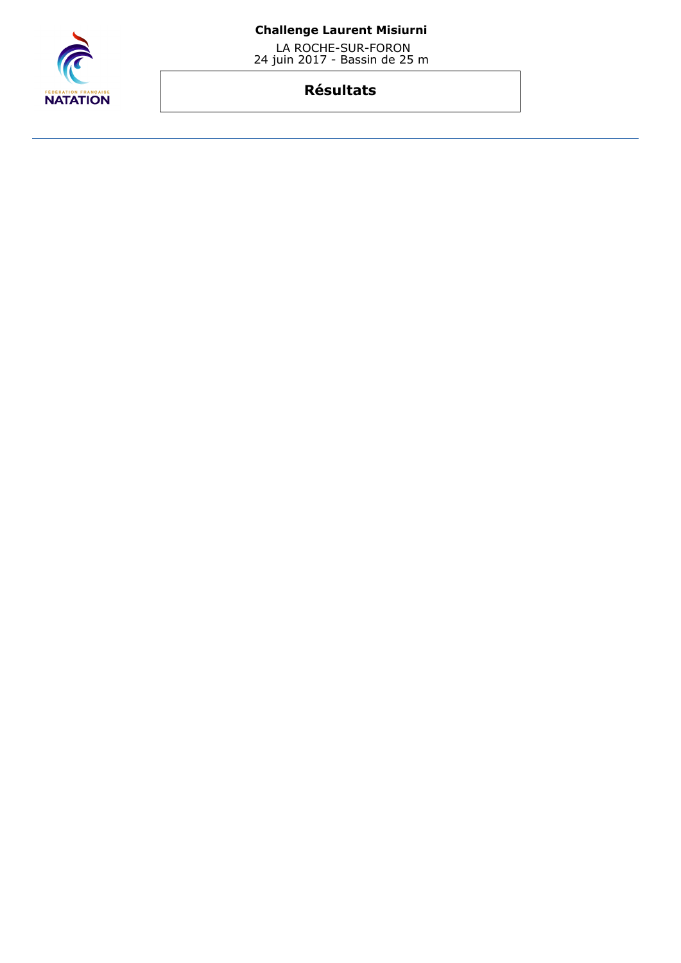

 LA ROCHE-SUR-FORON 24 juin 2017 - Bassin de 25 m

# **Résultats**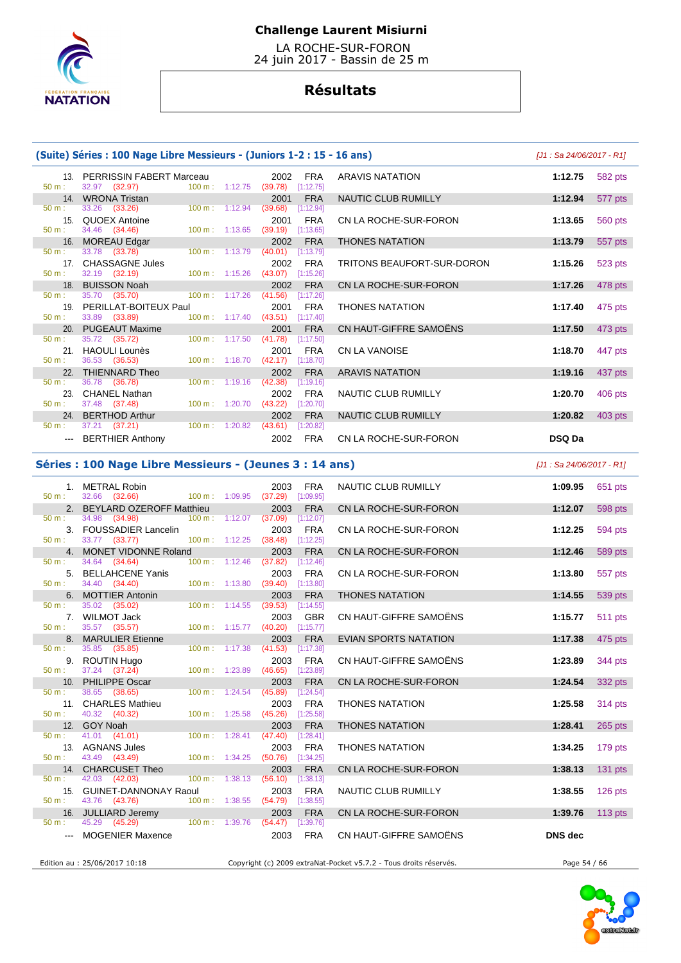

 LA ROCHE-SUR-FORON 24 juin 2017 - Bassin de 25 m

# **Résultats**

### **(Suite) Séries : 100 Nage Libre Messieurs - (Juniors 1-2 : 15 - 16 ans)** [J1 : Sa 24/06/2017 - R1]

| $50 \text{ m}$ : | 13. PERRISSIN FABERT Marceau 2002 FRA<br>32.97 (32.97) 100 m : 1:12.75 (39.78) [1:12.75]                                                                                                                                      |  |                                  |            | <b>ARAVIS NATATION</b>     | 1:12.75       |
|------------------|-------------------------------------------------------------------------------------------------------------------------------------------------------------------------------------------------------------------------------|--|----------------------------------|------------|----------------------------|---------------|
|                  | 14. WRONA Tristan<br>1: 33.26 (33.26) 100 m: 1:12.94                                                                                                                                                                          |  | 2001                             | FRA        | NAUTIC CLUB RUMILLY        | 1:12.94       |
| $50 m$ :         |                                                                                                                                                                                                                               |  | (39.68)                          | [1:12.94]  |                            |               |
|                  | 15. QUOEX Antoine                                                                                                                                                                                                             |  | 2001                             | FRA        | CN LA ROCHE-SUR-FORON      | 1:13.65       |
| $50 \text{ m}$ : | 34.46 (34.46) 100 m : 1:13.65 (39.19) [1:13.65]                                                                                                                                                                               |  |                                  |            |                            |               |
|                  | 16. MOREAU Edgar <b>Martin Company Act 10.</b>                                                                                                                                                                                |  |                                  | 2002 FRA   | <b>THONES NATATION</b>     | 1:13.79       |
| $50 \text{ m}$ : | 33.78 (33.78) 100 m : 1:13.79 (40.01) [1:13.79]                                                                                                                                                                               |  |                                  |            |                            |               |
|                  | 17. CHASSAGNE Jules                                                                                                                                                                                                           |  |                                  | 2002 FRA   | TRITONS BEAUFORT-SUR-DORON | 1:15.26       |
| $50 \text{ m}$ : | 32.19 (32.19) 100 m : 1:15.26 (43.07) [1:15.26]                                                                                                                                                                               |  |                                  |            |                            |               |
|                  | 18. BUISSON Noah and the control of the control of the control of the control of the control of the control of                                                                                                                |  |                                  | 2002 FRA   | CN LA ROCHE-SUR-FORON      | 1:17.26       |
| $50 \text{ m}$ : | 35.70 (35.70) 100 m : 1:17.26 (41.56) [1:17.26]                                                                                                                                                                               |  |                                  |            |                            |               |
|                  | 19. PERILLAT-BOITEUX Paul                                                                                                                                                                                                     |  |                                  | 2001 FRA   | <b>THONES NATATION</b>     | 1:17.40       |
| $50 m$ :         | 33.89 (33.89) 100 m : 1:17.40 (43.51) [1:17.40]                                                                                                                                                                               |  |                                  |            |                            |               |
|                  | 20. PUGEAUT Maxime and the control of the control of the control of the control of the control of the control of the control of the control of the control of the control of the control of the control of the control of the |  |                                  | 2001 FRA   | CN HAUT-GIFFRE SAMOËNS     | 1:17.50       |
| 50 m:            | 35.72 (35.72)                                                                                                                                                                                                                 |  | 100 m: 1:17.50 (41.78) [1:17.50] |            |                            |               |
|                  | 21. HAOULI Lounès                                                                                                                                                                                                             |  | 2001                             | FRA        | <b>CN LA VANOISE</b>       | 1:18.70       |
| 50 m:            | 36.53 (36.53) 100 m : 1:18.70 (42.17) [1:18.70]                                                                                                                                                                               |  |                                  |            |                            |               |
|                  | 22. THIENNARD Theo                                                                                                                                                                                                            |  | 2002                             | <b>FRA</b> | <b>ARAVIS NATATION</b>     | 1:19.16       |
| $50 \text{ m}$ : | 36.78 (36.78) 100 m : 1:19.16 (42.38) [1:19.16]                                                                                                                                                                               |  |                                  |            |                            |               |
|                  | 23. CHANEL Nathan                                                                                                                                                                                                             |  | 2002                             | FRA        | NAUTIC CLUB RUMILLY        | 1:20.70       |
| $50 \text{ m}$ : | 37.48 (37.48) 100 m : 1:20.70 (43.22) [1:20.70]                                                                                                                                                                               |  |                                  |            |                            |               |
|                  | 24. BERTHOD Arthur                                                                                                                                                                                                            |  | 2002                             | FRA        | NAUTIC CLUB RUMILLY        | 1:20.82       |
| 50 m:            | 37.21 (37.21) 100 m : 1:20.82 (43.61) [1:20.82]                                                                                                                                                                               |  |                                  |            |                            |               |
|                  | --- BERTHIER Anthony                                                                                                                                                                                                          |  | 2002                             | <b>FRA</b> | CN LA ROCHE-SUR-FORON      | <b>DSQ Da</b> |

|                 | $\epsilon$ ) Series . Too nage Libre Piessiculs - (Juliiols 1-2 . 15 - 16 ans) |                           |                           |                     |            |                            | $101.002$ 27/00/2011 - 1111 |         |
|-----------------|--------------------------------------------------------------------------------|---------------------------|---------------------------|---------------------|------------|----------------------------|-----------------------------|---------|
|                 | 13. PERRISSIN FABERT Marceau                                                   |                           |                           | 2002                | FRA        | ARAVIS NATATION            | 1:12.75                     | 582 pts |
|                 | 32.97 (32.97)                                                                  |                           | $100 \text{ m}: 1:12.75$  | (39.78)             | [1:12.75]  |                            |                             |         |
| 14.             | <b>WRONA Tristan</b>                                                           |                           |                           | 2001                | <b>FRA</b> | NAUTIC CLUB RUMILLY        | 1:12.94                     | 577 pts |
|                 | 33.26 (33.26)                                                                  |                           | $100 \text{ m}$ : 1:12.94 | (39.68)             | [1:12.94]  |                            |                             |         |
| 15.             | QUOEX Antoine                                                                  |                           |                           | 2001                | <b>FRA</b> | CN LA ROCHE-SUR-FORON      | 1:13.65                     | 560 pts |
|                 | 34.46 (34.46)                                                                  |                           | $100 \text{ m}: 1:13.65$  | (39.19)             | [1:13.65]  |                            |                             |         |
| 16.             | <b>MOREAU Edgar</b>                                                            |                           |                           | 2002                | <b>FRA</b> | <b>THONES NATATION</b>     | 1:13.79                     | 557 pts |
|                 | 33.78 (33.78)                                                                  |                           | $100 \text{ m}$ : 1:13.79 | (40.01)             | [1:13.79]  |                            |                             |         |
| 17 <sub>1</sub> | <b>CHASSAGNE Jules</b>                                                         |                           |                           | 2002                | <b>FRA</b> | TRITONS BEAUFORT-SUR-DORON | 1:15.26                     | 523 pts |
|                 | 32.19 (32.19)                                                                  |                           | $100 \text{ m}: 1:15.26$  | (43.07)             | [1:15.26]  |                            |                             |         |
| 18.             | <b>BUISSON Noah</b>                                                            |                           |                           | 2002                | <b>FRA</b> | CN LA ROCHE-SUR-FORON      | 1:17.26                     | 478 pts |
| ÷               | 35.70 (35.70)                                                                  | $100 \text{ m}$ : 1:17.26 |                           | (41.56)             | [1:17.26]  |                            |                             |         |
|                 | 19. PERILLAT-BOITEUX Paul                                                      |                           |                           | 2001                | <b>FRA</b> | <b>THONES NATATION</b>     | 1:17.40                     | 475 pts |
|                 | 33.89 (33.89)                                                                  |                           | 100 m: 1:17.40            | $(43.51)$ [1:17.40] |            |                            |                             |         |
|                 | 20. PUGEAUT Maxime                                                             |                           |                           | 2001                | <b>FRA</b> | CN HAUT-GIFFRE SAMOËNS     | 1:17.50                     | 473 pts |
|                 | 35.72 (35.72)                                                                  |                           | $100 \text{ m}$ : 1:17.50 | (41.78)             | [1:17.50]  |                            |                             |         |
| 21.             | <b>HAOULI Lounès</b>                                                           |                           |                           | 2001                | <b>FRA</b> | <b>CN LA VANOISE</b>       | 1:18.70                     | 447 pts |
|                 | 36.53 (36.53)                                                                  |                           | 100 m: 1:18.70            | (42.17)             | [1:18.70]  |                            |                             |         |
| 22.             | THIENNARD Theo                                                                 |                           |                           | 2002                | <b>FRA</b> | <b>ARAVIS NATATION</b>     | 1:19.16                     | 437 pts |
|                 | 36.78 (36.78)                                                                  | $100 \text{ m}$ : 1:19.16 |                           | (42.38)             | [1:19.16]  |                            |                             |         |
| 23.             | <b>CHANEL Nathan</b>                                                           |                           |                           | 2002                | <b>FRA</b> | NAUTIC CLUB RUMILLY        | 1:20.70                     | 406 pts |
| ÷               | 37.48 (37.48)                                                                  |                           | 100 m: 1:20.70            | (43.22)             | [1:20.70]  |                            |                             |         |
|                 | 24. BERTHOD Arthur                                                             |                           |                           | 2002                | <b>FRA</b> | NAUTIC CLUB RUMILLY        | 1:20.82                     | 403 pts |
|                 | 37.21 (37.21)                                                                  |                           | $100 \text{ m}$ : 1:20.82 | (43.61)             | [1:20.82]  |                            |                             |         |
|                 | --- BERTHIER Anthony                                                           |                           |                           | 2002                | <b>FRA</b> | CN LA ROCHE-SUR-FORON      | <b>DSQ Da</b>               |         |

### **Séries : 100 Nage Libre Messieurs - (Jeunes 3 : 14 ans)** [J1 : Sa 24/06/2017 - R1]

| 50 m:            | 1. METRAL Robin<br>32.66 (32.66)                         |                                  | 2003<br><b>FRA</b><br>100 m: 1:09.95 (37.29) [1:09.95] | NAUTIC CLUB RUMILLY                                               | 1:09.95        | 651 pts   |
|------------------|----------------------------------------------------------|----------------------------------|--------------------------------------------------------|-------------------------------------------------------------------|----------------|-----------|
|                  | 2. BEYLARD OZEROFF Matthieu                              |                                  | <b>FRA</b><br>2003                                     | CN LA ROCHE-SUR-FORON                                             | 1:12.07        | 598 pts   |
| 50 m:            | 34.98 (34.98)                                            |                                  | 100 m: 1:12.07 (37.09) [1:12.07]                       |                                                                   |                |           |
|                  | 3. FOUSSADIER Lancelin                                   |                                  | <b>FRA</b><br>2003                                     | CN LA ROCHE-SUR-FORON                                             | 1:12.25        | 594 pts   |
| $50 m$ :         | 33.77 (33.77)                                            |                                  | 100 m: 1:12.25 (38.48) [1:12.25]                       |                                                                   |                |           |
|                  | 4. MONET VIDONNE Roland                                  |                                  | <b>FRA</b><br>2003                                     | CN LA ROCHE-SUR-FORON                                             | 1:12.46        | 589 pts   |
| 50 m:            | 34.64 (34.64)<br>$100 \text{ m}$ : 1:12.46               |                                  | (37.82)<br>[1:12.46]                                   |                                                                   |                |           |
|                  | 5. BELLAHCENE Yanis                                      |                                  | <b>FRA</b><br>2003                                     | CN LA ROCHE-SUR-FORON                                             | 1:13.80        | 557 pts   |
| $50 m$ :         | 34.40 (34.40)<br>$100 \text{ m}$ : 1:13.80               |                                  | [1:13.80]<br>(39.40)                                   |                                                                   |                |           |
| 50 m:            | 6. MOTTIER Antonin<br>35.02 (35.02)<br>$100 m$ : 1:14.55 |                                  | 2003<br><b>FRA</b>                                     | <b>THONES NATATION</b>                                            | 1:14.55        | 539 pts   |
|                  | 7. WILMOT Jack                                           |                                  | (39.53)<br>[1:14.55]<br><b>GBR</b><br>2003             | CN HAUT-GIFFRE SAMOËNS                                            | 1:15.77        |           |
| $50 m$ :         | 35.57 (35.57)<br>$100 m$ : 1:15.77                       |                                  | (40.20)<br>[1:15.77]                                   |                                                                   |                | 511 pts   |
|                  | 8. MARULIER Etienne                                      |                                  | 2003<br><b>FRA</b>                                     | <b>EVIAN SPORTS NATATION</b>                                      | 1:17.38        | 475 pts   |
| $50 \text{ m}$ : | 35.85 (35.85)                                            | $100 \text{ m}: 1:17.38$ (41.53) | [1:17.38]                                              |                                                                   |                |           |
|                  | 9. ROUTIN Hugo                                           |                                  | 2003<br><b>FRA</b>                                     | CN HAUT-GIFFRE SAMOËNS                                            | 1:23.89        | 344 pts   |
| $50 m$ :         | 37.24 (37.24)<br>100 m: 1:23.89                          |                                  | [1:23.89]<br>(46.65)                                   |                                                                   |                |           |
|                  | 10. PHILIPPE Oscar                                       |                                  | <b>FRA</b><br>2003                                     | CN LA ROCHE-SUR-FORON                                             | 1:24.54        | 332 pts   |
| $50 m$ :         | 38.65 (38.65)<br>$100 \text{ m}: 1:24.54$                |                                  | (45.89)<br>[1:24.54]                                   |                                                                   |                |           |
|                  | 11. CHARLES Mathieu                                      |                                  | 2003<br><b>FRA</b>                                     | <b>THONES NATATION</b>                                            | 1:25.58        | 314 pts   |
| $50 m$ :         | 40.32 (40.32)                                            | $100 \text{ m}: 1:25.58$ (45.26) | [1:25.58]                                              |                                                                   |                |           |
|                  | 12. GOY Noah                                             |                                  | <b>FRA</b><br>2003                                     | <b>THONES NATATION</b>                                            | 1:28.41        | 265 pts   |
| 50 m:            | 41.01 (41.01)<br>100 m: 1:28.41                          |                                  | (47.40)<br>[1:28.41]                                   |                                                                   |                |           |
| $50 m$ :         | 13. AGNANS Jules<br>43.49 (43.49)<br>$100 m$ : 1:34.25   |                                  | 2003<br><b>FRA</b><br>(50.76)<br>[1:34.25]             | <b>THONES NATATION</b>                                            | 1:34.25        | 179 pts   |
|                  | 14. CHARCUSET Theo                                       |                                  | 2003<br><b>FRA</b>                                     | CN LA ROCHE-SUR-FORON                                             | 1:38.13        | $131$ pts |
| 50 m:            | 42.03 (42.03)<br>$100 \text{ m}$ : 1:38.13               |                                  | (56.10)<br>[1:38.13]                                   |                                                                   |                |           |
|                  | 15. GUINET-DANNONAY Raoul                                |                                  | <b>FRA</b><br>2003                                     | NAUTIC CLUB RUMILLY                                               | 1:38.55        | $126$ pts |
| 50 m:            | 43.76 (43.76)<br>100 m: 1:38.55                          |                                  | (54.79)<br>[1:38.55]                                   |                                                                   |                |           |
|                  | 16. JULLIARD Jeremy                                      |                                  | <b>FRA</b><br>2003                                     | CN LA ROCHE-SUR-FORON                                             | 1:39.76        | $113$ pts |
| $50 \text{ m}$ : | 45.29 (45.29) 100 m : 1:39.76 (54.47) [1:39.76]          |                                  |                                                        |                                                                   |                |           |
|                  | <b>MOGENIER Maxence</b>                                  |                                  | 2003<br><b>FRA</b>                                     | CN HAUT-GIFFRE SAMOËNS                                            | <b>DNS</b> dec |           |
|                  |                                                          |                                  |                                                        |                                                                   |                |           |
|                  | Edition au : 25/06/2017 10:18                            |                                  |                                                        | Copyright (c) 2009 extraNat-Pocket v5.7.2 - Tous droits réservés. | Page 54 / 66   |           |
|                  |                                                          |                                  |                                                        |                                                                   |                |           |

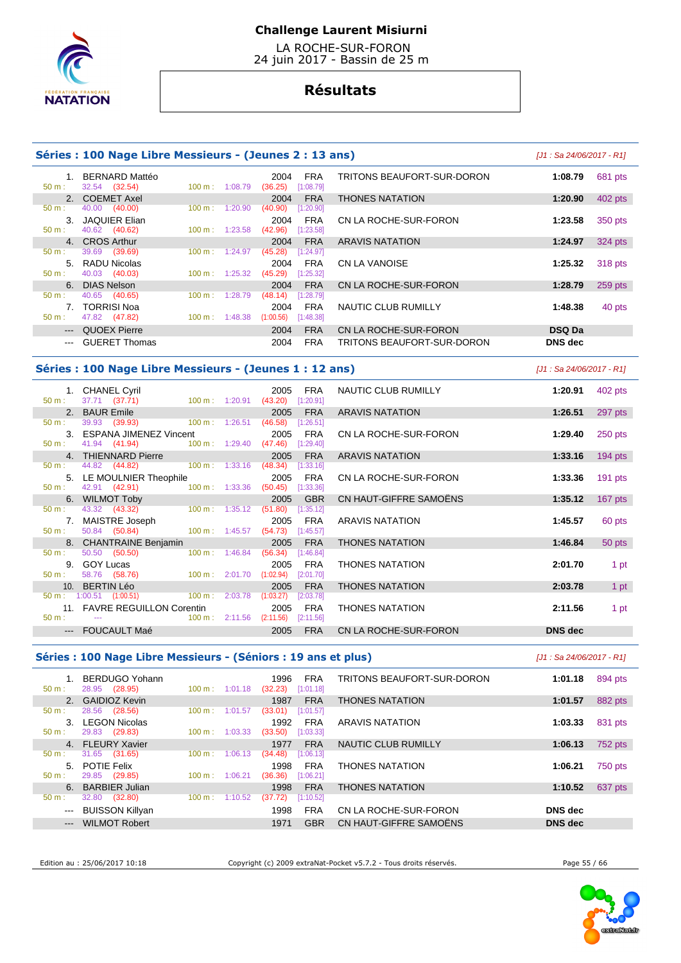

 LA ROCHE-SUR-FORON 24 juin 2017 - Bassin de 25 m

# **Résultats**

| Séries : 100 Nage Libre Messieurs - (Jeunes 2 : 13 ans) |                                 | [J1 : Sa 24/06/2017 - R1] |         |                 |                         |                            |                |         |
|---------------------------------------------------------|---------------------------------|---------------------------|---------|-----------------|-------------------------|----------------------------|----------------|---------|
| 1 <sup>1</sup><br>$50 m$ :                              | BERNARD Mattéo<br>32.54 (32.54) | $100 \text{ m}$ :         | 1:08.79 | 2004<br>(36.25) | <b>FRA</b><br>[1:08.79] | TRITONS BEAUFORT-SUR-DORON | 1:08.79        | 681 pts |
|                                                         | 2. COEMET Axel                  |                           |         | 2004            | <b>FRA</b>              | <b>THONES NATATION</b>     | 1:20.90        | 402 pts |
| $50 m$ :                                                | 40.00 (40.00)                   | $100 \text{ m}$ :         | 1:20.90 | (40.90)         | [1:20.90]               |                            |                |         |
| 3 <sub>1</sub>                                          | <b>JAQUIER Elian</b>            |                           |         | 2004            | <b>FRA</b>              | CN LA ROCHE-SUR-FORON      | 1:23.58        | 350 pts |
| $50 \text{ m}$ :                                        | 40.62 (40.62)                   | $100 \text{ m}: 1:23.58$  |         | (42.96)         | [1:23.58]               |                            |                |         |
|                                                         | 4. CROS Arthur                  |                           |         | 2004            | <b>FRA</b>              | <b>ARAVIS NATATION</b>     | 1:24.97        | 324 pts |
| 50 m:                                                   | 39.69 (39.69)                   | $100 \text{ m}$ :         | 1:24.97 | (45.28)         | [1:24.97]               |                            |                |         |
| 5 <sub>1</sub>                                          | RADU Nicolas                    |                           |         | 2004            | FRA                     | CN LA VANOISE              | 1:25.32        | 318 pts |
| $50 m$ :                                                | 40.03 (40.03)                   | 100 m :                   | 1:25.32 | (45.29)         | [1:25.32]               |                            |                |         |
|                                                         | 6. DIAS Nelson                  |                           |         | 2004            | <b>FRA</b>              | CN LA ROCHE-SUR-FORON      | 1:28.79        | 259 pts |
| $50 m$ :                                                | 40.65 (40.65)                   | $100 \text{ m}$ :         | 1:28.79 | (48.14)         | [1:28.79]               |                            |                |         |
| 7 <sup>1</sup>                                          | <b>TORRISI Noa</b>              |                           |         | 2004            | <b>FRA</b>              | NAUTIC CLUB RUMILLY        | 1:48.38        | 40 pts  |
| $50 m$ :                                                | 47.82 (47.82)                   | $100 \text{ m}$ :         | 1:48.38 | (1:00.56)       | [1:48.38]               |                            |                |         |
| $\qquad \qquad - -$                                     | <b>QUOEX Pierre</b>             |                           |         | 2004            | <b>FRA</b>              | CN LA ROCHE-SUR-FORON      | <b>DSQ Da</b>  |         |
| $---$                                                   | <b>GUERET Thomas</b>            |                           |         | 2004            | <b>FRA</b>              | TRITONS BEAUFORT-SUR-DORON | <b>DNS</b> dec |         |

### **Séries : 100 Nage Libre Messieurs - (Jeunes 1 : 12 ans)** [J1 : Sa 24/06/2017 - R1]

 1. CHANEL Cyril 2005 FRA NAUTIC CLUB RUMILLY **1:20.91** 402 pts 37.71 (37.71) 2. BAUR Emile 2005 FRA ARAVIS NATATION **1:26.51** 297 pts 50 m : 39.93 (39.93) 100 m : 1:26.51 (46.58) [1:26.51] 3. ESPANA JIMENEZ Vincent 2005 FRA CN LA ROCHE-SUR-FORON **1:29.40** 250 pts<br>
50 m : 41.94 (41.94) 100 m : 1:29.40 (47.46) [1:29.40] 41.94 (41.94) 4. THIENNARD Pierre 2005 FRA ARAVIS NATATION **1:33.16** 194 pts  $(44.82)$  5. LE MOULNIER Theophile 2005 FRA CN LA ROCHE-SUR-FORON **1:33.36** 191 pts 42.91 (42.91) 6. WILMOT Toby 2005 GBR CN HAUT-GIFFRE SAMOËNS **1:35.12** 167 pts 50 m : 43.32 (43.32) 100 m : 1:35.12 (51.80) [1:35.12] 7. MAISTRE Joseph 2005 FRA ARAVIS NATATION **1:45.57** 60 pts  $(54.73)$   $[1:45.57]$ 8. CHANTRAINE Benjamin 2005 FRA THONES NATATION **1:46.84** 50 pts<br>
50 m : 50.50 (50.50) **100 m : 1:46.84** (56.34) [1:46.84] 50 m : 50.50 (50.50) 100 m : 1:46.84 (56.34) [1:46.84] 9. GOY Lucas 2005 FRA THONES NATATION **2:01.70** 1 pt 50 m : 58.76 (58.76) 100 m : 2:01.70 (1:02.94) [2:01.70] 10. BERTIN Léo 2005 FRA THONES NATATION **2:03.78** 1 pt  $1:00.51$   $(1:00.51)$  11. FAVRE REGUILLON Corentin 2005 FRA THONES NATATION **2:11.56** 1 pt 50 m : --- 100 m : 2:11.56 (2:11.56) [2:11.56] --- FOUCAULT Maé 2005 FRA CN LA ROCHE-SUR-FORON **DNS dec** 

### **Séries : 100 Nage Libre Messieurs - (Séniors : 19 ans et plus)** [J1 : Sa 24/06/2017 - R1]

| $50 m$ :                  | BERDUGO Yohann<br>28.95 (28.95) | 100 m:<br>1:01.18            | <b>FRA</b><br>1996<br>[1:01.18]<br>(32.23) | TRITONS BEAUFORT-SUR-DORON | 894 pts<br>1:01.18 |
|---------------------------|---------------------------------|------------------------------|--------------------------------------------|----------------------------|--------------------|
|                           | 2. GAIDIOZ Kevin                |                              | <b>FRA</b><br>1987                         | <b>THONES NATATION</b>     | 882 pts<br>1:01.57 |
| $50 m$ :                  | 28.56<br>(28.56)                | 100 m:<br>1:01.57            | (33.01)<br>[1:01.57]                       |                            |                    |
|                           | 3. LEGON Nicolas                |                              | <b>FRA</b><br>1992                         | ARAVIS NATATION            | 831 pts<br>1:03.33 |
| $50 m$ :                  | (29.83)<br>29.83                | 100 m :<br>1:03.33           | [1:03.33]<br>(33.50)                       |                            |                    |
|                           | 4. FLEURY Xavier                |                              | <b>FRA</b><br>1977                         | NAUTIC CLUB RUMILLY        | 1:06.13<br>752 pts |
| $50 m$ :                  | (31.65)<br>31.65                | 100 m:<br>1:06.13            | (34.48)<br>[1:06.13]                       |                            |                    |
|                           | 5. POTIE Felix                  |                              | 1998<br><b>FRA</b>                         | <b>THONES NATATION</b>     | 1:06.21<br>750 pts |
| $50 m$ :                  | 29.85<br>(29.85)                | 1:06.21<br>$100 \text{ m}$ : | (36.36)<br>[1:06.21]                       |                            |                    |
| 6.                        | <b>BARBIER Julian</b>           |                              | <b>FRA</b><br>1998                         | <b>THONES NATATION</b>     | 1:10.52<br>637 pts |
| $50 m$ :                  | 32.80<br>(32.80)                | 100 m:<br>1:10.52            | (37.72)<br>[1:10.52]                       |                            |                    |
| $\scriptstyle \cdots$     | <b>BUISSON Killyan</b>          |                              | 1998<br><b>FRA</b>                         | CN LA ROCHE-SUR-FORON      | DNS dec            |
| $\qquad \qquad -\qquad -$ | <b>WILMOT Robert</b>            |                              | <b>GBR</b><br>1971                         | CN HAUT-GIFFRE SAMOËNS     | <b>DNS</b> dec     |
|                           |                                 |                              |                                            |                            |                    |

Edition au : 25/06/2017 10:18 Copyright (c) 2009 extraNat-Pocket v5.7.2 - Tous droits réservés. Page 55 / 66

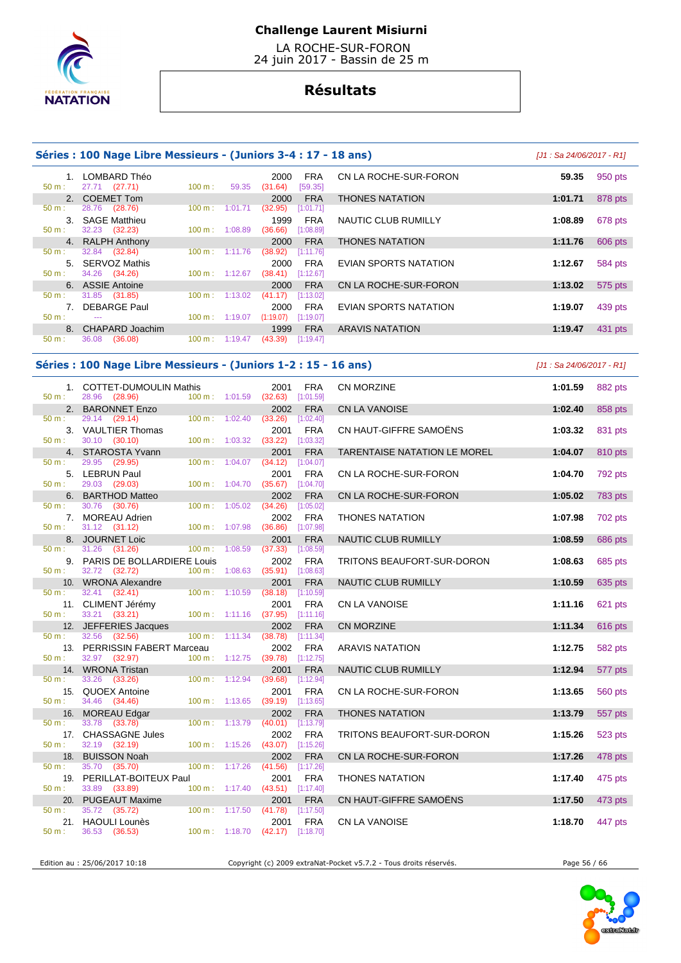

 LA ROCHE-SUR-FORON 24 juin 2017 - Bassin de 25 m

# **Résultats**

|                          | Séries : 100 Nage Libre Messieurs - (Juniors 3-4 : 17 - 18 ans) |                             |                          |                             |                         |                              | [J1 : Sa 24/06/2017 - R1] |                |
|--------------------------|-----------------------------------------------------------------|-----------------------------|--------------------------|-----------------------------|-------------------------|------------------------------|---------------------------|----------------|
| 50 m:                    | 1. LOMBARD Théo<br>27.71 (27.71)                                | 100 m:                      | 59.35                    | 2000<br>(31.64)             | <b>FRA</b><br>[59.35]   | CN LA ROCHE-SUR-FORON        | 59.35                     | 950 pts        |
| 2.                       | <b>COEMET Tom</b>                                               |                             |                          | 2000                        | <b>FRA</b>              | <b>THONES NATATION</b>       | 1:01.71                   | 878 pts        |
| 50 m:                    | 28.76<br>(28.76)                                                | 100 m:                      | 1:01.71                  | (32.95)                     | [1:01.71]               |                              |                           |                |
|                          | 3. SAGE Matthieu                                                |                             |                          | 1999                        | <b>FRA</b>              | NAUTIC CLUB RUMILLY          | 1:08.89                   | 678 pts        |
| $50 m$ :                 | 32.23 (32.23)                                                   | 100 m: 1:08.89              |                          | (36.66)                     | [1:08.89]               |                              |                           |                |
|                          | 4. RALPH Anthony                                                |                             |                          | 2000                        | <b>FRA</b>              | <b>THONES NATATION</b>       | 1:11.76                   | 606 pts        |
| 50 m:                    | 32.84 (32.84)                                                   | 100 m:                      | 1:11.76                  | (38.92)                     | [1:11.76]               |                              |                           |                |
|                          | 5. SERVOZ Mathis                                                |                             |                          | 2000                        | <b>FRA</b>              | EVIAN SPORTS NATATION        | 1:12.67                   | 584 pts        |
| 50 m:                    | 34.26<br>(34.26)                                                | 100 m: 1:12.67              |                          | $(38.41)$ [1:12.67]         |                         |                              |                           |                |
|                          | 6. ASSIE Antoine                                                |                             |                          | 2000                        | <b>FRA</b>              | CN LA ROCHE-SUR-FORON        | 1:13.02                   | 575 pts        |
| 50 m:                    | 31.85 (31.85)                                                   | $100 \text{ m}: 1:13.02$    |                          | (41.17)                     | [1:13.02]               |                              |                           |                |
|                          | 7. DEBARGE Paul                                                 |                             |                          | 2000                        | <b>FRA</b>              | EVIAN SPORTS NATATION        | 1:19.07                   | 439 pts        |
| $50 m$ :                 | $\mathbb{Z} \to \mathbb{Z}$                                     |                             | $100 \text{ m}: 1:19.07$ | $(1:19.07)$ [1:19.07]       |                         |                              |                           |                |
|                          | 8. CHAPARD Joachim                                              |                             |                          | 1999                        | <b>FRA</b>              | <b>ARAVIS NATATION</b>       | 1:19.47                   | 431 pts        |
| $50 m$ :                 | 36.08<br>(36.08)                                                |                             | 100 m: 1:19.47           | (43.39)                     | [1:19.47]               |                              |                           |                |
|                          | Séries : 100 Nage Libre Messieurs - (Juniors 1-2 : 15 - 16 ans) |                             |                          |                             |                         |                              | [J1 : Sa 24/06/2017 - R1] |                |
|                          | 1. COTTET-DUMOULIN Mathis                                       |                             |                          | 2001                        | <b>FRA</b>              | CN MORZINE                   | 1:01.59                   | 882 pts        |
| $50 m$ :                 | 28.96 (28.96)                                                   | $100 \text{ m}$ : $1:01.59$ |                          | (32.63)                     | [1:01.59]               |                              |                           |                |
|                          | 2. BARONNET Enzo                                                |                             |                          | 2002                        | <b>FRA</b>              | CN LA VANOISE                | 1:02.40                   | 858 pts        |
| 50 m:                    | 29.14 (29.14)                                                   | $100 \text{ m}$ :           | 1:02.40                  | (33.26)                     | [1:02.40]               |                              |                           |                |
|                          | 3. VAULTIER Thomas                                              |                             |                          | 2001                        | <b>FRA</b>              | CN HAUT-GIFFRE SAMOËNS       | 1:03.32                   | 831 pts        |
| 50 m:                    | 30.10 (30.10)                                                   | 100 m: 1:03.32              |                          | (33.22)                     | [1:03.32]               |                              |                           |                |
|                          | 4. STAROSTA Yvann                                               |                             |                          | 2001                        | <b>FRA</b>              | TARENTAISE NATATION LE MOREL | 1:04.07                   | 810 pts        |
| $50 m$ :                 | 29.95 (29.95)                                                   | $100 m$ :                   | 1:04.07                  | (34.12)                     | [1:04.07]               |                              |                           |                |
| $50 m$ :                 | 5. LEBRUN Paul<br>29.03 (29.03)                                 | $100 m$ : $1:04.70$         |                          | 2001<br>$(35.67)$ [1:04.70] | <b>FRA</b>              | CN LA ROCHE-SUR-FORON        | 1:04.70                   | 792 pts        |
| 6.                       | <b>BARTHOD Matteo</b>                                           |                             |                          |                             |                         |                              |                           |                |
|                          |                                                                 |                             |                          |                             |                         |                              |                           |                |
|                          |                                                                 |                             |                          | 2002                        | <b>FRA</b>              | CN LA ROCHE-SUR-FORON        | 1:05.02                   | <b>783 pts</b> |
| $50 m$ :                 | 30.76 (30.76)                                                   | $100 \text{ m}$ :           | 1:05.02                  | (34.26)                     | [1:05.02]               |                              |                           |                |
|                          | 7. MOREAU Adrien                                                |                             |                          | 2002                        | <b>FRA</b>              | <b>THONES NATATION</b>       | 1:07.98                   | 702 pts        |
| 50 m:                    | 31.12 (31.12)                                                   | 100 m: 1:07.98              |                          | (36.86)                     | [1:07.98]               |                              |                           |                |
| $50 m$ :                 | 8. JOURNET Loic                                                 |                             |                          | 2001                        | <b>FRA</b>              | NAUTIC CLUB RUMILLY          | 1:08.59                   | 686 pts        |
|                          | 31.26<br>(31.26)                                                | $100 \text{ m}$ :           | 1:08.59                  | (37.33)                     | [1:08.59]               |                              |                           |                |
|                          | 9. PARIS DE BOLLARDIERE Louis                                   |                             |                          | 2002                        | <b>FRA</b>              | TRITONS BEAUFORT-SUR-DORON   | 1:08.63                   | 685 pts        |
| 50 m:                    | 32.72 (32.72)                                                   | 100 m: 1:08.63              |                          | (35.91)                     | [1:08.63]               |                              |                           |                |
| 10 <sub>1</sub><br>50 m: | <b>WRONA Alexandre</b><br>32.41                                 | $100 \text{ m}: 1:10.59$    |                          | 2001                        | <b>FRA</b>              | <b>NAUTIC CLUB RUMILLY</b>   | 1:10.59                   | 635 pts        |
|                          | (32.41)                                                         |                             |                          | (38.18)                     | [1:10.59]               |                              |                           |                |
| 50 m:                    | 11. CLIMENT Jérémy<br>33.21<br>(33.21)                          | 100 m: 1:11.16              |                          | 2001<br>(37.95)             | <b>FRA</b><br>[1:11.16] | CN LA VANOISE                | 1:11.16                   | 621 pts        |
|                          |                                                                 |                             |                          | 2002                        | <b>FRA</b>              | CN MORZINE                   | 1:11.34                   |                |
| 50 m:                    | 12. JEFFERIES Jacques<br>32.56<br>(32.56)                       | 100 m:                      | 1:11.34                  | (38.78)                     | [1:11.34]               |                              |                           | 616 pts        |
|                          | 13. PERRISSIN FABERT Marceau                                    |                             |                          | 2002                        | <b>FRA</b>              | <b>ARAVIS NATATION</b>       | 1:12.75                   | 582 pts        |

34.46 (34.46)

33.78 (33.78)

32.19 (32.19)

Edition au : 25/06/2017 10:18 Copyright (c) 2009 extraNat-Pocket v5.7.2 - Tous droits réservés. Page 56 / 66

14. WRONA Tristan 2001 FRA NAUTIC CLUB RUMILLY **1:12.94** 577 pts

15. QUOEX Antoine 2001 FRA CN LA ROCHE-SUR-FORON **1:13.65** 560 pts

16. MOREAU Edgar 2002 FRA THONES NATATION **1:13.79** 557 pts

17. CHASSAGNE Jules 2002 FRA TRITONS BEAUFORT-SUR-DORON **1:15.26** 523 pts

18. BUISSON Noah 2002 FRA CN LA ROCHE-SUR-FORON **1:17.26** 478 pts

20. PUGEAUT Maxime 2001 FRA CN HAUT-GIFFRE SAMOËNS **1:17.50** 473 pts

21. HAOULI Lounès 2001 FRA CN LA VANOISE **1:18.70** 447 pts

19. PERILLAT-BOITEUX Paul 2001 FRA THONES NATATION **1:17.40** 475 pts

 $(41.56)$   $[1:17.26]$ 

 $(42.17)$  [1:18.70]

50 m : 33.26 (33.26) 100 m : 1:12.94 (39.68) [1:12.94]

50 m : 33.89 (33.89) 100 m : 1:17.40 (43.51) [1:17.40]

50 m : 35.72 (35.72) 100 m : 1:17.50 (41.78) [1:17.50]

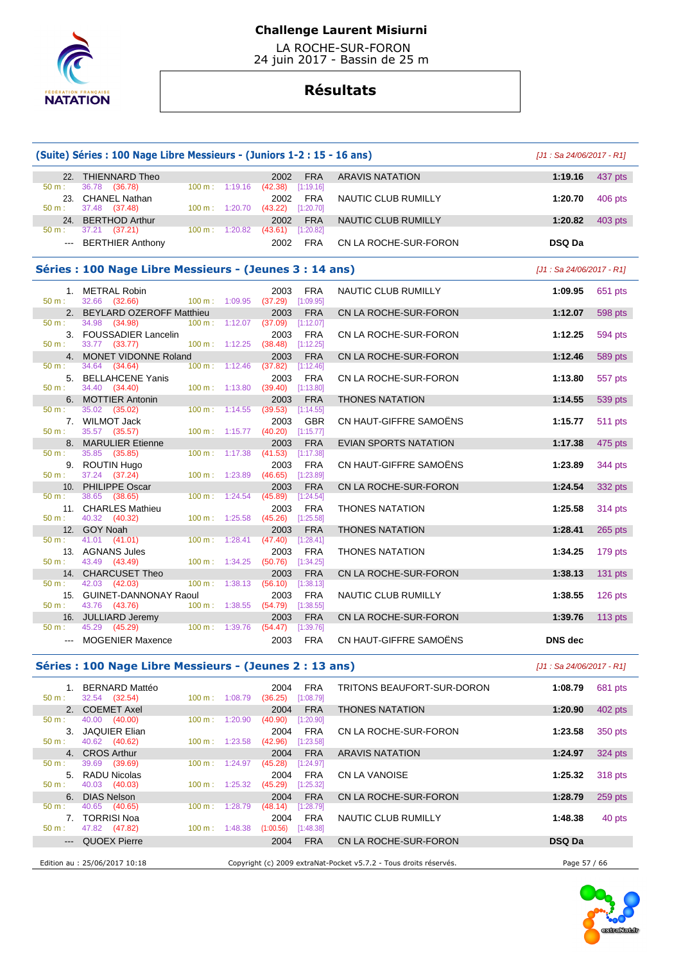

 LA ROCHE-SUR-FORON 24 juin 2017 - Bassin de 25 m

# **Résultats**

| (Suite) Séries : 100 Nage Libre Messieurs - (Juniors 1-2 : 15 - 16 ans) | $[J1: Sa 24/06/2017 - R1]$                              |                          |                          |                                |            |                              |                            |                |  |  |  |
|-------------------------------------------------------------------------|---------------------------------------------------------|--------------------------|--------------------------|--------------------------------|------------|------------------------------|----------------------------|----------------|--|--|--|
|                                                                         | 22. THIENNARD Theo                                      |                          |                          | 2002                           | <b>FRA</b> | <b>ARAVIS NATATION</b>       | 1:19.16                    | 437 pts        |  |  |  |
| 50 m:                                                                   | 36.78 (36.78)                                           | 100 m:                   | 1:19.16                  | (42.38)<br>[1:19.16]           |            |                              |                            |                |  |  |  |
| 50 m:                                                                   | 23. CHANEL Nathan<br>37.48 (37.48)                      | 100 m:                   | 1:20.70                  | 2002<br>(43.22)<br>[1:20.70]   | <b>FRA</b> | NAUTIC CLUB RUMILLY          | 1:20.70                    | 406 pts        |  |  |  |
|                                                                         | 24. BERTHOD Arthur                                      |                          |                          | 2002                           | <b>FRA</b> | NAUTIC CLUB RUMILLY          | 1:20.82                    | 403 pts        |  |  |  |
| 50 m:<br>$\qquad \qquad -$                                              | 37.21 (37.21)<br><b>BERTHIER Anthony</b>                | $100 \text{ m}$ :        | 1:20.82                  | $(43.61)$ [1:20.82]<br>2002    | <b>FRA</b> | CN LA ROCHE-SUR-FORON        | <b>DSQ Da</b>              |                |  |  |  |
|                                                                         |                                                         |                          |                          |                                |            |                              |                            |                |  |  |  |
|                                                                         | Séries : 100 Nage Libre Messieurs - (Jeunes 3 : 14 ans) |                          |                          |                                |            |                              | $[J1: Sa 24/06/2017 - R1]$ |                |  |  |  |
|                                                                         | 1. METRAL Robin                                         |                          |                          | 2003                           | FRA        | NAUTIC CLUB RUMILLY          | 1:09.95                    | 651 pts        |  |  |  |
| 50 m:                                                                   | 32.66<br>(32.66)                                        | 100 m:                   | 1:09.95                  | (37.29)<br>[1:09.95]           |            |                              |                            |                |  |  |  |
| 2.<br>50 m:                                                             | BEYLARD OZEROFF Matthieu<br>34.98<br>(34.98)            | 100 m:                   | 1:12.07                  | 2003<br>(37.09)<br>$[1:12.07]$ | <b>FRA</b> | CN LA ROCHE-SUR-FORON        | 1:12.07                    | 598 pts        |  |  |  |
|                                                                         | 3. FOUSSADIER Lancelin                                  |                          |                          | 2003                           | <b>FRA</b> | CN LA ROCHE-SUR-FORON        | 1:12.25                    | 594 pts        |  |  |  |
| 50 m:                                                                   | 33.77 (33.77)                                           | 100 m:                   | 1:12.25                  | (38.48)<br>$[1:12.25]$         |            |                              | 1:12.46                    |                |  |  |  |
| 50 m:                                                                   | 4. MONET VIDONNE Roland<br>34.64 (34.64)                | $100 \text{ m}: 1:12.46$ |                          | 2003<br>(37.82)<br>$[1:12.46]$ | <b>FRA</b> | CN LA ROCHE-SUR-FORON        |                            | 589 pts        |  |  |  |
|                                                                         | 5. BELLAHCENE Yanis                                     |                          |                          | 2003                           | <b>FRA</b> | CN LA ROCHE-SUR-FORON        | 1:13.80                    | 557 pts        |  |  |  |
| $50 m$ :                                                                | 34.40 (34.40)<br>6. MOTTIER Antonin                     |                          | 100 m: 1:13.80           | (39.40)<br>[1:13.80]<br>2003   | <b>FRA</b> | <b>THONES NATATION</b>       | 1:14.55                    | 539 pts        |  |  |  |
| 50 m:                                                                   | 35.02 (35.02)                                           | 100 m:                   | 1:14.55                  | (39.53)<br>[1:14.55]           |            |                              |                            |                |  |  |  |
| $50 m$ :                                                                | 7. WILMOT Jack<br>35.57 (35.57)                         | 100 m:                   | 1:15.77                  | 2003<br>(40.20)<br>[1:15.77]   | GBR        | CN HAUT-GIFFRE SAMOENS       | 1:15.77                    | <b>511 pts</b> |  |  |  |
| 8.                                                                      | <b>MARULIER Etienne</b>                                 |                          |                          | 2003                           | <b>FRA</b> | <b>EVIAN SPORTS NATATION</b> | 1:17.38                    | 475 pts        |  |  |  |
| 50 m:                                                                   | 35.85<br>(35.85)                                        | 100 m:                   | 1:17.38                  | [1:17.38]<br>(41.53)           |            |                              |                            |                |  |  |  |
| 50 m:                                                                   | 9. ROUTIN Hugo<br>37.24 (37.24)                         | 100 m:                   | 1:23.89                  | 2003<br>(46.65)<br>[1:23.89]   | FRA        | CN HAUT-GIFFRE SAMOENS       | 1:23.89                    | 344 pts        |  |  |  |
|                                                                         | 10. PHILIPPE Oscar                                      |                          |                          | 2003                           | <b>FRA</b> | CN LA ROCHE-SUR-FORON        | 1:24.54                    | 332 pts        |  |  |  |
| $50 m$ :                                                                | 38.65 (38.65)<br>11. CHARLES Mathieu                    | 100 m:                   | 1:24.54                  | (45.89)<br>[1:24.54]<br>2003   | <b>FRA</b> | <b>THONES NATATION</b>       | 1:25.58                    | 314 pts        |  |  |  |
| $50 m$ :                                                                | 40.32<br>(40.32)                                        | 100 m:                   | 1:25.58                  | [1:25.58]<br>(45.26)           |            |                              |                            |                |  |  |  |
| 50 m:                                                                   | 12. GOY Noah<br>41.01<br>(41.01)                        | 100 m:                   | 1:28.41                  | 2003<br>(47.40)<br>[1:28.41]   | <b>FRA</b> | <b>THONES NATATION</b>       | 1:28.41                    | $265$ pts      |  |  |  |
|                                                                         | 13. AGNANS Jules                                        |                          |                          | 2003                           | <b>FRA</b> | <b>THONES NATATION</b>       | 1:34.25                    | 179 pts        |  |  |  |
| 50 m:                                                                   | 43.49 (43.49)                                           | 100 m:                   | 1:34.25                  | (50.76)<br>[1:34.25]           |            |                              |                            |                |  |  |  |
| 50 m:                                                                   | 14. CHARCUSET Theo<br>42.03 (42.03)                     | 100 m:                   | 1:38.13                  | 2003<br>(56.10)<br>[1:38.13]   | <b>FRA</b> | CN LA ROCHE-SUR-FORON        | 1:38.13                    | $131$ pts      |  |  |  |
|                                                                         | 15. GUINET-DANNONAY Raoul                               |                          |                          | 2003                           | <b>FRA</b> | NAUTIC CLUB RUMILLY          | 1:38.55                    | $126$ pts      |  |  |  |
| 50 m:                                                                   | 43.76 (43.76)                                           | 100 m:                   | 1:38.55                  | (54.79)<br>[1:38.55]           |            |                              |                            |                |  |  |  |
| $50 m$ :                                                                | 16. JULLIARD Jeremy<br>45.29 (45.29)                    | 100 m: 1:39.76           |                          | 2003<br>(54.47)<br>[1:39.76]   | <b>FRA</b> | CN LA ROCHE-SUR-FORON        | 1:39.76                    | 113 $pts$      |  |  |  |
| $\qquad \qquad -$                                                       | <b>MOGENIER Maxence</b>                                 |                          |                          | 2003                           | <b>FRA</b> | CN HAUT-GIFFRE SAMOENS       | <b>DNS</b> dec             |                |  |  |  |
|                                                                         |                                                         |                          |                          |                                |            |                              |                            |                |  |  |  |
|                                                                         | Séries : 100 Nage Libre Messieurs - (Jeunes 2 : 13 ans) |                          |                          |                                |            |                              | $[J1: Sa 24/06/2017 - R1]$ |                |  |  |  |
|                                                                         | 1. BERNARD Mattéo                                       |                          |                          | 2004                           | <b>FRA</b> | TRITONS BEAUFORT-SUR-DORON   | 1:08.79                    | 681 pts        |  |  |  |
| 50 m:                                                                   | 32.54 (32.54)<br>2. COEMET Axel                         |                          | 100 m: 1:08.79           | (36.25)<br>[1:08.79]<br>2004   | <b>FRA</b> | <b>THONES NATATION</b>       | 1:20.90                    | 402 pts        |  |  |  |
| 50 m:                                                                   | 40.00<br>(40.00)                                        | 100 m:                   | 1:20.90                  | (40.90)<br>[1:20.90]           |            |                              |                            |                |  |  |  |
| 50 m:                                                                   | 3. JAQUIER Elian<br>40.62 (40.62)                       |                          | 100 m: 1:23.58           | 2004<br>(42.96)<br>[1:23.58]   | <b>FRA</b> | CN LA ROCHE-SUR-FORON        | 1:23.58                    | 350 pts        |  |  |  |
|                                                                         | 4. CROS Arthur                                          |                          |                          | 2004                           | <b>FRA</b> | <b>ARAVIS NATATION</b>       | 1:24.97                    | $324$ pts      |  |  |  |
| $50 m$ :                                                                | 39.69 (39.69)                                           | 100 m:                   | 1:24.97                  | (45.28)<br>[1:24.97]           |            |                              |                            |                |  |  |  |
| 50 m:                                                                   | 5. RADU Nicolas<br>40.03 (40.03)                        |                          | 100 m: 1:25.32           | 2004<br>$(45.29)$ [1:25.32]    | FRA        | CN LA VANOISE                | 1:25.32                    | 318 pts        |  |  |  |
| 6.                                                                      | <b>DIAS Nelson</b>                                      |                          |                          | 2004                           | <b>FRA</b> | CN LA ROCHE-SUR-FORON        | 1:28.79                    | 259 pts        |  |  |  |
| 50 m:                                                                   | 40.65 (40.65)<br>7. TORRISI Noa                         | 100 m:                   | 1:28.79                  | (48.14)<br>[1:28.79]<br>2004   | <b>FRA</b> | NAUTIC CLUB RUMILLY          | 1:48.38                    | 40 pts         |  |  |  |
| 50 m:                                                                   | 47.82 (47.82)                                           |                          | $100 \text{ m}: 1:48.38$ | (1:00.56)<br>[1:48.38]         |            |                              |                            |                |  |  |  |
| ---                                                                     | <b>QUOEX Pierre</b>                                     |                          |                          | 2004                           | <b>FRA</b> | CN LA ROCHE-SUR-FORON        | DSQ Da                     |                |  |  |  |

Edition au : 25/06/2017 10:18 Copyright (c) 2009 extraNat-Pocket v5.7.2 - Tous droits réservés. Page 57 / 66

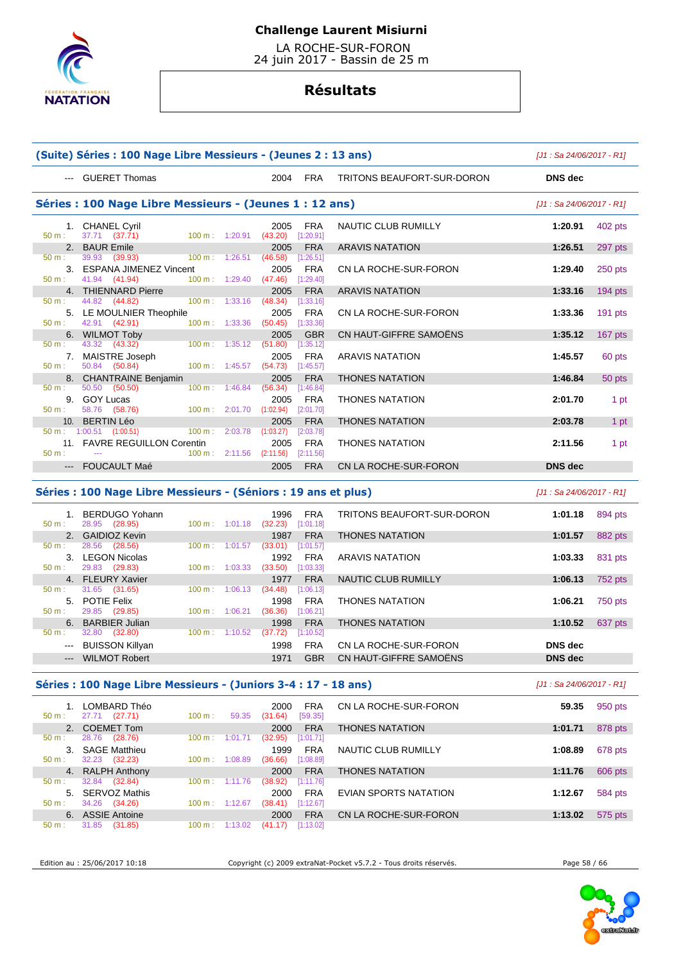

 LA ROCHE-SUR-FORON 24 juin 2017 - Bassin de 25 m

# **Résultats**

|                                                         | (Suite) Séries : 100 Nage Libre Messieurs - (Jeunes 2 : 13 ans)                                          | [J1 : Sa 24/06/2017 - R1]                                |                              |                                      |                            |                |           |
|---------------------------------------------------------|----------------------------------------------------------------------------------------------------------|----------------------------------------------------------|------------------------------|--------------------------------------|----------------------------|----------------|-----------|
|                                                         | --- GUERET Thomas                                                                                        |                                                          | 2004                         | <b>FRA</b>                           | TRITONS BEAUFORT-SUR-DORON | DNS dec        |           |
| Séries : 100 Nage Libre Messieurs - (Jeunes 1 : 12 ans) | [J1 : Sa 24/06/2017 - R1]                                                                                |                                                          |                              |                                      |                            |                |           |
| $50 m$ :                                                | 1. CHANEL Cyril<br>37.71 (37.71)                                                                         | $100 \text{ m}$ : 1:20.91                                | 2005<br>(43.20)              | <b>FRA</b><br>[1:20.91]              | NAUTIC CLUB RUMILLY        | 1:20.91        | 402 pts   |
|                                                         | 2. BAUR Emile                                                                                            |                                                          | 2005                         | <b>FRA</b>                           | <b>ARAVIS NATATION</b>     | 1:26.51        | 297 pts   |
| $50 m$ :<br>$50 m$ :                                    | 39.93 (39.93)<br>3. ESPANA JIMENEZ Vincent<br>41.94 (41.94)                                              | 100 m: 1:26.51<br>$100 m$ : 1:29.40                      | (46.58)<br>2005<br>(47.46)   | [1:26.51]<br><b>FRA</b><br>[1:29.40] | CN LA ROCHE-SUR-FORON      | 1:29.40        | 250 pts   |
|                                                         | 4. THIENNARD Pierre                                                                                      |                                                          | 2005                         | <b>FRA</b>                           | <b>ARAVIS NATATION</b>     | 1:33.16        | $194$ pts |
| $50 \text{ m}$ :<br>5.<br>$50 \text{ m}$ :              | 44.82 (44.82)<br>LE MOULNIER Theophile<br>42.91 (42.91)                                                  | 100 m: 1:33.16<br>$100 \text{ m}$ : 1:33.36              | (48.34)<br>2005<br>(50.45)   | [1:33.16]<br>FRA<br>[1:33.36]        | CN LA ROCHE-SUR-FORON      | 1:33.36        | $191$ pts |
|                                                         | 6. WILMOT Toby                                                                                           |                                                          | 2005                         | <b>GBR</b>                           | CN HAUT-GIFFRE SAMOËNS     | 1:35.12        | $167$ pts |
| 50 m:<br>$50 m$ :                                       | 43.32 (43.32)<br>7. MAISTRE Joseph<br>50.84 (50.84)                                                      | 100 m: 1:35.12<br>$100 m$ : 1:45.57                      | (51.80)<br>2005<br>(54.73)   | [1:35.12]<br>FRA<br>[1:45.57]        | <b>ARAVIS NATATION</b>     | 1:45.57        | 60 pts    |
|                                                         | 8. CHANTRAINE Benjamin                                                                                   |                                                          | 2005                         | <b>FRA</b>                           | <b>THONES NATATION</b>     | 1:46.84        | 50 pts    |
| $50 m$ :<br>$50 m$ :                                    | 50.50 (50.50)<br>9. GOY Lucas<br>58.76 (58.76)                                                           | $100 \text{ m}$ : 1:46.84<br>$100 \text{ m}$ : $2:01.70$ | (56.34)<br>2005<br>(1:02.94) | [1:46.84]<br><b>FRA</b><br>[2:01.70] | <b>THONES NATATION</b>     | 2:01.70        | 1 pt      |
| 10 <sub>1</sub>                                         | <b>BERTIN Léo</b>                                                                                        |                                                          | 2005                         | <b>FRA</b>                           | <b>THONES NATATION</b>     | 2:03.78        | 1 pt      |
| $50 m$ :                                                | $50 \text{ m}$ : 1:00.51 (1:00.51)<br>$100 \text{ m}$ :<br>11. FAVRE REGUILLON Corentin<br>$\sim$ $\sim$ | 2:03.78<br>$100 \text{ m}: 2:11.56$ (2:11.56)            | (1:03.27)<br>2005            | [2:03.78]<br><b>FRA</b><br>[2:11.56] | <b>THONES NATATION</b>     | 2:11.56        | 1 pt      |
|                                                         | --- FOUCAULT Maé                                                                                         |                                                          | 2005                         | <b>FRA</b>                           | CN LA ROCHE-SUR-FORON      | <b>DNS</b> dec |           |

### **Séries : 100 Nage Libre Messieurs - (Séniors : 19 ans et plus)** [J1 : Sa 24/06/2017 - R1]

| 50 m:                  | BERDUGO Yohann<br>28.95 (28.95) | $100 \text{ m}$ :<br>1:01.18 | 1996<br>(32.23) | <b>FRA</b><br>[1:01.18] | TRITONS BEAUFORT-SUR-DORON | 1:01.18        | 894 pts |
|------------------------|---------------------------------|------------------------------|-----------------|-------------------------|----------------------------|----------------|---------|
|                        | 2. GAIDIOZ Kevin                |                              | 1987            | <b>FRA</b>              | <b>THONES NATATION</b>     | 1:01.57        | 882 pts |
| 50 m:                  | 28.56<br>(28.56)                | 100 m:<br>1:01.57            | (33.01)         | [1:01.57]               |                            |                |         |
| 3.                     | <b>LEGON Nicolas</b>            |                              | 1992            | <b>FRA</b>              | ARAVIS NATATION            | 1:03.33        | 831 pts |
| 50 m:                  | (29.83)<br>29.83                | 100 m :<br>1:03.33           | (33.50)         | [1:03.33]               |                            |                |         |
|                        | 4. FLEURY Xavier                |                              | 1977            | <b>FRA</b>              | <b>NAUTIC CLUB RUMILLY</b> | 1:06.13        | 752 pts |
| 50 m:                  | (31.65)<br>31.65                | $100 \text{ m}$ :<br>1:06.13 | (34.48)         | [1:06.13]               |                            |                |         |
|                        | 5. POTIE Felix                  |                              | 1998            | <b>FRA</b>              | <b>THONES NATATION</b>     | 1:06.21        | 750 pts |
| 50 m:                  | 29.85 (29.85)                   | $100 \text{ m}$ :<br>1:06.21 | (36.36)         | [1:06.21]               |                            |                |         |
| 6.                     | <b>BARBIER Julian</b>           |                              | 1998            | <b>FRA</b>              | <b>THONES NATATION</b>     | 1:10.52        | 637 pts |
| $50 m$ :               | 32.80<br>(32.80)                | 100 m:<br>1:10.52            | (37.72)         | [1:10.52]               |                            |                |         |
| $\qquad \qquad \cdots$ | BUISSON Killyan                 |                              | 1998            | <b>FRA</b>              | CN LA ROCHE-SUR-FORON      | DNS dec        |         |
| $---$                  | <b>WILMOT Robert</b>            |                              | 1971            | <b>GBR</b>              | CN HAUT-GIFFRE SAMOËNS     | <b>DNS</b> dec |         |
|                        |                                 |                              |                 |                         |                            |                |         |

### **Séries : 100 Nage Libre Messieurs - (Juniors 3-4 : 17 - 18 ans)** [J1 : Sa 24/06/2017 - R1]

| $50 m$ : | LOMBARD Théo<br>27.71<br>(27.71) | 100 m:            | 59.35   | 2000<br>(31.64) | <b>FRA</b><br>[59.35] | CN LA ROCHE-SUR-FORON  | 59.35   | 950 pts |
|----------|----------------------------------|-------------------|---------|-----------------|-----------------------|------------------------|---------|---------|
|          | 2. COEMET Tom                    |                   |         | 2000            | <b>FRA</b>            | <b>THONES NATATION</b> | 1:01.71 | 878 pts |
| $50 m$ : | 28.76<br>(28.76)                 | 100 m:            | 1:01.71 | (32.95)         | [1:01.71]             |                        |         |         |
| 3.       | <b>SAGE Matthieu</b>             |                   |         | 1999            | <b>FRA</b>            | NAUTIC CLUB RUMILLY    | 1:08.89 | 678 pts |
| 50 m:    | (32.23)<br>32.23                 | 100 m:            | 1:08.89 | (36.66)         | [1:08.89]             |                        |         |         |
|          | 4. RALPH Anthony                 |                   |         | 2000            | <b>FRA</b>            | <b>THONES NATATION</b> | 1:11.76 | 606 pts |
| $50 m$ : | (32.84)<br>32.84                 | 100 m:            | 1:11.76 | (38.92)         | [1:11.76]             |                        |         |         |
| 5.       | SERVOZ Mathis                    |                   |         | 2000            | <b>FRA</b>            | EVIAN SPORTS NATATION  | 1:12.67 | 584 pts |
| $50 m$ : | 34.26<br>(34.26)                 | $100 \text{ m}$ : | 1:12.67 | (38.41)         | [1:12.67]             |                        |         |         |
| 6.       | <b>ASSIE Antoine</b>             |                   |         | 2000            | <b>FRA</b>            | CN LA ROCHE-SUR-FORON  | 1:13.02 | 575 pts |
| $50 m$ : | (31.85)<br>31.85                 | 100 m:            | 1:13.02 | (41.17)         | [1:13.02]             |                        |         |         |
|          |                                  |                   |         |                 |                       |                        |         |         |

Edition au : 25/06/2017 10:18 Copyright (c) 2009 extraNat-Pocket v5.7.2 - Tous droits réservés. Page 58 / 66

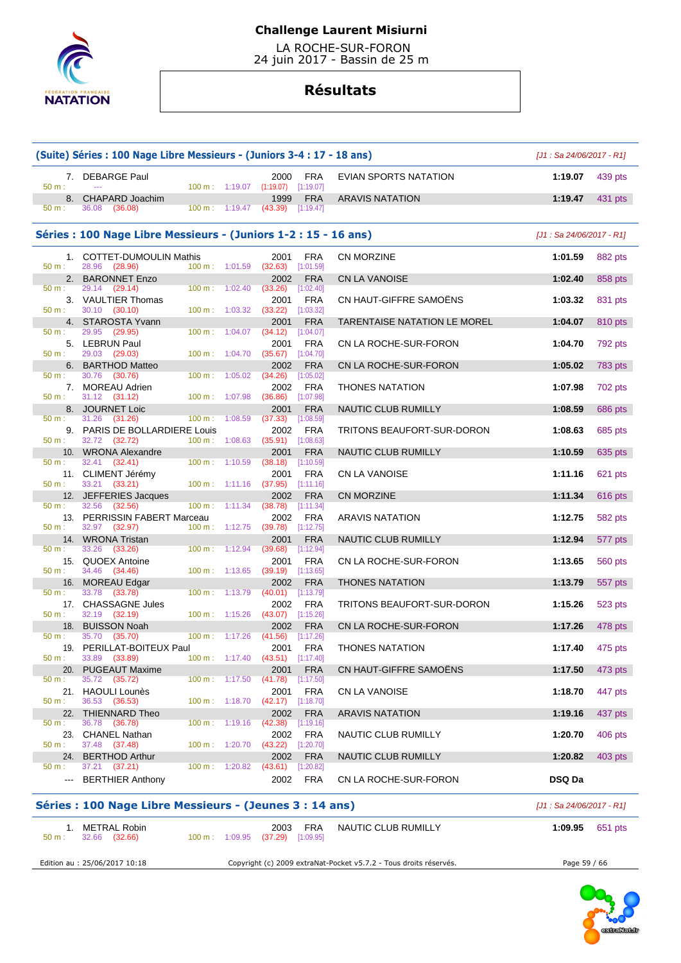

 LA ROCHE-SUR-FORON 24 juin 2017 - Bassin de 25 m

# **Résultats**

|                        | (Suite) Séries: 100 Nage Libre Messieurs - (Juniors 3-4: 17 - 18 ans) |                                                         |                                  |                                                                    |                                                                   | $[J1: Sa 24/06/2017 - R1]$ |                |
|------------------------|-----------------------------------------------------------------------|---------------------------------------------------------|----------------------------------|--------------------------------------------------------------------|-------------------------------------------------------------------|----------------------------|----------------|
| $50 m$ :               | 7. DEBARGE Paul<br>---                                                |                                                         |                                  | 2000<br>FRA<br>100 m: 1:19.07 (1:19.07) [1:19.07]                  | EVIAN SPORTS NATATION                                             | 1:19.07                    | 439 pts        |
| 8.                     | CHAPARD Joachim                                                       |                                                         |                                  | 1999<br><b>FRA</b>                                                 | <b>ARAVIS NATATION</b>                                            | 1:19.47                    | 431 pts        |
| 50 m:                  | 36.08<br>(36.08)                                                      |                                                         | 100 m: 1:19.47                   | (43.39)<br>[1:19.47]                                               |                                                                   |                            |                |
|                        | Séries : 100 Nage Libre Messieurs - (Juniors 1-2 : 15 - 16 ans)       |                                                         |                                  |                                                                    |                                                                   | $[J1: Sa 24/06/2017 - R1]$ |                |
| 50 m:                  | 1. COTTET-DUMOULIN Mathis<br>28.96 (28.96)                            | 100 m: 1:01.59                                          |                                  | <b>FRA</b><br>2001<br>(32.63)<br>[1:01.59]                         | CN MORZINE                                                        | 1:01.59                    | 882 pts        |
|                        | 2. BARONNET Enzo                                                      |                                                         |                                  | <b>FRA</b><br>2002                                                 | <b>CN LA VANOISE</b>                                              | 1:02.40                    | 858 pts        |
| 50 m:<br>50 m:         | 29.14<br>(29.14)<br>3. VAULTIER Thomas<br>30.10 (30.10)               | $100 \text{ m}$ : $1:02.40$<br>$100 \text{ m}: 1:03.32$ |                                  | (33.26)<br>[1:02.40]<br><b>FRA</b><br>2001<br>(33.22)<br>[1:03.32] | CN HAUT-GIFFRE SAMOËNS                                            | 1:03.32                    | 831 pts        |
|                        | 4. STAROSTA Yvann                                                     |                                                         |                                  | 2001<br><b>FRA</b>                                                 | TARENTAISE NATATION LE MOREL                                      | 1:04.07                    | 810 pts        |
| 50 m:<br>50 m:         | 29.95 (29.95)<br>5. LEBRUN Paul<br>29.03 (29.03)                      | 100 m:                                                  | 1:04.07                          | (34.12)<br>[1:04.07]<br>2001<br>FRA                                | CN LA ROCHE-SUR-FORON                                             | 1:04.70                    | 792 pts        |
| 6.<br>50 m:            | <b>BARTHOD Matteo</b><br>30.76<br>(30.76)                             | 100 m: 1:04.70<br>100 m:                                | 1:05.02                          | [1:04.70]<br>(35.67)<br>2002<br><b>FRA</b><br>(34.26)<br>[1:05.02] | CN LA ROCHE-SUR-FORON                                             | 1:05.02                    | <b>783 pts</b> |
| $50 m$ :               | 7. MOREAU Adrien<br>31.12 (31.12)                                     | 100 m: 1:07.98                                          |                                  | 2002<br><b>FRA</b><br>(36.86)<br>[1:07.98]                         | <b>THONES NATATION</b>                                            | 1:07.98                    | 702 pts        |
| 50 m:                  | 8. JOURNET Loic<br>31.26<br>(31.26)                                   | $100 m$ :                                               | 1:08.59                          | <b>FRA</b><br>2001<br>(37.33)<br>[1:08.59]                         | NAUTIC CLUB RUMILLY                                               | 1:08.59                    | 686 pts        |
| 50 m:                  | 9. PARIS DE BOLLARDIERE Louis<br>32.72 (32.72)                        | 100 m: 1:08.63                                          |                                  | 2002<br><b>FRA</b><br>(35.91)<br>[1:08.63]                         | TRITONS BEAUFORT-SUR-DORON                                        | 1:08.63                    | 685 pts        |
|                        | 10. WRONA Alexandre                                                   |                                                         |                                  | 2001<br><b>FRA</b>                                                 | <b>NAUTIC CLUB RUMILLY</b>                                        | 1:10.59                    | 635 pts        |
| 50 m:<br>50 m:         | 32.41 (32.41)<br>11. CLIMENT Jérémy<br>33.21 (33.21)                  | $100 \text{ m}$ :<br>100 m:                             | 1:10.59<br>1:11.16               | [1:10.59]<br>(38.18)<br>2001<br><b>FRA</b><br>$(37.95)$ [1:11.16]  | <b>CN LA VANOISE</b>                                              | 1:11.16                    | 621 pts        |
|                        | 12. JEFFERIES Jacques                                                 |                                                         |                                  | <b>FRA</b><br>2002                                                 | <b>CN MORZINE</b>                                                 | 1:11.34                    | 616 pts        |
| 50 m:                  | 32.56<br>(32.56)<br>13. PERRISSIN FABERT Marceau                      | 100 m:                                                  | 1:11.34                          | [1:11.34]<br>(38.78)<br><b>FRA</b><br>2002                         | <b>ARAVIS NATATION</b>                                            | 1:12.75                    | 582 pts        |
| 50 m:<br>14.           | 32.97<br>(32.97)<br><b>WRONA Tristan</b>                              | 100 m: 1:12.75                                          |                                  | (39.78)<br>[1:12.75]<br><b>FRA</b><br>2001                         | NAUTIC CLUB RUMILLY                                               | 1:12.94                    | 577 pts        |
| 50 m:<br>15.           | 33.26<br>(33.26)<br><b>QUOEX Antoine</b>                              | $100 \text{ m}$ :                                       | 1:12.94                          | (39.68)<br>[1:12.94]<br><b>FRA</b><br>2001                         | CN LA ROCHE-SUR-FORON                                             | 1:13.65                    | 560 pts        |
| 50 m:                  | 34.46 (34.46)<br>16. MOREAU Edgar                                     | 100 m: 1:13.65                                          |                                  | (39.19)<br>$[1:13.65]$<br>2002<br><b>FRA</b>                       | <b>THONES NATATION</b>                                            | 1:13.79                    | 557 pts        |
| 50 m:<br>50 m:         | 33.78<br>(33.78)<br>17. CHASSAGNE Jules<br>32.19 (32.19)              | 100 m:<br>100 m: 1:15.26                                | 1:13.79                          | (40.01)<br>[1:13.79]<br>2002<br><b>FRA</b><br>$(43.07)$ [1:15.26]  | TRITONS BEAUFORT-SUR-DORON                                        | 1:15.26                    | 523 pts        |
| 18.                    | <b>BUISSON Noah</b>                                                   |                                                         |                                  | 2002<br><b>FRA</b>                                                 | CN LA ROCHE-SUR-FORON                                             | 1:17.26                    | 478 pts        |
| 50 m:                  | 35.70 (35.70)<br>19. PERILLAT-BOITEUX Paul                            | 100 m: 1:17.26                                          |                                  | (41.56)<br>[1:17.26]<br>2001<br><b>FRA</b>                         | <b>THONES NATATION</b>                                            | 1:17.40                    | 475 pts        |
| 50 m:<br>20.           | 33.89 (33.89)<br><b>PUGEAUT Maxime</b>                                | $100 \text{ m}: 1:17.40$                                |                                  | $(43.51)$ [1:17.40]<br><b>FRA</b><br>2001                          | CN HAUT-GIFFRE SAMOËNS                                            | 1:17.50                    | 473 pts        |
| 50 m:                  | 35.72<br>(35.72)<br>21. HAOULI Lounès                                 | $100 \text{ m}: 1:17.50$                                |                                  | (41.78)<br>[1:17.50]<br>2001<br><b>FRA</b>                         | CN LA VANOISE                                                     | 1:18.70                    | 447 pts        |
| 50 m:                  | 36.53 (36.53)<br>22. THIENNARD Theo                                   |                                                         | $100 \text{ m}: 1:18.70 (42.17)$ | [1:18.70]<br>2002<br><b>FRA</b>                                    | <b>ARAVIS NATATION</b>                                            | 1:19.16                    | 437 pts        |
| 50 m:                  | 36.78 (36.78)<br>23. CHANEL Nathan                                    | 100 m:                                                  | 1:19.16                          | (42.38)<br>[1:19.16]<br>2002<br>FRA                                | NAUTIC CLUB RUMILLY                                               | 1:20.70                    | 406 pts        |
| 50 m:                  | 37.48 (37.48)                                                         | $100 m$ : 1:20.70                                       |                                  | $(43.22)$ [1:20.70]                                                |                                                                   |                            |                |
| 24.<br>$50 m$ :        | <b>BERTHOD Arthur</b><br>37.21 (37.21)                                | 100 m: 1:20.82                                          |                                  | 2002<br><b>FRA</b><br>$(43.61)$ [1:20.82]                          | NAUTIC CLUB RUMILLY                                               | 1:20.82                    | 403 pts        |
| $\qquad \qquad \cdots$ | <b>BERTHIER Anthony</b>                                               |                                                         |                                  | <b>FRA</b><br>2002                                                 | CN LA ROCHE-SUR-FORON                                             | <b>DSQ Da</b>              |                |
|                        | Séries : 100 Nage Libre Messieurs - (Jeunes 3 : 14 ans)               |                                                         |                                  |                                                                    |                                                                   | $[J1: Sa 24/06/2017 - R1]$ |                |
| 50 m:                  | 1. METRAL Robin<br>32.66 (32.66)                                      | 100 m: 1:09.95                                          |                                  | <b>FRA</b><br>2003<br>(37.29)<br>[1:09.95]                         | NAUTIC CLUB RUMILLY                                               | 1:09.95                    | 651 pts        |
|                        | Edition au : 25/06/2017 10:18                                         |                                                         |                                  |                                                                    | Copyright (c) 2009 extraNat-Pocket v5.7.2 - Tous droits réservés. | Page 59 / 66               |                |

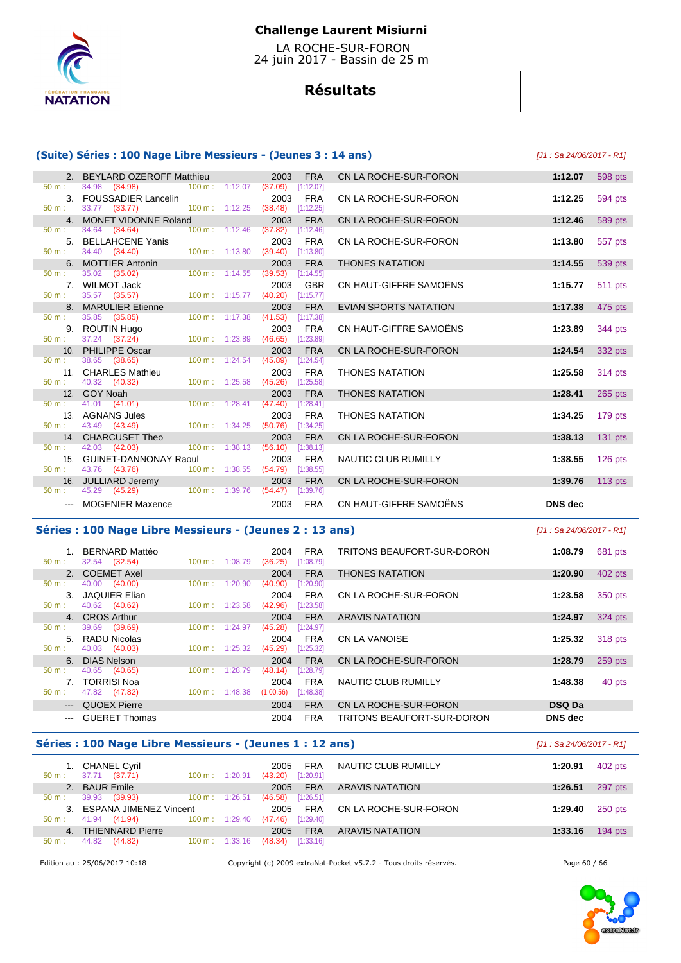

 LA ROCHE-SUR-FORON 24 juin 2017 - Bassin de 25 m

# **Résultats**

# **(Suite) Séries : 100 Nage Libre Messieurs - (Jeunes 3 : 14 ans)** [J1 : Sa 24/06/2017 - R1]

| 2. BEYLARD OZEROFF Matthieu<br>2003<br><b>FRA</b><br>CN LA ROCHE-SUR-FORON<br>1:12.07<br>$100 \text{ m}: 1:12.07$ (37.09)<br>50 m:<br>34.98 (34.98)<br>[1:12.07]<br>3. FOUSSADIER Lancelin<br>2003<br><b>FRA</b><br>CN LA ROCHE-SUR-FORON<br>1:12.25<br>33.77 (33.77) 100 m : 1:12.25 (38.48) [1:12.25]<br>50 m:<br>4. MONET VIDONNE Roland<br>CN LA ROCHE-SUR-FORON<br>1:12.46<br>2003<br><b>FRA</b><br>34.64 (34.64)<br>$100 \text{ m}$ : 1:12.46<br>(37.82)<br>50 m:<br>[1:12.46]<br>5. BELLAHCENE Yanis<br><b>FRA</b><br>CN LA ROCHE-SUR-FORON<br>2003<br>1:13.80<br>34.40 (34.40)<br>50 m:<br>$100 \text{ m}: 1:13.80$<br>(39.40)<br>[1:13.80]<br>6. MOTTIER Antonin<br><b>THONES NATATION</b><br><b>FRA</b><br>1:14.55<br>2003<br>35.02 (35.02)<br>$100 \text{ m}: 1:14.55$ (39.53)<br>[1:14.55]<br>50 m:<br>CN HAUT-GIFFRE SAMOËNS<br>7. WILMOT Jack<br>2003<br><b>GBR</b><br>1:15.77<br>(40.20)<br>50 m:<br>35.57 (35.57)<br>$100 m$ : 1:15.77<br>[1:15.77]<br>8. MARULIER Etienne<br><b>FRA</b><br><b>EVIAN SPORTS NATATION</b><br>1:17.38<br>2003<br>35.85 (35.85)<br>100 m: 1:17.38<br>(41.53)<br>[1:17.38]<br>$50 \text{ m}$ :<br>CN HAUT-GIFFRE SAMOËNS<br><b>FRA</b><br>9. ROUTIN Hugo<br>2003<br>1:23.89<br>37.24 (37.24)<br>100 m: 1:23.89 (46.65) [1:23.89]<br>$50 m$ :<br>10. PHILIPPE Oscar<br>CN LA ROCHE-SUR-FORON<br>2003<br><b>FRA</b><br>1:24.54<br>38.65 (38.65)<br>$100 \text{ m}: 1:24.54$<br>(45.89)<br>[1:24.54]<br>50 m:<br>11. CHARLES Mathieu<br><b>THONES NATATION</b><br>2003<br><b>FRA</b><br>1:25.58<br>40.32 (40.32)<br>$100 \text{ m}: 1:25.58$ (45.26)<br>$50 m$ :<br>[1:25.58]<br>12. GOY Noah<br>2003<br><b>FRA</b><br><b>THONES NATATION</b><br>1:28.41<br>41.01 (41.01)<br>$100 \text{ m}$ : 1:28.41<br>(47.40)<br>$50 \text{ m}$ :<br>[1:28.41]<br>13. AGNANS Jules<br>2003<br><b>FRA</b><br><b>THONES NATATION</b><br>1:34.25<br>43.49 (43.49)<br>100 m: 1:34.25<br>$(50.76)$ [1:34.25]<br>$50 m$ :<br>CN LA ROCHE-SUR-FORON<br>14. CHARCUSET Theo<br>2003<br><b>FRA</b><br>1:38.13<br>$100 \text{ m}$ : 1:38.13<br>42.03 (42.03)<br>(56.10)<br>50 m:<br>[1:38.13]<br>15. GUINET-DANNONAY Raoul<br><b>FRA</b><br>2003<br>NAUTIC CLUB RUMILLY<br>1:38.55<br>100 m: 1:38.55 (54.79)<br>$50 m$ :<br>43.76 (43.76)<br>[1:38.55]<br>CN LA ROCHE-SUR-FORON<br>16. JULLIARD Jeremy<br><b>FRA</b><br>1:39.76<br>2003<br>45.29 (45.29) 100 m : 1:39.76<br>50 m:<br>(54.47)<br>[1:39.76] |           |
|-----------------------------------------------------------------------------------------------------------------------------------------------------------------------------------------------------------------------------------------------------------------------------------------------------------------------------------------------------------------------------------------------------------------------------------------------------------------------------------------------------------------------------------------------------------------------------------------------------------------------------------------------------------------------------------------------------------------------------------------------------------------------------------------------------------------------------------------------------------------------------------------------------------------------------------------------------------------------------------------------------------------------------------------------------------------------------------------------------------------------------------------------------------------------------------------------------------------------------------------------------------------------------------------------------------------------------------------------------------------------------------------------------------------------------------------------------------------------------------------------------------------------------------------------------------------------------------------------------------------------------------------------------------------------------------------------------------------------------------------------------------------------------------------------------------------------------------------------------------------------------------------------------------------------------------------------------------------------------------------------------------------------------------------------------------------------------------------------------------------------------------------------------------------------------------------------------------------------------------------------------------------------------------------------------------------------------------------------------------------------------------------------------------------------------|-----------|
|                                                                                                                                                                                                                                                                                                                                                                                                                                                                                                                                                                                                                                                                                                                                                                                                                                                                                                                                                                                                                                                                                                                                                                                                                                                                                                                                                                                                                                                                                                                                                                                                                                                                                                                                                                                                                                                                                                                                                                                                                                                                                                                                                                                                                                                                                                                                                                                                                             | 598 pts   |
|                                                                                                                                                                                                                                                                                                                                                                                                                                                                                                                                                                                                                                                                                                                                                                                                                                                                                                                                                                                                                                                                                                                                                                                                                                                                                                                                                                                                                                                                                                                                                                                                                                                                                                                                                                                                                                                                                                                                                                                                                                                                                                                                                                                                                                                                                                                                                                                                                             |           |
|                                                                                                                                                                                                                                                                                                                                                                                                                                                                                                                                                                                                                                                                                                                                                                                                                                                                                                                                                                                                                                                                                                                                                                                                                                                                                                                                                                                                                                                                                                                                                                                                                                                                                                                                                                                                                                                                                                                                                                                                                                                                                                                                                                                                                                                                                                                                                                                                                             | 594 pts   |
|                                                                                                                                                                                                                                                                                                                                                                                                                                                                                                                                                                                                                                                                                                                                                                                                                                                                                                                                                                                                                                                                                                                                                                                                                                                                                                                                                                                                                                                                                                                                                                                                                                                                                                                                                                                                                                                                                                                                                                                                                                                                                                                                                                                                                                                                                                                                                                                                                             |           |
|                                                                                                                                                                                                                                                                                                                                                                                                                                                                                                                                                                                                                                                                                                                                                                                                                                                                                                                                                                                                                                                                                                                                                                                                                                                                                                                                                                                                                                                                                                                                                                                                                                                                                                                                                                                                                                                                                                                                                                                                                                                                                                                                                                                                                                                                                                                                                                                                                             | 589 pts   |
|                                                                                                                                                                                                                                                                                                                                                                                                                                                                                                                                                                                                                                                                                                                                                                                                                                                                                                                                                                                                                                                                                                                                                                                                                                                                                                                                                                                                                                                                                                                                                                                                                                                                                                                                                                                                                                                                                                                                                                                                                                                                                                                                                                                                                                                                                                                                                                                                                             |           |
|                                                                                                                                                                                                                                                                                                                                                                                                                                                                                                                                                                                                                                                                                                                                                                                                                                                                                                                                                                                                                                                                                                                                                                                                                                                                                                                                                                                                                                                                                                                                                                                                                                                                                                                                                                                                                                                                                                                                                                                                                                                                                                                                                                                                                                                                                                                                                                                                                             | 557 pts   |
|                                                                                                                                                                                                                                                                                                                                                                                                                                                                                                                                                                                                                                                                                                                                                                                                                                                                                                                                                                                                                                                                                                                                                                                                                                                                                                                                                                                                                                                                                                                                                                                                                                                                                                                                                                                                                                                                                                                                                                                                                                                                                                                                                                                                                                                                                                                                                                                                                             |           |
|                                                                                                                                                                                                                                                                                                                                                                                                                                                                                                                                                                                                                                                                                                                                                                                                                                                                                                                                                                                                                                                                                                                                                                                                                                                                                                                                                                                                                                                                                                                                                                                                                                                                                                                                                                                                                                                                                                                                                                                                                                                                                                                                                                                                                                                                                                                                                                                                                             | 539 pts   |
|                                                                                                                                                                                                                                                                                                                                                                                                                                                                                                                                                                                                                                                                                                                                                                                                                                                                                                                                                                                                                                                                                                                                                                                                                                                                                                                                                                                                                                                                                                                                                                                                                                                                                                                                                                                                                                                                                                                                                                                                                                                                                                                                                                                                                                                                                                                                                                                                                             |           |
|                                                                                                                                                                                                                                                                                                                                                                                                                                                                                                                                                                                                                                                                                                                                                                                                                                                                                                                                                                                                                                                                                                                                                                                                                                                                                                                                                                                                                                                                                                                                                                                                                                                                                                                                                                                                                                                                                                                                                                                                                                                                                                                                                                                                                                                                                                                                                                                                                             | 511 pts   |
|                                                                                                                                                                                                                                                                                                                                                                                                                                                                                                                                                                                                                                                                                                                                                                                                                                                                                                                                                                                                                                                                                                                                                                                                                                                                                                                                                                                                                                                                                                                                                                                                                                                                                                                                                                                                                                                                                                                                                                                                                                                                                                                                                                                                                                                                                                                                                                                                                             |           |
|                                                                                                                                                                                                                                                                                                                                                                                                                                                                                                                                                                                                                                                                                                                                                                                                                                                                                                                                                                                                                                                                                                                                                                                                                                                                                                                                                                                                                                                                                                                                                                                                                                                                                                                                                                                                                                                                                                                                                                                                                                                                                                                                                                                                                                                                                                                                                                                                                             | 475 pts   |
|                                                                                                                                                                                                                                                                                                                                                                                                                                                                                                                                                                                                                                                                                                                                                                                                                                                                                                                                                                                                                                                                                                                                                                                                                                                                                                                                                                                                                                                                                                                                                                                                                                                                                                                                                                                                                                                                                                                                                                                                                                                                                                                                                                                                                                                                                                                                                                                                                             |           |
|                                                                                                                                                                                                                                                                                                                                                                                                                                                                                                                                                                                                                                                                                                                                                                                                                                                                                                                                                                                                                                                                                                                                                                                                                                                                                                                                                                                                                                                                                                                                                                                                                                                                                                                                                                                                                                                                                                                                                                                                                                                                                                                                                                                                                                                                                                                                                                                                                             | 344 pts   |
|                                                                                                                                                                                                                                                                                                                                                                                                                                                                                                                                                                                                                                                                                                                                                                                                                                                                                                                                                                                                                                                                                                                                                                                                                                                                                                                                                                                                                                                                                                                                                                                                                                                                                                                                                                                                                                                                                                                                                                                                                                                                                                                                                                                                                                                                                                                                                                                                                             |           |
|                                                                                                                                                                                                                                                                                                                                                                                                                                                                                                                                                                                                                                                                                                                                                                                                                                                                                                                                                                                                                                                                                                                                                                                                                                                                                                                                                                                                                                                                                                                                                                                                                                                                                                                                                                                                                                                                                                                                                                                                                                                                                                                                                                                                                                                                                                                                                                                                                             | 332 pts   |
|                                                                                                                                                                                                                                                                                                                                                                                                                                                                                                                                                                                                                                                                                                                                                                                                                                                                                                                                                                                                                                                                                                                                                                                                                                                                                                                                                                                                                                                                                                                                                                                                                                                                                                                                                                                                                                                                                                                                                                                                                                                                                                                                                                                                                                                                                                                                                                                                                             |           |
|                                                                                                                                                                                                                                                                                                                                                                                                                                                                                                                                                                                                                                                                                                                                                                                                                                                                                                                                                                                                                                                                                                                                                                                                                                                                                                                                                                                                                                                                                                                                                                                                                                                                                                                                                                                                                                                                                                                                                                                                                                                                                                                                                                                                                                                                                                                                                                                                                             | 314 pts   |
|                                                                                                                                                                                                                                                                                                                                                                                                                                                                                                                                                                                                                                                                                                                                                                                                                                                                                                                                                                                                                                                                                                                                                                                                                                                                                                                                                                                                                                                                                                                                                                                                                                                                                                                                                                                                                                                                                                                                                                                                                                                                                                                                                                                                                                                                                                                                                                                                                             |           |
|                                                                                                                                                                                                                                                                                                                                                                                                                                                                                                                                                                                                                                                                                                                                                                                                                                                                                                                                                                                                                                                                                                                                                                                                                                                                                                                                                                                                                                                                                                                                                                                                                                                                                                                                                                                                                                                                                                                                                                                                                                                                                                                                                                                                                                                                                                                                                                                                                             | 265 pts   |
|                                                                                                                                                                                                                                                                                                                                                                                                                                                                                                                                                                                                                                                                                                                                                                                                                                                                                                                                                                                                                                                                                                                                                                                                                                                                                                                                                                                                                                                                                                                                                                                                                                                                                                                                                                                                                                                                                                                                                                                                                                                                                                                                                                                                                                                                                                                                                                                                                             |           |
|                                                                                                                                                                                                                                                                                                                                                                                                                                                                                                                                                                                                                                                                                                                                                                                                                                                                                                                                                                                                                                                                                                                                                                                                                                                                                                                                                                                                                                                                                                                                                                                                                                                                                                                                                                                                                                                                                                                                                                                                                                                                                                                                                                                                                                                                                                                                                                                                                             | 179 pts   |
|                                                                                                                                                                                                                                                                                                                                                                                                                                                                                                                                                                                                                                                                                                                                                                                                                                                                                                                                                                                                                                                                                                                                                                                                                                                                                                                                                                                                                                                                                                                                                                                                                                                                                                                                                                                                                                                                                                                                                                                                                                                                                                                                                                                                                                                                                                                                                                                                                             |           |
|                                                                                                                                                                                                                                                                                                                                                                                                                                                                                                                                                                                                                                                                                                                                                                                                                                                                                                                                                                                                                                                                                                                                                                                                                                                                                                                                                                                                                                                                                                                                                                                                                                                                                                                                                                                                                                                                                                                                                                                                                                                                                                                                                                                                                                                                                                                                                                                                                             | $131$ pts |
|                                                                                                                                                                                                                                                                                                                                                                                                                                                                                                                                                                                                                                                                                                                                                                                                                                                                                                                                                                                                                                                                                                                                                                                                                                                                                                                                                                                                                                                                                                                                                                                                                                                                                                                                                                                                                                                                                                                                                                                                                                                                                                                                                                                                                                                                                                                                                                                                                             |           |
|                                                                                                                                                                                                                                                                                                                                                                                                                                                                                                                                                                                                                                                                                                                                                                                                                                                                                                                                                                                                                                                                                                                                                                                                                                                                                                                                                                                                                                                                                                                                                                                                                                                                                                                                                                                                                                                                                                                                                                                                                                                                                                                                                                                                                                                                                                                                                                                                                             | $126$ pts |
|                                                                                                                                                                                                                                                                                                                                                                                                                                                                                                                                                                                                                                                                                                                                                                                                                                                                                                                                                                                                                                                                                                                                                                                                                                                                                                                                                                                                                                                                                                                                                                                                                                                                                                                                                                                                                                                                                                                                                                                                                                                                                                                                                                                                                                                                                                                                                                                                                             |           |
|                                                                                                                                                                                                                                                                                                                                                                                                                                                                                                                                                                                                                                                                                                                                                                                                                                                                                                                                                                                                                                                                                                                                                                                                                                                                                                                                                                                                                                                                                                                                                                                                                                                                                                                                                                                                                                                                                                                                                                                                                                                                                                                                                                                                                                                                                                                                                                                                                             | $113$ pts |
|                                                                                                                                                                                                                                                                                                                                                                                                                                                                                                                                                                                                                                                                                                                                                                                                                                                                                                                                                                                                                                                                                                                                                                                                                                                                                                                                                                                                                                                                                                                                                                                                                                                                                                                                                                                                                                                                                                                                                                                                                                                                                                                                                                                                                                                                                                                                                                                                                             |           |
| CN HAUT-GIFFRE SAMOËNS<br><b>MOGENIER Maxence</b><br><b>DNS</b> dec<br>2003<br><b>FRA</b>                                                                                                                                                                                                                                                                                                                                                                                                                                                                                                                                                                                                                                                                                                                                                                                                                                                                                                                                                                                                                                                                                                                                                                                                                                                                                                                                                                                                                                                                                                                                                                                                                                                                                                                                                                                                                                                                                                                                                                                                                                                                                                                                                                                                                                                                                                                                   |           |

### **Séries : 100 Nage Libre Messieurs - (Jeunes 2 : 13 ans)** [J1 : Sa 24/06/2017 - R1]

| $50 m$ :               | BERNARD Mattéo<br>32.54 (32.54) | $100 \text{ m}$ : | 1:08.79 | 2004<br>(36.25) | <b>FRA</b><br>[1:08.79] | TRITONS BEAUFORT-SUR-DORON | 1:08.79        | 681 pts |
|------------------------|---------------------------------|-------------------|---------|-----------------|-------------------------|----------------------------|----------------|---------|
|                        | 2. COEMET Axel                  |                   |         | 2004            | <b>FRA</b>              | <b>THONES NATATION</b>     | 1:20.90        | 402 pts |
| $50 m$ :               | 40.00<br>(40.00)                | 100 m:            | 1:20.90 | (40.90)         | [1:20.90]               |                            |                |         |
| 3.                     | <b>JAQUIER Elian</b>            |                   |         | 2004            | FRA                     | CN LA ROCHE-SUR-FORON      | 1:23.58        | 350 pts |
| $50 m$ :               | 40.62 (40.62)                   | $100 \text{ m}$ : | 1:23.58 | (42.96)         | [1:23.58]               |                            |                |         |
|                        | 4. CROS Arthur                  |                   |         | 2004            | <b>FRA</b>              | <b>ARAVIS NATATION</b>     | 1:24.97        | 324 pts |
| $50 m$ :               | (39.69)<br>39.69                | 100 m:            | 1:24.97 | (45.28)         | [1:24.97]               |                            |                |         |
|                        | 5. RADU Nicolas                 |                   |         | 2004            | <b>FRA</b>              | CN LA VANOISE              | 1:25.32        | 318 pts |
| $50 m$ :               | 40.03 (40.03)                   | $100 \text{ m}$ : | 1:25.32 | (45.29)         | [1:25.32]               |                            |                |         |
|                        | 6. DIAS Nelson                  |                   |         | 2004            | <b>FRA</b>              | CN LA ROCHE-SUR-FORON      | 1:28.79        | 259 pts |
| $50 m$ :               | 40.65<br>(40.65)                | 100 m:            | 1:28.79 | (48.14)         | [1:28.79]               |                            |                |         |
| $7_{\circ}$            | <b>TORRISI Noa</b>              |                   |         | 2004            | <b>FRA</b>              | NAUTIC CLUB RUMILLY        | 1:48.38        | 40 pts  |
| $50 m$ :               | 47.82 (47.82)                   | 100 m:            | 1:48.38 | (1:00.56)       | [1:48.38]               |                            |                |         |
| $\cdots$               | QUOEX Pierre                    |                   |         | 2004            | <b>FRA</b>              | CN LA ROCHE-SUR-FORON      | <b>DSQ Da</b>  |         |
| $\qquad \qquad \cdots$ | <b>GUERET Thomas</b>            |                   |         | 2004            | <b>FRA</b>              | TRITONS BEAUFORT-SUR-DORON | <b>DNS</b> dec |         |

# **Séries : 100 Nage Libre Messieurs - (Jeunes 1 : 12 ans)** [J1 : Sa 24/06/2017 - R1]

| 1. CHANEL Cyril<br>37.71 (37.71)<br>$50 m$ : | 1:20.91<br>$100 \text{ m}$ : | <b>FRA</b><br>2005<br>[1:20.91]<br>(43.20) | NAUTIC CLUB RUMILLY                                               | 1:20.91      | 402 pts   |
|----------------------------------------------|------------------------------|--------------------------------------------|-------------------------------------------------------------------|--------------|-----------|
| 2. BAUR Emile                                |                              | <b>FRA</b><br>2005                         | <b>ARAVIS NATATION</b>                                            | 1:26.51      | 297 pts   |
| 39.93<br>(39.93)<br>$50 m$ :                 | $100 \text{ m}$ :<br>1:26.51 | [1:26.51]<br>(46.58)                       |                                                                   |              |           |
| 3. ESPANA JIMENEZ Vincent                    |                              | <b>FRA</b><br>2005                         | CN LA ROCHE-SUR-FORON                                             | 1:29.40      | 250 pts   |
| 41.94 (41.94)<br>$50 \text{ m}$ :            | $100 \text{ m}$ : 1:29.40    | (47.46)<br>[1:29.40]                       |                                                                   |              |           |
| <b>THIENNARD Pierre</b><br>4 <sup>1</sup>    |                              | <b>FRA</b><br>2005                         | <b>ARAVIS NATATION</b>                                            | 1:33.16      | $194$ pts |
| 44.82<br>(44.82)<br>$50 m$ :                 | $100 \text{ m}$ :<br>1:33.16 | (48.34)<br>[1:33.16]                       |                                                                   |              |           |
| Edition au : 25/06/2017 10:18                |                              |                                            | Copyright (c) 2009 extraNat-Pocket v5.7.2 - Tous droits réservés. | Page 60 / 66 |           |

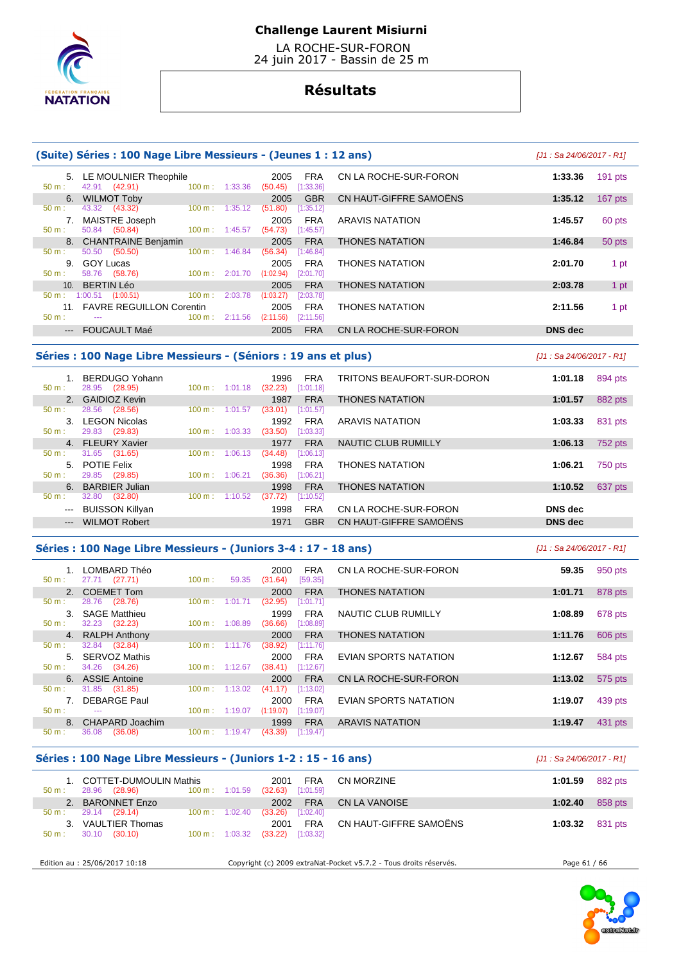

 LA ROCHE-SUR-FORON 24 juin 2017 - Bassin de 25 m

# **Résultats**

|                             | (Suite) Séries : 100 Nage Libre Messieurs - (Jeunes 1 : 12 ans) |         |                                              |                        |                |           |  |  |  |  |  |
|-----------------------------|-----------------------------------------------------------------|---------|----------------------------------------------|------------------------|----------------|-----------|--|--|--|--|--|
| 5.<br>$50 m$ :              | LE MOULNIER Theophile<br>42.91 (42.91)<br>100 m:                | 1:33.36 | 2005<br>FRA<br>[1:33.36]<br>(50.45)          | CN LA ROCHE-SUR-FORON  | 1:33.36        | $191$ pts |  |  |  |  |  |
| 6.<br>$50 m$ :              | <b>WILMOT Toby</b><br>43.32 (43.32)<br>$100 \text{ m}$ :        | 1:35.12 | <b>GBR</b><br>2005<br>(51.80)<br>[1:35.12]   | CN HAUT-GIFFRE SAMOËNS | 1:35.12        | $167$ pts |  |  |  |  |  |
| 7.<br>$50 m$ :              | MAISTRE Joseph<br>50.84 (50.84)<br>$100 \text{ m}$ :            | 1:45.57 | <b>FRA</b><br>2005<br>(54.73)<br>[1:45.57]   | <b>ARAVIS NATATION</b> | 1:45.57        | 60 pts    |  |  |  |  |  |
| $50 m$ :                    | 8. CHANTRAINE Benjamin<br>50.50 (50.50)<br>100 m:               | 1:46.84 | <b>FRA</b><br>2005<br>(56.34)<br>[1:46.84]   | <b>THONES NATATION</b> | 1:46.84        | 50 pts    |  |  |  |  |  |
| 9.<br>$50 m$ :              | <b>GOY Lucas</b><br>58.76 (58.76)<br>$100 \text{ m}$ :          | 2:01.70 | <b>FRA</b><br>2005<br>(1:02.94)<br>[2:01.70] | THONES NATATION        | 2:01.70        | 1 pt      |  |  |  |  |  |
| 10 <sub>1</sub><br>$50 m$ : | <b>BERTIN Léo</b><br>$1:00.51$ $(1:00.51)$<br>100 m:            | 2:03.78 | <b>FRA</b><br>2005<br>(1:03.27)<br>[2:03.78] | <b>THONES NATATION</b> | 2:03.78        | 1 pt      |  |  |  |  |  |
| $50 m$ :                    | <b>FAVRE REGUILLON Corentin</b><br>100 m:<br>$- - -$            | 2:11.56 | <b>FRA</b><br>2005<br>(2:11.56)<br>[2:11.56] | <b>THONES NATATION</b> | 2:11.56        | 1 pt      |  |  |  |  |  |
| $\qquad \qquad -\qquad -$   | <b>FOUCAULT Maé</b>                                             |         | <b>FRA</b><br>2005                           | CN LA ROCHE-SUR-FORON  | <b>DNS</b> dec |           |  |  |  |  |  |

### **Séries : 100 Nage Libre Messieurs - (Séniors : 19 ans et plus)** [J1 : Sa 24/06/2017 - R1]

 1. BERDUGO Yohann 1996 FRA TRITONS BEAUFORT-SUR-DORON **1:01.18** 894 pts 50 m : 28.95 (28.95) 100 m : 1:01.18 (32.23) [1:01.18] 2. GAIDIOZ Kevin **1987 FRA THONES NATATION 1:01.57 1:01.57 882 pts 1:01.57 1:01.57 1:01.57 1:01.57 1:01.57 1:01.57 1:01.57 1:01.57 1:01.57 1:01.57 1:01.57 1:01.57 1:01.57 1:01.57 1:01.57** 50 m : 28.56 (28.56) 100 m : 1:01.57 (33.01) [1:01.57] 3. LEGON Nicolas 1992 FRA ARAVIS NATATION **1:03.33** 831 pts 29.83 (29.83) 4. FLEURY Xavier 1977 FRA NAUTIC CLUB RUMILLY **1:06.13** 752 pts 50 m : 31.65 (31.65) 100 m : 1:06.13 (34.48) [1:06.13] 5. POTIE Felix 1998 FRA THONES NATATION **1:06.21** 750 pts 50 m : 29.85 (29.85) 100 m : 1:06.21 (36.36) [1:06.21] 6. BARBIER Julian 1998 FRA THONES NATATION **1:10.52** 637 pts 32.80 (32.80) --- BUISSON Killyan 1998 FRA CN LA ROCHE-SUR-FORON **DNS dec**  --- WILMOT Robert 1971 GBR CN HAUT-GIFFRE SAMOËNS **DNS dec** 

### **Séries : 100 Nage Libre Messieurs - (Juniors 3-4 : 17 - 18 ans)** [J1 : Sa 24/06/2017 - R1]

 1. LOMBARD Théo 2000 FRA CN LA ROCHE-SUR-FORON **59.35** 950 pts 27.71 (27.71) 2. COEMET Tom 2000 FRA THONES NATATION **1:01.71** 878 pts **1:01.71** 878 pts **1:01.71 1:01.71 1:01.71 1:01.71 1:01.71 1:01.71 1:01.71 1:01.71 1:01.71 1:01.71 1:01.71 1:01.71 1:01.71 1:01.71 1:01.7** 50 m : 28.76 (28.76) 100 m : 1:01.71 (32.95) [1:01.71] 3. SAGE Matthieu 1999 FRA NAUTIC CLUB RUMILLY **1:08.89** 678 pts 50 m : 32.23 (32.23) 100 m : 1:08.89 (36.66) [1:08.89] 4. RALPH Anthony 2000 FRA THONES NATATION **1:11.76** 606 pts 50 m : 32.84 (32.84) 100 m : 1:11.76 (38.92) [1:11.76] 5. SERVOZ Mathis 2000 FRA EVIAN SPORTS NATATION **1:12.67** 584 pts  $1:12.67$  6. ASSIE Antoine 2000 FRA CN LA ROCHE-SUR-FORON **1:13.02** 575 pts 50 m : 31.85 (31.85) 100 m : 1:13.02 (41.17) [1:13.02] 7. DEBARGE Paul 2000 FRA EVIAN SPORTS NATATION **1:19.07** 439 pts 50 m : --- 100 m : 1:19.07 (1:19.07) [1:19.07] 8. CHAPARD Joachim 1999 FRA ARAVIS NATATION **1:19.47 1:19.47** 431 pts **1:09 1:19.47 1:19.47 1:19.47 1:19.47 1:19.47 1:19.47 1:19.47 1:19.47 1:19.47 1:19.47 1:19.47 1:19.47 1:19.47 1:19.47 1:19** 36.08 (36.08) 100 m : 1:19.47 (43.39)

### **Séries : 100 Nage Libre Messieurs - (Juniors 1-2 : 15 - 16 ans)** [J1 : Sa 24/06/2017 - R1]

| 50 m:            | 1. COTTET-DUMOULIN Mathis<br>28.96 (28.96) |                          | $100 \text{ m}: 1:01.59$ (32.63) | 2001    | FRA<br>[1:01.59] | CN MORZINE             | 1:01.59 | 882 pts |
|------------------|--------------------------------------------|--------------------------|----------------------------------|---------|------------------|------------------------|---------|---------|
|                  | 2. BARONNET Enzo                           |                          |                                  | 2002    | <b>FRA</b>       | CN LA VANOISE          | 1:02.40 | 858 pts |
| $50 \text{ m}$ : | 29.14 (29.14)                              | $100 \text{ m}: 1:02.40$ |                                  | (33.26) | [1:02.40]        |                        |         |         |
|                  | 3. VAULTIER Thomas                         |                          |                                  | 2001    | FRA              | CN HAUT-GIFFRE SAMOËNS | 1:03.32 | 831 pts |
| $50 m$ :         | 30.10 (30.10)                              |                          | $100 \text{ m}: 1:03.32$         | (33.22) | [1:03.32]        |                        |         |         |
|                  |                                            |                          |                                  |         |                  |                        |         |         |

Edition au : 25/06/2017 10:18 Copyright (c) 2009 extraNat-Pocket v5.7.2 - Tous droits réservés. Page 61 / 66

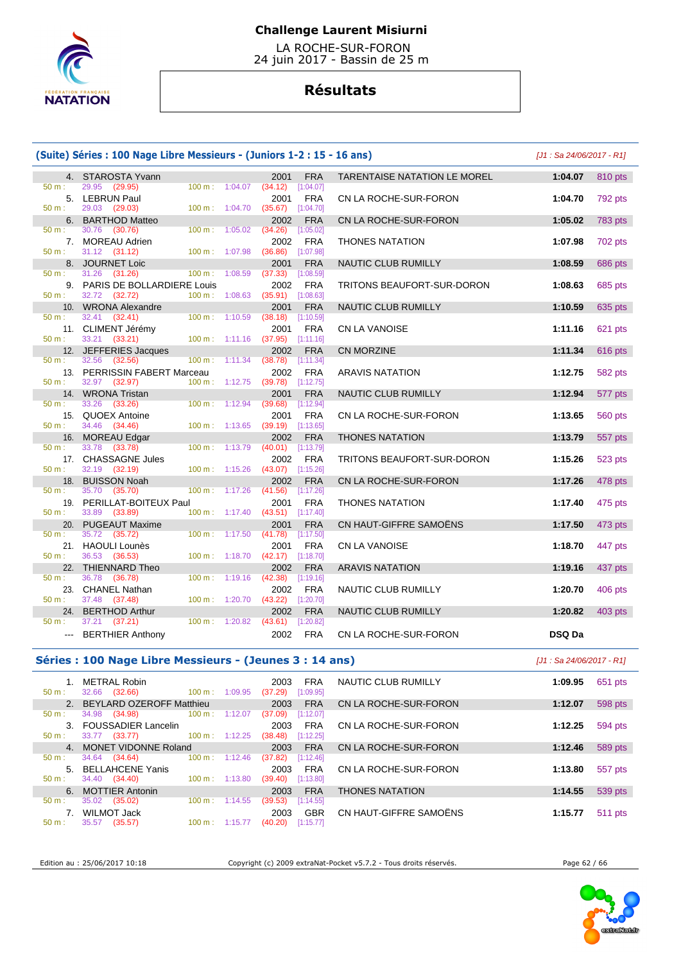

 LA ROCHE-SUR-FORON 24 juin 2017 - Bassin de 25 m

# **Résultats**

|                                                                                                                                                                                                                                                                                                                                                                                                                                                                            | (Suite) Séries : 100 Nage Libre Messieurs - (Juniors 1-2 : 15 - 16 ans) |                           |                                            |                              |                           |         |  |  |  |
|----------------------------------------------------------------------------------------------------------------------------------------------------------------------------------------------------------------------------------------------------------------------------------------------------------------------------------------------------------------------------------------------------------------------------------------------------------------------------|-------------------------------------------------------------------------|---------------------------|--------------------------------------------|------------------------------|---------------------------|---------|--|--|--|
|                                                                                                                                                                                                                                                                                                                                                                                                                                                                            | 4. STAROSTA Yvann                                                       |                           | <b>FRA</b><br>2001                         | TARENTAISE NATATION LE MOREL | 1:04.07                   | 810 pts |  |  |  |
| $50 m$ :                                                                                                                                                                                                                                                                                                                                                                                                                                                                   | 29.95 (29.95)<br>$100 \text{ m}$ :                                      | 1:04.07                   | (34.12)<br>[1:04.07]                       |                              |                           |         |  |  |  |
|                                                                                                                                                                                                                                                                                                                                                                                                                                                                            | 5. LEBRUN Paul                                                          |                           | 2001<br><b>FRA</b>                         | CN LA ROCHE-SUR-FORON        | 1:04.70                   | 792 pts |  |  |  |
| 50 m:                                                                                                                                                                                                                                                                                                                                                                                                                                                                      | 29.03 (29.03)                                                           | 100 m: 1:04.70            | $(35.67)$ [1:04.70]                        |                              |                           |         |  |  |  |
| 6.                                                                                                                                                                                                                                                                                                                                                                                                                                                                         | <b>BARTHOD Matteo</b>                                                   |                           | 2002<br><b>FRA</b>                         | CN LA ROCHE-SUR-FORON        | 1:05.02                   | 783 pts |  |  |  |
| 50 m:                                                                                                                                                                                                                                                                                                                                                                                                                                                                      | 30.76<br>(30.76)<br>$100 \text{ m}$ :                                   | 1:05.02                   | (34.26)<br>[1:05.02]                       |                              |                           |         |  |  |  |
| 50 m:                                                                                                                                                                                                                                                                                                                                                                                                                                                                      | 7. MOREAU Adrien                                                        | 100 m: 1:07.98            | 2002<br><b>FRA</b><br>(36.86)              | <b>THONES NATATION</b>       | 1:07.98                   | 702 pts |  |  |  |
| 8.                                                                                                                                                                                                                                                                                                                                                                                                                                                                         | 31.12 (31.12)<br><b>JOURNET Loic</b>                                    |                           | [1:07.98]<br>2001<br><b>FRA</b>            | NAUTIC CLUB RUMILLY          | 1:08.59                   | 686 pts |  |  |  |
| 50 m:                                                                                                                                                                                                                                                                                                                                                                                                                                                                      | 31.26<br>(31.26)<br>100 m:                                              | 1:08.59                   | (37.33)<br>[1:08.59]                       |                              |                           |         |  |  |  |
|                                                                                                                                                                                                                                                                                                                                                                                                                                                                            | 9. PARIS DE BOLLARDIERE Louis                                           |                           | 2002<br><b>FRA</b>                         | TRITONS BEAUFORT-SUR-DORON   | 1:08.63                   | 685 pts |  |  |  |
| 50 m:                                                                                                                                                                                                                                                                                                                                                                                                                                                                      | 32.72 (32.72)                                                           | $100 \text{ m}$ : 1:08.63 | $(35.91)$ [1:08.63]                        |                              |                           |         |  |  |  |
| 10.                                                                                                                                                                                                                                                                                                                                                                                                                                                                        | <b>WRONA Alexandre</b>                                                  |                           | <b>FRA</b><br>2001                         | NAUTIC CLUB RUMILLY          | 1:10.59                   | 635 pts |  |  |  |
| 50 m:                                                                                                                                                                                                                                                                                                                                                                                                                                                                      | 32.41<br>(32.41)<br>$100 \text{ m}$ :                                   | 1:10.59                   | [1:10.59]<br>(38.18)                       |                              |                           |         |  |  |  |
|                                                                                                                                                                                                                                                                                                                                                                                                                                                                            | 11. CLIMENT Jérémy                                                      |                           | 2001<br><b>FRA</b>                         | <b>CN LA VANOISE</b>         | 1:11.16                   | 621 pts |  |  |  |
| $50 m$ :                                                                                                                                                                                                                                                                                                                                                                                                                                                                   | 33.21 (33.21)                                                           | $100 \text{ m}: 1:11.16$  | $(37.95)$ [1:11.16]                        |                              |                           |         |  |  |  |
|                                                                                                                                                                                                                                                                                                                                                                                                                                                                            | 12. JEFFERIES Jacques                                                   |                           | <b>FRA</b><br>2002                         | <b>CN MORZINE</b>            | 1:11.34                   | 616 pts |  |  |  |
| $50 m$ :                                                                                                                                                                                                                                                                                                                                                                                                                                                                   | 32.56<br>(32.56)<br>$100 \text{ m}$ :                                   | 1:11.34                   | [1:11.34]<br>(38.78)                       |                              |                           |         |  |  |  |
|                                                                                                                                                                                                                                                                                                                                                                                                                                                                            | 13. PERRISSIN FABERT Marceau                                            |                           | 2002<br><b>FRA</b>                         | <b>ARAVIS NATATION</b>       | 1:12.75                   | 582 pts |  |  |  |
| 50 m:                                                                                                                                                                                                                                                                                                                                                                                                                                                                      | 32.97 (32.97)                                                           | 100 m: 1:12.75            | $(39.78)$ [1:12.75]                        |                              |                           |         |  |  |  |
| 50 m:                                                                                                                                                                                                                                                                                                                                                                                                                                                                      | 14. WRONA Tristan<br>33.26<br>(33.26)                                   | $100 m$ : 1:12.94         | <b>FRA</b><br>2001<br>(39.68)<br>[1:12.94] | NAUTIC CLUB RUMILLY          | 1:12.94                   | 577 pts |  |  |  |
|                                                                                                                                                                                                                                                                                                                                                                                                                                                                            | 15. QUOEX Antoine                                                       |                           | 2001<br><b>FRA</b>                         | CN LA ROCHE-SUR-FORON        | 1:13.65                   | 560 pts |  |  |  |
| $50 m$ :                                                                                                                                                                                                                                                                                                                                                                                                                                                                   | 34.46 (34.46)                                                           | $100 \text{ m}: 1:13.65$  | $(39.19)$ [1:13.65]                        |                              |                           |         |  |  |  |
| 16.                                                                                                                                                                                                                                                                                                                                                                                                                                                                        | <b>MOREAU Edgar</b>                                                     |                           | <b>FRA</b><br>2002                         | <b>THONES NATATION</b>       | 1:13.79                   | 557 pts |  |  |  |
| 50 m:                                                                                                                                                                                                                                                                                                                                                                                                                                                                      | 33.78 (33.78)                                                           | 100 m: 1:13.79            | (40.01)<br>[1:13.79]                       |                              |                           |         |  |  |  |
|                                                                                                                                                                                                                                                                                                                                                                                                                                                                            | 17. CHASSAGNE Jules                                                     |                           | <b>FRA</b><br>2002                         | TRITONS BEAUFORT-SUR-DORON   | 1:15.26                   | 523 pts |  |  |  |
| 50 m:                                                                                                                                                                                                                                                                                                                                                                                                                                                                      | 32.19 (32.19)                                                           | 100 m: 1:15.26            | [1:15.26]<br>(43.07)                       |                              |                           |         |  |  |  |
| 18.                                                                                                                                                                                                                                                                                                                                                                                                                                                                        | <b>BUISSON Noah</b>                                                     |                           | <b>FRA</b><br>2002                         | CN LA ROCHE-SUR-FORON        | 1:17.26                   | 478 pts |  |  |  |
| 50 m:                                                                                                                                                                                                                                                                                                                                                                                                                                                                      | 35.70 (35.70)                                                           | 100 m: 1:17.26            | [1:17.26]<br>(41.56)                       |                              |                           |         |  |  |  |
|                                                                                                                                                                                                                                                                                                                                                                                                                                                                            | 19. PERILLAT-BOITEUX Paul                                               |                           | <b>FRA</b><br>2001                         | <b>THONES NATATION</b>       | 1:17.40                   | 475 pts |  |  |  |
| 50 m:                                                                                                                                                                                                                                                                                                                                                                                                                                                                      | 33.89 (33.89)                                                           | 100 m: 1:17.40            | (43.51)<br>[1:17.40]                       |                              |                           |         |  |  |  |
| 20.                                                                                                                                                                                                                                                                                                                                                                                                                                                                        | <b>PUGEAUT Maxime</b>                                                   |                           | <b>FRA</b><br>2001                         | CN HAUT-GIFFRE SAMOËNS       | 1:17.50                   | 473 pts |  |  |  |
| 50 m:                                                                                                                                                                                                                                                                                                                                                                                                                                                                      | 35.72 (35.72)<br>21. HAOULI Lounès                                      | 100 m: 1:17.50            | (41.78)<br>[1:17.50]<br><b>FRA</b><br>2001 | <b>CN LA VANOISE</b>         | 1:18.70                   | 447 pts |  |  |  |
| $50 m$ :                                                                                                                                                                                                                                                                                                                                                                                                                                                                   | 36.53<br>(36.53)                                                        | 100 m: 1:18.70            | [1:18.70]<br>(42.17)                       |                              |                           |         |  |  |  |
|                                                                                                                                                                                                                                                                                                                                                                                                                                                                            | 22. THIENNARD Theo                                                      |                           | <b>FRA</b><br>2002                         | <b>ARAVIS NATATION</b>       | 1:19.16                   | 437 pts |  |  |  |
| 50 m:                                                                                                                                                                                                                                                                                                                                                                                                                                                                      | 36.78<br>(36.78)                                                        | $100 \text{ m}: 1:19.16$  | (42.38)<br>[1:19.16]                       |                              |                           |         |  |  |  |
|                                                                                                                                                                                                                                                                                                                                                                                                                                                                            | 23. CHANEL Nathan                                                       |                           | <b>FRA</b><br>2002                         | NAUTIC CLUB RUMILLY          | 1:20.70                   | 406 pts |  |  |  |
| 50 m:                                                                                                                                                                                                                                                                                                                                                                                                                                                                      | 37.48<br>(37.48)                                                        | 100 m: 1:20.70            | (43.22)<br>[1:20.70]                       |                              |                           |         |  |  |  |
| 24.                                                                                                                                                                                                                                                                                                                                                                                                                                                                        | <b>BERTHOD Arthur</b>                                                   |                           | 2002<br><b>FRA</b>                         | <b>NAUTIC CLUB RUMILLY</b>   | 1:20.82                   | 403 pts |  |  |  |
| 50 m:                                                                                                                                                                                                                                                                                                                                                                                                                                                                      | 37.21 (37.21)                                                           | 100 m: 1:20.82            | $(43.61)$ [1:20.82]                        |                              |                           |         |  |  |  |
| $\frac{1}{2} \left( \frac{1}{2} \right) \left( \frac{1}{2} \right) \left( \frac{1}{2} \right) \left( \frac{1}{2} \right) \left( \frac{1}{2} \right) \left( \frac{1}{2} \right) \left( \frac{1}{2} \right) \left( \frac{1}{2} \right) \left( \frac{1}{2} \right) \left( \frac{1}{2} \right) \left( \frac{1}{2} \right) \left( \frac{1}{2} \right) \left( \frac{1}{2} \right) \left( \frac{1}{2} \right) \left( \frac{1}{2} \right) \left( \frac{1}{2} \right) \left( \frac$ | <b>BERTHIER Anthony</b>                                                 |                           | <b>FRA</b><br>2002                         | CN LA ROCHE-SUR-FORON        | DSQ Da                    |         |  |  |  |
|                                                                                                                                                                                                                                                                                                                                                                                                                                                                            | Séries : 100 Nage Libre Messieurs - (Jeunes 3 : 14 ans)                 |                           |                                            |                              | [J1 : Sa 24/06/2017 - R1] |         |  |  |  |
|                                                                                                                                                                                                                                                                                                                                                                                                                                                                            |                                                                         |                           |                                            | $\cdots$                     |                           |         |  |  |  |

| $50 \text{ m}$ : | <b>METRAL Robin</b><br>$100 \text{ m}$ :<br>32.66<br>(32.66) | 1:09.95                   | <b>FRA</b><br>2003<br>[1:09.95]<br>(37.29) | NAUTIC CLUB RUMILLY    | 1:09.95 | 651 pts |
|------------------|--------------------------------------------------------------|---------------------------|--------------------------------------------|------------------------|---------|---------|
|                  | 2. BEYLARD OZEROFF Matthieu                                  |                           | 2003<br><b>FRA</b>                         | CN LA ROCHE-SUR-FORON  | 1:12.07 | 598 pts |
| $50 m$ :         | 34.98<br>(34.98)                                             | $100 \text{ m}$ : 1:12.07 | [1:12.07]<br>(37.09)                       |                        |         |         |
|                  | 3. FOUSSADIER Lancelin                                       |                           | <b>FRA</b><br>2003                         | CN LA ROCHE-SUR-FORON  | 1:12.25 | 594 pts |
| $50 m$ :         | (33.77)<br>33.77                                             | $100 \text{ m}$ : 1:12.25 | (38.48)<br>[1:12.25]                       |                        |         |         |
|                  | 4. MONET VIDONNE Roland                                      |                           | <b>FRA</b><br>2003                         | CN LA ROCHE-SUR-FORON  | 1:12.46 | 589 pts |
| $50 m$ :         | 100 m:<br>34.64 (34.64)                                      | 1:12.46                   | (37.82)<br>[1:12.46]                       |                        |         |         |
|                  | 5. BELLAHCENE Yanis                                          |                           | <b>FRA</b><br>2003                         | CN LA ROCHE-SUR-FORON  | 1:13.80 | 557 pts |
| $50 m$ :         | 34.40 (34.40)<br>$100 \text{ m}$ :                           | 1:13.80                   | (39.40)<br>[1:13.80]                       |                        |         |         |
|                  | 6. MOTTIER Antonin                                           |                           | <b>FRA</b><br>2003                         | <b>THONES NATATION</b> | 1:14.55 | 539 pts |
| $50 m$ :         | 35.02<br>(35.02)<br>100 m:                                   | 1:14.55                   | (39.53)<br>[1:14.55]                       |                        |         |         |
|                  | WILMOT Jack                                                  |                           | <b>GBR</b><br>2003                         | CN HAUT-GIFFRE SAMOËNS | 1:15.77 | 511 pts |
| $50 m$ :         | 35.57<br>(35.57)<br>$100 \text{ m}$ :                        | 1:15.77                   | (40.20)<br>[1:15.77]                       |                        |         |         |

Edition au : 25/06/2017 10:18 Copyright (c) 2009 extraNat-Pocket v5.7.2 - Tous droits réservés. Page 62 / 66

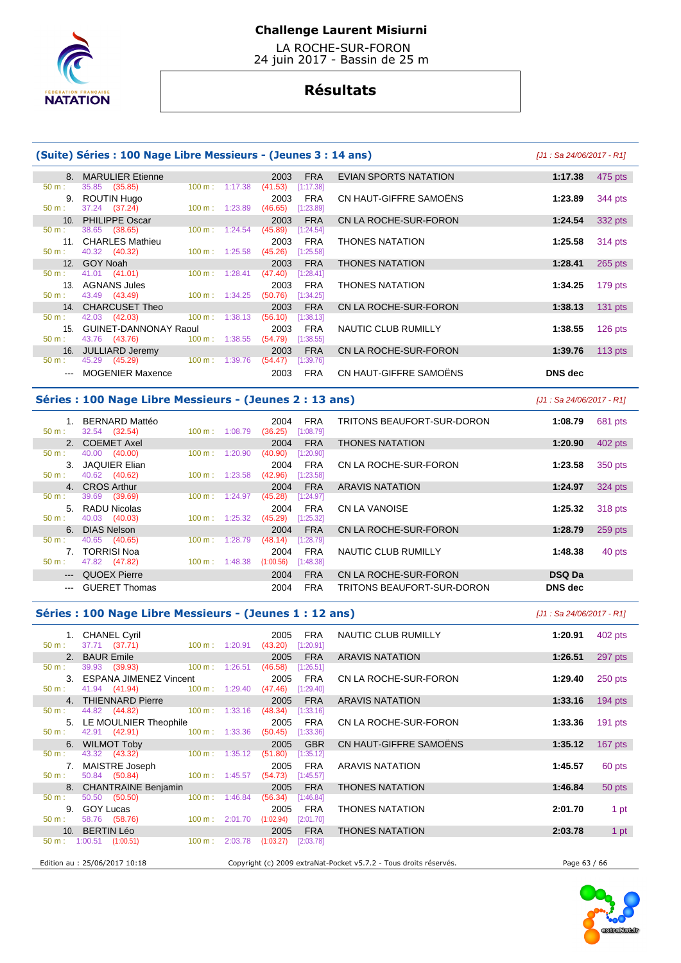

 LA ROCHE-SUR-FORON 24 juin 2017 - Bassin de 25 m

# **Résultats**

### **(Suite) Séries : 100 Nage Libre Messieurs - (Jeunes 3 : 14 ans)** [J1 : Sa 24/06/2017 - R1]

|                 | 8. MARULIER Etienne          |                              | 2003<br><b>FRA</b>   | EVIAN SPORTS NATATION  | 1:17.38<br>475 pts   |
|-----------------|------------------------------|------------------------------|----------------------|------------------------|----------------------|
| $50 m$ :        | 35.85 (35.85)                | 1:17.38<br>$100 \text{ m}$ : | (41.53)<br>[1:17.38] |                        |                      |
| 9.              | ROUTIN Hugo                  |                              | <b>FRA</b><br>2003   | CN HAUT-GIFFRE SAMOËNS | 344 pts<br>1:23.89   |
| $50 m$ :        | 37.24 (37.24)                | $100 \text{ m}: 1:23.89$     | (46.65)<br>[1:23.89] |                        |                      |
|                 | 10. PHILIPPE Oscar           |                              | <b>FRA</b><br>2003   | CN LA ROCHE-SUR-FORON  | 1:24.54<br>332 pts   |
| $50 m$ :        | 38.65 (38.65)                | 1:24.54<br>$100 \text{ m}$ : | (45.89)<br>[1:24.54] |                        |                      |
|                 | 11. CHARLES Mathieu          |                              | <b>FRA</b><br>2003   | <b>THONES NATATION</b> | 1:25.58<br>314 pts   |
| $50 m$ :        | 40.32 (40.32)                | 1:25.58<br>$100 \text{ m}$ : | [1:25.58]<br>(45.26) |                        |                      |
|                 | 12. GOY Noah                 |                              | <b>FRA</b><br>2003   | <b>THONES NATATION</b> | 1:28.41<br>265 pts   |
| $50 m$ :        | 41.01 (41.01)                | 1:28.41<br>$100 \text{ m}$ : | (47.40)<br>[1:28.41] |                        |                      |
|                 | 13. AGNANS Jules             |                              | <b>FRA</b><br>2003   | <b>THONES NATATION</b> | 1:34.25<br>179 pts   |
| $50 m$ :        | 43.49 (43.49)                | $100 \text{ m}: 1:34.25$     | (50.76)<br>[1:34.25] |                        |                      |
|                 | 14. CHARCUSET Theo           |                              | <b>FRA</b><br>2003   | CN LA ROCHE-SUR-FORON  | 1:38.13<br>$131$ pts |
| $50 m$ :        | 42.03 (42.03)                | 100 m:<br>1:38.13            | (56.10)<br>[1:38.13] |                        |                      |
| 15 <sub>1</sub> | <b>GUINET-DANNONAY Raoul</b> |                              | <b>FRA</b><br>2003   | NAUTIC CLUB RUMILLY    | 1:38.55<br>126 pts   |
| $50 m$ :        | 43.76 (43.76)                | $100 \text{ m}: 1:38.55$     | (54.79)<br>[1:38.55] |                        |                      |
| 16.             | JULLIARD Jeremy              |                              | <b>FRA</b><br>2003   | CN LA ROCHE-SUR-FORON  | 113 $pts$<br>1:39.76 |
| $50 m$ :        | 45.29 (45.29)                | 100 m: 1:39.76               | (54.47)<br>[1:39.76] |                        |                      |
|                 | <b>MOGENIER Maxence</b>      |                              | 2003<br><b>FRA</b>   | CN HAUT-GIFFRE SAMOËNS | DNS dec              |

### **Séries : 100 Nage Libre Messieurs - (Jeunes 2 : 13 ans)** [J1 : Sa 24/06/2017 - R1]

| BERNARD Mattéo                         |                              | <b>FRA</b><br>2004     | TRITONS BEAUFORT-SUR-DORON | 1:08.79       | 681 pts |
|----------------------------------------|------------------------------|------------------------|----------------------------|---------------|---------|
| 32.54 (32.54)<br>$50 m$ :              | 100 m:<br>1:08.79            | [1:08.79]<br>(36.25)   |                            |               |         |
| 2. COEMET Axel                         |                              | <b>FRA</b><br>2004     | <b>THONES NATATION</b>     | 1:20.90       | 402 pts |
| (40.00)<br>40.00<br>50 m:              | 1:20.90<br>100 m:            | [1:20.90]<br>(40.90)   |                            |               |         |
| JAQUIER Elian<br>3.                    |                              | <b>FRA</b><br>2004     | CN LA ROCHE-SUR-FORON      | 1:23.58       | 350 pts |
| (40.62)<br>40.62<br>$50 m$ :           | 1:23.58<br>100 m:            | [1:23.58]<br>(42.96)   |                            |               |         |
| 4. CROS Arthur                         |                              | <b>FRA</b><br>2004     | <b>ARAVIS NATATION</b>     | 1:24.97       | 324 pts |
| 39.69<br>(39.69)<br>50 m:              | 1:24.97<br>100 m :           | (45.28)<br>[1:24.97]   |                            |               |         |
| 5. RADU Nicolas                        |                              | <b>FRA</b><br>2004     | CN LA VANOISE              | 1:25.32       | 318 pts |
| (40.03)<br>40.03<br>$50 m$ :           | $100 \text{ m}$ :<br>1:25.32 | (45.29)<br>[1:25.32]   |                            |               |         |
| <b>DIAS Nelson</b><br>6 I              |                              | <b>FRA</b><br>2004     | CN LA ROCHE-SUR-FORON      | 1:28.79       | 259 pts |
| 40.65<br>$50 m$ :<br>(40.65)           | 1:28.79<br>100 m:            | (48.14)<br>[1:28.79]   |                            |               |         |
| 7. TORRISI Noa                         |                              | <b>FRA</b><br>2004     | NAUTIC CLUB RUMILLY        | 1:48.38       | 40 pts  |
| $50 m$ :<br>47.82<br>(47.82)           | 1:48.38<br>$100 \text{ m}$ : | (1:00.56)<br>[1:48.38] |                            |               |         |
| QUOEX Pierre<br>$\qquad \qquad \cdots$ |                              | <b>FRA</b><br>2004     | CN LA ROCHE-SUR-FORON      | <b>DSQ Da</b> |         |
| <b>GUERET Thomas</b><br>$---$          |                              | <b>FRA</b><br>2004     | TRITONS BEAUFORT-SUR-DORON | DNS dec       |         |

### **Séries : 100 Nage Libre Messieurs - (Jeunes 1 : 12 ans)** [J1 : Sa 24/06/2017 - R1]

|          | 1. CHANEL Cyril                                 |                          | 2005                                       | FRA        | NAUTIC CLUB RUMILLY                                               | 1:20.91      | 402 pts   |
|----------|-------------------------------------------------|--------------------------|--------------------------------------------|------------|-------------------------------------------------------------------|--------------|-----------|
| 50 m:    | 37.71 (37.71)                                   |                          | 100 m: 1:20.91 (43.20) [1:20.91]           |            |                                                                   |              |           |
|          | 2. BAUR Emile                                   |                          | 2005                                       | <b>FRA</b> | <b>ARAVIS NATATION</b>                                            | 1:26.51      | 297 pts   |
| 50 m:    | 39.93 (39.93) 100 m : 1:26.51                   |                          | (46.58)                                    | [1:26.51]  |                                                                   |              |           |
|          | 3. ESPANA JIMENEZ Vincent                       |                          | 2005                                       | <b>FRA</b> | CN LA ROCHE-SUR-FORON                                             | 1:29.40      | $250$ pts |
| 50 m:    | 41.94 (41.94)                                   |                          | $100 \text{ m}: 1:29.40$ (47.46)           | [1:29.40]  |                                                                   |              |           |
|          | 4. THIENNARD Pierre                             |                          | 2005                                       | <b>FRA</b> | <b>ARAVIS NATATION</b>                                            | 1:33.16      | 194 pts   |
| $50 m$ : | 44.82 (44.82) 100 m : 1:33.16 (48.34) [1:33.16] |                          |                                            |            |                                                                   |              |           |
|          | 5. LE MOULNIER Theophile                        |                          | 2005                                       | <b>FRA</b> | CN LA ROCHE-SUR-FORON                                             | 1:33.36      | $191$ pts |
| 50 m:    | 42.91 (42.91)                                   |                          | $100 \text{ m}: 1:33.36$ (50.45) [1:33.36] |            |                                                                   |              |           |
|          | 6. WILMOT Toby                                  |                          | 2005                                       | <b>GBR</b> | CN HAUT-GIFFRE SAMOËNS                                            | 1:35.12      | 167 pts   |
| 50 m:    | 43.32 (43.32) 100 m : 1:35.12                   |                          | (51.80)                                    | [1:35.12]  |                                                                   |              |           |
|          | 7. MAISTRE Joseph                               |                          | 2005                                       | FRA        | <b>ARAVIS NATATION</b>                                            | 1:45.57      | 60 pts    |
| 50 m:    | 50.84 (50.84) 100 m : 1:45.57 (54.73) [1:45.57] |                          |                                            |            |                                                                   |              |           |
|          | 8. CHANTRAINE Benjamin                          |                          | 2005                                       | <b>FRA</b> | <b>THONES NATATION</b>                                            | 1:46.84      | 50 pts    |
| 50 m:    | 50.50 (50.50)                                   | $100 \text{ m}: 1:46.84$ | $(56.34)$ [1:46.84]                        |            |                                                                   |              |           |
|          | 9. GOY Lucas                                    |                          | 2005                                       | <b>FRA</b> | <b>THONES NATATION</b>                                            | 2:01.70      | 1 pt      |
| 50 m:    | 58.76 (58.76)                                   | 100 m: 2:01.70           | $(1:02.94)$ [2:01.70]                      |            |                                                                   |              |           |
|          | 10. BERTIN Léo                                  |                          | 2005                                       | <b>FRA</b> | <b>THONES NATATION</b>                                            | 2:03.78      | 1 pt      |
|          | $50 \text{ m}: 1:00.51$ (1:00.51)               | 100 m: 2:03.78           | $(1:03.27)$ [2:03.78]                      |            |                                                                   |              |           |
|          |                                                 |                          |                                            |            |                                                                   |              |           |
|          | Edition au : 25/06/2017 10:18                   |                          |                                            |            | Copyright (c) 2009 extraNat-Pocket v5.7.2 - Tous droits réservés. | Page 63 / 66 |           |

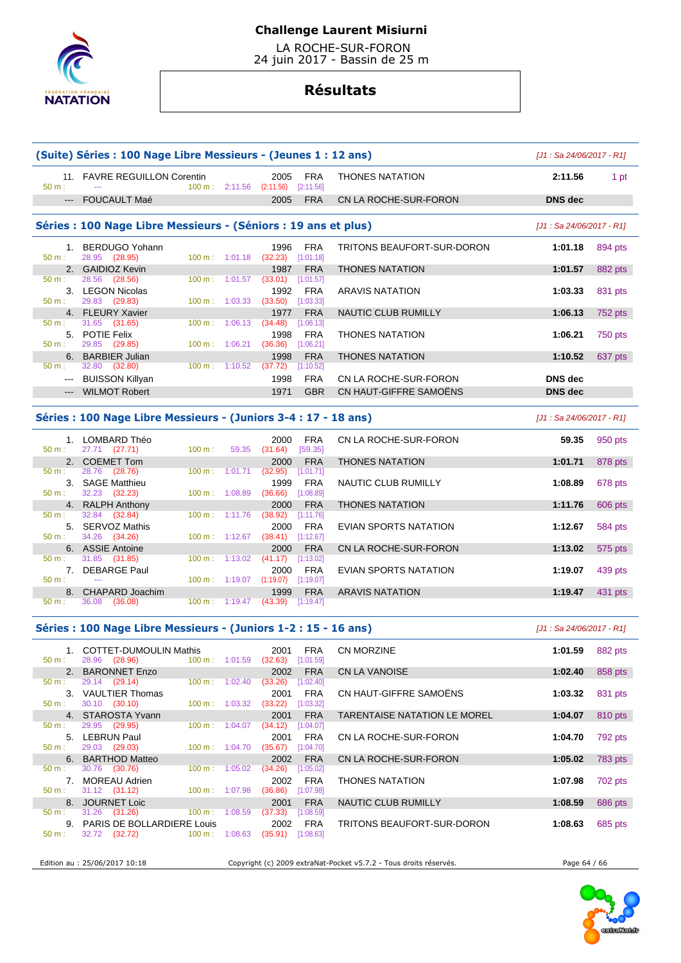

 LA ROCHE-SUR-FORON 24 juin 2017 - Bassin de 25 m

# **Résultats**

|                                                                                                                                                                                                                                                                                                                                                                                                                                                                            | (Suite) Séries : 100 Nage Libre Messieurs - (Jeunes 1 : 12 ans) |                   |                             |                                            |                         |                            | $[J1: Sa 24/06/2017 - R1]$ |                |
|----------------------------------------------------------------------------------------------------------------------------------------------------------------------------------------------------------------------------------------------------------------------------------------------------------------------------------------------------------------------------------------------------------------------------------------------------------------------------|-----------------------------------------------------------------|-------------------|-----------------------------|--------------------------------------------|-------------------------|----------------------------|----------------------------|----------------|
| 50 m:                                                                                                                                                                                                                                                                                                                                                                                                                                                                      | 11. FAVRE REGUILLON Corentin                                    |                   |                             | 2005<br>100 m: 2:11.56 (2:11.56) [2:11.56] | <b>FRA</b>              | <b>THONES NATATION</b>     | 2:11.56                    | 1 pt           |
|                                                                                                                                                                                                                                                                                                                                                                                                                                                                            | --- FOUCAULT Maé                                                |                   |                             | 2005                                       | <b>FRA</b>              | CN LA ROCHE-SUR-FORON      | <b>DNS</b> dec             |                |
|                                                                                                                                                                                                                                                                                                                                                                                                                                                                            | Séries : 100 Nage Libre Messieurs - (Séniors : 19 ans et plus)  |                   |                             |                                            |                         |                            | $[J1: Sa 24/06/2017 - R1]$ |                |
|                                                                                                                                                                                                                                                                                                                                                                                                                                                                            | 1. BERDUGO Yohann                                               |                   |                             | 1996                                       | <b>FRA</b>              | TRITONS BEAUFORT-SUR-DORON | 1:01.18                    | 894 pts        |
| 50 m:                                                                                                                                                                                                                                                                                                                                                                                                                                                                      | 28.95 (28.95)                                                   |                   | 100 m: 1:01.18              | (32.23)                                    | [1:01.18]               |                            |                            |                |
| 50 m:                                                                                                                                                                                                                                                                                                                                                                                                                                                                      | 2. GAIDIOZ Kevin<br>28.56 (28.56)                               | $100 \text{ m}$ : | 1:01.57                     | 1987<br>(33.01)                            | <b>FRA</b><br>[1:01.57] | <b>THONES NATATION</b>     | 1:01.57                    | 882 pts        |
|                                                                                                                                                                                                                                                                                                                                                                                                                                                                            | 3. LEGON Nicolas                                                |                   |                             | 1992                                       | <b>FRA</b>              | <b>ARAVIS NATATION</b>     | 1:03.33                    | 831 pts        |
| 50 m:                                                                                                                                                                                                                                                                                                                                                                                                                                                                      | 29.83 (29.83)                                                   | $100 \text{ m}$ : | 1:03.33                     | (33.50)                                    | [1:03.33]               |                            |                            |                |
|                                                                                                                                                                                                                                                                                                                                                                                                                                                                            | 4. FLEURY Xavier                                                |                   |                             | 1977                                       | <b>FRA</b>              | <b>NAUTIC CLUB RUMILLY</b> | 1:06.13                    | 752 pts        |
| 50 m:                                                                                                                                                                                                                                                                                                                                                                                                                                                                      | 31.65 (31.65)                                                   | 100 m:            | 1:06.13                     | (34.48)                                    | [1:06.13]               |                            |                            |                |
|                                                                                                                                                                                                                                                                                                                                                                                                                                                                            | 5. POTIE Felix                                                  |                   |                             | 1998                                       | <b>FRA</b>              | <b>THONES NATATION</b>     | 1:06.21                    | <b>750 pts</b> |
| 50 m:                                                                                                                                                                                                                                                                                                                                                                                                                                                                      | 29.85 (29.85)                                                   |                   | 100 m: 1:06.21              | (36.36)                                    | [1:06.21]               |                            |                            |                |
|                                                                                                                                                                                                                                                                                                                                                                                                                                                                            | 6. BARBIER Julian                                               |                   |                             | 1998                                       | <b>FRA</b>              | <b>THONES NATATION</b>     | 1:10.52                    | 637 pts        |
| 50 m:                                                                                                                                                                                                                                                                                                                                                                                                                                                                      | 32.80 (32.80)                                                   |                   | 100 m: 1:10.52              | (37.72)                                    | [1:10.52]               |                            |                            |                |
| $\frac{1}{2} \left( \frac{1}{2} \right) \left( \frac{1}{2} \right) \left( \frac{1}{2} \right) \left( \frac{1}{2} \right) \left( \frac{1}{2} \right) \left( \frac{1}{2} \right) \left( \frac{1}{2} \right) \left( \frac{1}{2} \right) \left( \frac{1}{2} \right) \left( \frac{1}{2} \right) \left( \frac{1}{2} \right) \left( \frac{1}{2} \right) \left( \frac{1}{2} \right) \left( \frac{1}{2} \right) \left( \frac{1}{2} \right) \left( \frac{1}{2} \right) \left( \frac$ | <b>BUISSON Killyan</b>                                          |                   |                             | 1998                                       | <b>FRA</b>              | CN LA ROCHE-SUR-FORON      | <b>DNS</b> dec             |                |
| $---$                                                                                                                                                                                                                                                                                                                                                                                                                                                                      | <b>WILMOT Robert</b>                                            |                   |                             | 1971                                       | <b>GBR</b>              | CN HAUT-GIFFRE SAMOËNS     | <b>DNS</b> dec             |                |
|                                                                                                                                                                                                                                                                                                                                                                                                                                                                            | 1. LOMBARD Théo                                                 |                   |                             | 2000                                       | <b>FRA</b>              | CN LA ROCHE-SUR-FORON      | 59.35                      | 950 pts        |
| 50 m:                                                                                                                                                                                                                                                                                                                                                                                                                                                                      | 27.71 (27.71)                                                   | 100 m:            | 59.35                       | (31.64)                                    | [59.35]                 |                            |                            |                |
|                                                                                                                                                                                                                                                                                                                                                                                                                                                                            | 2. COEMET Tom                                                   |                   |                             | 2000                                       | <b>FRA</b>              | <b>THONES NATATION</b>     | 1:01.71                    | 878 pts        |
| 50 m:                                                                                                                                                                                                                                                                                                                                                                                                                                                                      | 28.76 (28.76)                                                   | 100 m:            | 1:01.71                     | (32.95)                                    | [1:01.71]               |                            |                            |                |
| $50 m$ :                                                                                                                                                                                                                                                                                                                                                                                                                                                                   | 3. SAGE Matthieu<br>32.23 (32.23)                               |                   | 100 m: 1:08.89              | 1999<br>(36.66)                            | <b>FRA</b><br>[1:08.89] | NAUTIC CLUB RUMILLY        | 1:08.89                    | 678 pts        |
|                                                                                                                                                                                                                                                                                                                                                                                                                                                                            | 4. RALPH Anthony                                                |                   |                             | 2000                                       | <b>FRA</b>              | <b>THONES NATATION</b>     | 1:11.76                    | 606 pts        |
| 50 m:                                                                                                                                                                                                                                                                                                                                                                                                                                                                      | 32.84 (32.84)                                                   | 100 m:            | 1:11.76                     | (38.92)                                    | [1:11.76]               |                            |                            |                |
|                                                                                                                                                                                                                                                                                                                                                                                                                                                                            | 5. SERVOZ Mathis                                                |                   |                             | 2000                                       | <b>FRA</b>              | EVIAN SPORTS NATATION      | 1:12.67                    | 584 pts        |
| 50 m:                                                                                                                                                                                                                                                                                                                                                                                                                                                                      | 34.26<br>(34.26)                                                |                   | 100 m: 1:12.67              | (38.41)                                    | [1:12.67]               |                            |                            |                |
|                                                                                                                                                                                                                                                                                                                                                                                                                                                                            | 6. ASSIE Antoine                                                |                   |                             | 2000                                       | <b>FRA</b>              | CN LA ROCHE-SUR-FORON      | 1:13.02                    | 575 pts        |
| 50 m:                                                                                                                                                                                                                                                                                                                                                                                                                                                                      | 31.85 (31.85)                                                   | $100 \text{ m}$ : | 1:13.02                     | (41.17)                                    | [1:13.02]               |                            |                            |                |
|                                                                                                                                                                                                                                                                                                                                                                                                                                                                            | 7. DEBARGE Paul                                                 |                   |                             | 2000                                       | <b>FRA</b>              | EVIAN SPORTS NATATION      | 1:19.07                    | 439 pts        |
| 50 m:                                                                                                                                                                                                                                                                                                                                                                                                                                                                      | $\sim$                                                          |                   | 100 m: 1:19.07              | (1:19.07)                                  | [1:19.07]               |                            |                            |                |
| 8.                                                                                                                                                                                                                                                                                                                                                                                                                                                                         | CHAPARD Joachim                                                 |                   |                             | 1999                                       | <b>FRA</b>              | <b>ARAVIS NATATION</b>     | 1:19.47                    | 431 pts        |
| 50 m:                                                                                                                                                                                                                                                                                                                                                                                                                                                                      | 36.08 (36.08)                                                   |                   | $100 \text{ m}: 1:19.47$    | $(43.39)$ [1:19.47]                        |                         |                            |                            |                |
|                                                                                                                                                                                                                                                                                                                                                                                                                                                                            | Séries : 100 Nage Libre Messieurs - (Juniors 1-2 : 15 - 16 ans) |                   |                             |                                            |                         |                            | [J1 : Sa 24/06/2017 - R1]  |                |
|                                                                                                                                                                                                                                                                                                                                                                                                                                                                            | 1. COTTET-DUMOULIN Mathis                                       |                   |                             | 2001                                       | <b>FRA</b>              | CN MORZINE                 | 1:01.59                    | 882 pts        |
| $50 m$ :                                                                                                                                                                                                                                                                                                                                                                                                                                                                   | 28.96 (28.96)                                                   |                   | $100 \text{ m}$ : $1:01.59$ | $(32.63)$ [1:01.59]                        |                         |                            |                            |                |
|                                                                                                                                                                                                                                                                                                                                                                                                                                                                            | 2. BARONNET Enzo                                                |                   |                             | 2002                                       | <b>FRA</b>              | <b>CN LA VANOISE</b>       | 1:02.40                    | 858 pts        |
| 50 m:                                                                                                                                                                                                                                                                                                                                                                                                                                                                      | 29.14 (29.14)                                                   |                   | $100 \text{ m}: 1:02.40$    | (33.26)                                    | [1:02.40]               |                            |                            |                |

|                  |                                    | 3. VAULTIER Thomas            |                             |         | 2001                        | <b>FRA</b> | CI |  |  |  |
|------------------|------------------------------------|-------------------------------|-----------------------------|---------|-----------------------------|------------|----|--|--|--|
| $50 m$ :         |                                    | 30.10 (30.10)                 | $100 \text{ m}$ :           |         | $1:03.32$ (33.22) [1:03.32] |            |    |  |  |  |
|                  |                                    | 4. STAROSTA Yvann             |                             |         |                             | 2001 FRA   | T/ |  |  |  |
| $50 \text{ m}$ : |                                    | 29.95 (29.95)                 | $100 \text{ m}$ :           | 1:04.07 | $(34.12)$ [1:04.07]         |            |    |  |  |  |
|                  |                                    | 5. LEBRUN Paul                |                             |         |                             | 2001 FRA   | CI |  |  |  |
|                  |                                    | $50 \text{ m}: 29.03 (29.03)$ | $100 \text{ m}$ : $1:04.70$ |         | $(35.67)$ [1:04.70]         |            |    |  |  |  |
|                  |                                    | 6. BARTHOD Matteo             |                             |         |                             | 2002 FRA   | CI |  |  |  |
|                  |                                    | $50 \text{ m}: 30.76 (30.76)$ | $100 \text{ m}$ :           | 1:05.02 | $(34.26)$ [1:05.02]         |            |    |  |  |  |
|                  |                                    | 7. MOREAU Adrien              |                             |         |                             | 2002 FRA   | Τŀ |  |  |  |
|                  |                                    | $50 \text{ m}: 31.12 (31.12)$ | $100 \text{ m}$ : 1:07.98   |         | $(36.86)$ [1:07.98]         |            |    |  |  |  |
|                  |                                    | 8. JOURNET Loic               |                             |         |                             | 2001 FRA   | N  |  |  |  |
| $50 \text{ m}$ : |                                    | $31.26$ (31.26) 100 m :       |                             | 1:08.59 | $(37.33)$ [1:08.59]         |            |    |  |  |  |
|                  | 9. PARIS DE BOLLARDIERE Louis 2002 |                               |                             |         |                             |            |    |  |  |  |
| $50 m$ :         |                                    | 32.72 (32.72) 100 m : 1:08.63 |                             |         | (35.91)                     | [1:08.63]  |    |  |  |  |

|                | <b>COTTET-DUMOULIN Mathis</b><br>(28.96)<br>28.96 | 100 m:            | 1:01.59 | 2001<br>(32.63) | <b>FRA</b><br>[1:01.59] | <b>CN MORZINE</b>                   | 1:01.59 | 882 pts |
|----------------|---------------------------------------------------|-------------------|---------|-----------------|-------------------------|-------------------------------------|---------|---------|
|                | 2. BARONNET Enzo                                  |                   |         | 2002            | <b>FRA</b>              | <b>CN LA VANOISE</b>                | 1:02.40 | 858 pts |
|                | (29.14)<br>29.14                                  | 100 m:            | 1:02.40 | (33.26)         | [1:02.40]               |                                     |         |         |
| 3.             | <b>VAULTIER Thomas</b>                            |                   |         | 2001            | <b>FRA</b>              | CN HAUT-GIFFRE SAMOËNS              | 1:03.32 | 831 pts |
|                | 30.10 (30.10)                                     | 100 m:            | 1:03.32 | (33.22)         | [1:03.32]               |                                     |         |         |
|                | 4. STAROSTA Yvann                                 |                   |         | 2001            | <b>FRA</b>              | <b>TARENTAISE NATATION LE MOREL</b> | 1:04.07 | 810 pts |
|                | 29.95<br>(29.95)                                  | $100 \text{ m}$ : | 1:04.07 | (34.12)         | i1:04.071               |                                     |         |         |
|                | 5. LEBRUN Paul                                    |                   |         | 2001            | <b>FRA</b>              | CN LA ROCHE-SUR-FORON               | 1:04.70 | 792 pts |
|                | (29.03)<br>29.03                                  | $100 \text{ m}$ : | 1:04.70 | (35.67)         | [1:04.70]               |                                     |         |         |
|                | 6. BARTHOD Matteo                                 |                   |         | 2002            | <b>FRA</b>              | CN LA ROCHE-SUR-FORON               | 1:05.02 | 783 pts |
|                | (30.76)<br>30.76                                  | 100 m:            | 1:05.02 | (34.26)         | (1:05.02)               |                                     |         |         |
| 7 <sup>1</sup> | MOREAU Adrien                                     |                   |         | 2002            | <b>FRA</b>              | <b>THONES NATATION</b>              | 1:07.98 | 702 pts |
|                | $31.12$ $(31.12)$                                 | 100 m:            | 1:07.98 | (36.86)         | [1:07.98]               |                                     |         |         |
|                | 8. JOURNET Loic                                   |                   |         | 2001            | <b>FRA</b>              | NAUTIC CLUB RUMILLY                 | 1:08.59 | 686 pts |
|                | 31.26<br>(31.26)                                  | 100 m:            | 1:08.59 | (37.33)         | [1:08.59]               |                                     |         |         |
|                | 9. PARIS DE BOLLARDIERE Louis                     |                   |         | 2002            | <b>FRA</b>              | TRITONS BEAUFORT-SUR-DORON          | 1:08.63 | 685 pts |

Edition au : 25/06/2017 10:18 Copyright (c) 2009 extraNat-Pocket v5.7.2 - Tous droits réservés. Page 64 / 66

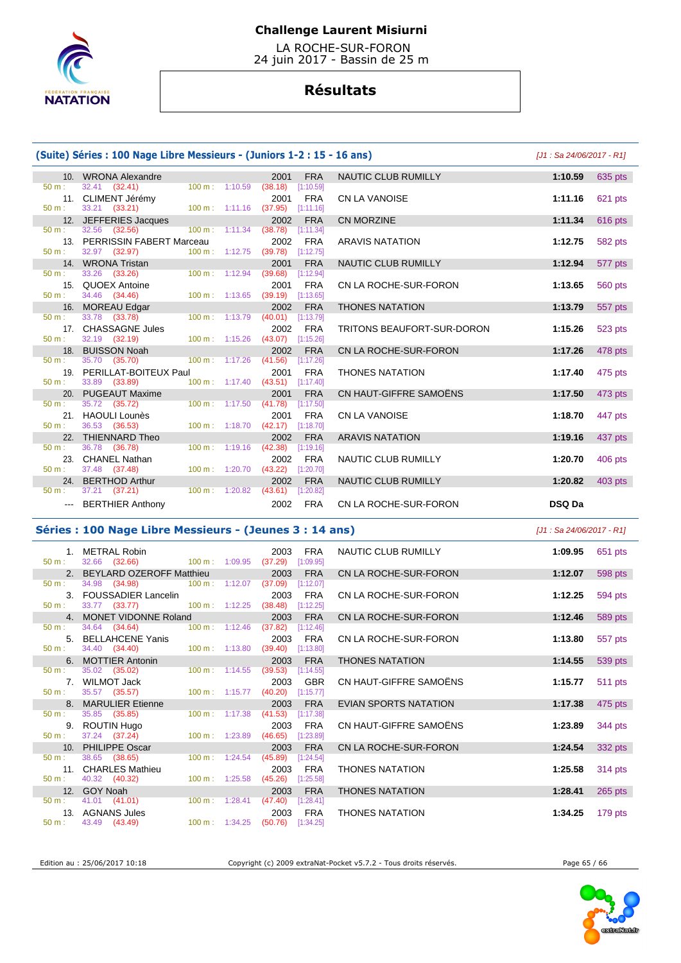

 LA ROCHE-SUR-FORON 24 juin 2017 - Bassin de 25 m

# **Résultats**

| (Suite) Séries : 100 Nage Libre Messieurs - (Juniors 1-2 : 15 - 16 ans) |                                                       |                             |         |                                            |                            |                           | [J1 : Sa 24/06/2017 - R1] |  |
|-------------------------------------------------------------------------|-------------------------------------------------------|-----------------------------|---------|--------------------------------------------|----------------------------|---------------------------|---------------------------|--|
|                                                                         | 10. WRONA Alexandre                                   |                             |         | 2001<br><b>FRA</b>                         | NAUTIC CLUB RUMILLY        | 1:10.59                   | 635 pts                   |  |
| 50 m:                                                                   | $32.41$ $(32.41)$                                     | $100 \text{ m}$ : $1:10.59$ |         | (38.18)<br>[1:10.59]                       |                            |                           |                           |  |
| $50 m$ :                                                                | 11. CLIMENT Jérémy<br>33.21 (33.21)                   | $100 m$ : 1:11.16           |         | <b>FRA</b><br>2001<br>(37.95)<br>[1:11.16] | CN LA VANOISE              | 1:11.16                   | 621 pts                   |  |
|                                                                         | 12. JEFFERIES Jacques                                 |                             |         | 2002<br><b>FRA</b>                         | <b>CN MORZINE</b>          | 1:11.34                   | 616 pts                   |  |
| 50 m:                                                                   | 32.56 (32.56)                                         | $100 \text{ m}$ :           | 1:11.34 | (38.78)<br>[1:11.34]                       |                            |                           |                           |  |
|                                                                         | 13. PERRISSIN FABERT Marceau                          |                             |         | <b>FRA</b><br>2002                         | <b>ARAVIS NATATION</b>     | 1:12.75                   | 582 pts                   |  |
| $50 m$ :                                                                | 32.97 (32.97)                                         | 100 m: 1:12.75              |         | (39.78)<br>[1:12.75]                       |                            |                           |                           |  |
|                                                                         | 14. WRONA Tristan                                     |                             |         | 2001<br><b>FRA</b>                         | NAUTIC CLUB RUMILLY        | 1:12.94                   | 577 pts                   |  |
| $50 m$ :                                                                | 33.26 (33.26)                                         | $100 m$ : 1:12.94           |         | (39.68)<br>[1:12.94]                       |                            |                           |                           |  |
| $50 m$ :                                                                | 15. QUOEX Antoine<br>34.46 (34.46)                    | 100 m: 1:13.65              |         | <b>FRA</b><br>2001<br>(39.19)<br>[1:13.65] | CN LA ROCHE-SUR-FORON      | 1:13.65                   | 560 pts                   |  |
|                                                                         | 16. MOREAU Edgar                                      |                             |         | 2002<br><b>FRA</b>                         | <b>THONES NATATION</b>     | 1:13.79                   | 557 pts                   |  |
| $50 \text{ m}$ :                                                        | 33.78 (33.78)                                         | 100 m: 1:13.79              |         | (40.01)<br>[1:13.79]                       |                            |                           |                           |  |
|                                                                         | 17. CHASSAGNE Jules                                   |                             |         | <b>FRA</b><br>2002                         | TRITONS BEAUFORT-SUR-DORON | 1:15.26                   | 523 pts                   |  |
| 50 m:                                                                   | 32.19 (32.19)                                         | $100 m$ : 1:15.26           |         | (43.07)<br>[1:15.26]                       |                            |                           |                           |  |
|                                                                         | 18. BUISSON Noah                                      |                             |         | <b>FRA</b><br>2002                         | CN LA ROCHE-SUR-FORON      | 1:17.26                   | 478 pts                   |  |
| $50 m$ :                                                                | 35.70 (35.70)                                         | 100 m: 1:17.26              |         | (41.56)<br>[1:17.26]                       |                            |                           |                           |  |
| 19.<br>$50 m$ :                                                         | PERILLAT-BOITEUX Paul                                 | $100 \text{ m}: 1:17.40$    |         | 2001<br><b>FRA</b>                         | <b>THONES NATATION</b>     | 1:17.40                   | 475 pts                   |  |
|                                                                         | 33.89 (33.89)<br>20. PUGEAUT Maxime                   |                             |         | (43.51)<br>[1:17.40]<br>2001<br><b>FRA</b> | CN HAUT-GIFFRE SAMOËNS     | 1:17.50                   | 473 pts                   |  |
| $50 m$ :                                                                | 35.72 (35.72)                                         | $100 m$ : 1:17.50           |         | (41.78)<br>[1:17.50]                       |                            |                           |                           |  |
|                                                                         | 21. HAOULI Lounès                                     |                             |         | 2001<br><b>FRA</b>                         | <b>CN LA VANOISE</b>       | 1:18.70                   | 447 pts                   |  |
| $50 m$ :                                                                | 36.53 (36.53)                                         | 100 m: 1:18.70              |         | (42.17)<br>[1:18.70]                       |                            |                           |                           |  |
|                                                                         | 22. THIENNARD Theo                                    |                             |         | <b>FRA</b><br>2002                         | <b>ARAVIS NATATION</b>     | 1:19.16                   | 437 pts                   |  |
| $50 m$ :                                                                | 36.78 (36.78)                                         | $100 m$ : 1:19.16           |         | (42.38)<br>[1:19.16]                       |                            |                           |                           |  |
|                                                                         | 23. CHANEL Nathan                                     |                             |         | <b>FRA</b><br>2002                         | NAUTIC CLUB RUMILLY        | 1:20.70                   | 406 pts                   |  |
| $50 m$ :                                                                | 37.48 (37.48)                                         | 100 m: 1:20.70              |         | (43.22)<br>[1:20.70]                       |                            |                           |                           |  |
| $50 m$ :                                                                | 24. BERTHOD Arthur<br>37.21 (37.21)                   | 100 m: 1:20.82              |         | <b>FRA</b><br>2002<br>(43.61)<br>[1:20.82] | NAUTIC CLUB RUMILLY        | 1:20.82                   | 403 pts                   |  |
| $\sim$ $\sim$ $\sim$                                                    | <b>BERTHIER Anthony</b>                               |                             |         | <b>FRA</b><br>2002                         | CN LA ROCHE-SUR-FORON      | <b>DSQ Da</b>             |                           |  |
|                                                                         |                                                       |                             |         |                                            |                            |                           |                           |  |
|                                                                         | Séries: 100 Nage Libre Messieurs - (Jeunes 3: 14 ans) |                             |         |                                            |                            | JJ1 : Sa 24/06/2017 - R11 |                           |  |

#### s : 100 Nage Libre Messieurs - (Jeunes 3 : 14 ans)

| 50 m:            | 1. METRAL Robin<br>32.66 (32.66) 100 m : 1:09.95 |                           | FRA<br>2003<br>[1:09.95]<br>(37.29) | NAUTIC CLUB RUMILLY    | 1:09.95 | 651 pts |
|------------------|--------------------------------------------------|---------------------------|-------------------------------------|------------------------|---------|---------|
|                  | 2. BEYLARD OZEROFF Matthieu                      |                           | 2003<br><b>FRA</b>                  | CN LA ROCHE-SUR-FORON  | 1:12.07 | 598 pts |
| 50 m:            | 34.98 (34.98) 100 m : 1:12.07                    |                           | (37.09)<br>[1:12.07]                |                        |         |         |
|                  | 3. FOUSSADIER Lancelin                           |                           | 2003<br>FRA                         | CN LA ROCHE-SUR-FORON  | 1:12.25 | 594 pts |
| 50 m:            | 33.77 (33.77)                                    |                           | 100 m: 1:12.25 (38.48) [1:12.25]    |                        |         |         |
|                  | 4. MONET VIDONNE Roland                          |                           | 2003<br><b>FRA</b>                  | CN LA ROCHE-SUR-FORON  | 1:12.46 | 589 pts |
| $50 \text{ m}$ : | 34.64 (34.64)                                    | $100 \text{ m}$ : 1:12.46 | (37.82)<br>[1:12.46]                |                        |         |         |
|                  | 5. BELLAHCENE Yanis                              |                           | <b>FRA</b><br>2003                  | CN LA ROCHE-SUR-FORON  | 1:13.80 | 557 pts |
| 50 m:            | 34.40 (34.40) 100 m : 1:13.80                    |                           | (39.40)<br>[1:13.80]                |                        |         |         |
|                  | 6. MOTTIER Antonin                               |                           | 2003<br><b>FRA</b>                  | <b>THONES NATATION</b> | 1:14.55 | 539 pts |
| 50 m:            | 35.02 (35.02)                                    | $100 \text{ m}: 1:14.55$  | (39.53)<br>[1:14.55]                |                        |         |         |
|                  | 7. WILMOT Jack                                   |                           | <b>GBR</b><br>2003                  | CN HAUT-GIFFRE SAMOËNS | 1:15.77 | 511 pts |
| 50 m:            | 35.57 (35.57)                                    | $100 \text{ m}$ : 1:15.77 | (40.20)<br>[1:15.77]                |                        |         |         |
|                  | 8. MARULIER Etienne                              |                           | <b>FRA</b><br>2003                  | EVIAN SPORTS NATATION  | 1:17.38 | 475 pts |
| $50 \text{ m}$ : | 35.85 (35.85)                                    | $100 \text{ m}$ : 1:17.38 | (41.53)<br>[1:17.38]                |                        |         |         |
|                  | 9. ROUTIN Hugo                                   |                           | FRA<br>2003                         | CN HAUT-GIFFRE SAMOËNS | 1:23.89 | 344 pts |
| $50 \text{ m}$ : | 37.24 (37.24) 100 m : 1:23.89                    |                           | $(46.65)$ [1:23.89]                 |                        |         |         |
|                  | 10. PHILIPPE Oscar                               |                           | 2003<br><b>FRA</b>                  | CN LA ROCHE-SUR-FORON  | 1:24.54 | 332 pts |
| 50 m:            | 38.65 (38.65)                                    | $100 \text{ m}$ : 1:24.54 | (45.89)<br>[1:24.54]                |                        |         |         |
|                  | 11. CHARLES Mathieu                              |                           | FRA<br>2003                         | <b>THONES NATATION</b> | 1:25.58 | 314 pts |
| $50 m$ :         | 40.32 (40.32) 100 m : 1:25.58                    |                           | (45.26)<br>[1:25.58]                |                        |         |         |
|                  | 12. GOY Noah                                     |                           | 2003<br><b>FRA</b>                  | <b>THONES NATATION</b> | 1:28.41 | 265 pts |
| 50 m:            | 41.01 (41.01)                                    | $100 \text{ m}$ : 1:28.41 | (47.40)<br>[1:28.41]                |                        |         |         |
|                  | 13. AGNANS Jules                                 |                           | <b>FRA</b><br>2003                  | <b>THONES NATATION</b> | 1:34.25 | 179 pts |
|                  | $50 \text{ m}: 43.49 (43.49)$                    |                           | 100 m: 1:34.25 (50.76) [1:34.25]    |                        |         |         |
|                  |                                                  |                           |                                     |                        |         |         |

Edition au : 25/06/2017 10:18 Copyright (c) 2009 extraNat-Pocket v5.7.2 - Tous droits réservés. Page 65 / 66